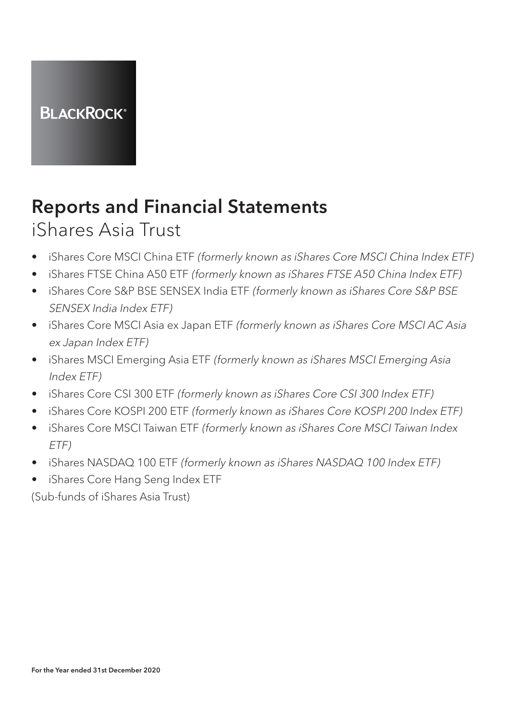

# Reports and Financial Statements

### iShares Asia Trust

- iShares Core MSCI China ETF (formerly known as iShares Core MSCI China Index ETF)
- iShares FTSE China A50 ETF (formerly known as iShares FTSE A50 China Index ETF)
- iShares Core S&P BSE SENSEX India ETF (formerly known as iShares Core S&P BSE SENSEX India Index ETF)
- iShares Core MSCI Asia ex Japan ETF (formerly known as iShares Core MSCI AC Asia ex Japan Index ETF)
- iShares MSCI Emerging Asia ETF (formerly known as iShares MSCI Emerging Asia Index ETF)
- iShares Core CSI 300 ETF (formerly known as iShares Core CSI 300 Index ETF)
- iShares Core KOSPI 200 ETF (formerly known as iShares Core KOSPI 200 Index ETF)
- iShares Core MSCI Taiwan ETF (formerly known as iShares Core MSCI Taiwan Index ETF)
- iShares NASDAQ 100 ETF (formerly known as iShares NASDAQ 100 Index ETF)
- iShares Core Hang Seng Index ETF

(Sub-funds of iShares Asia Trust)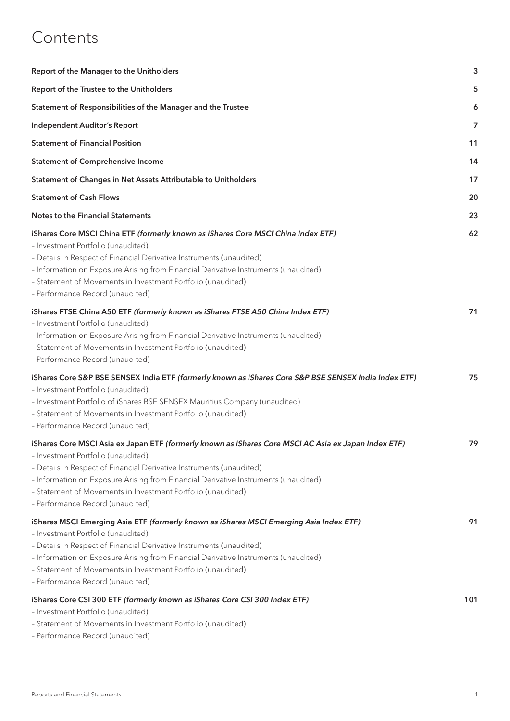### **Contents**

| Report of the Manager to the Unitholders                                                                                                                                                                                                                                                                                                                                                                      | 3   |
|---------------------------------------------------------------------------------------------------------------------------------------------------------------------------------------------------------------------------------------------------------------------------------------------------------------------------------------------------------------------------------------------------------------|-----|
| Report of the Trustee to the Unitholders                                                                                                                                                                                                                                                                                                                                                                      | 5   |
| Statement of Responsibilities of the Manager and the Trustee                                                                                                                                                                                                                                                                                                                                                  | 6   |
| <b>Independent Auditor's Report</b>                                                                                                                                                                                                                                                                                                                                                                           | 7   |
| <b>Statement of Financial Position</b>                                                                                                                                                                                                                                                                                                                                                                        | 11  |
| <b>Statement of Comprehensive Income</b>                                                                                                                                                                                                                                                                                                                                                                      | 14  |
| Statement of Changes in Net Assets Attributable to Unitholders                                                                                                                                                                                                                                                                                                                                                | 17  |
| <b>Statement of Cash Flows</b>                                                                                                                                                                                                                                                                                                                                                                                | 20  |
| <b>Notes to the Financial Statements</b>                                                                                                                                                                                                                                                                                                                                                                      | 23  |
| iShares Core MSCI China ETF (formerly known as iShares Core MSCI China Index ETF)<br>- Investment Portfolio (unaudited)<br>- Details in Respect of Financial Derivative Instruments (unaudited)<br>- Information on Exposure Arising from Financial Derivative Instruments (unaudited)<br>- Statement of Movements in Investment Portfolio (unaudited)<br>- Performance Record (unaudited)                    | 62  |
| iShares FTSE China A50 ETF (formerly known as iShares FTSE A50 China Index ETF)<br>- Investment Portfolio (unaudited)<br>- Information on Exposure Arising from Financial Derivative Instruments (unaudited)<br>- Statement of Movements in Investment Portfolio (unaudited)<br>- Performance Record (unaudited)                                                                                              | 71  |
| iShares Core S&P BSE SENSEX India ETF (formerly known as iShares Core S&P BSE SENSEX India Index ETF)<br>- Investment Portfolio (unaudited)<br>- Investment Portfolio of iShares BSE SENSEX Mauritius Company (unaudited)<br>- Statement of Movements in Investment Portfolio (unaudited)<br>- Performance Record (unaudited)                                                                                 | 75  |
| iShares Core MSCI Asia ex Japan ETF (formerly known as iShares Core MSCI AC Asia ex Japan Index ETF)<br>- Investment Portfolio (unaudited)<br>- Details in Respect of Financial Derivative Instruments (unaudited)<br>- Information on Exposure Arising from Financial Derivative Instruments (unaudited)<br>- Statement of Movements in Investment Portfolio (unaudited)<br>- Performance Record (unaudited) | 79  |
| iShares MSCI Emerging Asia ETF (formerly known as iShares MSCI Emerging Asia Index ETF)<br>- Investment Portfolio (unaudited)<br>- Details in Respect of Financial Derivative Instruments (unaudited)<br>- Information on Exposure Arising from Financial Derivative Instruments (unaudited)<br>- Statement of Movements in Investment Portfolio (unaudited)<br>- Performance Record (unaudited)              | 91  |
| iShares Core CSI 300 ETF (formerly known as iShares Core CSI 300 Index ETF)<br>- Investment Portfolio (unaudited)<br>- Statement of Movements in Investment Portfolio (unaudited)<br>- Performance Record (unaudited)                                                                                                                                                                                         | 101 |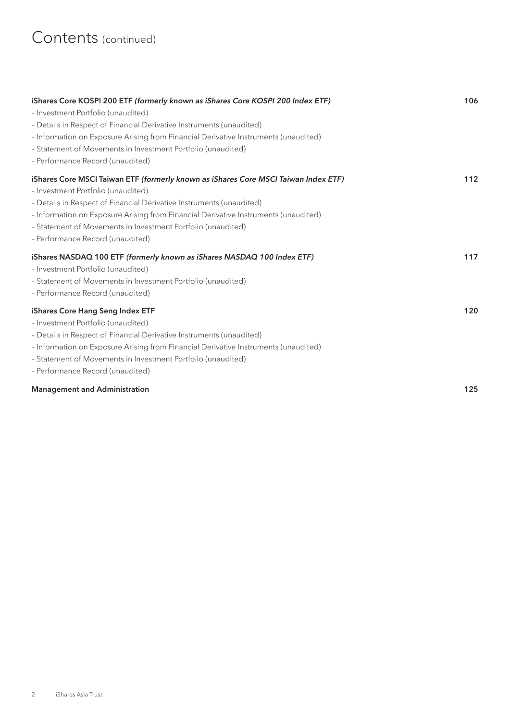| iShares Core KOSPI 200 ETF (formerly known as iShares Core KOSPI 200 Index ETF)     | 106 |
|-------------------------------------------------------------------------------------|-----|
| - Investment Portfolio (unaudited)                                                  |     |
| - Details in Respect of Financial Derivative Instruments (unaudited)                |     |
| - Information on Exposure Arising from Financial Derivative Instruments (unaudited) |     |
| - Statement of Movements in Investment Portfolio (unaudited)                        |     |
| - Performance Record (unaudited)                                                    |     |
| iShares Core MSCI Taiwan ETF (formerly known as iShares Core MSCI Taiwan Index ETF) | 112 |
| - Investment Portfolio (unaudited)                                                  |     |
| - Details in Respect of Financial Derivative Instruments (unaudited)                |     |
| - Information on Exposure Arising from Financial Derivative Instruments (unaudited) |     |
| - Statement of Movements in Investment Portfolio (unaudited)                        |     |
| - Performance Record (unaudited)                                                    |     |
| iShares NASDAQ 100 ETF (formerly known as iShares NASDAQ 100 Index ETF)             | 117 |
| - Investment Portfolio (unaudited)                                                  |     |
| - Statement of Movements in Investment Portfolio (unaudited)                        |     |
| - Performance Record (unaudited)                                                    |     |
|                                                                                     |     |
| iShares Core Hang Seng Index ETF                                                    | 120 |
| - Investment Portfolio (unaudited)                                                  |     |
| - Details in Respect of Financial Derivative Instruments (unaudited)                |     |
| - Information on Exposure Arising from Financial Derivative Instruments (unaudited) |     |
| - Statement of Movements in Investment Portfolio (unaudited)                        |     |
| - Performance Record (unaudited)                                                    |     |
| <b>Management and Administration</b>                                                | 125 |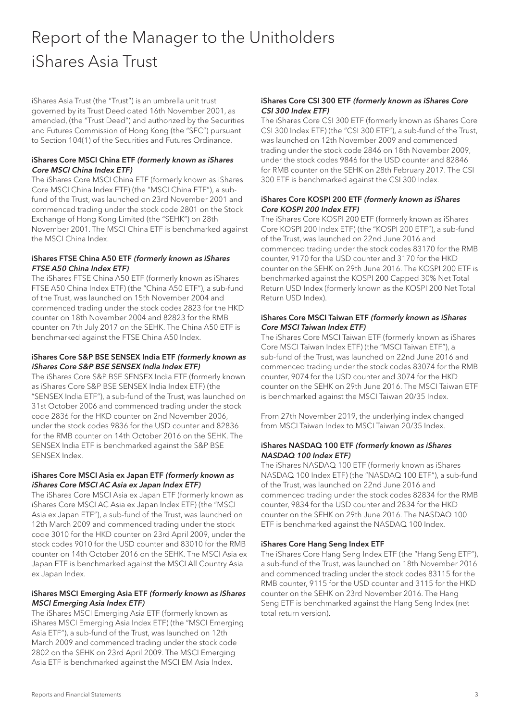## Report of the Manager to the Unitholders iShares Asia Trust

iShares Asia Trust (the "Trust") is an umbrella unit trust governed by its Trust Deed dated 16th November 2001, as amended, (the "Trust Deed") and authorized by the Securities and Futures Commission of Hong Kong (the "SFC") pursuant to Section 104(1) of the Securities and Futures Ordinance.

#### iShares Core MSCI China ETF (formerly known as iShares Core MSCI China Index ETF)

The iShares Core MSCI China ETF (formerly known as iShares Core MSCI China Index ETF) (the "MSCI China ETF"), a subfund of the Trust, was launched on 23rd November 2001 and commenced trading under the stock code 2801 on the Stock Exchange of Hong Kong Limited (the "SEHK") on 28th November 2001. The MSCI China ETF is benchmarked against the MSCI China Index.

#### iShares FTSE China A50 ETF (formerly known as iShares FTSE A50 China Index ETF)

The iShares FTSE China A50 ETF (formerly known as iShares FTSE A50 China Index ETF) (the "China A50 ETF"), a sub-fund of the Trust, was launched on 15th November 2004 and commenced trading under the stock codes 2823 for the HKD counter on 18th November 2004 and 82823 for the RMB counter on 7th July 2017 on the SEHK. The China A50 ETF is benchmarked against the FTSE China A50 Index.

#### iShares Core S&P BSE SENSEX India ETF (formerly known as iShares Core S&P BSE SENSEX India Index ETF)

The iShares Core S&P BSE SENSEX India ETF (formerly known as iShares Core S&P BSE SENSEX India Index ETF) (the "SENSEX India ETF"), a sub-fund of the Trust, was launched on 31st October 2006 and commenced trading under the stock code 2836 for the HKD counter on 2nd November 2006, under the stock codes 9836 for the USD counter and 82836 for the RMB counter on 14th October 2016 on the SEHK. The SENSEX India ETF is benchmarked against the S&P BSE SENSEX Index.

#### iShares Core MSCI Asia ex Japan ETF (formerly known as iShares Core MSCI AC Asia ex Japan Index ETF)

The iShares Core MSCI Asia ex Japan ETF (formerly known as iShares Core MSCI AC Asia ex Japan Index ETF) (the "MSCI Asia ex Japan ETF"), a sub-fund of the Trust, was launched on 12th March 2009 and commenced trading under the stock code 3010 for the HKD counter on 23rd April 2009, under the stock codes 9010 for the USD counter and 83010 for the RMB counter on 14th October 2016 on the SEHK. The MSCI Asia ex Japan ETF is benchmarked against the MSCI All Country Asia ex Japan Index.

#### iShares MSCI Emerging Asia ETF (formerly known as iShares MSCI Emerging Asia Index ETF)

The iShares MSCI Emerging Asia ETF (formerly known as iShares MSCI Emerging Asia Index ETF) (the "MSCI Emerging Asia ETF"), a sub-fund of the Trust, was launched on 12th March 2009 and commenced trading under the stock code 2802 on the SEHK on 23rd April 2009. The MSCI Emerging Asia ETF is benchmarked against the MSCI EM Asia Index.

#### iShares Core CSI 300 ETF (formerly known as iShares Core CSI 300 Index ETF)

The iShares Core CSI 300 ETF (formerly known as iShares Core CSI 300 Index ETF) (the "CSI 300 ETF"), a sub-fund of the Trust, was launched on 12th November 2009 and commenced trading under the stock code 2846 on 18th November 2009, under the stock codes 9846 for the USD counter and 82846 for RMB counter on the SEHK on 28th February 2017. The CSI 300 ETF is benchmarked against the CSI 300 Index.

#### iShares Core KOSPI 200 ETF (formerly known as iShares Core KOSPI 200 Index ETF)

The iShares Core KOSPI 200 ETF (formerly known as iShares Core KOSPI 200 Index ETF) (the "KOSPI 200 ETF"), a sub-fund of the Trust, was launched on 22nd June 2016 and commenced trading under the stock codes 83170 for the RMB counter, 9170 for the USD counter and 3170 for the HKD counter on the SEHK on 29th June 2016. The KOSPI 200 ETF is benchmarked against the KOSPI 200 Capped 30% Net Total Return USD Index (formerly known as the KOSPI 200 Net Total Return USD Index).

#### iShares Core MSCI Taiwan ETF (formerly known as iShares Core MSCI Taiwan Index ETF)

The iShares Core MSCI Taiwan ETF (formerly known as iShares Core MSCI Taiwan Index ETF) (the "MSCI Taiwan ETF"), a sub-fund of the Trust, was launched on 22nd June 2016 and commenced trading under the stock codes 83074 for the RMB counter, 9074 for the USD counter and 3074 for the HKD counter on the SEHK on 29th June 2016. The MSCI Taiwan ETF is benchmarked against the MSCI Taiwan 20/35 Index.

From 27th November 2019, the underlying index changed from MSCI Taiwan Index to MSCI Taiwan 20/35 Index.

#### iShares NASDAQ 100 ETF (formerly known as iShares NASDAQ 100 Index ETF)

The iShares NASDAQ 100 ETF (formerly known as iShares NASDAQ 100 Index ETF) (the "NASDAQ 100 ETF"), a sub-fund of the Trust, was launched on 22nd June 2016 and commenced trading under the stock codes 82834 for the RMB counter, 9834 for the USD counter and 2834 for the HKD counter on the SEHK on 29th June 2016. The NASDAQ 100 ETF is benchmarked against the NASDAQ 100 Index.

#### iShares Core Hang Seng Index ETF

The iShares Core Hang Seng Index ETF (the "Hang Seng ETF"), a sub-fund of the Trust, was launched on 18th November 2016 and commenced trading under the stock codes 83115 for the RMB counter, 9115 for the USD counter and 3115 for the HKD counter on the SEHK on 23rd November 2016. The Hang Seng ETF is benchmarked against the Hang Seng Index (net total return version).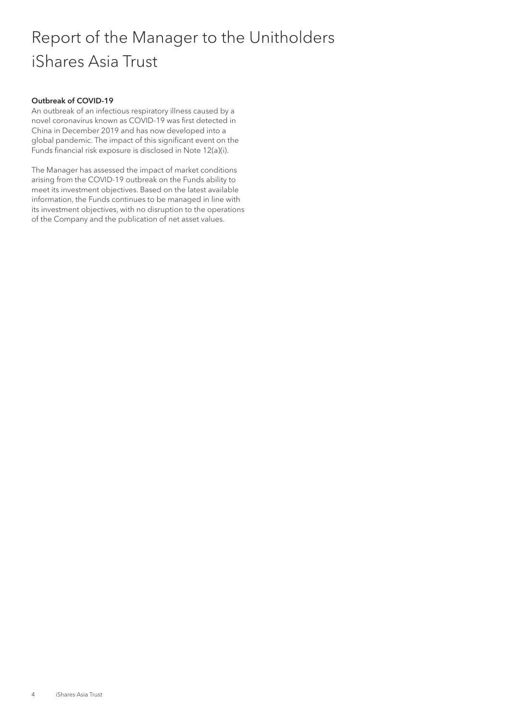## Report of the Manager to the Unitholders iShares Asia Trust

#### Outbreak of COVID-19

An outbreak of an infectious respiratory illness caused by a novel coronavirus known as COVID-19 was first detected in China in December 2019 and has now developed into a global pandemic. The impact of this significant event on the Funds financial risk exposure is disclosed in Note 12(a)(i).

The Manager has assessed the impact of market conditions arising from the COVID-19 outbreak on the Funds ability to meet its investment objectives. Based on the latest available information, the Funds continues to be managed in line with its investment objectives, with no disruption to the operations of the Company and the publication of net asset values.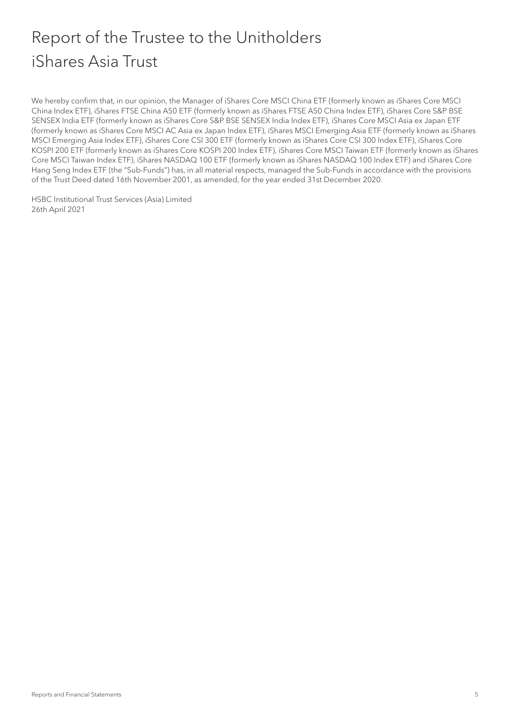## Report of the Trustee to the Unitholders iShares Asia Trust

We hereby confirm that, in our opinion, the Manager of iShares Core MSCI China ETF (formerly known as iShares Core MSCI China Index ETF), iShares FTSE China A50 ETF (formerly known as iShares FTSE A50 China Index ETF), iShares Core S&P BSE SENSEX India ETF (formerly known as iShares Core S&P BSE SENSEX India Index ETF), iShares Core MSCI Asia ex Japan ETF (formerly known as iShares Core MSCI AC Asia ex Japan Index ETF), iShares MSCI Emerging Asia ETF (formerly known as iShares MSCI Emerging Asia Index ETF), iShares Core CSI 300 ETF (formerly known as iShares Core CSI 300 Index ETF), iShares Core KOSPI 200 ETF (formerly known as iShares Core KOSPI 200 Index ETF), iShares Core MSCI Taiwan ETF (formerly known as iShares Core MSCI Taiwan Index ETF), iShares NASDAQ 100 ETF (formerly known as iShares NASDAQ 100 Index ETF) and iShares Core Hang Seng Index ETF (the "Sub-Funds") has, in all material respects, managed the Sub-Funds in accordance with the provisions of the Trust Deed dated 16th November 2001, as amended, for the year ended 31st December 2020.

HSBC Institutional Trust Services (Asia) Limited 26th April 2021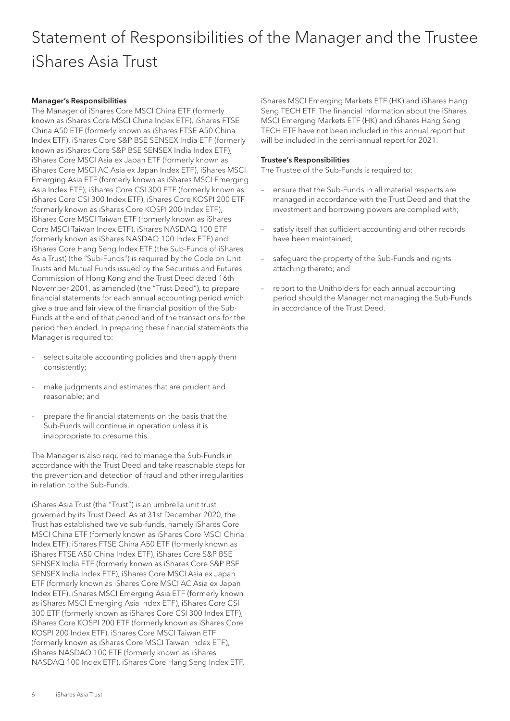## Statement of Responsibilities of the Manager and the Trustee iShares Asia Trust

#### Manager's Responsibilities

The Manager of iShares Core MSCI China ETF (formerly known as iShares Core MSCI China Index ETF), iShares FTSE China A50 ETF (formerly known as iShares FTSE A50 China Index ETF), iShares Core S&P BSE SENSEX India ETF (formerly known as iShares Core S&P BSE SENSEX India Index ETF), iShares Core MSCI Asia ex Japan ETF (formerly known as iShares Core MSCI AC Asia ex Japan Index ETF), iShares MSCI Emerging Asia ETF (formerly known as iShares MSCI Emerging Asia Index ETF), iShares Core CSI 300 ETF (formerly known as iShares Core CSI 300 Index ETF), iShares Core KOSPI 200 ETF (formerly known as iShares Core KOSPI 200 Index ETF), iShares Core MSCI Taiwan ETF (formerly known as iShares Core MSCI Taiwan Index ETF), iShares NASDAQ 100 ETF (formerly known as iShares NASDAQ 100 Index ETF) and iShares Core Hang Seng Index ETF (the Sub-Funds of iShares Asia Trust) (the "Sub-Funds") is required by the Code on Unit Trusts and Mutual Funds issued by the Securities and Futures Commission of Hong Kong and the Trust Deed dated 16th November 2001, as amended (the "Trust Deed"), to prepare financial statements for each annual accounting period which give a true and fair view of the financial position of the Sub-Funds at the end of that period and of the transactions for the period then ended. In preparing these financial statements the Manager is required to:

- select suitable accounting policies and then apply them consistently;
- make judgments and estimates that are prudent and reasonable; and
- prepare the financial statements on the basis that the Sub-Funds will continue in operation unless it is inappropriate to presume this.

The Manager is also required to manage the Sub-Funds in accordance with the Trust Deed and take reasonable steps for the prevention and detection of fraud and other irregularities in relation to the Sub-Funds.

iShares Asia Trust (the "Trust") is an umbrella unit trust governed by its Trust Deed. As at 31st December 2020, the Trust has established twelve sub-funds, namely iShares Core MSCI China ETF (formerly known as iShares Core MSCI China Index ETF), iShares FTSE China A50 ETF (formerly known as iShares FTSE A50 China Index ETF), iShares Core S&P BSE SENSEX India ETF (formerly known as iShares Core S&P BSE SENSEX India Index ETF), iShares Core MSCI Asia ex Japan ETF (formerly known as iShares Core MSCI AC Asia ex Japan Index ETF), iShares MSCI Emerging Asia ETF (formerly known as iShares MSCI Emerging Asia Index ETF), iShares Core CSI 300 ETF (formerly known as iShares Core CSI 300 Index ETF), iShares Core KOSPI 200 ETF (formerly known as iShares Core KOSPI 200 Index ETF), iShares Core MSCI Taiwan ETF (formerly known as iShares Core MSCI Taiwan Index ETF), iShares NASDAQ 100 ETF (formerly known as iShares NASDAQ 100 Index ETF), iShares Core Hang Seng Index ETF,

iShares MSCI Emerging Markets ETF (HK) and iShares Hang Seng TECH ETF. The financial information about the iShares MSCI Emerging Markets ETF (HK) and iShares Hang Seng TECH ETF have not been included in this annual report but will be included in the semi-annual report for 2021.

#### Trustee's Responsibilities

The Trustee of the Sub-Funds is required to:

- ensure that the Sub-Funds in all material respects are managed in accordance with the Trust Deed and that the investment and borrowing powers are complied with;
- satisfy itself that sufficient accounting and other records have been maintained;
- safeguard the property of the Sub-Funds and rights attaching thereto; and
- report to the Unitholders for each annual accounting period should the Manager not managing the Sub-Funds in accordance of the Trust Deed.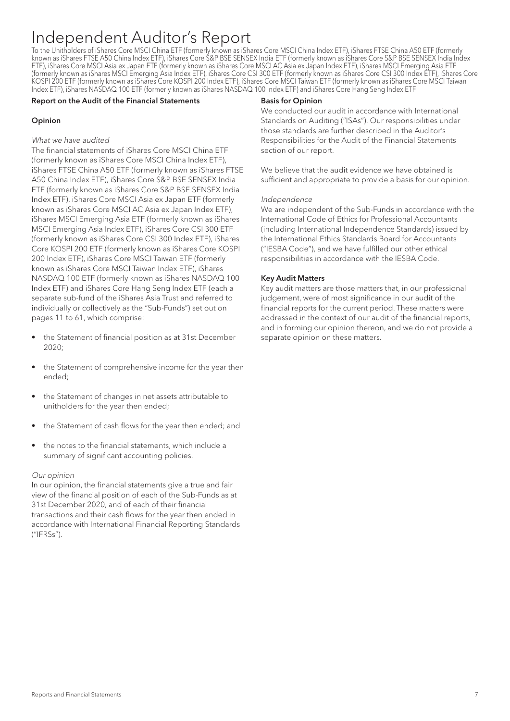To the Unitholders of iShares Core MSCI China ETF (formerly known as iShares Core MSCI China Index ETF), iShares FTSE China A50 ETF (formerly known as iShares FTSE A50 China Index ETF), iShares Core S&P BSE SENSEX India ETF (formerly known as iShares Core S&P BSE SENSEX India Index ETF), iShares Core MSCI Asia ex Japan ETF (formerly known as iShares Core MSCI AC Asia ex Japan Index ETF), iShares MSCI Emerging Asia ETF (formerly known as iShares MSCI Emerging Asia Index ETF), iShares Core CSI 300 ETF (formerly known as iShares Core CSI 300 Index ETF), iShares Core KOSPI 200 ETF (formerly known as iShares Core KOSPI 200 Index ETF), iShares Core MSCI Taiwan ETF (formerly known as iShares Core MSCI Taiwan Index ETF), iShares NASDAQ 100 ETF (formerly known as iShares NASDAQ 100 Index ETF) and iShares Core Hang Seng Index ETF

#### Report on the Audit of the Financial Statements

#### Opinion

#### What we have audited

The financial statements of iShares Core MSCI China ETF (formerly known as iShares Core MSCI China Index ETF), iShares FTSE China A50 ETF (formerly known as iShares FTSE A50 China Index ETF), iShares Core S&P BSE SENSEX India ETF (formerly known as iShares Core S&P BSE SENSEX India Index ETF), iShares Core MSCI Asia ex Japan ETF (formerly known as iShares Core MSCI AC Asia ex Japan Index ETF), iShares MSCI Emerging Asia ETF (formerly known as iShares MSCI Emerging Asia Index ETF), iShares Core CSI 300 ETF (formerly known as iShares Core CSI 300 Index ETF), iShares Core KOSPI 200 ETF (formerly known as iShares Core KOSPI 200 Index ETF), iShares Core MSCI Taiwan ETF (formerly known as iShares Core MSCI Taiwan Index ETF), iShares NASDAQ 100 ETF (formerly known as iShares NASDAQ 100 Index ETF) and iShares Core Hang Seng Index ETF (each a separate sub-fund of the iShares Asia Trust and referred to individually or collectively as the "Sub-Funds") set out on pages 11 to 61, which comprise:

- the Statement of financial position as at 31st December 2020;
- the Statement of comprehensive income for the year then ended;
- the Statement of changes in net assets attributable to unitholders for the year then ended;
- the Statement of cash flows for the year then ended; and
- the notes to the financial statements, which include a summary of significant accounting policies.

#### Our opinion

In our opinion, the financial statements give a true and fair view of the financial position of each of the Sub-Funds as at 31st December 2020, and of each of their financial transactions and their cash flows for the year then ended in accordance with International Financial Reporting Standards ("IFRSs").

#### Basis for Opinion

We conducted our audit in accordance with International Standards on Auditing ("ISAs"). Our responsibilities under those standards are further described in the Auditor's Responsibilities for the Audit of the Financial Statements section of our report.

We believe that the audit evidence we have obtained is sufficient and appropriate to provide a basis for our opinion.

#### Independence

We are independent of the Sub-Funds in accordance with the International Code of Ethics for Professional Accountants (including International Independence Standards) issued by the International Ethics Standards Board for Accountants ("IESBA Code"), and we have fulfilled our other ethical responsibilities in accordance with the IESBA Code.

#### Key Audit Matters

Key audit matters are those matters that, in our professional judgement, were of most significance in our audit of the financial reports for the current period. These matters were addressed in the context of our audit of the financial reports, and in forming our opinion thereon, and we do not provide a separate opinion on these matters.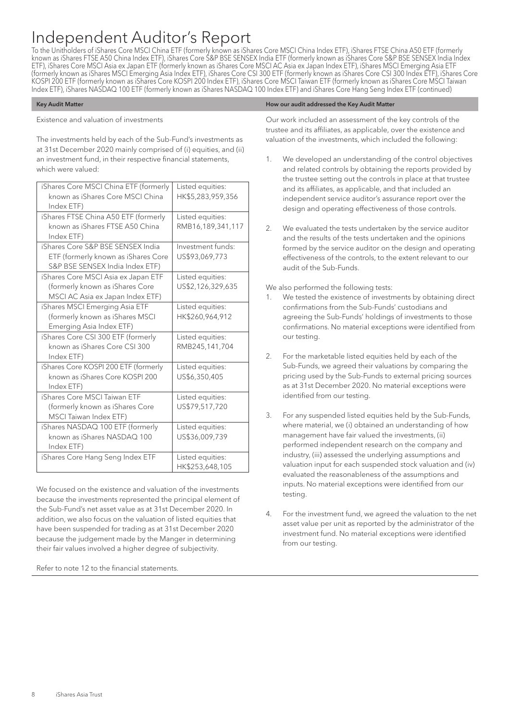To the Unitholders of iShares Core MSCI China ETF (formerly known as iShares Core MSCI China Index ETF), iShares FTSE China A50 ETF (formerly known as iShares FTSE A50 China Index ETF), iShares Core S&P BSE SENSEX India ETF (formerly known as iShares Core S&P BSE SENSEX India Index ETF), iShares Core MSCI Asia ex Japan ETF (formerly known as iShares Core MSCI AC Asia ex Japan Index ETF), iShares MSCI Emerging Asia ETF (formerly known as iShares MSCI Emerging Asia Index ETF), iShares Core CSI 300 ETF (formerly known as iShares Core CSI 300 Index ETF), iShares Core KOSPI 200 ETF (formerly known as iShares Core KOSPI 200 Index ETF), iShares Core MSCI Taiwan ETF (formerly known as iShares Core MSCI Taiwan Index ETF), iShares NASDAQ 100 ETF (formerly known as iShares NASDAQ 100 Index ETF) and iShares Core Hang Seng Index ETF (continued)

#### Existence and valuation of investments

The investments held by each of the Sub-Fund's investments as at 31st December 2020 mainly comprised of (i) equities, and (ii) an investment fund, in their respective financial statements, which were valued:

| iShares Core MSCI China ETF (formerly<br>known as iShares Core MSCI China | Listed equities:<br>HK\$5,283,959,356 |
|---------------------------------------------------------------------------|---------------------------------------|
| Index ETF)                                                                |                                       |
| iShares FTSE China A50 ETF (formerly                                      | Listed equities:                      |
| known as iShares FTSE A50 China                                           | RMB16,189,341,117                     |
| Index ETF)                                                                |                                       |
| iShares Core S&P BSE SENSEX India                                         | Investment funds:                     |
| ETF (formerly known as iShares Core                                       | US\$93,069,773                        |
| S&P BSE SENSEX India Index ETF)                                           |                                       |
| iShares Core MSCI Asia ex Japan ETF                                       | Listed equities:                      |
| (formerly known as iShares Core                                           | US\$2,126,329,635                     |
| MSCI AC Asia ex Japan Index ETF)                                          |                                       |
| iShares MSCI Emerging Asia ETF                                            | Listed equities:                      |
| (formerly known as iShares MSCI                                           | HK\$260,964,912                       |
| Emerging Asia Index ETF)                                                  |                                       |
| iShares Core CSI 300 ETF (formerly                                        | Listed equities:                      |
| known as iShares Core CSI 300                                             | RMB245,141,704                        |
| Index ETF)                                                                |                                       |
| iShares Core KOSPI 200 ETF (formerly                                      | Listed equities:                      |
| known as iShares Core KOSPI 200                                           | US\$6,350,405                         |
| Index ETF)                                                                |                                       |
| iShares Core MSCI Taiwan ETF                                              | Listed equities:                      |
| (formerly known as iShares Core                                           | US\$79,517,720                        |
| MSCI Taiwan Index ETF)                                                    |                                       |
| iShares NASDAQ 100 ETF (formerly                                          | Listed equities:                      |
| known as iShares NASDAQ 100                                               | US\$36,009,739                        |
| Index ETF)                                                                |                                       |
| iShares Core Hang Seng Index ETF                                          | Listed equities:                      |
|                                                                           | HK\$253,648,105                       |

We focused on the existence and valuation of the investments because the investments represented the principal element of the Sub-Fund's net asset value as at 31st December 2020. In addition, we also focus on the valuation of listed equities that have been suspended for trading as at 31st December 2020 because the judgement made by the Manger in determining their fair values involved a higher degree of subjectivity.

Refer to note 12 to the financial statements.

#### Key Audit Matter **How our audit addressed the Key Audit Matter** How our audit addressed the Key Audit Matter

Our work included an assessment of the key controls of the trustee and its affiliates, as applicable, over the existence and valuation of the investments, which included the following:

- 1. We developed an understanding of the control objectives and related controls by obtaining the reports provided by the trustee setting out the controls in place at that trustee and its affiliates, as applicable, and that included an independent service auditor's assurance report over the design and operating effectiveness of those controls.
- 2. We evaluated the tests undertaken by the service auditor and the results of the tests undertaken and the opinions formed by the service auditor on the design and operating effectiveness of the controls, to the extent relevant to our audit of the Sub-Funds.

We also performed the following tests:

- 1. We tested the existence of investments by obtaining direct confirmations from the Sub-Funds' custodians and agreeing the Sub-Funds' holdings of investments to those confirmations. No material exceptions were identified from our testing.
- 2. For the marketable listed equities held by each of the Sub-Funds, we agreed their valuations by comparing the pricing used by the Sub-Funds to external pricing sources as at 31st December 2020. No material exceptions were identified from our testing.
- 3. For any suspended listed equities held by the Sub-Funds, where material, we (i) obtained an understanding of how management have fair valued the investments, (ii) performed independent research on the company and industry, (iii) assessed the underlying assumptions and valuation input for each suspended stock valuation and (iv) evaluated the reasonableness of the assumptions and inputs. No material exceptions were identified from our testing.
- 4. For the investment fund, we agreed the valuation to the net asset value per unit as reported by the administrator of the investment fund. No material exceptions were identified from our testing.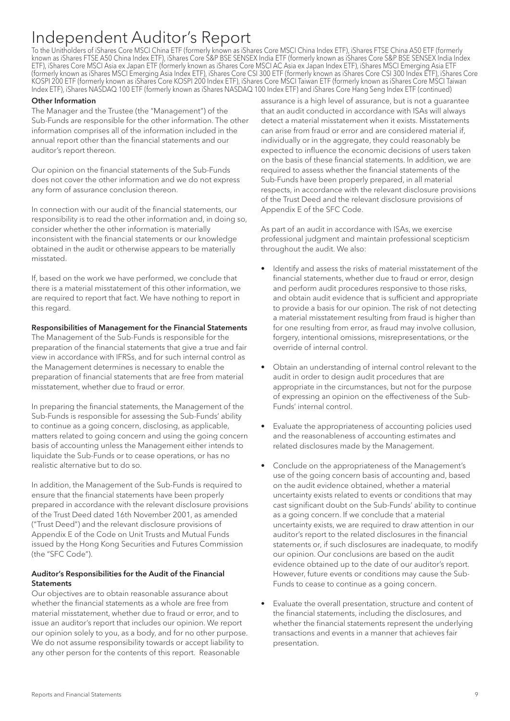To the Unitholders of iShares Core MSCI China ETF (formerly known as iShares Core MSCI China Index ETF), iShares FTSE China A50 ETF (formerly known as iShares FTSE A50 China Index ETF), iShares Core S&P BSE SENSEX India ETF (formerly known as iShares Core S&P BSE SENSEX India Index ETF), iShares Core MSCI Asia ex Japan ETF (formerly known as iShares Core MSCI AC Asia ex Japan Index ETF), iShares MSCI Emerging Asia ETF (formerly known as iShares MSCI Emerging Asia Index ETF), iShares Core CSI 300 ETF (formerly known as iShares Core CSI 300 Index ETF), iShares Core KOSPI 200 ETF (formerly known as iShares Core KOSPI 200 Index ETF), iShares Core MSCI Taiwan ETF (formerly known as iShares Core MSCI Taiwan Index ETF), iShares NASDAQ 100 ETF (formerly known as iShares NASDAQ 100 Index ETF) and iShares Core Hang Seng Index ETF (continued)

#### Other Information

The Manager and the Trustee (the "Management") of the Sub-Funds are responsible for the other information. The other information comprises all of the information included in the annual report other than the financial statements and our auditor's report thereon.

Our opinion on the financial statements of the Sub-Funds does not cover the other information and we do not express any form of assurance conclusion thereon.

In connection with our audit of the financial statements, our responsibility is to read the other information and, in doing so, consider whether the other information is materially inconsistent with the financial statements or our knowledge obtained in the audit or otherwise appears to be materially misstated.

If, based on the work we have performed, we conclude that there is a material misstatement of this other information, we are required to report that fact. We have nothing to report in this regard.

#### Responsibilities of Management for the Financial Statements

The Management of the Sub-Funds is responsible for the preparation of the financial statements that give a true and fair view in accordance with IFRSs, and for such internal control as the Management determines is necessary to enable the preparation of financial statements that are free from material misstatement, whether due to fraud or error.

In preparing the financial statements, the Management of the Sub-Funds is responsible for assessing the Sub-Funds' ability to continue as a going concern, disclosing, as applicable, matters related to going concern and using the going concern basis of accounting unless the Management either intends to liquidate the Sub-Funds or to cease operations, or has no realistic alternative but to do so.

In addition, the Management of the Sub-Funds is required to ensure that the financial statements have been properly prepared in accordance with the relevant disclosure provisions of the Trust Deed dated 16th November 2001, as amended ("Trust Deed") and the relevant disclosure provisions of Appendix E of the Code on Unit Trusts and Mutual Funds issued by the Hong Kong Securities and Futures Commission (the "SFC Code").

#### Auditor's Responsibilities for the Audit of the Financial **Statements**

Our objectives are to obtain reasonable assurance about whether the financial statements as a whole are free from material misstatement, whether due to fraud or error, and to issue an auditor's report that includes our opinion. We report our opinion solely to you, as a body, and for no other purpose. We do not assume responsibility towards or accept liability to any other person for the contents of this report. Reasonable

assurance is a high level of assurance, but is not a guarantee that an audit conducted in accordance with ISAs will always detect a material misstatement when it exists. Misstatements can arise from fraud or error and are considered material if, individually or in the aggregate, they could reasonably be expected to influence the economic decisions of users taken on the basis of these financial statements. In addition, we are required to assess whether the financial statements of the Sub-Funds have been properly prepared, in all material respects, in accordance with the relevant disclosure provisions of the Trust Deed and the relevant disclosure provisions of Appendix E of the SFC Code.

As part of an audit in accordance with ISAs, we exercise professional judgment and maintain professional scepticism throughout the audit. We also:

- Identify and assess the risks of material misstatement of the financial statements, whether due to fraud or error, design and perform audit procedures responsive to those risks, and obtain audit evidence that is sufficient and appropriate to provide a basis for our opinion. The risk of not detecting a material misstatement resulting from fraud is higher than for one resulting from error, as fraud may involve collusion, forgery, intentional omissions, misrepresentations, or the override of internal control.
- Obtain an understanding of internal control relevant to the audit in order to design audit procedures that are appropriate in the circumstances, but not for the purpose of expressing an opinion on the effectiveness of the Sub-Funds' internal control.
- Evaluate the appropriateness of accounting policies used and the reasonableness of accounting estimates and related disclosures made by the Management.
- Conclude on the appropriateness of the Management's use of the going concern basis of accounting and, based on the audit evidence obtained, whether a material uncertainty exists related to events or conditions that may cast significant doubt on the Sub-Funds' ability to continue as a going concern. If we conclude that a material uncertainty exists, we are required to draw attention in our auditor's report to the related disclosures in the financial statements or, if such disclosures are inadequate, to modify our opinion. Our conclusions are based on the audit evidence obtained up to the date of our auditor's report. However, future events or conditions may cause the Sub-Funds to cease to continue as a going concern.
- Evaluate the overall presentation, structure and content of the financial statements, including the disclosures, and whether the financial statements represent the underlying transactions and events in a manner that achieves fair presentation.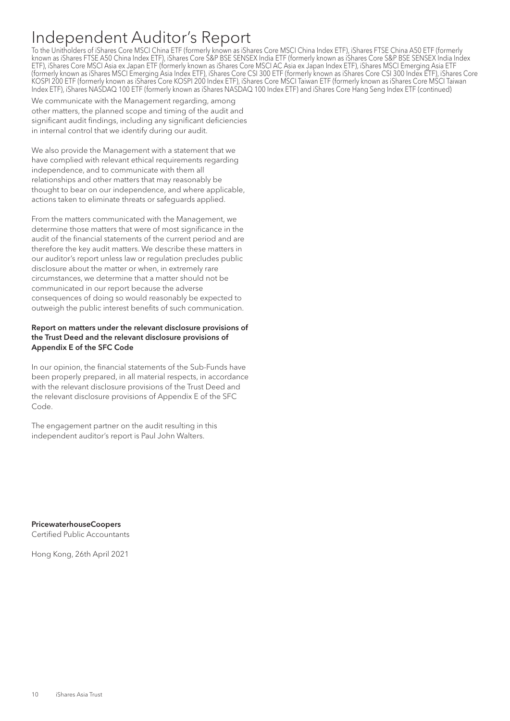To the Unitholders of iShares Core MSCI China ETF (formerly known as iShares Core MSCI China Index ETF), iShares FTSE China A50 ETF (formerly known as iShares FTSE A50 China Index ETF), iShares Core S&P BSE SENSEX India ETF (formerly known as iShares Core S&P BSE SENSEX India Index ETF), iShares Core MSCI Asia ex Japan ETF (formerly known as iShares Core MSCI AC Asia ex Japan Index ETF), iShares MSCI Emerging Asia ETF (formerly known as iShares MSCI Emerging Asia Index ETF), iShares Core CSI 300 ETF (formerly known as iShares Core CSI 300 Index ETF), iShares Core KOSPI 200 ETF (formerly known as iShares Core KOSPI 200 Index ETF), iShares Core MSCI Taiwan ETF (formerly known as iShares Core MSCI Taiwan Index ETF), iShares NASDAQ 100 ETF (formerly known as iShares NASDAQ 100 Index ETF) and iShares Core Hang Seng Index ETF (continued)

We communicate with the Management regarding, among other matters, the planned scope and timing of the audit and significant audit findings, including any significant deficiencies in internal control that we identify during our audit.

We also provide the Management with a statement that we have complied with relevant ethical requirements regarding independence, and to communicate with them all relationships and other matters that may reasonably be thought to bear on our independence, and where applicable, actions taken to eliminate threats or safeguards applied.

From the matters communicated with the Management, we determine those matters that were of most significance in the audit of the financial statements of the current period and are therefore the key audit matters. We describe these matters in our auditor's report unless law or regulation precludes public disclosure about the matter or when, in extremely rare circumstances, we determine that a matter should not be communicated in our report because the adverse consequences of doing so would reasonably be expected to outweigh the public interest benefits of such communication.

#### Report on matters under the relevant disclosure provisions of the Trust Deed and the relevant disclosure provisions of Appendix E of the SFC Code

In our opinion, the financial statements of the Sub-Funds have been properly prepared, in all material respects, in accordance with the relevant disclosure provisions of the Trust Deed and the relevant disclosure provisions of Appendix E of the SFC Code.

The engagement partner on the audit resulting in this independent auditor's report is Paul John Walters.

PricewaterhouseCoopers Certified Public Accountants

Hong Kong, 26th April 2021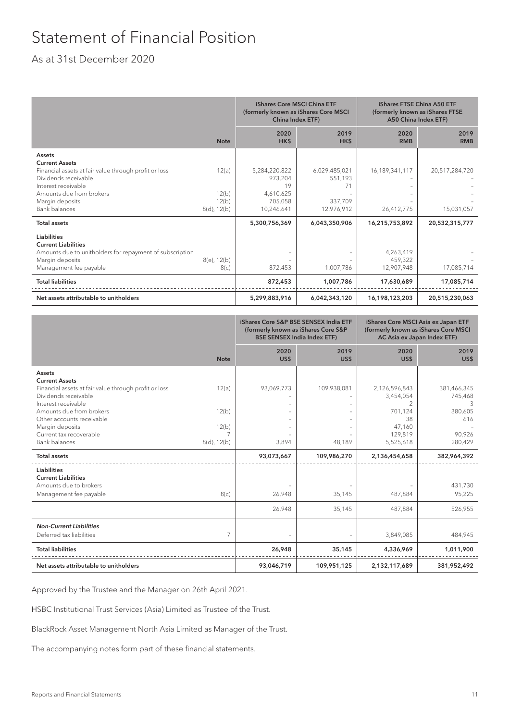## Statement of Financial Position

### As at 31st December 2020

|                                                                                                                                                           |                                  | iShares Core MSCI China ETF<br>(formerly known as iShares Core MSCI<br>China Index ETF) |                                | iShares FTSE China A50 ETF<br>(formerly known as iShares FTSE<br>A50 China Index ETF) |                    |
|-----------------------------------------------------------------------------------------------------------------------------------------------------------|----------------------------------|-----------------------------------------------------------------------------------------|--------------------------------|---------------------------------------------------------------------------------------|--------------------|
|                                                                                                                                                           | <b>Note</b>                      | 2020<br>HK\$                                                                            | 2019<br>HK\$                   | 2020<br><b>RMB</b>                                                                    | 2019<br><b>RMB</b> |
| Assets<br><b>Current Assets</b>                                                                                                                           |                                  |                                                                                         |                                |                                                                                       |                    |
| Financial assets at fair value through profit or loss<br>Dividends receivable<br>Interest receivable                                                      | 12(a)                            | 5,284,220,822<br>973,204<br>19                                                          | 6,029,485,021<br>551,193<br>71 | 16,189,341,117                                                                        | 20,517,284,720     |
| Amounts due from brokers<br>Margin deposits<br>Bank balances                                                                                              | 12(b)<br>12(b)<br>$8(d)$ , 12(b) | 4,610,625<br>705,058<br>10,246,641                                                      | 337,709<br>12,976,912          | 26,412,775                                                                            | 15,031,057         |
| <b>Total assets</b>                                                                                                                                       |                                  | 5,300,756,369                                                                           | 6,043,350,906                  | 16,215,753,892                                                                        | 20,532,315,777     |
| <b>Liabilities</b><br><b>Current Liabilities</b><br>Amounts due to unitholders for repayment of subscription<br>Margin deposits<br>Management fee payable | $8(e)$ , 12(b)<br>8(c)           | 872,453                                                                                 | 1,007,786                      | 4,263,419<br>459,322<br>12,907,948                                                    | 17,085,714         |
| <b>Total liabilities</b>                                                                                                                                  |                                  | 872,453                                                                                 | 1,007,786                      | 17,630,689                                                                            | 17,085,714         |
| Net assets attributable to unitholders                                                                                                                    |                                  | 5,299,883,916                                                                           | 6,042,343,120                  | 16,198,123,203                                                                        | 20,515,230,063     |

|                                                       |             | iShares Core S&P BSE SENSEX India ETF<br>(formerly known as iShares Core S&P<br><b>BSE SENSEX India Index ETF)</b> |              | iShares Core MSCI Asia ex Japan ETF<br>(formerly known as iShares Core MSCI<br>AC Asia ex Japan Index ETF) |                |
|-------------------------------------------------------|-------------|--------------------------------------------------------------------------------------------------------------------|--------------|------------------------------------------------------------------------------------------------------------|----------------|
|                                                       | <b>Note</b> | 2020<br>US\$                                                                                                       | 2019<br>US\$ | 2020<br>US\$                                                                                               | 2019<br>US\$   |
| <b>Assets</b>                                         |             |                                                                                                                    |              |                                                                                                            |                |
| <b>Current Assets</b>                                 |             |                                                                                                                    |              |                                                                                                            |                |
| Financial assets at fair value through profit or loss | 12(a)       | 93,069,773                                                                                                         | 109,938,081  | 2,126,596,843                                                                                              | 381,466,345    |
| Dividends receivable                                  |             |                                                                                                                    |              | 3,454,054                                                                                                  | 745,468        |
| Interest receivable                                   |             |                                                                                                                    |              | 2                                                                                                          |                |
| Amounts due from brokers<br>Other accounts receivable | 12(b)       |                                                                                                                    |              | 701,124<br>38                                                                                              | 380,605<br>616 |
| Margin deposits                                       | 12(b)       |                                                                                                                    |              | 47,160                                                                                                     |                |
| Current tax recoverable                               | 7           |                                                                                                                    |              | 129,819                                                                                                    | 90,926         |
| <b>Bank balances</b>                                  | 8(d), 12(b) | 3,894                                                                                                              | 48,189       | 5,525,618                                                                                                  | 280,429        |
| <b>Total assets</b>                                   |             | 93,073,667                                                                                                         | 109,986,270  | 2,136,454,658                                                                                              | 382,964,392    |
| <b>Liabilities</b>                                    |             |                                                                                                                    |              |                                                                                                            |                |
| <b>Current Liabilities</b>                            |             |                                                                                                                    |              |                                                                                                            |                |
| Amounts due to brokers                                |             |                                                                                                                    |              |                                                                                                            | 431,730        |
| Management fee payable                                | 8(c)        | 26,948                                                                                                             | 35,145       | 487,884                                                                                                    | 95,225         |
|                                                       |             |                                                                                                                    |              |                                                                                                            |                |
|                                                       |             | 26,948                                                                                                             | 35,145       | 487,884                                                                                                    | 526,955        |
| <b>Non-Current Liabilities</b>                        |             |                                                                                                                    |              |                                                                                                            |                |
| Deferred tax liabilities                              | 7           |                                                                                                                    |              | 3,849,085                                                                                                  | 484,945        |
| <b>Total liabilities</b>                              |             | 26,948                                                                                                             | 35,145       | 4,336,969                                                                                                  | 1,011,900      |
| Net assets attributable to unitholders                |             | 93,046,719                                                                                                         | 109,951,125  | 2,132,117,689                                                                                              | 381,952,492    |

Approved by the Trustee and the Manager on 26th April 2021.

HSBC Institutional Trust Services (Asia) Limited as Trustee of the Trust.

BlackRock Asset Management North Asia Limited as Manager of the Trust.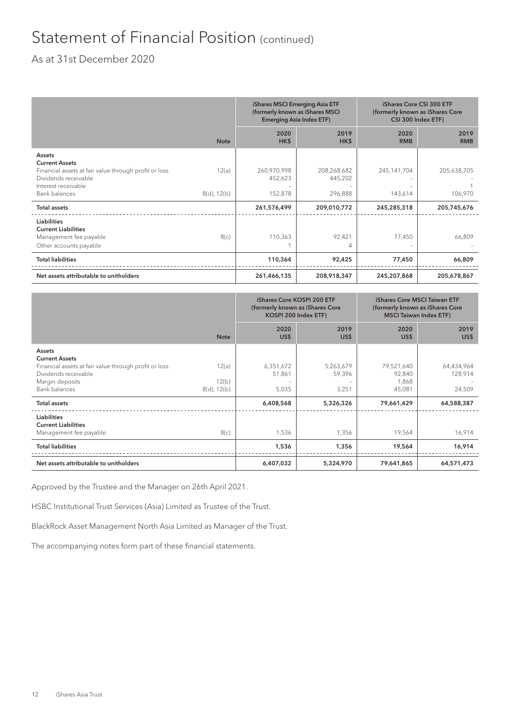### Statement of Financial Position (continued)

### As at 31st December 2020

|                                                                                                      |                | iShares MSCI Emerging Asia ETF<br>(formerly known as iShares MSCI<br><b>Emerging Asia Index ETF)</b> |                        | iShares Core CSI 300 ETF<br>(formerly known as iShares Core<br>CSI 300 Index ETF) |                    |
|------------------------------------------------------------------------------------------------------|----------------|------------------------------------------------------------------------------------------------------|------------------------|-----------------------------------------------------------------------------------|--------------------|
|                                                                                                      | <b>Note</b>    | 2020<br>HK\$                                                                                         | 2019<br>HK\$           | 2020<br><b>RMB</b>                                                                | 2019<br><b>RMB</b> |
| <b>Assets</b><br><b>Current Assets</b>                                                               |                |                                                                                                      |                        |                                                                                   |                    |
| Financial assets at fair value through profit or loss<br>Dividends receivable<br>Interest receivable | 12(a)          | 260,970,998<br>452,623                                                                               | 208,268,682<br>445,202 | 245,141,704                                                                       | 205,638,705        |
| <b>Bank balances</b>                                                                                 | $8(d)$ , 12(b) | 152,878                                                                                              | 296,888                | 143,614                                                                           | 106,970            |
| <b>Total assets</b>                                                                                  |                | 261,576,499                                                                                          | 209,010,772            | 245,285,318                                                                       | 205,745,676        |
| <b>Liabilities</b><br><b>Current Liabilities</b><br>Management fee payable<br>Other accounts payable | 8(c)           | 110,363                                                                                              | 92,421<br>4            | 77,450                                                                            | 66,809             |
| <b>Total liabilities</b>                                                                             |                | 110,364                                                                                              | 92,425                 | 77,450                                                                            | 66,809             |
| Net assets attributable to unitholders                                                               |                | 261,466,135                                                                                          | 208,918,347            | 245,207,868                                                                       | 205,678,867        |

|                                                                               |                         | iShares Core KOSPI 200 ETF        | (formerly known as iShares Core<br>KOSPI 200 Index ETF) |                      | <b>iShares Core MSCI Taiwan ETF</b><br>(formerly known as iShares Core<br><b>MSCI Taiwan Index ETF)</b> |
|-------------------------------------------------------------------------------|-------------------------|-----------------------------------|---------------------------------------------------------|----------------------|---------------------------------------------------------------------------------------------------------|
|                                                                               | <b>Note</b>             | 2020<br>US\$                      | 2019<br>US\$                                            | 2020<br>US\$         | 2019<br>US\$                                                                                            |
| Assets<br><b>Current Assets</b>                                               |                         |                                   |                                                         |                      |                                                                                                         |
| Financial assets at fair value through profit or loss<br>Dividends receivable | 12(a)                   | 6,351,672<br>51,861               | 5,263,679<br>59,396                                     | 79,521,640<br>92,840 | 64,434,964<br>128,914                                                                                   |
| Margin deposits<br><b>Bank balances</b>                                       | 12(b)<br>$8(d)$ , 12(b) | $\overline{\phantom{m}}$<br>5,035 | 3,251                                                   | 1,868<br>45,081      | 24,509                                                                                                  |
| <b>Total assets</b>                                                           |                         | 6,408,568                         | 5,326,326                                               | 79,661,429           | 64,588,387                                                                                              |
| <b>Liabilities</b><br><b>Current Liabilities</b><br>Management fee payable    | 8(c)                    | 1,536                             | 1,356                                                   | 19,564               | 16,914                                                                                                  |
| <b>Total liabilities</b>                                                      |                         | 1,536                             | 1,356                                                   | 19,564               | 16,914                                                                                                  |
| Net assets attributable to unitholders                                        |                         | 6,407,032                         | 5,324,970                                               | 79,641,865           | 64,571,473                                                                                              |

Approved by the Trustee and the Manager on 26th April 2021.

HSBC Institutional Trust Services (Asia) Limited as Trustee of the Trust.

BlackRock Asset Management North Asia Limited as Manager of the Trust.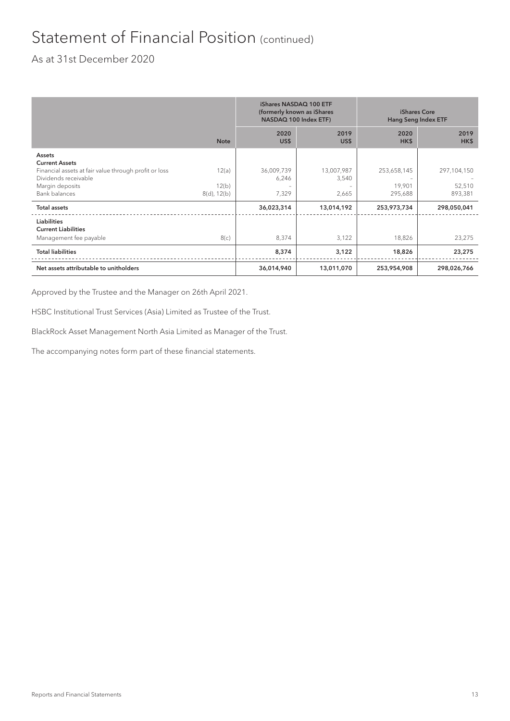## Statement of Financial Position (continued)

### As at 31st December 2020

|                                                                                                        |                         | iShares NASDAQ 100 ETF<br>(formerly known as iShares<br>NASDAQ 100 Index ETF) |                                   | <b>iShares Core</b><br><b>Hang Seng Index ETF</b> |                   |
|--------------------------------------------------------------------------------------------------------|-------------------------|-------------------------------------------------------------------------------|-----------------------------------|---------------------------------------------------|-------------------|
|                                                                                                        | <b>Note</b>             | 2020<br>US\$                                                                  | 2019<br>US\$                      | 2020<br>HK\$                                      | 2019<br>HK\$      |
| Assets                                                                                                 |                         |                                                                               |                                   |                                                   |                   |
| <b>Current Assets</b><br>Financial assets at fair value through profit or loss<br>Dividends receivable | 12(a)                   | 36,009,739<br>6,246                                                           | 13,007,987<br>3,540               | 253,658,145                                       | 297,104,150       |
| Margin deposits<br><b>Bank balances</b>                                                                | 12(b)<br>$8(d)$ , 12(b) | $\overline{\phantom{0}}$<br>7,329                                             | $\overline{\phantom{0}}$<br>2,665 | 19,901<br>295,688                                 | 52,510<br>893,381 |
| <b>Total assets</b>                                                                                    |                         | 36,023,314                                                                    | 13,014,192                        | 253,973,734                                       | 298,050,041       |
| <b>Liabilities</b>                                                                                     |                         |                                                                               |                                   |                                                   |                   |
| <b>Current Liabilities</b>                                                                             |                         |                                                                               |                                   |                                                   |                   |
| Management fee payable                                                                                 | 8(c)                    | 8,374                                                                         | 3,122                             | 18,826                                            | 23,275            |
| <b>Total liabilities</b>                                                                               |                         | 8,374                                                                         | 3,122                             | 18,826                                            | 23,275            |
| Net assets attributable to unitholders                                                                 |                         | 36,014,940                                                                    | 13,011,070                        | 253,954,908                                       | 298,026,766       |

Approved by the Trustee and the Manager on 26th April 2021.

HSBC Institutional Trust Services (Asia) Limited as Trustee of the Trust.

BlackRock Asset Management North Asia Limited as Manager of the Trust.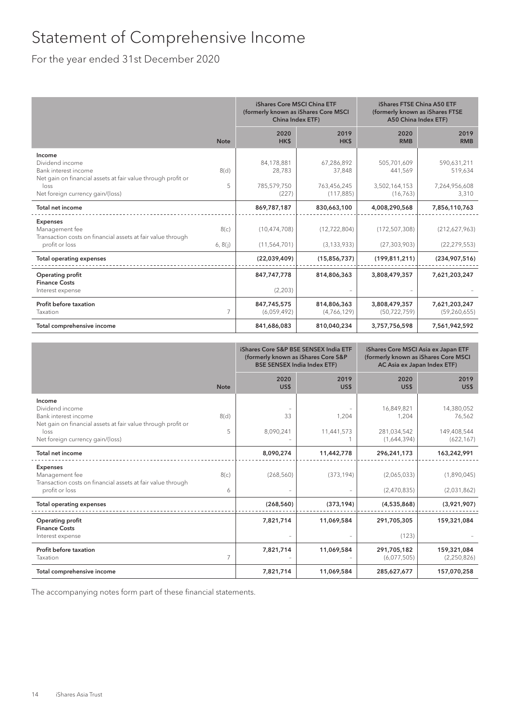## Statement of Comprehensive Income

For the year ended 31st December 2020

|                                                                                                                                                               |                 | iShares Core MSCI China ETF<br>(formerly known as iShares Core MSCI<br>China Index ETF) |                                                   | iShares FTSE China A50 ETF<br>(formerly known as iShares FTSE<br>A50 China Index ETF) |                                                  |
|---------------------------------------------------------------------------------------------------------------------------------------------------------------|-----------------|-----------------------------------------------------------------------------------------|---------------------------------------------------|---------------------------------------------------------------------------------------|--------------------------------------------------|
|                                                                                                                                                               | <b>Note</b>     | 2020<br>HK\$                                                                            | 2019<br>HK\$                                      | 2020<br><b>RMB</b>                                                                    | 2019<br><b>RMB</b>                               |
| Income<br>Dividend income<br>Bank interest income<br>Net gain on financial assets at fair value through profit or<br>loss<br>Net foreign currency gain/(loss) | 8(d)<br>5       | 84,178,881<br>28,783<br>785,579,750<br>(227)                                            | 67,286,892<br>37,848<br>763,456,245<br>(117, 885) | 505,701,609<br>441,569<br>3,502,164,153<br>(16, 763)                                  | 590,631,211<br>519,634<br>7,264,956,608<br>3,310 |
| Total net income                                                                                                                                              |                 | 869,787,187                                                                             | 830,663,100                                       | 4,008,290,568                                                                         | 7,856,110,763                                    |
| <b>Expenses</b><br>Management fee<br>Transaction costs on financial assets at fair value through<br>profit or loss                                            | 8(c)<br>6, 8(i) | (10, 474, 708)<br>(11, 564, 701)                                                        | (12, 722, 804)<br>(3, 133, 933)                   | (172, 507, 308)<br>(27, 303, 903)                                                     | (212,627,963)<br>(22, 279, 553)                  |
| <b>Total operating expenses</b>                                                                                                                               |                 | (22,039,409)                                                                            | (15,856,737)                                      | (199, 811, 211)                                                                       | (234,907,516)                                    |
| <b>Operating profit</b><br><b>Finance Costs</b><br>Interest expense                                                                                           |                 | 847,747,778<br>(2,203)                                                                  | 814,806,363                                       | 3,808,479,357                                                                         | 7,621,203,247                                    |
| Profit before taxation<br>Taxation                                                                                                                            | $\overline{7}$  | 847,745,575<br>(6,059,492)                                                              | 814,806,363<br>(4,766,129)                        | 3,808,479,357<br>(50, 722, 759)                                                       | 7,621,203,247<br>(59, 260, 655)                  |
| Total comprehensive income                                                                                                                                    |                 | 841,686,083                                                                             | 810,040,234                                       | 3,757,756,598                                                                         | 7,561,942,592                                    |

|                                                                                                                                                               |                | iShares Core S&P BSE SENSEX India ETF<br>(formerly known as iShares Core S&P<br><b>BSE SENSEX India Index ETF)</b> |                     | iShares Core MSCI Asia ex Japan ETF<br>(formerly known as iShares Core MSCI<br>AC Asia ex Japan Index ETF) |                                                   |
|---------------------------------------------------------------------------------------------------------------------------------------------------------------|----------------|--------------------------------------------------------------------------------------------------------------------|---------------------|------------------------------------------------------------------------------------------------------------|---------------------------------------------------|
|                                                                                                                                                               | <b>Note</b>    | 2020<br>US\$                                                                                                       | 2019<br>US\$        | 2020<br>US\$                                                                                               | 2019<br>US\$                                      |
| Income<br>Dividend income<br>Bank interest income<br>Net gain on financial assets at fair value through profit or<br>loss<br>Net foreign currency gain/(loss) | 8(d)<br>5      | 33<br>8,090,241                                                                                                    | 1,204<br>11,441,573 | 16,849,821<br>1,204<br>281,034,542<br>(1,644,394)                                                          | 14,380,052<br>76,562<br>149,408,544<br>(622, 167) |
| Total net income                                                                                                                                              |                | 8,090,274                                                                                                          | 11,442,778          | 296,241,173                                                                                                | 163,242,991                                       |
| <b>Expenses</b><br>Management fee<br>Transaction costs on financial assets at fair value through<br>profit or loss                                            | 8(c)<br>6      | (268, 560)                                                                                                         | (373, 194)          | (2,065,033)<br>(2,470,835)                                                                                 | (1,890,045)<br>(2,031,862)                        |
| <b>Total operating expenses</b>                                                                                                                               |                | (268, 560)                                                                                                         | (373, 194)          | (4,535,868)                                                                                                | (3,921,907)                                       |
| <b>Operating profit</b><br><b>Finance Costs</b><br>Interest expense                                                                                           |                | 7,821,714                                                                                                          | 11,069,584          | 291,705,305<br>(123)                                                                                       | 159,321,084                                       |
| Profit before taxation<br>Taxation                                                                                                                            | $\overline{7}$ | 7,821,714                                                                                                          | 11,069,584          | 291,705,182<br>(6,077,505)                                                                                 | 159,321,084<br>(2,250,826)                        |
| Total comprehensive income                                                                                                                                    |                | 7,821,714                                                                                                          | 11,069,584          | 285,627,677                                                                                                | 157,070,258                                       |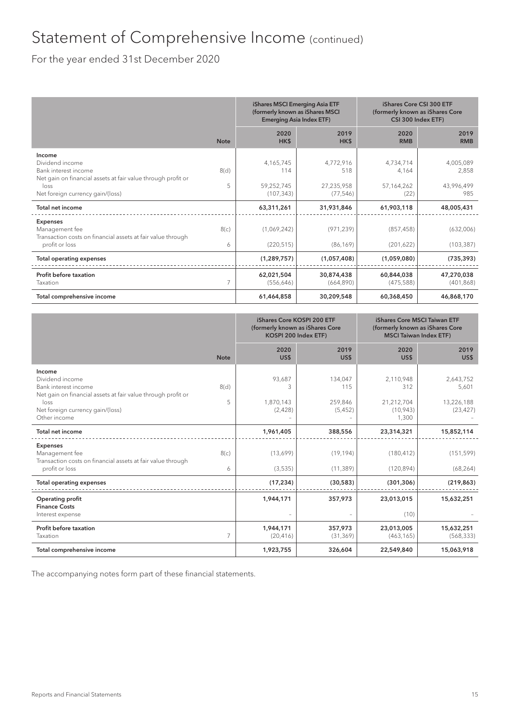### Statement of Comprehensive Income (continued)

For the year ended 31st December 2020

|                                                                                                                           |             | iShares MSCI Emerging Asia ETF<br>(formerly known as iShares MSCI<br><b>Emerging Asia Index ETF)</b> |                                | iShares Core CSI 300 ETF<br>(formerly known as iShares Core<br>CSI 300 Index ETF) |                                  |
|---------------------------------------------------------------------------------------------------------------------------|-------------|------------------------------------------------------------------------------------------------------|--------------------------------|-----------------------------------------------------------------------------------|----------------------------------|
|                                                                                                                           | <b>Note</b> | 2020<br>HK\$                                                                                         | 2019<br>HK\$                   | 2020<br><b>RMB</b>                                                                | 2019<br><b>RMB</b>               |
| Income<br>Dividend income<br>Bank interest income<br>Net gain on financial assets at fair value through profit or<br>loss | 8(d)<br>5   | 4,165,745<br>114<br>59,252,745                                                                       | 4,772,916<br>518<br>27,235,958 | 4,734,714<br>4,164<br>57,164,262                                                  | 4,005,089<br>2,858<br>43,996,499 |
| Net foreign currency gain/(loss)<br>Total net income                                                                      |             | (107, 343)<br>63,311,261                                                                             | (77, 546)<br>31,931,846        | (22)<br>61,903,118                                                                | 985<br>48,005,431                |
| <b>Expenses</b><br>Management fee<br>Transaction costs on financial assets at fair value through<br>profit or loss        | 8(c)<br>6   | (1,069,242)<br>(220, 515)                                                                            | (971, 239)<br>(86, 169)        | (857, 458)<br>(201, 622)                                                          | (632,006)<br>(103, 387)          |
| <b>Total operating expenses</b>                                                                                           |             | (1, 289, 757)                                                                                        | (1,057,408)                    | (1,059,080)                                                                       | (735, 393)                       |
| Profit before taxation<br>Taxation                                                                                        |             | 62,021,504<br>(556, 646)                                                                             | 30,874,438<br>(664, 890)       | 60,844,038<br>(475, 588)                                                          | 47,270,038<br>(401, 868)         |
| Total comprehensive income                                                                                                |             | 61,464,858                                                                                           | 30,209,548                     | 60,368,450                                                                        | 46,868,170                       |

|                                                                                                                                                                               |             | iShares Core KOSPI 200 ETF<br>(formerly known as iShares Core<br>KOSPI 200 Index ETF) |                                       | iShares Core MSCI Taiwan ETF<br>(formerly known as iShares Core<br><b>MSCI Taiwan Index ETF)</b> |                                               |
|-------------------------------------------------------------------------------------------------------------------------------------------------------------------------------|-------------|---------------------------------------------------------------------------------------|---------------------------------------|--------------------------------------------------------------------------------------------------|-----------------------------------------------|
|                                                                                                                                                                               | <b>Note</b> | 2020<br>US\$                                                                          | 2019<br>US\$                          | 2020<br>US\$                                                                                     | 2019<br>US\$                                  |
| Income<br>Dividend income<br>Bank interest income<br>Net gain on financial assets at fair value through profit or<br>loss<br>Net foreign currency gain/(loss)<br>Other income | 8(d)<br>5   | 93,687<br>3<br>1,870,143<br>(2,428)                                                   | 134,047<br>115<br>259,846<br>(5, 452) | 2,110,948<br>312<br>21,212,704<br>(10, 943)<br>1,300                                             | 2,643,752<br>5,601<br>13,226,188<br>(23, 427) |
| <b>Total net income</b>                                                                                                                                                       |             | 1,961,405                                                                             | 388,556                               | 23,314,321                                                                                       | 15,852,114                                    |
| <b>Expenses</b><br>Management fee<br>Transaction costs on financial assets at fair value through<br>profit or loss                                                            | 8(c)<br>6   | (13,699)<br>(3,535)                                                                   | (19, 194)<br>(11, 389)                | (180, 412)<br>(120, 894)                                                                         | (151, 599)<br>(68, 264)                       |
| <b>Total operating expenses</b>                                                                                                                                               |             | (17, 234)                                                                             | (30, 583)                             | (301, 306)                                                                                       | (219, 863)                                    |
| Operating profit<br><b>Finance Costs</b><br>Interest expense                                                                                                                  |             | 1,944,171                                                                             | 357,973                               | 23,013,015<br>(10)                                                                               | 15,632,251                                    |
| Profit before taxation<br>Taxation                                                                                                                                            | 7           | 1,944,171<br>(20, 416)                                                                | 357,973<br>(31, 369)                  | 23,013,005<br>(463, 165)                                                                         | 15,632,251<br>(568, 333)                      |
| Total comprehensive income                                                                                                                                                    |             | 1,923,755                                                                             | 326,604                               | 22,549,840                                                                                       | 15,063,918                                    |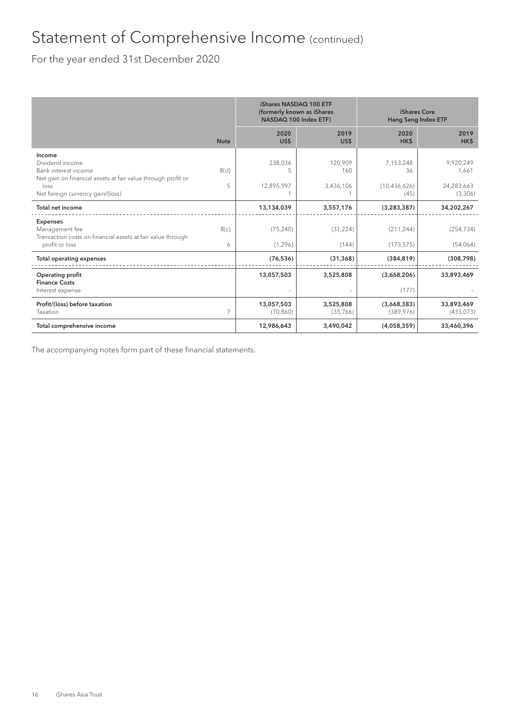## Statement of Comprehensive Income (continued)

For the year ended 31st December 2020

|                                                                                                                           |             | (formerly known as iShares<br>NASDAQ 100 Index ETF) | iShares NASDAQ 100 ETF      | iShares Core<br>Hang Seng Index ETF |                                  |
|---------------------------------------------------------------------------------------------------------------------------|-------------|-----------------------------------------------------|-----------------------------|-------------------------------------|----------------------------------|
|                                                                                                                           | <b>Note</b> | 2020<br>US\$                                        | 2019<br>US\$                | 2020<br>HK\$                        | 2019<br>HK\$                     |
| Income<br>Dividend income<br>Bank interest income<br>Net gain on financial assets at fair value through profit or<br>loss | 8(d)<br>5   | 238,036<br>5<br>12,895,997                          | 120.909<br>160<br>3,436,106 | 7,153,248<br>36<br>(10, 436, 626)   | 9,920,249<br>1,661<br>24,283,663 |
| Net foreign currency gain/(loss)                                                                                          |             |                                                     |                             | (45)                                | (3,306)                          |
| Total net income                                                                                                          |             | 13,134,039                                          | 3,557,176                   | (3, 283, 387)                       | 34,202,267                       |
| <b>Expenses</b><br>Management fee<br>Transaction costs on financial assets at fair value through                          | 8(c)        | (75, 240)                                           | (31, 224)                   | (211, 244)                          | (254, 734)                       |
| profit or loss                                                                                                            | 6           | (1, 296)                                            | (144)                       | (173, 575)                          | (54,064)                         |
| <b>Total operating expenses</b>                                                                                           |             | (76, 536)                                           | (31, 368)                   | (384, 819)                          | (308, 798)                       |
| Operating profit<br><b>Finance Costs</b>                                                                                  |             | 13,057,503                                          | 3,525,808                   | (3,668,206)                         | 33,893,469                       |
| Interest expense                                                                                                          |             |                                                     |                             | (177)                               |                                  |
| Profit/(loss) before taxation<br>Taxation                                                                                 | 7           | 13,057,503<br>(70, 860)                             | 3,525,808<br>(35,766)       | (3,668,383)<br>(389, 976)           | 33,893,469<br>(433, 073)         |
| Total comprehensive income                                                                                                |             | 12,986,643                                          | 3,490,042                   | (4,058,359)                         | 33,460,396                       |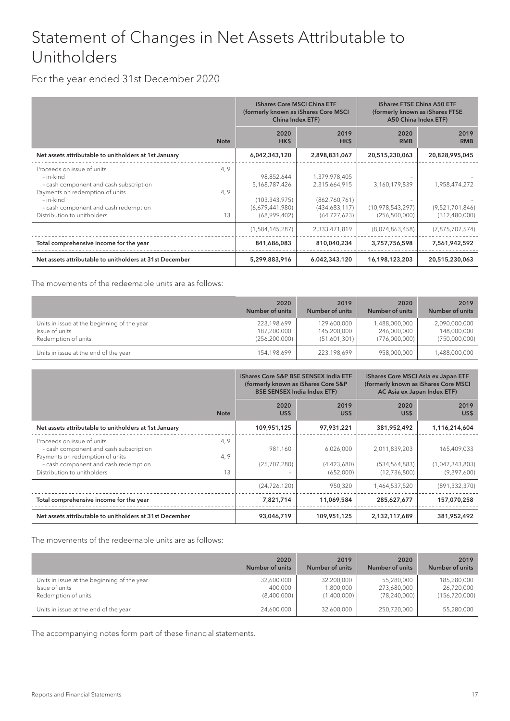### Statement of Changes in Net Assets Attributable to Unitholders

### For the year ended 31st December 2020

|                                                                                                                                   |             | iShares Core MSCI China ETF<br>(formerly known as iShares Core MSCI<br><b>China Index ETF)</b> |                                                 | <b>iShares FTSE China A50 ETF</b><br>(formerly known as iShares FTSE<br>A50 China Index ETF) |                                  |
|-----------------------------------------------------------------------------------------------------------------------------------|-------------|------------------------------------------------------------------------------------------------|-------------------------------------------------|----------------------------------------------------------------------------------------------|----------------------------------|
|                                                                                                                                   | <b>Note</b> | 2020<br>HK\$                                                                                   | 2019<br>HK\$                                    | 2020<br><b>RMB</b>                                                                           | 2019<br><b>RMB</b>               |
| Net assets attributable to unitholders at 1st January                                                                             |             | 6,042,343,120                                                                                  | 2,898,831,067                                   | 20,515,230,063                                                                               | 20,828,995,045                   |
| Proceeds on issue of units<br>- in-kind<br>- cash component and cash subscription<br>Payments on redemption of units<br>- in-kind | 4,9<br>4,9  | 98,852,644<br>5,168,787,426<br>(103, 343, 975)                                                 | 1,379,978,405<br>2,315,664,915<br>(862,760,761) | 3,160,179,839                                                                                | 1,958,474,272                    |
| - cash component and cash redemption<br>Distribution to unitholders                                                               | 13          | (6,679,441,980)<br>(68,999,402)                                                                | (434,683,117)<br>(64, 727, 623)                 | (10,978,543,297)<br>(256, 500, 000)                                                          | (9,521,701,846)<br>(312,480,000) |
|                                                                                                                                   |             | (1,584,145,287)                                                                                | 2,333,471,819                                   | (8,074,863,458)                                                                              | (7, 875, 707, 574)               |
| Total comprehensive income for the year                                                                                           |             | 841,686,083                                                                                    | 810,040,234                                     | 3,757,756,598                                                                                | 7,561,942,592                    |
| Net assets attributable to unitholders at 31st December                                                                           |             | 5,299,883,916                                                                                  | 6,042,343,120                                   | 16,198,123,203                                                                               | 20,515,230,063                   |

The movements of the redeemable units are as follows:

|                                             | 2020            | 2019            | 2020            | 2019            |
|---------------------------------------------|-----------------|-----------------|-----------------|-----------------|
|                                             | Number of units | Number of units | Number of units | Number of units |
| Units in issue at the beginning of the year | 223,198,699     | 129,600,000     | 1,488,000,000   | 2,090,000,000   |
| Issue of units                              | 187,200,000     | 145,200,000     | 246,000,000     | 148,000,000     |
| Redemption of units                         | (256, 200, 000) | (51,601,301)    | (776,000,000)   | (750,000,000)   |
| Units in issue at the end of the year       | 154,198,699     | 223,198,699     | 958,000,000     | 1,488,000,000   |

|                                                                                                         |             | iShares Core S&P BSE SENSEX India ETF<br>(formerly known as iShares Core S&P<br><b>BSE SENSEX India Index ETF)</b> |                          | iShares Core MSCI Asia ex Japan ETF<br>(formerly known as iShares Core MSCI<br>AC Asia ex Japan Index ETF) |                                |
|---------------------------------------------------------------------------------------------------------|-------------|--------------------------------------------------------------------------------------------------------------------|--------------------------|------------------------------------------------------------------------------------------------------------|--------------------------------|
|                                                                                                         | <b>Note</b> | 2020<br>US\$                                                                                                       | 2019<br>US\$             | 2020<br>US\$                                                                                               | 2019<br>US\$                   |
| Net assets attributable to unitholders at 1st January                                                   |             | 109,951,125                                                                                                        | 97,931,221               | 381,952,492                                                                                                | 1,116,214,604                  |
| Proceeds on issue of units<br>- cash component and cash subscription<br>Payments on redemption of units | 4,9<br>4, 9 | 981,160                                                                                                            | 6,026,000                | 2,011,839,203                                                                                              | 165,409,033                    |
| - cash component and cash redemption<br>Distribution to unitholders                                     | 13          | (25,707,280)                                                                                                       | (4,423,680)<br>(652,000) | (534, 564, 883)<br>(12,736,800)                                                                            | (1,047,343,803)<br>(9,397,600) |
|                                                                                                         |             | (24, 726, 120)                                                                                                     | 950,320                  | 1,464,537,520                                                                                              | (891, 332, 370)                |
| Total comprehensive income for the year                                                                 |             | 7,821,714                                                                                                          | 11,069,584               | 285,627,677                                                                                                | 157,070,258                    |
| Net assets attributable to unitholders at 31st December                                                 |             | 93,046,719                                                                                                         | 109,951,125              | 2,132,117,689                                                                                              | 381,952,492                    |

The movements of the redeemable units are as follows:

|                                             | 2020            | 2019            | 2020            | 2019            |
|---------------------------------------------|-----------------|-----------------|-----------------|-----------------|
|                                             | Number of units | Number of units | Number of units | Number of units |
| Units in issue at the beginning of the year | 32,600,000      | 32,200,000      | 55,280,000      | 185,280,000     |
| Issue of units                              | 400,000         | 1,800,000       | 273,680,000     | 26,720,000      |
| Redemption of units                         | (8,400,000)     | (1,400,000)     | (78, 240, 000)  | (156, 720, 000) |
| Units in issue at the end of the year       | 24,600,000      | 32,600,000      | 250,720,000     | 55,280,000      |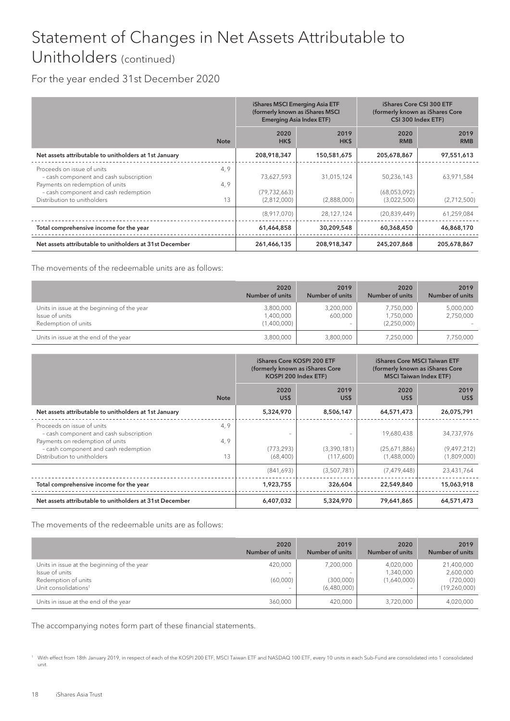## Statement of Changes in Net Assets Attributable to Unitholders (continued)

### For the year ended 31st December 2020

|                                                                                                        |             | iShares MSCI Emerging Asia ETF<br>(formerly known as iShares MSCI<br><b>Emerging Asia Index ETF)</b> |              |                             | iShares Core CSI 300 ETF<br>(formerly known as iShares Core<br>CSI 300 Index ETF) |  |
|--------------------------------------------------------------------------------------------------------|-------------|------------------------------------------------------------------------------------------------------|--------------|-----------------------------|-----------------------------------------------------------------------------------|--|
|                                                                                                        | <b>Note</b> | 2020<br>HK\$                                                                                         | 2019<br>HK\$ | 2020<br><b>RMB</b>          | 2019<br><b>RMB</b>                                                                |  |
| Net assets attributable to unitholders at 1st January                                                  |             | 208,918,347                                                                                          | 150,581,675  | 205,678,867                 | 97,551,613                                                                        |  |
| Proceeds on issue of units<br>- cash component and cash subscription                                   | 4, 9        | 73,627,593                                                                                           | 31,015,124   | 50,236,143                  | 63,971,584                                                                        |  |
| Payments on redemption of units<br>- cash component and cash redemption<br>Distribution to unitholders | 4, 9<br>13  | (79, 732, 663)<br>(2,812,000)                                                                        | (2,888,000)  | (68,053,092)<br>(3,022,500) | (2,712,500)                                                                       |  |
|                                                                                                        |             | (8,917,070)                                                                                          | 28,127,124   | (20, 839, 449)              | 61,259,084                                                                        |  |
| Total comprehensive income for the year                                                                |             | 61,464,858                                                                                           | 30,209,548   | 60,368,450                  | 46,868,170                                                                        |  |
| Net assets attributable to unitholders at 31st December                                                |             | 261,466,135                                                                                          | 208,918,347  | 245,207,868                 | 205,678,867                                                                       |  |

The movements of the redeemable units are as follows:

|                                                                                      | 2020<br>Number of units               | 2019<br>Number of units                          | 2020<br>Number of units               | 2019<br>Number of units |
|--------------------------------------------------------------------------------------|---------------------------------------|--------------------------------------------------|---------------------------------------|-------------------------|
| Units in issue at the beginning of the year<br>Issue of units<br>Redemption of units | 3,800,000<br>1,400,000<br>(1,400,000) | 3,200,000<br>600,000<br>$\overline{\phantom{a}}$ | 7,750,000<br>1,750,000<br>(2,250,000) | 5,000,000<br>2,750,000  |
| Units in issue at the end of the year                                                | 3,800,000                             | 3,800,000                                        | 7,250,000                             | 7,750,000               |

|                                                                                                        |             | iShares Core KOSPI 200 ETF<br>(formerly known as iShares Core<br>KOSPI 200 Index ETF) |                          | <b>iShares Core MSCI Taiwan ETF</b><br>(formerly known as iShares Core<br><b>MSCI Taiwan Index ETF)</b> |                            |
|--------------------------------------------------------------------------------------------------------|-------------|---------------------------------------------------------------------------------------|--------------------------|---------------------------------------------------------------------------------------------------------|----------------------------|
|                                                                                                        | <b>Note</b> | 2020<br>US\$                                                                          | 2019<br>US\$             | 2020<br>US\$                                                                                            | 2019<br>US\$               |
| Net assets attributable to unitholders at 1st January                                                  |             | 5,324,970                                                                             | 8,506,147                | 64,571,473                                                                                              | 26,075,791                 |
| Proceeds on issue of units<br>- cash component and cash subscription                                   | 4,9         |                                                                                       |                          | 19,680,438                                                                                              | 34,737,976                 |
| Payments on redemption of units<br>- cash component and cash redemption<br>Distribution to unitholders | 4,9<br>13   | (773, 293)<br>(68, 400)                                                               | (3,390,181)<br>(117,600) | (25,671,886)<br>(1,488,000)                                                                             | (9,497,212)<br>(1,809,000) |
|                                                                                                        |             | (841,693)                                                                             | (3,507,781)              | (7, 479, 448)                                                                                           | 23,431,764                 |
| Total comprehensive income for the year                                                                |             | 1,923,755                                                                             | 326,604                  | 22,549,840                                                                                              | 15,063,918                 |
| Net assets attributable to unitholders at 31st December                                                |             | 6,407,032                                                                             | 5,324,970                | 79,641,865                                                                                              | 64,571,473                 |

The movements of the redeemable units are as follows:

|                                                                                                                          | 2020<br>Number of units                         | 2019<br>Number of units               | 2020<br><b>Number of units</b>        | 2019<br><b>Number of units</b>                       |
|--------------------------------------------------------------------------------------------------------------------------|-------------------------------------------------|---------------------------------------|---------------------------------------|------------------------------------------------------|
| Units in issue at the beginning of the year<br>Issue of units<br>Redemption of units<br>Unit consolidations <sup>1</sup> | 420,000<br>(60,000)<br>$\overline{\phantom{a}}$ | 7,200,000<br>(300,000)<br>(6,480,000) | 4,020,000<br>1,340,000<br>(1,640,000) | 21,400,000<br>2,600,000<br>(720,000)<br>(19,260,000) |
| Units in issue at the end of the year                                                                                    | 360,000                                         | 420,000                               | 3,720,000                             | 4,020,000                                            |

<sup>1</sup> With effect from 18th January 2019, in respect of each of the KOSPI 200 ETF, MSCI Taiwan ETF and NASDAQ 100 ETF, every 10 units in each Sub-Fund are consolidated into 1 consolidated unit.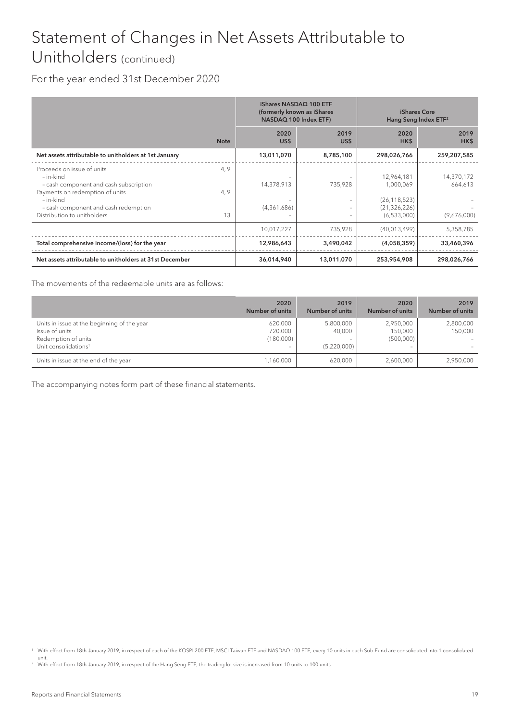## Statement of Changes in Net Assets Attributable to Unitholders (continued)

### For the year ended 31st December 2020

|                                                                                                                                                                                                          |                    | iShares NASDAQ 100 ETF<br>(formerly known as iShares<br>NASDAQ 100 Index ETF) |                   | iShares Core<br>Hang Seng Index ETF <sup>2</sup>                           |                                      |
|----------------------------------------------------------------------------------------------------------------------------------------------------------------------------------------------------------|--------------------|-------------------------------------------------------------------------------|-------------------|----------------------------------------------------------------------------|--------------------------------------|
|                                                                                                                                                                                                          | <b>Note</b>        | 2020<br>US\$                                                                  | 2019<br>US\$      | 2020<br>HK\$                                                               | 2019<br>HK\$                         |
| Net assets attributable to unitholders at 1st January                                                                                                                                                    |                    | 13,011,070                                                                    | 8,785,100         | 298,026,766                                                                | 259,207,585                          |
| Proceeds on issue of units<br>- in-kind<br>- cash component and cash subscription<br>Payments on redemption of units<br>- in-kind<br>- cash component and cash redemption<br>Distribution to unitholders | 4, 9<br>4, 9<br>13 | 14,378,913<br>(4,361,686)                                                     | 735,928<br>-<br>- | 12,964,181<br>1,000,069<br>(26, 118, 523)<br>(21, 326, 226)<br>(6,533,000) | 14,370,172<br>664,613<br>(9,676,000) |
|                                                                                                                                                                                                          |                    | 10,017,227                                                                    | 735,928           | (40,013,499)                                                               | 5,358,785                            |
| Total comprehensive income/(loss) for the year                                                                                                                                                           |                    | 12,986,643                                                                    | 3,490,042         | (4,058,359)                                                                | 33,460,396                           |
| Net assets attributable to unitholders at 31st December                                                                                                                                                  |                    | 36,014,940                                                                    | 13,011,070        | 253,954,908                                                                | 298,026,766                          |

The movements of the redeemable units are as follows:

|                                                                                                                          | 2020<br>Number of units         | 2019<br>Number of units            | 2020<br>Number of units                                       | 2019<br><b>Number of units</b> |
|--------------------------------------------------------------------------------------------------------------------------|---------------------------------|------------------------------------|---------------------------------------------------------------|--------------------------------|
| Units in issue at the beginning of the year<br>Issue of units<br>Redemption of units<br>Unit consolidations <sup>1</sup> | 620,000<br>720,000<br>(180,000) | 5,800,000<br>40,000<br>(5,220,000) | 2,950,000<br>150,000<br>(500,000)<br>$\overline{\phantom{0}}$ | 2,800,000<br>150,000           |
| Units in issue at the end of the year                                                                                    | 1,160,000                       | 620,000                            | 2,600,000                                                     | 2,950,000                      |

<sup>1</sup> With effect from 18th January 2019, in respect of each of the KOSPI 200 ETF, MSCI Taiwan ETF and NASDAQ 100 ETF, every 10 units in each Sub-Fund are consolidated into 1 consolidated unit.

<sup>&</sup>lt;sup>2</sup> With effect from 18th January 2019, in respect of the Hang Seng ETF, the trading lot size is increased from 10 units to 100 units.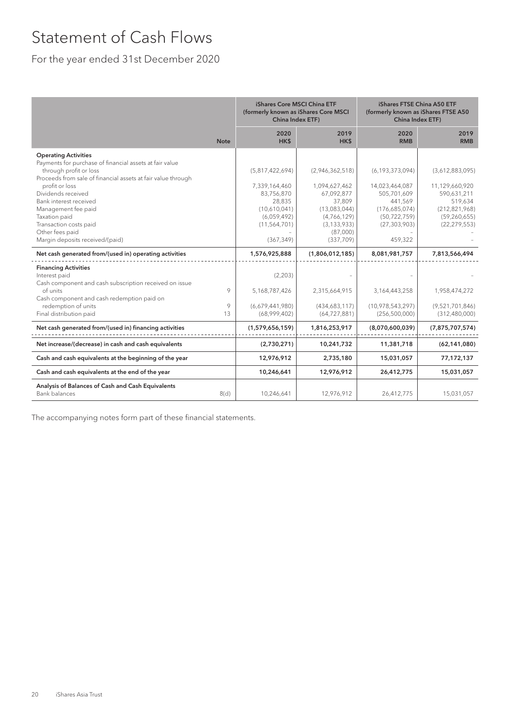### Statement of Cash Flows

### For the year ended 31st December 2020

|                                                                                                                                                                                                                                                                                                                                                                            |              | iShares Core MSCI China ETF<br>(formerly known as iShares Core MSCI<br>China Index ETF)                                 |                                                                                                                                   | <b>iShares FTSE China A50 ETF</b><br>(formerly known as iShares FTSE A50<br>China Index ETF)                                   |                                                                                                                    |
|----------------------------------------------------------------------------------------------------------------------------------------------------------------------------------------------------------------------------------------------------------------------------------------------------------------------------------------------------------------------------|--------------|-------------------------------------------------------------------------------------------------------------------------|-----------------------------------------------------------------------------------------------------------------------------------|--------------------------------------------------------------------------------------------------------------------------------|--------------------------------------------------------------------------------------------------------------------|
|                                                                                                                                                                                                                                                                                                                                                                            | <b>Note</b>  | 2020<br>HK\$                                                                                                            | 2019<br>HK\$                                                                                                                      | 2020<br><b>RMB</b>                                                                                                             | 2019<br><b>RMB</b>                                                                                                 |
| <b>Operating Activities</b><br>Payments for purchase of financial assets at fair value<br>through profit or loss<br>Proceeds from sale of financial assets at fair value through<br>profit or loss<br>Dividends received<br>Bank interest received<br>Management fee paid<br>Taxation paid<br>Transaction costs paid<br>Other fees paid<br>Margin deposits received/(paid) |              | (5,817,422,694)<br>7,339,164,460<br>83,756,870<br>28,835<br>(10,610,041)<br>(6,059,492)<br>(11, 564, 701)<br>(367, 349) | (2,946,362,518)<br>1,094,627,462<br>67,092,877<br>37,809<br>(13,083,044)<br>(4,766,129)<br>(3, 133, 933)<br>(87,000)<br>(337,709) | (6, 193, 373, 094)<br>14,023,464,087<br>505.701.609<br>441.569<br>(176,685,074)<br>(50, 722, 759)<br>(27, 303, 903)<br>459,322 | (3,612,883,095)<br>11,129,660,920<br>590,631,211<br>519,634<br>(212, 821, 968)<br>(59, 260, 655)<br>(22, 279, 553) |
| Net cash generated from/(used in) operating activities                                                                                                                                                                                                                                                                                                                     |              | 1,576,925,888                                                                                                           | (1,806,012,185)                                                                                                                   | 8,081,981,757                                                                                                                  | 7,813,566,494                                                                                                      |
| <b>Financing Activities</b><br>Interest paid<br>Cash component and cash subscription received on issue<br>of units<br>Cash component and cash redemption paid on<br>redemption of units<br>Final distribution paid                                                                                                                                                         | 9<br>9<br>13 | (2,203)<br>5,168,787,426<br>(6,679,441,980)<br>(68,999,402)                                                             | 2,315,664,915<br>(434,683,117)<br>(64, 727, 881)                                                                                  | 3,164,443,258<br>(10,978,543,297)<br>(256, 500, 000)                                                                           | 1,958,474,272<br>(9,521,701,846)<br>(312,480,000)                                                                  |
| Net cash generated from/(used in) financing activities                                                                                                                                                                                                                                                                                                                     |              | (1,579,656,159)                                                                                                         | 1,816,253,917                                                                                                                     | (8,070,600,039)                                                                                                                | (7, 875, 707, 574)                                                                                                 |
| Net increase/(decrease) in cash and cash equivalents                                                                                                                                                                                                                                                                                                                       |              | (2,730,271)                                                                                                             | 10,241,732                                                                                                                        | 11,381,718                                                                                                                     | (62, 141, 080)                                                                                                     |
| Cash and cash equivalents at the beginning of the year                                                                                                                                                                                                                                                                                                                     |              | 12,976,912                                                                                                              | 2,735,180                                                                                                                         | 15,031,057                                                                                                                     | 77,172,137                                                                                                         |
| Cash and cash equivalents at the end of the year                                                                                                                                                                                                                                                                                                                           |              | 10,246,641                                                                                                              | 12,976,912                                                                                                                        | 26,412,775                                                                                                                     | 15,031,057                                                                                                         |
| Analysis of Balances of Cash and Cash Equivalents<br><b>Bank balances</b>                                                                                                                                                                                                                                                                                                  | 8(d)         | 10,246,641                                                                                                              | 12,976,912                                                                                                                        | 26,412,775                                                                                                                     | 15,031,057                                                                                                         |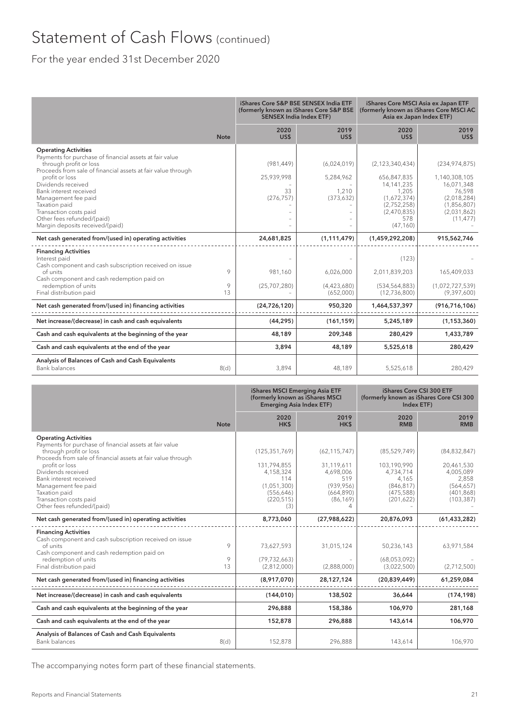## Statement of Cash Flows (continued)

### For the year ended 31st December 2020

|                                                                                                                                                                                                                                                                                                                                                                                       |              |                                              | iShares Core S&P BSE SENSEX India ETF<br>(formerly known as iShares Core S&P BSE<br><b>SENSEX India Index ETF)</b> | iShares Core MSCI Asia ex Japan ETF<br>Asia ex Japan Index ETF)                                                             | (formerly known as iShares Core MSCI AC                                                                            |
|---------------------------------------------------------------------------------------------------------------------------------------------------------------------------------------------------------------------------------------------------------------------------------------------------------------------------------------------------------------------------------------|--------------|----------------------------------------------|--------------------------------------------------------------------------------------------------------------------|-----------------------------------------------------------------------------------------------------------------------------|--------------------------------------------------------------------------------------------------------------------|
|                                                                                                                                                                                                                                                                                                                                                                                       | <b>Note</b>  | 2020<br>US\$                                 | 2019<br>US\$                                                                                                       | 2020<br>US\$                                                                                                                | 2019<br>US\$                                                                                                       |
| <b>Operating Activities</b><br>Payments for purchase of financial assets at fair value<br>through profit or loss<br>Proceeds from sale of financial assets at fair value through<br>profit or loss<br>Dividends received<br>Bank interest received<br>Management fee paid<br>Taxation paid<br>Transaction costs paid<br>Other fees refunded/(paid)<br>Margin deposits received/(paid) |              | (981, 449)<br>25,939,998<br>33<br>(276, 757) | (6,024,019)<br>5,284,962<br>1,210<br>(373, 632)                                                                    | (2, 123, 340, 434)<br>656,847,835<br>14, 141, 235<br>1,205<br>(1,672,374)<br>(2,752,258)<br>(2,470,835)<br>578<br>(47, 160) | (234, 974, 875)<br>1,140,308,105<br>16,071,348<br>76,598<br>(2,018,284)<br>(1,856,807)<br>(2,031,862)<br>(11, 477) |
| Net cash generated from/(used in) operating activities                                                                                                                                                                                                                                                                                                                                |              | 24,681,825                                   | (1, 111, 479)                                                                                                      | (1,459,292,208)                                                                                                             | 915,562,746                                                                                                        |
| <b>Financing Activities</b><br>Interest paid<br>Cash component and cash subscription received on issue<br>of units<br>Cash component and cash redemption paid on<br>redemption of units<br>Final distribution paid                                                                                                                                                                    | 9<br>9<br>13 | 981.160<br>(25,707,280)                      | 6.026.000<br>(4,423,680)<br>(652,000)                                                                              | (123)<br>2,011,839,203<br>(534, 564, 883)<br>(12,736,800)                                                                   | 165,409,033<br>(1,072,727,539)<br>(9,397,600)                                                                      |
| Net cash generated from/(used in) financing activities                                                                                                                                                                                                                                                                                                                                |              | (24, 726, 120)                               | 950,320                                                                                                            | 1,464,537,397                                                                                                               | (916, 716, 106)                                                                                                    |
| Net increase/(decrease) in cash and cash equivalents                                                                                                                                                                                                                                                                                                                                  |              | (44, 295)                                    | (161, 159)                                                                                                         | 5,245,189                                                                                                                   | (1, 153, 360)                                                                                                      |
| Cash and cash equivalents at the beginning of the year                                                                                                                                                                                                                                                                                                                                |              | 48,189                                       | 209,348                                                                                                            | 280,429                                                                                                                     | 1,433,789                                                                                                          |
| Cash and cash equivalents at the end of the year                                                                                                                                                                                                                                                                                                                                      |              | 3,894                                        | 48,189                                                                                                             | 5,525,618                                                                                                                   | 280,429                                                                                                            |
| Analysis of Balances of Cash and Cash Equivalents<br><b>Bank balances</b>                                                                                                                                                                                                                                                                                                             | 8(d)         | 3,894                                        | 48,189                                                                                                             | 5,525,618                                                                                                                   | 280,429                                                                                                            |

|                                                                                                                                                                                                                                                                                                                                                    |              | iShares MSCI Emerging Asia ETF<br>(formerly known as iShares MSCI<br><b>Emerging Asia Index ETF)</b> |                                                                                               | iShares Core CSI 300 ETF<br>(formerly known as iShares Core CSI 300<br>Index ETF)           |                                                                                              |
|----------------------------------------------------------------------------------------------------------------------------------------------------------------------------------------------------------------------------------------------------------------------------------------------------------------------------------------------------|--------------|------------------------------------------------------------------------------------------------------|-----------------------------------------------------------------------------------------------|---------------------------------------------------------------------------------------------|----------------------------------------------------------------------------------------------|
|                                                                                                                                                                                                                                                                                                                                                    | <b>Note</b>  | 2020<br>HK\$                                                                                         | 2019<br>HK\$                                                                                  | 2020<br><b>RMB</b>                                                                          | 2019<br><b>RMB</b>                                                                           |
| <b>Operating Activities</b><br>Payments for purchase of financial assets at fair value<br>through profit or loss<br>Proceeds from sale of financial assets at fair value through<br>profit or loss<br>Dividends received<br>Bank interest received<br>Management fee paid<br>Taxation paid<br>Transaction costs paid<br>Other fees refunded/(paid) |              | (125, 351, 769)<br>131,794,855<br>4,158,324<br>114<br>(1.051.300)<br>(556, 646)<br>(220, 515)<br>(3) | (62, 115, 747)<br>31,119,611<br>4,698,006<br>519<br>(939.956)<br>(664, 890)<br>(86, 169)<br>4 | (85, 529, 749)<br>103,190,990<br>4,734,714<br>4.165<br>(846, 817)<br>(475,588)<br>(201,622) | (84, 832, 847)<br>20,461,530<br>4,005,089<br>2,858<br>(564, 657)<br>(401, 868)<br>(103, 387) |
| Net cash generated from/(used in) operating activities                                                                                                                                                                                                                                                                                             |              | 8,773,060                                                                                            | (27,988,622)                                                                                  | 20,876,093                                                                                  | (61, 433, 282)                                                                               |
| <b>Financing Activities</b><br>Cash component and cash subscription received on issue<br>of units<br>Cash component and cash redemption paid on<br>redemption of units<br>Final distribution paid                                                                                                                                                  | 9<br>9<br>13 | 73,627,593<br>(79, 732, 663)<br>(2,812,000)                                                          | 31,015,124<br>(2,888,000)                                                                     | 50,236,143<br>(68,053,092)<br>(3,022,500)                                                   | 63,971,584<br>(2,712,500)                                                                    |
| Net cash generated from/(used in) financing activities                                                                                                                                                                                                                                                                                             |              | (8,917,070)                                                                                          | 28,127,124                                                                                    | (20, 839, 449)                                                                              | 61,259,084                                                                                   |
| Net increase/(decrease) in cash and cash equivalents                                                                                                                                                                                                                                                                                               |              | (144, 010)                                                                                           | 138,502                                                                                       | 36,644                                                                                      | (174, 198)                                                                                   |
| Cash and cash equivalents at the beginning of the year                                                                                                                                                                                                                                                                                             |              | 296,888                                                                                              | 158,386                                                                                       | 106,970                                                                                     | 281,168                                                                                      |
| Cash and cash equivalents at the end of the year                                                                                                                                                                                                                                                                                                   |              | 152,878                                                                                              | 296,888                                                                                       | 143,614                                                                                     | 106,970                                                                                      |
| Analysis of Balances of Cash and Cash Equivalents<br><b>Bank balances</b>                                                                                                                                                                                                                                                                          | 8(d)         | 152,878                                                                                              | 296,888                                                                                       | 143,614                                                                                     | 106,970                                                                                      |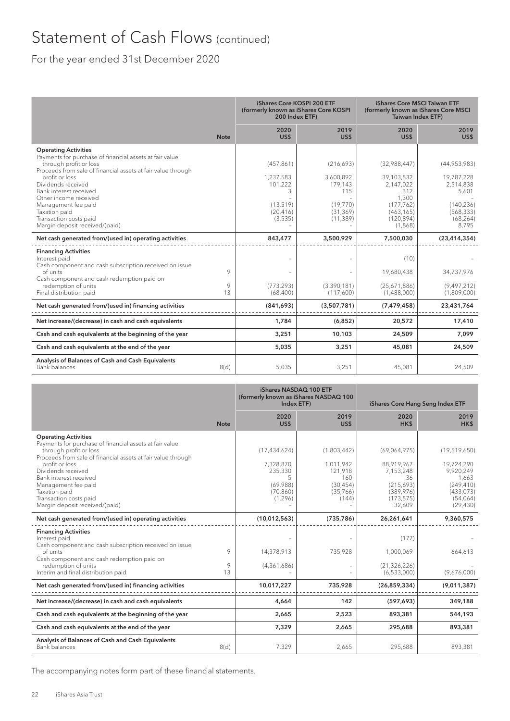## Statement of Cash Flows (continued)

### For the year ended 31st December 2020

|                                                                                                                                                                                                                                                                                                                                                                                 |              | iShares Core KOSPI 200 ETF<br>(formerly known as iShares Core KOSPI<br>200 Index ETF) |                                                                                | iShares Core MSCI Taiwan ETF<br>(formerly known as iShares Core MSCI<br><b>Taiwan Index ETF)</b>             |                                                                                                    |
|---------------------------------------------------------------------------------------------------------------------------------------------------------------------------------------------------------------------------------------------------------------------------------------------------------------------------------------------------------------------------------|--------------|---------------------------------------------------------------------------------------|--------------------------------------------------------------------------------|--------------------------------------------------------------------------------------------------------------|----------------------------------------------------------------------------------------------------|
|                                                                                                                                                                                                                                                                                                                                                                                 | <b>Note</b>  | 2020<br>US\$                                                                          | 2019<br>US\$                                                                   | 2020<br>US\$                                                                                                 | 2019<br>US\$                                                                                       |
| <b>Operating Activities</b><br>Payments for purchase of financial assets at fair value<br>through profit or loss<br>Proceeds from sale of financial assets at fair value through<br>profit or loss<br>Dividends received<br>Bank interest received<br>Other income received<br>Management fee paid<br>Taxation paid<br>Transaction costs paid<br>Margin deposit received/(paid) |              | (457, 861)<br>1,237,583<br>101,222<br>3<br>(13, 519)<br>(20, 416)<br>(3, 535)         | (216,693)<br>3,600,892<br>179.143<br>115<br>(19.770)<br>(31, 369)<br>(11, 389) | (32,988,447)<br>39,103,532<br>2,147,022<br>312<br>1,300<br>(177, 762)<br>(463, 165)<br>(120, 894)<br>(1,868) | (44,953,983)<br>19,787,228<br>2,514,838<br>5,601<br>(140, 236)<br>(568, 333)<br>(68, 264)<br>8,795 |
| Net cash generated from/(used in) operating activities                                                                                                                                                                                                                                                                                                                          |              | 843,477                                                                               | 3,500,929                                                                      | 7,500,030                                                                                                    | (23, 414, 354)                                                                                     |
| <b>Financing Activities</b><br>Interest paid<br>Cash component and cash subscription received on issue<br>of units<br>Cash component and cash redemption paid on<br>redemption of units<br>Final distribution paid                                                                                                                                                              | 9<br>9<br>13 | (773, 293)<br>(68, 400)                                                               | (3,390,181)<br>(117,600)                                                       | (10)<br>19,680,438<br>(25,671,886)<br>(1,488,000)                                                            | 34,737,976<br>(9,497,212)<br>(1,809,000)                                                           |
| Net cash generated from/(used in) financing activities                                                                                                                                                                                                                                                                                                                          |              | (841,693)                                                                             | (3,507,781)                                                                    | (7, 479, 458)                                                                                                | 23,431,764                                                                                         |
| Net increase/(decrease) in cash and cash equivalents                                                                                                                                                                                                                                                                                                                            |              | 1,784                                                                                 | (6,852)                                                                        | 20,572                                                                                                       | 17,410                                                                                             |
| Cash and cash equivalents at the beginning of the year                                                                                                                                                                                                                                                                                                                          |              | 3,251                                                                                 | 10,103                                                                         | 24,509                                                                                                       | 7,099                                                                                              |
| Cash and cash equivalents at the end of the year                                                                                                                                                                                                                                                                                                                                |              | 5,035                                                                                 | 3,251                                                                          | 45,081                                                                                                       | 24,509                                                                                             |
| Analysis of Balances of Cash and Cash Equivalents<br>Bank balances                                                                                                                                                                                                                                                                                                              | 8(d)         | 5.035                                                                                 | 3,251                                                                          | 45,081                                                                                                       | 24,509                                                                                             |

|                                                                                                                                                                                                                                                                                                                                                        |              | iShares NASDAQ 100 ETF<br>(formerly known as iShares NASDAQ 100<br>Index ETF)    |                                                                              | iShares Core Hang Seng Index ETF                                                                 |                                                                                                      |  |
|--------------------------------------------------------------------------------------------------------------------------------------------------------------------------------------------------------------------------------------------------------------------------------------------------------------------------------------------------------|--------------|----------------------------------------------------------------------------------|------------------------------------------------------------------------------|--------------------------------------------------------------------------------------------------|------------------------------------------------------------------------------------------------------|--|
|                                                                                                                                                                                                                                                                                                                                                        | <b>Note</b>  | 2020<br>US\$                                                                     | 2019<br>US\$                                                                 | 2020<br>HK\$                                                                                     | 2019<br>HK\$                                                                                         |  |
| <b>Operating Activities</b><br>Payments for purchase of financial assets at fair value<br>through profit or loss<br>Proceeds from sale of financial assets at fair value through<br>profit or loss<br>Dividends received<br>Bank interest received<br>Management fee paid<br>Taxation paid<br>Transaction costs paid<br>Margin deposit received/(paid) |              | (17, 434, 624)<br>7,328,870<br>235,330<br>5<br>(69,988)<br>(70, 860)<br>(1, 296) | (1,803,442)<br>1,011,942<br>121,918<br>160<br>(30, 454)<br>(35,766)<br>(144) | (69,064,975)<br>88,919,967<br>7,153,248<br>36<br>(215,693)<br>(389, 976)<br>(173, 575)<br>32,609 | (19,519,650)<br>19,724,290<br>9,920,249<br>1,663<br>(249, 410)<br>(433,073)<br>(54,064)<br>(29, 430) |  |
| Net cash generated from/(used in) operating activities                                                                                                                                                                                                                                                                                                 |              | (10,012,563)                                                                     | (735, 786)                                                                   | 26,261,641                                                                                       | 9,360,575                                                                                            |  |
| <b>Financing Activities</b><br>Interest paid<br>Cash component and cash subscription received on issue<br>of units<br>Cash component and cash redemption paid on<br>redemption of units<br>Interim and final distribution paid                                                                                                                         | 9<br>9<br>13 | 14,378,913<br>(4,361,686)                                                        | 735,928                                                                      | (177)<br>1,000,069<br>(21, 326, 226)<br>(6,533,000)                                              | 664,613<br>(9,676,000)                                                                               |  |
| Net cash generated from/(used in) financing activities                                                                                                                                                                                                                                                                                                 |              | 10,017,227                                                                       | 735,928                                                                      | (26, 859, 334)                                                                                   | (9,011,387)                                                                                          |  |
| Net increase/(decrease) in cash and cash equivalents                                                                                                                                                                                                                                                                                                   |              | 4,664                                                                            | 142                                                                          | (597, 693)                                                                                       | 349,188                                                                                              |  |
| Cash and cash equivalents at the beginning of the year                                                                                                                                                                                                                                                                                                 |              | 2,665                                                                            | 2,523                                                                        | 893,381                                                                                          | 544,193                                                                                              |  |
| Cash and cash equivalents at the end of the year                                                                                                                                                                                                                                                                                                       |              | 7,329                                                                            | 2,665                                                                        | 295,688                                                                                          | 893,381                                                                                              |  |
| Analysis of Balances of Cash and Cash Equivalents<br><b>Bank balances</b>                                                                                                                                                                                                                                                                              | 8(d)         | 7,329                                                                            | 2,665                                                                        | 295,688                                                                                          | 893,381                                                                                              |  |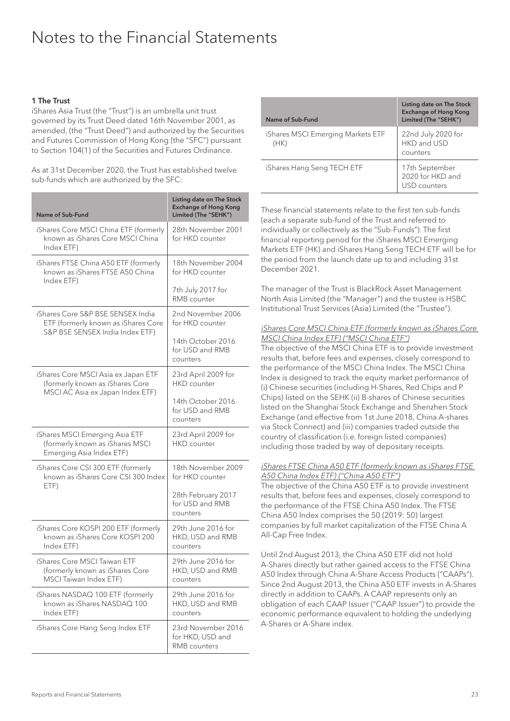### Notes to the Financial Statements

#### 1 The Trust

iShares Asia Trust (the "Trust") is an umbrella unit trust governed by its Trust Deed dated 16th November 2001, as amended, (the "Trust Deed") and authorized by the Securities and Futures Commission of Hong Kong (the "SFC") pursuant to Section 104(1) of the Securities and Futures Ordinance.

As at 31st December 2020, the Trust has established twelve sub-funds which are authorized by the SFC:

| Name of Sub-Fund                                                                                            | Listing date on The Stock<br><b>Exchange of Hong Kong</b><br>Limited (The "SEHK")          |
|-------------------------------------------------------------------------------------------------------------|--------------------------------------------------------------------------------------------|
| iShares Core MSCI China ETF (formerly<br>known as iShares Core MSCI China<br>Index ETF)                     | 28th November 2001<br>for HKD counter                                                      |
| iShares FTSE China A50 ETF (formerly<br>known as iShares FTSE A50 China<br>Index ETF)                       | 18th November 2004<br>for HKD counter<br>7th July 2017 for<br>RMB counter                  |
| iShares Core S&P BSE SENSEX India<br>ETF (formerly known as iShares Core<br>S&P BSE SENSEX India Index ETF) | 2nd November 2006<br>for HKD counter<br>14th October 2016<br>for USD and RMB<br>counters   |
| iShares Core MSCI Asia ex Japan ETF<br>(formerly known as iShares Core<br>MSCI AC Asia ex Japan Index ETF)  | 23rd April 2009 for<br>HKD counter<br>14th October 2016<br>for USD and RMB<br>counters     |
| iShares MSCI Emerging Asia ETF<br>(formerly known as iShares MSCI<br>Emerging Asia Index ETF)               | 23rd April 2009 for<br><b>HKD</b> counter                                                  |
| iShares Core CSI 300 ETF (formerly<br>known as iShares Core CSI 300 Index<br>ETF)                           | 18th November 2009<br>for HKD counter<br>28th February 2017<br>for USD and RMB<br>counters |
| iShares Core KOSPI 200 ETF (formerly<br>known as iShares Core KOSPI 200<br>Index ETF)                       | 29th June 2016 for<br>HKD, USD and RMB<br>counters                                         |
| iShares Core MSCI Taiwan ETF<br>(formerly known as iShares Core<br>MSCI Taiwan Index ETF)                   | 29th June 2016 for<br>HKD, USD and RMB<br>counters                                         |
| iShares NASDAQ 100 ETF (formerly<br>known as iShares NASDAQ 100<br>Index ETF)                               | 29th June 2016 for<br>HKD, USD and RMB<br>counters                                         |
| iShares Core Hang Seng Index ETF                                                                            | 23rd November 2016<br>for HKD, USD and<br>RMB counters                                     |

| Name of Sub-Fund                          | Listing date on The Stock<br><b>Exchange of Hong Kong</b><br>Limited (The "SEHK") |
|-------------------------------------------|-----------------------------------------------------------------------------------|
| iShares MSCI Emerging Markets ETF<br>(HK) | 22nd July 2020 for<br>HKD and USD<br>counters                                     |
| iShares Hang Seng TECH ETF                | 17th September<br>2020 for HKD and<br>USD counters                                |

These financial statements relate to the first ten sub-funds (each a separate sub-fund of the Trust and referred to individually or collectively as the "Sub-Funds"). The first financial reporting period for the iShares MSCI Emerging Markets ETF (HK) and iShares Hang Seng TECH ETF will be for the period from the launch date up to and including 31st December 2021.

The manager of the Trust is BlackRock Asset Management North Asia Limited (the "Manager") and the trustee is HSBC Institutional Trust Services (Asia) Limited (the "Trustee").

#### iShares Core MSCI China ETF (formerly known as iShares Core MSCI China Index ETF) ("MSCI China ETF")

The objective of the MSCI China ETF is to provide investment results that, before fees and expenses, closely correspond to the performance of the MSCI China Index. The MSCI China Index is designed to track the equity market performance of (i) Chinese securities (including H-Shares, Red Chips and P Chips) listed on the SEHK (ii) B-shares of Chinese securities listed on the Shanghai Stock Exchange and Shenzhen Stock Exchange (and effective from 1st June 2018, China A-shares via Stock Connect) and (iii) companies traded outside the country of classification (i.e. foreign listed companies) including those traded by way of depositary receipts.

#### iShares FTSE China A50 ETF (formerly known as iShares FTSE A50 China Index ETF) ("China A50 ETF")

The objective of the China A50 ETF is to provide investment results that, before fees and expenses, closely correspond to the performance of the FTSE China A50 Index. The FTSE China A50 Index comprises the 50 (2019: 50) largest companies by full market capitalization of the FTSE China A All-Cap Free Index.

Until 2nd August 2013, the China A50 ETF did not hold A-Shares directly but rather gained access to the FTSE China A50 Index through China A-Share Access Products ("CAAPs"). Since 2nd August 2013, the China A50 ETF invests in A-Shares directly in addition to CAAPs. A CAAP represents only an obligation of each CAAP Issuer ("CAAP Issuer") to provide the economic performance equivalent to holding the underlying A-Shares or A-Share index.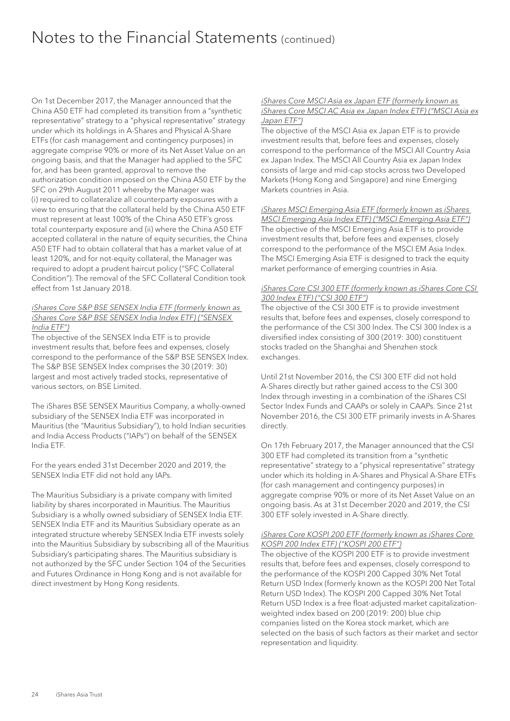On 1st December 2017, the Manager announced that the China A50 ETF had completed its transition from a "synthetic representative" strategy to a "physical representative" strategy under which its holdings in A-Shares and Physical A-Share ETFs (for cash management and contingency purposes) in aggregate comprise 90% or more of its Net Asset Value on an ongoing basis, and that the Manager had applied to the SFC for, and has been granted, approval to remove the authorization condition imposed on the China A50 ETF by the SFC on 29th August 2011 whereby the Manager was (i) required to collateralize all counterparty exposures with a view to ensuring that the collateral held by the China A50 ETF must represent at least 100% of the China A50 ETF's gross total counterparty exposure and (ii) where the China A50 ETF accepted collateral in the nature of equity securities, the China A50 ETF had to obtain collateral that has a market value of at least 120%, and for not-equity collateral, the Manager was required to adopt a prudent haircut policy ("SFC Collateral Condition"). The removal of the SFC Collateral Condition took effect from 1st January 2018.

#### iShares Core S&P BSE SENSEX India ETF (formerly known as iShares Core S&P BSE SENSEX India Index ETF) ("SENSEX India ETF")

The objective of the SENSEX India ETF is to provide investment results that, before fees and expenses, closely correspond to the performance of the S&P BSE SENSEX Index. The S&P BSE SENSEX Index comprises the 30 (2019: 30) largest and most actively traded stocks, representative of various sectors, on BSE Limited.

The iShares BSE SENSEX Mauritius Company, a wholly-owned subsidiary of the SENSEX India ETF was incorporated in Mauritius (the "Mauritius Subsidiary"), to hold Indian securities and India Access Products ("IAPs") on behalf of the SENSEX India ETF.

For the years ended 31st December 2020 and 2019, the SENSEX India ETF did not hold any IAPs.

The Mauritius Subsidiary is a private company with limited liability by shares incorporated in Mauritius. The Mauritius Subsidiary is a wholly owned subsidiary of SENSEX India ETF. SENSEX India ETF and its Mauritius Subsidiary operate as an integrated structure whereby SENSEX India ETF invests solely into the Mauritius Subsidiary by subscribing all of the Mauritius Subsidiary's participating shares. The Mauritius subsidiary is not authorized by the SFC under Section 104 of the Securities and Futures Ordinance in Hong Kong and is not available for direct investment by Hong Kong residents.

#### iShares Core MSCI Asia ex Japan ETF (formerly known as iShares Core MSCI AC Asia ex Japan Index ETF) ("MSCI Asia ex Japan ETF")

The objective of the MSCI Asia ex Japan ETF is to provide investment results that, before fees and expenses, closely correspond to the performance of the MSCI All Country Asia ex Japan Index. The MSCI All Country Asia ex Japan Index consists of large and mid-cap stocks across two Developed Markets (Hong Kong and Singapore) and nine Emerging Markets countries in Asia.

iShares MSCI Emerging Asia ETF (formerly known as iShares MSCI Emerging Asia Index ETF) ("MSCI Emerging Asia ETF") The objective of the MSCI Emerging Asia ETF is to provide investment results that, before fees and expenses, closely correspond to the performance of the MSCI EM Asia Index. The MSCI Emerging Asia ETF is designed to track the equity market performance of emerging countries in Asia.

#### iShares Core CSI 300 ETF (formerly known as iShares Core CSI 300 Index ETF) ("CSI 300 ETF")

The objective of the CSI 300 ETF is to provide investment results that, before fees and expenses, closely correspond to the performance of the CSI 300 Index. The CSI 300 Index is a diversified index consisting of 300 (2019: 300) constituent stocks traded on the Shanghai and Shenzhen stock exchanges.

Until 21st November 2016, the CSI 300 ETF did not hold A-Shares directly but rather gained access to the CSI 300 Index through investing in a combination of the iShares CSI Sector Index Funds and CAAPs or solely in CAAPs. Since 21st November 2016, the CSI 300 ETF primarily invests in A-Shares directly.

On 17th February 2017, the Manager announced that the CSI 300 ETF had completed its transition from a "synthetic representative" strategy to a "physical representative" strategy under which its holding in A-Shares and Physical A-Share ETFs (for cash management and contingency purposes) in aggregate comprise 90% or more of its Net Asset Value on an ongoing basis. As at 31st December 2020 and 2019, the CSI 300 ETF solely invested in A-Share directly.

#### iShares Core KOSPI 200 ETF (formerly known as iShares Core KOSPI 200 Index ETF) ("KOSPI 200 ETF")

The objective of the KOSPI 200 ETF is to provide investment results that, before fees and expenses, closely correspond to the performance of the KOSPI 200 Capped 30% Net Total Return USD Index (formerly known as the KOSPI 200 Net Total Return USD Index). The KOSPI 200 Capped 30% Net Total Return USD Index is a free float-adjusted market capitalizationweighted index based on 200 (2019: 200) blue chip companies listed on the Korea stock market, which are selected on the basis of such factors as their market and sector representation and liquidity.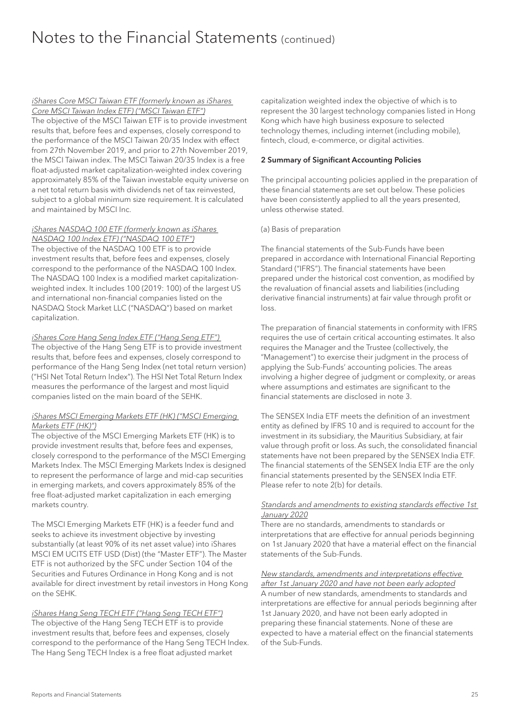### iShares Core MSCI Taiwan ETF (formerly known as iShares

Core MSCI Taiwan Index ETF) ("MSCI Taiwan ETF") The objective of the MSCI Taiwan ETF is to provide investment results that, before fees and expenses, closely correspond to the performance of the MSCI Taiwan 20/35 Index with effect from 27th November 2019, and prior to 27th November 2019, the MSCI Taiwan index. The MSCI Taiwan 20/35 Index is a free float-adjusted market capitalization-weighted index covering approximately 85% of the Taiwan investable equity universe on a net total return basis with dividends net of tax reinvested, subject to a global minimum size requirement. It is calculated and maintained by MSCI Inc.

#### iShares NASDAQ 100 ETF (formerly known as iShares NASDAQ 100 Index ETF) ("NASDAQ 100 ETF")

The objective of the NASDAQ 100 ETF is to provide investment results that, before fees and expenses, closely correspond to the performance of the NASDAQ 100 Index. The NASDAQ 100 Index is a modified market capitalizationweighted index. It includes 100 (2019: 100) of the largest US and international non-financial companies listed on the NASDAQ Stock Market LLC ("NASDAQ") based on market capitalization.

#### iShares Core Hang Seng Index ETF ("Hang Seng ETF")

The objective of the Hang Seng ETF is to provide investment results that, before fees and expenses, closely correspond to performance of the Hang Seng Index (net total return version) ("HSI Net Total Return Index"). The HSI Net Total Return Index measures the performance of the largest and most liquid companies listed on the main board of the SEHK.

#### iShares MSCI Emerging Markets ETF (HK) ("MSCI Emerging Markets ETF (HK)")

The objective of the MSCI Emerging Markets ETF (HK) is to provide investment results that, before fees and expenses, closely correspond to the performance of the MSCI Emerging Markets Index. The MSCI Emerging Markets Index is designed to represent the performance of large and mid-cap securities in emerging markets, and covers approximately 85% of the free float-adjusted market capitalization in each emerging markets country.

The MSCI Emerging Markets ETF (HK) is a feeder fund and seeks to achieve its investment objective by investing substantially (at least 90% of its net asset value) into iShares MSCI EM UCITS ETF USD (Dist) (the "Master ETF"). The Master ETF is not authorized by the SFC under Section 104 of the Securities and Futures Ordinance in Hong Kong and is not available for direct investment by retail investors in Hong Kong on the SEHK.

#### iShares Hang Seng TECH ETF ("Hang Seng TECH ETF")

The objective of the Hang Seng TECH ETF is to provide investment results that, before fees and expenses, closely correspond to the performance of the Hang Seng TECH Index. The Hang Seng TECH Index is a free float adjusted market

capitalization weighted index the objective of which is to represent the 30 largest technology companies listed in Hong Kong which have high business exposure to selected technology themes, including internet (including mobile), fintech, cloud, e-commerce, or digital activities.

#### 2 Summary of Significant Accounting Policies

The principal accounting policies applied in the preparation of these financial statements are set out below. These policies have been consistently applied to all the years presented, unless otherwise stated.

#### (a) Basis of preparation

The financial statements of the Sub-Funds have been prepared in accordance with International Financial Reporting Standard ("IFRS"). The financial statements have been prepared under the historical cost convention, as modified by the revaluation of financial assets and liabilities (including derivative financial instruments) at fair value through profit or loss.

The preparation of financial statements in conformity with IFRS requires the use of certain critical accounting estimates. It also requires the Manager and the Trustee (collectively, the "Management") to exercise their judgment in the process of applying the Sub-Funds' accounting policies. The areas involving a higher degree of judgment or complexity, or areas where assumptions and estimates are significant to the financial statements are disclosed in note 3.

The SENSEX India ETF meets the definition of an investment entity as defined by IFRS 10 and is required to account for the investment in its subsidiary, the Mauritius Subsidiary, at fair value through profit or loss. As such, the consolidated financial statements have not been prepared by the SENSEX India ETF. The financial statements of the SENSEX India ETF are the only financial statements presented by the SENSEX India ETF. Please refer to note 2(b) for details.

#### Standards and amendments to existing standards effective 1st January 2020

There are no standards, amendments to standards or interpretations that are effective for annual periods beginning on 1st January 2020 that have a material effect on the financial statements of the Sub-Funds.

#### New standards, amendments and interpretations effective after 1st January 2020 and have not been early adopted

A number of new standards, amendments to standards and interpretations are effective for annual periods beginning after 1st January 2020, and have not been early adopted in preparing these financial statements. None of these are expected to have a material effect on the financial statements of the Sub-Funds.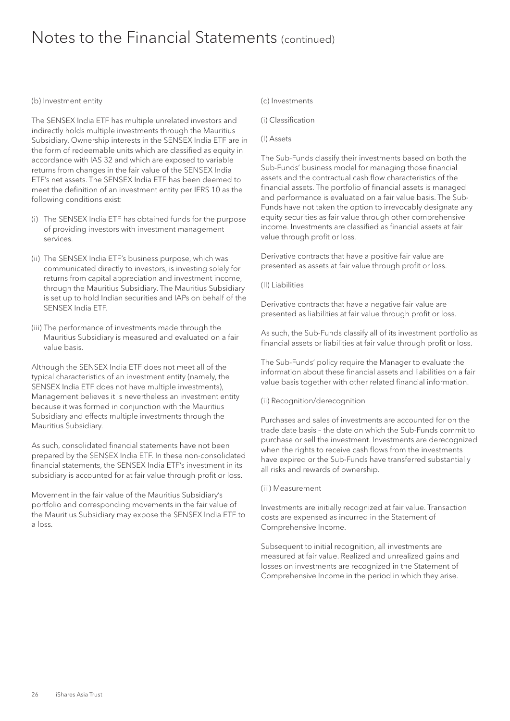#### (b) Investment entity

The SENSEX India ETF has multiple unrelated investors and indirectly holds multiple investments through the Mauritius Subsidiary. Ownership interests in the SENSEX India ETF are in the form of redeemable units which are classified as equity in accordance with IAS 32 and which are exposed to variable returns from changes in the fair value of the SENSEX India ETF's net assets. The SENSEX India ETF has been deemed to meet the definition of an investment entity per IFRS 10 as the following conditions exist:

- (i) The SENSEX India ETF has obtained funds for the purpose of providing investors with investment management services.
- (ii) The SENSEX India ETF's business purpose, which was communicated directly to investors, is investing solely for returns from capital appreciation and investment income, through the Mauritius Subsidiary. The Mauritius Subsidiary is set up to hold Indian securities and IAPs on behalf of the SENSEX India ETF.
- (iii) The performance of investments made through the Mauritius Subsidiary is measured and evaluated on a fair value basis.

Although the SENSEX India ETF does not meet all of the typical characteristics of an investment entity (namely, the SENSEX India ETF does not have multiple investments), Management believes it is nevertheless an investment entity because it was formed in conjunction with the Mauritius Subsidiary and effects multiple investments through the Mauritius Subsidiary.

As such, consolidated financial statements have not been prepared by the SENSEX India ETF. In these non-consolidated financial statements, the SENSEX India ETF's investment in its subsidiary is accounted for at fair value through profit or loss.

Movement in the fair value of the Mauritius Subsidiary's portfolio and corresponding movements in the fair value of the Mauritius Subsidiary may expose the SENSEX India ETF to a loss.

#### (c) Investments

(i) Classification

#### (I) Assets

The Sub-Funds classify their investments based on both the Sub-Funds' business model for managing those financial assets and the contractual cash flow characteristics of the financial assets. The portfolio of financial assets is managed and performance is evaluated on a fair value basis. The Sub-Funds have not taken the option to irrevocably designate any equity securities as fair value through other comprehensive income. Investments are classified as financial assets at fair value through profit or loss.

Derivative contracts that have a positive fair value are presented as assets at fair value through profit or loss.

#### (II) Liabilities

Derivative contracts that have a negative fair value are presented as liabilities at fair value through profit or loss.

As such, the Sub-Funds classify all of its investment portfolio as financial assets or liabilities at fair value through profit or loss.

The Sub-Funds' policy require the Manager to evaluate the information about these financial assets and liabilities on a fair value basis together with other related financial information.

#### (ii) Recognition/derecognition

Purchases and sales of investments are accounted for on the trade date basis – the date on which the Sub-Funds commit to purchase or sell the investment. Investments are derecognized when the rights to receive cash flows from the investments have expired or the Sub-Funds have transferred substantially all risks and rewards of ownership.

#### (iii) Measurement

Investments are initially recognized at fair value. Transaction costs are expensed as incurred in the Statement of Comprehensive Income.

Subsequent to initial recognition, all investments are measured at fair value. Realized and unrealized gains and losses on investments are recognized in the Statement of Comprehensive Income in the period in which they arise.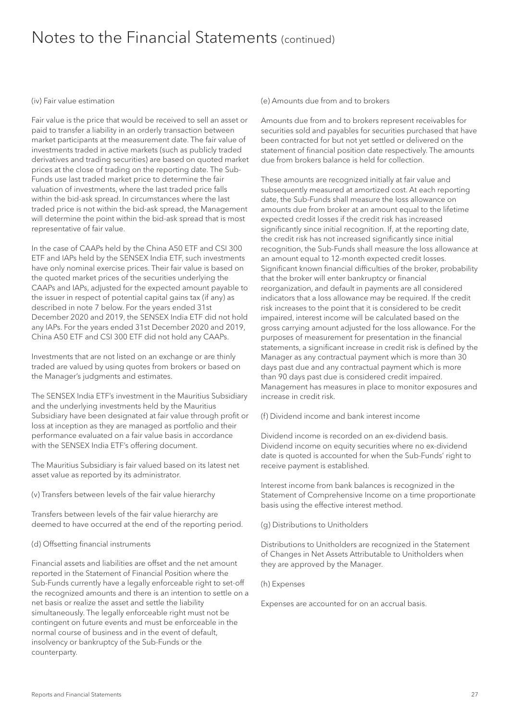#### (iv) Fair value estimation

Fair value is the price that would be received to sell an asset or paid to transfer a liability in an orderly transaction between market participants at the measurement date. The fair value of investments traded in active markets (such as publicly traded derivatives and trading securities) are based on quoted market prices at the close of trading on the reporting date. The Sub-Funds use last traded market price to determine the fair valuation of investments, where the last traded price falls within the bid-ask spread. In circumstances where the last traded price is not within the bid-ask spread, the Management will determine the point within the bid-ask spread that is most representative of fair value.

In the case of CAAPs held by the China A50 ETF and CSI 300 ETF and IAPs held by the SENSEX India ETF, such investments have only nominal exercise prices. Their fair value is based on the quoted market prices of the securities underlying the CAAPs and IAPs, adjusted for the expected amount payable to the issuer in respect of potential capital gains tax (if any) as described in note 7 below. For the years ended 31st December 2020 and 2019, the SENSEX India ETF did not hold any IAPs. For the years ended 31st December 2020 and 2019, China A50 ETF and CSI 300 ETF did not hold any CAAPs.

Investments that are not listed on an exchange or are thinly traded are valued by using quotes from brokers or based on the Manager's judgments and estimates.

The SENSEX India ETF's investment in the Mauritius Subsidiary and the underlying investments held by the Mauritius Subsidiary have been designated at fair value through profit or loss at inception as they are managed as portfolio and their performance evaluated on a fair value basis in accordance with the SENSEX India ETF's offering document.

The Mauritius Subsidiary is fair valued based on its latest net asset value as reported by its administrator.

(v) Transfers between levels of the fair value hierarchy

Transfers between levels of the fair value hierarchy are deemed to have occurred at the end of the reporting period.

#### (d) Offsetting financial instruments

Financial assets and liabilities are offset and the net amount reported in the Statement of Financial Position where the Sub-Funds currently have a legally enforceable right to set-off the recognized amounts and there is an intention to settle on a net basis or realize the asset and settle the liability simultaneously. The legally enforceable right must not be contingent on future events and must be enforceable in the normal course of business and in the event of default, insolvency or bankruptcy of the Sub-Funds or the counterparty.

(e) Amounts due from and to brokers

Amounts due from and to brokers represent receivables for securities sold and payables for securities purchased that have been contracted for but not yet settled or delivered on the statement of financial position date respectively. The amounts due from brokers balance is held for collection.

These amounts are recognized initially at fair value and subsequently measured at amortized cost. At each reporting date, the Sub-Funds shall measure the loss allowance on amounts due from broker at an amount equal to the lifetime expected credit losses if the credit risk has increased significantly since initial recognition. If, at the reporting date, the credit risk has not increased significantly since initial recognition, the Sub-Funds shall measure the loss allowance at an amount equal to 12-month expected credit losses. Significant known financial difficulties of the broker, probability that the broker will enter bankruptcy or financial reorganization, and default in payments are all considered indicators that a loss allowance may be required. If the credit risk increases to the point that it is considered to be credit impaired, interest income will be calculated based on the gross carrying amount adjusted for the loss allowance. For the purposes of measurement for presentation in the financial statements, a significant increase in credit risk is defined by the Manager as any contractual payment which is more than 30 days past due and any contractual payment which is more than 90 days past due is considered credit impaired. Management has measures in place to monitor exposures and increase in credit risk.

(f) Dividend income and bank interest income

Dividend income is recorded on an ex-dividend basis. Dividend income on equity securities where no ex-dividend date is quoted is accounted for when the Sub-Funds' right to receive payment is established.

Interest income from bank balances is recognized in the Statement of Comprehensive Income on a time proportionate basis using the effective interest method.

(g) Distributions to Unitholders

Distributions to Unitholders are recognized in the Statement of Changes in Net Assets Attributable to Unitholders when they are approved by the Manager.

(h) Expenses

Expenses are accounted for on an accrual basis.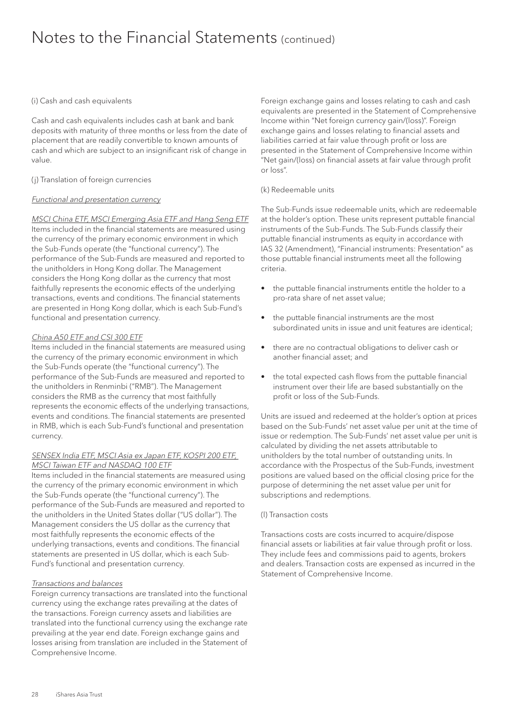#### (i) Cash and cash equivalents

Cash and cash equivalents includes cash at bank and bank deposits with maturity of three months or less from the date of placement that are readily convertible to known amounts of cash and which are subject to an insignificant risk of change in value.

#### (j) Translation of foreign currencies

#### Functional and presentation currency

#### MSCI China ETF, MSCI Emerging Asia ETF and Hang Seng ETF

Items included in the financial statements are measured using the currency of the primary economic environment in which the Sub-Funds operate (the "functional currency"). The performance of the Sub-Funds are measured and reported to the unitholders in Hong Kong dollar. The Management considers the Hong Kong dollar as the currency that most faithfully represents the economic effects of the underlying transactions, events and conditions. The financial statements are presented in Hong Kong dollar, which is each Sub-Fund's functional and presentation currency.

#### China A50 ETF and CSI 300 ETF

Items included in the financial statements are measured using the currency of the primary economic environment in which the Sub-Funds operate (the "functional currency"). The performance of the Sub-Funds are measured and reported to the unitholders in Renminbi ("RMB"). The Management considers the RMB as the currency that most faithfully represents the economic effects of the underlying transactions, events and conditions. The financial statements are presented in RMB, which is each Sub-Fund's functional and presentation currency.

#### SENSEX India ETF, MSCI Asia ex Japan ETF, KOSPI 200 ETF, MSCI Taiwan ETF and NASDAQ 100 ETF

Items included in the financial statements are measured using the currency of the primary economic environment in which the Sub-Funds operate (the "functional currency"). The performance of the Sub-Funds are measured and reported to the unitholders in the United States dollar ("US dollar"). The Management considers the US dollar as the currency that most faithfully represents the economic effects of the underlying transactions, events and conditions. The financial statements are presented in US dollar, which is each Sub-Fund's functional and presentation currency.

#### Transactions and balances

Foreign currency transactions are translated into the functional currency using the exchange rates prevailing at the dates of the transactions. Foreign currency assets and liabilities are translated into the functional currency using the exchange rate prevailing at the year end date. Foreign exchange gains and losses arising from translation are included in the Statement of Comprehensive Income.

Foreign exchange gains and losses relating to cash and cash equivalents are presented in the Statement of Comprehensive Income within "Net foreign currency gain/(loss)". Foreign exchange gains and losses relating to financial assets and liabilities carried at fair value through profit or loss are presented in the Statement of Comprehensive Income within "Net gain/(loss) on financial assets at fair value through profit or loss".

#### (k) Redeemable units

The Sub-Funds issue redeemable units, which are redeemable at the holder's option. These units represent puttable financial instruments of the Sub-Funds. The Sub-Funds classify their puttable financial instruments as equity in accordance with IAS 32 (Amendment), "Financial instruments: Presentation" as those puttable financial instruments meet all the following criteria.

- the puttable financial instruments entitle the holder to a pro-rata share of net asset value;
- the puttable financial instruments are the most subordinated units in issue and unit features are identical;
- there are no contractual obligations to deliver cash or another financial asset; and
- the total expected cash flows from the puttable financial instrument over their life are based substantially on the profit or loss of the Sub-Funds.

Units are issued and redeemed at the holder's option at prices based on the Sub-Funds' net asset value per unit at the time of issue or redemption. The Sub-Funds' net asset value per unit is calculated by dividing the net assets attributable to unitholders by the total number of outstanding units. In accordance with the Prospectus of the Sub-Funds, investment positions are valued based on the official closing price for the purpose of determining the net asset value per unit for subscriptions and redemptions.

#### (l) Transaction costs

Transactions costs are costs incurred to acquire/dispose financial assets or liabilities at fair value through profit or loss. They include fees and commissions paid to agents, brokers and dealers. Transaction costs are expensed as incurred in the Statement of Comprehensive Income.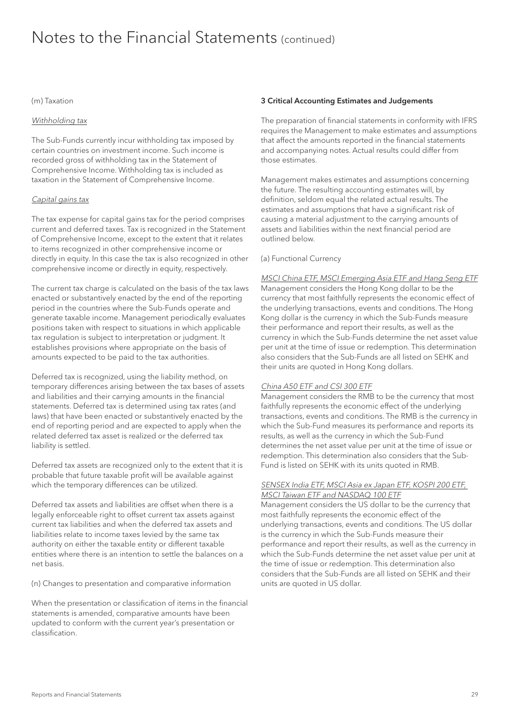#### (m) Taxation

#### Withholding tax

The Sub-Funds currently incur withholding tax imposed by certain countries on investment income. Such income is recorded gross of withholding tax in the Statement of Comprehensive Income. Withholding tax is included as taxation in the Statement of Comprehensive Income.

#### Capital gains tax

The tax expense for capital gains tax for the period comprises current and deferred taxes. Tax is recognized in the Statement of Comprehensive Income, except to the extent that it relates to items recognized in other comprehensive income or directly in equity. In this case the tax is also recognized in other comprehensive income or directly in equity, respectively.

The current tax charge is calculated on the basis of the tax laws enacted or substantively enacted by the end of the reporting period in the countries where the Sub-Funds operate and generate taxable income. Management periodically evaluates positions taken with respect to situations in which applicable tax regulation is subject to interpretation or judgment. It establishes provisions where appropriate on the basis of amounts expected to be paid to the tax authorities.

Deferred tax is recognized, using the liability method, on temporary differences arising between the tax bases of assets and liabilities and their carrying amounts in the financial statements. Deferred tax is determined using tax rates (and laws) that have been enacted or substantively enacted by the end of reporting period and are expected to apply when the related deferred tax asset is realized or the deferred tax liability is settled.

Deferred tax assets are recognized only to the extent that it is probable that future taxable profit will be available against which the temporary differences can be utilized.

Deferred tax assets and liabilities are offset when there is a legally enforceable right to offset current tax assets against current tax liabilities and when the deferred tax assets and liabilities relate to income taxes levied by the same tax authority on either the taxable entity or different taxable entities where there is an intention to settle the balances on a net basis.

(n) Changes to presentation and comparative information

When the presentation or classification of items in the financial statements is amended, comparative amounts have been updated to conform with the current year's presentation or classification.

#### 3 Critical Accounting Estimates and Judgements

The preparation of financial statements in conformity with IFRS requires the Management to make estimates and assumptions that affect the amounts reported in the financial statements and accompanying notes. Actual results could differ from those estimates.

Management makes estimates and assumptions concerning the future. The resulting accounting estimates will, by definition, seldom equal the related actual results. The estimates and assumptions that have a significant risk of causing a material adjustment to the carrying amounts of assets and liabilities within the next financial period are outlined below.

#### (a) Functional Currency

#### MSCI China ETF, MSCI Emerging Asia ETF and Hang Seng ETF

Management considers the Hong Kong dollar to be the currency that most faithfully represents the economic effect of the underlying transactions, events and conditions. The Hong Kong dollar is the currency in which the Sub-Funds measure their performance and report their results, as well as the currency in which the Sub-Funds determine the net asset value per unit at the time of issue or redemption. This determination also considers that the Sub-Funds are all listed on SEHK and their units are quoted in Hong Kong dollars.

#### China A50 ETF and CSI 300 ETF

Management considers the RMB to be the currency that most faithfully represents the economic effect of the underlying transactions, events and conditions. The RMB is the currency in which the Sub-Fund measures its performance and reports its results, as well as the currency in which the Sub-Fund determines the net asset value per unit at the time of issue or redemption. This determination also considers that the Sub-Fund is listed on SEHK with its units quoted in RMB.

#### SENSEX India ETF, MSCI Asia ex Japan ETF, KOSPI 200 ETF, MSCI Taiwan ETF and NASDAQ 100 ETF

Management considers the US dollar to be the currency that most faithfully represents the economic effect of the underlying transactions, events and conditions. The US dollar is the currency in which the Sub-Funds measure their performance and report their results, as well as the currency in which the Sub-Funds determine the net asset value per unit at the time of issue or redemption. This determination also considers that the Sub-Funds are all listed on SEHK and their units are quoted in US dollar.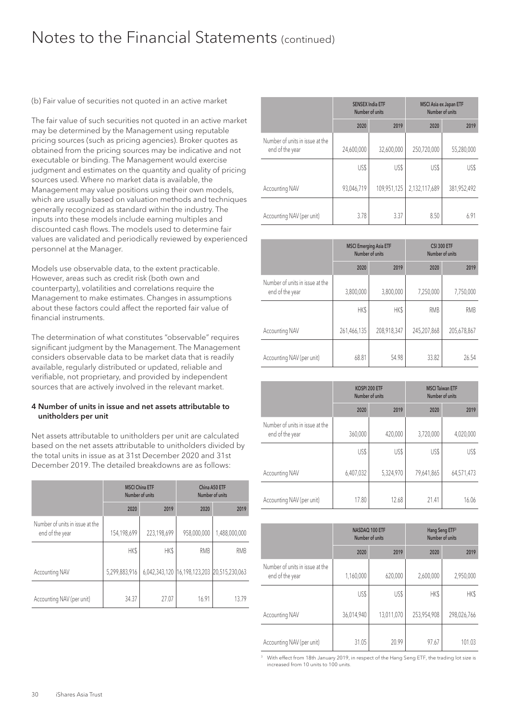(b) Fair value of securities not quoted in an active market

The fair value of such securities not quoted in an active market may be determined by the Management using reputable pricing sources (such as pricing agencies). Broker quotes as obtained from the pricing sources may be indicative and not executable or binding. The Management would exercise judgment and estimates on the quantity and quality of pricing sources used. Where no market data is available, the Management may value positions using their own models, which are usually based on valuation methods and techniques generally recognized as standard within the industry. The inputs into these models include earning multiples and discounted cash flows. The models used to determine fair values are validated and periodically reviewed by experienced personnel at the Manager.

Models use observable data, to the extent practicable. However, areas such as credit risk (both own and counterparty), volatilities and correlations require the Management to make estimates. Changes in assumptions about these factors could affect the reported fair value of financial instruments.

The determination of what constitutes "observable" requires significant judgment by the Management. The Management considers observable data to be market data that is readily available, regularly distributed or updated, reliable and verifiable, not proprietary, and provided by independent sources that are actively involved in the relevant market.

#### 4 Number of units in issue and net assets attributable to unitholders per unit

Net assets attributable to unitholders per unit are calculated based on the net assets attributable to unitholders divided by the total units in issue as at 31st December 2020 and 31st December 2019. The detailed breakdowns are as follows:

|                                                    | <b>MSCI China ETF</b> | Number of units | China A50 ETF<br>Number of units            |               |  |
|----------------------------------------------------|-----------------------|-----------------|---------------------------------------------|---------------|--|
|                                                    | 2020                  | 2019            | 2020                                        | 2019          |  |
| Number of units in issue at the<br>end of the year | 154,198,699           | 223,198,699     | 958,000,000                                 | 1,488,000,000 |  |
|                                                    | <b>HKS</b>            | <b>HKS</b>      | <b>RMB</b>                                  | <b>RMB</b>    |  |
| Accounting NAV                                     | 5,299,883,916         |                 | 6,042,343,120 16,198,123,203 20,515,230,063 |               |  |
| Accounting NAV (per unit)                          | 34.37                 | 27.07           | 16.91                                       | 13.79         |  |

|                                                    | <b>SENSEX India ETF</b><br>Number of units |             | <b>MSCI Asia ex Japan ETF</b><br>Number of units |             |  |
|----------------------------------------------------|--------------------------------------------|-------------|--------------------------------------------------|-------------|--|
|                                                    | 2020                                       | 2019        | 2020                                             | 2019        |  |
| Number of units in issue at the<br>end of the year | 24,600,000                                 | 32,600,000  | 250,720,000                                      | 55,280,000  |  |
|                                                    | US\$                                       | US\$        | US\$                                             | US\$        |  |
| <b>Accounting NAV</b>                              | 93,046,719                                 | 109,951,125 | 2,132,117,689                                    | 381,952,492 |  |
| Accounting NAV (per unit)                          | 3.78                                       | 3.37        | 8.50                                             | 6.91        |  |

|                                                    | <b>MSCI Emerging Asia ETF</b><br>Number of units |             | <b>CSI 300 ETF</b><br>Number of units |             |  |
|----------------------------------------------------|--------------------------------------------------|-------------|---------------------------------------|-------------|--|
|                                                    | 2020                                             | 2019        | 2020                                  | 2019        |  |
| Number of units in issue at the<br>end of the year | 3,800,000                                        | 3,800,000   | 7,250,000                             | 7,750,000   |  |
|                                                    | HK\$                                             | <b>HKS</b>  | <b>RMB</b>                            | <b>RMB</b>  |  |
| Accounting NAV                                     | 261,466,135                                      | 208,918,347 | 245,207,868                           | 205,678,867 |  |
| Accounting NAV (per unit)                          | 68.81                                            | 54.98       | 33.82                                 | 26.54       |  |

|                                                    | KOSPI 200 ETF<br>Number of units |           | <b>MSCI Taiwan ETF</b><br>Number of units |            |  |
|----------------------------------------------------|----------------------------------|-----------|-------------------------------------------|------------|--|
|                                                    | 2020                             | 2019      | 2020                                      | 2019       |  |
| Number of units in issue at the<br>end of the year | 360,000                          | 420,000   | 3,720,000                                 | 4,020,000  |  |
|                                                    | US\$                             | US\$      | US\$                                      | US\$       |  |
| <b>Accounting NAV</b>                              | 6,407,032                        | 5,324,970 | 79,641,865                                | 64,571,473 |  |
| Accounting NAV (per unit)                          | 17.80                            | 12.68     | 21.41                                     | 16.06      |  |

|                                                    | NASDAQ 100 ETF<br>Number of units |            | Hang Seng ETF <sup>3</sup><br>Number of units |             |  |
|----------------------------------------------------|-----------------------------------|------------|-----------------------------------------------|-------------|--|
|                                                    | 2020                              | 2019       | 2020                                          | 2019        |  |
| Number of units in issue at the<br>end of the year | 1,160,000                         | 620,000    | 2,600,000                                     | 2,950,000   |  |
|                                                    | US\$                              | US\$       | HK\$                                          | HK\$        |  |
| <b>Accounting NAV</b>                              | 36,014,940                        | 13,011,070 | 253,954,908                                   | 298,026,766 |  |
| Accounting NAV (per unit)                          | 31.05                             | 20.99      | 97.67                                         | 101.03      |  |

<sup>3</sup> With effect from 18th January 2019, in respect of the Hang Seng ETF, the trading lot size is increased from 10 units to 100 units.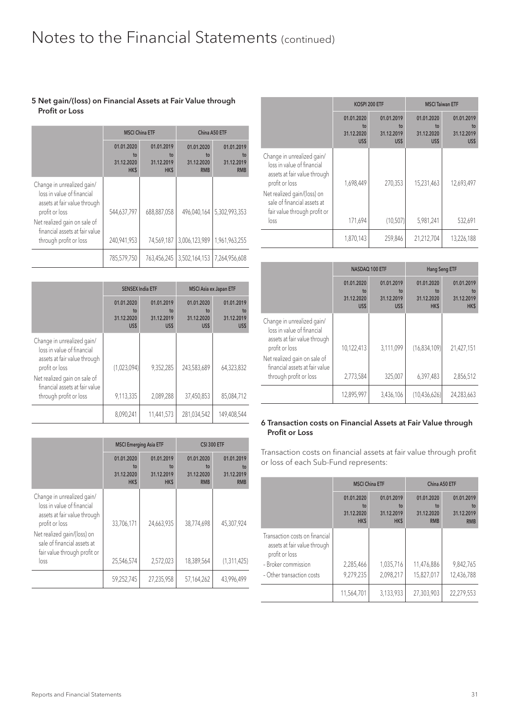#### 5 Net gain/(loss) on Financial Assets at Fair Value through Profit or Loss

|                                                                                                                                                                                                        | <b>MSCI China ETF</b>                  |                                        | China A50 ETF                                |                                              |  |
|--------------------------------------------------------------------------------------------------------------------------------------------------------------------------------------------------------|----------------------------------------|----------------------------------------|----------------------------------------------|----------------------------------------------|--|
|                                                                                                                                                                                                        | 01.01.2020<br>to<br>31.12.2020<br>HK\$ | 01.01.2019<br>to<br>31.12.2019<br>HK\$ | 01.01.2020<br>to<br>31.12.2020<br><b>RMB</b> | 01.01.2019<br>to<br>31.12.2019<br><b>RMB</b> |  |
| Change in unrealized gain/<br>loss in value of financial<br>assets at fair value through<br>profit or loss<br>Net realized gain on sale of<br>financial assets at fair value<br>through profit or loss | 544,637,797<br>240.941.953             | 688,887,058<br>74.569.187              | 496.040.164<br>3,006,123,989                 | 5,302,993,353<br>1.961.963.255               |  |
|                                                                                                                                                                                                        | 785,579,750                            | 763,456,245                            | 3,502,164,153                                | 7,264,956,608                                |  |

|                                                                                                            | <b>SENSEX India ETF</b>                |                                        |                                        | <b>MSCI Asia ex Japan ETF</b>          |
|------------------------------------------------------------------------------------------------------------|----------------------------------------|----------------------------------------|----------------------------------------|----------------------------------------|
|                                                                                                            | 01.01.2020<br>to<br>31.12.2020<br>US\$ | 01.01.2019<br>to<br>31.12.2019<br>US\$ | 01.01.2020<br>to<br>31.12.2020<br>US\$ | 01.01.2019<br>to<br>31.12.2019<br>US\$ |
| Change in unrealized gain/<br>loss in value of financial<br>assets at fair value through<br>profit or loss | (1,023,094)                            | 9.352.285                              | 243,583,689                            | 64,323,832                             |
| Net realized gain on sale of<br>financial assets at fair value<br>through profit or loss                   | 9,113,335                              | 2,089,288                              | 37,450,853                             | 85,084,712                             |
|                                                                                                            | 8,090,241                              | 11,441,573                             | 281,034,542                            | 149,408,544                            |

|                                                                                                                                                                                                                  | <b>MSCI Emerging Asia ETF</b>                |                                        | <b>CSI 300 ETF</b>                           |                                              |
|------------------------------------------------------------------------------------------------------------------------------------------------------------------------------------------------------------------|----------------------------------------------|----------------------------------------|----------------------------------------------|----------------------------------------------|
|                                                                                                                                                                                                                  | 01.01.2020<br>to<br>31.12.2020<br><b>HKS</b> | 01.01.2019<br>to<br>31.12.2019<br>HK\$ | 01.01.2020<br>to<br>31.12.2020<br><b>RMB</b> | 01.01.2019<br>to<br>31.12.2019<br><b>RMB</b> |
| Change in unrealized gain/<br>loss in value of financial<br>assets at fair value through<br>profit or loss<br>Net realized gain/(loss) on<br>sale of financial assets at<br>fair value through profit or<br>loss | 33,706,171<br>25,546,574                     | 24,663,935<br>2,572,023                | 38,774,698<br>18,389,564                     | 45,307,924<br>(1,311,425)                    |
|                                                                                                                                                                                                                  |                                              |                                        |                                              |                                              |
|                                                                                                                                                                                                                  | 59,252,745                                   | 27,235,958                             | 57,164,262                                   | 43,996,499                                   |

|                                                                                                                                                                                                                  |                                           | KOSPI 200 ETF                          | <b>MSCI Taiwan ETF</b>                 |                                        |
|------------------------------------------------------------------------------------------------------------------------------------------------------------------------------------------------------------------|-------------------------------------------|----------------------------------------|----------------------------------------|----------------------------------------|
|                                                                                                                                                                                                                  | 01.01.2020<br>$t_0$<br>31.12.2020<br>US\$ | 01.01.2019<br>to<br>31.12.2019<br>US\$ | 01.01.2020<br>to<br>31.12.2020<br>US\$ | 01.01.2019<br>to<br>31.12.2019<br>US\$ |
| Change in unrealized gain/<br>loss in value of financial<br>assets at fair value through<br>profit or loss<br>Net realized gain/(loss) on<br>sale of financial assets at<br>fair value through profit or<br>loss | 1,698,449<br>171,694                      | 270.353<br>(10, 507)                   | 15,231,463<br>5,981,241                | 12.693.497<br>532,691                  |
|                                                                                                                                                                                                                  |                                           |                                        |                                        |                                        |
|                                                                                                                                                                                                                  | 1,870,143                                 | 259,846                                | 21,212,704                             | 13,226,188                             |

|                                                                                                                                                                              | NASDAQ 100 ETF                            |                                        | Hang Seng ETF                                      |                                              |
|------------------------------------------------------------------------------------------------------------------------------------------------------------------------------|-------------------------------------------|----------------------------------------|----------------------------------------------------|----------------------------------------------|
|                                                                                                                                                                              | 01.01.2020<br>$t_0$<br>31.12.2020<br>US\$ | 01.01.2019<br>to<br>31.12.2019<br>US\$ | 01.01.2020<br>t <sub>0</sub><br>31.12.2020<br>HK\$ | 01.01.2019<br>to<br>31.12.2019<br><b>HKS</b> |
| Change in unrealized gain/<br>loss in value of financial<br>assets at fair value through<br>profit or loss<br>Net realized gain on sale of<br>financial assets at fair value | 10,122,413                                | 3,111,099                              | (16,834,109)                                       | 21,427,151                                   |
| through profit or loss                                                                                                                                                       | 2,773,584                                 | 325,007                                | 6,397,483                                          | 2,856,512                                    |
|                                                                                                                                                                              | 12,895,997                                | 3,436,106                              | (10, 436, 626)                                     | 24,283,663                                   |

#### 6 Transaction costs on Financial Assets at Fair Value through Profit or Loss

Transaction costs on financial assets at fair value through profit or loss of each Sub-Fund represents:

|                                                                                  | <b>MSCI China ETF</b>                  |                                              | China A50 ETF                                |                                              |
|----------------------------------------------------------------------------------|----------------------------------------|----------------------------------------------|----------------------------------------------|----------------------------------------------|
|                                                                                  | 01.01.2020<br>to<br>31.12.2020<br>HK\$ | 01.01.2019<br>to<br>31.12.2019<br><b>HKS</b> | 01.01.2020<br>to<br>31.12.2020<br><b>RMB</b> | 01.01.2019<br>to<br>31.12.2019<br><b>RMB</b> |
| Transaction costs on financial<br>assets at fair value through<br>profit or loss |                                        |                                              |                                              |                                              |
| - Broker commission                                                              | 2,285,466                              | 1,035,716                                    | 11,476,886                                   | 9,842,765                                    |
| - Other transaction costs                                                        | 9,279,235                              | 2,098,217                                    | 15,827,017                                   | 12,436,788                                   |
|                                                                                  | 11,564,701                             | 3,133,933                                    | 27,303,903                                   | 22,279,553                                   |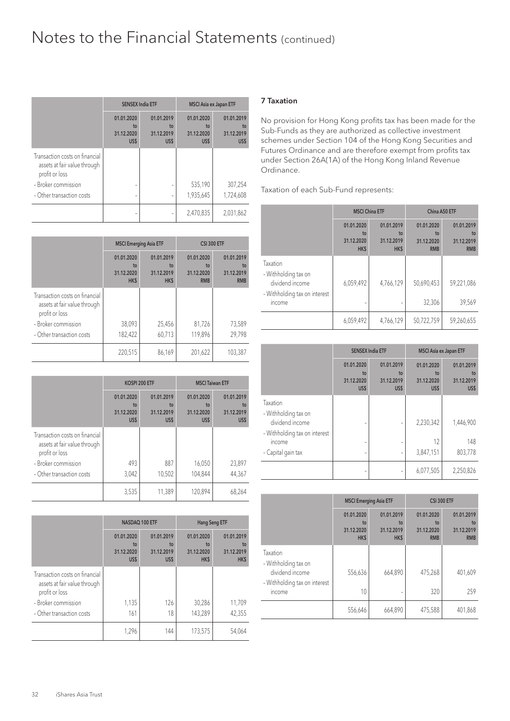|                                                                                  | <b>SENSEX India ETF</b>                |                                        | <b>MSCI Asia ex Japan ETF</b>          |                                        |
|----------------------------------------------------------------------------------|----------------------------------------|----------------------------------------|----------------------------------------|----------------------------------------|
|                                                                                  | 01.01.2020<br>to<br>31.12.2020<br>US\$ | 01.01.2019<br>to<br>31.12.2019<br>US\$ | 01.01.2020<br>to<br>31.12.2020<br>US\$ | 01.01.2019<br>to<br>31.12.2019<br>US\$ |
| Transaction costs on financial<br>assets at fair value through<br>profit or loss |                                        |                                        |                                        |                                        |
| - Broker commission                                                              |                                        |                                        | 535,190                                | 307,254                                |
| - Other transaction costs                                                        |                                        |                                        | 1,935,645                              | 1,724,608                              |
|                                                                                  |                                        |                                        | 2,470,835                              | 2,031,862                              |

|                                                                                  | <b>MSCI Emerging Asia ETF</b>          |                                        | <b>CSI 300 ETF</b>                           |                                              |
|----------------------------------------------------------------------------------|----------------------------------------|----------------------------------------|----------------------------------------------|----------------------------------------------|
|                                                                                  | 01.01.2020<br>to<br>31.12.2020<br>HK\$ | 01.01.2019<br>to<br>31.12.2019<br>HK\$ | 01.01.2020<br>to<br>31.12.2020<br><b>RMB</b> | 01.01.2019<br>to<br>31.12.2019<br><b>RMB</b> |
| Transaction costs on financial<br>assets at fair value through<br>profit or loss |                                        |                                        |                                              |                                              |
| - Broker commission                                                              | 38,093                                 | 25,456                                 | 81,726                                       | 73,589                                       |
| - Other transaction costs                                                        | 182,422                                | 60,713                                 | 119,896                                      | 29,798                                       |
|                                                                                  | 220,515                                | 86,169                                 | 201,622                                      | 103,387                                      |

|                                                                                  | KOSPI 200 ETF                          |                                        |                                        | <b>MSCI Taiwan ETF</b>                 |
|----------------------------------------------------------------------------------|----------------------------------------|----------------------------------------|----------------------------------------|----------------------------------------|
|                                                                                  | 01.01.2020<br>to<br>31.12.2020<br>US\$ | 01.01.2019<br>to<br>31.12.2019<br>US\$ | 01.01.2020<br>to<br>31.12.2020<br>US\$ | 01.01.2019<br>to<br>31.12.2019<br>US\$ |
| Transaction costs on financial<br>assets at fair value through<br>profit or loss |                                        |                                        |                                        |                                        |
| - Broker commission                                                              | 493                                    | 887                                    | 16,050                                 | 23,897                                 |
| - Other transaction costs                                                        | 3,042                                  | 10,502                                 | 104,844                                | 44,367                                 |
|                                                                                  | 3,535                                  | 11,389                                 | 120,894                                | 68.264                                 |

|                                                                                  | NASDAQ 100 ETF                         |                                        | <b>Hang Seng ETF</b>                   |                                        |
|----------------------------------------------------------------------------------|----------------------------------------|----------------------------------------|----------------------------------------|----------------------------------------|
|                                                                                  | 01.01.2020<br>to<br>31.12.2020<br>US\$ | 01.01.2019<br>to<br>31.12.2019<br>US\$ | 01.01.2020<br>to<br>31.12.2020<br>HK\$ | 01.01.2019<br>to<br>31.12.2019<br>HK\$ |
| Transaction costs on financial<br>assets at fair value through<br>profit or loss |                                        |                                        |                                        |                                        |
| - Broker commission                                                              | 1,135                                  | 126                                    | 30,286                                 | 11,709                                 |
| - Other transaction costs                                                        | 161                                    | 18                                     | 143,289                                | 42,355                                 |
|                                                                                  | 1,296                                  | 144                                    | 173,575                                | 54,064                                 |

#### 7 Taxation

No provision for Hong Kong profits tax has been made for the Sub-Funds as they are authorized as collective investment schemes under Section 104 of the Hong Kong Securities and Futures Ordinance and are therefore exempt from profits tax under Section 26A(1A) of the Hong Kong Inland Revenue Ordinance.

Taxation of each Sub-Fund represents:

|                                                                                                | <b>MSCI China ETF</b>                  |                                        | China A50 ETF                                |                                              |
|------------------------------------------------------------------------------------------------|----------------------------------------|----------------------------------------|----------------------------------------------|----------------------------------------------|
|                                                                                                | 01.01.2020<br>to<br>31.12.2020<br>HK\$ | 01.01.2019<br>to<br>31.12.2019<br>HK\$ | 01.01.2020<br>to<br>31.12.2020<br><b>RMB</b> | 01.01.2019<br>to<br>31.12.2019<br><b>RMB</b> |
| Taxation<br>- Withholding tax on<br>dividend income<br>- Withholding tax on interest<br>income | 6,059,492                              | 4,766,129                              | 50,690,453<br>32,306                         | 59,221,086<br>39,569                         |
|                                                                                                | 6,059,492                              | 4,766,129                              | 50,722,759                                   | 59,260,655                                   |

|                                                               | <b>SENSEX India ETF</b>                |                                        |                                        | <b>MSCI Asia ex Japan ETF</b>          |  |
|---------------------------------------------------------------|----------------------------------------|----------------------------------------|----------------------------------------|----------------------------------------|--|
|                                                               | 01.01.2020<br>to<br>31.12.2020<br>US\$ | 01.01.2019<br>to<br>31.12.2019<br>US\$ | 01.01.2020<br>to<br>31.12.2020<br>US\$ | 01.01.2019<br>to<br>31.12.2019<br>US\$ |  |
| Taxation<br>- Withholding tax on<br>dividend income           |                                        |                                        | 2,230,342                              | 1,446,900                              |  |
| - Withholding tax on interest<br>income<br>- Capital gain tax |                                        | ۰                                      | 12<br>3,847,151                        | 148<br>803,778                         |  |
|                                                               |                                        |                                        | 6,077,505                              | 2,250,826                              |  |

|                                                                                                | <b>MSCI Emerging Asia ETF</b>          |                                        | <b>CSI 300 ETF</b>                           |                                              |
|------------------------------------------------------------------------------------------------|----------------------------------------|----------------------------------------|----------------------------------------------|----------------------------------------------|
|                                                                                                | 01.01.2020<br>to<br>31.12.2020<br>HK\$ | 01.01.2019<br>to<br>31.12.2019<br>HK\$ | 01.01.2020<br>to<br>31.12.2020<br><b>RMB</b> | 01.01.2019<br>to<br>31.12.2019<br><b>RMB</b> |
| Taxation<br>- Withholding tax on<br>dividend income<br>- Withholding tax on interest<br>income | 556,636<br>10                          | 664,890                                | 475,268<br>320                               | 401,609<br>259                               |
|                                                                                                | 556,646                                | 664,890                                | 475,588                                      | 401,868                                      |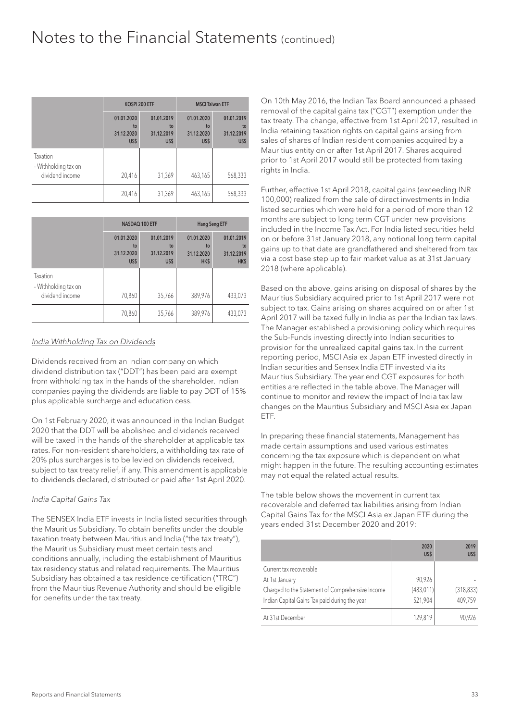|                                  | KOSPI 200 ETF                          |                                        | <b>MSCI Taiwan ETF</b>                 |                                        |
|----------------------------------|----------------------------------------|----------------------------------------|----------------------------------------|----------------------------------------|
|                                  | 01.01.2020<br>to<br>31.12.2020<br>US\$ | 01.01.2019<br>to<br>31.12.2019<br>US\$ | 01.01.2020<br>to<br>31.12.2020<br>US\$ | 01.01.2019<br>to<br>31.12.2019<br>US\$ |
| Taxation<br>- Withholding tax on |                                        |                                        |                                        |                                        |
| dividend income                  | 20,416                                 | 31,369                                 | 463,165                                | 568,333                                |
|                                  | 20,416                                 | 31,369                                 | 463,165                                | 568,333                                |

|                                  | NASDAQ 100 ETF                         |                                        | <b>Hang Seng ETF</b>                   |                                        |
|----------------------------------|----------------------------------------|----------------------------------------|----------------------------------------|----------------------------------------|
|                                  | 01.01.2020<br>to<br>31.12.2020<br>US\$ | 01.01.2019<br>to<br>31.12.2019<br>US\$ | 01.01.2020<br>to<br>31.12.2020<br>HK\$ | 01.01.2019<br>to<br>31.12.2019<br>HK\$ |
| Taxation<br>- Withholding tax on |                                        |                                        |                                        |                                        |
| dividend income                  | 70,860                                 | 35,766                                 | 389,976                                | 433,073                                |
|                                  | 70,860                                 | 35,766                                 | 389,976                                | 433,073                                |

#### India Withholding Tax on Dividends

Dividends received from an Indian company on which dividend distribution tax ("DDT") has been paid are exempt from withholding tax in the hands of the shareholder. Indian companies paying the dividends are liable to pay DDT of 15% plus applicable surcharge and education cess.

On 1st February 2020, it was announced in the Indian Budget 2020 that the DDT will be abolished and dividends received will be taxed in the hands of the shareholder at applicable tax rates. For non-resident shareholders, a withholding tax rate of 20% plus surcharges is to be levied on dividends received, subject to tax treaty relief, if any. This amendment is applicable to dividends declared, distributed or paid after 1st April 2020.

#### India Capital Gains Tax

The SENSEX India ETF invests in India listed securities through the Mauritius Subsidiary. To obtain benefits under the double taxation treaty between Mauritius and India ("the tax treaty"), the Mauritius Subsidiary must meet certain tests and conditions annually, including the establishment of Mauritius tax residency status and related requirements. The Mauritius Subsidiary has obtained a tax residence certification ("TRC") from the Mauritius Revenue Authority and should be eligible for benefits under the tax treaty.

On 10th May 2016, the Indian Tax Board announced a phased removal of the capital gains tax ("CGT") exemption under the tax treaty. The change, effective from 1st April 2017, resulted in India retaining taxation rights on capital gains arising from sales of shares of Indian resident companies acquired by a Mauritius entity on or after 1st April 2017. Shares acquired prior to 1st April 2017 would still be protected from taxing rights in India.

Further, effective 1st April 2018, capital gains (exceeding INR 100,000) realized from the sale of direct investments in India listed securities which were held for a period of more than 12 months are subject to long term CGT under new provisions included in the Income Tax Act. For India listed securities held on or before 31st January 2018, any notional long term capital gains up to that date are grandfathered and sheltered from tax via a cost base step up to fair market value as at 31st January 2018 (where applicable).

Based on the above, gains arising on disposal of shares by the Mauritius Subsidiary acquired prior to 1st April 2017 were not subject to tax. Gains arising on shares acquired on or after 1st April 2017 will be taxed fully in India as per the Indian tax laws. The Manager established a provisioning policy which requires the Sub-Funds investing directly into Indian securities to provision for the unrealized capital gains tax. In the current reporting period, MSCI Asia ex Japan ETF invested directly in Indian securities and Sensex India ETF invested via its Mauritius Subsidiary. The year end CGT exposures for both entities are reflected in the table above. The Manager will continue to monitor and review the impact of India tax law changes on the Mauritius Subsidiary and MSCI Asia ex Japan ETF.

In preparing these financial statements, Management has made certain assumptions and used various estimates concerning the tax exposure which is dependent on what might happen in the future. The resulting accounting estimates may not equal the related actual results.

The table below shows the movement in current tax recoverable and deferred tax liabilities arising from Indian Capital Gains Tax for the MSCI Asia ex Japan ETF during the years ended 31st December 2020 and 2019:

|                                                                                                   | 2020<br>US\$          | 2019<br>US\$          |
|---------------------------------------------------------------------------------------------------|-----------------------|-----------------------|
| Current tax recoverable<br>At 1st January                                                         | 90,926                |                       |
| Charged to the Statement of Comprehensive Income<br>Indian Capital Gains Tax paid during the year | (483, 011)<br>521,904 | (318, 833)<br>409.759 |
| At 31st December                                                                                  | 129.819               | 90.926                |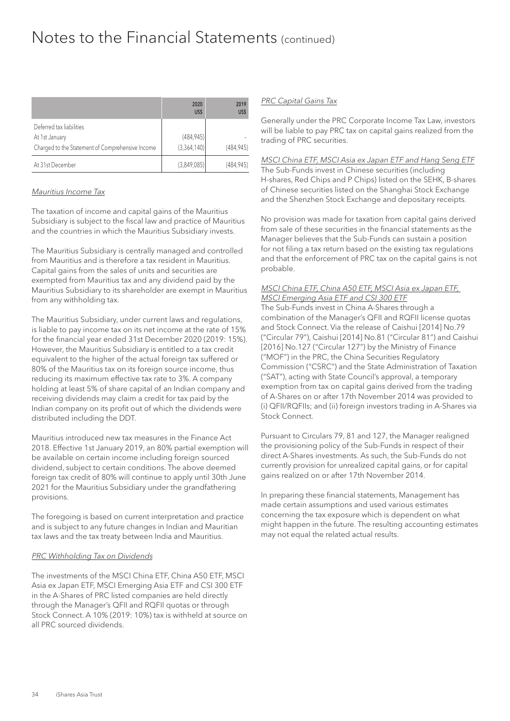|                                                  | 2020<br>US\$ | 2019<br>US\$ |
|--------------------------------------------------|--------------|--------------|
| Deferred tax liabilities                         |              |              |
| At 1st January                                   | (484, 945)   |              |
| Charged to the Statement of Comprehensive Income | (3,364,140)  | (484.945)    |
| At 31st December                                 | (3,849,085)  | (484, 945)   |

#### Mauritius Income Tax

The taxation of income and capital gains of the Mauritius Subsidiary is subject to the fiscal law and practice of Mauritius and the countries in which the Mauritius Subsidiary invests.

The Mauritius Subsidiary is centrally managed and controlled from Mauritius and is therefore a tax resident in Mauritius. Capital gains from the sales of units and securities are exempted from Mauritius tax and any dividend paid by the Mauritius Subsidiary to its shareholder are exempt in Mauritius from any withholding tax.

The Mauritius Subsidiary, under current laws and regulations, is liable to pay income tax on its net income at the rate of 15% for the financial year ended 31st December 2020 (2019: 15%). However, the Mauritius Subsidiary is entitled to a tax credit equivalent to the higher of the actual foreign tax suffered or 80% of the Mauritius tax on its foreign source income, thus reducing its maximum effective tax rate to 3%. A company holding at least 5% of share capital of an Indian company and receiving dividends may claim a credit for tax paid by the Indian company on its profit out of which the dividends were distributed including the DDT.

Mauritius introduced new tax measures in the Finance Act 2018. Effective 1st January 2019, an 80% partial exemption will be available on certain income including foreign sourced dividend, subject to certain conditions. The above deemed foreign tax credit of 80% will continue to apply until 30th June 2021 for the Mauritius Subsidiary under the grandfathering provisions.

The foregoing is based on current interpretation and practice and is subject to any future changes in Indian and Mauritian tax laws and the tax treaty between India and Mauritius.

#### PRC Withholding Tax on Dividends

The investments of the MSCI China ETF, China A50 ETF, MSCI Asia ex Japan ETF, MSCI Emerging Asia ETF and CSI 300 ETF in the A-Shares of PRC listed companies are held directly through the Manager's QFII and RQFII quotas or through Stock Connect. A 10% (2019: 10%) tax is withheld at source on all PRC sourced dividends.

#### PRC Capital Gains Tax

Generally under the PRC Corporate Income Tax Law, investors will be liable to pay PRC tax on capital gains realized from the trading of PRC securities.

#### MSCI China ETF, MSCI Asia ex Japan ETF and Hang Seng ETF

The Sub-Funds invest in Chinese securities (including H-shares, Red Chips and P Chips) listed on the SEHK, B-shares of Chinese securities listed on the Shanghai Stock Exchange and the Shenzhen Stock Exchange and depositary receipts.

No provision was made for taxation from capital gains derived from sale of these securities in the financial statements as the Manager believes that the Sub-Funds can sustain a position for not filing a tax return based on the existing tax regulations and that the enforcement of PRC tax on the capital gains is not probable.

#### MSCI China ETF, China A50 ETF, MSCI Asia ex Japan ETF, MSCI Emerging Asia ETF and CSI 300 ETF

The Sub-Funds invest in China A-Shares through a combination of the Manager's QFII and RQFII license quotas and Stock Connect. Via the release of Caishui [2014] No.79 ("Circular 79"), Caishui [2014] No.81 ("Circular 81") and Caishui [2016] No.127 ("Circular 127") by the Ministry of Finance ("MOF") in the PRC, the China Securities Regulatory Commission ("CSRC") and the State Administration of Taxation ("SAT"), acting with State Council's approval, a temporary exemption from tax on capital gains derived from the trading of A-Shares on or after 17th November 2014 was provided to (i) QFII/RQFIIs; and (ii) foreign investors trading in A-Shares via Stock Connect.

Pursuant to Circulars 79, 81 and 127, the Manager realigned the provisioning policy of the Sub-Funds in respect of their direct A-Shares investments. As such, the Sub-Funds do not currently provision for unrealized capital gains, or for capital gains realized on or after 17th November 2014.

In preparing these financial statements, Management has made certain assumptions and used various estimates concerning the tax exposure which is dependent on what might happen in the future. The resulting accounting estimates may not equal the related actual results.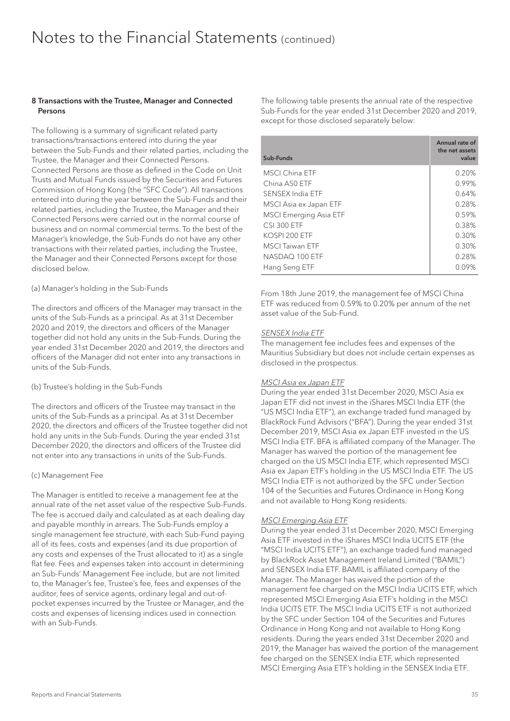#### 8 Transactions with the Trustee, Manager and Connected **Persons**

The following is a summary of significant related party transactions/transactions entered into during the year between the Sub-Funds and their related parties, including the Trustee, the Manager and their Connected Persons. Connected Persons are those as defined in the Code on Unit Trusts and Mutual Funds issued by the Securities and Futures Commission of Hong Kong (the "SFC Code"). All transactions entered into during the year between the Sub-Funds and their related parties, including the Trustee, the Manager and their Connected Persons were carried out in the normal course of business and on normal commercial terms. To the best of the Manager's knowledge, the Sub-Funds do not have any other transactions with their related parties, including the Trustee, the Manager and their Connected Persons except for those disclosed below.

#### (a) Manager's holding in the Sub-Funds

The directors and officers of the Manager may transact in the units of the Sub-Funds as a principal. As at 31st December 2020 and 2019, the directors and officers of the Manager together did not hold any units in the Sub-Funds. During the year ended 31st December 2020 and 2019, the directors and officers of the Manager did not enter into any transactions in units of the Sub-Funds.

#### (b) Trustee's holding in the Sub-Funds

The directors and officers of the Trustee may transact in the units of the Sub-Funds as a principal. As at 31st December 2020, the directors and officers of the Trustee together did not hold any units in the Sub-Funds. During the year ended 31st December 2020, the directors and officers of the Trustee did not enter into any transactions in units of the Sub-Funds.

#### (c) Management Fee

The Manager is entitled to receive a management fee at the annual rate of the net asset value of the respective Sub-Funds. The fee is accrued daily and calculated as at each dealing day and payable monthly in arrears. The Sub-Funds employ a single management fee structure, with each Sub-Fund paying all of its fees, costs and expenses (and its due proportion of any costs and expenses of the Trust allocated to it) as a single flat fee. Fees and expenses taken into account in determining an Sub-Funds' Management Fee include, but are not limited to, the Manager's fee, Trustee's fee, fees and expenses of the auditor, fees of service agents, ordinary legal and out-ofpocket expenses incurred by the Trustee or Manager, and the costs and expenses of licensing indices used in connection with an Sub-Funds.

The following table presents the annual rate of the respective Sub-Funds for the year ended 31st December 2020 and 2019, except for those disclosed separately below:

| Sub-Funds                     | Annual rate of<br>the net assets<br>value |
|-------------------------------|-------------------------------------------|
| MSCI China ETF                | 0.20%                                     |
| China A50 ETF                 | 0.99%                                     |
| SENSEX India ETF              | 0.64%                                     |
| MSCI Asia ex Japan ETF        | 0.28%                                     |
| <b>MSCI Emerging Asia ETF</b> | 0.59%                                     |
| <b>CSI 300 ETF</b>            | 0.38%                                     |
| KOSPI 200 ETF                 | 0.30%                                     |
| <b>MSCI Taiwan ETF</b>        | 0.30%                                     |
| NASDAO 100 ETF                | 0.28%                                     |
| Hang Seng ETF                 | $0.09\%$                                  |

From 18th June 2019, the management fee of MSCI China ETF was reduced from 0.59% to 0.20% per annum of the net asset value of the Sub-Fund.

#### SENSEX India ETF

The management fee includes fees and expenses of the Mauritius Subsidiary but does not include certain expenses as disclosed in the prospectus.

#### MSCI Asia ex Japan ETF

During the year ended 31st December 2020, MSCI Asia ex Japan ETF did not invest in the iShares MSCI India ETF (the "US MSCI India ETF"), an exchange traded fund managed by BlackRock Fund Advisors ("BFA"). During the year ended 31st December 2019, MSCI Asia ex Japan ETF invested in the US MSCI India ETF. BFA is affiliated company of the Manager. The Manager has waived the portion of the management fee charged on the US MSCI India ETF, which represented MSCI Asia ex Japan ETF's holding in the US MSCI India ETF. The US MSCI India ETF is not authorized by the SFC under Section 104 of the Securities and Futures Ordinance in Hong Kong and not available to Hong Kong residents.

#### MSCI Emerging Asia ETF

During the year ended 31st December 2020, MSCI Emerging Asia ETF invested in the iShares MSCI India UCITS ETF (the "MSCI India UCITS ETF"), an exchange traded fund managed by BlackRock Asset Management Ireland Limited ("BAMIL") and SENSEX India ETF. BAMIL is affiliated company of the Manager. The Manager has waived the portion of the management fee charged on the MSCI India UCITS ETF, which represented MSCI Emerging Asia ETF's holding in the MSCI India UCITS ETF. The MSCI India UCITS ETF is not authorized by the SFC under Section 104 of the Securities and Futures Ordinance in Hong Kong and not available to Hong Kong residents. During the years ended 31st December 2020 and 2019, the Manager has waived the portion of the management fee charged on the SENSEX India ETF, which represented MSCI Emerging Asia ETF's holding in the SENSEX India ETF.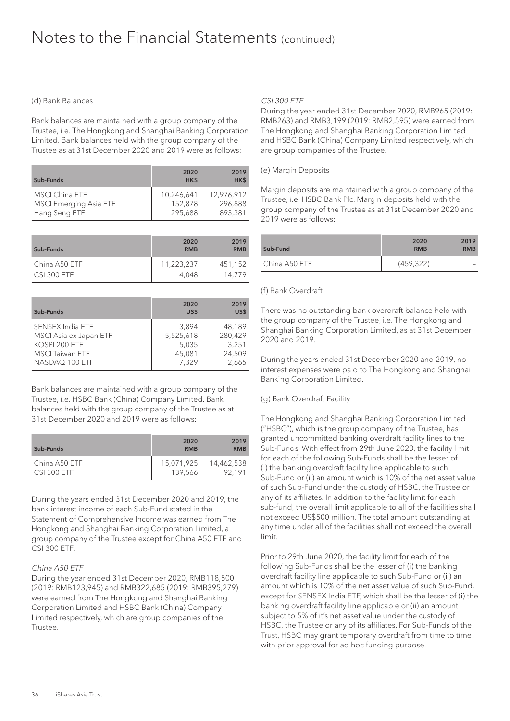#### (d) Bank Balances

Bank balances are maintained with a group company of the Trustee, i.e. The Hongkong and Shanghai Banking Corporation Limited. Bank balances held with the group company of the Trustee as at 31st December 2020 and 2019 were as follows:

| Sub-Funds                                              | 2020<br>HK\$          | 2019<br>HK\$          |
|--------------------------------------------------------|-----------------------|-----------------------|
| <b>MSCI China ETF</b><br><b>MSCI Emerging Asia ETF</b> | 10,246,641<br>152,878 | 12.976.912<br>296.888 |
| Hang Seng ETF                                          | 295,688               | 893.381               |

| Sub-Funds          | 2020<br><b>RMB</b> | 2019<br><b>RMB</b> |
|--------------------|--------------------|--------------------|
| China A50 ETF      | 11,223,237         | 451.152            |
| <b>CSI 300 ETF</b> | 4.048              | 14.779             |

| Sub-Funds               | 2020<br>US\$ | 2019<br>US\$ |
|-------------------------|--------------|--------------|
| <b>SENSEX India ETF</b> | 3.894        | 48.189       |
| MSCI Asia ex Japan ETF  | 5,525,618    | 280,429      |
| KOSPI 200 ETF           | 5,035        | 3.251        |
| <b>MSCI Taiwan ETF</b>  | 45,081       | 24,509       |
| NASDAQ 100 ETF          | 7.329        | 2.665        |

Bank balances are maintained with a group company of the Trustee, i.e. HSBC Bank (China) Company Limited. Bank balances held with the group company of the Trustee as at 31st December 2020 and 2019 were as follows:

| Sub-Funds          | 2020<br><b>RMB</b> | 2019<br><b>RMB</b> |
|--------------------|--------------------|--------------------|
| China A50 ETF      | 15,071,925         | 14,462,538         |
| <b>CSI 300 ETF</b> | 139,566            | 92.191             |

During the years ended 31st December 2020 and 2019, the bank interest income of each Sub-Fund stated in the Statement of Comprehensive Income was earned from The Hongkong and Shanghai Banking Corporation Limited, a group company of the Trustee except for China A50 ETF and CSI 300 ETF.

#### China A50 ETF

During the year ended 31st December 2020, RMB118,500 (2019: RMB123,945) and RMB322,685 (2019: RMB395,279) were earned from The Hongkong and Shanghai Banking Corporation Limited and HSBC Bank (China) Company Limited respectively, which are group companies of the Trustee.

#### CSI 300 ETF

During the year ended 31st December 2020, RMB965 (2019: RMB263) and RMB3,199 (2019: RMB2,595) were earned from The Hongkong and Shanghai Banking Corporation Limited and HSBC Bank (China) Company Limited respectively, which are group companies of the Trustee.

#### (e) Margin Deposits

Margin deposits are maintained with a group company of the Trustee, i.e. HSBC Bank Plc. Margin deposits held with the group company of the Trustee as at 31st December 2020 and 2019 were as follows:

| Sub-Fund      | 2020<br><b>RMB</b> | 2019<br><b>RMB</b> |
|---------------|--------------------|--------------------|
| China A50 ETF | (459, 322)         |                    |

#### (f) Bank Overdraft

There was no outstanding bank overdraft balance held with the group company of the Trustee, i.e. The Hongkong and Shanghai Banking Corporation Limited, as at 31st December 2020 and 2019.

During the years ended 31st December 2020 and 2019, no interest expenses were paid to The Hongkong and Shanghai Banking Corporation Limited.

#### (g) Bank Overdraft Facility

The Hongkong and Shanghai Banking Corporation Limited ("HSBC"), which is the group company of the Trustee, has granted uncommitted banking overdraft facility lines to the Sub-Funds. With effect from 29th June 2020, the facility limit for each of the following Sub-Funds shall be the lesser of (i) the banking overdraft facility line applicable to such Sub-Fund or (ii) an amount which is 10% of the net asset value of such Sub-Fund under the custody of HSBC, the Trustee or any of its affiliates. In addition to the facility limit for each sub-fund, the overall limit applicable to all of the facilities shall not exceed US\$500 million. The total amount outstanding at any time under all of the facilities shall not exceed the overall limit.

Prior to 29th June 2020, the facility limit for each of the following Sub-Funds shall be the lesser of (i) the banking overdraft facility line applicable to such Sub-Fund or (ii) an amount which is 10% of the net asset value of such Sub-Fund, except for SENSEX India ETF, which shall be the lesser of (i) the banking overdraft facility line applicable or (ii) an amount subject to 5% of it's net asset value under the custody of HSBC, the Trustee or any of its affiliates. For Sub-Funds of the Trust, HSBC may grant temporary overdraft from time to time with prior approval for ad hoc funding purpose.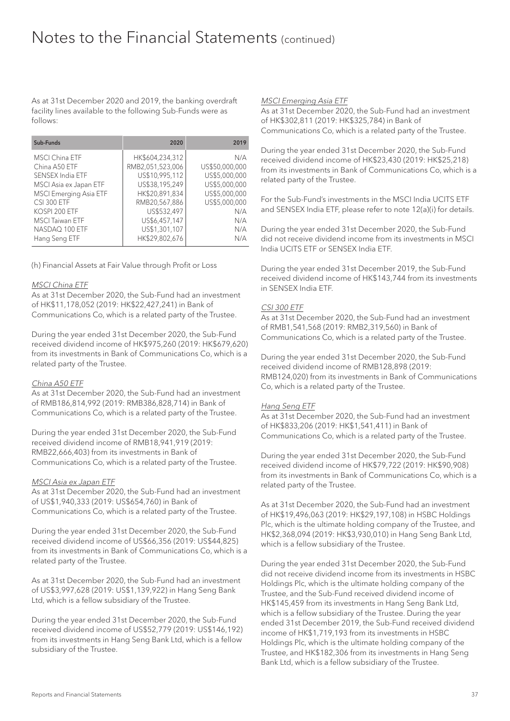As at 31st December 2020 and 2019, the banking overdraft facility lines available to the following Sub-Funds were as follows:

| Sub-Funds                     | 2020             | 2019           |
|-------------------------------|------------------|----------------|
| <b>MSCI China ETF</b>         | HK\$604,234,312  | N/A            |
| China A50 ETF                 | RMB2,051,523,006 | US\$50,000,000 |
| SENSEX India ETF              | US\$10,995,112   | US\$5,000,000  |
| MSCI Asia ex Japan ETF        | US\$38,195,249   | US\$5,000,000  |
| <b>MSCI Emerging Asia ETF</b> | HK\$20.891.834   | US\$5,000,000  |
| <b>CSI 300 ETF</b>            | RMB20,567,886    | US\$5,000,000  |
| KOSPI 200 ETF                 | US\$532,497      | N/A            |
| <b>MSCI</b> Taiwan ETF        | US\$6,457,147    | N/A            |
| NASDAQ 100 ETF                | US\$1,301,107    | N/A            |
| Hang Seng ETF                 | HK\$29,802,676   | N/A            |

(h) Financial Assets at Fair Value through Profit or Loss

#### MSCI China ETF

As at 31st December 2020, the Sub-Fund had an investment of HK\$11,178,052 (2019: HK\$22,427,241) in Bank of Communications Co, which is a related party of the Trustee.

During the year ended 31st December 2020, the Sub-Fund received dividend income of HK\$975,260 (2019: HK\$679,620) from its investments in Bank of Communications Co, which is a related party of the Trustee.

#### China A50 ETF

As at 31st December 2020, the Sub-Fund had an investment of RMB186,814,992 (2019: RMB386,828,714) in Bank of Communications Co, which is a related party of the Trustee.

During the year ended 31st December 2020, the Sub-Fund received dividend income of RMB18,941,919 (2019: RMB22,666,403) from its investments in Bank of Communications Co, which is a related party of the Trustee.

#### MSCI Asia ex Japan ETF

As at 31st December 2020, the Sub-Fund had an investment of US\$1,940,333 (2019: US\$654,760) in Bank of Communications Co, which is a related party of the Trustee.

During the year ended 31st December 2020, the Sub-Fund received dividend income of US\$66,356 (2019: US\$44,825) from its investments in Bank of Communications Co, which is a related party of the Trustee.

As at 31st December 2020, the Sub-Fund had an investment of US\$3,997,628 (2019: US\$1,139,922) in Hang Seng Bank Ltd, which is a fellow subsidiary of the Trustee.

During the year ended 31st December 2020, the Sub-Fund received dividend income of US\$52,779 (2019: US\$146,192) from its investments in Hang Seng Bank Ltd, which is a fellow subsidiary of the Trustee.

#### MSCI Emerging Asia ETF

As at 31st December 2020, the Sub-Fund had an investment of HK\$302,811 (2019: HK\$325,784) in Bank of Communications Co, which is a related party of the Trustee.

During the year ended 31st December 2020, the Sub-Fund received dividend income of HK\$23,430 (2019: HK\$25,218) from its investments in Bank of Communications Co, which is a related party of the Trustee.

For the Sub-Fund's investments in the MSCI India UCITS ETF and SENSEX India ETF, please refer to note 12(a)(i) for details.

During the year ended 31st December 2020, the Sub-Fund did not receive dividend income from its investments in MSCI India UCITS ETF or SENSEX India ETF.

During the year ended 31st December 2019, the Sub-Fund received dividend income of HK\$143,744 from its investments in SENSEX India ETF.

#### CSI 300 ETF

As at 31st December 2020, the Sub-Fund had an investment of RMB1,541,568 (2019: RMB2,319,560) in Bank of Communications Co, which is a related party of the Trustee.

During the year ended 31st December 2020, the Sub-Fund received dividend income of RMB128,898 (2019: RMB124,020) from its investments in Bank of Communications Co, which is a related party of the Trustee.

#### Hang Seng ETF

As at 31st December 2020, the Sub-Fund had an investment of HK\$833,206 (2019: HK\$1,541,411) in Bank of Communications Co, which is a related party of the Trustee.

During the year ended 31st December 2020, the Sub-Fund received dividend income of HK\$79,722 (2019: HK\$90,908) from its investments in Bank of Communications Co, which is a related party of the Trustee.

As at 31st December 2020, the Sub-Fund had an investment of HK\$19,496,063 (2019: HK\$29,197,108) in HSBC Holdings Plc, which is the ultimate holding company of the Trustee, and HK\$2,368,094 (2019: HK\$3,930,010) in Hang Seng Bank Ltd, which is a fellow subsidiary of the Trustee.

During the year ended 31st December 2020, the Sub-Fund did not receive dividend income from its investments in HSBC Holdings Plc, which is the ultimate holding company of the Trustee, and the Sub-Fund received dividend income of HK\$145,459 from its investments in Hang Seng Bank Ltd, which is a fellow subsidiary of the Trustee. During the year ended 31st December 2019, the Sub-Fund received dividend income of HK\$1,719,193 from its investments in HSBC Holdings Plc, which is the ultimate holding company of the Trustee, and HK\$182,306 from its investments in Hang Seng Bank Ltd, which is a fellow subsidiary of the Trustee.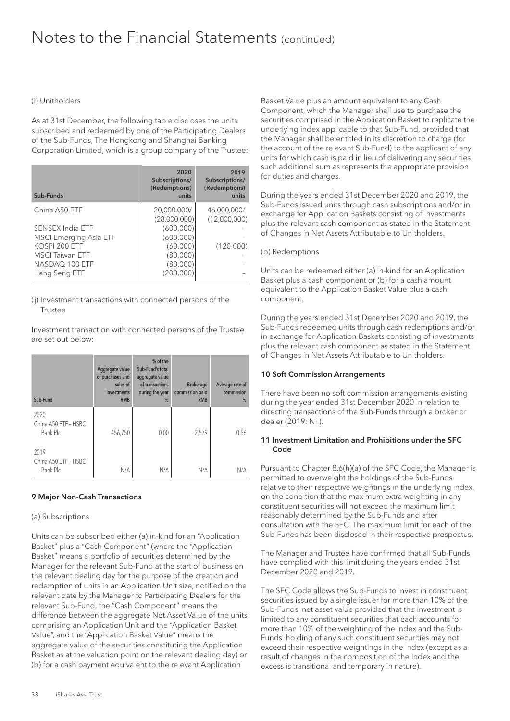#### (i) Unitholders

As at 31st December, the following table discloses the units subscribed and redeemed by one of the Participating Dealers of the Sub-Funds, The Hongkong and Shanghai Banking Corporation Limited, which is a group company of the Trustee:

| Sub-Funds                                                          | 2020<br>Subscriptions/<br>(Redemptions)<br>units | 2019<br>Subscriptions/<br>(Redemptions)<br>units |
|--------------------------------------------------------------------|--------------------------------------------------|--------------------------------------------------|
| China A50 ETF                                                      | 20,000,000/<br>(28,000,000)                      | 46,000,000/<br>(12,000,000)                      |
| SENSEX India ETF<br><b>MSCI Emerging Asia ETF</b><br>KOSPI 200 ETF | (600,000)<br>(600,000)<br>(60,000)               |                                                  |
| <b>MSCI Taiwan ETF</b><br>NASDAQ 100 ETF<br>Hang Seng ETF          | (80,000)<br>(80,000)<br>(200,000)                | (120,000)                                        |

#### (j) Investment transactions with connected persons of the Trustee

Investment transaction with connected persons of the Trustee are set out below:

| Sub-Fund                                 | Aggregate value<br>of purchases and<br>sales of<br>investments<br><b>RMB</b> | % of the<br>Sub-Fund's total<br>aggregate value<br>of transactions<br>during the year<br>% | <b>Brokerage</b><br>commission paid<br><b>RMB</b> | Average rate of<br>commission<br>% |
|------------------------------------------|------------------------------------------------------------------------------|--------------------------------------------------------------------------------------------|---------------------------------------------------|------------------------------------|
| 2020<br>China A50 ETF - HSBC<br>Bank Plc | 456,750                                                                      | 0.00                                                                                       | 2,579                                             | 0.56                               |
| 2019<br>China A50 ETF - HSBC<br>Bank Plc | N/A                                                                          | N/A                                                                                        | N/A                                               | N/A                                |

#### 9 Major Non-Cash Transactions

#### (a) Subscriptions

Units can be subscribed either (a) in-kind for an "Application Basket" plus a "Cash Component" (where the "Application Basket" means a portfolio of securities determined by the Manager for the relevant Sub-Fund at the start of business on the relevant dealing day for the purpose of the creation and redemption of units in an Application Unit size, notified on the relevant date by the Manager to Participating Dealers for the relevant Sub-Fund, the "Cash Component" means the difference between the aggregate Net Asset Value of the units comprising an Application Unit and the "Application Basket Value", and the "Application Basket Value" means the aggregate value of the securities constituting the Application Basket as at the valuation point on the relevant dealing day) or (b) for a cash payment equivalent to the relevant Application

Basket Value plus an amount equivalent to any Cash Component, which the Manager shall use to purchase the securities comprised in the Application Basket to replicate the underlying index applicable to that Sub-Fund, provided that the Manager shall be entitled in its discretion to charge (for the account of the relevant Sub-Fund) to the applicant of any units for which cash is paid in lieu of delivering any securities such additional sum as represents the appropriate provision for duties and charges.

During the years ended 31st December 2020 and 2019, the Sub-Funds issued units through cash subscriptions and/or in exchange for Application Baskets consisting of investments plus the relevant cash component as stated in the Statement of Changes in Net Assets Attributable to Unitholders.

#### (b) Redemptions

Units can be redeemed either (a) in-kind for an Application Basket plus a cash component or (b) for a cash amount equivalent to the Application Basket Value plus a cash component.

During the years ended 31st December 2020 and 2019, the Sub-Funds redeemed units through cash redemptions and/or in exchange for Application Baskets consisting of investments plus the relevant cash component as stated in the Statement of Changes in Net Assets Attributable to Unitholders.

#### 10 Soft Commission Arrangements

There have been no soft commission arrangements existing during the year ended 31st December 2020 in relation to directing transactions of the Sub-Funds through a broker or dealer (2019: Nil).

#### 11 Investment Limitation and Prohibitions under the SFC Code

Pursuant to Chapter 8.6(h)(a) of the SFC Code, the Manager is permitted to overweight the holdings of the Sub-Funds relative to their respective weightings in the underlying index, on the condition that the maximum extra weighting in any constituent securities will not exceed the maximum limit reasonably determined by the Sub-Funds and after consultation with the SFC. The maximum limit for each of the Sub-Funds has been disclosed in their respective prospectus.

The Manager and Trustee have confirmed that all Sub-Funds have complied with this limit during the years ended 31st December 2020 and 2019.

The SFC Code allows the Sub-Funds to invest in constituent securities issued by a single issuer for more than 10% of the Sub-Funds' net asset value provided that the investment is limited to any constituent securities that each accounts for more than 10% of the weighting of the Index and the Sub-Funds' holding of any such constituent securities may not exceed their respective weightings in the Index (except as a result of changes in the composition of the Index and the excess is transitional and temporary in nature).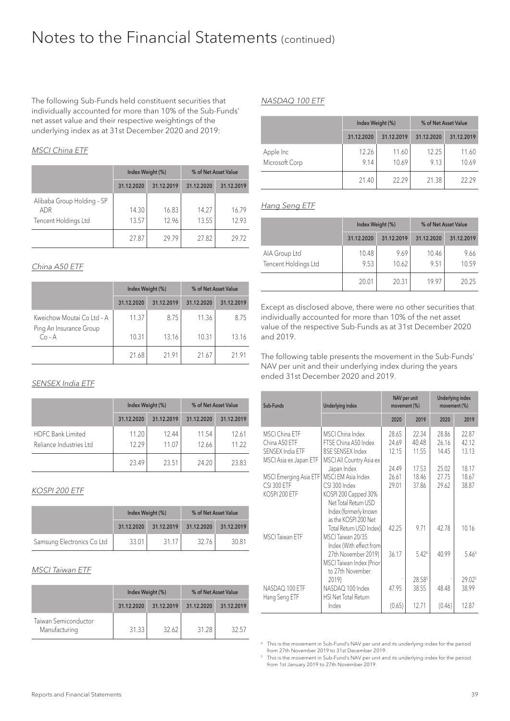The following Sub-Funds held constituent securities that individually accounted for more than 10% of the Sub-Funds' net asset value and their respective weightings of the underlying index as at 31st December 2020 and 2019:

#### MSCI China ETF

|                                                           | Index Weight (%) |                | % of Net Asset Value |                |
|-----------------------------------------------------------|------------------|----------------|----------------------|----------------|
|                                                           | 31.12.2020       | 31.12.2019     | 31.12.2020           | 31.12.2019     |
| Alibaba Group Holding - SP<br>ADR<br>Tencent Holdings Ltd | 14.30<br>13.57   | 16.83<br>12.96 | 14.27<br>13.55       | 16.79<br>12.93 |
|                                                           | 27.87            | 29.79          | 27.82                | 29.72          |

#### China A50 ETF

|                                                       | Index Weight (%) |            | % of Net Asset Value |            |
|-------------------------------------------------------|------------------|------------|----------------------|------------|
|                                                       | 31.12.2020       | 31.12.2019 | 31.12.2020           | 31.12.2019 |
| Kweichow Moutai Co Ltd - A<br>Ping An Insurance Group | 11.37            | 8.75       | 11.36                | 8.75       |
| $Co - A$                                              | 10.31            | 13.16      | 10.31                | 13.16      |
|                                                       | 21.68            | 2191       | 21.67                | 21 91      |

#### SENSEX India ETF

|                                                     | Index Weight (%) |                | % of Net Asset Value |                |
|-----------------------------------------------------|------------------|----------------|----------------------|----------------|
|                                                     | 31.12.2020       | 31.12.2019     | 31.12.2020           | 31.12.2019     |
| <b>HDFC Bank Limited</b><br>Reliance Industries Ltd | 11.20<br>12.29   | 12.44<br>11 07 | 11.54<br>12.66       | 12.61<br>11 22 |
|                                                     | 23.49            | 23.51          | 24.20                | 23.83          |

#### KOSPI 200 ETF

|                            | Index Weight (%) |            | % of Net Asset Value |            |
|----------------------------|------------------|------------|----------------------|------------|
|                            | 31.12.2020       | 31.12.2019 | 31.12.2020           | 31.12.2019 |
| Samsung Electronics Co Ltd | 33.01            | 31.17      | 32.76                | 30.81      |

#### MSCI Taiwan ETF

|                                       | Index Weight (%) |            | % of Net Asset Value |            |
|---------------------------------------|------------------|------------|----------------------|------------|
|                                       | 31.12.2020       | 31.12.2019 | 31.12.2020           | 31.12.2019 |
| Taiwan Semiconductor<br>Manufacturing | 31.33            | 32.62      | 31.28                | 32.57      |

#### NASDAQ 100 ETF

|                | Index Weight (%) |            | % of Net Asset Value |            |  |
|----------------|------------------|------------|----------------------|------------|--|
|                | 31.12.2020       | 31.12.2019 | 31.12.2020           | 31.12.2019 |  |
| Apple Inc      | 12.26            | 11.60      | 12.25                | 11.60      |  |
| Microsoft Corp | 9.14             | 10.69      | 9.13                 | 10.69      |  |
|                | 21.40            | 22.29      | 21.38                | 2229       |  |

#### Hang Seng ETF

|                                       | Index Weight (%) |               | % of Net Asset Value |               |  |
|---------------------------------------|------------------|---------------|----------------------|---------------|--|
|                                       | 31.12.2020       | 31.12.2019    | 31.12.2020           | 31.12.2019    |  |
| AIA Group Ltd<br>Tencent Holdings Ltd | 10.48<br>9.53    | 9.69<br>10.62 | 10.46<br>9.51        | 9.66<br>10.59 |  |
|                                       | 20.01            | 20.31         | 1997                 | 20.25         |  |

Except as disclosed above, there were no other securities that individually accounted for more than 10% of the net asset value of the respective Sub-Funds as at 31st December 2020 and 2019.

The following table presents the movement in the Sub-Funds' NAV per unit and their underlying index during the years ended 31st December 2020 and 2019.

| Sub-Funds                                  | <b>Underlying index</b>                                                                                        | NAV per unit<br>movement (%) |                 | <b>Underlying index</b><br>movement (%) |                 |
|--------------------------------------------|----------------------------------------------------------------------------------------------------------------|------------------------------|-----------------|-----------------------------------------|-----------------|
|                                            |                                                                                                                | 2020                         | 2019            | 2020                                    | 2019            |
| <b>MSCI China ETF</b><br>China A50 ETF     | MSCI China Index<br>FTSE China A50 Index                                                                       | 28.65<br>24.69               | 22.34<br>40.48  | 28.86<br>26.16                          | 22.87<br>42.12  |
| SENSEX India ETF<br>MSCI Asia ex Japan ETF | <b>BSE SENSEX Index</b><br>MSCI All Country Asia ex                                                            | 12.15                        | 11.55           | 14.45                                   | 13.13           |
| MSCI Emerging Asia ETF                     | Japan Index<br>MSCI EM Asia Index                                                                              | 24.49<br>26.61               | 17.53<br>18.46  | 25.02<br>27.75                          | 18.17<br>18.67  |
| <b>CSI 300 ETF</b><br>KOSPI 200 ETF        | CSI 300 Index<br>KOSPI 200 Capped 30%<br>Net Total Return USD<br>Index (formerly known<br>as the KOSPI 200 Net | 29.01                        | 37.86           | 29.62                                   | 38.87           |
| <b>MSCI Taiwan ETF</b>                     | Total Return USD Index)<br>MSCI Taiwan 20/35<br>Index (With effect from                                        | 42.25                        | 9.71            | 42.78                                   | 10.16           |
|                                            | 27th November 2019)<br>MSCI Taiwan Index (Prior<br>to 27th November                                            | 36.17                        | 5.424           | 40.99                                   | 5.464           |
| NASDAQ 100 ETF                             | 2019)<br>NASDAQ 100 Index                                                                                      | 47.95                        | 28.585<br>38.55 | 48.48                                   | 29.025<br>38.99 |
| Hang Seng ETF                              | <b>HSI Net Total Return</b>                                                                                    |                              |                 |                                         |                 |
|                                            | Index                                                                                                          | (0.65)                       | 12.71           | (0.46)                                  | 12.87           |

<sup>4</sup> This is the movement in Sub-Fund's NAV per unit and its underlying index for the period from 27th November 2019 to 31st December 2019.

<sup>5</sup> This is the movement in Sub-Fund's NAV per unit and its underlying index for the period from 1st January 2019 to 27th November 2019.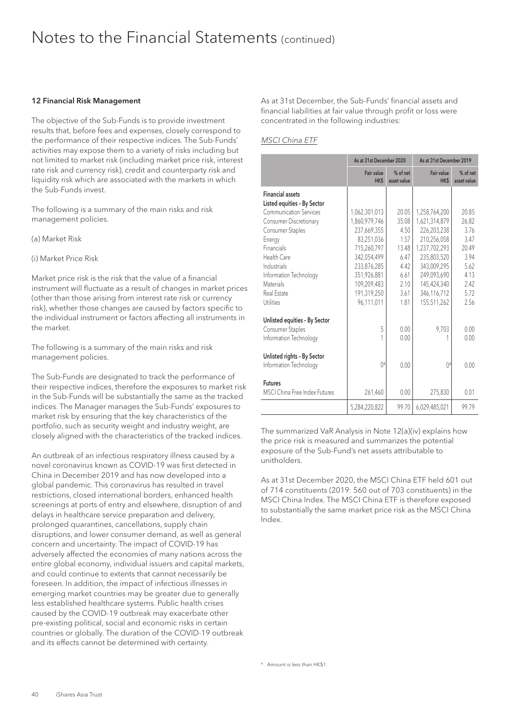#### 12 Financial Risk Management

The objective of the Sub-Funds is to provide investment results that, before fees and expenses, closely correspond to the performance of their respective indices. The Sub-Funds' activities may expose them to a variety of risks including but not limited to market risk (including market price risk, interest rate risk and currency risk), credit and counterparty risk and liquidity risk which are associated with the markets in which the Sub-Funds invest.

The following is a summary of the main risks and risk management policies.

(a) Market Risk

(i) Market Price Risk

Market price risk is the risk that the value of a financial instrument will fluctuate as a result of changes in market prices (other than those arising from interest rate risk or currency risk), whether those changes are caused by factors specific to the individual instrument or factors affecting all instruments in the market.

The following is a summary of the main risks and risk management policies.

The Sub-Funds are designated to track the performance of their respective indices, therefore the exposures to market risk in the Sub-Funds will be substantially the same as the tracked indices. The Manager manages the Sub-Funds' exposures to market risk by ensuring that the key characteristics of the portfolio, such as security weight and industry weight, are closely aligned with the characteristics of the tracked indices.

An outbreak of an infectious respiratory illness caused by a novel coronavirus known as COVID-19 was first detected in China in December 2019 and has now developed into a global pandemic. This coronavirus has resulted in travel restrictions, closed international borders, enhanced health screenings at ports of entry and elsewhere, disruption of and delays in healthcare service preparation and delivery, prolonged quarantines, cancellations, supply chain disruptions, and lower consumer demand, as well as general concern and uncertainty. The impact of COVID-19 has adversely affected the economies of many nations across the entire global economy, individual issuers and capital markets, and could continue to extents that cannot necessarily be foreseen. In addition, the impact of infectious illnesses in emerging market countries may be greater due to generally less established healthcare systems. Public health crises caused by the COVID-19 outbreak may exacerbate other pre-existing political, social and economic risks in certain countries or globally. The duration of the COVID-19 outbreak and its effects cannot be determined with certainty.

As at 31st December, the Sub-Funds' financial assets and financial liabilities at fair value through profit or loss were concentrated in the following industries:

#### MSCI China ETF

|                               | As at 31st December 2020 |                         | As at 31st December 2019  |                         |
|-------------------------------|--------------------------|-------------------------|---------------------------|-------------------------|
|                               | Fair value<br>HK\$       | % of net<br>asset value | Fair value<br><b>HK\$</b> | % of net<br>asset value |
| <b>Financial assets</b>       |                          |                         |                           |                         |
| Listed equities - By Sector   |                          |                         |                           |                         |
| <b>Communication Services</b> | 1,062,301,013            | 20.05                   | 1,258,764,200             | 20.85                   |
| <b>Consumer Discretionary</b> | 1,860,979,746            | 35.08                   | 1,621,314,879             | 26.82                   |
| Consumer Staples              | 237,669,355              | 4.50                    | 226,203,238               | 3.76                    |
| Energy                        | 83,251,036               | 1.57                    | 210,256,058               | 3.47                    |
| Financials                    | 715,260,797              | 13.48                   | 1,237,702,293             | 20.49                   |
| Health Care                   | 342.054.499              | 6.47                    | 235.803.520               | 3.94                    |
| Industrials                   | 233,876,285              | 4.42                    | 343,009,295               | 5.62                    |
| Information Technology        | 351.926.881              | 6.61                    | 249.093.690               | 4.13                    |
| Materials                     | 109,209,483              | 2.10                    | 145,424,340               | 2.42                    |
| Real Estate                   | 191,319,250              | 3.61                    | 346,116,712               | 5.72                    |
| Utilities                     | 96,111,011               | 1.81                    | 155,511,262               | 2.56                    |
| Unlisted equities - By Sector |                          |                         |                           |                         |
| Consumer Staples              | 5                        | 0.00                    | 9,703                     | 0.00                    |
| Information Technology        |                          | 0.00                    |                           | 0.00                    |
| Unlisted rights - By Sector   |                          |                         |                           |                         |
| Information Technology        | $()^{\Delta}$            | 0.00                    | $()^{\Delta}$             | 0.00                    |
| <b>Futures</b>                |                          |                         |                           |                         |
| MSCI China Free Index Futures | 261,460                  | 0.00                    | 275,830                   | 0.01                    |
|                               | 5,284,220,822            | 99.70                   | 6,029,485,021             | 99.79                   |

The summarized VaR Analysis in Note 12(a)(iv) explains how the price risk is measured and summarizes the potential exposure of the Sub-Fund's net assets attributable to unitholders.

As at 31st December 2020, the MSCI China ETF held 601 out of 714 constituents (2019: 560 out of 703 constituents) in the MSCI China Index. The MSCI China ETF is therefore exposed to substantially the same market price risk as the MSCI China Index.

A Amount is less than HK\$1.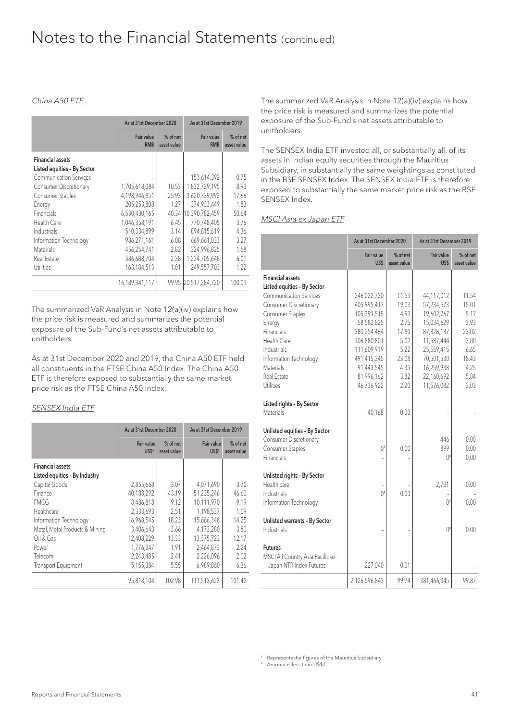#### China A50 ETF

|                                                        | As at 31st December 2020 |                           | As at 31st December 2019 |                         |  |
|--------------------------------------------------------|--------------------------|---------------------------|--------------------------|-------------------------|--|
|                                                        | Fair value<br><b>RMB</b> | $%$ of net<br>asset value | Fair value<br><b>RMB</b> | % of net<br>asset value |  |
| <b>Financial assets</b><br>Listed equities - By Sector |                          |                           |                          |                         |  |
| <b>Communication Services</b>                          |                          |                           | 153,614,392              | 0.75                    |  |
| Consumer Discretionary                                 | 1,705,618,084            | 10.53                     | 1,832,729,195            | 8.93                    |  |
| Consumer Staples                                       | 4,198,946,851            | 25.93                     | 3,620,739,992            | 17.66                   |  |
| Energy                                                 | 205,253,808              | 1.27                      | 374,933,449              | 1.83                    |  |
| <b>Financials</b>                                      | 6,530,430,165            | 40.34                     | 10.390.782.459           | 50.64                   |  |
| Health Care                                            | 1,046,358,191            | 6.45                      | 770,748,405              | 3.76                    |  |
| Industrials                                            | 510.334.899              | 3.14                      | 894.815.619              | 4.36                    |  |
| Information Technology                                 | 986,271,161              | 6.08                      | 669,661,033              | 3.27                    |  |
| <b>Materials</b>                                       | 456,254,741              | 2.82                      | 324,996.825              | 1.58                    |  |
| Real Estate                                            | 386,688,704              | 2.38                      | 1,234,705,648            | 6.01                    |  |
| Utilities                                              | 163,184,513              | 1.01                      | 249,557,703              | 1.22                    |  |
|                                                        | 16,189,341,117           |                           | 99.95 20.517.284.720     | 100.01                  |  |

The summarized VaR Analysis in Note 12(a)(iv) explains how the price risk is measured and summarizes the potential exposure of the Sub-Fund's net assets attributable to unitholders.

As at 31st December 2020 and 2019, the China A50 ETF held all constituents in the FTSE China A50 Index. The China A50 ETF is therefore exposed to substantially the same market price risk as the FTSE China A50 Index.

#### SENSEX India ETF

|                                                          | As at 31st December 2020 |                         | As at 31st December 2019 |                         |  |
|----------------------------------------------------------|--------------------------|-------------------------|--------------------------|-------------------------|--|
|                                                          | Fair value<br>US\$6      | % of net<br>asset value | Fair value<br>US\$6      | % of net<br>asset value |  |
| <b>Financial assets</b><br>Listed equities - By Industry |                          |                         |                          |                         |  |
| Capital Goods                                            | 2,855,668                | 3.07                    | 4.071.690                | 3.70                    |  |
| Finance                                                  | 40,183,292               | 43.19                   | 51,235,246               | 46.60                   |  |
| <b>FMCG</b>                                              | 8,486,818                | 9.12                    | 10.111.970               | 9.19                    |  |
| Healthcare                                               | 2,333,693                | 2.51                    | 1,198,537                | 1.09                    |  |
| Information Technology                                   | 16,968,545               | 18.23                   | 15,666,348               | 14.25                   |  |
| Metal, Metal Products & Mining                           | 3,406,643                | 3.66                    | 4.173.280                | 3.80                    |  |
| Oil & Gas                                                | 12,408,229               | 13.33                   | 13,375,723               | 12.17                   |  |
| Power                                                    | 1,776,347                | 1.91                    | 2,464,873                | 2.24                    |  |
| Telecom                                                  | 2,243,485                | 2.41                    | 2,226,096                | 2.02                    |  |
| <b>Transport Equipment</b>                               | 5,155,384                | 5.55                    | 6,989,860                | 6.36                    |  |
|                                                          | 95,818,104               | 102.98                  | 111,513,623              | 101.42                  |  |

The summarized VaR Analysis in Note 12(a)(iv) explains how the price risk is measured and summarizes the potential exposure of the Sub-Fund's net assets attributable to unitholders.

The SENSEX India ETF invested all, or substantially all, of its assets in Indian equity securities through the Mauritius Subsidiary, in substantially the same weightings as constituted in the BSE SENSEX Index. The SENSEX India ETF is therefore exposed to substantially the same market price risk as the BSE SENSEX Index.

#### MSCI Asia ex Japan ETF

|                                                                                           | As at 31st December 2020   |                         | As at 31st December 2019     |                         |  |
|-------------------------------------------------------------------------------------------|----------------------------|-------------------------|------------------------------|-------------------------|--|
|                                                                                           | Fair value<br>US\$         | % of net<br>asset value | Fair value<br>US\$           | % of net<br>asset value |  |
| <b>Financial assets</b>                                                                   |                            |                         |                              |                         |  |
| Listed equities - By Sector<br><b>Communication Services</b>                              |                            | 11.53                   |                              |                         |  |
| Consumer Discretionary                                                                    | 246,022,720<br>405,995,417 | 19.03                   | 44,117,012<br>57,234,573     | 11.54<br>15.01          |  |
| Consumer Staples                                                                          | 105,391,515                | 4.93                    | 19,602,767                   | 5.17                    |  |
| Energy                                                                                    | 58,582,825                 | 2.75                    | 15,034,629                   | 3.93                    |  |
| Financials                                                                                | 380,254,464                | 17.80                   | 87,828,187                   | 23.02                   |  |
| Health Care                                                                               | 106,880,801                | 5.02                    | 11,587,444                   | 3.00                    |  |
| Industrials                                                                               | 111,609,919                | 5.22                    | 25,559,415                   | 6.65                    |  |
| Information Technology                                                                    | 491,415,345                | 23.08                   | 70,501,530                   | 18.43                   |  |
| Materials                                                                                 | 91,443,545                 | 4.35                    | 16,259,938                   | 4.25                    |  |
| Real Estate                                                                               | 81,996,162                 | 3.82                    | 22,160,692                   | 5.84                    |  |
| <b>Utilities</b>                                                                          | 46,736,922                 | 2.20                    | 11,576,082                   | 3.03                    |  |
| Listed rights - By Sector<br>Materials                                                    | 40,168                     | 0.00                    |                              |                         |  |
| Unlisted equities - By Sector<br>Consumer Discretionary<br>Consumer Staples<br>Financials | $()^{\#}$                  | 0.00                    | 446<br>899<br>$0^{\text{H}}$ | 0.00<br>0.00<br>0.00    |  |
| Unlisted rights - By Sector                                                               |                            |                         |                              |                         |  |
| Health care                                                                               |                            |                         | 2,731                        | 0.00                    |  |
| Industrials                                                                               | $0^{\text{H}}$             | 0.00                    |                              |                         |  |
| Information Technology                                                                    |                            |                         | $()^{\#}$                    | 0.00                    |  |
| Unlisted warrants - By Sector<br>Industrials                                              |                            |                         | $0^{\#}$                     | 0.00                    |  |
| <b>Futures</b><br>MSCI All Country Asia Pacific ex<br>Japan NTR Index Futures             | 227,040                    | 0.01                    |                              |                         |  |
|                                                                                           | 2,126,596,843              | 99.74                   | 381,466,345                  | 99.87                   |  |

<sup>6</sup> Represents the figures of the Mauritius Subsidiary.

# Amount is less than US\$1.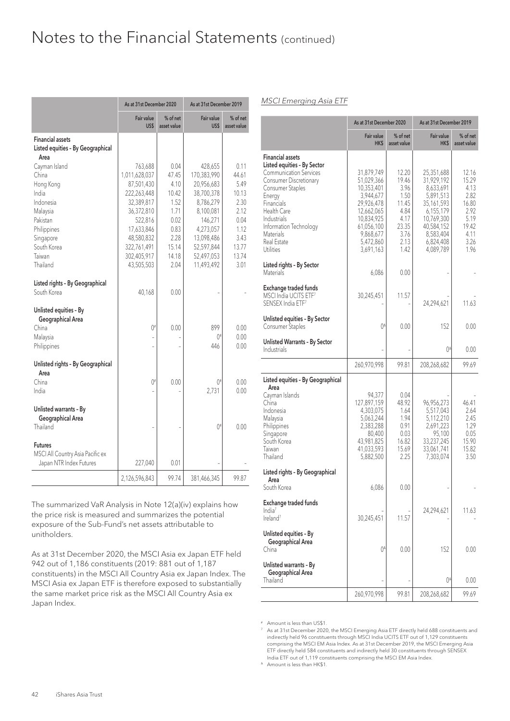|                                                                                                                                        | As at 31st December 2020                                                                                                                               |                                                                                          | As at 31st December 2019                                                                                                                       |                                                                                          |  |
|----------------------------------------------------------------------------------------------------------------------------------------|--------------------------------------------------------------------------------------------------------------------------------------------------------|------------------------------------------------------------------------------------------|------------------------------------------------------------------------------------------------------------------------------------------------|------------------------------------------------------------------------------------------|--|
|                                                                                                                                        | Fair value<br>US\$                                                                                                                                     | % of net<br>asset value                                                                  | Fair value<br>US\$                                                                                                                             | % of net<br>asset value                                                                  |  |
| <b>Financial assets</b><br>Listed equities - By Geographical<br>Area                                                                   |                                                                                                                                                        |                                                                                          |                                                                                                                                                |                                                                                          |  |
| Cayman Island<br>China<br>Hong Kong<br>India<br>Indonesia<br>Malaysia<br>Pakistan<br>Philippines<br>Singapore<br>South Korea<br>Taiwan | 763,688<br>1,011,628,037<br>87,501,430<br>222,263,448<br>32,389,817<br>36,372,810<br>522,816<br>17,633,846<br>48,580,832<br>322,761,491<br>302,405,917 | 0.04<br>47.45<br>4.10<br>10.42<br>1.52<br>1.71<br>0.02<br>0.83<br>2.28<br>15.14<br>14.18 | 428,655<br>170,383,990<br>20,956,683<br>38,700,378<br>8,786,279<br>8,100,081<br>146,271<br>4,273,057<br>13,098,486<br>52,597,844<br>52,497,053 | 0.11<br>44.61<br>5.49<br>10.13<br>2.30<br>2.12<br>0.04<br>1.12<br>3.43<br>13.77<br>13.74 |  |
| Thailand<br>Listed rights - By Geographical<br>South Korea                                                                             | 43,505,503<br>40,168                                                                                                                                   | 2.04<br>0.00                                                                             | 11,493,492                                                                                                                                     | 3.01                                                                                     |  |
| Unlisted equities - By<br>Geographical Area<br>China<br>Malaysia<br>Philippines                                                        | $0^{\#}$                                                                                                                                               | 0.00                                                                                     | 899<br>$0^{\text{#}}$<br>446                                                                                                                   | 0.00<br>0.00<br>0.00                                                                     |  |
| Unlisted rights - By Geographical<br>Area<br>China<br>India                                                                            | 0#                                                                                                                                                     | 0.00                                                                                     | $()$ <sup>#</sup><br>2,731                                                                                                                     | 0.00<br>0.00                                                                             |  |
| Unlisted warrants - By<br>Geographical Area<br>Thailand                                                                                |                                                                                                                                                        |                                                                                          | $0^{\sharp}$                                                                                                                                   | 0.00                                                                                     |  |
| <b>Futures</b><br>MSCI All Country Asia Pacific ex<br>Japan NTR Index Futures                                                          | 227,040                                                                                                                                                | 0.01                                                                                     |                                                                                                                                                |                                                                                          |  |
|                                                                                                                                        | 2,126,596,843                                                                                                                                          | 99.74                                                                                    | 381,466,345                                                                                                                                    | 99.87                                                                                    |  |

The summarized VaR Analysis in Note 12(a)(iv) explains how the price risk is measured and summarizes the potential exposure of the Sub-Fund's net assets attributable to unitholders.

As at 31st December 2020, the MSCI Asia ex Japan ETF held 942 out of 1,186 constituents (2019: 881 out of 1,187 constituents) in the MSCI All Country Asia ex Japan Index. The MSCI Asia ex Japan ETF is therefore exposed to substantially the same market price risk as the MSCI All Country Asia ex Japan Index.

#### MSCI Emerging Asia ETF

|                                                                                                                                                                                                                                                                | As at 31st December 2020                                                                                                                           |                                                                                          | As at 31st December 2019                                                                                                                         |                                                                                          |
|----------------------------------------------------------------------------------------------------------------------------------------------------------------------------------------------------------------------------------------------------------------|----------------------------------------------------------------------------------------------------------------------------------------------------|------------------------------------------------------------------------------------------|--------------------------------------------------------------------------------------------------------------------------------------------------|------------------------------------------------------------------------------------------|
|                                                                                                                                                                                                                                                                | Fair value<br>HK\$                                                                                                                                 | % of net<br>asset value                                                                  | Fair value<br>HK\$                                                                                                                               | % of net<br>asset value                                                                  |
| <b>Financial assets</b><br>Listed equities - By Sector<br><b>Communication Services</b><br>Consumer Discretionary<br>Consumer Staples<br>Energy<br>Financials<br>Health Care<br>Industrials<br>Information Technology<br>Materials<br>Real Estate<br>Utilities | 31,879,749<br>51,029,366<br>10,353,401<br>3,944,677<br>29,926,478<br>12,662,065<br>10,834,925<br>61,056,100<br>9,868,677<br>5,472,860<br>3,691,163 | 12.20<br>19.46<br>3.96<br>1.50<br>11.45<br>4.84<br>4.17<br>23.35<br>3.76<br>2.13<br>1.42 | 25,351,688<br>31,929,192<br>8,633,691<br>5,891,513<br>35,161,593<br>6,155,179<br>10,769,300<br>40,584,152<br>8.583.404<br>6,824,408<br>4,089,789 | 12.16<br>15.29<br>4.13<br>2.82<br>16.80<br>2.92<br>5.19<br>19.42<br>4.11<br>3.26<br>1.96 |
| Listed rights - By Sector<br>Materials                                                                                                                                                                                                                         | 6,086                                                                                                                                              | 0.00                                                                                     |                                                                                                                                                  |                                                                                          |
| Exchange traded funds<br>MSCI India UCITS ETF <sup>7</sup><br>SENSEX India ETF <sup>7</sup>                                                                                                                                                                    | 30,245,451                                                                                                                                         | 11.57                                                                                    | 24,294,621                                                                                                                                       | 11.63                                                                                    |
| Unlisted equities - By Sector<br>Consumer Staples                                                                                                                                                                                                              | $()^{\Delta}$                                                                                                                                      | 0.00                                                                                     | 152                                                                                                                                              | 0.00                                                                                     |
| Unlisted Warrants - By Sector<br>Industrials                                                                                                                                                                                                                   |                                                                                                                                                    |                                                                                          | 04                                                                                                                                               | 0.00                                                                                     |
|                                                                                                                                                                                                                                                                | 260,970,998                                                                                                                                        | 99.81                                                                                    | 208,268,682                                                                                                                                      | 99.69                                                                                    |
| Listed equities - By Geographical<br>Area<br>Cayman Islands<br>China<br>Indonesia<br>Malaysia<br>Philippines<br>Singapore<br>South Korea<br>Taiwan<br>Thailand                                                                                                 | 94,377<br>127,897,159<br>4,303,075<br>5,063,244<br>2,383,288<br>80,400<br>43,981,825<br>41,033,593<br>5,882,500                                    | 0.04<br>48.92<br>1.64<br>1.94<br>0.91<br>0.03<br>16.82<br>15.69<br>2.25                  | 96,956,273<br>5,517,043<br>5,112,210<br>2,691,223<br>95,100<br>33,237,245<br>33,061,741<br>7,303,074                                             | 46.41<br>2.64<br>2.45<br>1.29<br>0.05<br>15.90<br>15.82<br>3.50                          |
| Listed rights - By Geographical<br>Area<br>South Korea<br>Exchange traded funds<br>India <sup>7</sup>                                                                                                                                                          | 6,086                                                                                                                                              | 0.00                                                                                     | 24,294,621                                                                                                                                       | 11.63                                                                                    |
| Ireland <sup>7</sup><br>Unlisted equities - By<br>Geographical Area<br>China                                                                                                                                                                                   | 30,245,451<br>$()^{\Delta}$                                                                                                                        | 11.57<br>0.00                                                                            | 152                                                                                                                                              | 0.00                                                                                     |
| Unlisted warrants - By<br>Geographical Area<br>Thailand                                                                                                                                                                                                        |                                                                                                                                                    |                                                                                          | 04                                                                                                                                               | 0.00                                                                                     |
|                                                                                                                                                                                                                                                                | 260,970,998                                                                                                                                        | 99.81                                                                                    | 208,268,682                                                                                                                                      | 99.69                                                                                    |

# Amount is less than US\$1.

<sup>7</sup> As at 31st December 2020, the MSCI Emerging Asia ETF directly held 688 constituents and indirectly held 96 constituents through MSCI India UCITS ETF out of 1,129 constituents comprising the MSCI EM Asia Index. As at 31st December 2019, the MSCI Emerging Asia ETF directly held 584 constituents and indirectly held 30 constituents through SENSEX India ETF out of 1,119 constituents comprising the MSCI EM Asia Index.

 $^{\circ}$  Amount is less than HK\$1.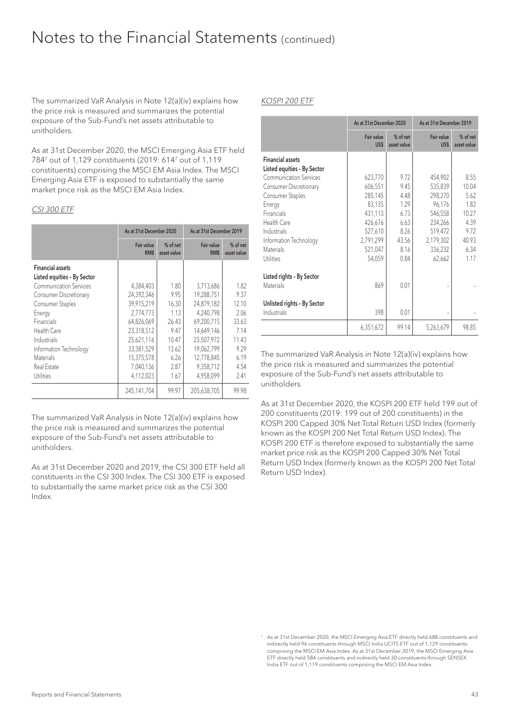The summarized VaR Analysis in Note 12(a)(iv) explains how the price risk is measured and summarizes the potential exposure of the Sub-Fund's net assets attributable to unitholders.

As at 31st December 2020, the MSCI Emerging Asia ETF held 7847 out of 1,129 constituents (2019: 6147 out of 1,119 constituents) comprising the MSCI EM Asia Index. The MSCI Emerging Asia ETF is exposed to substantially the same market price risk as the MSCI EM Asia Index.

#### CSI 300 ETF

|                                                        | As at 31st December 2020 |                         | As at 31st December 2019 |                         |
|--------------------------------------------------------|--------------------------|-------------------------|--------------------------|-------------------------|
|                                                        | Fair value<br><b>RMB</b> | % of net<br>asset value | Fair value<br><b>RMB</b> | % of net<br>asset value |
| <b>Financial assets</b><br>Listed equities - By Sector |                          |                         |                          |                         |
| <b>Communication Services</b>                          | 4,384,403                | 1.80                    | 3,713,686                | 1.82                    |
| Consumer Discretionary                                 | 24,392,346               | 9.95                    | 19,288,751               | 9.37                    |
| Consumer Staples                                       | 39.915.219               | 16.30                   | 24.879.182               | 12.10                   |
| Energy                                                 | 2,774,773                | 1.13                    | 4,240,798                | 2.06                    |
| Financials                                             | 64,826,069               | 26.43                   | 69.200.715               | 33.63                   |
| Health Care                                            | 23,318,512               | 9.47                    | 14,649,146               | 7.14                    |
| Industrials                                            | 25,621,116               | 10.47                   | 23.507.972               | 11.43                   |
| Information Technology                                 | 33,381,529               | 13.62                   | 19.062.799               | 9.29                    |
| <b>Materials</b>                                       | 15,375,578               | 6.26                    | 12.778.845               | 6.19                    |
| Real Estate                                            | 7,040,136                | 2.87                    | 9,358,712                | 4.54                    |
| <b>Utilities</b>                                       | 4,112,023                | 1.67                    | 4.958.099                | 2.41                    |
|                                                        | 245,141,704              | 99.97                   | 205,638,705              | 99.98                   |

The summarized VaR Analysis in Note 12(a)(iv) explains how the price risk is measured and summarizes the potential exposure of the Sub-Fund's net assets attributable to unitholders.

As at 31st December 2020 and 2019, the CSI 300 ETF held all constituents in the CSI 300 Index. The CSI 300 ETF is exposed to substantially the same market price risk as the CSI 300 Index.

#### KOSPI 200 ETF

|                                                                                                                                                       | As at 31st December 2020                                                   |                                                       | As at 31st December 2019                                                   |                                                       |
|-------------------------------------------------------------------------------------------------------------------------------------------------------|----------------------------------------------------------------------------|-------------------------------------------------------|----------------------------------------------------------------------------|-------------------------------------------------------|
|                                                                                                                                                       | Fair value<br>US\$                                                         | $%$ of net<br>asset value                             | Fair value<br>US\$                                                         | $%$ of net<br>asset value                             |
| <b>Financial assets</b><br>Listed equities - By Sector<br><b>Communication Services</b>                                                               | 623,770<br>606,551                                                         | 972<br>9.45                                           | 454,902<br>535,839                                                         | 8.55<br>10.04                                         |
| <b>Consumer Discretionary</b><br>Consumer Staples<br>Energy<br><b>Financials</b><br>Health Care<br>Industrials<br>Information Technology<br>Materials | 285,145<br>83,135<br>431,113<br>426,676<br>527,610<br>2,791,299<br>521,047 | 4.48<br>1.29<br>6.73<br>6.63<br>8.26<br>43.56<br>8.16 | 298,270<br>96,176<br>546,558<br>234,266<br>519,472<br>2,179,302<br>336,232 | 562<br>1.82<br>10.27<br>4.39<br>9.72<br>40.93<br>6.34 |
| Utilities<br>Listed rights - By Sector<br>Materials<br>Unlisted rights - By Sector<br>Industrials                                                     | 54,059<br>869<br>398                                                       | 0.84<br>0.01<br>0.01                                  | 62,662                                                                     | 117                                                   |
|                                                                                                                                                       | 6,351,672                                                                  | 99.14                                                 | 5,263,679                                                                  | 98.85                                                 |

The summarized VaR Analysis in Note 12(a)(iv) explains how the price risk is measured and summarizes the potential exposure of the Sub-Fund's net assets attributable to unitholders.

As at 31st December 2020, the KOSPI 200 ETF held 199 out of 200 constituents (2019: 199 out of 200 constituents) in the KOSPI 200 Capped 30% Net Total Return USD Index (formerly known as the KOSPI 200 Net Total Return USD Index). The KOSPI 200 ETF is therefore exposed to substantially the same market price risk as the KOSPI 200 Capped 30% Net Total Return USD Index (formerly known as the KOSPI 200 Net Total Return USD Index).

<sup>7</sup> As at 31st December 2020, the MSCI Emerging Asia ETF directly held 688 constituents and indirectly held 96 constituents through MSCI India UCITS ETF out of 1,129 constituents comprising the MSCI EM Asia Index. As at 31st December 2019, the MSCI Emerging Asia ETF directly held 584 constituents and indirectly held 30 constituents through SENSEX India ETF out of 1,119 constituents comprising the MSCI EM Asia Index.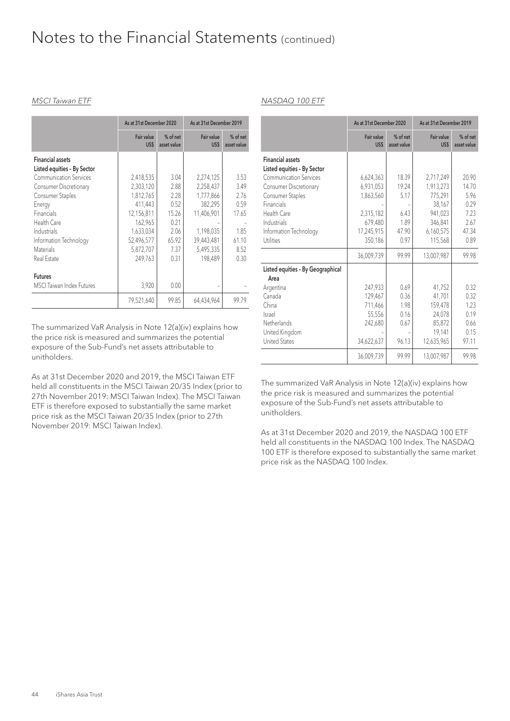#### MSCI Taiwan ETF

|                                                        | As at 31st December 2020 |                         | As at 31st December 2019 |                         |
|--------------------------------------------------------|--------------------------|-------------------------|--------------------------|-------------------------|
|                                                        | Fair value<br>US\$       | % of net<br>asset value | Fair value<br>US\$       | % of net<br>asset value |
| <b>Financial assets</b><br>Listed equities - By Sector |                          |                         |                          |                         |
| <b>Communication Services</b>                          | 2,418,535                | 3.04                    | 2,274,125                | 3.53                    |
| Consumer Discretionary                                 | 2,303,120                | 2.88                    | 2,258,437                | 3.49                    |
| Consumer Staples                                       | 1,812,765                | 2.28                    | 1,777,866                | 2.76                    |
| Energy                                                 | 411,443                  | 0.52                    | 382,295                  | 0.59                    |
| Financials                                             | 12,156,811               | 15.26                   | 11,406,901               | 17.65                   |
| Health Care                                            | 162,965                  | 0.21                    |                          |                         |
| Industrials                                            | 1,633,034                | 2.06                    | 1,198,035                | 1.85                    |
| Information Technology                                 | 52,496,577               | 65.92                   | 39,443,481               | 61.10                   |
| <b>Materials</b>                                       | 5,872,707                | 7.37                    | 5,495,335                | 8.52                    |
| Real Estate                                            | 249,763                  | 0.31                    | 198,489                  | 0.30                    |
| <b>Futures</b>                                         |                          |                         |                          |                         |
| <b>MSCI</b> Taiwan Index Futures                       | 3,920                    | 0.00                    |                          |                         |
|                                                        | 79,521,640               | 99.85                   | 64,434,964               | 99.79                   |

The summarized VaR Analysis in Note 12(a)(iv) explains how the price risk is measured and summarizes the potential exposure of the Sub-Fund's net assets attributable to unitholders.

As at 31st December 2020 and 2019, the MSCI Taiwan ETF held all constituents in the MSCI Taiwan 20/35 Index (prior to 27th November 2019: MSCI Taiwan Index). The MSCI Taiwan ETF is therefore exposed to substantially the same market price risk as the MSCI Taiwan 20/35 Index (prior to 27th November 2019: MSCI Taiwan Index).

#### NASDAQ 100 ETF

|                                                                                                                                                                                                             | As at 31st December 2020                                                  |                                                 | As at 31st December 2019                                                       |                                                         |
|-------------------------------------------------------------------------------------------------------------------------------------------------------------------------------------------------------------|---------------------------------------------------------------------------|-------------------------------------------------|--------------------------------------------------------------------------------|---------------------------------------------------------|
|                                                                                                                                                                                                             | Fair value<br>US\$                                                        | % of net<br>asset value                         | Fair value<br>US\$                                                             | % of net<br>asset value                                 |
| <b>Financial assets</b><br>Listed equities - By Sector<br><b>Communication Services</b><br>Consumer Discretionary<br>Consumer Staples<br>Financials<br>Health Care<br>Industrials<br>Information Technology | 6,624,363<br>6,931,053<br>1,863,560<br>2,315,182<br>679,480<br>17,245,915 | 18.39<br>19.24<br>5.17<br>6.43<br>1.89<br>47.90 | 2,717,249<br>1,913,273<br>775,291<br>38,167<br>941,023<br>346,841<br>6,160,575 | 20.90<br>14.70<br>5.96<br>0.29<br>7.23<br>2.67<br>47.34 |
| Utilities                                                                                                                                                                                                   | 350,186                                                                   | 0.97                                            | 115,568                                                                        | 0.89                                                    |
|                                                                                                                                                                                                             | 36,009,739                                                                | 99.99                                           | 13,007,987                                                                     | 99.98                                                   |
| Listed equities - By Geographical<br>Area                                                                                                                                                                   |                                                                           |                                                 |                                                                                |                                                         |
| Argentina<br>Canada<br>China<br><b>Israel</b><br>Netherlands<br>United Kingdom<br><b>United States</b>                                                                                                      | 247,933<br>129,467<br>711,466<br>55,556<br>242,680<br>34,622,637          | 0.69<br>0.36<br>1.98<br>0.16<br>0.67<br>96.13   | 41,752<br>41,701<br>159,478<br>24.078<br>85,872<br>19,141<br>12,635,965        | 0.32<br>0.32<br>1.23<br>0.19<br>0.66<br>0.15<br>97.11   |
|                                                                                                                                                                                                             | 36,009,739                                                                | 99.99                                           | 13,007,987                                                                     | 99.98                                                   |

The summarized VaR Analysis in Note 12(a)(iv) explains how the price risk is measured and summarizes the potential exposure of the Sub-Fund's net assets attributable to unitholders.

As at 31st December 2020 and 2019, the NASDAQ 100 ETF held all constituents in the NASDAQ 100 Index. The NASDAQ 100 ETF is therefore exposed to substantially the same market price risk as the NASDAQ 100 Index.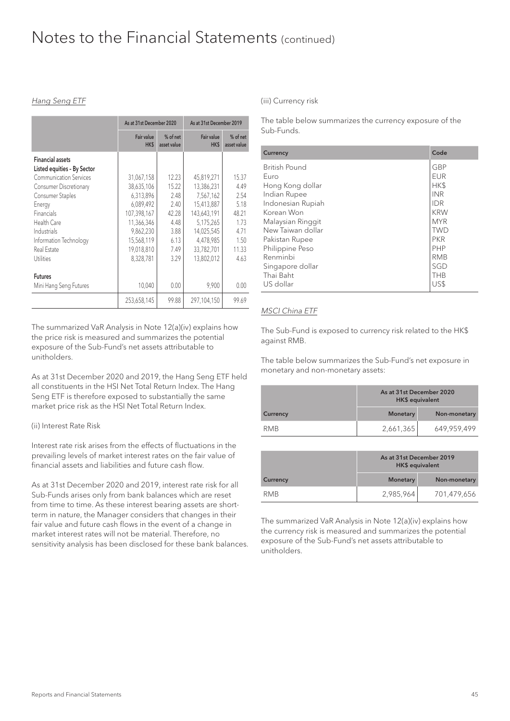#### Hang Seng ETF

|                                                                                                                                                                              | As at 31st December 2020                                          |                                                 | As at 31st December 2019                                           |                                                |
|------------------------------------------------------------------------------------------------------------------------------------------------------------------------------|-------------------------------------------------------------------|-------------------------------------------------|--------------------------------------------------------------------|------------------------------------------------|
|                                                                                                                                                                              | Fair value<br>HK\$                                                | % of net<br>asset value                         | Fair value<br>HK\$                                                 | % of net<br>asset value                        |
| <b>Financial assets</b><br>Listed equities - By Sector<br><b>Communication Services</b><br>Consumer Discretionary<br>Consumer Staples<br>Energy<br>Financials<br>Health Care | 31,067,158<br>38,635,106<br>6,313,896<br>6,089,492<br>107,398,167 | 12.23<br>15.22<br>2.48<br>2.40<br>42.28<br>4.48 | 45,819,271<br>13,386,231<br>7,567,162<br>15.413.887<br>143,643,191 | 15.37<br>4.49<br>2.54<br>5.18<br>48.21<br>1.73 |
| Industrials<br>Information Technology<br>Real Estate<br>Utilities                                                                                                            | 11,366,346<br>9,862,230<br>15,568,119<br>19,018,810<br>8,328,781  | 3.88<br>6.13<br>7.49<br>3.29                    | 5,175,265<br>14,025,545<br>4,478,985<br>33,782,701<br>13,802,012   | 4.71<br>1.50<br>11.33<br>4.63                  |
| <b>Futures</b><br>Mini Hang Seng Futures                                                                                                                                     | 10,040<br>253,658,145                                             | 0.00<br>99.88                                   | 9,900<br>297,104,150                                               | 0.00<br>99.69                                  |

The summarized VaR Analysis in Note 12(a)(iv) explains how the price risk is measured and summarizes the potential exposure of the Sub-Fund's net assets attributable to unitholders.

As at 31st December 2020 and 2019, the Hang Seng ETF held all constituents in the HSI Net Total Return Index. The Hang Seng ETF is therefore exposed to substantially the same market price risk as the HSI Net Total Return Index.

#### (ii) Interest Rate Risk

Interest rate risk arises from the effects of fluctuations in the prevailing levels of market interest rates on the fair value of financial assets and liabilities and future cash flow.

As at 31st December 2020 and 2019, interest rate risk for all Sub-Funds arises only from bank balances which are reset from time to time. As these interest bearing assets are shortterm in nature, the Manager considers that changes in their fair value and future cash flows in the event of a change in market interest rates will not be material. Therefore, no sensitivity analysis has been disclosed for these bank balances. (iii) Currency risk

The table below summarizes the currency exposure of the Sub-Funds.

| Currency             | Code       |
|----------------------|------------|
| <b>British Pound</b> | <b>GBP</b> |
| Euro                 | <b>EUR</b> |
| Hong Kong dollar     | HK\$       |
| Indian Rupee         | <b>INR</b> |
| Indonesian Rupiah    | <b>IDR</b> |
| Korean Won           | <b>KRW</b> |
| Malaysian Ringgit    | <b>MYR</b> |
| New Taiwan dollar    | <b>TWD</b> |
| Pakistan Rupee       | <b>PKR</b> |
| Philippine Peso      | <b>PHP</b> |
| Renminbi             | <b>RMB</b> |
| Singapore dollar     | SGD        |
| Thai Baht            | <b>THB</b> |
| US dollar            | US\$       |

#### MSCI China ETF

The Sub-Fund is exposed to currency risk related to the HK\$ against RMB.

The table below summarizes the Sub-Fund's net exposure in monetary and non-monetary assets:

|                 | As at 31st December 2020<br>HK\$ equivalent |              |
|-----------------|---------------------------------------------|--------------|
| <b>Currency</b> | <b>Monetary</b>                             | Non-monetary |
| <b>RMB</b>      | 2,661,365                                   | 649,959,499  |

|                 | As at 31st December 2019<br><b>HK\$</b> equivalent |              |
|-----------------|----------------------------------------------------|--------------|
| <b>Currency</b> | <b>Monetary</b>                                    | Non-monetary |
| <b>RMB</b>      | 2,985,964                                          | 701,479,656  |

The summarized VaR Analysis in Note 12(a)(iv) explains how the currency risk is measured and summarizes the potential exposure of the Sub-Fund's net assets attributable to unitholders.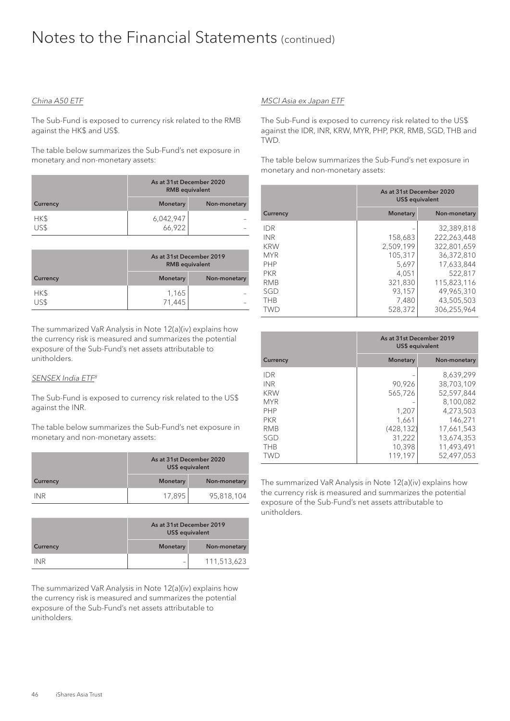#### China A50 ETF

The Sub-Fund is exposed to currency risk related to the RMB against the HK\$ and US\$.

The table below summarizes the Sub-Fund's net exposure in monetary and non-monetary assets:

|              | As at 31st December 2020<br><b>RMB</b> equivalent |              |
|--------------|---------------------------------------------------|--------------|
| Currency     | <b>Monetary</b>                                   | Non-monetary |
| HK\$<br>US\$ | 6,042,947<br>66,922                               |              |

|          | As at 31st December 2019<br><b>RMB</b> equivalent |              |
|----------|---------------------------------------------------|--------------|
| Currency | <b>Monetary</b>                                   | Non-monetary |
| HK\$     | 1,165                                             |              |
| US\$     | 71,445                                            |              |

The summarized VaR Analysis in Note 12(a)(iv) explains how the currency risk is measured and summarizes the potential exposure of the Sub-Fund's net assets attributable to unitholders.

#### SENSEX India ETF<sup>8</sup>

The Sub-Fund is exposed to currency risk related to the US\$ against the INR.

The table below summarizes the Sub-Fund's net exposure in monetary and non-monetary assets:

|                 | As at 31st December 2020<br>US\$ equivalent |              |
|-----------------|---------------------------------------------|--------------|
| <b>Currency</b> | <b>Monetary</b>                             | Non-monetary |
| <b>INR</b>      | 17.895                                      | 95,818,104   |

|            | As at 31st December 2019<br>US\$ equivalent |              |
|------------|---------------------------------------------|--------------|
| Currency   | <b>Monetary</b>                             | Non-monetary |
| <b>INR</b> |                                             | 111,513,623  |

The summarized VaR Analysis in Note 12(a)(iv) explains how the currency risk is measured and summarizes the potential exposure of the Sub-Fund's net assets attributable to unitholders.

#### MSCI Asia ex Japan ETF

The Sub-Fund is exposed to currency risk related to the US\$ against the IDR, INR, KRW, MYR, PHP, PKR, RMB, SGD, THB and TWD.

The table below summarizes the Sub-Fund's net exposure in monetary and non-monetary assets:

|                                                                                                | As at 31st December 2020<br>US\$ equivalent                  |                                                                                                |
|------------------------------------------------------------------------------------------------|--------------------------------------------------------------|------------------------------------------------------------------------------------------------|
| Currency                                                                                       | Monetary                                                     | Non-monetary                                                                                   |
| <b>IDR</b><br><b>INR</b><br><b>KRW</b><br><b>MYR</b><br><b>PHP</b><br><b>PKR</b><br><b>RMB</b> | 158,683<br>2.509.199<br>105,317<br>5.697<br>4.051<br>321.830 | 32,389,818<br>222.263.448<br>322,801,659<br>36,372,810<br>17,633,844<br>522.817<br>115,823,116 |
| SGD<br><b>THB</b><br><b>TWD</b>                                                                | 93,157<br>7,480<br>528,372                                   | 49.965.310<br>43,505,503<br>306,255,964                                                        |

|                                                                                                | As at 31st December 2019<br>US\$ equivalent       |                                                                                          |  |
|------------------------------------------------------------------------------------------------|---------------------------------------------------|------------------------------------------------------------------------------------------|--|
| <b>Currency</b>                                                                                | <b>Monetary</b>                                   | Non-monetary                                                                             |  |
| <b>IDR</b><br><b>INR</b><br><b>KRW</b><br><b>MYR</b><br><b>PHP</b><br><b>PKR</b><br><b>RMB</b> | 90,926<br>565,726<br>1.207<br>1.661<br>(428, 132) | 8,639,299<br>38,703,109<br>52,597,844<br>8,100,082<br>4.273.503<br>146.271<br>17,661,543 |  |
| SGD<br><b>THB</b><br>TWD                                                                       | 31,222<br>10,398<br>119.197                       | 13,674,353<br>11.493.491<br>52.497.053                                                   |  |

The summarized VaR Analysis in Note 12(a)(iv) explains how the currency risk is measured and summarizes the potential exposure of the Sub-Fund's net assets attributable to unitholders.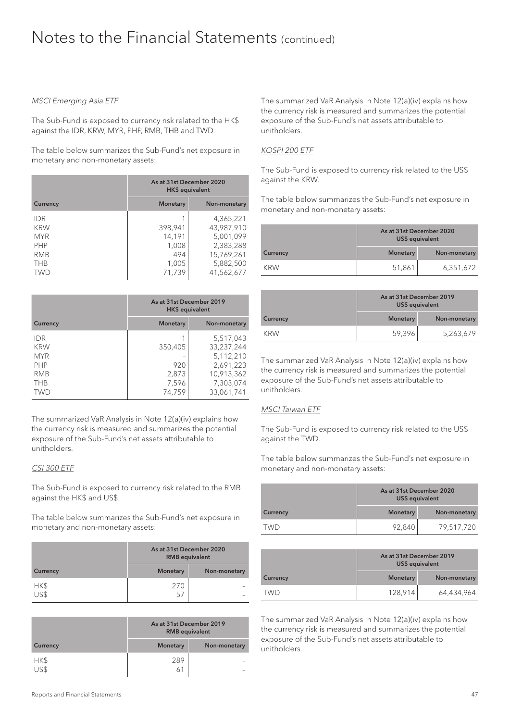#### MSCI Emerging Asia ETF

The Sub-Fund is exposed to currency risk related to the HK\$ against the IDR, KRW, MYR, PHP, RMB, THB and TWD.

The table below summarizes the Sub-Fund's net exposure in monetary and non-monetary assets:

|            | As at 31st December 2020<br>HK\$ equivalent |            |  |  |
|------------|---------------------------------------------|------------|--|--|
| Currency   | <b>Monetary</b><br>Non-monetary             |            |  |  |
| <b>IDR</b> |                                             | 4,365,221  |  |  |
| <b>KRW</b> | 43,987,910<br>398,941                       |            |  |  |
| <b>MYR</b> | 14,191                                      | 5,001,099  |  |  |
| <b>PHP</b> | 1,008                                       | 2,383,288  |  |  |
| <b>RMB</b> | 494                                         | 15,769,261 |  |  |
| <b>THB</b> | 1,005                                       | 5,882,500  |  |  |
| TWD        | 71,739                                      | 41,562,677 |  |  |

|            | As at 31st December 2019<br>HK\$ equivalent |            |  |  |
|------------|---------------------------------------------|------------|--|--|
| Currency   | <b>Monetary</b><br>Non-monetary             |            |  |  |
| <b>IDR</b> |                                             | 5,517,043  |  |  |
| <b>KRW</b> | 350,405                                     | 33,237,244 |  |  |
| <b>MYR</b> |                                             | 5,112,210  |  |  |
| <b>PHP</b> | 920                                         | 2,691,223  |  |  |
| <b>RMB</b> | 2,873                                       | 10,913,362 |  |  |
| <b>THB</b> | 7,596                                       | 7,303,074  |  |  |
| TWD        | 74,759                                      | 33,061,741 |  |  |

The summarized VaR Analysis in Note 12(a)(iv) explains how the currency risk is measured and summarizes the potential exposure of the Sub-Fund's net assets attributable to unitholders.

#### CSI 300 ETF

The Sub-Fund is exposed to currency risk related to the RMB against the HK\$ and US\$.

The table below summarizes the Sub-Fund's net exposure in monetary and non-monetary assets:

|                 | As at 31st December 2020<br><b>RMB</b> equivalent |  |  |
|-----------------|---------------------------------------------------|--|--|
| <b>Currency</b> | <b>Monetary</b><br>Non-monetary                   |  |  |
| HK\$<br>US\$    | 270                                               |  |  |
|                 | וכ                                                |  |  |

|                 | As at 31st December 2019<br><b>RMB</b> equivalent |  |  |
|-----------------|---------------------------------------------------|--|--|
| <b>Currency</b> | <b>Monetary</b><br>Non-monetary                   |  |  |
| HK\$<br>US\$    | 289                                               |  |  |
|                 | 6                                                 |  |  |

The summarized VaR Analysis in Note 12(a)(iv) explains how the currency risk is measured and summarizes the potential exposure of the Sub-Fund's net assets attributable to unitholders.

#### KOSPI 200 ETF

The Sub-Fund is exposed to currency risk related to the US\$ against the KRW.

The table below summarizes the Sub-Fund's net exposure in monetary and non-monetary assets:

|            | As at 31st December 2020<br>US\$ equivalent |           |  |  |
|------------|---------------------------------------------|-----------|--|--|
| Currency   | <b>Monetary</b><br>Non-monetary             |           |  |  |
| <b>KRW</b> | 51,861                                      | 6,351,672 |  |  |

|                 | As at 31st December 2019<br>US\$ equivalent |           |  |  |
|-----------------|---------------------------------------------|-----------|--|--|
| <b>Currency</b> | <b>Monetary</b><br>Non-monetary             |           |  |  |
| <b>KRW</b>      | 59,396                                      | 5,263,679 |  |  |

The summarized VaR Analysis in Note 12(a)(iv) explains how the currency risk is measured and summarizes the potential exposure of the Sub-Fund's net assets attributable to unitholders.

#### MSCI Taiwan ETF

The Sub-Fund is exposed to currency risk related to the US\$ against the TWD.

The table below summarizes the Sub-Fund's net exposure in monetary and non-monetary assets:

|          | As at 31st December 2020<br>US\$ equivalent |              |
|----------|---------------------------------------------|--------------|
| Currency | <b>Monetary</b>                             | Non-monetary |
| TWD      | 92,840                                      | 79,517,720   |

|          | As at 31st December 2019<br>US\$ equivalent<br><b>Monetary</b><br>Non-monetary |            |
|----------|--------------------------------------------------------------------------------|------------|
| Currency |                                                                                |            |
| TWD      | 128,914                                                                        | 64,434,964 |

The summarized VaR Analysis in Note 12(a)(iv) explains how the currency risk is measured and summarizes the potential exposure of the Sub-Fund's net assets attributable to unitholders.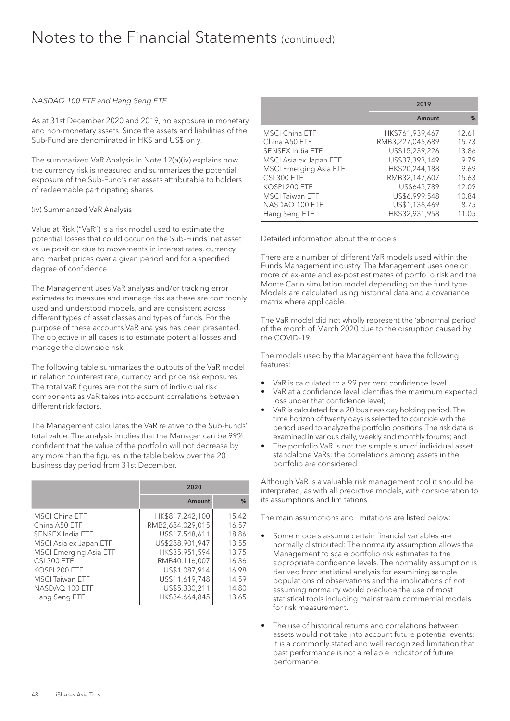#### NASDAQ 100 ETF and Hang Seng ETF

As at 31st December 2020 and 2019, no exposure in monetary and non-monetary assets. Since the assets and liabilities of the Sub-Fund are denominated in HK\$ and US\$ only.

The summarized VaR Analysis in Note 12(a)(iv) explains how the currency risk is measured and summarizes the potential exposure of the Sub-Fund's net assets attributable to holders of redeemable participating shares.

#### (iv) Summarized VaR Analysis

Value at Risk ("VaR") is a risk model used to estimate the potential losses that could occur on the Sub-Funds' net asset value position due to movements in interest rates, currency and market prices over a given period and for a specified degree of confidence.

The Management uses VaR analysis and/or tracking error estimates to measure and manage risk as these are commonly used and understood models, and are consistent across different types of asset classes and types of funds. For the purpose of these accounts VaR analysis has been presented. The objective in all cases is to estimate potential losses and manage the downside risk.

The following table summarizes the outputs of the VaR model in relation to interest rate, currency and price risk exposures. The total VaR figures are not the sum of individual risk components as VaR takes into account correlations between different risk factors.

The Management calculates the VaR relative to the Sub-Funds' total value. The analysis implies that the Manager can be 99% confident that the value of the portfolio will not decrease by any more than the figures in the table below over the 20 business day period from 31st December.

|                               | 2020             |       |  |
|-------------------------------|------------------|-------|--|
|                               | Amount           | %     |  |
| <b>MSCI China ETF</b>         | HK\$817,242,100  | 15.42 |  |
| China A50 ETF                 | RMB2,684,029,015 | 16.57 |  |
| SENSEX India ETF              | US\$17,548,611   | 18.86 |  |
| MSCI Asia ex Japan ETF        | US\$288,901,947  | 13.55 |  |
| <b>MSCI Emerging Asia ETF</b> | HK\$35,951,594   | 13.75 |  |
| <b>CSI 300 ETF</b>            | RMB40.116.007    | 16.36 |  |
| KOSPI 200 ETF                 | US\$1,087,914    | 16.98 |  |
| <b>MSCI Taiwan ETF</b>        | US\$11,619,748   | 14.59 |  |
| NASDAQ 100 ETF                | US\$5,330,211    | 14.80 |  |
| Hang Seng ETF                 | HK\$34,664,845   | 13.65 |  |

|                               | 2019             |       |  |
|-------------------------------|------------------|-------|--|
|                               | Amount           | %     |  |
| MSCI China ETF                | HK\$761,939,467  | 12.61 |  |
| China A50 ETF                 | RMB3,227,045,689 | 15.73 |  |
| SENSEX India ETF              | US\$15,239,226   | 13.86 |  |
| MSCI Asia ex Japan ETF        | US\$37,393,149   | 979   |  |
| <b>MSCI Emerging Asia ETF</b> | HK\$20,244,188   | 9.69  |  |
| <b>CSI 300 ETF</b>            | RMB32,147,607    | 15.63 |  |
| KOSPI 200 ETF                 | US\$643,789      | 12.09 |  |
| <b>MSCI Taiwan ETF</b>        | US\$6,999,548    | 10.84 |  |
| NASDAO 100 ETF                | US\$1,138,469    | 875   |  |
| Hang Seng ETF                 | HK\$32,931,958   | 11.05 |  |

Detailed information about the models

There are a number of different VaR models used within the Funds Management industry. The Management uses one or more of ex-ante and ex-post estimates of portfolio risk and the Monte Carlo simulation model depending on the fund type. Models are calculated using historical data and a covariance matrix where applicable.

The VaR model did not wholly represent the 'abnormal period' of the month of March 2020 due to the disruption caused by the COVID-19.

The models used by the Management have the following features:

- VaR is calculated to a 99 per cent confidence level.
- VaR at a confidence level identifies the maximum expected loss under that confidence level;
- VaR is calculated for a 20 business day holding period. The time horizon of twenty days is selected to coincide with the period used to analyze the portfolio positions. The risk data is examined in various daily, weekly and monthly forums; and
- The portfolio VaR is not the simple sum of individual asset standalone VaRs; the correlations among assets in the portfolio are considered.

Although VaR is a valuable risk management tool it should be interpreted, as with all predictive models, with consideration to its assumptions and limitations.

The main assumptions and limitations are listed below:

- Some models assume certain financial variables are normally distributed: The normality assumption allows the Management to scale portfolio risk estimates to the appropriate confidence levels. The normality assumption is derived from statistical analysis for examining sample populations of observations and the implications of not assuming normality would preclude the use of most statistical tools including mainstream commercial models for risk measurement.
- The use of historical returns and correlations between assets would not take into account future potential events: It is a commonly stated and well recognized limitation that past performance is not a reliable indicator of future performance.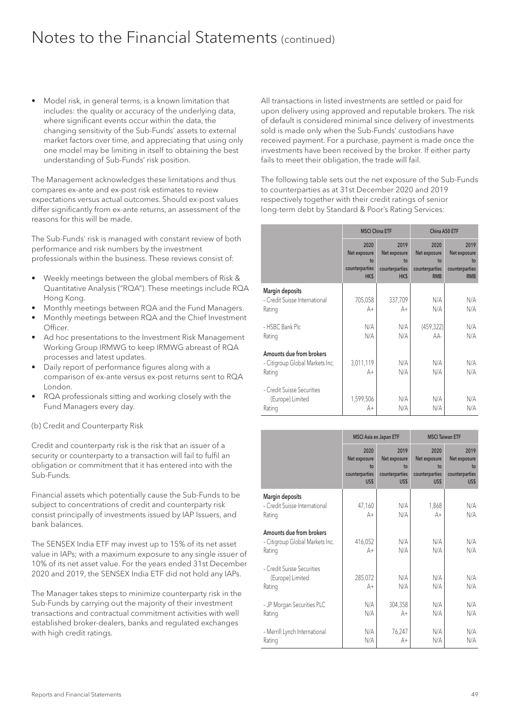• Model risk, in general terms, is a known limitation that includes: the quality or accuracy of the underlying data, where significant events occur within the data, the changing sensitivity of the Sub-Funds' assets to external market factors over time, and appreciating that using only one model may be limiting in itself to obtaining the best understanding of Sub-Funds' risk position.

The Management acknowledges these limitations and thus compares ex-ante and ex-post risk estimates to review expectations versus actual outcomes. Should ex-post values differ significantly from ex-ante returns, an assessment of the reasons for this will be made.

The Sub-Funds' risk is managed with constant review of both performance and risk numbers by the investment professionals within the business. These reviews consist of:

- Weekly meetings between the global members of Risk & Quantitative Analysis ("RQA"). These meetings include RQA Hong Kong.
- Monthly meetings between RQA and the Fund Managers.
- Monthly meetings between RQA and the Chief Investment **Officer**
- Ad hoc presentations to the Investment Risk Management Working Group IRMWG to keep IRMWG abreast of RQA processes and latest updates.
- Daily report of performance figures along with a comparison of ex-ante versus ex-post returns sent to RQA London.
- RQA professionals sitting and working closely with the Fund Managers every day.
- (b) Credit and Counterparty Risk

Credit and counterparty risk is the risk that an issuer of a security or counterparty to a transaction will fail to fulfil an obligation or commitment that it has entered into with the Sub-Funds.

Financial assets which potentially cause the Sub-Funds to be subject to concentrations of credit and counterparty risk consist principally of investments issued by IAP Issuers, and bank balances.

The SENSEX India ETF may invest up to 15% of its net asset value in IAPs; with a maximum exposure to any single issuer of 10% of its net asset value. For the years ended 31st December 2020 and 2019, the SENSEX India ETF did not hold any IAPs.

The Manager takes steps to minimize counterparty risk in the Sub-Funds by carrying out the majority of their investment transactions and contractual commitment activities with well established broker-dealers, banks and regulated exchanges with high credit ratings.

All transactions in listed investments are settled or paid for upon delivery using approved and reputable brokers. The risk of default is considered minimal since delivery of investments sold is made only when the Sub-Funds' custodians have received payment. For a purchase, payment is made once the investments have been received by the broker. If either party fails to meet their obligation, the trade will fail.

The following table sets out the net exposure of the Sub-Funds to counterparties as at 31st December 2020 and 2019 respectively together with their credit ratings of senior long-term debt by Standard & Poor's Rating Services:

|                                                                       | <b>MSCI China ETF</b>                                       |                                                             | China A50 ETF                                              |                                                            |
|-----------------------------------------------------------------------|-------------------------------------------------------------|-------------------------------------------------------------|------------------------------------------------------------|------------------------------------------------------------|
|                                                                       | 2020<br>Net exposure<br>to<br>counterparties<br><b>HK\$</b> | 2019<br>Net exposure<br>to<br>counterparties<br><b>HK\$</b> | 2020<br>Net exposure<br>to<br>counterparties<br><b>RMB</b> | 2019<br>Net exposure<br>to<br>counterparties<br><b>RMB</b> |
| Margin deposits<br>- Credit Suisse International<br>Rating            | 705,058<br>A+                                               | 337,709<br>A+                                               | N/A<br>N/A                                                 | N/A<br>N/A                                                 |
| - HSBC Bank Plc<br>Rating                                             | N/A<br>N/A                                                  | N/A<br>N/A                                                  | (459, 322)<br>AA-                                          | N/A<br>N/A                                                 |
| Amounts due from brokers<br>- Citigroup Global Markets Inc.<br>Rating | 3,011,119<br>A+                                             | N/A<br>N/A                                                  | N/A<br>N/A                                                 | N/A<br>N/A                                                 |
| - Credit Suisse Securities<br>(Europe) Limited<br>Rating              | 1,599,506<br>A+                                             | N/A<br>N/A                                                  | N/A<br>N/A                                                 | N/A<br>N/A                                                 |

|                                                                       | <b>MSCI Asia ex Japan ETF</b>                        |                                                      | <b>MSCI Taiwan ETF</b>                               |                                                      |
|-----------------------------------------------------------------------|------------------------------------------------------|------------------------------------------------------|------------------------------------------------------|------------------------------------------------------|
|                                                                       | 2020<br>Net exposure<br>to<br>counterparties<br>US\$ | 2019<br>Net exposure<br>to<br>counterparties<br>US\$ | 2020<br>Net exposure<br>to<br>counterparties<br>US\$ | 2019<br>Net exposure<br>t٥<br>counterparties<br>US\$ |
| Margin deposits<br>- Credit Suisse International<br>Rating            | 47,160<br>$A+$                                       | N/A<br>N/A                                           | 1,868<br>$A+$                                        | N/A<br>N/A                                           |
| Amounts due from brokers<br>- Citigroup Global Markets Inc.<br>Rating | 416,052<br>$A+$                                      | N/A<br>N/A                                           | N/A<br>N/A                                           | N/A<br>N/A                                           |
| - Credit Suisse Securities<br>(Europe) Limited<br>Rating              | 285,072<br>A+                                        | N/A<br>N/A                                           | N/A<br>N/A                                           | N/A<br>N/A                                           |
| - JP Morgan Securities PLC<br>Rating                                  | N/A<br>N/A                                           | 304,358<br>A+                                        | N/A<br>N/A                                           | N/A<br>N/A                                           |
| - Merrill Lynch International<br>Rating                               | N/A<br>N/A                                           | 76,247<br>A+                                         | N/A<br>N/A                                           | N/A<br>N/A                                           |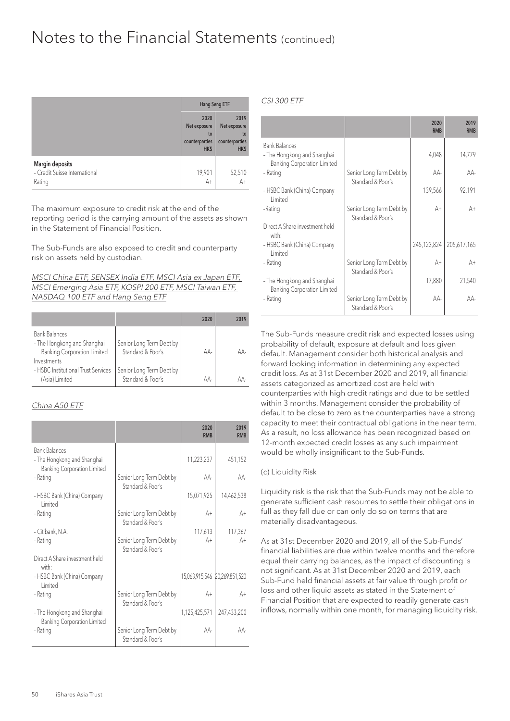|                                                            | Hang Seng ETF                                        |                                                      |
|------------------------------------------------------------|------------------------------------------------------|------------------------------------------------------|
|                                                            | 2020<br>Net exposure<br>to<br>counterparties<br>HK\$ | 2019<br>Net exposure<br>to<br>counterparties<br>HK\$ |
| Margin deposits<br>- Credit Suisse International<br>Rating | 19,901<br>$A+$                                       | $52,510$<br>A+                                       |

The maximum exposure to credit risk at the end of the reporting period is the carrying amount of the assets as shown in the Statement of Financial Position.

The Sub-Funds are also exposed to credit and counterparty risk on assets held by custodian.

MSCI China ETF, SENSEX India ETF, MSCI Asia ex Japan ETF, MSCI Emerging Asia ETF, KOSPI 200 ETF, MSCI Taiwan ETF, NASDAQ 100 ETF and Hang Seng ETF

|                                                                                           |                                               | 2020 | 2019 |
|-------------------------------------------------------------------------------------------|-----------------------------------------------|------|------|
| <b>Bank Balances</b><br>- The Hongkong and Shanghai<br><b>Banking Corporation Limited</b> | Senior Long Term Debt by<br>Standard & Poor's | AA-  | AA-  |
| Investments<br>- HSBC Institutional Trust Services<br>(Asia) Limited                      | Senior Long Term Debt by<br>Standard & Poor's | AA-  | ΔΔ.  |

#### China A50 ETF

|                                                                                           |                                               | 2020<br><b>RMB</b>            | 2019<br><b>RMB</b> |
|-------------------------------------------------------------------------------------------|-----------------------------------------------|-------------------------------|--------------------|
| <b>Bank Balances</b><br>- The Hongkong and Shanghai<br><b>Banking Corporation Limited</b> |                                               | 11,223,237                    | 451,152            |
| - Rating                                                                                  | Senior Long Term Debt by<br>Standard & Poor's | AA-                           | AA-                |
| - HSBC Bank (China) Company<br><b>Limited</b>                                             |                                               | 15,071,925                    | 14,462,538         |
| - Rating                                                                                  | Senior Long Term Debt by<br>Standard & Poor's | A+                            | A+                 |
| - Citibank, N.A.                                                                          |                                               | 117,613                       | 117,367            |
| - Rating                                                                                  | Senior Long Term Debt by<br>Standard & Poor's | A+                            | A+                 |
| Direct A Share investment held<br>with ·                                                  |                                               |                               |                    |
| - HSBC Bank (China) Company<br>I imited                                                   |                                               | 15,063,915,546 20,269,851,520 |                    |
| - Rating                                                                                  | Senior Long Term Debt by<br>Standard & Poor's | $A +$                         | A+                 |
| - The Hongkong and Shanghai<br><b>Banking Corporation Limited</b>                         |                                               | 1,125,425,571                 | 247,433,200        |
| - Rating                                                                                  | Senior Long Term Debt by<br>Standard & Poor's | AA-                           | AA-                |

CSI 300 ETF

|                                                                   |                                               | 2020<br><b>RMB</b> | 2019<br><b>RMB</b> |
|-------------------------------------------------------------------|-----------------------------------------------|--------------------|--------------------|
| <b>Bank Balances</b><br>- The Hongkong and Shanghai               |                                               | 4,048              | 14,779             |
| <b>Banking Corporation Limited</b><br>- Rating                    | Senior Long Term Debt by<br>Standard & Poor's | AA-                | AA-                |
| - HSBC Bank (China) Company<br>I imited                           |                                               | 139,566            | 92,191             |
| -Rating                                                           | Senior Long Term Debt by<br>Standard & Poor's | A+                 | A+                 |
| Direct A Share investment held<br>with ·                          |                                               |                    |                    |
| - HSBC Bank (China) Company<br>I imited                           |                                               | 245,123,824        | 205,617,165        |
| - Rating                                                          | Senior Long Term Debt by<br>Standard & Poor's | A+                 | A+                 |
| - The Hongkong and Shanghai<br><b>Banking Corporation Limited</b> |                                               | 17,880             | 21,540             |
| - Rating                                                          | Senior Long Term Debt by<br>Standard & Poor's | AA-                | AA-                |

The Sub-Funds measure credit risk and expected losses using probability of default, exposure at default and loss given default. Management consider both historical analysis and forward looking information in determining any expected credit loss. As at 31st December 2020 and 2019, all financial assets categorized as amortized cost are held with counterparties with high credit ratings and due to be settled within 3 months. Management consider the probability of default to be close to zero as the counterparties have a strong capacity to meet their contractual obligations in the near term. As a result, no loss allowance has been recognized based on 12-month expected credit losses as any such impairment would be wholly insignificant to the Sub-Funds.

#### (c) Liquidity Risk

Liquidity risk is the risk that the Sub-Funds may not be able to generate sufficient cash resources to settle their obligations in full as they fall due or can only do so on terms that are materially disadvantageous.

As at 31st December 2020 and 2019, all of the Sub-Funds' financial liabilities are due within twelve months and therefore equal their carrying balances, as the impact of discounting is not significant. As at 31st December 2020 and 2019, each Sub-Fund held financial assets at fair value through profit or loss and other liquid assets as stated in the Statement of Financial Position that are expected to readily generate cash inflows, normally within one month, for managing liquidity risk.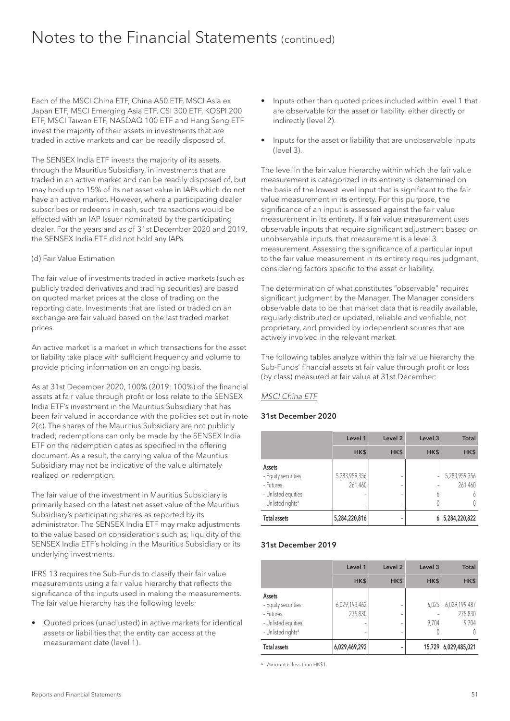Each of the MSCI China ETF, China A50 ETF, MSCI Asia ex Japan ETF, MSCI Emerging Asia ETF, CSI 300 ETF, KOSPI 200 ETF, MSCI Taiwan ETF, NASDAQ 100 ETF and Hang Seng ETF invest the majority of their assets in investments that are traded in active markets and can be readily disposed of.

The SENSEX India ETF invests the majority of its assets, through the Mauritius Subsidiary, in investments that are traded in an active market and can be readily disposed of, but may hold up to 15% of its net asset value in IAPs which do not have an active market. However, where a participating dealer subscribes or redeems in cash, such transactions would be effected with an IAP Issuer nominated by the participating dealer. For the years and as of 31st December 2020 and 2019, the SENSEX India ETF did not hold any IAPs.

#### (d) Fair Value Estimation

The fair value of investments traded in active markets (such as publicly traded derivatives and trading securities) are based on quoted market prices at the close of trading on the reporting date. Investments that are listed or traded on an exchange are fair valued based on the last traded market prices.

An active market is a market in which transactions for the asset or liability take place with sufficient frequency and volume to provide pricing information on an ongoing basis.

As at 31st December 2020, 100% (2019: 100%) of the financial assets at fair value through profit or loss relate to the SENSEX India ETF's investment in the Mauritius Subsidiary that has been fair valued in accordance with the policies set out in note 2(c). The shares of the Mauritius Subsidiary are not publicly traded; redemptions can only be made by the SENSEX India ETF on the redemption dates as specified in the offering document. As a result, the carrying value of the Mauritius Subsidiary may not be indicative of the value ultimately realized on redemption.

The fair value of the investment in Mauritius Subsidiary is primarily based on the latest net asset value of the Mauritius Subsidiary's participating shares as reported by its administrator. The SENSEX India ETF may make adjustments to the value based on considerations such as; liquidity of the SENSEX India ETF's holding in the Mauritius Subsidiary or its underlying investments.

IFRS 13 requires the Sub-Funds to classify their fair value measurements using a fair value hierarchy that reflects the significance of the inputs used in making the measurements. The fair value hierarchy has the following levels:

• Quoted prices (unadjusted) in active markets for identical assets or liabilities that the entity can access at the measurement date (level 1).

- Inputs other than quoted prices included within level 1 that are observable for the asset or liability, either directly or indirectly (level 2).
- Inputs for the asset or liability that are unobservable inputs (level 3).

The level in the fair value hierarchy within which the fair value measurement is categorized in its entirety is determined on the basis of the lowest level input that is significant to the fair value measurement in its entirety. For this purpose, the significance of an input is assessed against the fair value measurement in its entirety. If a fair value measurement uses observable inputs that require significant adjustment based on unobservable inputs, that measurement is a level 3 measurement. Assessing the significance of a particular input to the fair value measurement in its entirety requires judgment, considering factors specific to the asset or liability.

The determination of what constitutes "observable" requires significant judgment by the Manager. The Manager considers observable data to be that market data that is readily available, regularly distributed or updated, reliable and verifiable, not proprietary, and provided by independent sources that are actively involved in the relevant market.

The following tables analyze within the fair value hierarchy the Sub-Funds' financial assets at fair value through profit or loss (by class) measured at fair value at 31st December:

#### MSCI China ETF

#### 31st December 2020

|                                                                                                     | Level 1                  | Level <sub>2</sub> | Level 3 | <b>Total</b>                  |
|-----------------------------------------------------------------------------------------------------|--------------------------|--------------------|---------|-------------------------------|
|                                                                                                     | HK\$                     | HK\$               | HK\$    | HK\$                          |
| Assets<br>- Equity securities<br>- Futures<br>- Unlisted equities<br>- Unlisted rights <sup>4</sup> | 5,283,959,356<br>261,460 | ۰<br>۰<br>۰<br>٠   | Ò       | 5,283,959,356<br>261,460<br>Ò |
| <b>Total assets</b>                                                                                 | 5,284,220,816            | ۰                  |         | 5,284,220,822                 |

#### 31st December 2019

|                                                                                                     | Level 1                       | Level 2          | Level 3        | <b>Total</b>                      |
|-----------------------------------------------------------------------------------------------------|-------------------------------|------------------|----------------|-----------------------------------|
|                                                                                                     | HK\$                          | HK\$             | HK\$           | HK\$                              |
| Assets<br>- Equity securities<br>- Futures<br>- Unlisted equities<br>- Unlisted rights <sup>4</sup> | 6,029,193,462<br>275,830<br>- | -<br>-<br>-<br>- | 6,025<br>9,704 | 6,029,199,487<br>275,830<br>9,704 |
| <b>Total assets</b>                                                                                 | 6,029,469,292                 | -                | 15,729         | 6,029,485,021                     |

A Amount is less than HK\$1.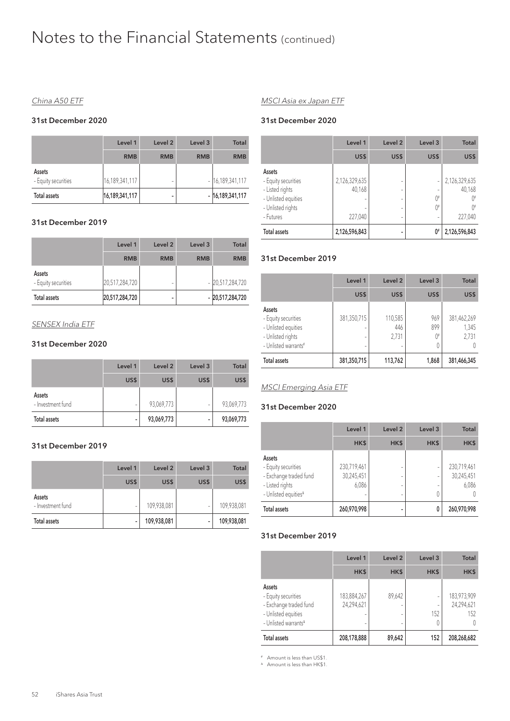#### China A50 ETF

#### 31st December 2020

|                               | Level 1        | Level <sub>2</sub> | Level <sub>3</sub> | <b>Total</b>       |
|-------------------------------|----------------|--------------------|--------------------|--------------------|
|                               | <b>RMB</b>     | <b>RMB</b>         | <b>RMB</b>         | <b>RMB</b>         |
| Assets<br>- Equity securities | 16,189,341,117 | -                  |                    | $- 16,189,341,117$ |
| <b>Total assets</b>           | 16,189,341,117 | ۰                  |                    | $-16,189,341,117$  |

#### 31st December 2019

|                               | Level 1        | Level 2    | Level 3    | <b>Total</b>       |
|-------------------------------|----------------|------------|------------|--------------------|
|                               | <b>RMB</b>     | <b>RMB</b> | <b>RMB</b> | <b>RMB</b>         |
| Assets<br>- Equity securities | 20,517,284,720 | -          |            | $-$ 20,517,284,720 |
| Total assets                  | 20,517,284,720 | -          |            | - 20,517,284,720   |

#### SENSEX India ETF

#### 31st December 2020

|                             | Level 1 | Level 2    | Level <sub>3</sub> | <b>Total</b> |
|-----------------------------|---------|------------|--------------------|--------------|
|                             | US\$    | US\$       | US\$               | US\$         |
| Assets<br>- Investment fund | -       | 93,069,773 | -                  | 93,069,773   |
| Total assets                | -       | 93,069,773 | -                  | 93,069,773   |

#### 31st December 2019

|                             | Level 1 | Level 2     | Level <sub>3</sub> | <b>Total</b> |
|-----------------------------|---------|-------------|--------------------|--------------|
|                             | US\$    | US\$        | US\$               | US\$         |
| Assets<br>- Investment fund |         | 109,938,081 | ۰                  | 109,938,081  |
| Total assets                |         | 109,938,081 | -                  | 109,938,081  |

#### MSCI Asia ex Japan ETF

#### 31st December 2020

|                     | Level 1       | Level <sub>2</sub> | Level 3 | <b>Total</b>  |
|---------------------|---------------|--------------------|---------|---------------|
|                     | US\$          | US\$               | US\$    | US\$          |
| Assets              |               |                    |         |               |
| - Equity securities | 2,126,329,635 | ٠                  |         | 2,126,329,635 |
| - Listed rights     | 40,168        | -                  |         | 40,168        |
| - Unlisted equities |               | -                  | 0#      |               |
| - Unlisted rights   |               | ٠                  | $0^*$   | ∩#            |
| - Futures           | 227,040       | ٠                  |         | 227,040       |
| <b>Total assets</b> | 2,126,596,843 |                    | 0#      | 2,126,596,843 |

#### 31st December 2019

|                                                                                                   | Level 1     | Level 2                 | Level <sub>3</sub> | <b>Total</b>                  |
|---------------------------------------------------------------------------------------------------|-------------|-------------------------|--------------------|-------------------------------|
|                                                                                                   | US\$        | US\$                    | US\$               | US\$                          |
| Assets<br>- Equity securities<br>- Unlisted equities<br>- Unlisted rights<br>- Unlisted warrants# | 381,350,715 | 110,585<br>446<br>2,731 | 969<br>899<br>0#   | 381,462,269<br>1,345<br>2,731 |
| <b>Total assets</b>                                                                               | 381,350,715 | 113,762                 | 1,868              | 381,466,345                   |

#### MSCI Emerging Asia ETF

#### 31st December 2020

|                                                                                                                | Level 1                            | Level 2     | Level 3 | <b>Total</b>                       |
|----------------------------------------------------------------------------------------------------------------|------------------------------------|-------------|---------|------------------------------------|
|                                                                                                                | HK\$                               | HK\$        | HK\$    | HK\$                               |
| Assets<br>- Equity securities<br>- Exchange traded fund<br>- Listed rights<br>- Unlisted equities <sup>4</sup> | 230,719,461<br>30,245,451<br>6,086 | ۰<br>۰<br>٠ |         | 230,719,461<br>30,245,451<br>6,086 |
| Total assets                                                                                                   | 260,970,998                        | ۰           | 0       | 260,970,998                        |

#### 31st December 2019

|                                                                                                                    | Level 1                   | Level 2          | Level 3 | <b>Total</b>                     |
|--------------------------------------------------------------------------------------------------------------------|---------------------------|------------------|---------|----------------------------------|
|                                                                                                                    | HK\$                      | HK\$             | HK\$    | HK\$                             |
| Assets<br>- Equity securities<br>- Exchange traded fund<br>- Unlisted equities<br>- Unlisted warrants <sup>4</sup> | 183,884,267<br>24,294,621 | 89,642<br>-<br>٠ | 152     | 183,973,909<br>24,294,621<br>152 |
| <b>Total assets</b>                                                                                                | 208,178,888               | 89,642           | 152     | 208,268,682                      |

# Amount is less than US\$1.

A Amount is less than HK\$1.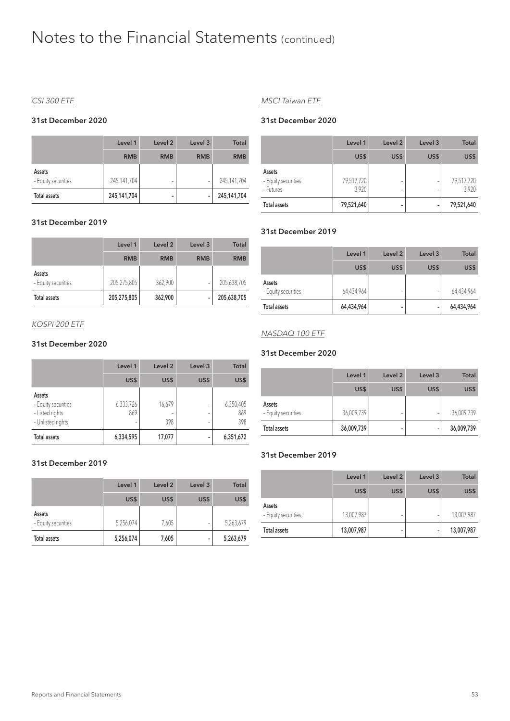#### CSI 300 ETF

#### 31st December 2020

|                               | Level 1     | Level 2    | Level 3    | <b>Total</b> |
|-------------------------------|-------------|------------|------------|--------------|
|                               | <b>RMB</b>  | <b>RMB</b> | <b>RMB</b> | <b>RMB</b>   |
| Assets<br>- Equity securities | 245,141,704 | -          | ۰          | 245,141,704  |
| <b>Total assets</b>           | 245,141,704 | -          | -          | 245,141,704  |

#### 31st December 2019

|                               | Level 1     | Level <sub>2</sub> | Level 3    | <b>Total</b> |
|-------------------------------|-------------|--------------------|------------|--------------|
|                               | <b>RMB</b>  | <b>RMB</b>         | <b>RMB</b> | <b>RMB</b>   |
| Assets<br>- Equity securities | 205,275,805 | 362,900            |            | 205,638,705  |
| <b>Total assets</b>           | 205,275,805 | 362,900            | ۰          | 205,638,705  |

#### KOSPI 200 ETF

#### 31st December 2020

|                                                                       | Level 1               | Level <sub>2</sub> | Level 3 | <b>Total</b>            |
|-----------------------------------------------------------------------|-----------------------|--------------------|---------|-------------------------|
|                                                                       | US\$                  | US\$               | US\$    | US\$                    |
| Assets<br>- Equity securities<br>- Listed rights<br>- Unlisted rights | 6,333,726<br>869<br>- | 16,679<br>398      |         | 6,350,405<br>869<br>398 |
| <b>Total assets</b>                                                   | 6,334,595             | 17,077             | -       | 6,351,672               |

#### 31st December 2019

|                               | Level 1   | Level 2 | Level <sub>3</sub> | Total     |
|-------------------------------|-----------|---------|--------------------|-----------|
|                               | US\$      | US\$    | US\$               | US\$      |
| Assets<br>- Equity securities | 5,256,074 | 7,605   | ۰                  | 5,263,679 |
| <b>Total assets</b>           | 5,256,074 | 7,605   | -                  | 5,263,679 |

#### MSCI Taiwan ETF

#### 31st December 2020

|                                            | Level 1             | Level 2 | Level <sub>3</sub> | <b>Total</b>        |
|--------------------------------------------|---------------------|---------|--------------------|---------------------|
|                                            | US\$                | US\$    | US\$               | US\$                |
| Assets<br>- Equity securities<br>- Futures | 79,517,720<br>3,920 | ٠<br>٠  |                    | 79,517,720<br>3,920 |
| <b>Total assets</b>                        | 79,521,640          | -       | -                  | 79,521,640          |

#### 31st December 2019

|                               | Level 1    | Level 2 | Level <sub>3</sub> | <b>Total</b> |
|-------------------------------|------------|---------|--------------------|--------------|
|                               | US\$       | US\$    | US\$               | US\$         |
| Assets<br>- Equity securities | 64,434,964 | -       | ۰                  | 64,434,964   |
| Total assets                  | 64,434,964 | -       | -                  | 64,434,964   |

#### NASDAQ 100 ETF

#### 31st December 2020

|                               | Level 1    | Level 2 | Level <sub>3</sub> | <b>Total</b> |
|-------------------------------|------------|---------|--------------------|--------------|
|                               | US\$       | US\$    | US\$               | US\$         |
| Assets<br>- Equity securities | 36,009,739 | -       | ۰                  | 36,009,739   |
| Total assets                  | 36,009,739 | -       | -                  | 36,009,739   |

#### 31st December 2019

|                               | Level 1    | Level 2 | Level <sub>3</sub> | <b>Total</b> |
|-------------------------------|------------|---------|--------------------|--------------|
|                               | US\$       | US\$    | US\$               | US\$         |
| Assets<br>- Equity securities | 13,007,987 | -       | ۰                  | 13,007,987   |
| Total assets                  | 13,007,987 | -       | -                  | 13,007,987   |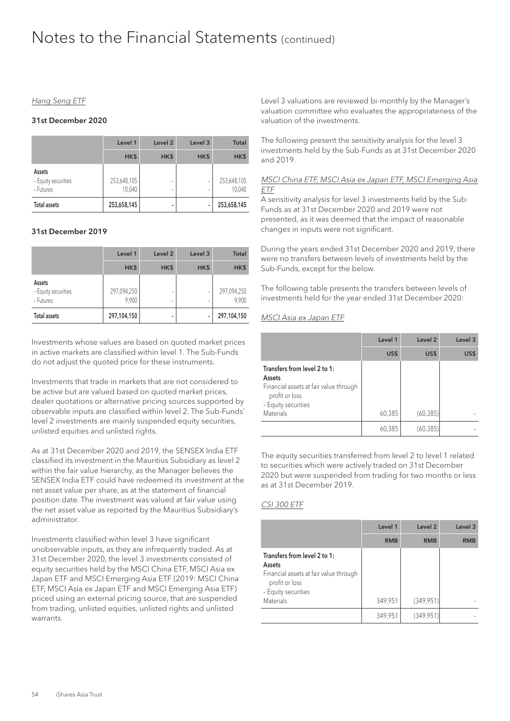#### Hang Seng ETF

#### 31st December 2020

|                                            | Level 1               | Level <sub>2</sub> | Level <sub>3</sub> | Total                 |
|--------------------------------------------|-----------------------|--------------------|--------------------|-----------------------|
|                                            | HK\$                  | HK\$               | HK\$               | HK\$                  |
| Assets<br>- Equity securities<br>- Futures | 253,648,105<br>10,040 | ۰<br>۰             |                    | 253,648,105<br>10,040 |
| <b>Total assets</b>                        | 253,658,145           |                    |                    | 253,658,145           |

#### 31st December 2019

|                                            | Level 1              | Level 2 | Level <sub>3</sub> | <b>Total</b>         |
|--------------------------------------------|----------------------|---------|--------------------|----------------------|
|                                            | HK\$                 | HK\$    | HK\$               | HK\$                 |
| Assets<br>- Equity securities<br>- Futures | 297,094,250<br>9,900 | ۰<br>۰  |                    | 297,094,250<br>9,900 |
| <b>Total assets</b>                        | 297,104,150          | ۰       |                    | 297,104,150          |

Investments whose values are based on quoted market prices in active markets are classified within level 1. The Sub-Funds do not adjust the quoted price for these instruments.

Investments that trade in markets that are not considered to be active but are valued based on quoted market prices, dealer quotations or alternative pricing sources supported by observable inputs are classified within level 2. The Sub-Funds' level 2 investments are mainly suspended equity securities, unlisted equities and unlisted rights.

As at 31st December 2020 and 2019, the SENSEX India ETF classified its investment in the Mauritius Subsidiary as level 2 within the fair value hierarchy, as the Manager believes the SENSEX India ETF could have redeemed its investment at the net asset value per share, as at the statement of financial position date. The investment was valued at fair value using the net asset value as reported by the Mauritius Subsidiary's administrator.

Investments classified within level 3 have significant unobservable inputs, as they are infrequently traded. As at 31st December 2020, the level 3 investments consisted of equity securities held by the MSCI China ETF, MSCI Asia ex Japan ETF and MSCI Emerging Asia ETF (2019: MSCI China ETF, MSCI Asia ex Japan ETF and MSCI Emerging Asia ETF) priced using an external pricing source, that are suspended from trading, unlisted equities, unlisted rights and unlisted warrants.

Level 3 valuations are reviewed bi-monthly by the Manager's valuation committee who evaluates the appropriateness of the valuation of the investments.

The following present the sensitivity analysis for the level 3 investments held by the Sub-Funds as at 31st December 2020 and 2019.

#### MSCI China ETF, MSCI Asia ex Japan ETF, MSCI Emerging Asia ETF

A sensitivity analysis for level 3 investments held by the Sub-Funds as at 31st December 2020 and 2019 were not presented, as it was deemed that the impact of reasonable changes in inputs were not significant.

During the years ended 31st December 2020 and 2019, there were no transfers between levels of investments held by the Sub-Funds, except for the below.

The following table presents the transfers between levels of investments held for the year ended 31st December 2020:

#### MSCI Asia ex Japan ETF

|                                                                                                                           | Level 1 | Level <sub>2</sub> | Level 3 |
|---------------------------------------------------------------------------------------------------------------------------|---------|--------------------|---------|
|                                                                                                                           | US\$    | US\$               | US\$    |
| Transfers from level 2 to 1:<br>Assets<br>Financial assets at fair value through<br>profit or loss<br>- Equity securities |         |                    |         |
| <b>Materials</b>                                                                                                          | 60,385  | (60, 385)          |         |
|                                                                                                                           | 60,385  | (60, 385)          |         |

The equity securities transferred from level 2 to level 1 related to securities which were actively traded on 31st December 2020 but were suspended from trading for two months or less as at 31st December 2019.

#### CSI 300 ETF

|                                                                                                                           | Level 1    | Level 2    | Level <sub>3</sub> |
|---------------------------------------------------------------------------------------------------------------------------|------------|------------|--------------------|
|                                                                                                                           | <b>RMB</b> | <b>RMB</b> | <b>RMB</b>         |
| Transfers from level 2 to 1:<br>Assets<br>Financial assets at fair value through<br>profit or loss<br>- Equity securities |            |            |                    |
| <b>Materials</b>                                                                                                          | 349,951    | (349,951)  |                    |
|                                                                                                                           | 349,951    | (349, 951) |                    |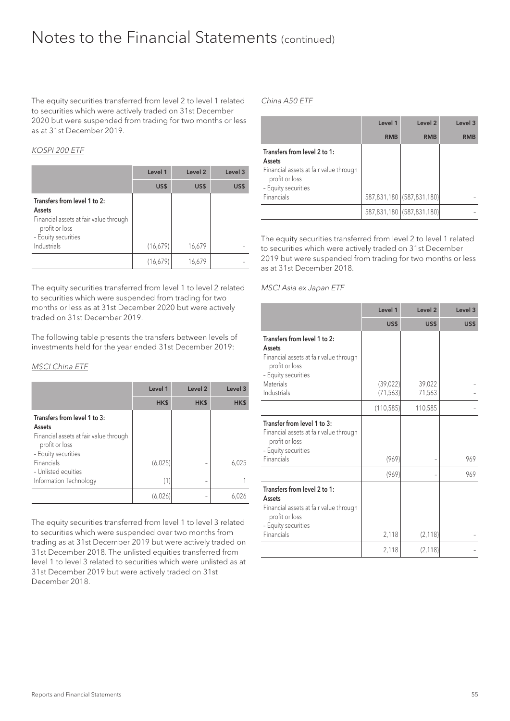The equity securities transferred from level 2 to level 1 related to securities which were actively traded on 31st December 2020 but were suspended from trading for two months or less as at 31st December 2019.

#### KOSPI 200 ETF

|                                                                                                                           | Level 1  | Level <sub>2</sub> | Level 3 |
|---------------------------------------------------------------------------------------------------------------------------|----------|--------------------|---------|
|                                                                                                                           | US\$     | US\$               | US\$    |
| Transfers from level 1 to 2:<br>Assets<br>Financial assets at fair value through<br>profit or loss<br>- Equity securities |          |                    |         |
| Industrials                                                                                                               | (16,679) | 16,679             |         |
|                                                                                                                           | (16,679) | 16,679             |         |

The equity securities transferred from level 1 to level 2 related to securities which were suspended from trading for two months or less as at 31st December 2020 but were actively traded on 31st December 2019.

The following table presents the transfers between levels of investments held for the year ended 31st December 2019:

#### MSCI China ETF

|                                                                                                    | Level 1 | Level <sub>2</sub> | Level 3 |
|----------------------------------------------------------------------------------------------------|---------|--------------------|---------|
|                                                                                                    | HK\$    | HK\$               | HK\$    |
| Transfers from level 1 to 3:<br>Assets<br>Financial assets at fair value through<br>profit or loss |         |                    |         |
| - Equity securities<br>Financials<br>- Unlisted equities                                           | (6,025) |                    | 6,025   |
| Information Technology                                                                             | (1)     |                    |         |
|                                                                                                    | (6,026) |                    |         |

The equity securities transferred from level 1 to level 3 related to securities which were suspended over two months from trading as at 31st December 2019 but were actively traded on 31st December 2018. The unlisted equities transferred from level 1 to level 3 related to securities which were unlisted as at 31st December 2019 but were actively traded on 31st December 2018.

#### China A50 ETF

|                                                                                                                                         | Level 1    | Level <sub>2</sub>        | Level 3 |
|-----------------------------------------------------------------------------------------------------------------------------------------|------------|---------------------------|---------|
|                                                                                                                                         | <b>RMB</b> | <b>RMB</b>                | RMB     |
| Transfers from level 2 to 1:<br>Assets<br>Financial assets at fair value through<br>profit or loss<br>- Equity securities<br>Financials |            | 587,831,180 (587,831,180) |         |
|                                                                                                                                         |            |                           |         |
|                                                                                                                                         |            | 587,831,180 (587,831,180) |         |

The equity securities transferred from level 2 to level 1 related to securities which were actively traded on 31st December 2019 but were suspended from trading for two months or less as at 31st December 2018.

#### MSCI Asia ex Japan ETF

|                                                                                                                                  | Level 1               | Level <sub>2</sub> | Level 3 |
|----------------------------------------------------------------------------------------------------------------------------------|-----------------------|--------------------|---------|
|                                                                                                                                  | US\$                  | US\$               | US\$    |
| Transfers from level 1 to 2:<br><b>Assets</b><br>Financial assets at fair value through<br>profit or loss<br>- Equity securities |                       |                    |         |
| <b>Materials</b><br>Industrials                                                                                                  | (39,022)<br>(71, 563) | 39,022<br>71,563   |         |
|                                                                                                                                  | (110, 585)            | 110,585            |         |
| Transfer from level 1 to 3:<br>Financial assets at fair value through<br>profit or loss<br>- Equity securities<br>Financials     | (969)                 |                    | 969     |
|                                                                                                                                  | (969)                 |                    | 969     |
| Transfers from level 2 to 1:<br>Assets<br>Financial assets at fair value through<br>profit or loss<br>- Equity securities        |                       |                    |         |
| Financials                                                                                                                       | 2,118                 | (2, 118)           |         |
|                                                                                                                                  | 2,118                 | (2, 118)           |         |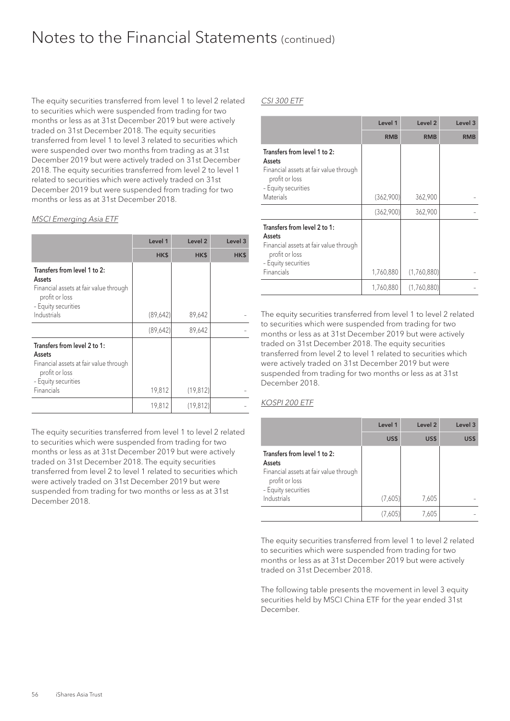The equity securities transferred from level 1 to level 2 related to securities which were suspended from trading for two months or less as at 31st December 2019 but were actively traded on 31st December 2018. The equity securities transferred from level 1 to level 3 related to securities which were suspended over two months from trading as at 31st December 2019 but were actively traded on 31st December 2018. The equity securities transferred from level 2 to level 1 related to securities which were actively traded on 31st December 2019 but were suspended from trading for two months or less as at 31st December 2018.

#### MSCI Emerging Asia ETF

|                                                                                                                           | Level 1   | Level <sub>2</sub> | Level 3 |
|---------------------------------------------------------------------------------------------------------------------------|-----------|--------------------|---------|
|                                                                                                                           | HK\$      | HK\$               | HK\$    |
| Transfers from level 1 to 2:<br>Assets<br>Financial assets at fair value through<br>profit or loss<br>- Equity securities |           |                    |         |
| Industrials                                                                                                               | (89, 642) | 89,642             |         |
|                                                                                                                           | (89,642)  | 89,642             |         |
| Transfers from level 2 to 1:<br>Assets<br>Financial assets at fair value through<br>profit or loss<br>- Equity securities |           |                    |         |
| Financials                                                                                                                | 19,812    | (19, 812)          |         |
|                                                                                                                           | 19,812    | (19, 812)          |         |

The equity securities transferred from level 1 to level 2 related to securities which were suspended from trading for two months or less as at 31st December 2019 but were actively traded on 31st December 2018. The equity securities transferred from level 2 to level 1 related to securities which were actively traded on 31st December 2019 but were suspended from trading for two months or less as at 31st December 2018.

#### CSI 300 ETF

|                                                                                                                                               | Level 1    | Level 2     | Level 3    |
|-----------------------------------------------------------------------------------------------------------------------------------------------|------------|-------------|------------|
|                                                                                                                                               | <b>RMB</b> | <b>RMB</b>  | <b>RMB</b> |
| Transfers from level 1 to 2:<br>Assets<br>Financial assets at fair value through<br>profit or loss<br>- Equity securities<br><b>Materials</b> | (362,900)  | 362,900     |            |
|                                                                                                                                               |            |             |            |
|                                                                                                                                               | (362,900)  | 362,900     |            |
| Transfers from level 2 to 1:<br>Assets<br>Financial assets at fair value through<br>profit or loss<br>- Equity securities<br>Financials       | 1,760,880  | (1,760,880) |            |
|                                                                                                                                               | 1,760,880  | (1,760,880) |            |

The equity securities transferred from level 1 to level 2 related to securities which were suspended from trading for two months or less as at 31st December 2019 but were actively traded on 31st December 2018. The equity securities transferred from level 2 to level 1 related to securities which were actively traded on 31st December 2019 but were suspended from trading for two months or less as at 31st December 2018.

#### KOSPI 200 ETF

|                                                                                                                           | Level 1 | Level 2 | Level 3 |
|---------------------------------------------------------------------------------------------------------------------------|---------|---------|---------|
|                                                                                                                           | US\$    | US\$    | US\$    |
| Transfers from level 1 to 2:<br>Assets<br>Financial assets at fair value through<br>profit or loss<br>- Equity securities |         |         |         |
| Industrials                                                                                                               | (7,605) | 7,605   |         |
|                                                                                                                           | 7,6U5   | 7,605   |         |

The equity securities transferred from level 1 to level 2 related to securities which were suspended from trading for two months or less as at 31st December 2019 but were actively traded on 31st December 2018.

The following table presents the movement in level 3 equity securities held by MSCI China ETF for the year ended 31st December.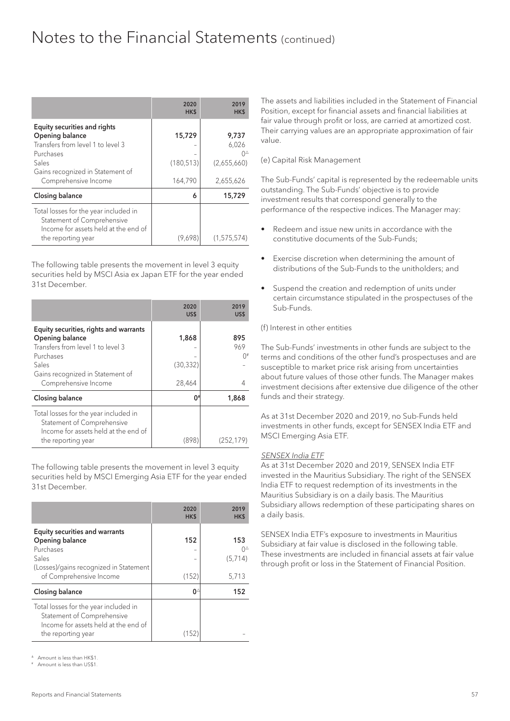|                                                                                                             | 2020<br>HK\$ | 2019<br>HK\$  |
|-------------------------------------------------------------------------------------------------------------|--------------|---------------|
| Equity securities and rights                                                                                |              |               |
| Opening balance                                                                                             | 15,729       | 9,737         |
| Transfers from level 1 to level 3                                                                           |              | 6,026         |
| Purchases                                                                                                   |              | ∩≙            |
| Sales                                                                                                       | (180, 513)   | (2,655,660)   |
| Gains recognized in Statement of<br>Comprehensive Income                                                    | 164,790      | 2,655,626     |
| Closing balance                                                                                             | 6            | 15,729        |
| Total losses for the year included in<br>Statement of Comprehensive<br>Income for assets held at the end of |              |               |
| the reporting year                                                                                          | (9,698)      | (1, 575, 574) |

The following table presents the movement in level 3 equity securities held by MSCI Asia ex Japan ETF for the year ended 31st December.

|                                                                                                                                   | 2020<br>US\$        | 2019<br>US\$     |
|-----------------------------------------------------------------------------------------------------------------------------------|---------------------|------------------|
| Equity securities, rights and warrants<br>Opening balance<br>Transfers from level 1 to level 3<br>Purchases                       | 1,868               | 895<br>969<br>∩# |
| Sales<br>Gains recognized in Statement of<br>Comprehensive Income                                                                 | (30, 332)<br>28,464 |                  |
| Closing balance                                                                                                                   | 0*                  | 1,868            |
| Total losses for the year included in<br>Statement of Comprehensive<br>Income for assets held at the end of<br>the reporting year | (898)               | (252,179)        |

The following table presents the movement in level 3 equity securities held by MSCI Emerging Asia ETF for the year ended 31st December.

|                                                                                                                                                     | 2020<br>HK\$ | 2019<br>HK\$                  |
|-----------------------------------------------------------------------------------------------------------------------------------------------------|--------------|-------------------------------|
| <b>Equity securities and warrants</b><br>Opening balance<br>Purchases<br>Sales<br>(Losses)/gains recognized in Statement<br>of Comprehensive Income | 152<br>(152) | 153<br>∩≙<br>(5,714)<br>5,713 |
| <b>Closing balance</b>                                                                                                                              | 04           | 152                           |
| Total losses for the year included in<br>Statement of Comprehensive<br>Income for assets held at the end of<br>the reporting year                   | (152)        |                               |

<sup>4</sup> Amount is loss than HK\$1.

Amount is less than US\$1

The assets and liabilities included in the Statement of Financial Position, except for financial assets and financial liabilities at fair value through profit or loss, are carried at amortized cost. Their carrying values are an appropriate approximation of fair value.

#### (e) Capital Risk Management

The Sub-Funds' capital is represented by the redeemable units outstanding. The Sub-Funds' objective is to provide investment results that correspond generally to the performance of the respective indices. The Manager may:

- Redeem and issue new units in accordance with the constitutive documents of the Sub-Funds;
- Exercise discretion when determining the amount of distributions of the Sub-Funds to the unitholders; and
- Suspend the creation and redemption of units under certain circumstance stipulated in the prospectuses of the Sub-Funds.

#### (f) Interest in other entities

The Sub-Funds' investments in other funds are subject to the terms and conditions of the other fund's prospectuses and are susceptible to market price risk arising from uncertainties about future values of those other funds. The Manager makes investment decisions after extensive due diligence of the other funds and their strategy.

As at 31st December 2020 and 2019, no Sub-Funds held investments in other funds, except for SENSEX India ETF and MSCI Emerging Asia ETF.

#### SENSEX India ETF

As at 31st December 2020 and 2019, SENSEX India ETF invested in the Mauritius Subsidiary. The right of the SENSEX India ETF to request redemption of its investments in the Mauritius Subsidiary is on a daily basis. The Mauritius Subsidiary allows redemption of these participating shares on a daily basis.

SENSEX India ETF's exposure to investments in Mauritius Subsidiary at fair value is disclosed in the following table. These investments are included in financial assets at fair value through profit or loss in the Statement of Financial Position.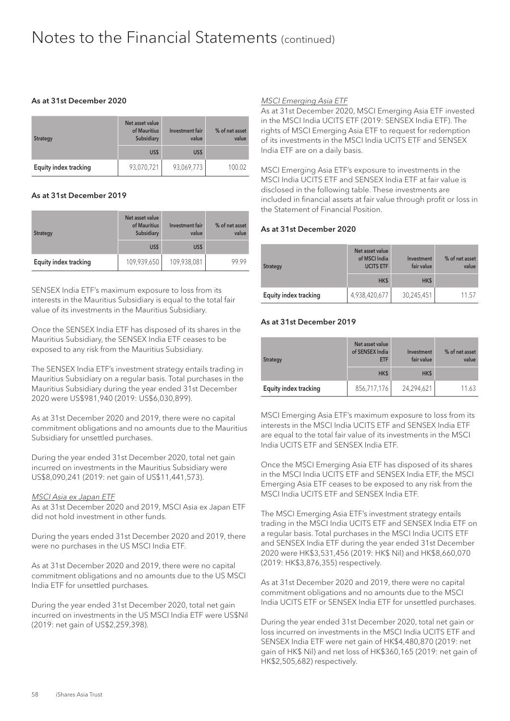#### As at 31st December 2020

| <b>Strategy</b>       | Net asset value<br>of Mauritius<br>Subsidiary | Investment fair<br>value | % of net asset<br>value |
|-----------------------|-----------------------------------------------|--------------------------|-------------------------|
|                       | US\$                                          | US\$                     |                         |
| Equity index tracking | 93,070,721                                    | 93,069,773               | 100.02                  |

#### As at 31st December 2019

| <b>Strategy</b>       | Net asset value<br>of Mauritius<br>Subsidiary | <b>Investment</b> fair<br>value | % of net asset<br>value |
|-----------------------|-----------------------------------------------|---------------------------------|-------------------------|
|                       | US\$                                          | US\$                            |                         |
| Equity index tracking | 109,939,650                                   | 109,938,081                     | 99 99                   |

SENSEX India ETF's maximum exposure to loss from its interests in the Mauritius Subsidiary is equal to the total fair value of its investments in the Mauritius Subsidiary.

Once the SENSEX India ETF has disposed of its shares in the Mauritius Subsidiary, the SENSEX India ETF ceases to be exposed to any risk from the Mauritius Subsidiary.

The SENSEX India ETF's investment strategy entails trading in Mauritius Subsidiary on a regular basis. Total purchases in the Mauritius Subsidiary during the year ended 31st December 2020 were US\$981,940 (2019: US\$6,030,899).

As at 31st December 2020 and 2019, there were no capital commitment obligations and no amounts due to the Mauritius Subsidiary for unsettled purchases.

During the year ended 31st December 2020, total net gain incurred on investments in the Mauritius Subsidiary were US\$8,090,241 (2019: net gain of US\$11,441,573).

#### MSCI Asia ex Japan ETF

As at 31st December 2020 and 2019, MSCI Asia ex Japan ETF did not hold investment in other funds.

During the years ended 31st December 2020 and 2019, there were no purchases in the US MSCI India ETF.

As at 31st December 2020 and 2019, there were no capital commitment obligations and no amounts due to the US MSCI India ETF for unsettled purchases.

During the year ended 31st December 2020, total net gain incurred on investments in the US MSCI India ETF were US\$Nil (2019: net gain of US\$2,259,398).

#### MSCI Emerging Asia ETF

As at 31st December 2020, MSCI Emerging Asia ETF invested in the MSCI India UCITS ETF (2019: SENSEX India ETF). The rights of MSCI Emerging Asia ETF to request for redemption of its investments in the MSCI India UCITS ETF and SENSEX India ETF are on a daily basis.

MSCI Emerging Asia ETF's exposure to investments in the MSCI India UCITS ETF and SENSEX India ETF at fair value is disclosed in the following table. These investments are included in financial assets at fair value through profit or loss in the Statement of Financial Position.

#### As at 31st December 2020

| <b>Strategy</b>       | Net asset value<br>of MSCI India<br><b>UCITS ETF</b> | Investment<br>fair value | % of net asset<br>value |
|-----------------------|------------------------------------------------------|--------------------------|-------------------------|
|                       | HK\$                                                 | HK\$                     |                         |
| Equity index tracking | 4,938,420,677                                        | 30,245,451               | 11.57                   |

#### As at 31st December 2019

| <b>Strategy</b>       | Net asset value<br>of SENSEX India<br>ETF | Investment<br>fair value | % of net asset<br>value |
|-----------------------|-------------------------------------------|--------------------------|-------------------------|
|                       | HK\$                                      | HK\$                     |                         |
| Equity index tracking | 856,717,176                               | 24,294,621               | 11.63                   |

MSCI Emerging Asia ETF's maximum exposure to loss from its interests in the MSCI India UCITS ETF and SENSEX India ETF are equal to the total fair value of its investments in the MSCI India UCITS ETF and SENSEX India ETF.

Once the MSCI Emerging Asia ETF has disposed of its shares in the MSCI India UCITS ETF and SENSEX India ETF, the MSCI Emerging Asia ETF ceases to be exposed to any risk from the MSCI India UCITS ETF and SENSEX India ETF.

The MSCI Emerging Asia ETF's investment strategy entails trading in the MSCI India UCITS ETF and SENSEX India ETF on a regular basis. Total purchases in the MSCI India UCITS ETF and SENSEX India ETF during the year ended 31st December 2020 were HK\$3,531,456 (2019: HK\$ Nil) and HK\$8,660,070 (2019: HK\$3,876,355) respectively.

As at 31st December 2020 and 2019, there were no capital commitment obligations and no amounts due to the MSCI India UCITS ETF or SENSEX India ETF for unsettled purchases.

During the year ended 31st December 2020, total net gain or loss incurred on investments in the MSCI India UCITS ETF and SENSEX India ETF were net gain of HK\$4,480,870 (2019: net gain of HK\$ Nil) and net loss of HK\$360,165 (2019: net gain of HK\$2,505,682) respectively.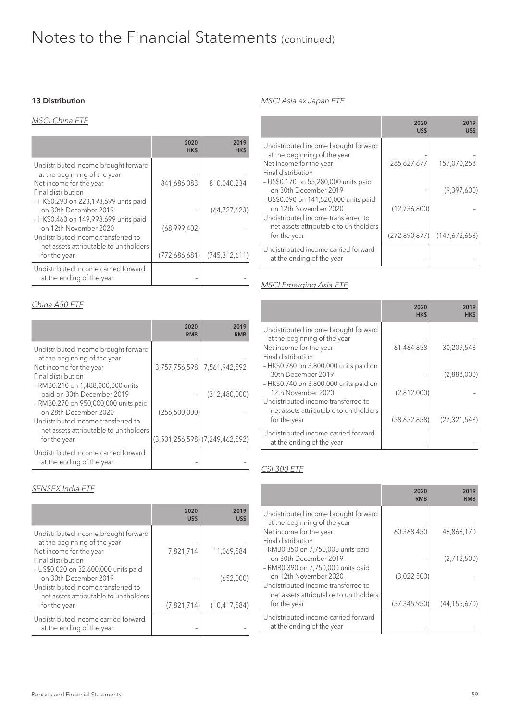#### 13 Distribution

#### MSCI China ETF

|                                                                                                                       | 2020<br>HK\$  | 2019<br><b>HKS</b> |
|-----------------------------------------------------------------------------------------------------------------------|---------------|--------------------|
| Undistributed income brought forward<br>at the beginning of the year<br>Net income for the year<br>Final distribution | 841,686,083   | 810,040,234        |
| - HK\$0.290 on 223,198,699 units paid<br>on 30th December 2019<br>- HK\$0.460 on 149,998,699 units paid               |               | (64, 727, 623)     |
| on 12th November 2020<br>Undistributed income transferred to<br>net assets attributable to unitholders                | (68,999,402)  |                    |
| for the year                                                                                                          | (772,686,681) | (745, 312, 611)    |
| Undistributed income carried forward<br>at the ending of the year                                                     |               |                    |

#### China A50 ETF

|                                                                                                                                                                         | 2020<br><b>RMB</b> | 2019<br><b>RMB</b>             |
|-------------------------------------------------------------------------------------------------------------------------------------------------------------------------|--------------------|--------------------------------|
| Undistributed income brought forward<br>at the beginning of the year<br>Net income for the year<br>Final distribution                                                   | 3,757,756,598      | 7,561,942,592                  |
| - RMB0.210 on 1,488,000,000 units<br>paid on 30th December 2019<br>- RMB0.270 on 950,000,000 units paid<br>on 28th December 2020<br>Undistributed income transferred to | (256, 500, 000)    | (312, 480, 000)                |
| net assets attributable to unitholders<br>for the year                                                                                                                  |                    | (3,501,256,598)(7,249,462,592) |
| Undistributed income carried forward<br>at the ending of the year                                                                                                       |                    |                                |

#### SENSEX India ETF

|                                                                                                                                                               | 2020<br>US\$ | 2019<br><b>USS</b>          |
|---------------------------------------------------------------------------------------------------------------------------------------------------------------|--------------|-----------------------------|
| Undistributed income brought forward<br>at the beginning of the year<br>Net income for the year<br>Final distribution<br>- US\$0.020 on 32,600,000 units paid | 7,821,714    | 11,069,584                  |
| on 30th December 2019<br>Undistributed income transferred to<br>net assets attributable to unitholders<br>for the year                                        | (7,821,714)  | (652,000)<br>(10, 417, 584) |
| Undistributed income carried forward<br>at the ending of the year                                                                                             |              |                             |

#### MSCI Asia ex Japan ETF

|                                                                                                                        | 2020<br>US\$                  | 2019<br>US\$  |
|------------------------------------------------------------------------------------------------------------------------|-------------------------------|---------------|
| Undistributed income brought forward<br>at the beginning of the year<br>Net income for the year<br>Final distribution  | 285,627,677                   | 157,070,258   |
| - US\$0.170 on 55,280,000 units paid<br>on 30th December 2019<br>- US\$0.090 on 141,520,000 units paid                 |                               | (9,397,600)   |
| on 12th November 2020<br>Undistributed income transferred to<br>net assets attributable to unitholders<br>for the year | (12,736,800)<br>(272,890,877) | (147,672,658) |
| Undistributed income carried forward<br>at the ending of the year                                                      |                               |               |

#### MSCI Emerging Asia ETF

|                                                                                                                                                                 | 2020<br>HK\$ | 2019<br>HK\$   |
|-----------------------------------------------------------------------------------------------------------------------------------------------------------------|--------------|----------------|
| Undistributed income brought forward<br>at the beginning of the year<br>Net income for the year<br>Final distribution<br>- HK\$0.760 on 3,800,000 units paid on | 61,464,858   | 30,209,548     |
| 30th December 2019                                                                                                                                              |              | (2,888,000)    |
| - HK\$0.740 on 3,800,000 units paid on<br>12th November 2020<br>Undistributed income transferred to<br>net assets attributable to unitholders                   | (2,812,000)  |                |
| for the year                                                                                                                                                    | (58,652,858) | (27, 321, 548) |
| Undistributed income carried forward<br>at the ending of the year                                                                                               |              |                |

#### CSI 300 ETF

|                                                                                                                                                             | 2020<br><b>RMB</b> | 2019<br>RMB    |
|-------------------------------------------------------------------------------------------------------------------------------------------------------------|--------------------|----------------|
| Undistributed income brought forward<br>at the beginning of the year<br>Net income for the year<br>Final distribution<br>- RMB0.350 on 7,750,000 units paid | 60,368,450         | 46,868,170     |
| on 30th December 2019                                                                                                                                       |                    | (2,712,500)    |
| - RMB0.390 on 7,750,000 units paid<br>on 12th November 2020<br>Undistributed income transferred to                                                          | (3,022,500)        |                |
| net assets attributable to unitholders<br>for the year                                                                                                      | (57, 345, 950)     | (44, 155, 670) |
| Undistributed income carried forward<br>at the ending of the year                                                                                           |                    |                |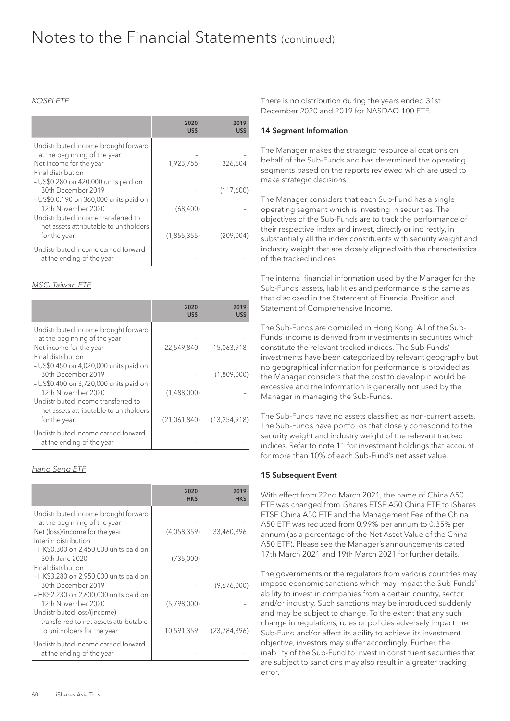#### KOSPI ETF

|                                                                                                                            | 2020<br>US\$  | 2019<br>US\$ |
|----------------------------------------------------------------------------------------------------------------------------|---------------|--------------|
| Undistributed income brought forward<br>at the beginning of the year<br>Net income for the year<br>Final distribution      | 1,923,755     | 326,604      |
| - US\$0.280 on 420,000 units paid on<br>30th December 2019<br>- US\$0.0.190 on 360,000 units paid on<br>12th November 2020 | (68, 400)     | (117,600)    |
| Undistributed income transferred to<br>net assets attributable to unitholders<br>for the year                              | (1, 855, 355) | (209,004)    |
| Undistributed income carried forward<br>at the ending of the year                                                          |               |              |

#### MSCI Taiwan ETF

|                                                                                                                              | 2020<br>US\$ | 2019<br><b>USS</b> |
|------------------------------------------------------------------------------------------------------------------------------|--------------|--------------------|
| Undistributed income brought forward<br>at the beginning of the year<br>Net income for the year                              | 22,549,840   | 15,063,918         |
| Final distribution<br>- US\$0.450 on 4,020,000 units paid on<br>30th December 2019<br>- US\$0.400 on 3,720,000 units paid on |              | (1,809,000)        |
| 12th November 2020<br>Undistributed income transferred to<br>net assets attributable to unitholders                          | (1,488,000)  |                    |
| for the year                                                                                                                 | (21,061,840) | (13, 254, 918)     |
| Undistributed income carried forward<br>at the ending of the year                                                            |              |                    |

#### Hang Seng ETF

|                                                                                                                                       | 2020<br>HK\$ | 2019<br><b>HKS</b> |
|---------------------------------------------------------------------------------------------------------------------------------------|--------------|--------------------|
| Undistributed income brought forward<br>at the beginning of the year<br>Net (loss)/income for the year<br>Interim distribution        | (4,058,359)  | 33,460,396         |
| - HK\$0.300 on 2,450,000 units paid on<br>30th June 2020<br>Final distribution                                                        | (735,000)    |                    |
| - HK\$3.280 on 2,950,000 units paid on<br>30th December 2019                                                                          |              | (9,676,000)        |
| - HK\$2.230 on 2,600,000 units paid on<br>12th November 2020<br>Undistributed loss/(income)<br>transferred to net assets attributable | (5,798,000)  |                    |
| to unitholders for the year                                                                                                           | 10,591,359   | (23, 784, 396)     |
| Undistributed income carried forward<br>at the ending of the year                                                                     |              |                    |

There is no distribution during the years ended 31st December 2020 and 2019 for NASDAQ 100 ETF.

#### 14 Segment Information

The Manager makes the strategic resource allocations on behalf of the Sub-Funds and has determined the operating segments based on the reports reviewed which are used to make strategic decisions.

The Manager considers that each Sub-Fund has a single operating segment which is investing in securities. The objectives of the Sub-Funds are to track the performance of their respective index and invest, directly or indirectly, in substantially all the index constituents with security weight and industry weight that are closely aligned with the characteristics of the tracked indices.

The internal financial information used by the Manager for the Sub-Funds' assets, liabilities and performance is the same as that disclosed in the Statement of Financial Position and Statement of Comprehensive Income.

The Sub-Funds are domiciled in Hong Kong. All of the Sub-Funds' income is derived from investments in securities which constitute the relevant tracked indices. The Sub-Funds' investments have been categorized by relevant geography but no geographical information for performance is provided as the Manager considers that the cost to develop it would be excessive and the information is generally not used by the Manager in managing the Sub-Funds.

The Sub-Funds have no assets classified as non-current assets. The Sub-Funds have portfolios that closely correspond to the security weight and industry weight of the relevant tracked indices. Refer to note 11 for investment holdings that account for more than 10% of each Sub-Fund's net asset value.

#### 15 Subsequent Event

With effect from 22nd March 2021, the name of China A50 ETF was changed from iShares FTSE A50 China ETF to iShares FTSE China A50 ETF and the Management Fee of the China A50 ETF was reduced from 0.99% per annum to 0.35% per annum (as a percentage of the Net Asset Value of the China A50 ETF). Please see the Manager's announcements dated 17th March 2021 and 19th March 2021 for further details.

The governments or the regulators from various countries may impose economic sanctions which may impact the Sub-Funds' ability to invest in companies from a certain country, sector and/or industry. Such sanctions may be introduced suddenly and may be subject to change. To the extent that any such change in regulations, rules or policies adversely impact the Sub-Fund and/or affect its ability to achieve its investment objective, investors may suffer accordingly. Further, the inability of the Sub-Fund to invest in constituent securities that are subject to sanctions may also result in a greater tracking error.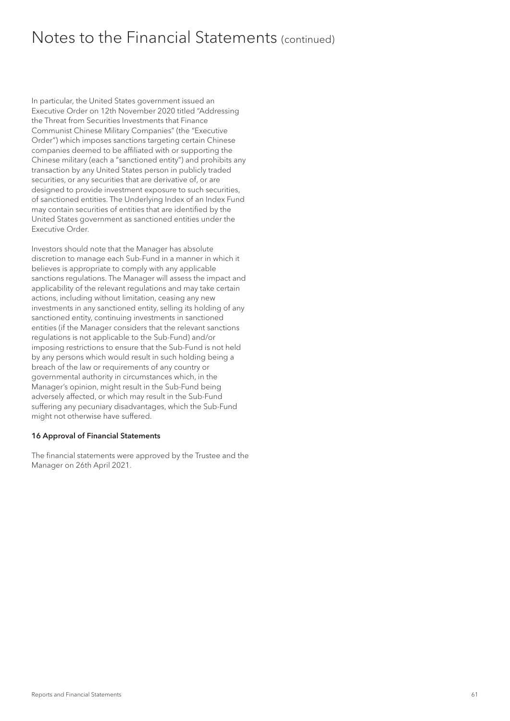In particular, the United States government issued an Executive Order on 12th November 2020 titled "Addressing the Threat from Securities Investments that Finance Communist Chinese Military Companies" (the "Executive Order") which imposes sanctions targeting certain Chinese companies deemed to be affiliated with or supporting the Chinese military (each a "sanctioned entity") and prohibits any transaction by any United States person in publicly traded securities, or any securities that are derivative of, or are designed to provide investment exposure to such securities, of sanctioned entities. The Underlying Index of an Index Fund may contain securities of entities that are identified by the United States government as sanctioned entities under the Executive Order.

Investors should note that the Manager has absolute discretion to manage each Sub-Fund in a manner in which it believes is appropriate to comply with any applicable sanctions regulations. The Manager will assess the impact and applicability of the relevant regulations and may take certain actions, including without limitation, ceasing any new investments in any sanctioned entity, selling its holding of any sanctioned entity, continuing investments in sanctioned entities (if the Manager considers that the relevant sanctions regulations is not applicable to the Sub-Fund) and/or imposing restrictions to ensure that the Sub-Fund is not held by any persons which would result in such holding being a breach of the law or requirements of any country or governmental authority in circumstances which, in the Manager's opinion, might result in the Sub-Fund being adversely affected, or which may result in the Sub-Fund suffering any pecuniary disadvantages, which the Sub-Fund might not otherwise have suffered.

#### 16 Approval of Financial Statements

The financial statements were approved by the Trustee and the Manager on 26th April 2021.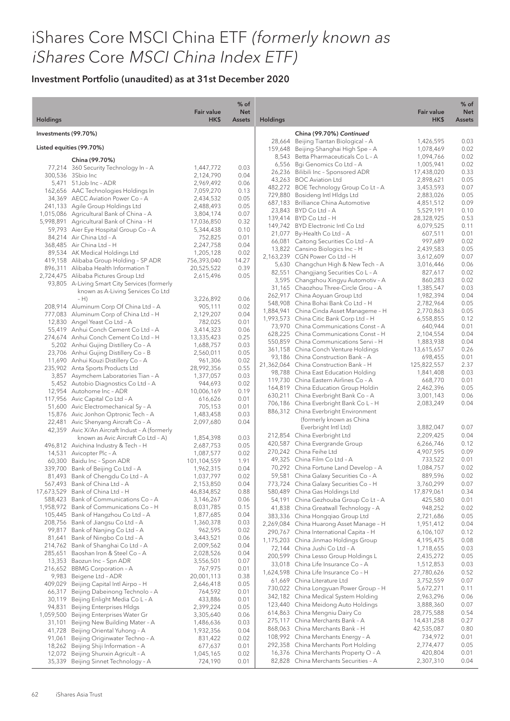|                      |                                                                                         | <b>Fair value</b>         | $%$ of<br><b>Net</b> |                 |                                                                                  | <b>Fair value</b>        | $%$ of<br><b>Net</b> |
|----------------------|-----------------------------------------------------------------------------------------|---------------------------|----------------------|-----------------|----------------------------------------------------------------------------------|--------------------------|----------------------|
| <b>Holdings</b>      |                                                                                         | HK\$                      | <b>Assets</b>        | <b>Holdings</b> |                                                                                  | HK\$                     | <b>Assets</b>        |
| Investments (99.70%) |                                                                                         |                           |                      |                 | China (99.70%) Continued                                                         | 1,426,595                | 0.03                 |
|                      | Listed equities (99.70%)                                                                |                           |                      |                 | 28,664 Beijing Tiantan Biological - A<br>159,648 Beijing-Shanghai High Spe - A   | 1,078,469                | 0.02                 |
|                      | China (99.70%)                                                                          |                           |                      |                 | 8,543 Betta Pharmaceuticals Co L - A                                             | 1,094,766                | 0.02                 |
|                      | 77,214 360 Security Technology In - A                                                   | 1,447,772                 | 0.03                 |                 | 6,556 Bgi Genomics Co Ltd - A<br>26,236 Bilibili Inc - Sponsored ADR             | 1,005,941<br>17,438,020  | 0.02<br>0.33         |
|                      | 300,536 3Sbio Inc                                                                       | 2,124,790                 | 0.04                 |                 | 43,263 BOC Aviation Ltd                                                          | 2,898,621                | 0.05                 |
|                      | 5,471 51 Job Inc - ADR<br>162,656 AAC Technologies Holdings In                          | 2,969,492<br>7,059,270    | 0.06<br>0.13         |                 | 482,272 BOE Technology Group Co Lt - A                                           | 3,453,593                | 0.07                 |
|                      | 34,369 AECC Aviation Power Co - A                                                       | 2,434,532                 | 0.05                 |                 | 729,880 Bosideng Intl Hldgs Ltd                                                  | 2,883,026                | 0.05                 |
|                      | 241,133 Agile Group Holdings Ltd                                                        | 2,488,493                 | 0.05                 |                 | 687,183 Brilliance China Automotive<br>23,843 BYD Co Ltd - A                     | 4,851,512<br>5,529,191   | 0.09<br>0.10         |
|                      | 1,015,086 Agricultural Bank of China - A                                                | 3,804,174                 | 0.07                 |                 | 139,414 BYD Co Ltd - H                                                           | 28,328,925               | 0.53                 |
|                      | 5,998,891 Agricultural Bank of China - H<br>59,793 Aier Eye Hospital Group Co - A       | 17,036,850<br>5,344,438   | 0.32<br>0.10         |                 | 149,742 BYD Electronic Intl Co Ltd                                               | 6,079,525                | 0.11                 |
|                      | 84,214 Air China Ltd - A                                                                | 752,825                   | 0.01                 |                 | 21,077 By-Health Co Ltd - A                                                      | 607,511                  | 0.01                 |
|                      | 368,485 Air China Ltd - H                                                               | 2,247,758                 | 0.04                 |                 | 66,081 Caitong Securities Co Ltd - A<br>13,822 Cansino Biologics Inc - H         | 997,689<br>2,439,583     | 0.02<br>0.05         |
|                      | 89,534 AK Medical Holdings Ltd                                                          | 1,205,128                 | 0.02                 |                 | 2,163,239 CGN Power Co Ltd - H                                                   | 3,612,609                | 0.07                 |
|                      | 419,158 Alibaba Group Holding - SP ADR<br>896,311 Alibaba Health Information T          | 756,393,040<br>20,525,522 | 14.27<br>0.39        |                 | 5,630 Changchun High & New Tech - A                                              | 3,016,446                | 0.06                 |
|                      | 2,724,475 Alibaba Pictures Group Ltd                                                    | 2,615,496                 | 0.05                 |                 | 82,551 Changjiang Securities Co L - A                                            | 827,617                  | 0.02                 |
|                      | 93,805 A-Living Smart City Services (formerly                                           |                           |                      |                 | 3,595 Changzhou Xingyu Automotiv - A<br>31,165 Chaozhou Three-Circle Grou - A    | 860,283<br>1,385,547     | 0.02<br>0.03         |
|                      | known as A-Living Services Co Ltd                                                       |                           |                      |                 | 262,917 China Aoyuan Group Ltd                                                   | 1,982,394                | 0.04                 |
|                      | $- H$<br>208,914 Aluminum Corp Of China Ltd - A                                         | 3,226,892<br>905,111      | 0.06<br>0.02         |                 | 548,908 China Bohai Bank Co Ltd - H                                              | 2,782,964                | 0.05                 |
|                      | 777,083 Aluminum Corp of China Ltd - H                                                  | 2,129,207                 | 0.04                 |                 | 1,884,941 China Cinda Asset Manageme - H                                         | 2,770,863                | 0.05                 |
|                      | 12,830 Angel Yeast Co Ltd - A                                                           | 782,025                   | 0.01                 |                 | 1,993,573 China Citic Bank Corp Ltd - H<br>73,970 China Communications Const - A | 6,558,855<br>640,944     | 0.12<br>0.01         |
|                      | 55,419 Anhui Conch Cement Co Ltd - A                                                    | 3,414,323                 | 0.06                 |                 | 628,225 China Communications Const - H                                           | 2,104,554                | 0.04                 |
|                      | 274,674 Anhui Conch Cement Co Ltd - H<br>5,202 Anhui Gujing Distillery Co - A           | 13,335,423<br>1,688,757   | 0.25<br>0.03         |                 | 550,859 China Communications Servi - H                                           | 1,883,938                | 0.04                 |
|                      | 23,706 Anhui Gujing Distillery Co - B                                                   | 2,560,011                 | 0.05                 |                 | 361,158 China Conch Venture Holdings                                             | 13,615,657               | 0.26                 |
|                      | 11,690 Anhui Kouzi Distillery Co - A                                                    | 961,306                   | 0.02                 |                 | 93,186 China Construction Bank - A                                               | 698,455                  | 0.01                 |
|                      | 235,902 Anta Sports Products Ltd                                                        | 28,992,356                | 0.55                 |                 | 21,362,064 China Construction Bank - H<br>98,788 China East Education Holding    | 125,822,557<br>1,841,408 | 2.37<br>0.03         |
|                      | 3,857 Asymchem Laboratories Tian - A                                                    | 1,377,057                 | 0.03                 |                 | 119,730 China Eastern Airlines Co - A                                            | 668,770                  | 0.01                 |
|                      | 5,452 Autobio Diagnostics Co Ltd - A<br>12,954 Autohome Inc - ADR                       | 944,693<br>10,006,169     | 0.02<br>0.19         |                 | 164,819 China Education Group Holdin                                             | 2,462,396                | 0.05                 |
|                      | 117,956 Avic Capital Co Ltd - A                                                         | 616,626                   | 0.01                 |                 | 630,211 China Everbright Bank Co - A                                             | 3,001,143                | 0.06                 |
|                      | 51,600 Avic Electromechanical Sy - A                                                    | 705,153                   | 0.01                 |                 | 706,186 China Everbright Bank Co L - H<br>886,312 China Everbright Environment   | 2,083,249                | 0.04                 |
|                      | 15,876 Avic Jonhon Optronic Tech - A                                                    | 1,483,458                 | 0.03                 |                 | (formerly known as China                                                         |                          |                      |
|                      | 22,481 Avic Shenyang Aircraft Co - A<br>42,359 Avic Xi'An Aircraft Indust - A (formerly | 2,097,680                 | 0.04                 |                 | Everbright Intl Ltd)                                                             | 3,882,047                | 0.07                 |
|                      | known as Avic Aircraft Co Ltd - A)                                                      | 1,854,398                 | 0.03                 |                 | 212,854 China Everbright Ltd                                                     | 2,209,425                | 0.04                 |
|                      | 496,812 Avichina Industry & Tech - H                                                    | 2,687,753                 | 0.05                 |                 | 420,587 China Evergrande Group                                                   | 6,266,746                | 0.12                 |
|                      | 14,531 Avicopter Plc - A                                                                | 1,087,577                 | 0.02                 |                 | 270,242 China Feihe Ltd<br>49,325 China Film Co Ltd - A                          | 4,907,595<br>733,522     | 0.09<br>0.01         |
|                      | 60,300 Baidu Inc - Spon ADR<br>339,700 Bank of Beijing Co Ltd - A                       | 101,104,559<br>1,962,315  | 1.91<br>0.04         |                 | 70,292 China Fortune Land Develop - A                                            | 1,084,757                | 0.02                 |
|                      | 81,493 Bank of Chengdu Co Ltd - A                                                       | 1,037,797                 | 0.02                 |                 | 59,581 China Galaxy Securities Co - A                                            | 889,596                  | 0.02                 |
|                      | 567,493 Bank of China Ltd - A                                                           | 2,153,850                 | 0.04                 |                 | 773,724 China Galaxy Securities Co - H                                           | 3,760,299                | 0.07                 |
|                      | 17,673,529 Bank of China Ltd - H                                                        | 46,834,852                | 0.88                 |                 | 580,489 China Gas Holdings Ltd                                                   | 17,879,061               | 0.34                 |
|                      | 588,423 Bank of Communications Co - A<br>1,958,972 Bank of Communications Co - H        | 3,146,267<br>8,031,785    | 0.06<br>0.15         |                 | 54,191 China Gezhouba Group Co Lt - A                                            | 425,580                  | 0.01                 |
|                      | 105,445 Bank of Hangzhou Co Ltd - A                                                     | 1,877,685                 | 0.04                 |                 | 41,838 China Greatwall Technology - A<br>383,336 China Hongqiao Group Ltd        | 948,252<br>2,721,686     | 0.02<br>0.05         |
|                      | 208,756 Bank of Jiangsu Co Ltd - A                                                      | 1,360,378                 | 0.03                 |                 | 2,269,084 China Huarong Asset Manage - H                                         | 1,951,412                | 0.04                 |
|                      | 99,817 Bank of Nanjing Co Ltd - A                                                       | 962,595                   | 0.02                 |                 | 290,767 China International Capita - H                                           | 6,106,107                | 0.12                 |
| 81,641               | Bank of Ningbo Co Ltd - A                                                               | 3,443,521                 | 0.06                 |                 | 1,175,203 China Jinmao Holdings Group                                            | 4,195,475                | 0.08                 |
| 285,651              | 214,762 Bank of Shanghai Co Ltd - A<br>Baoshan Iron & Steel Co - A                      | 2,009,562<br>2,028,526    | 0.04<br>0.04         |                 | 72,144 China Jushi Co Ltd - A                                                    | 1,718,655                | 0.03                 |
|                      | 13,353 Baozun Inc - Spn ADR                                                             | 3,556,501                 | 0.07                 |                 | 200,599 China Lesso Group Holdings L                                             | 2,435,272                | 0.05                 |
|                      | 216,652 BBMG Corporation - A                                                            | 767,975                   | 0.01                 |                 | 33,018 China Life Insurance Co - A<br>1,624,598 China Life Insurance Co - H      | 1,512,853<br>27,780,626  | 0.03<br>0.52         |
|                      | 9,983 Beigene Ltd - ADR                                                                 | 20,001,113                | 0.38                 |                 | 61,669 China Literature Ltd                                                      | 3,752,559                | 0.07                 |
| 66,317               | 409,029 Beijing Capital Intl Airpo - H<br>Beijing Dabeinong Technolo - A                | 2,646,418<br>764,592      | 0.05<br>0.01         |                 | 730,022 China Longyuan Power Group - H                                           | 5,672,271                | 0.11                 |
|                      | 30,119 Beijing Enlight Media Co L-A                                                     | 433,886                   | 0.01                 |                 | 342,182 China Medical System Holding                                             | 2,963,296                | 0.06                 |
| 94,831               | <b>Beijing Enterprises HIdgs</b>                                                        | 2,399,224                 | 0.05                 |                 | 123,440 China Meidong Auto Holdings                                              | 3,888,360                | 0.07                 |
| 1,059,500            | Beijing Enterprises Water Gr                                                            | 3,305,640                 | 0.06                 |                 | 614,863 China Mengniu Dairy Co<br>275,117 China Merchants Bank - A               | 28,775,588               | 0.54<br>0.27         |
| 31,101               | Beijing New Building Mater - A                                                          | 1,486,636                 | 0.03                 |                 | 868,063 China Merchants Bank - H                                                 | 14,431,258<br>42,535,087 | 0.80                 |
| 41,728<br>91,061     | Beijing Oriental Yuhong - A<br>Beijing Originwater Techno - A                           | 1,932,356<br>831,422      | 0.04<br>0.02         |                 | 108,992 China Merchants Energy - A                                               | 734,972                  | 0.01                 |
| 18,262               | Beijing Shiji Information - A                                                           | 677,637                   | 0.01                 |                 | 292,358 China Merchants Port Holding                                             | 2,774,477                | 0.05                 |
| 12,072               | Beijing Shunxin Agricult - A                                                            | 1,045,165                 | 0.02                 |                 | 16,376 China Merchants Property O - A                                            | 420,804                  | 0.01                 |
|                      | 35,339 Beijing Sinnet Technology - A                                                    | 724,190                   | 0.01                 |                 | 82,828 China Merchants Securities - A                                            | 2,307,310                | 0.04                 |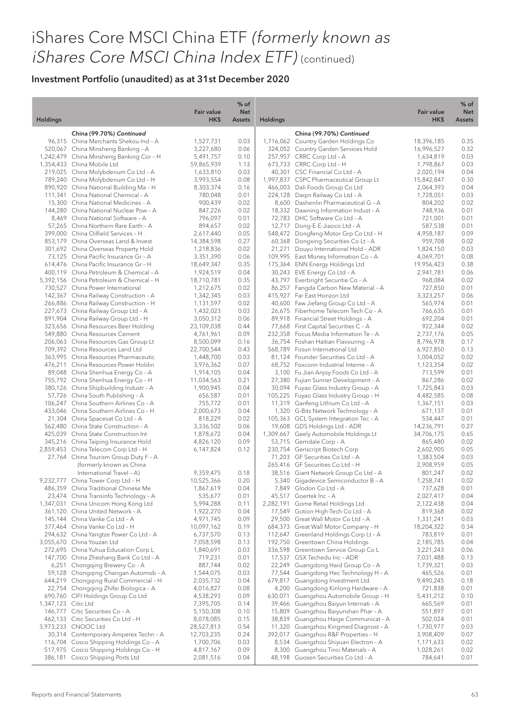|                     |                                                                                 | <b>Fair value</b>       | $%$ of<br><b>Net</b> |                 |                                                                               | <b>Fair value</b>       | $%$ of<br><b>Net</b> |
|---------------------|---------------------------------------------------------------------------------|-------------------------|----------------------|-----------------|-------------------------------------------------------------------------------|-------------------------|----------------------|
| <b>Holdings</b>     |                                                                                 | HK\$                    | <b>Assets</b>        | <b>Holdings</b> |                                                                               | HK\$                    | <b>Assets</b>        |
|                     | China (99.70%) Continued                                                        |                         |                      |                 | China (99.70%) Continued                                                      |                         |                      |
|                     | 96,315 China Merchants Shekou Ind - A                                           | 1,527,731               | 0.03                 |                 | 1,716,062 Country Garden Holdings Co                                          | 18,396,185              | 0.35                 |
|                     | 520,067 China Minsheng Banking - A<br>1,242,479 China Minsheng Banking Cor - H  | 3,227,680<br>5,491,757  | 0.06<br>0.10         |                 | 324,052 Country Garden Services Hold<br>257,957 CRRC Corp Ltd - A             | 16,996,527<br>1,634,819 | 0.32<br>0.03         |
|                     | 1,354,433 China Mobile Ltd                                                      | 59,865,939              | 1.13                 |                 | 673,733 CRRC Corp Ltd - H                                                     | 1,798,867               | 0.03                 |
|                     | 219,025 China Molybdenum Co Ltd - A                                             | 1,633,810               | 0.03                 |                 | 40,301 CSC Financial Co Ltd - A                                               | 2,020,194               | 0.04                 |
|                     | 789,240 China Molybdenum Co Ltd - H                                             | 3,993,554               | 0.08                 |                 | 1,997,837 CSPC Pharmaceutical Group Lt                                        | 15,842,847              | 0.30                 |
|                     | 890,920 China National Building Ma - H                                          | 8,303,374               | 0.16                 |                 | 466,003 Dali Foods Group Co Ltd                                               | 2,064,393               | 0.04                 |
|                     | 111,341 China National Chemical - A                                             | 780,048                 | 0.01                 |                 | 224,128 Daqin Railway Co Ltd - A                                              | 1,728,051               | 0.03                 |
|                     | 15,300 China National Medicines - A<br>144,280 China National Nuclear Pow - A   | 900,439<br>847,226      | 0.02<br>0.02         |                 | 8,600 Dashenlin Pharmaceutical G - A<br>18,332 Dawning Information Indust - A | 804,202<br>748,936      | 0.02<br>0.01         |
|                     | 8.469 China National Software - A                                               | 796,097                 | 0.01                 |                 | 72,783 DHC Software Co Ltd - A                                                | 721,001                 | 0.01                 |
|                     | 57,265 China Northern Rare Earth - A                                            | 894,657                 | 0.02                 |                 | 12,717 Dong-E-E-Jiaoco Ltd - A                                                | 587,538                 | 0.01                 |
|                     | 399,000 China Oilfield Services - H                                             | 2,617,440               | 0.05                 |                 | 548,472 Dongfeng Motor Grp Co Ltd - H                                         | 4,958,187               | 0.09                 |
|                     | 853,179 China Overseas Land & Invest                                            | 14,384,598              | 0.27                 |                 | 60,368 Dongxing Securities Co Lt - A                                          | 959,708                 | 0.02                 |
|                     | 301,692 China Overseas Property Hold                                            | 1,218,836               | 0.02                 |                 | 21,271 Douyu International Hold - ADR                                         | 1,824,150               | 0.03                 |
|                     | 73,125 China Pacific Insurance Gr - A<br>614.476 China Pacific Insurance Gr - H | 3,351,390               | 0.06<br>0.35         |                 | 109,995 East Money Information Co - A                                         | 4,069,701<br>19,956,423 | 0.08<br>0.38         |
|                     | 400.119 China Petroleum & Chemical - A                                          | 18,649,347<br>1,924,519 | 0.04                 |                 | 175,364 ENN Energy Holdings Ltd<br>30,243 EVE Energy Co Ltd - A               | 2,941,781               | 0.06                 |
|                     | 5,392,156 China Petroleum & Chemical - H                                        | 18,710,781              | 0.35                 |                 | 43,797 Everbright Securitie Co - A                                            | 968,084                 | 0.02                 |
|                     | 730.527 China Power International                                               | 1,212,675               | 0.02                 |                 | 86,257 Fangda Carbon New Material - A                                         | 727,850                 | 0.01                 |
|                     | 142,367 China Railway Construction - A                                          | 1,342,345               | 0.03                 |                 | 415,927 Far East Horizon Ltd                                                  | 3,323,257               | 0.06                 |
|                     | 266,886 China Railway Construction - H                                          | 1,131,597               | 0.02                 |                 | 40,600 Faw Jiefang Group Co Ltd - A                                           | 565,974                 | 0.01                 |
|                     | 227,673 China Railway Group Ltd - A                                             | 1,432,023               | 0.03                 |                 | 26,675 Fiberhome Telecom Tech Co - A                                          | 766,635                 | 0.01                 |
|                     | 891,904 China Railway Group Ltd - H<br>323,656 China Resources Beer Holding     | 3,050,312<br>23,109,038 | 0.06<br>0.44         |                 | 89,918 Financial Street Holdings - A<br>77,668 First Capital Securities C - A | 692,204<br>922,344      | 0.01<br>0.02         |
|                     | 549,880 China Resources Cement                                                  | 4,761,961               | 0.09                 |                 | 232,358 Focus Media Information Te - A                                        | 2,737,176               | 0.05                 |
|                     | 206,063 China Resources Gas Group Lt                                            | 8,500,099               | 0.16                 |                 | 36,754 Foshan Haitian Flavouring - A                                          | 8,796,978               | 0.17                 |
|                     | 709,392 China Resources Land Ltd                                                | 22,700,544              | 0.43                 |                 | 568,789 Fosun International Ltd                                               | 6,927,850               | 0.13                 |
|                     | 363,995 China Resources Pharmaceutic                                            | 1,448,700               | 0.03                 |                 | 81,124 Founder Securities Co Ltd - A                                          | 1,004,052               | 0.02                 |
|                     | 476,211 China Resources Power Holdin                                            | 3,976,362               | 0.07                 |                 | 68,752 Foxconn Industrial Interne - A                                         | 1,123,354               | 0.02                 |
|                     | 89,048 China Shenhua Energy Co - A                                              | 1,914,105               | 0.04<br>0.21         |                 | 3,100 Fu Jian Anjoy Foods Co Ltd - A                                          | 713,599                 | 0.01<br>0.02         |
|                     | 755,792 China Shenhua Energy Co - H<br>380,126 China Shipbuilding Industr - A   | 11,034,563<br>1,900,945 | 0.04                 |                 | 27,380 Fujian Sunner Development - A<br>30,094 Fuyao Glass Industry Group - A | 867,286<br>1,725,843    | 0.03                 |
|                     | 57,726 China South Publishing - A                                               | 656,587                 | 0.01                 |                 | 105,225 Fuyao Glass Industry Group - H                                        | 4,482,585               | 0.08                 |
|                     | 106,247 China Southern Airlines Co - A                                          | 755,772                 | 0.01                 |                 | 11,319 Ganfeng Lithium Co Ltd - A                                             | 1,367,151               | 0.03                 |
|                     | 433,046 China Southern Airlines Co - H                                          | 2,000,673               | 0.04                 |                 | 1,320 G-Bits Network Technology - A                                           | 671,137                 | 0.01                 |
|                     | 21,304 China Spacesat Co Ltd - A                                                | 818,229                 | 0.02                 |                 | 105,363 GCL System Integration Tec - A                                        | 534,447                 | 0.01                 |
|                     | 562,480 China State Construction - A                                            | 3,336,502               | 0.06                 |                 | 19,608 GDS Holdings Ltd - ADR                                                 | 14,236,791              | 0.27                 |
|                     | 425,039 China State Construction Int<br>345,216 China Taiping Insurance Hold    | 1,878,672<br>4,826,120  | 0.04<br>0.09         |                 | 1,309,667 Geely Automobile Holdings Lt<br>53,715 Gemdale Corp - A             | 34,706,175<br>865,480   | 0.65<br>0.02         |
|                     | 2,859,453 China Telecom Corp Ltd - H                                            | 6,147,824               | 0.12                 |                 | 230,754 Genscript Biotech Corp                                                | 2,602,905               | 0.05                 |
|                     | 27,764 China Tourism Group Duty F - A                                           |                         |                      |                 | 71,203 GF Securities Co Ltd - A                                               | 1,383,504               | 0.03                 |
|                     | (formerly known as China                                                        |                         |                      |                 | 265,416 GF Securities Co Ltd - H                                              | 2,908,959               | 0.05                 |
|                     | International Travel - A)                                                       | 9,359,475               | 0.18                 |                 | 38,516 Giant Network Group Co Ltd - A                                         | 801,247                 | 0.02                 |
|                     | 9,232,777 China Tower Corp Ltd - H                                              | 10,525,366              | 0.20                 |                 | 5,340 Gigadevice Semiconductor B - A                                          | 1,258,741               | 0.02                 |
|                     | 486,359 China Traditional Chinese Me<br>23,474 China Transinfo Technology - A   | 1,867,619<br>535,677    | 0.04<br>0.01         |                 | 7,849 Glodon Co Ltd - A<br>45,517 Goertek Inc - A                             | 737,628<br>2,027,417    | 0.01<br>0.04         |
|                     | 1,347,031 China Unicom Hong Kong Ltd                                            | 5,994,288               | 0.11                 |                 | 2,282,191 Gome Retail Holdings Ltd                                            | 2,122,438               | 0.04                 |
|                     | 361,120 China United Network - A                                                | 1,922,270               | 0.04                 |                 | 17,549 Gotion High-Tech Co Ltd - A                                            | 819,368                 | 0.02                 |
|                     | 145,144 China Vanke Co Ltd - A                                                  | 4,971,745               | 0.09                 |                 | 29,500 Great Wall Motor Co Ltd - A                                            | 1,331,241               | 0.03                 |
|                     | 377,464 China Vanke Co Ltd - H                                                  | 10,097,162              | 0.19                 |                 | 684,373 Great Wall Motor Company - H                                          | 18,204,322              | 0.34                 |
|                     | 294,632 China Yangtze Power Co Ltd - A                                          | 6,737,570               | 0.13                 |                 | 112,647 Greenland Holdings Corp Lt - A                                        | 783,819                 | 0.01                 |
|                     | 3,055,670 China Youzan Ltd<br>272,695 China Yuhua Education Corp L              | 7,058,598<br>1,840,691  | 0.13<br>0.03         |                 | 192,750 Greentown China Holdings<br>336,598 Greentown Service Group Co L      | 2,185,785<br>3,221,243  | 0.04<br>0.06         |
|                     | 147,700 China Zheshang Bank Co Ltd - A                                          | 719,231                 | 0.01                 |                 | 17,537 GSX Techedu Inc - ADR                                                  | 7,031,488               | 0.13                 |
|                     | 6,251 Chongqing Brewery Co - A                                                  | 887,744                 | 0.02                 |                 | 22,249 Guangdong Haid Group Co - A                                            | 1,739,321               | 0.03                 |
|                     | 59,128 Chongqing Changan Automob - A                                            | 1,544,075               | 0.03                 |                 | 77,544 Guangdong Hec Technology H - A                                         | 465,526                 | 0.01                 |
|                     | 644,219 Chongqing Rural Commercial - H                                          | 2,035,732               | 0.04                 |                 | 679,817 Guangdong Investment Ltd                                              | 9,490,245               | 0.18                 |
|                     | 22,754 Chongqing Zhifei Biologica - A                                           | 4,016,827               | 0.08                 |                 | 4,200 Guangdong Kinlong Hardware - A                                          | 721,838                 | 0.01                 |
|                     | 690,760 CIFI Holdings Group Co Ltd                                              | 4,538,293               | 0.09                 |                 | 630,071 Guangzhou Automobile Group - H                                        | 5,431,212               | 0.10<br>0.01         |
| 1,347,123 Citic Ltd | 146,777 Citic Securities Co - A                                                 | 7,395,705<br>5,150,308  | 0.14<br>0.10         |                 | 39,466 Guangzhou Baiyun Internati - A<br>15,809 Guangzhou Baiyunshan Phar - A | 665,569<br>551,897      | 0.01                 |
|                     | 462,133 Citic Securities Co Ltd - H                                             | 8,078,085               | 0.15                 |                 | 38,839 Guangzhou Haige Communicat - A                                         | 502,024                 | 0.01                 |
|                     | 3,973,233 CNOOC Ltd                                                             | 28,527,813              | 0.54                 |                 | 11,320 Guangzhou Kingmed Diagnost - A                                         | 1,730,977               | 0.03                 |
|                     | 30,314 Contemporary Amperex Techn - A                                           | 12,703,235              | 0.24                 |                 | 392,017 Guangzhou R&F Properties - H                                          | 3,908,409               | 0.07                 |
|                     | 116,704 Cosco Shipping Holdings Co - A                                          | 1,700,706               | 0.03                 |                 | 8,534 Guangzhou Shiyuan Electron - A                                          | 1,171,633               | 0.02                 |
|                     | 517,975 Cosco Shipping Holdings Co - H                                          | 4,817,167               | 0.09                 |                 | 8,300 Guangzhou Tinci Materials - A                                           | 1,028,261               | 0.02                 |
|                     | 386,181 Cosco Shipping Ports Ltd                                                | 2,081,516               | 0.04                 |                 | 48,198 Guosen Securities Co Ltd - A                                           | 784,641                 | 0.01                 |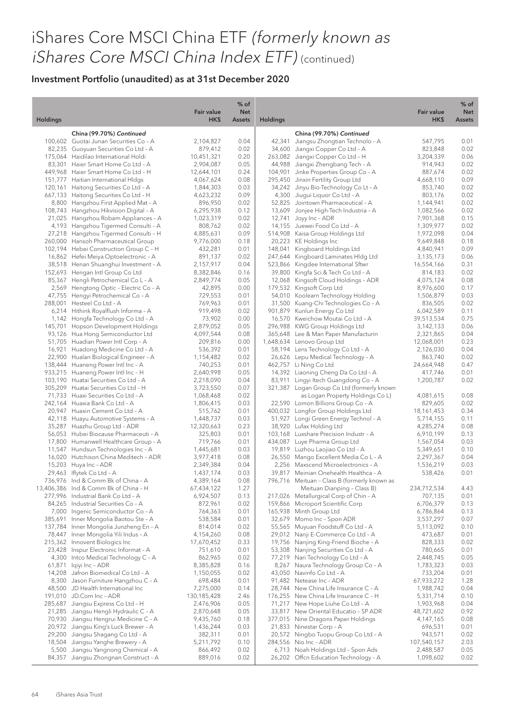| <b>Holdings</b> |                                                                                 | <b>Fair value</b><br>HK\$ | $%$ of<br><b>Net</b><br><b>Assets</b> | <b>Holdings</b> |                                                                           | <b>Fair value</b><br>HK\$ | $%$ of<br><b>Net</b><br><b>Assets</b> |
|-----------------|---------------------------------------------------------------------------------|---------------------------|---------------------------------------|-----------------|---------------------------------------------------------------------------|---------------------------|---------------------------------------|
|                 |                                                                                 |                           |                                       |                 |                                                                           |                           |                                       |
|                 | China (99.70%) Continued                                                        |                           |                                       |                 | China (99.70%) Continued                                                  |                           |                                       |
|                 | 100,602 Guotai Junan Securities Co - A                                          | 2,104,827                 | 0.04                                  |                 | 42,341 Jiangsu Zhongtian Technolo - A                                     | 547,795                   | 0.01                                  |
|                 | 82,235 Guoyuan Securities Co Ltd - A<br>175,064 Haidilao International Holdi    | 879,412                   | 0.02                                  |                 | 34,600 Jiangxi Copper Co Ltd - A                                          | 823,848                   | 0.02                                  |
|                 | 83,301 Haier Smart Home Co Ltd - A                                              | 10,451,321<br>2,904,087   | 0.20<br>0.05                          |                 | 263,082 Jiangxi Copper Co Ltd - H<br>44,988 Jiangxi Zhengbang Tech - A    | 3,204,339<br>914,943      | 0.06<br>0.02                          |
|                 | 449,968 Haier Smart Home Co Ltd - H                                             | 12,644,101                | 0.24                                  |                 | 104,901 Jinke Properties Group Co - A                                     | 887,674                   | 0.02                                  |
|                 | 151,777 Haitian International HIdgs                                             | 4,067,624                 | 0.08                                  |                 | 295,450 Jinxin Fertility Group Ltd                                        | 4,668,110                 | 0.09                                  |
|                 | 120,161 Haitong Securities Co Ltd - A                                           | 1,844,303                 | 0.03                                  |                 | 34,242 Jinyu Bio-Technology Co Lt - A                                     | 853,740                   | 0.02                                  |
|                 | 667,133 Haitong Securities Co Ltd - H                                           | 4,623,232                 | 0.09                                  |                 | 4,300 Jiugui Liquor Co Ltd - A                                            | 803,176                   | 0.02                                  |
|                 | 8,800 Hangzhou First Applied Mat - A                                            | 896,950                   | 0.02                                  |                 | 52,825 Jointown Pharmaceutical - A                                        | 1,144,941                 | 0.02                                  |
|                 | 108,743 Hangzhou Hikvision Digital - A                                          | 6,295,938                 | 0.12                                  |                 | 13,609 Jonjee High-Tech Industria - A                                     | 1,082,566                 | 0.02                                  |
|                 | 21,025 Hangzhou Robam Appliances - A                                            | 1,023,319                 | 0.02                                  |                 | 12,741 Joyy Inc - ADR                                                     | 7,901,368                 | 0.15                                  |
|                 | 4,193 Hangzhou Tigermed Consulti - A                                            | 808,762                   | 0.02                                  |                 | 14,155 Juewei Food Co Ltd - A                                             | 1,309,977                 | 0.02                                  |
|                 | 27,218 Hangzhou Tigermed Consulti - H                                           | 4,885,631                 | 0.09                                  |                 | 514,908 Kaisa Group Holdings Ltd                                          | 1,972,098                 | 0.04                                  |
|                 | 260,000 Hansoh Pharmaceutical Group                                             | 9,776,000                 | 0.18                                  |                 | 20,223 KE Holdings Inc                                                    | 9,649,848                 | 0.18                                  |
|                 | 102,194 Hebei Construction Group C - H<br>16,862 Hefei Meiya Optoelectronic - A | 432,281<br>891,137        | 0.01<br>0.02                          |                 | 148,041 Kingboard Holdings Ltd<br>247,644 Kingboard Laminates Hldg Ltd    | 4,840,941                 | 0.09<br>0.06                          |
|                 | 38,518 Henan Shuanghui Investment - A                                           | 2,157,917                 | 0.04                                  |                 | 523,866 Kingdee International Sftwr                                       | 3,135,173<br>16,554,166   | 0.31                                  |
|                 | 152,693 Hengan Intl Group Co Ltd                                                | 8,382,846                 | 0.16                                  |                 | 39,800 Kingfa Sci.& Tech Co Ltd - A                                       | 814,183                   | 0.02                                  |
|                 | 85,367 Hengli Petrochemical Co L - A                                            | 2,849,774                 | 0.05                                  |                 | 12,068 Kingsoft Cloud Holdings - ADR                                      | 4,075,124                 | 0.08                                  |
|                 | 2,569 Hengtong Optic - Electric Co - A                                          | 42,895                    | 0.00                                  |                 | 179,532 Kingsoft Corp Ltd                                                 | 8,976,600                 | 0.17                                  |
|                 | 47,755 Hengyi Petrochemical Co - A                                              | 729,553                   | 0.01                                  |                 | 54,010 Koolearn Technology Holding                                        | 1,506,879                 | 0.03                                  |
|                 | 288,001 Hesteel Co Ltd - A                                                      | 769,963                   | 0.01                                  |                 | 31,500 Kuang-Chi Technologies Co - A                                      | 836,505                   | 0.02                                  |
|                 | 6,214 Hithink Royalflush Informa - A                                            | 919,498                   | 0.02                                  |                 | 901,879 Kunlun Energy Co Ltd                                              | 6,042,589                 | 0.11                                  |
|                 | 1,142 Hongfa Technology Co Ltd - A                                              | 73,902                    | 0.00                                  |                 | 16,570 Kweichow Moutai Co Ltd - A                                         | 39,513,534                | 0.75                                  |
|                 | 145,701 Hopson Development Holdings                                             | 2,879,052                 | 0.05                                  |                 | 296,988 KWG Group Holdings Ltd                                            | 3,142,133                 | 0.06                                  |
|                 | 93,126 Hua Hong Semiconductor Ltd                                               | 4,097,544                 | 0.08                                  |                 | 365,648 Lee & Man Paper Manufacturin                                      | 2,321,865                 | 0.04                                  |
|                 | 51,705 Huadian Power Intl Corp - A                                              | 209,816                   | 0.00                                  |                 | 1,648,634 Lenovo Group Ltd                                                | 12,068,001                | 0.23                                  |
|                 | 16,921 Huadong Medicine Co Ltd - A<br>22,900 Hualan Biological Engineer - A     | 536,392                   | 0.01<br>0.02                          |                 | 58,194 Lens Technology Co Ltd - A<br>26,626 Lepu Medical Technology - A   | 2,126,030                 | 0.04<br>0.02                          |
|                 | 138,444 Huaneng Power Intl Inc - A                                              | 1,154,482<br>740,253      | 0.01                                  |                 | 462,757 Li Ning Co Ltd                                                    | 863,740<br>24,664,948     | 0.47                                  |
|                 | 933,215 Huaneng Power Intl Inc - H                                              | 2,640,998                 | 0.05                                  |                 | 14,392 Liaoning Cheng Da Co Ltd - A                                       | 417,746                   | 0.01                                  |
|                 | 103,190 Huatai Securities Co Ltd - A                                            | 2,218,090                 | 0.04                                  |                 | 83,911 Lingyi Itech Guangdong Co - A                                      | 1,200,787                 | 0.02                                  |
|                 | 305,209 Huatai Securities Co Ltd - H                                            | 3,723,550                 | 0.07                                  |                 | 321,387 Logan Group Co Ltd (formerly known                                |                           |                                       |
|                 | 71,733 Huaxi Securities Co Ltd - A                                              | 1,068,468                 | 0.02                                  |                 | as Logan Property Holdings Co L)                                          | 4,081,615                 | 0.08                                  |
|                 | 242,164 Huaxia Bank Co Ltd - A                                                  | 1,806,415                 | 0.03                                  |                 | 22,590 Lomon Billions Group Co - A                                        | 829,605                   | 0.02                                  |
|                 | 20,947 Huaxin Cement Co Ltd - A                                                 | 515,762                   | 0.01                                  |                 | 400,032 Longfor Group Holdings Ltd                                        | 18,161,453                | 0.34                                  |
|                 | 42,118 Huayu Automotive Systems - A                                             | 1,448,737                 | 0.03                                  |                 | 51,927 Longi Green Energy Technol - A                                     | 5,714,155                 | 0.11                                  |
|                 | 35,287 Huazhu Group Ltd - ADR                                                   | 12,320,663                | 0.23                                  |                 | 38,920 Lufax Holding Ltd                                                  | 4,285,274                 | 0.08                                  |
|                 | 56,053 Hubei Biocause Pharmaceuti - A                                           | 325,803                   | 0.01                                  |                 | 103,168 Luxshare Precision Industr - A                                    | 6,910,199                 | 0.13                                  |
|                 | 17,800 Humanwell Healthcare Group - A                                           | 719,766                   | 0.01                                  | 434,087         | Luye Pharma Group Ltd                                                     | 1,567,054                 | 0.03                                  |
|                 | 11,547 Hundsun Technologies Inc - A<br>16,020 Hutchison China Meditech - ADR    | 1,445,681                 | 0.03<br>0.08                          |                 | 19,819 Luzhou Laojiao Co Ltd - A<br>26,550 Mango Excellent Media Co L - A | 5,349,651<br>2,297,367    | 0.10<br>0.04                          |
|                 | 15,203 Huya Inc - ADR                                                           | 3,977,418<br>2,349,384    | 0.04                                  |                 | 2,256 Maxscend Microelectronics - A                                       | 1,536,219                 | 0.03                                  |
|                 | 29,463 Iflytek Co Ltd - A                                                       | 1,437,174                 | 0.03                                  |                 | 39,817 Meinian Onehealth Healthca - A                                     | 538,426                   | 0.01                                  |
|                 | 736,976 Ind & Comm Bk of China - A                                              | 4,389,164                 | 0.08                                  |                 | 796,716 Meituan - Class B (formerly known as                              |                           |                                       |
|                 | 13,406,386 Ind & Comm Bk of China - H                                           | 67,434,122                | 1.27                                  |                 | Meituan Dianping - Class B)                                               | 234,712,534               | 4.43                                  |
|                 | 277,996 Industrial Bank Co Ltd - A                                              | 6,924,507                 | 0.13                                  |                 | 217,026 Metallurgical Corp of Chin - A                                    | 707,135                   | 0.01                                  |
|                 | 84,265 Industrial Securities Co - A                                             | 872,961                   | 0.02                                  |                 | 159,866 Microport Scientific Corp                                         | 6,706,379                 | 0.13                                  |
|                 | 7,000 Ingenic Semiconductor Co - A                                              | 764,363                   | 0.01                                  |                 | 165,938 Minth Group Ltd                                                   | 6,786,864                 | 0.13                                  |
| 385,691         | Inner Mongolia Baotou Ste - A                                                   | 538,584                   | 0.01                                  |                 | 32,679 Momo Inc - Spon ADR                                                | 3,537,297                 | 0.07                                  |
|                 | 137,784 Inner Mongolia Junzheng En - A                                          | 814,014                   | 0.02                                  |                 | 55,565 Muyuan Foodstuff Co Ltd - A                                        | 5,113,092                 | 0.10                                  |
|                 | 78,447 Inner Mongolia Yili Indus - A                                            | 4,154,260                 | 0.08                                  |                 | 29,012 Nanji E-Commerce Co Ltd - A                                        | 473,687                   | 0.01                                  |
|                 | 215,362 Innovent Biologics Inc                                                  | 17,670,452                | 0.33                                  |                 | 19,756 Nanjing King-Friend Bioche - A                                     | 828,333                   | 0.02                                  |
| 23,428          | Inspur Electronic Informat - A                                                  | 751,610                   | 0.01                                  | 53,308          | Nanjing Securities Co Ltd - A                                             | 780,665                   | 0.01                                  |
| 61,871          | 4,300 Intco Medical Technology C - A<br>lqiyi Inc - ADR                         | 862,965<br>8,385,828      | 0.02<br>0.16                          |                 | 77,219 Nari Technology Co Ltd - A<br>8,267 Naura Technology Group Co - A  | 2,448,745<br>1,783,323    | 0.05<br>0.03                          |
| 14,208          | Jafron Biomedical Co Ltd - A                                                    | 1,150,055                 | 0.02                                  |                 | 43,050 Navinfo Co Ltd - A                                                 | 733,204                   | 0.01                                  |
| 8,300           | Jason Furniture Hangzhou C - A                                                  | 698,484                   | 0.01                                  |                 | 91,482 Netease Inc - ADR                                                  | 67,933,272                | 1.28                                  |
|                 | 48,500 JD Health International Inc                                              | 7,275,000                 | 0.14                                  |                 | 28,744 New China Life Insurance C - A                                     | 1,988,742                 | 0.04                                  |
|                 | 191,010 JD.Com Inc - ADR                                                        | 130,185,428               | 2.46                                  |                 | 176,255 New China Life Insurance C - H                                    | 5,331,714                 | 0.10                                  |
|                 | 285,687 Jiangsu Express Co Ltd - H                                              | 2,476,906                 | 0.05                                  |                 | 71,217 New Hope Liuhe Co Ltd - A                                          | 1,903,968                 | 0.04                                  |
| 21,285          | Jiangsu Hengli Hydraulic C - A                                                  | 2,870,648                 | 0.05                                  |                 | 33,817 New Oriental Educatio - SP ADR                                     | 48,721,602                | 0.92                                  |
|                 | 70,930 Jiangsu Hengrui Medicine C - A                                           | 9,435,760                 | 0.18                                  |                 | 377,015 Nine Dragons Paper Holdings                                       | 4,147,165                 | 0.08                                  |
|                 | 20,972 Jiangsu King's Luck Brewer - A                                           | 1,436,244                 | 0.03                                  |                 | 21,833 Ninestar Corp - A                                                  | 696,531                   | 0.01                                  |
| 29,200          | Jiangsu Shagang Co Ltd - A                                                      | 382,311                   | 0.01                                  |                 | 20,572 Ningbo Tuopu Group Co Ltd - A                                      | 943,571                   | 0.02                                  |
| 18,504          | Jiangsu Yanghe Brewery - A                                                      | 5,211,792                 | 0.10                                  |                 | 284,556 Nio Inc - ADR                                                     | 107,540,157               | 2.03                                  |
| 5,500           | Jiangsu Yangnong Chemical - A                                                   | 866,492                   | 0.02                                  |                 | 6,713 Noah Holdings Ltd - Spon Ads                                        | 2,488,587                 | 0.05                                  |
|                 | 84,357 Jiangsu Zhongnan Construct - A                                           | 889,016                   | 0.02                                  |                 | 26,202 Offen Education Technology - A                                     | 1,098,602                 | 0.02                                  |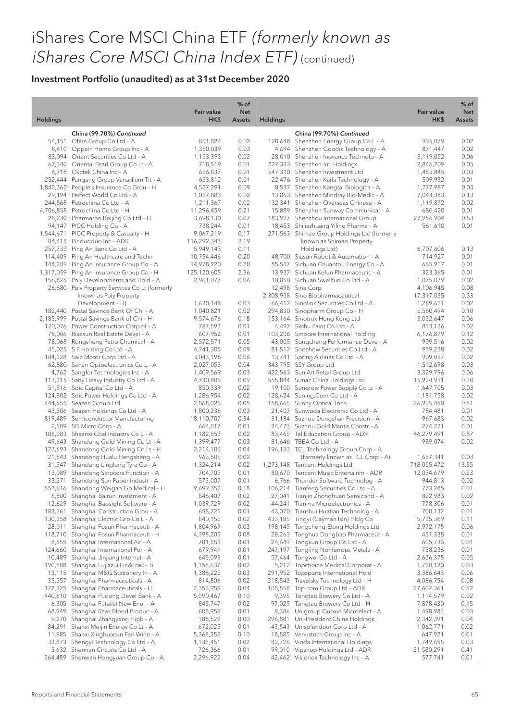|                  |                                                                                    | Fair value               | $%$ of<br><b>Net</b> |                 |                                                                         | <b>Fair value</b>         | $%$ of<br><b>Net</b> |
|------------------|------------------------------------------------------------------------------------|--------------------------|----------------------|-----------------|-------------------------------------------------------------------------|---------------------------|----------------------|
| <b>Holdings</b>  |                                                                                    | HK\$                     | <b>Assets</b>        | <b>Holdings</b> |                                                                         | HK\$                      | <b>Assets</b>        |
|                  | China (99.70%) Continued                                                           |                          |                      |                 | China (99.70%) Continued                                                |                           |                      |
|                  | 54,151 Ofilm Group Co Ltd - A                                                      | 851,824                  | 0.02                 |                 | 128,648 Shenzhen Energy Group Co L - A                                  | 935,079                   | 0.02                 |
|                  | 8,410 Oppein Home Group Inc - A                                                    | 1,350,039                | 0.03                 |                 | 4,694 Shenzhen Goodix Technology - A                                    | 871,447                   | 0.02                 |
|                  | 83,094 Orient Securities Co Ltd - A                                                | 1,153,393                | 0.02                 |                 | 28,010 Shenzhen Inovance Technolo - A                                   | 3,119,052                 | 0.06                 |
|                  | 67,340 Oriental Pearl Group Co Lt - A<br>6,718 Ovctek China Inc - A                | 718,519<br>656,837       | 0.01<br>0.01         |                 | 227,333 Shenzhen Intl Holdings<br>547,310 Shenzhen Investment Ltd       | 2,846,209<br>1,455,845    | 0.05<br>0.03         |
|                  | 252,444 Pangang Group Vanadium Tit - A                                             | 653,812                  | 0.01                 |                 | 22,476 Shenzhen Kaifa Technology - A                                    | 509,952                   | 0.01                 |
|                  | 1,840,362 People's Insurance Co Grou - H                                           | 4,527,291                | 0.09                 |                 | 8,537 Shenzhen Kangtai Biologica - A                                    | 1,777,987                 | 0.03                 |
|                  | 29,194 Perfect World Co Ltd - A                                                    | 1,027,883                | 0.02                 |                 | 13,853 Shenzhen Mindray Bio-Medic - A                                   | 7,043,383                 | 0.13                 |
|                  | 244,568 Petrochina Co Ltd - A                                                      | 1,211,367                | 0.02                 |                 | 132,341 Shenzhen Overseas Chinese - A                                   | 1,119,872                 | 0.02                 |
|                  | 4,706,858 Petrochina Co Ltd - H                                                    | 11,296,459               | 0.21                 |                 | 15,889 Shenzhen Sunway Communicat - A                                   | 680,420                   | 0.01                 |
|                  | 28,230 Pharmaron Beijing Co Ltd - H                                                | 3,698,130                | 0.07                 |                 | 183,927 Shenzhou International Group                                    | 27,956,904                | 0.53                 |
|                  | 94,147 PICC Holding Co - A                                                         | 738,244                  | 0.01                 |                 | 18,453 Shijiazhuang Yiling Pharma - A                                   | 561,610                   | 0.01                 |
|                  | 1,544,671 PICC Property & Casualty - H                                             | 9,067,219                | 0.17                 |                 | 271,563 Shimao Group Holdings Ltd (formerly                             |                           |                      |
|                  | 84,415 Pinduoduo Inc - ADR<br>257,733 Ping An Bank Co Ltd - A                      | 116,292,343<br>5,949,143 | 2.19<br>0.11         |                 | known as Shimao Property<br>Holdings Ltd)                               | 6,707,606                 | 0.13                 |
|                  | 114,409 Ping An Healthcare and Techn                                               | 10,754,446               | 0.20                 |                 | 48,700 Siasun Robot & Automation - A                                    | 714,927                   | 0.01                 |
|                  | 144,289 Ping An Insurance Group Co - A                                             | 14,978,920               | 0.28                 |                 | 55,517 Sichuan Chuantou Energy Co - A                                   | 665,917                   | 0.01                 |
|                  | 1,317,059 Ping An Insurance Group Co - H                                           | 125,120,605              | 2.36                 |                 | 13,937 Sichuan Kelun Pharmaceutic - A                                   | 323,365                   | 0.01                 |
|                  | 156,825 Poly Developments and Hold - A                                             | 2,961,077                | 0.06                 |                 | 10,850 Sichuan Swellfun Co Ltd - A                                      | 1,075,079                 | 0.02                 |
|                  | 26,680 Poly Property Services Co Lt (formerly                                      |                          |                      |                 | 12,498 Sina Corp                                                        | 4,106,945                 | 0.08                 |
|                  | known as Poly Property                                                             |                          |                      |                 | 2,308,938 Sino Biopharmaceutical                                        | 17,317,035                | 0.33                 |
|                  | Development - H)                                                                   | 1,630,148                | 0.03                 |                 | 66,412 Sinolink Securities Co Ltd - A                                   | 1,289,621                 | 0.02                 |
|                  | 182,440 Postal Savings Bank Of Chi - A                                             | 1,040,821                | 0.02                 |                 | 294,830 Sinopharm Group Co - H                                          | 5,560,494                 | 0.10                 |
|                  | 2,185,999 Postal Savings Bank of Chi - H<br>170,076 Power Construction Corp of - A | 9,574,676                | 0.18<br>0.01         |                 | 153,164 Sinotruk Hong Kong Ltd<br>4,497 Skshu Paint Co Ltd - A          | 3,032,647<br>813,136      | 0.06<br>0.02         |
|                  | 78,006 Risesun Real Estate Devel - A                                               | 787,594<br>607,952       | 0.01                 |                 | 103,206 Smoore International Holding                                    | 6,176,879                 | 0.12                 |
|                  | 78,068 Rongsheng Petro Chemical - A                                                | 2,572,571                | 0.05                 |                 | 43,005 Songcheng Performance Deve - A                                   | 909,516                   | 0.02                 |
|                  | 45,025 S F Holding Co Ltd - A                                                      | 4,741,305                | 0.09                 |                 | 81,512 Soochow Securities Co Ltd - A                                    | 959,238                   | 0.02                 |
|                  | 104,328 Saic Motor Corp Ltd - A                                                    | 3,043,196                | 0.06                 |                 | 13,741 Spring Airlines Co Ltd - A                                       | 909,057                   | 0.02                 |
|                  | 62,880 Sanan Optoelectronics Co L - A                                              | 2,027,053                | 0.04                 |                 | 343,795 SSY Group Ltd                                                   | 1,512,698                 | 0.03                 |
|                  | 4,762 Sangfor Technologies Inc - A                                                 | 1,409,569                | 0.03                 |                 | 422,563 Sun Art Retail Group Ltd                                        | 3,329,796                 | 0.06                 |
|                  | 113,315 Sany Heavy Industry Co Ltd - A                                             | 4,730,805                | 0.09                 |                 | 555,844 Sunac China Holdings Ltd                                        | 15,924,931                | 0.30                 |
|                  | 51,516 Sdic Capital Co Ltd - A                                                     | 850,339                  | 0.02                 |                 | 19,100 Sungrow Power Supply Co Lt - A                                   | 1,647,705                 | 0.03                 |
|                  | 124,802 Sdic Power Holdings Co Ltd - A<br>444,655 Seazen Group Ltd                 | 1,286,954<br>2,868,025   | 0.02<br>0.05         |                 | 128,424 Suning.Com Co Ltd - A<br>158,665 Sunny Optical Tech             | 1,181,758<br>26,925,450   | 0.02<br>0.51         |
|                  | 43,306 Seazen Holdings Co Ltd - A                                                  | 1,800,236                | 0.03                 |                 | 21,403 Sunwoda Electronic Co Ltd - A                                    | 784,481                   | 0.01                 |
|                  | 819,489 Semiconductor Manufacturing                                                | 18,110,707               | 0.34                 |                 | 31,184 Suzhou Dongshan Precision - A                                    | 967,683                   | 0.02                 |
|                  | 2,109 SG Micro Corp - A                                                            | 664,017                  | 0.01                 |                 | 24,473 Suzhou Gold Mantis Constr - A                                    | 274,271                   | 0.01                 |
|                  | 106,083 Shaanxi Coal Industry Co L - A                                             | 1,182,553                | 0.02                 |                 | 83,465 Tal Education Group - ADR                                        | 46,279,491                | 0.87                 |
|                  | 49,643 Shandong Gold Mining Co Lt - A                                              | 1,399,477                | 0.03                 |                 | 81,646 TBEA Co Ltd - A                                                  | 989,074                   | 0.02                 |
|                  | 123,693 Shandong Gold Mining Co Lt - H                                             | 2,214,105                | 0.04                 |                 | 196,133 TCL Technology Group Corp - A                                   |                           |                      |
|                  | 21,643 Shandong Hualu Hengsheng - A                                                | 963,505                  | 0.02                 |                 | (formerly known as TCL Corp - A)                                        | 1,657,341                 | 0.03                 |
|                  | 31,547 Shandong Linglong Tyre Co - A<br>13,089 Shandong Sinocera Function - A      | 1,324,214<br>704,705     | 0.02<br>0.01         |                 | 1,273,148 Tencent Holdings Ltd<br>80,670 Tencent Music Entertainm - ADR | 718,055,472<br>12,034,679 | 13.55<br>0.23        |
| 33,271           | Shandong Sun Paper Industr - A                                                     | 573,007                  | 0.01                 | 6,766           | Thunder Software Technolog - A                                          | 944,813                   | 0.02                 |
|                  | 553,616 Shandong Weigao Gp Medical - H                                             | 9,699,352                | 0.18                 |                 | 106,214 Tianfeng Securities Co Ltd - A                                  | 773,285                   | 0.01                 |
|                  | 6,800 Shanghai Bairun Investment - A                                               | 846,407                  | 0.02                 |                 | 27,041 Tianjin Zhonghuan Semicond - A                                   | 822,983                   | 0.02                 |
| 12,629           | Shanghai Baosight Software - A                                                     | 1,039,729                | 0.02                 |                 | 44,241 Tianma Microelectronics - A                                      | 778,306                   | 0.01                 |
| 183,361          | Shanghai Construction Grou - A                                                     | 658,721                  | 0.01                 |                 | 43,070 Tianshui Huatian Technolog - A                                   | 700,132                   | 0.01                 |
| 130,358          | Shanghai Electric Grp Co L - A                                                     | 840,155                  | 0.02                 | 433,185         | Tingyi (Cayman Isln) Hldg Co                                            | 5,735,369                 | 0.11                 |
| 28,011           | Shanghai Fosun Pharmaceuti - A                                                     | 1,804,969                | 0.03                 |                 | 198,145 Tongcheng-Elong Holdings Ltd                                    | 2,972,175                 | 0.06                 |
| 118,710          | Shanghai Fosun Pharmaceuti - H                                                     | 4,398,205                | 0.08                 | 28,263          | Tonghua Dongbao Pharmaceut - A                                          | 451,338                   | 0.01                 |
| 8,655<br>124,660 | Shanghai International Air - A<br>Shanghai International Por - A                   | 781,558<br>679,941       | 0.01<br>0.01         | 247,197         | 24,649 Tongkun Group Co Ltd - A<br>Tongling Nonferrous Metals - A       | 605,736<br>758,236        | 0.01<br>0.01         |
| 10,489           | Shanghai Jinjiang Internat - A                                                     | 645,093                  | 0.01                 | 57,464          | Tongwei Co Ltd - A                                                      | 2,636,375                 | 0.05                 |
| 190,588          | Shanghai Lujiazui Fin&Trad - B                                                     | 1,155,632                | 0.02                 | 5,212           | Topchoice Medical Corporat - A                                          | 1,720,120                 | 0.03                 |
| 13,115           | Shanghai M&G Stationery In - A                                                     | 1,386,225                | 0.03                 |                 | 291,952 Topsports International Hold                                    | 3,386,643                 | 0.06                 |
| 35,557           | Shanghai Pharmaceuticals - A                                                       | 814,806                  | 0.02                 |                 | 218,543 Travelsky Technology Ltd - H                                    | 4,086,754                 | 0.08                 |
| 172,325          | Shanghai Pharmaceuticals - H                                                       | 2,353,959                | 0.04                 |                 | 105,558 Trip.com Group Ltd - ADR                                        | 27,607,361                | 0.52                 |
| 440,610          | Shanghai Pudong Devel Bank - A                                                     | 5,090,467                | 0.10                 |                 | 9,395 Tsingtao Brewery Co Ltd - A                                       | 1,114,579                 | 0.02                 |
|                  | 6,305 Shanghai Putailai New Ener - A                                               | 845,747                  | 0.02                 |                 | 97,025 Tsingtao Brewery Co Ltd - H                                      | 7,878,430                 | 0.15                 |
| 68,949           | Shanghai Raas Blood Produc - A                                                     | 608,958                  | 0.01                 | 9,386           | Unigroup Guoxin Microelect - A                                          | 1,498,984                 | 0.03                 |
| 9,270<br>84,291  | Shanghai Zhangjiang High - A<br>Shanxi Meijin Energy Co Lt - A                     | 188,529<br>672,025       | 0.00<br>0.01         | 296,881         | Uni-President China Holdings<br>43,543 Unisplendour Corp Ltd - A        | 2,342,391<br>1,062,771    | 0.04<br>0.02         |
| 11,985           | Shanxi Xinghuacun Fen Wine - A                                                     | 5,368,252                | 0.10                 |                 | 18,585 Venustech Group Inc - A                                          | 647,921                   | 0.01                 |
| 33,873           | Shengyi Technology Co Ltd - A                                                      | 1,138,451                | 0.02                 |                 | 82,726 Vinda International Holdings                                     | 1,749,655                 | 0.03                 |
|                  | 5,632 Shennan Circuits Co Ltd - A                                                  | 726,366                  | 0.01                 |                 | 99,010 Vipshop Holdings Ltd - ADR                                       | 21,580,291                | 0.41                 |
|                  | 364,489 Shenwan Hongyuan Group Co - A                                              | 2,296,922                | 0.04                 |                 | 42,462 Visionox Technology Inc - A                                      | 577,741                   | 0.01                 |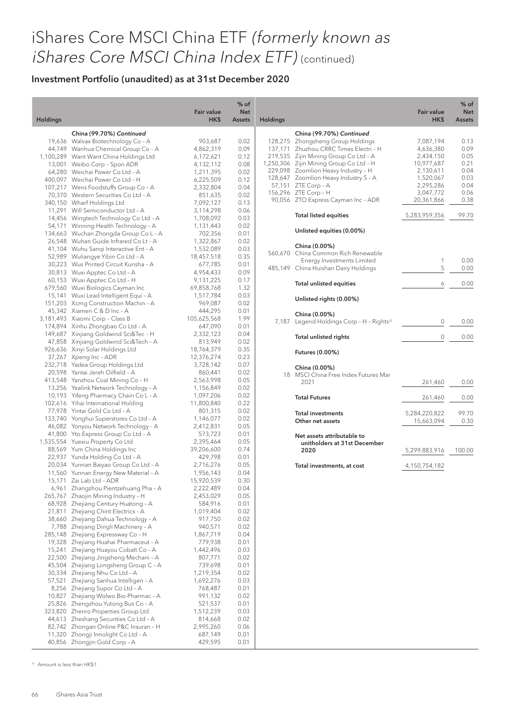### Investment Portfolio (unaudited) as at 31st December 2020

| <b>Holdings</b> |                                                                              | <b>Fair value</b><br>HK\$ | $%$ of<br><b>Net</b><br><b>Assets</b> | <b>Holdings</b> |                                                                       | <b>Fair value</b><br>HK\$ | % of<br><b>Net</b><br>Assets |
|-----------------|------------------------------------------------------------------------------|---------------------------|---------------------------------------|-----------------|-----------------------------------------------------------------------|---------------------------|------------------------------|
|                 |                                                                              |                           |                                       |                 |                                                                       |                           |                              |
|                 | China (99.70%) Continued<br>19,636 Walvax Biotechnology Co - A               | 903,687                   | 0.02                                  |                 | China (99.70%) Continued<br>128,275 Zhongsheng Group Holdings         | 7,087,194                 | 0.13                         |
|                 | 44,749 Wanhua Chemical Group Co - A                                          | 4,862,319                 | 0.09                                  |                 | 137,171 Zhuzhou CRRC Times Electri - H                                | 4,636,380                 | 0.09                         |
|                 | 1,100,289 Want Want China Holdings Ltd                                       | 6,172,621                 | 0.12                                  |                 | 219,535 Zijin Mining Group Co Ltd - A                                 | 2,434,150                 | 0.05                         |
|                 | 13,001 Weibo Corp - Spon ADR                                                 | 4,132,112                 | 0.08                                  |                 | 1,250,306 Zijin Mining Group Co Ltd - H                               | 10,977,687                | 0.21                         |
|                 | 64,280 Weichai Power Co Ltd - A                                              | 1,211,395                 | 0.02                                  |                 | 229,098 Zoomlion Heavy Industry - H                                   | 2,130,611                 | 0.04                         |
|                 | 400,097 Weichai Power Co Ltd - H                                             | 6,225,509                 | 0.12                                  |                 | 128,647 Zoomlion Heavy Industry S - A                                 | 1,520,067                 | 0.03                         |
|                 | 107,217 Wens Foodstuffs Group Co - A                                         | 2,332,804                 | 0.04                                  |                 | 57,151 ZTE Corp - A                                                   | 2,295,286                 | 0.04                         |
|                 | 70,370 Western Securities Co Ltd - A                                         | 851,635                   | 0.02                                  |                 | 156,296 ZTE Corp - H                                                  | 3,047,772                 | 0.06                         |
|                 | 340,150 Wharf Holdings Ltd                                                   | 7,092,127                 | 0.13                                  |                 | 90,056 ZTO Express Cayman Inc - ADR                                   | 20,361,866                | 0.38                         |
|                 | 11,291 Will Semiconductor Ltd - A                                            | 3,114,298                 | 0.06                                  |                 |                                                                       | 5,283,959,356             |                              |
|                 | 14,456 Wingtech Technology Co Ltd - A                                        | 1,708,092                 | 0.03                                  |                 | <b>Total listed equities</b>                                          |                           | 99.70                        |
|                 | 54,171 Winning Health Technology - A                                         | 1,131,443                 | 0.02                                  |                 | Unlisted equities (0.00%)                                             |                           |                              |
|                 | 134,663 Wuchan Zhongda Group Co L - A                                        | 702,356                   | 0.01                                  |                 |                                                                       |                           |                              |
|                 | 26,548 Wuhan Guide Infrared Co Lt - A                                        | 1,322,867                 | 0.02                                  |                 | China (0.00%)                                                         |                           |                              |
|                 | 41,104 Wuhu Sangi Interactive Ent - A                                        | 1,532,089                 | 0.03                                  |                 | 560,670 China Common Rich Renewable                                   |                           |                              |
|                 | 52,989 Wuliangye Yibin Co Ltd - A<br>30,223 Wus Printed Circuit Kunsha - A   | 18,457,518                | 0.35                                  |                 | Energy Investments Limited                                            | 1                         | 0.00                         |
|                 | 30,813 Wuxi Apptec Co Ltd - A                                                | 677,785                   | 0.01<br>0.09                          |                 | 485,149 China Huishan Dairy Holdings                                  | 5                         | 0.00                         |
|                 | 60,153 Wuxi Apptec Co Ltd - H                                                | 4,954,433<br>9,131,225    | 0.17                                  |                 |                                                                       |                           |                              |
|                 | 679,560 Wuxi Biologics Cayman Inc                                            | 69,858,768                | 1.32                                  |                 | Total unlisted equities                                               | 6                         | 0.00                         |
|                 | 15,141 Wuxi Lead Intelligent Equi - A                                        | 1,517,784                 | 0.03                                  |                 |                                                                       |                           |                              |
|                 | 151,203 Xcmg Construction Machin - A                                         | 969,087                   | 0.02                                  |                 | Unlisted rights (0.00%)                                               |                           |                              |
|                 | 45,342 Xiamen C & D Inc - A                                                  | 444,295                   | 0.01                                  |                 |                                                                       |                           |                              |
|                 | 3,181,493 Xiaomi Corp - Class B                                              | 105,625,568               | 1.99                                  |                 | China (0.00%)<br>7,187 Legend Holdings Corp - H - Rights <sup>△</sup> | 0                         | 0.00                         |
|                 | 174,894 Xinhu Zhongbao Co Ltd - A                                            | 647,090                   | 0.01                                  |                 |                                                                       |                           |                              |
|                 | 149,687 Xinjiang Goldwind Sci&Tec - H                                        | 2,332,123                 | 0.04                                  |                 | <b>Total unlisted rights</b>                                          | 0                         | 0.00                         |
|                 | 47,858 Xinjiang Goldwind Sci&Tech - A                                        | 813,949                   | 0.02                                  |                 |                                                                       |                           |                              |
|                 | 926,636 Xinyi Solar Holdings Ltd                                             | 18,764,379                | 0.35                                  |                 | Futures (0.00%)                                                       |                           |                              |
|                 | 37,267 Xpeng Inc - ADR                                                       | 12,376,274                | 0.23                                  |                 |                                                                       |                           |                              |
|                 | 232,718 Yadea Group Holdings Ltd                                             | 3,728,142                 | 0.07                                  |                 | China (0.00%)                                                         |                           |                              |
|                 | 20,598 Yantai Jereh Oilfield - A                                             | 860,441                   | 0.02                                  |                 | 18 MSCI China Free Index Futures Mar                                  |                           |                              |
|                 | 413,548 Yanzhou Coal Mining Co - H                                           | 2,563,998                 | 0.05                                  |                 | 2021                                                                  | 261,460                   | 0.00                         |
|                 | 13,256 Yealink Network Technology - A                                        | 1,156,849                 | 0.02<br>0.02                          |                 |                                                                       |                           |                              |
|                 | 10,193 Yifeng Pharmacy Chain Co L - A<br>102,616 Yihai International Holding | 1,097,206<br>11,800,840   | 0.22                                  |                 | <b>Total Futures</b>                                                  | 261,460                   | 0.00                         |
|                 | 77,978 Yintai Gold Co Ltd - A                                                | 801,315                   | 0.02                                  |                 |                                                                       |                           |                              |
|                 | 133,740 Yonghui Superstores Co Ltd - A                                       | 1,146,077                 | 0.02                                  |                 | <b>Total investments</b>                                              | 5,284,220,822             | 99.70                        |
|                 | 46,082 Yonyou Network Technology - A                                         | 2,412,831                 | 0.05                                  |                 | Other net assets                                                      | 15,663,094                | 0.30                         |
|                 | 41,800 Yto Express Group Co Ltd - A                                          | 573,723                   | 0.01                                  |                 | Net assets attributable to                                            |                           |                              |
|                 | 1,535,554 Yuexiu Property Co Ltd                                             | 2,395,464                 | 0.05                                  |                 | unitholders at 31st December                                          |                           |                              |
|                 | 88,569 Yum China Holdings Inc                                                | 39,206,600                | 0.74                                  |                 | 2020                                                                  | 5,299,883,916             | 100.00                       |
|                 | 22,937 Yunda Holding Co Ltd - A                                              | 429,798                   | 0.01                                  |                 |                                                                       |                           |                              |
|                 | 20,034 Yunnan Baiyao Group Co Ltd - A                                        | 2,716,276                 | 0.05                                  |                 | Total investments, at cost                                            | 4,150,754,182             |                              |
|                 | 11,560 Yunnan Energy New Material - A                                        | 1,956,143                 | 0.04                                  |                 |                                                                       |                           |                              |
| 15,171          | Zai Lab Ltd - ADR                                                            | 15,920,539                | 0.30                                  |                 |                                                                       |                           |                              |
|                 | 6,961 Zhangzhou Pientzehuang Pha - A                                         | 2,222,489                 | 0.04                                  |                 |                                                                       |                           |                              |
|                 | 265,767 Zhaojin Mining Industry - H<br>68,928 Zhejiang Century Huatong - A   | 2,453,029<br>584,916      | 0.05<br>0.01                          |                 |                                                                       |                           |                              |
|                 | 21,811 Zhejiang Chint Electrics - A                                          |                           | 0.02                                  |                 |                                                                       |                           |                              |
|                 | 38,660 Zhejiang Dahua Technology - A                                         | 1,019,404<br>917,750      | 0.02                                  |                 |                                                                       |                           |                              |
|                 | 7,788 Zhejiang Dingli Machinery - A                                          | 940,571                   | 0.02                                  |                 |                                                                       |                           |                              |
| 285,148         | Zhejiang Expressway Co - H                                                   | 1,867,719                 | 0.04                                  |                 |                                                                       |                           |                              |
|                 | 19,328 Zhejiang Huahai Pharmaceut - A                                        | 779,938                   | 0.01                                  |                 |                                                                       |                           |                              |
| 15,241          | Zhejiang Huayou Cobalt Co - A                                                | 1,442,496                 | 0.03                                  |                 |                                                                       |                           |                              |
|                 | 22,500 Zhejiang Jingsheng Mechani - A                                        | 807,771                   | 0.02                                  |                 |                                                                       |                           |                              |
|                 | 45,504 Zhejiang Longsheng Group C - A                                        | 739,698                   | 0.01                                  |                 |                                                                       |                           |                              |
|                 | 30,334 Zhejiang Nhu Co Ltd - A                                               | 1,219,354                 | 0.02                                  |                 |                                                                       |                           |                              |
| 57,521          | Zhejiang Sanhua Intelligen - A                                               | 1,692,276                 | 0.03                                  |                 |                                                                       |                           |                              |
|                 | 8,256 Zhejiang Supor Co Ltd - A                                              | 768,487                   | 0.01                                  |                 |                                                                       |                           |                              |
|                 | 10,827 Zhejiang Wolwo Bio-Pharmac - A                                        | 991,132                   | 0.02                                  |                 |                                                                       |                           |                              |
|                 | 25,826 Zhengzhou Yutong Bus Co - A                                           | 521,537                   | 0.01                                  |                 |                                                                       |                           |                              |
|                 | 323,820 Zhenro Properties Group Ltd                                          | 1,512,239                 | 0.03                                  |                 |                                                                       |                           |                              |
|                 | 44,613 Zheshang Securities Co Ltd - A                                        | 814,668                   | 0.02                                  |                 |                                                                       |                           |                              |
|                 | 82,742 Zhongan Online P&C Insuran - H                                        | 2,995,260<br>687,149      | 0.06<br>0.01                          |                 |                                                                       |                           |                              |
|                 | 11,320 Zhongji Innolight Co Ltd - A<br>40,856 Zhongjin Gold Corp - A         | 429,595                   | 0.01                                  |                 |                                                                       |                           |                              |
|                 |                                                                              |                           |                                       |                 |                                                                       |                           |                              |

 $\triangle$  Amount is less than HK\$1.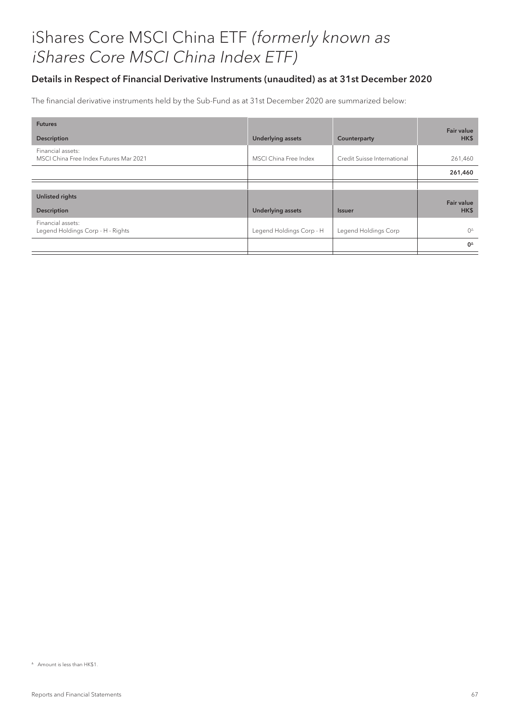### Details in Respect of Financial Derivative Instruments (unaudited) as at 31st December 2020

The financial derivative instruments held by the Sub-Fund as at 31st December 2020 are summarized below:

| <b>Futures</b>                                              |                          |                             | Fair value      |
|-------------------------------------------------------------|--------------------------|-----------------------------|-----------------|
| <b>Description</b>                                          | <b>Underlying assets</b> | Counterparty                | HK\$            |
| Financial assets:<br>MSCI China Free Index Futures Mar 2021 | MSCI China Free Index    | Credit Suisse International | 261,460         |
|                                                             |                          |                             | 261,460         |
|                                                             |                          |                             |                 |
| <b>Unlisted rights</b>                                      |                          |                             | Fair value      |
| <b>Description</b>                                          | <b>Underlying assets</b> | <b>Issuer</b>               | HK\$            |
| Financial assets:<br>Legend Holdings Corp - H - Rights      | Legend Holdings Corp - H | Legend Holdings Corp        | $O^{\triangle}$ |
|                                                             |                          |                             | $0^{\Delta}$    |

 $^{\circ}$  Amount is less than HK\$1.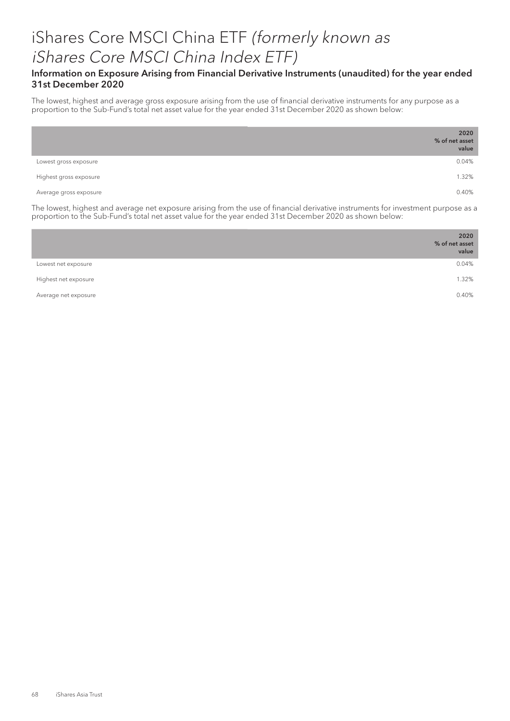### Information on Exposure Arising from Financial Derivative Instruments (unaudited) for the year ended 31st December 2020

The lowest, highest and average gross exposure arising from the use of financial derivative instruments for any purpose as a proportion to the Sub-Fund's total net asset value for the year ended 31st December 2020 as shown below:

|                        | 2020<br>% of net asset<br>value |
|------------------------|---------------------------------|
| Lowest gross exposure  | 0.04%                           |
| Highest gross exposure | 1.32%                           |
| Average gross exposure | 0.40%                           |

The lowest, highest and average net exposure arising from the use of financial derivative instruments for investment purpose as a proportion to the Sub-Fund's total net asset value for the year ended 31st December 2020 as shown below:

|                      | 2020<br>% of net asset<br>value |
|----------------------|---------------------------------|
| Lowest net exposure  | 0.04%                           |
| Highest net exposure | 1.32%                           |
| Average net exposure | 0.40%                           |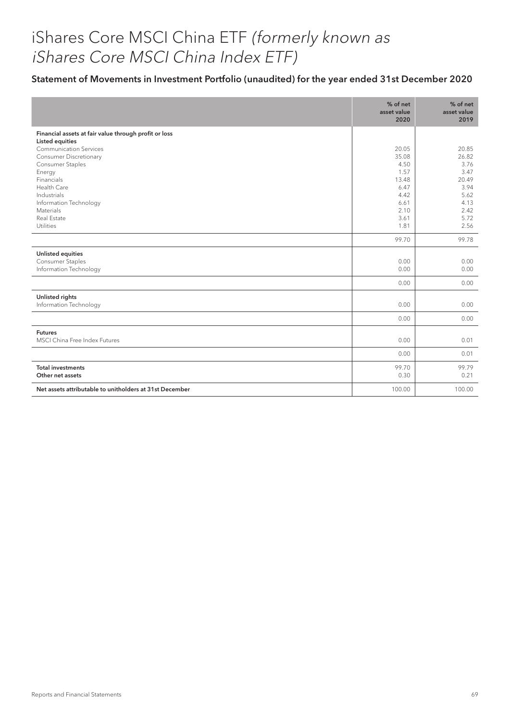### Statement of Movements in Investment Portfolio (unaudited) for the year ended 31st December 2020

|                                                                                    | % of net<br>asset value<br>2020 | % of net<br>asset value<br>2019 |
|------------------------------------------------------------------------------------|---------------------------------|---------------------------------|
| Financial assets at fair value through profit or loss<br>Listed equities           |                                 |                                 |
| <b>Communication Services</b><br><b>Consumer Discretionary</b><br>Consumer Staples | 20.05<br>35.08<br>4.50<br>1.57  | 20.85<br>26.82<br>3.76<br>3.47  |
| Energy<br>Financials<br>Health Care<br>Industrials                                 | 13.48<br>6.47<br>4.42           | 20.49<br>3.94<br>5.62           |
| Information Technology<br>Materials<br>Real Estate<br>Utilities                    | 6.61<br>2.10<br>3.61<br>1.81    | 4.13<br>2.42<br>5.72<br>2.56    |
|                                                                                    | 99.70                           | 99.78                           |
| <b>Unlisted equities</b><br>Consumer Staples<br>Information Technology             | 0.00<br>0.00                    | 0.00<br>0.00                    |
|                                                                                    | 0.00                            | 0.00                            |
| Unlisted rights<br>Information Technology                                          | 0.00                            | 0.00                            |
|                                                                                    | 0.00                            | 0.00                            |
| <b>Futures</b><br>MSCI China Free Index Futures                                    | 0.00                            | 0.01                            |
|                                                                                    | 0.00                            | 0.01                            |
| <b>Total investments</b><br>Other net assets                                       | 99.70<br>0.30                   | 99.79<br>0.21                   |
| Net assets attributable to unitholders at 31st December                            | 100.00                          | 100.00                          |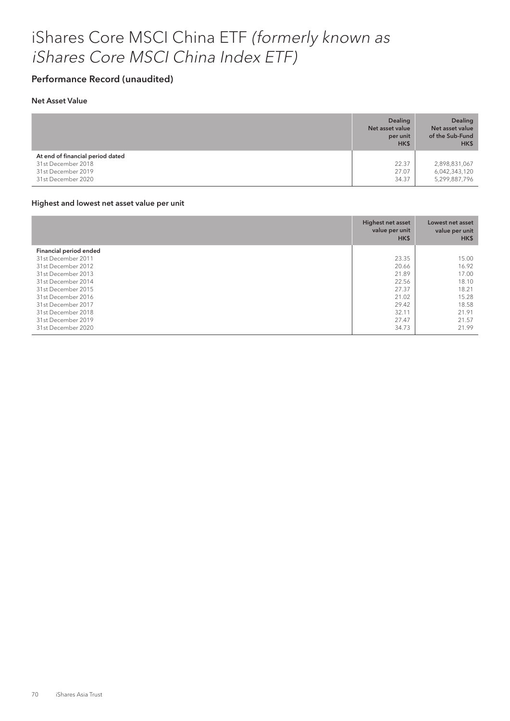### Performance Record (unaudited)

#### Net Asset Value

|                                                                                                    | <b>Dealing</b><br>Net asset value<br>per unit<br>HK\$ | <b>Dealing</b><br>Net asset value<br>of the Sub-Fund<br>HK\$ |
|----------------------------------------------------------------------------------------------------|-------------------------------------------------------|--------------------------------------------------------------|
| At end of financial period dated<br>31st December 2018<br>31st December 2019<br>31st December 2020 | 22.37<br>27.07<br>34.37                               | 2,898,831,067<br>6,042,343,120<br>5,299,887,796              |

#### Highest and lowest net asset value per unit

|                        | Highest net asset<br>value per unit<br>HK\$ | Lowest net asset<br>value per unit<br>HK\$ |
|------------------------|---------------------------------------------|--------------------------------------------|
| Financial period ended |                                             |                                            |
| 31st December 2011     | 23.35                                       | 15.00                                      |
| 31st December 2012     | 20.66                                       | 16.92                                      |
| 31st December 2013     | 21.89                                       | 17.00                                      |
| 31st December 2014     | 22.56                                       | 18.10                                      |
| 31st December 2015     | 27.37                                       | 18.21                                      |
| 31st December 2016     | 21.02                                       | 15.28                                      |
| 31st December 2017     | 29.42                                       | 18.58                                      |
| 31st December 2018     | 32.11                                       | 21.91                                      |
| 31st December 2019     | 27.47                                       | 21.57                                      |
| 31st December 2020     | 34.73                                       | 21.99                                      |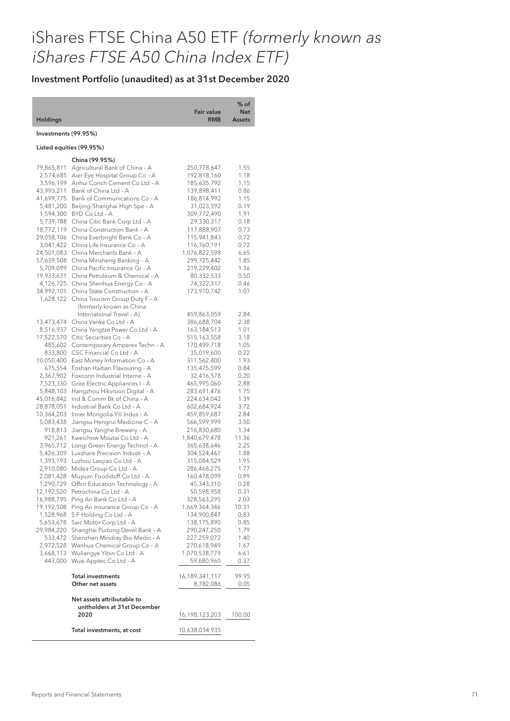# iShares FTSE China A50 ETF (formerly known as iShares FTSE A50 China Index ETF)

| <b>Holdings</b>                                                   |                                                                                                                                                                                          | <b>Fair value</b><br><b>RMB</b>                                           | % of<br><b>Net</b><br><b>Assets</b>  |
|-------------------------------------------------------------------|------------------------------------------------------------------------------------------------------------------------------------------------------------------------------------------|---------------------------------------------------------------------------|--------------------------------------|
| Investments (99.95%)                                              |                                                                                                                                                                                          |                                                                           |                                      |
| Listed equities (99.95%)                                          |                                                                                                                                                                                          |                                                                           |                                      |
|                                                                   | China (99.95%)                                                                                                                                                                           |                                                                           |                                      |
| 79,865,811                                                        | Agricultural Bank of China - A                                                                                                                                                           | 250,778,647                                                               | 1.55                                 |
| 2,574,685                                                         | Aier Eye Hospital Group Co - A                                                                                                                                                           | 192,818,160                                                               | 1.18                                 |
| 3,596,199                                                         | Anhui Conch Cement Co Ltd - A                                                                                                                                                            | 185,635,792                                                               | 1.15                                 |
| 43,993,211                                                        | Bank of China Ltd - A                                                                                                                                                                    | 139,898,411                                                               | 0.86                                 |
| 41,699,775                                                        | Bank of Communications Co - A                                                                                                                                                            | 186,814,992                                                               | 1.15                                 |
| 5,481,200                                                         | Beijing-Shanghai High Spe - A                                                                                                                                                            | 31,023,592                                                                | 0.19                                 |
| 1,594,300                                                         | BYD Co Ltd - A                                                                                                                                                                           | 309,772,490                                                               | 1.91                                 |
| 5,739,788                                                         | China Citic Bank Corp Ltd - A                                                                                                                                                            | 29,330,317                                                                | 0.18                                 |
| 18,772,119<br>29,058,106<br>3,041,422<br>24,501,083<br>57,639,508 | China Construction Bank - A<br>China Everbright Bank Co - A<br>China Life Insurance Co - A<br>China Merchants Bank - A<br>China Minsheng Banking - A<br>China Pacific Insurance Gr - A   | 117,888,907<br>115,941,843<br>116,760,191<br>1,076,822,598<br>299,725,442 | 0.73<br>0.72<br>0.72<br>6.65<br>1.85 |
| 5,709,099<br>19,933,631<br>4,126,725<br>34,992,101<br>1,628,122   | China Petroleum & Chemical - A<br>China Shenhua Energy Co - A<br>China State Construction - A<br>China Tourism Group Duty F - A<br>(formerly known as China<br>International Travel - A) | 219,229,402<br>80,332,533<br>74,322,317<br>173,910,742<br>459,863,059     | 1.36<br>0.50<br>0.46<br>1.07<br>2.84 |
| 13,473,474                                                        | China Vanke Co Ltd - A                                                                                                                                                                   | 386,688,704                                                               | 2.38                                 |
| 8,516,937                                                         | China Yangtze Power Co Ltd - A                                                                                                                                                           | 163,184,513                                                               | 1.01                                 |
| 17,522,570                                                        | Citic Securities Co - A                                                                                                                                                                  | 515,163,558                                                               | 3.18                                 |
| 485,602                                                           | Contemporary Amperex Techn - A                                                                                                                                                           | 170,499,718                                                               | 1.05                                 |
| 833,800                                                           | CSC Financial Co Ltd - A                                                                                                                                                                 | 35,019,600                                                                | 0.22                                 |
| 10,050,400                                                        | East Money Information Co - A                                                                                                                                                            | 311,562,400                                                               | 1.93                                 |
| 675,554                                                           | Foshan Haitian Flavouring - A                                                                                                                                                            | 135,475,599                                                               | 0.84                                 |
| 2,367,902                                                         | Foxconn Industrial Interne - A                                                                                                                                                           | 32,416,578                                                                | 0.20                                 |
| 7,523,330                                                         | Gree Electric Appliances I - A                                                                                                                                                           | 465,995,060                                                               | 2.88                                 |
| 5,848,103                                                         | Hangzhou Hikvision Digital - A                                                                                                                                                           | 283,691,476                                                               | 1.75                                 |
| 45,016,842                                                        | Ind & Comm Bk of China - A                                                                                                                                                               | 224,634,042                                                               | 1.39                                 |
| 28,878,051                                                        | Industrial Bank Co Ltd - A                                                                                                                                                               | 602,684,924                                                               | 3.72                                 |
| 10,364,203                                                        | Inner Mongolia Yili Indus - A                                                                                                                                                            | 459,859,687                                                               | 2.84                                 |
| 5,083,438                                                         | Jiangsu Hengrui Medicine C - A                                                                                                                                                           | 566,599,999                                                               | 3.50                                 |
| 918,813                                                           | Jiangsu Yanghe Brewery - A                                                                                                                                                               | 216,830,680                                                               | 1.34                                 |
| 921,261                                                           | Kweichow Moutai Co Ltd - A                                                                                                                                                               | 1,840,679,478                                                             | 11.36                                |
| 3,965,712                                                         | Longi Green Energy Technol - A                                                                                                                                                           | 365,638,646                                                               | 2.25                                 |
| 5,426,309                                                         | Luxshare Precision Industr - A                                                                                                                                                           | 304,524,461                                                               | 1.88                                 |
| 1,393,193                                                         | Luzhou Laojiao Co Ltd - A                                                                                                                                                                | 315,084,529                                                               | 1.95                                 |
| 2,910,080                                                         | Midea Group Co Ltd - A                                                                                                                                                                   | 286,468,275                                                               | 1.77                                 |
| 2,081,428                                                         | Muyuan Foodstuff Co Ltd - A                                                                                                                                                              | 160,478,099                                                               | 0.99                                 |
| 1,290,729                                                         | Offen Education Technology - A                                                                                                                                                           | 45,343,310                                                                | 0.28                                 |
| 12,192,520                                                        | Petrochina Co Ltd - A                                                                                                                                                                    | 50,598,958                                                                | 0.31                                 |
| 16,988,795                                                        | Ping An Bank Co Ltd - A                                                                                                                                                                  | 328,563,295                                                               | 2.03                                 |
| 19,192,508                                                        | Ping An Insurance Group Co - A                                                                                                                                                           | 1,669,364,346                                                             | 10.31                                |
| 1,528,968                                                         | S F Holding Co Ltd - A                                                                                                                                                                   | 134,900,847                                                               | 0.83                                 |
| 5,653,678                                                         | Saic Motor Corp Ltd - A                                                                                                                                                                  | 138,175,890                                                               | 0.85                                 |
| 29,984,220                                                        | Shanghai Pudong Devel Bank - A                                                                                                                                                           | 290,247,250                                                               | 1.79                                 |
| 533,472                                                           | Shenzhen Mindray Bio-Medic - A                                                                                                                                                           | 227,259,072                                                               | 1.40                                 |
| 2,972,528                                                         | Wanhua Chemical Group Co - A                                                                                                                                                             | 270,618,949                                                               | 1.67                                 |
| 3,668,113                                                         | Wuliangye Yibin Co Ltd - A                                                                                                                                                               | 1,070,538,779                                                             | 6.61                                 |
| 443,000                                                           | Wuxi Apptec Co Ltd - A                                                                                                                                                                   | 59,680,960                                                                | 0.37                                 |
|                                                                   | Total investments                                                                                                                                                                        | 16,189,341,117                                                            | 99.95                                |
|                                                                   | Other net assets                                                                                                                                                                         | 8,782,086                                                                 | 0.05                                 |
|                                                                   | Net assets attributable to<br>unitholders at 31st December<br>2020                                                                                                                       | 16,198,123,203                                                            | 100.00                               |
|                                                                   | Total investments, at cost                                                                                                                                                               | 10,638,034,935                                                            |                                      |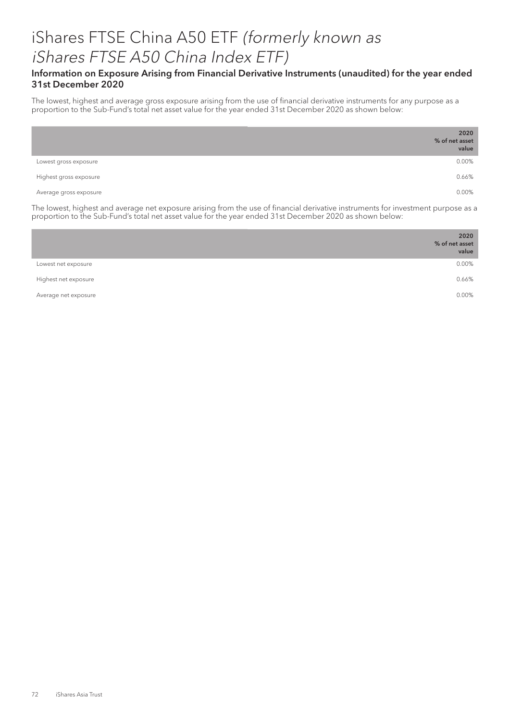### iShares FTSE China A50 ETF (formerly known as iShares FTSE A50 China Index ETF)

#### Information on Exposure Arising from Financial Derivative Instruments (unaudited) for the year ended 31st December 2020

The lowest, highest and average gross exposure arising from the use of financial derivative instruments for any purpose as a proportion to the Sub-Fund's total net asset value for the year ended 31st December 2020 as shown below:

|                        | 2020<br>% of net asset<br>value |
|------------------------|---------------------------------|
| Lowest gross exposure  | 0.00%                           |
| Highest gross exposure | 0.66%                           |
| Average gross exposure | 0.00%                           |

The lowest, highest and average net exposure arising from the use of financial derivative instruments for investment purpose as a proportion to the Sub-Fund's total net asset value for the year ended 31st December 2020 as shown below:

|                      | 2020<br>% of net asset<br>value |
|----------------------|---------------------------------|
| Lowest net exposure  | 0.00%                           |
| Highest net exposure | 0.66%                           |
| Average net exposure | 0.00%                           |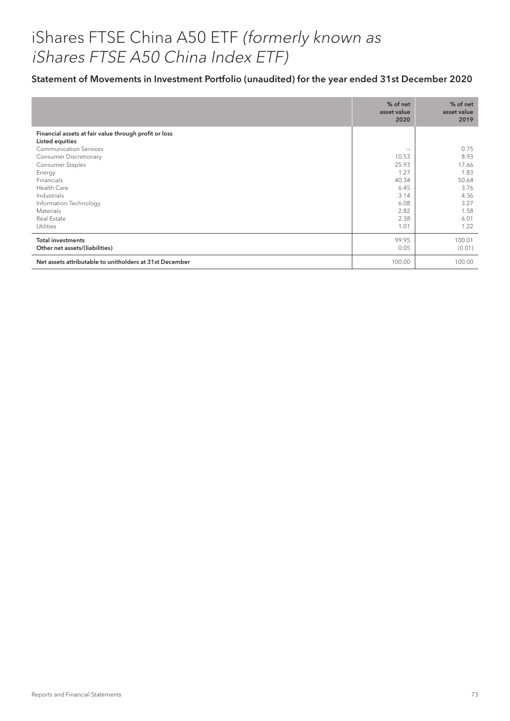## iShares FTSE China A50 ETF (formerly known as iShares FTSE A50 China Index ETF)

### Statement of Movements in Investment Portfolio (unaudited) for the year ended 31st December 2020

|                                                                                                                                                                                                                                                                                                                     | % of net<br>asset value<br>2020                                                                             | % of net<br>asset value<br>2019                                                        |
|---------------------------------------------------------------------------------------------------------------------------------------------------------------------------------------------------------------------------------------------------------------------------------------------------------------------|-------------------------------------------------------------------------------------------------------------|----------------------------------------------------------------------------------------|
| Financial assets at fair value through profit or loss<br><b>Listed equities</b><br><b>Communication Services</b><br><b>Consumer Discretionary</b><br><b>Consumer Staples</b><br>Energy<br><b>Financials</b><br>Health Care<br>Industrials<br>Information Technology<br>Materials<br>Real Estate<br><b>Utilities</b> | $\overline{\phantom{0}}$<br>10.53<br>25.93<br>1.27<br>40.34<br>6.45<br>3.14<br>6.08<br>2.82<br>2.38<br>1.01 | 0.75<br>8.93<br>17.66<br>1.83<br>50.64<br>3.76<br>4.36<br>3.27<br>1.58<br>6.01<br>1.22 |
| <b>Total investments</b><br>Other net assets/(liabilities)                                                                                                                                                                                                                                                          | 99.95<br>0.05                                                                                               | 100.01<br>(0.01)                                                                       |
| Net assets attributable to unitholders at 31st December                                                                                                                                                                                                                                                             | 100.00                                                                                                      | 100.00                                                                                 |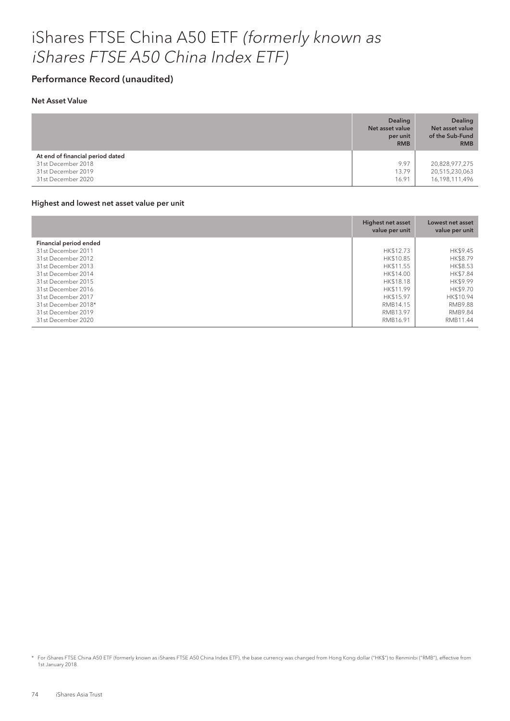### iShares FTSE China A50 ETF (formerly known as iShares FTSE A50 China Index ETF)

#### Performance Record (unaudited)

#### Net Asset Value

|                                                                                                    | <b>Dealing</b><br>Net asset value<br>per unit<br><b>RMB</b> | <b>Dealing</b><br>Net asset value<br>of the Sub-Fund<br><b>RMB</b> |
|----------------------------------------------------------------------------------------------------|-------------------------------------------------------------|--------------------------------------------------------------------|
| At end of financial period dated<br>31st December 2018<br>31st December 2019<br>31st December 2020 | 9.97<br>13.79<br>16.91                                      | 20,828,977,275<br>20,515,230,063<br>16,198,111,496                 |

#### Highest and lowest net asset value per unit

|                        | Highest net asset<br>value per unit | Lowest net asset<br>value per unit |
|------------------------|-------------------------------------|------------------------------------|
| Financial period ended |                                     |                                    |
| 31st December 2011     | HK\$12.73                           | HK\$9.45                           |
| 31st December 2012     | HK\$10.85                           | HK\$8.79                           |
| 31st December 2013     | HK\$11.55                           | HK\$8.53                           |
| 31st December 2014     | HK\$14.00                           | HK\$7.84                           |
| 31st December 2015     | HK\$18.18                           | HK\$9.99                           |
| 31st December 2016     | HK\$11.99                           | HK\$9.70                           |
| 31st December 2017     | HK\$15.97                           | HK\$10.94                          |
| 31st December 2018*    | RMB14.15                            | <b>RMB9.88</b>                     |
| 31st December 2019     | RMB13.97                            | <b>RMB9.84</b>                     |
| 31st December 2020     | RMB16.91                            | RMB11.44                           |

<sup>\*</sup> For iShares FTSE China A50 ETF (formerly known as iShares FTSE A50 China Index ETF), the base currency was changed from Hong Kong dollar ("HK\$") to Renminbi ("RMB"), effective from 1st January 2018.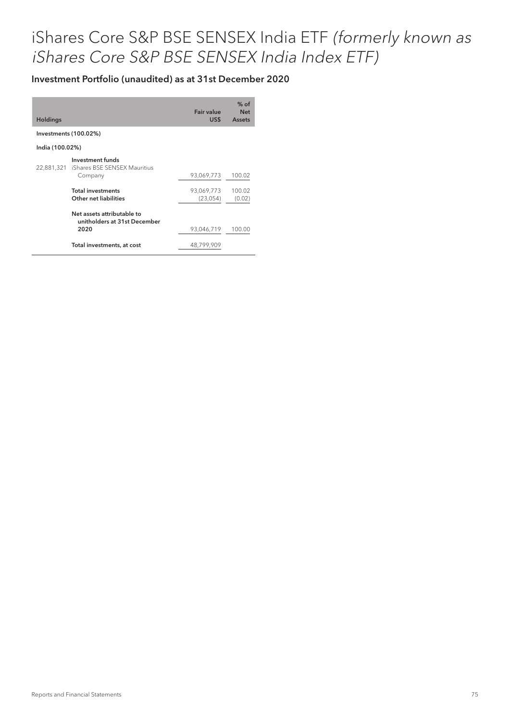| <b>Holdings</b> |                                                                        | Fair value<br>US\$     | $%$ of<br><b>Net</b><br><b>Assets</b> |
|-----------------|------------------------------------------------------------------------|------------------------|---------------------------------------|
|                 | Investments (100.02%)                                                  |                        |                                       |
| India (100.02%) |                                                                        |                        |                                       |
|                 | Investment funds<br>22,881,321 iShares BSE SENSEX Mauritius<br>Company | 93,069,773             | 100.02                                |
|                 | <b>Total investments</b><br>Other net liabilities                      | 93,069,773<br>(23,054) | 100.02<br>(0.02)                      |
|                 | Net assets attributable to<br>unitholders at 31st December<br>2020     | 93,046,719             | 100.00                                |
|                 | Total investments, at cost                                             | 48,799,909             |                                       |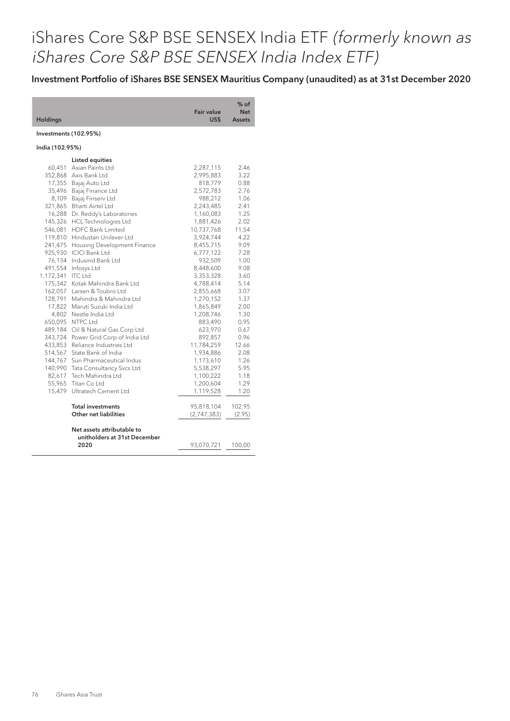Investment Portfolio of iShares BSE SENSEX Mauritius Company (unaudited) as at 31st December 2020

|                       |                                      |                           | $%$ of                      |
|-----------------------|--------------------------------------|---------------------------|-----------------------------|
| <b>Holdings</b>       |                                      | <b>Fair value</b><br>US\$ | <b>Net</b><br><b>Assets</b> |
| Investments (102.95%) |                                      |                           |                             |
| India (102.95%)       |                                      |                           |                             |
|                       | <b>Listed equities</b>               |                           |                             |
| 60,451                | Asian Paints Ltd                     | 2,287,115                 | 2.46                        |
|                       | 352,868 Axis Bank Ltd                | 2,995,883                 | 3.22                        |
|                       | 17,355 Bajaj Auto Ltd                | 818,779                   | 0.88                        |
|                       | 35,496 Bajaj Finance Ltd             | 2,572,783                 | 2.76                        |
|                       | 8,109 Bajaj Finserv Ltd              | 988,212                   | 1.06                        |
|                       | 321,865 Bharti Airtel Ltd            | 2,243,485                 | 2.41                        |
|                       | 16,288 Dr. Reddy's Laboratories      | 1,160,083                 | 1.25                        |
|                       | 145,326 HCL Technologies Ltd         | 1,881,426                 | 2.02                        |
| 546,081               | <b>HDFC Bank Limited</b>             | 10,737,768                | 11.54                       |
|                       | 119,810 Hindustan Unilever Ltd       | 3,924,744                 | 4.22                        |
|                       | 241,475 Housing Development Finance  | 8,455,715                 | 9.09                        |
|                       | 925,930 ICICI Bank Ltd               | 6,777,122                 | 7.28                        |
|                       | 76,134 Indusind Bank Ltd             | 932,509                   | 1.00                        |
| 491,554               | Infosys Ltd                          | 8,448,600                 | 9.08                        |
| 1,172,341             | ITC Ltd                              | 3,353,328                 | 3.60                        |
|                       | 175,342 Kotak Mahindra Bank Ltd      | 4,788,414                 | 5.14                        |
|                       | 162,057 Larsen & Toubro Ltd          | 2,855,668                 | 3.07                        |
| 128,791               | Mahindra & Mahindra Ltd              | 1,270,152                 | 1.37                        |
|                       | 17,822 Maruti Suzuki India Ltd       | 1,865,849                 | 2.00                        |
|                       | 4,802 Nestle India Ltd               | 1,208,746                 | 1.30                        |
|                       | 650,095 NTPC Ltd                     | 883,490                   | 0.95                        |
|                       | 489,184 Oil & Natural Gas Corp Ltd   | 623,970                   | 0.67                        |
|                       | 343,724 Power Grid Corp of India Ltd | 892,857                   | 0.96                        |
|                       | 433,853 Reliance Industries Ltd      | 11,784,259                | 12.66                       |
|                       | 514,567 State Bank of India          | 1,934,886                 | 2.08                        |
|                       | 144,767 Sun Pharmaceutical Indus     | 1,173,610                 | 1.26                        |
|                       | 140,990 Tata Consultancy Svcs Ltd    | 5,538,297                 | 5.95                        |
|                       | 82,617 Tech Mahindra Ltd             | 1,100,222                 | 1.18                        |
| 55,965                | Titan Coltd                          | 1,200,604                 | 1.29                        |
|                       | 15,479 Ultratech Cement Ltd          | 1,119,528                 | 1.20                        |
|                       | <b>Total investments</b>             | 95,818,104                | 102.95                      |
|                       | Other net liabilities                | (2,747,383)               | (2.95)                      |
|                       | Net assets attributable to           |                           |                             |
|                       | unitholders at 31st December         |                           |                             |
|                       | 2020                                 | 93,070,721                | 100.00                      |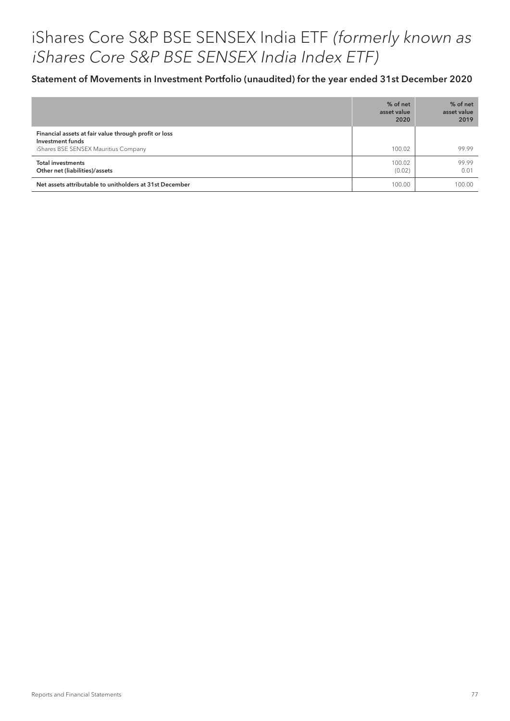#### Statement of Movements in Investment Portfolio (unaudited) for the year ended 31st December 2020

|                                                                                                                   | % of net<br>asset value<br>2020 | % of net<br>asset value<br>2019 |
|-------------------------------------------------------------------------------------------------------------------|---------------------------------|---------------------------------|
| Financial assets at fair value through profit or loss<br>Investment funds<br>iShares BSE SENSEX Mauritius Company | 100.02                          | 99.99                           |
| <b>Total investments</b><br>Other net (liabilities)/assets                                                        | 100.02<br>(0.02)                | 99.99<br>0.01                   |
| Net assets attributable to unitholders at 31st December                                                           | 100.00                          | 100.00                          |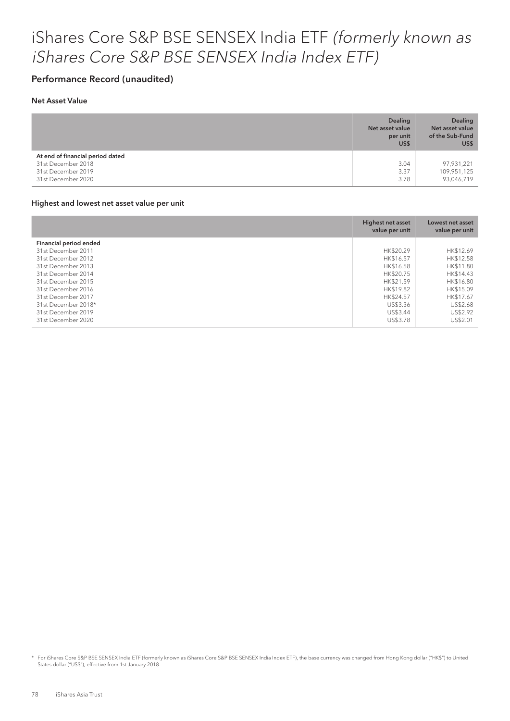#### Performance Record (unaudited)

#### Net Asset Value

|                                                                                                    | <b>Dealing</b><br>Net asset value<br>per unit<br>US\$ | <b>Dealing</b><br>Net asset value<br>of the Sub-Fund<br>US\$ |
|----------------------------------------------------------------------------------------------------|-------------------------------------------------------|--------------------------------------------------------------|
| At end of financial period dated<br>31st December 2018<br>31st December 2019<br>31st December 2020 | 3.04<br>3.37<br>3.78                                  | 97,931,221<br>109,951,125<br>93,046,719                      |

#### Highest and lowest net asset value per unit

|                        | Highest net asset<br>value per unit | Lowest net asset<br>value per unit |
|------------------------|-------------------------------------|------------------------------------|
| Financial period ended |                                     |                                    |
| 31st December 2011     | HK\$20.29                           | HK\$12.69                          |
| 31st December 2012     | HK\$16.57                           | HK\$12.58                          |
| 31st December 2013     | HK\$16.58                           | HK\$11.80                          |
| 31st December 2014     | HK\$20.75                           | HK\$14.43                          |
| 31st December 2015     | HK\$21.59                           | HK\$16.80                          |
| 31st December 2016     | HK\$19.82                           | HK\$15.09                          |
| 31st December 2017     | HK\$24.57                           | HK\$17.67                          |
| 31st December 2018*    | US\$3.36                            | US\$2.68                           |
| 31st December 2019     | US\$3.44                            | US\$2.92                           |
| 31st December 2020     | US\$3.78                            | US\$2.01                           |

\* For iShares Core S&P BSE SENSEX India ETF (formerly known as iShares Core S&P BSE SENSEX India Index ETF), the base currency was changed from Hong Kong dollar ("HK\$") to United States dollar ("US\$"), effective from 1st January 2018.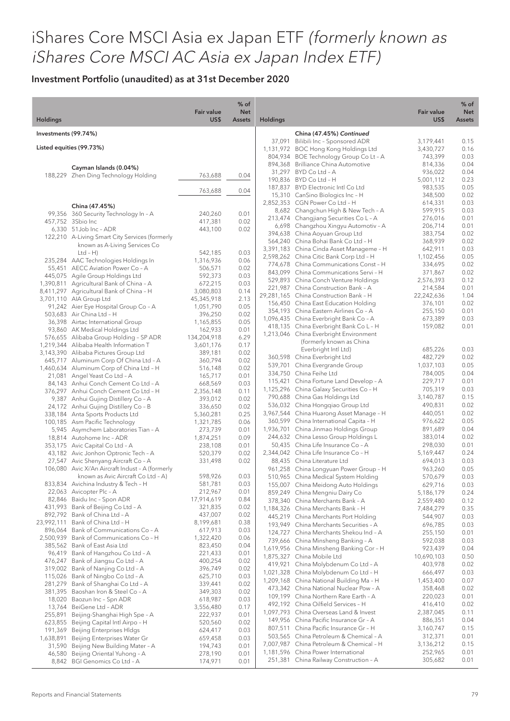|                       |                                                                                 | <b>Fair value</b>    | $%$ of<br><b>Net</b> |                 |                                                                                    | <b>Fair value</b>      | $%$ of<br><b>Net</b> |
|-----------------------|---------------------------------------------------------------------------------|----------------------|----------------------|-----------------|------------------------------------------------------------------------------------|------------------------|----------------------|
| <b>Holdings</b>       |                                                                                 | US\$                 | <b>Assets</b>        | <b>Holdings</b> |                                                                                    | US\$                   | Assets               |
| Investments (99.74%)  |                                                                                 |                      |                      |                 | China (47.45%) Continued                                                           |                        |                      |
|                       | Listed equities (99.73%)                                                        |                      |                      |                 | 37,091 Bilibili Inc - Sponsored ADR<br>1,131,972 BOC Hong Kong Holdings Ltd        | 3,179,441<br>3,430,727 | 0.15<br>0.16         |
|                       |                                                                                 |                      |                      |                 | 804,934 BOE Technology Group Co Lt - A                                             | 743,399                | 0.03                 |
|                       | Cayman Islands (0.04%)                                                          |                      |                      |                 | 894,368 Brilliance China Automotive                                                | 814,336                | 0.04                 |
|                       | 188,229 Zhen Ding Technology Holding                                            | 763,688              | 0.04                 |                 | 31,297 BYD Co Ltd - A                                                              | 936,022                | 0.04                 |
|                       |                                                                                 |                      |                      |                 | 190,836 BYD Co Ltd - H<br>187,837 BYD Electronic Intl Co Ltd                       | 5,001,112<br>983,535   | 0.23<br>0.05         |
|                       |                                                                                 | 763,688              | 0.04                 |                 | 15,310 CanSino Biologics Inc - H                                                   | 348,500                | 0.02                 |
|                       | China (47.45%)                                                                  |                      |                      |                 | 2,852,353 CGN Power Co Ltd - H                                                     | 614,331                | 0.03                 |
|                       | 99,356 360 Security Technology In - A                                           | 240,260              | 0.01                 |                 | 8,682 Changchun High & New Tech - A                                                | 599,915                | 0.03                 |
|                       | 457,752 3Sbio Inc                                                               | 417,381              | 0.02                 |                 | 213,474 Changjiang Securities Co L - A<br>6,698 Changzhou Xingyu Automotiv - A     | 276,016<br>206,714     | 0.01<br>0.01         |
|                       | 6,330 51 Job Inc - ADR                                                          | 443,100              | 0.02                 |                 | 394,638 China Aoyuan Group Ltd                                                     | 383,754                | 0.02                 |
|                       | 122,210 A-Living Smart City Services (formerly<br>known as A-Living Services Co |                      |                      |                 | 564,240 China Bohai Bank Co Ltd - H                                                | 368,939                | 0.02                 |
|                       | $Ltd - H)$                                                                      | 542,185              | 0.03                 |                 | 3,391,183 China Cinda Asset Manageme - H                                           | 642,911                | 0.03                 |
|                       | 235,284 AAC Technologies Holdings In                                            | 1,316,936            | 0.06                 |                 | 2,598,262 China Citic Bank Corp Ltd - H<br>774,678 China Communications Const - H  | 1,102,456<br>334,695   | 0.05<br>0.02         |
|                       | 55,451 AECC Aviation Power Co - A                                               | 506,571<br>592,373   | 0.02                 |                 | 843,099 China Communications Servi - H                                             | 371,867                | 0.02                 |
|                       | 445,075 Agile Group Holdings Ltd<br>1,390,811 Agricultural Bank of China - A    | 672,215              | 0.03<br>0.03         |                 | 529,893 China Conch Venture Holdings                                               | 2,576,393              | 0.12                 |
|                       | 8,411,297 Agricultural Bank of China - H                                        | 3,080,803            | 0.14                 |                 | 221,987 China Construction Bank - A                                                | 214,584                | 0.01                 |
|                       | 3,701,110 AIA Group Ltd                                                         | 45,345,918           | 2.13                 |                 | 29,281,165 China Construction Bank - H<br>156,450 China East Education Holding     | 22,242,636<br>376,101  | 1.04<br>0.02         |
|                       | 91,242 Aier Eye Hospital Group Co - A                                           | 1,051,790            | 0.05                 |                 | 354,193 China Eastern Airlines Co - A                                              | 255,150                | 0.01                 |
|                       | 503,683 Air China Ltd - H<br>36,398 Airtac International Group                  | 396,250<br>1,165,855 | 0.02<br>0.05         |                 | 1,096,435 China Everbright Bank Co - A                                             | 673,389                | 0.03                 |
|                       | 93,860 AK Medical Holdings Ltd                                                  | 162,933              | 0.01                 |                 | 418,135 China Everbright Bank Co L - H                                             | 159,082                | 0.01                 |
|                       | 576,655 Alibaba Group Holding - SP ADR                                          | 134,204,918          | 6.29                 |                 | 1,213,046 China Everbright Environment<br>(formerly known as China                 |                        |                      |
|                       | 1,219,344 Alibaba Health Information T                                          | 3,601,176            | 0.17                 |                 | Everbright Intl Ltd)                                                               | 685,226                | 0.03                 |
|                       | 3,143,390 Alibaba Pictures Group Ltd<br>645,717 Aluminum Corp Of China Ltd - A  | 389,181<br>360,794   | 0.02<br>0.02         |                 | 360,598 China Everbright Ltd                                                       | 482,729                | 0.02                 |
|                       | 1,460,634 Aluminum Corp of China Ltd - H                                        | 516,148              | 0.02                 |                 | 539,701 China Evergrande Group                                                     | 1,037,103              | 0.05                 |
|                       | 21,081 Angel Yeast Co Ltd - A                                                   | 165,717              | 0.01                 |                 | 334,750 China Feihe Ltd                                                            | 784,005                | 0.04                 |
|                       | 84,143 Anhui Conch Cement Co Ltd - A                                            | 668,569              | 0.03                 |                 | 115,421 China Fortune Land Develop - A<br>1,125,296 China Galaxy Securities Co - H | 229,717<br>705,319     | 0.01<br>0.03         |
|                       | 376,297 Anhui Conch Cement Co Ltd - H                                           | 2,356,148            | 0.11                 |                 | 790,688 China Gas Holdings Ltd                                                     | 3,140,787              | 0.15                 |
|                       | 9,387 Anhui Gujing Distillery Co - A<br>24,172 Anhui Gujing Distillery Co - B   | 393,012<br>336,650   | 0.02<br>0.02         |                 | 536,032 China Hongqiao Group Ltd                                                   | 490,831                | 0.02                 |
|                       | 338,184 Anta Sports Products Ltd                                                | 5,360,281            | 0.25                 |                 | 3,967,544 China Huarong Asset Manage - H                                           | 440,051                | 0.02                 |
|                       | 100,185 Asm Pacific Technology                                                  | 1,321,785            | 0.06                 |                 | 360,599 China International Capita - H                                             | 976,622                | 0.05                 |
|                       | 5,945 Asymchem Laboratories Tian - A                                            | 273,739              | 0.01                 |                 | 1,936,701 China Jinmao Holdings Group                                              | 891,689                | 0.04                 |
|                       | 18,814 Autohome Inc - ADR<br>353,175 Avic Capital Co Ltd - A                    | 1,874,251<br>238,108 | 0.09<br>0.01         |                 | 244,632 China Lesso Group Holdings L<br>50,435 China Life Insurance Co - A         | 383,014<br>298,030     | 0.02<br>0.01         |
|                       | 43,182 Avic Jonhon Optronic Tech - A                                            | 520,379              | 0.02                 |                 | 2,344,042 China Life Insurance Co - H                                              | 5,169,447              | 0.24                 |
|                       | 27,547 Avic Shenyang Aircraft Co - A                                            | 331,498              | 0.02                 |                 | 88,435 China Literature Ltd                                                        | 694,013                | 0.03                 |
|                       | 106,080 Avic Xi'An Aircraft Indust - A (formerly                                |                      |                      |                 | 961,258 China Longyuan Power Group - H                                             | 963,260                | 0.05                 |
|                       | known as Avic Aircraft Co Ltd - A)<br>833,834 Avichina Industry & Tech - H      | 598,926<br>581,781   | 0.03<br>0.03         |                 | 510,965 China Medical System Holding                                               | 570,679                | 0.03                 |
|                       | 22,063 Avicopter Plc - A                                                        | 212,967              | 0.01                 |                 | 155,007 China Meidong Auto Holdings<br>859,249 China Mengniu Dairy Co              | 629,716<br>5,186,179   | 0.03<br>0.24         |
| 82,846                | Baidu Inc - Spon ADR                                                            | 17,914,619           | 0.84                 |                 | 378,340 China Merchants Bank - A                                                   | 2,559,480              | 0.12                 |
| 431,993               | Bank of Beijing Co Ltd - A                                                      | 321,835              | 0.02                 |                 | 1,184,326 China Merchants Bank - H                                                 | 7,484,279              | 0.35                 |
|                       | 892,792 Bank of China Ltd - A                                                   | 437,007              | 0.02                 |                 | 445,219 China Merchants Port Holding                                               | 544,907                | 0.03                 |
| 23,992,111<br>896,064 | Bank of China Ltd - H<br>Bank of Communications Co - A                          | 8,199,681<br>617,913 | 0.38<br>0.03         |                 | 193,949 China Merchants Securities - A                                             | 696,785                | 0.03                 |
|                       | 2,500,939 Bank of Communications Co - H                                         | 1,322,420            | 0.06                 |                 | 124,727 China Merchants Shekou Ind - A<br>739,666 China Minsheng Banking - A       | 255,150<br>592,038     | 0.01<br>0.03         |
|                       | 385,562 Bank of East Asia Ltd                                                   | 823,450              | 0.04                 |                 | 1,619,956 China Minsheng Banking Cor - H                                           | 923,439                | 0.04                 |
|                       | 96,419 Bank of Hangzhou Co Ltd - A                                              | 221,433              | 0.01                 |                 | 1,875,327 China Mobile Ltd                                                         | 10,690,103             | 0.50                 |
|                       | 476,247 Bank of Jiangsu Co Ltd - A<br>319,002 Bank of Nanjing Co Ltd - A        | 400,254<br>396,749   | 0.02<br>0.02         |                 | 419,921 China Molybdenum Co Ltd - A                                                | 403,978                | 0.02                 |
|                       | 115,026 Bank of Ningbo Co Ltd - A                                               | 625,710              | 0.03                 |                 | 1,021,328 China Molybdenum Co Ltd - H                                              | 666,497                | 0.03                 |
|                       | 281,279 Bank of Shanghai Co Ltd - A                                             | 339,441              | 0.02                 |                 | 1,209,168 China National Building Ma - H<br>473,342 China National Nuclear Pow - A | 1,453,400              | 0.07                 |
| 381,395               | Baoshan Iron & Steel Co - A                                                     | 349,303              | 0.02                 |                 | 109,199 China Northern Rare Earth - A                                              | 358,468<br>220,023     | 0.02<br>0.01         |
|                       | 18,020 Baozun Inc - Spn ADR<br>13,764 BeiGene Ltd - ADR                         | 618,987              | 0.03<br>0.17         |                 | 492,192 China Oilfield Services - H                                                | 416,410                | 0.02                 |
| 255,891               | Beijing-Shanghai High Spe - A                                                   | 3,556,480<br>222,937 | 0.01                 |                 | 1,097,793 China Overseas Land & Invest                                             | 2,387,045              | 0.11                 |
| 623,855               | Beijing Capital Intl Airpo - H                                                  | 520,560              | 0.02                 |                 | 149,956 China Pacific Insurance Gr - A                                             | 886,351                | 0.04                 |
|                       | 191,369 Beijing Enterprises HIdgs                                               | 624,417              | 0.03                 |                 | 807,511 China Pacific Insurance Gr - H                                             | 3,160,747              | 0.15                 |
| 1,638,891             | Beijing Enterprises Water Gr                                                    | 659,458              | 0.03                 |                 | 503,565 China Petroleum & Chemical - A<br>7,007,987 China Petroleum & Chemical - H | 312,371<br>3,136,212   | 0.01<br>0.15         |
| 31,590<br>46,580      | Beijing New Building Mater - A<br>Beijing Oriental Yuhong - A                   | 194,743<br>278,190   | 0.01<br>0.01         |                 | 1,181,596 China Power International                                                | 252,965                | 0.01                 |
|                       | 8,842 BGI Genomics Co Ltd - A                                                   | 174,971              | 0.01                 |                 | 251,381 China Railway Construction - A                                             | 305,682                | 0.01                 |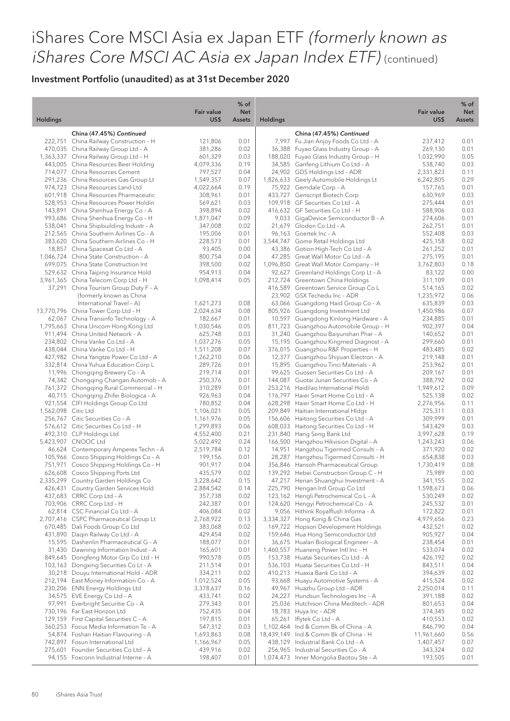| <b>Holdings</b><br>US\$<br><b>Holdings</b><br>US\$<br><b>Assets</b><br><b>Assets</b><br>China (47.45%) Continued<br>China (47.45%) Continued<br>222,751 China Railway Construction - H<br>121,806<br>0.01<br>7,997 Fu Jian Anjoy Foods Co Ltd - A<br>237,412<br>0.01<br>470,035 China Railway Group Ltd - A<br>381,286<br>0.02<br>36,388<br>Fuyao Glass Industry Group - A<br>269,130<br>0.01<br>1,363,337 China Railway Group Ltd - H<br>601,329<br>0.03<br>188,020 Fuyao Glass Industry Group - H<br>1,032,990<br>0.05<br>443,005 China Resources Beer Holding<br>4,079,336<br>0.19<br>34,585 Ganfeng Lithium Co Ltd - A<br>538,740<br>0.03<br>24,902 GDS Holdings Ltd - ADR<br>714,077 China Resources Cement<br>797,527<br>0.04<br>2,331,823<br>0.11<br>0.29<br>291,236 China Resources Gas Group Lt<br>1,549,357<br>0.07<br>1,826,633 Geely Automobile Holdings Lt<br>6,242,805<br>0.01<br>974,723 China Resources Land Ltd<br>4,022,664<br>0.19<br>75,922 Gemdale Corp - A<br>157,765<br>0.03<br>601,918 China Resources Pharmaceutic<br>308,961<br>0.01<br>433,727 Genscript Biotech Corp<br>630,969<br>0.01<br>528,953 China Resources Power Holdin<br>569,621<br>0.03<br>109,918 GF Securities Co Ltd - A<br>275,444<br>143,891 China Shenhua Energy Co - A<br>398,894<br>0.02<br>416,632 GF Securities Co Ltd - H<br>588,906<br>0.03<br>993,686 China Shenhua Energy Co - H<br>1,871,047<br>0.09<br>9,033 GigaDevice Semiconductor B - A<br>0.01<br>274,606<br>538,041 China Shipbuilding Industr - A<br>347,008<br>0.02<br>21,679 Glodon Co Ltd - A<br>262,751<br>0.01<br>0.03<br>212,565 China Southern Airlines Co - A<br>195,006<br>0.01<br>96,163 Goertek Inc - A<br>552,408<br>383,620 China Southern Airlines Co - H<br>228,573<br>0.01<br>3,544,747 Gome Retail Holdings Ltd<br>425,158<br>0.02<br>18,857 China Spacesat Co Ltd - A<br>93,405<br>0.00<br>43,386 Gotion High-Tech Co Ltd - A<br>261,252<br>0.01<br>1,046,724 China State Construction - A<br>800,754<br>0.04<br>47,285 Great Wall Motor Co Ltd - A<br>275,195<br>0.01<br>699,075 China State Construction Int<br>1,096,850 Great Wall Motor Company - H<br>398,500<br>0.02<br>3,762,803<br>0.18<br>529,632 China Taiping Insurance Hold<br>954,913<br>0.04<br>92,627 Greenland Holdings Corp Lt - A<br>83,122<br>0.00<br>3,961,365 China Telecom Corp Ltd - H<br>1,098,414<br>0.05<br>212,724 Greentown China Holdings<br>311,109<br>0.01<br>37,291 China Tourism Group Duty F - A<br>416,589 Greentown Service Group Co L<br>514,165<br>0.02<br>0.06<br>(formerly known as China<br>23,902 GSX Techedu Inc - ADR<br>1,235,972<br>International Travel - A)<br>1,621,273<br>0.08<br>63,066 Guangdong Haid Group Co - A<br>635,839<br>0.03<br>0.07<br>13,770,796 China Tower Corp Ltd - H<br>2,024,634<br>0.08<br>805,926 Guangdong Investment Ltd<br>1,450,986<br>10,597 Guangdong Kinlong Hardware - A<br>62,067 China Transinfo Technology - A<br>182,667<br>0.01<br>234,885<br>0.01<br>1,795,663 China Unicom Hong Kong Ltd<br>1,030,546<br>0.05<br>811,723 Guangzhou Automobile Group - H<br>902,397<br>0.04<br>911,494 China United Network - A<br>625,748<br>0.03<br>31,240 Guangzhou Baiyunshan Phar - A<br>140,652<br>0.01<br>234,802 China Vanke Co Ltd - A<br>1,037,276<br>0.05<br>15,195 Guangzhou Kingmed Diagnost - A<br>299,660<br>0.01<br>376,015 Guangzhou R&F Properties - H<br>438,044 China Vanke Co Ltd - H<br>1,511,208<br>0.07<br>483,485<br>0.02<br>0.01<br>427,982 China Yangtze Power Co Ltd - A<br>0.06<br>12,377 Guangzhou Shiyuan Electron - A<br>219,148<br>1,262,210<br>332,814 China Yuhua Education Corp L<br>289,726<br>0.01<br>15,895 Guangzhou Tinci Materials - A<br>253,962<br>0.01<br>11,996 Chongqing Brewery Co - A<br>219,714<br>0.01<br>99,625 Guosen Securities Co Ltd - A<br>209,167<br>0.01<br>74,342 Chongqing Changan Automob - A<br>250,376<br>0.01<br>144,087<br>Guotai Junan Securities Co - A<br>388,792<br>0.02<br>0.09<br>761,372 Chongqing Rural Commercial - H<br>310,289<br>0.01<br>253,216 Haidilao International Holdi<br>1,949,612<br>40,715 Chongqing Zhifei Biologica - A<br>926,963<br>0.04<br>116,797 Haier Smart Home Co Ltd - A<br>525,138<br>0.02<br>921,554 CIFI Holdings Group Co Ltd<br>780,852<br>0.04<br>628,298 Haier Smart Home Co Ltd - H<br>2,276,956<br>0.11<br>1,562,098 Citic Ltd<br>1,106,021<br>0.05<br>209,849 Haitian International HIdgs<br>725,311<br>0.03<br>0.01<br>256,767 Citic Securities Co - A<br>1,161,976<br>0.05<br>156,606 Haitong Securities Co Ltd - A<br>309,999<br>576,612 Citic Securities Co Ltd - H<br>1,299,893<br>0.06<br>608,033 Haitong Securities Co Ltd - H<br>543,429<br>0.03<br>492,310 CLP Holdings Ltd<br>0.19<br>4,552,400<br>0.21<br>231,840<br>Hang Seng Bank Ltd<br>3,997,628<br>5,423,907 CNOOC Ltd<br>5,022,492<br>0.24<br>166,500<br>Hangzhou Hikvision Digital - A<br>1,243,243<br>0.06<br>46,624 Contemporary Amperex Techn - A<br>2,519,784<br>0.12<br>14,951<br>Hangzhou Tigermed Consulti - A<br>371,920<br>0.02<br>105,966 Cosco Shipping Holdings Co - A<br>199,156<br>0.01<br>28,287<br>Hangzhou Tigermed Consulti - H<br>654,838<br>0.03<br>356,846 Hansoh Pharmaceutical Group<br>751,971 Cosco Shipping Holdings Co - H<br>901,917<br>0.04<br>1,730,419<br>0.08<br>435,579<br>0.00<br>626,608 Cosco Shipping Ports Ltd<br>0.02<br>139,292 Hebei Construction Group C - H<br>75,989<br>0.02<br>3,228,642<br>0.15<br>2,335,299 Country Garden Holdings Co<br>47,217 Henan Shuanghui Investment - A<br>341,155<br>426,431 Country Garden Services Hold<br>2,884,542<br>0.14<br>225,790 Hengan Intl Group Co Ltd<br>1,598,673<br>0.06<br>123,162 Hengli Petrochemical Co L - A<br>437,683 CRRC Corp Ltd - A<br>357,738<br>0.02<br>530,249<br>0.02<br>703,906 CRRC Corp Ltd - H<br>242,387<br>0.01<br>124,620 Hengyi Petrochemical Co - A<br>245,532<br>0.01<br>9,056 Hithink Royalflush Informa - A<br>62,814 CSC Financial Co Ltd - A<br>406,084<br>0.02<br>172,822<br>0.01<br>2,707,416 CSPC Pharmaceutical Group Lt<br>0.13<br>3,334,327 Hong Kong & China Gas<br>4,979,656<br>0.23<br>2,768,922<br>169,722 Hopson Development Holdings<br>0.02<br>670,485 Dali Foods Group Co Ltd<br>0.02<br>432,521<br>383,068<br>431,890 Daqin Railway Co Ltd - A<br>429,454<br>0.02<br>159,646 Hua Hong Semiconductor Ltd<br>905,927<br>0.04<br>15,595 Dashenlin Pharmaceutical G - A<br>0.01<br>36,675 Hualan Biological Engineer - A<br>238,454<br>0.01<br>188,077<br>31,430 Dawning Information Indust - A<br>0.01<br>1,460,557 Huaneng Power Intl Inc - H<br>533,074<br>0.02<br>165,601<br>849,645 Dongfeng Motor Grp Co Ltd - H<br>990,578<br>153,738 Huatai Securities Co Ltd - A<br>0.02<br>0.05<br>426,192<br>103,163 Dongxing Securities Co Lt - A<br>0.01<br>536,103 Huatai Securities Co Ltd - H<br>843,511<br>0.04<br>211,514<br>30,218 Douyu International Hold - ADR<br>410,213 Huaxia Bank Co Ltd - A<br>394,639<br>0.02<br>334,211<br>0.02<br>212,194 East Money Information Co - A<br>1,012,524<br>0.05<br>415,524<br>0.02<br>93,668 Huayu Automotive Systems - A<br>230,206 ENN Energy Holdings Ltd<br>3,378,637<br>49,967 Huazhu Group Ltd - ADR<br>2,250,014<br>0.11<br>0.16<br>34,575 EVE Energy Co Ltd - A<br>433,741<br>0.02<br>24,227 Hundsun Technologies Inc - A<br>391,188<br>0.02<br>Everbright Securitie Co - A<br>279,343<br>25,036 Hutchison China Meditech - ADR<br>0.04<br>97,991<br>0.01<br>801,653<br>752,435<br>0.04<br>18,783 Huya Inc - ADR<br>0.02<br>730,196 Far East Horizon Ltd<br>374,345<br>129,159 First Capital Securities C - A<br>197,815<br>0.01<br>65,261 Iflytek Co Ltd - A<br>410,553<br>0.02<br>360,253 Focus Media Information Te - A<br>547,312<br>0.03<br>1,102,464 Ind & Comm Bk of China - A<br>846,790<br>0.04<br>54,874 Foshan Haitian Flavouring - A<br>1,693,863<br>18,439,149 Ind & Comm Bk of China - H<br>0.56<br>0.08<br>11,961,660<br>742,897 Fosun International Ltd<br>0.05<br>438,129 Industrial Bank Co Ltd - A<br>1,407,457<br>0.07<br>1,166,967<br>275,601 Founder Securities Co Ltd - A<br>439,916<br>0.02<br>256,965 Industrial Securities Co - A<br>0.02<br>343,324<br>94,155 Foxconn Industrial Interne - A<br>0.01<br>1,074,473 Inner Mongolia Baotou Ste - A |  |                   | $%$ of     |  |                   | $%$ of     |
|---------------------------------------------------------------------------------------------------------------------------------------------------------------------------------------------------------------------------------------------------------------------------------------------------------------------------------------------------------------------------------------------------------------------------------------------------------------------------------------------------------------------------------------------------------------------------------------------------------------------------------------------------------------------------------------------------------------------------------------------------------------------------------------------------------------------------------------------------------------------------------------------------------------------------------------------------------------------------------------------------------------------------------------------------------------------------------------------------------------------------------------------------------------------------------------------------------------------------------------------------------------------------------------------------------------------------------------------------------------------------------------------------------------------------------------------------------------------------------------------------------------------------------------------------------------------------------------------------------------------------------------------------------------------------------------------------------------------------------------------------------------------------------------------------------------------------------------------------------------------------------------------------------------------------------------------------------------------------------------------------------------------------------------------------------------------------------------------------------------------------------------------------------------------------------------------------------------------------------------------------------------------------------------------------------------------------------------------------------------------------------------------------------------------------------------------------------------------------------------------------------------------------------------------------------------------------------------------------------------------------------------------------------------------------------------------------------------------------------------------------------------------------------------------------------------------------------------------------------------------------------------------------------------------------------------------------------------------------------------------------------------------------------------------------------------------------------------------------------------------------------------------------------------------------------------------------------------------------------------------------------------------------------------------------------------------------------------------------------------------------------------------------------------------------------------------------------------------------------------------------------------------------------------------------------------------------------------------------------------------------------------------------------------------------------------------------------------------------------------------------------------------------------------------------------------------------------------------------------------------------------------------------------------------------------------------------------------------------------------------------------------------------------------------------------------------------------------------------------------------------------------------------------------------------------------------------------------------------------------------------------------------------------------------------------------------------------------------------------------------------------------------------------------------------------------------------------------------------------------------------------------------------------------------------------------------------------------------------------------------------------------------------------------------------------------------------------------------------------------------------------------------------------------------------------------------------------------------------------------------------------------------------------------------------------------------------------------------------------------------------------------------------------------------------------------------------------------------------------------------------------------------------------------------------------------------------------------------------------------------------------------------------------------------------------------------------------------------------------------------------------------------------------------------------------------------------------------------------------------------------------------------------------------------------------------------------------------------------------------------------------------------------------------------------------------------------------------------------------------------------------------------------------------------------------------------------------------------------------------------------------------------------------------------------------------------------------------------------------------------------------------------------------------------------------------------------------------------------------------------------------------------------------------------------------------------------------------------------------------------------------------------------------------------------------------------------------------------------------------------------------------------------------------------------------------------------------------------------------------------------------------------------------------------------------------------------------------------------------------------------------------------------------------------------------------------------------------------------------------------------------------------------------------------------------------------------------------------------------------------------------------------------------------------------------------------------------------------------------------------------------------------------------------------------------------------------------------------------------------------------------------------------------------------------------------------------------------------------------------------------------------------------------------------------------------------------------------------------------------------------------------------------------------------------------------------------------------------------------------------------------------------------------------------------------------------------------------------------------------------------------------------------------------------------------------------------------------------------------------------------------------------------------------------------------------------------------------------------------------------------------------------------------------------------------------------------------------------------------------------------------------------------------------------------------------------------------------------------------------------------------------------------------------------------------------------------------------------------------------------------|--|-------------------|------------|--|-------------------|------------|
|                                                                                                                                                                                                                                                                                                                                                                                                                                                                                                                                                                                                                                                                                                                                                                                                                                                                                                                                                                                                                                                                                                                                                                                                                                                                                                                                                                                                                                                                                                                                                                                                                                                                                                                                                                                                                                                                                                                                                                                                                                                                                                                                                                                                                                                                                                                                                                                                                                                                                                                                                                                                                                                                                                                                                                                                                                                                                                                                                                                                                                                                                                                                                                                                                                                                                                                                                                                                                                                                                                                                                                                                                                                                                                                                                                                                                                                                                                                                                                                                                                                                                                                                                                                                                                                                                                                                                                                                                                                                                                                                                                                                                                                                                                                                                                                                                                                                                                                                                                                                                                                                                                                                                                                                                                                                                                                                                                                                                                                                                                                                                                                                                                                                                                                                                                                                                                                                                                                                                                                                                                                                                                                                                                                                                                                                                                                                                                                                                                                                                                                                                                                                                                                                                                                                                                                                                                                                                                                                                                                                                                                                                                                                                                                                                                                                                                                                                                                                                                                                                                                                                                                                                                                                                                                                                                                                                                                                                                                                                                                                                                                                                                                                                                                                                                                   |  | <b>Fair value</b> | <b>Net</b> |  | <b>Fair value</b> | <b>Net</b> |
|                                                                                                                                                                                                                                                                                                                                                                                                                                                                                                                                                                                                                                                                                                                                                                                                                                                                                                                                                                                                                                                                                                                                                                                                                                                                                                                                                                                                                                                                                                                                                                                                                                                                                                                                                                                                                                                                                                                                                                                                                                                                                                                                                                                                                                                                                                                                                                                                                                                                                                                                                                                                                                                                                                                                                                                                                                                                                                                                                                                                                                                                                                                                                                                                                                                                                                                                                                                                                                                                                                                                                                                                                                                                                                                                                                                                                                                                                                                                                                                                                                                                                                                                                                                                                                                                                                                                                                                                                                                                                                                                                                                                                                                                                                                                                                                                                                                                                                                                                                                                                                                                                                                                                                                                                                                                                                                                                                                                                                                                                                                                                                                                                                                                                                                                                                                                                                                                                                                                                                                                                                                                                                                                                                                                                                                                                                                                                                                                                                                                                                                                                                                                                                                                                                                                                                                                                                                                                                                                                                                                                                                                                                                                                                                                                                                                                                                                                                                                                                                                                                                                                                                                                                                                                                                                                                                                                                                                                                                                                                                                                                                                                                                                                                                                                                                   |  |                   |            |  |                   |            |
|                                                                                                                                                                                                                                                                                                                                                                                                                                                                                                                                                                                                                                                                                                                                                                                                                                                                                                                                                                                                                                                                                                                                                                                                                                                                                                                                                                                                                                                                                                                                                                                                                                                                                                                                                                                                                                                                                                                                                                                                                                                                                                                                                                                                                                                                                                                                                                                                                                                                                                                                                                                                                                                                                                                                                                                                                                                                                                                                                                                                                                                                                                                                                                                                                                                                                                                                                                                                                                                                                                                                                                                                                                                                                                                                                                                                                                                                                                                                                                                                                                                                                                                                                                                                                                                                                                                                                                                                                                                                                                                                                                                                                                                                                                                                                                                                                                                                                                                                                                                                                                                                                                                                                                                                                                                                                                                                                                                                                                                                                                                                                                                                                                                                                                                                                                                                                                                                                                                                                                                                                                                                                                                                                                                                                                                                                                                                                                                                                                                                                                                                                                                                                                                                                                                                                                                                                                                                                                                                                                                                                                                                                                                                                                                                                                                                                                                                                                                                                                                                                                                                                                                                                                                                                                                                                                                                                                                                                                                                                                                                                                                                                                                                                                                                                                                   |  |                   |            |  |                   |            |
|                                                                                                                                                                                                                                                                                                                                                                                                                                                                                                                                                                                                                                                                                                                                                                                                                                                                                                                                                                                                                                                                                                                                                                                                                                                                                                                                                                                                                                                                                                                                                                                                                                                                                                                                                                                                                                                                                                                                                                                                                                                                                                                                                                                                                                                                                                                                                                                                                                                                                                                                                                                                                                                                                                                                                                                                                                                                                                                                                                                                                                                                                                                                                                                                                                                                                                                                                                                                                                                                                                                                                                                                                                                                                                                                                                                                                                                                                                                                                                                                                                                                                                                                                                                                                                                                                                                                                                                                                                                                                                                                                                                                                                                                                                                                                                                                                                                                                                                                                                                                                                                                                                                                                                                                                                                                                                                                                                                                                                                                                                                                                                                                                                                                                                                                                                                                                                                                                                                                                                                                                                                                                                                                                                                                                                                                                                                                                                                                                                                                                                                                                                                                                                                                                                                                                                                                                                                                                                                                                                                                                                                                                                                                                                                                                                                                                                                                                                                                                                                                                                                                                                                                                                                                                                                                                                                                                                                                                                                                                                                                                                                                                                                                                                                                                                                   |  |                   |            |  |                   |            |
|                                                                                                                                                                                                                                                                                                                                                                                                                                                                                                                                                                                                                                                                                                                                                                                                                                                                                                                                                                                                                                                                                                                                                                                                                                                                                                                                                                                                                                                                                                                                                                                                                                                                                                                                                                                                                                                                                                                                                                                                                                                                                                                                                                                                                                                                                                                                                                                                                                                                                                                                                                                                                                                                                                                                                                                                                                                                                                                                                                                                                                                                                                                                                                                                                                                                                                                                                                                                                                                                                                                                                                                                                                                                                                                                                                                                                                                                                                                                                                                                                                                                                                                                                                                                                                                                                                                                                                                                                                                                                                                                                                                                                                                                                                                                                                                                                                                                                                                                                                                                                                                                                                                                                                                                                                                                                                                                                                                                                                                                                                                                                                                                                                                                                                                                                                                                                                                                                                                                                                                                                                                                                                                                                                                                                                                                                                                                                                                                                                                                                                                                                                                                                                                                                                                                                                                                                                                                                                                                                                                                                                                                                                                                                                                                                                                                                                                                                                                                                                                                                                                                                                                                                                                                                                                                                                                                                                                                                                                                                                                                                                                                                                                                                                                                                                                   |  |                   |            |  |                   |            |
|                                                                                                                                                                                                                                                                                                                                                                                                                                                                                                                                                                                                                                                                                                                                                                                                                                                                                                                                                                                                                                                                                                                                                                                                                                                                                                                                                                                                                                                                                                                                                                                                                                                                                                                                                                                                                                                                                                                                                                                                                                                                                                                                                                                                                                                                                                                                                                                                                                                                                                                                                                                                                                                                                                                                                                                                                                                                                                                                                                                                                                                                                                                                                                                                                                                                                                                                                                                                                                                                                                                                                                                                                                                                                                                                                                                                                                                                                                                                                                                                                                                                                                                                                                                                                                                                                                                                                                                                                                                                                                                                                                                                                                                                                                                                                                                                                                                                                                                                                                                                                                                                                                                                                                                                                                                                                                                                                                                                                                                                                                                                                                                                                                                                                                                                                                                                                                                                                                                                                                                                                                                                                                                                                                                                                                                                                                                                                                                                                                                                                                                                                                                                                                                                                                                                                                                                                                                                                                                                                                                                                                                                                                                                                                                                                                                                                                                                                                                                                                                                                                                                                                                                                                                                                                                                                                                                                                                                                                                                                                                                                                                                                                                                                                                                                                                   |  |                   |            |  |                   |            |
|                                                                                                                                                                                                                                                                                                                                                                                                                                                                                                                                                                                                                                                                                                                                                                                                                                                                                                                                                                                                                                                                                                                                                                                                                                                                                                                                                                                                                                                                                                                                                                                                                                                                                                                                                                                                                                                                                                                                                                                                                                                                                                                                                                                                                                                                                                                                                                                                                                                                                                                                                                                                                                                                                                                                                                                                                                                                                                                                                                                                                                                                                                                                                                                                                                                                                                                                                                                                                                                                                                                                                                                                                                                                                                                                                                                                                                                                                                                                                                                                                                                                                                                                                                                                                                                                                                                                                                                                                                                                                                                                                                                                                                                                                                                                                                                                                                                                                                                                                                                                                                                                                                                                                                                                                                                                                                                                                                                                                                                                                                                                                                                                                                                                                                                                                                                                                                                                                                                                                                                                                                                                                                                                                                                                                                                                                                                                                                                                                                                                                                                                                                                                                                                                                                                                                                                                                                                                                                                                                                                                                                                                                                                                                                                                                                                                                                                                                                                                                                                                                                                                                                                                                                                                                                                                                                                                                                                                                                                                                                                                                                                                                                                                                                                                                                                   |  |                   |            |  |                   |            |
|                                                                                                                                                                                                                                                                                                                                                                                                                                                                                                                                                                                                                                                                                                                                                                                                                                                                                                                                                                                                                                                                                                                                                                                                                                                                                                                                                                                                                                                                                                                                                                                                                                                                                                                                                                                                                                                                                                                                                                                                                                                                                                                                                                                                                                                                                                                                                                                                                                                                                                                                                                                                                                                                                                                                                                                                                                                                                                                                                                                                                                                                                                                                                                                                                                                                                                                                                                                                                                                                                                                                                                                                                                                                                                                                                                                                                                                                                                                                                                                                                                                                                                                                                                                                                                                                                                                                                                                                                                                                                                                                                                                                                                                                                                                                                                                                                                                                                                                                                                                                                                                                                                                                                                                                                                                                                                                                                                                                                                                                                                                                                                                                                                                                                                                                                                                                                                                                                                                                                                                                                                                                                                                                                                                                                                                                                                                                                                                                                                                                                                                                                                                                                                                                                                                                                                                                                                                                                                                                                                                                                                                                                                                                                                                                                                                                                                                                                                                                                                                                                                                                                                                                                                                                                                                                                                                                                                                                                                                                                                                                                                                                                                                                                                                                                                                   |  |                   |            |  |                   |            |
|                                                                                                                                                                                                                                                                                                                                                                                                                                                                                                                                                                                                                                                                                                                                                                                                                                                                                                                                                                                                                                                                                                                                                                                                                                                                                                                                                                                                                                                                                                                                                                                                                                                                                                                                                                                                                                                                                                                                                                                                                                                                                                                                                                                                                                                                                                                                                                                                                                                                                                                                                                                                                                                                                                                                                                                                                                                                                                                                                                                                                                                                                                                                                                                                                                                                                                                                                                                                                                                                                                                                                                                                                                                                                                                                                                                                                                                                                                                                                                                                                                                                                                                                                                                                                                                                                                                                                                                                                                                                                                                                                                                                                                                                                                                                                                                                                                                                                                                                                                                                                                                                                                                                                                                                                                                                                                                                                                                                                                                                                                                                                                                                                                                                                                                                                                                                                                                                                                                                                                                                                                                                                                                                                                                                                                                                                                                                                                                                                                                                                                                                                                                                                                                                                                                                                                                                                                                                                                                                                                                                                                                                                                                                                                                                                                                                                                                                                                                                                                                                                                                                                                                                                                                                                                                                                                                                                                                                                                                                                                                                                                                                                                                                                                                                                                                   |  |                   |            |  |                   |            |
|                                                                                                                                                                                                                                                                                                                                                                                                                                                                                                                                                                                                                                                                                                                                                                                                                                                                                                                                                                                                                                                                                                                                                                                                                                                                                                                                                                                                                                                                                                                                                                                                                                                                                                                                                                                                                                                                                                                                                                                                                                                                                                                                                                                                                                                                                                                                                                                                                                                                                                                                                                                                                                                                                                                                                                                                                                                                                                                                                                                                                                                                                                                                                                                                                                                                                                                                                                                                                                                                                                                                                                                                                                                                                                                                                                                                                                                                                                                                                                                                                                                                                                                                                                                                                                                                                                                                                                                                                                                                                                                                                                                                                                                                                                                                                                                                                                                                                                                                                                                                                                                                                                                                                                                                                                                                                                                                                                                                                                                                                                                                                                                                                                                                                                                                                                                                                                                                                                                                                                                                                                                                                                                                                                                                                                                                                                                                                                                                                                                                                                                                                                                                                                                                                                                                                                                                                                                                                                                                                                                                                                                                                                                                                                                                                                                                                                                                                                                                                                                                                                                                                                                                                                                                                                                                                                                                                                                                                                                                                                                                                                                                                                                                                                                                                                                   |  |                   |            |  |                   |            |
|                                                                                                                                                                                                                                                                                                                                                                                                                                                                                                                                                                                                                                                                                                                                                                                                                                                                                                                                                                                                                                                                                                                                                                                                                                                                                                                                                                                                                                                                                                                                                                                                                                                                                                                                                                                                                                                                                                                                                                                                                                                                                                                                                                                                                                                                                                                                                                                                                                                                                                                                                                                                                                                                                                                                                                                                                                                                                                                                                                                                                                                                                                                                                                                                                                                                                                                                                                                                                                                                                                                                                                                                                                                                                                                                                                                                                                                                                                                                                                                                                                                                                                                                                                                                                                                                                                                                                                                                                                                                                                                                                                                                                                                                                                                                                                                                                                                                                                                                                                                                                                                                                                                                                                                                                                                                                                                                                                                                                                                                                                                                                                                                                                                                                                                                                                                                                                                                                                                                                                                                                                                                                                                                                                                                                                                                                                                                                                                                                                                                                                                                                                                                                                                                                                                                                                                                                                                                                                                                                                                                                                                                                                                                                                                                                                                                                                                                                                                                                                                                                                                                                                                                                                                                                                                                                                                                                                                                                                                                                                                                                                                                                                                                                                                                                                                   |  |                   |            |  |                   |            |
|                                                                                                                                                                                                                                                                                                                                                                                                                                                                                                                                                                                                                                                                                                                                                                                                                                                                                                                                                                                                                                                                                                                                                                                                                                                                                                                                                                                                                                                                                                                                                                                                                                                                                                                                                                                                                                                                                                                                                                                                                                                                                                                                                                                                                                                                                                                                                                                                                                                                                                                                                                                                                                                                                                                                                                                                                                                                                                                                                                                                                                                                                                                                                                                                                                                                                                                                                                                                                                                                                                                                                                                                                                                                                                                                                                                                                                                                                                                                                                                                                                                                                                                                                                                                                                                                                                                                                                                                                                                                                                                                                                                                                                                                                                                                                                                                                                                                                                                                                                                                                                                                                                                                                                                                                                                                                                                                                                                                                                                                                                                                                                                                                                                                                                                                                                                                                                                                                                                                                                                                                                                                                                                                                                                                                                                                                                                                                                                                                                                                                                                                                                                                                                                                                                                                                                                                                                                                                                                                                                                                                                                                                                                                                                                                                                                                                                                                                                                                                                                                                                                                                                                                                                                                                                                                                                                                                                                                                                                                                                                                                                                                                                                                                                                                                                                   |  |                   |            |  |                   |            |
|                                                                                                                                                                                                                                                                                                                                                                                                                                                                                                                                                                                                                                                                                                                                                                                                                                                                                                                                                                                                                                                                                                                                                                                                                                                                                                                                                                                                                                                                                                                                                                                                                                                                                                                                                                                                                                                                                                                                                                                                                                                                                                                                                                                                                                                                                                                                                                                                                                                                                                                                                                                                                                                                                                                                                                                                                                                                                                                                                                                                                                                                                                                                                                                                                                                                                                                                                                                                                                                                                                                                                                                                                                                                                                                                                                                                                                                                                                                                                                                                                                                                                                                                                                                                                                                                                                                                                                                                                                                                                                                                                                                                                                                                                                                                                                                                                                                                                                                                                                                                                                                                                                                                                                                                                                                                                                                                                                                                                                                                                                                                                                                                                                                                                                                                                                                                                                                                                                                                                                                                                                                                                                                                                                                                                                                                                                                                                                                                                                                                                                                                                                                                                                                                                                                                                                                                                                                                                                                                                                                                                                                                                                                                                                                                                                                                                                                                                                                                                                                                                                                                                                                                                                                                                                                                                                                                                                                                                                                                                                                                                                                                                                                                                                                                                                                   |  |                   |            |  |                   |            |
|                                                                                                                                                                                                                                                                                                                                                                                                                                                                                                                                                                                                                                                                                                                                                                                                                                                                                                                                                                                                                                                                                                                                                                                                                                                                                                                                                                                                                                                                                                                                                                                                                                                                                                                                                                                                                                                                                                                                                                                                                                                                                                                                                                                                                                                                                                                                                                                                                                                                                                                                                                                                                                                                                                                                                                                                                                                                                                                                                                                                                                                                                                                                                                                                                                                                                                                                                                                                                                                                                                                                                                                                                                                                                                                                                                                                                                                                                                                                                                                                                                                                                                                                                                                                                                                                                                                                                                                                                                                                                                                                                                                                                                                                                                                                                                                                                                                                                                                                                                                                                                                                                                                                                                                                                                                                                                                                                                                                                                                                                                                                                                                                                                                                                                                                                                                                                                                                                                                                                                                                                                                                                                                                                                                                                                                                                                                                                                                                                                                                                                                                                                                                                                                                                                                                                                                                                                                                                                                                                                                                                                                                                                                                                                                                                                                                                                                                                                                                                                                                                                                                                                                                                                                                                                                                                                                                                                                                                                                                                                                                                                                                                                                                                                                                                                                   |  |                   |            |  |                   |            |
|                                                                                                                                                                                                                                                                                                                                                                                                                                                                                                                                                                                                                                                                                                                                                                                                                                                                                                                                                                                                                                                                                                                                                                                                                                                                                                                                                                                                                                                                                                                                                                                                                                                                                                                                                                                                                                                                                                                                                                                                                                                                                                                                                                                                                                                                                                                                                                                                                                                                                                                                                                                                                                                                                                                                                                                                                                                                                                                                                                                                                                                                                                                                                                                                                                                                                                                                                                                                                                                                                                                                                                                                                                                                                                                                                                                                                                                                                                                                                                                                                                                                                                                                                                                                                                                                                                                                                                                                                                                                                                                                                                                                                                                                                                                                                                                                                                                                                                                                                                                                                                                                                                                                                                                                                                                                                                                                                                                                                                                                                                                                                                                                                                                                                                                                                                                                                                                                                                                                                                                                                                                                                                                                                                                                                                                                                                                                                                                                                                                                                                                                                                                                                                                                                                                                                                                                                                                                                                                                                                                                                                                                                                                                                                                                                                                                                                                                                                                                                                                                                                                                                                                                                                                                                                                                                                                                                                                                                                                                                                                                                                                                                                                                                                                                                                                   |  |                   |            |  |                   |            |
|                                                                                                                                                                                                                                                                                                                                                                                                                                                                                                                                                                                                                                                                                                                                                                                                                                                                                                                                                                                                                                                                                                                                                                                                                                                                                                                                                                                                                                                                                                                                                                                                                                                                                                                                                                                                                                                                                                                                                                                                                                                                                                                                                                                                                                                                                                                                                                                                                                                                                                                                                                                                                                                                                                                                                                                                                                                                                                                                                                                                                                                                                                                                                                                                                                                                                                                                                                                                                                                                                                                                                                                                                                                                                                                                                                                                                                                                                                                                                                                                                                                                                                                                                                                                                                                                                                                                                                                                                                                                                                                                                                                                                                                                                                                                                                                                                                                                                                                                                                                                                                                                                                                                                                                                                                                                                                                                                                                                                                                                                                                                                                                                                                                                                                                                                                                                                                                                                                                                                                                                                                                                                                                                                                                                                                                                                                                                                                                                                                                                                                                                                                                                                                                                                                                                                                                                                                                                                                                                                                                                                                                                                                                                                                                                                                                                                                                                                                                                                                                                                                                                                                                                                                                                                                                                                                                                                                                                                                                                                                                                                                                                                                                                                                                                                                                   |  |                   |            |  |                   |            |
|                                                                                                                                                                                                                                                                                                                                                                                                                                                                                                                                                                                                                                                                                                                                                                                                                                                                                                                                                                                                                                                                                                                                                                                                                                                                                                                                                                                                                                                                                                                                                                                                                                                                                                                                                                                                                                                                                                                                                                                                                                                                                                                                                                                                                                                                                                                                                                                                                                                                                                                                                                                                                                                                                                                                                                                                                                                                                                                                                                                                                                                                                                                                                                                                                                                                                                                                                                                                                                                                                                                                                                                                                                                                                                                                                                                                                                                                                                                                                                                                                                                                                                                                                                                                                                                                                                                                                                                                                                                                                                                                                                                                                                                                                                                                                                                                                                                                                                                                                                                                                                                                                                                                                                                                                                                                                                                                                                                                                                                                                                                                                                                                                                                                                                                                                                                                                                                                                                                                                                                                                                                                                                                                                                                                                                                                                                                                                                                                                                                                                                                                                                                                                                                                                                                                                                                                                                                                                                                                                                                                                                                                                                                                                                                                                                                                                                                                                                                                                                                                                                                                                                                                                                                                                                                                                                                                                                                                                                                                                                                                                                                                                                                                                                                                                                                   |  |                   |            |  |                   |            |
|                                                                                                                                                                                                                                                                                                                                                                                                                                                                                                                                                                                                                                                                                                                                                                                                                                                                                                                                                                                                                                                                                                                                                                                                                                                                                                                                                                                                                                                                                                                                                                                                                                                                                                                                                                                                                                                                                                                                                                                                                                                                                                                                                                                                                                                                                                                                                                                                                                                                                                                                                                                                                                                                                                                                                                                                                                                                                                                                                                                                                                                                                                                                                                                                                                                                                                                                                                                                                                                                                                                                                                                                                                                                                                                                                                                                                                                                                                                                                                                                                                                                                                                                                                                                                                                                                                                                                                                                                                                                                                                                                                                                                                                                                                                                                                                                                                                                                                                                                                                                                                                                                                                                                                                                                                                                                                                                                                                                                                                                                                                                                                                                                                                                                                                                                                                                                                                                                                                                                                                                                                                                                                                                                                                                                                                                                                                                                                                                                                                                                                                                                                                                                                                                                                                                                                                                                                                                                                                                                                                                                                                                                                                                                                                                                                                                                                                                                                                                                                                                                                                                                                                                                                                                                                                                                                                                                                                                                                                                                                                                                                                                                                                                                                                                                                                   |  |                   |            |  |                   |            |
|                                                                                                                                                                                                                                                                                                                                                                                                                                                                                                                                                                                                                                                                                                                                                                                                                                                                                                                                                                                                                                                                                                                                                                                                                                                                                                                                                                                                                                                                                                                                                                                                                                                                                                                                                                                                                                                                                                                                                                                                                                                                                                                                                                                                                                                                                                                                                                                                                                                                                                                                                                                                                                                                                                                                                                                                                                                                                                                                                                                                                                                                                                                                                                                                                                                                                                                                                                                                                                                                                                                                                                                                                                                                                                                                                                                                                                                                                                                                                                                                                                                                                                                                                                                                                                                                                                                                                                                                                                                                                                                                                                                                                                                                                                                                                                                                                                                                                                                                                                                                                                                                                                                                                                                                                                                                                                                                                                                                                                                                                                                                                                                                                                                                                                                                                                                                                                                                                                                                                                                                                                                                                                                                                                                                                                                                                                                                                                                                                                                                                                                                                                                                                                                                                                                                                                                                                                                                                                                                                                                                                                                                                                                                                                                                                                                                                                                                                                                                                                                                                                                                                                                                                                                                                                                                                                                                                                                                                                                                                                                                                                                                                                                                                                                                                                                   |  |                   |            |  |                   |            |
|                                                                                                                                                                                                                                                                                                                                                                                                                                                                                                                                                                                                                                                                                                                                                                                                                                                                                                                                                                                                                                                                                                                                                                                                                                                                                                                                                                                                                                                                                                                                                                                                                                                                                                                                                                                                                                                                                                                                                                                                                                                                                                                                                                                                                                                                                                                                                                                                                                                                                                                                                                                                                                                                                                                                                                                                                                                                                                                                                                                                                                                                                                                                                                                                                                                                                                                                                                                                                                                                                                                                                                                                                                                                                                                                                                                                                                                                                                                                                                                                                                                                                                                                                                                                                                                                                                                                                                                                                                                                                                                                                                                                                                                                                                                                                                                                                                                                                                                                                                                                                                                                                                                                                                                                                                                                                                                                                                                                                                                                                                                                                                                                                                                                                                                                                                                                                                                                                                                                                                                                                                                                                                                                                                                                                                                                                                                                                                                                                                                                                                                                                                                                                                                                                                                                                                                                                                                                                                                                                                                                                                                                                                                                                                                                                                                                                                                                                                                                                                                                                                                                                                                                                                                                                                                                                                                                                                                                                                                                                                                                                                                                                                                                                                                                                                                   |  |                   |            |  |                   |            |
|                                                                                                                                                                                                                                                                                                                                                                                                                                                                                                                                                                                                                                                                                                                                                                                                                                                                                                                                                                                                                                                                                                                                                                                                                                                                                                                                                                                                                                                                                                                                                                                                                                                                                                                                                                                                                                                                                                                                                                                                                                                                                                                                                                                                                                                                                                                                                                                                                                                                                                                                                                                                                                                                                                                                                                                                                                                                                                                                                                                                                                                                                                                                                                                                                                                                                                                                                                                                                                                                                                                                                                                                                                                                                                                                                                                                                                                                                                                                                                                                                                                                                                                                                                                                                                                                                                                                                                                                                                                                                                                                                                                                                                                                                                                                                                                                                                                                                                                                                                                                                                                                                                                                                                                                                                                                                                                                                                                                                                                                                                                                                                                                                                                                                                                                                                                                                                                                                                                                                                                                                                                                                                                                                                                                                                                                                                                                                                                                                                                                                                                                                                                                                                                                                                                                                                                                                                                                                                                                                                                                                                                                                                                                                                                                                                                                                                                                                                                                                                                                                                                                                                                                                                                                                                                                                                                                                                                                                                                                                                                                                                                                                                                                                                                                                                                   |  |                   |            |  |                   |            |
|                                                                                                                                                                                                                                                                                                                                                                                                                                                                                                                                                                                                                                                                                                                                                                                                                                                                                                                                                                                                                                                                                                                                                                                                                                                                                                                                                                                                                                                                                                                                                                                                                                                                                                                                                                                                                                                                                                                                                                                                                                                                                                                                                                                                                                                                                                                                                                                                                                                                                                                                                                                                                                                                                                                                                                                                                                                                                                                                                                                                                                                                                                                                                                                                                                                                                                                                                                                                                                                                                                                                                                                                                                                                                                                                                                                                                                                                                                                                                                                                                                                                                                                                                                                                                                                                                                                                                                                                                                                                                                                                                                                                                                                                                                                                                                                                                                                                                                                                                                                                                                                                                                                                                                                                                                                                                                                                                                                                                                                                                                                                                                                                                                                                                                                                                                                                                                                                                                                                                                                                                                                                                                                                                                                                                                                                                                                                                                                                                                                                                                                                                                                                                                                                                                                                                                                                                                                                                                                                                                                                                                                                                                                                                                                                                                                                                                                                                                                                                                                                                                                                                                                                                                                                                                                                                                                                                                                                                                                                                                                                                                                                                                                                                                                                                                                   |  |                   |            |  |                   |            |
|                                                                                                                                                                                                                                                                                                                                                                                                                                                                                                                                                                                                                                                                                                                                                                                                                                                                                                                                                                                                                                                                                                                                                                                                                                                                                                                                                                                                                                                                                                                                                                                                                                                                                                                                                                                                                                                                                                                                                                                                                                                                                                                                                                                                                                                                                                                                                                                                                                                                                                                                                                                                                                                                                                                                                                                                                                                                                                                                                                                                                                                                                                                                                                                                                                                                                                                                                                                                                                                                                                                                                                                                                                                                                                                                                                                                                                                                                                                                                                                                                                                                                                                                                                                                                                                                                                                                                                                                                                                                                                                                                                                                                                                                                                                                                                                                                                                                                                                                                                                                                                                                                                                                                                                                                                                                                                                                                                                                                                                                                                                                                                                                                                                                                                                                                                                                                                                                                                                                                                                                                                                                                                                                                                                                                                                                                                                                                                                                                                                                                                                                                                                                                                                                                                                                                                                                                                                                                                                                                                                                                                                                                                                                                                                                                                                                                                                                                                                                                                                                                                                                                                                                                                                                                                                                                                                                                                                                                                                                                                                                                                                                                                                                                                                                                                                   |  |                   |            |  |                   |            |
|                                                                                                                                                                                                                                                                                                                                                                                                                                                                                                                                                                                                                                                                                                                                                                                                                                                                                                                                                                                                                                                                                                                                                                                                                                                                                                                                                                                                                                                                                                                                                                                                                                                                                                                                                                                                                                                                                                                                                                                                                                                                                                                                                                                                                                                                                                                                                                                                                                                                                                                                                                                                                                                                                                                                                                                                                                                                                                                                                                                                                                                                                                                                                                                                                                                                                                                                                                                                                                                                                                                                                                                                                                                                                                                                                                                                                                                                                                                                                                                                                                                                                                                                                                                                                                                                                                                                                                                                                                                                                                                                                                                                                                                                                                                                                                                                                                                                                                                                                                                                                                                                                                                                                                                                                                                                                                                                                                                                                                                                                                                                                                                                                                                                                                                                                                                                                                                                                                                                                                                                                                                                                                                                                                                                                                                                                                                                                                                                                                                                                                                                                                                                                                                                                                                                                                                                                                                                                                                                                                                                                                                                                                                                                                                                                                                                                                                                                                                                                                                                                                                                                                                                                                                                                                                                                                                                                                                                                                                                                                                                                                                                                                                                                                                                                                                   |  |                   |            |  |                   |            |
|                                                                                                                                                                                                                                                                                                                                                                                                                                                                                                                                                                                                                                                                                                                                                                                                                                                                                                                                                                                                                                                                                                                                                                                                                                                                                                                                                                                                                                                                                                                                                                                                                                                                                                                                                                                                                                                                                                                                                                                                                                                                                                                                                                                                                                                                                                                                                                                                                                                                                                                                                                                                                                                                                                                                                                                                                                                                                                                                                                                                                                                                                                                                                                                                                                                                                                                                                                                                                                                                                                                                                                                                                                                                                                                                                                                                                                                                                                                                                                                                                                                                                                                                                                                                                                                                                                                                                                                                                                                                                                                                                                                                                                                                                                                                                                                                                                                                                                                                                                                                                                                                                                                                                                                                                                                                                                                                                                                                                                                                                                                                                                                                                                                                                                                                                                                                                                                                                                                                                                                                                                                                                                                                                                                                                                                                                                                                                                                                                                                                                                                                                                                                                                                                                                                                                                                                                                                                                                                                                                                                                                                                                                                                                                                                                                                                                                                                                                                                                                                                                                                                                                                                                                                                                                                                                                                                                                                                                                                                                                                                                                                                                                                                                                                                                                                   |  |                   |            |  |                   |            |
|                                                                                                                                                                                                                                                                                                                                                                                                                                                                                                                                                                                                                                                                                                                                                                                                                                                                                                                                                                                                                                                                                                                                                                                                                                                                                                                                                                                                                                                                                                                                                                                                                                                                                                                                                                                                                                                                                                                                                                                                                                                                                                                                                                                                                                                                                                                                                                                                                                                                                                                                                                                                                                                                                                                                                                                                                                                                                                                                                                                                                                                                                                                                                                                                                                                                                                                                                                                                                                                                                                                                                                                                                                                                                                                                                                                                                                                                                                                                                                                                                                                                                                                                                                                                                                                                                                                                                                                                                                                                                                                                                                                                                                                                                                                                                                                                                                                                                                                                                                                                                                                                                                                                                                                                                                                                                                                                                                                                                                                                                                                                                                                                                                                                                                                                                                                                                                                                                                                                                                                                                                                                                                                                                                                                                                                                                                                                                                                                                                                                                                                                                                                                                                                                                                                                                                                                                                                                                                                                                                                                                                                                                                                                                                                                                                                                                                                                                                                                                                                                                                                                                                                                                                                                                                                                                                                                                                                                                                                                                                                                                                                                                                                                                                                                                                                   |  |                   |            |  |                   |            |
|                                                                                                                                                                                                                                                                                                                                                                                                                                                                                                                                                                                                                                                                                                                                                                                                                                                                                                                                                                                                                                                                                                                                                                                                                                                                                                                                                                                                                                                                                                                                                                                                                                                                                                                                                                                                                                                                                                                                                                                                                                                                                                                                                                                                                                                                                                                                                                                                                                                                                                                                                                                                                                                                                                                                                                                                                                                                                                                                                                                                                                                                                                                                                                                                                                                                                                                                                                                                                                                                                                                                                                                                                                                                                                                                                                                                                                                                                                                                                                                                                                                                                                                                                                                                                                                                                                                                                                                                                                                                                                                                                                                                                                                                                                                                                                                                                                                                                                                                                                                                                                                                                                                                                                                                                                                                                                                                                                                                                                                                                                                                                                                                                                                                                                                                                                                                                                                                                                                                                                                                                                                                                                                                                                                                                                                                                                                                                                                                                                                                                                                                                                                                                                                                                                                                                                                                                                                                                                                                                                                                                                                                                                                                                                                                                                                                                                                                                                                                                                                                                                                                                                                                                                                                                                                                                                                                                                                                                                                                                                                                                                                                                                                                                                                                                                                   |  |                   |            |  |                   |            |
|                                                                                                                                                                                                                                                                                                                                                                                                                                                                                                                                                                                                                                                                                                                                                                                                                                                                                                                                                                                                                                                                                                                                                                                                                                                                                                                                                                                                                                                                                                                                                                                                                                                                                                                                                                                                                                                                                                                                                                                                                                                                                                                                                                                                                                                                                                                                                                                                                                                                                                                                                                                                                                                                                                                                                                                                                                                                                                                                                                                                                                                                                                                                                                                                                                                                                                                                                                                                                                                                                                                                                                                                                                                                                                                                                                                                                                                                                                                                                                                                                                                                                                                                                                                                                                                                                                                                                                                                                                                                                                                                                                                                                                                                                                                                                                                                                                                                                                                                                                                                                                                                                                                                                                                                                                                                                                                                                                                                                                                                                                                                                                                                                                                                                                                                                                                                                                                                                                                                                                                                                                                                                                                                                                                                                                                                                                                                                                                                                                                                                                                                                                                                                                                                                                                                                                                                                                                                                                                                                                                                                                                                                                                                                                                                                                                                                                                                                                                                                                                                                                                                                                                                                                                                                                                                                                                                                                                                                                                                                                                                                                                                                                                                                                                                                                                   |  |                   |            |  |                   |            |
|                                                                                                                                                                                                                                                                                                                                                                                                                                                                                                                                                                                                                                                                                                                                                                                                                                                                                                                                                                                                                                                                                                                                                                                                                                                                                                                                                                                                                                                                                                                                                                                                                                                                                                                                                                                                                                                                                                                                                                                                                                                                                                                                                                                                                                                                                                                                                                                                                                                                                                                                                                                                                                                                                                                                                                                                                                                                                                                                                                                                                                                                                                                                                                                                                                                                                                                                                                                                                                                                                                                                                                                                                                                                                                                                                                                                                                                                                                                                                                                                                                                                                                                                                                                                                                                                                                                                                                                                                                                                                                                                                                                                                                                                                                                                                                                                                                                                                                                                                                                                                                                                                                                                                                                                                                                                                                                                                                                                                                                                                                                                                                                                                                                                                                                                                                                                                                                                                                                                                                                                                                                                                                                                                                                                                                                                                                                                                                                                                                                                                                                                                                                                                                                                                                                                                                                                                                                                                                                                                                                                                                                                                                                                                                                                                                                                                                                                                                                                                                                                                                                                                                                                                                                                                                                                                                                                                                                                                                                                                                                                                                                                                                                                                                                                                                                   |  |                   |            |  |                   |            |
|                                                                                                                                                                                                                                                                                                                                                                                                                                                                                                                                                                                                                                                                                                                                                                                                                                                                                                                                                                                                                                                                                                                                                                                                                                                                                                                                                                                                                                                                                                                                                                                                                                                                                                                                                                                                                                                                                                                                                                                                                                                                                                                                                                                                                                                                                                                                                                                                                                                                                                                                                                                                                                                                                                                                                                                                                                                                                                                                                                                                                                                                                                                                                                                                                                                                                                                                                                                                                                                                                                                                                                                                                                                                                                                                                                                                                                                                                                                                                                                                                                                                                                                                                                                                                                                                                                                                                                                                                                                                                                                                                                                                                                                                                                                                                                                                                                                                                                                                                                                                                                                                                                                                                                                                                                                                                                                                                                                                                                                                                                                                                                                                                                                                                                                                                                                                                                                                                                                                                                                                                                                                                                                                                                                                                                                                                                                                                                                                                                                                                                                                                                                                                                                                                                                                                                                                                                                                                                                                                                                                                                                                                                                                                                                                                                                                                                                                                                                                                                                                                                                                                                                                                                                                                                                                                                                                                                                                                                                                                                                                                                                                                                                                                                                                                                                   |  |                   |            |  |                   |            |
|                                                                                                                                                                                                                                                                                                                                                                                                                                                                                                                                                                                                                                                                                                                                                                                                                                                                                                                                                                                                                                                                                                                                                                                                                                                                                                                                                                                                                                                                                                                                                                                                                                                                                                                                                                                                                                                                                                                                                                                                                                                                                                                                                                                                                                                                                                                                                                                                                                                                                                                                                                                                                                                                                                                                                                                                                                                                                                                                                                                                                                                                                                                                                                                                                                                                                                                                                                                                                                                                                                                                                                                                                                                                                                                                                                                                                                                                                                                                                                                                                                                                                                                                                                                                                                                                                                                                                                                                                                                                                                                                                                                                                                                                                                                                                                                                                                                                                                                                                                                                                                                                                                                                                                                                                                                                                                                                                                                                                                                                                                                                                                                                                                                                                                                                                                                                                                                                                                                                                                                                                                                                                                                                                                                                                                                                                                                                                                                                                                                                                                                                                                                                                                                                                                                                                                                                                                                                                                                                                                                                                                                                                                                                                                                                                                                                                                                                                                                                                                                                                                                                                                                                                                                                                                                                                                                                                                                                                                                                                                                                                                                                                                                                                                                                                                                   |  |                   |            |  |                   |            |
|                                                                                                                                                                                                                                                                                                                                                                                                                                                                                                                                                                                                                                                                                                                                                                                                                                                                                                                                                                                                                                                                                                                                                                                                                                                                                                                                                                                                                                                                                                                                                                                                                                                                                                                                                                                                                                                                                                                                                                                                                                                                                                                                                                                                                                                                                                                                                                                                                                                                                                                                                                                                                                                                                                                                                                                                                                                                                                                                                                                                                                                                                                                                                                                                                                                                                                                                                                                                                                                                                                                                                                                                                                                                                                                                                                                                                                                                                                                                                                                                                                                                                                                                                                                                                                                                                                                                                                                                                                                                                                                                                                                                                                                                                                                                                                                                                                                                                                                                                                                                                                                                                                                                                                                                                                                                                                                                                                                                                                                                                                                                                                                                                                                                                                                                                                                                                                                                                                                                                                                                                                                                                                                                                                                                                                                                                                                                                                                                                                                                                                                                                                                                                                                                                                                                                                                                                                                                                                                                                                                                                                                                                                                                                                                                                                                                                                                                                                                                                                                                                                                                                                                                                                                                                                                                                                                                                                                                                                                                                                                                                                                                                                                                                                                                                                                   |  |                   |            |  |                   |            |
|                                                                                                                                                                                                                                                                                                                                                                                                                                                                                                                                                                                                                                                                                                                                                                                                                                                                                                                                                                                                                                                                                                                                                                                                                                                                                                                                                                                                                                                                                                                                                                                                                                                                                                                                                                                                                                                                                                                                                                                                                                                                                                                                                                                                                                                                                                                                                                                                                                                                                                                                                                                                                                                                                                                                                                                                                                                                                                                                                                                                                                                                                                                                                                                                                                                                                                                                                                                                                                                                                                                                                                                                                                                                                                                                                                                                                                                                                                                                                                                                                                                                                                                                                                                                                                                                                                                                                                                                                                                                                                                                                                                                                                                                                                                                                                                                                                                                                                                                                                                                                                                                                                                                                                                                                                                                                                                                                                                                                                                                                                                                                                                                                                                                                                                                                                                                                                                                                                                                                                                                                                                                                                                                                                                                                                                                                                                                                                                                                                                                                                                                                                                                                                                                                                                                                                                                                                                                                                                                                                                                                                                                                                                                                                                                                                                                                                                                                                                                                                                                                                                                                                                                                                                                                                                                                                                                                                                                                                                                                                                                                                                                                                                                                                                                                                                   |  |                   |            |  |                   |            |
|                                                                                                                                                                                                                                                                                                                                                                                                                                                                                                                                                                                                                                                                                                                                                                                                                                                                                                                                                                                                                                                                                                                                                                                                                                                                                                                                                                                                                                                                                                                                                                                                                                                                                                                                                                                                                                                                                                                                                                                                                                                                                                                                                                                                                                                                                                                                                                                                                                                                                                                                                                                                                                                                                                                                                                                                                                                                                                                                                                                                                                                                                                                                                                                                                                                                                                                                                                                                                                                                                                                                                                                                                                                                                                                                                                                                                                                                                                                                                                                                                                                                                                                                                                                                                                                                                                                                                                                                                                                                                                                                                                                                                                                                                                                                                                                                                                                                                                                                                                                                                                                                                                                                                                                                                                                                                                                                                                                                                                                                                                                                                                                                                                                                                                                                                                                                                                                                                                                                                                                                                                                                                                                                                                                                                                                                                                                                                                                                                                                                                                                                                                                                                                                                                                                                                                                                                                                                                                                                                                                                                                                                                                                                                                                                                                                                                                                                                                                                                                                                                                                                                                                                                                                                                                                                                                                                                                                                                                                                                                                                                                                                                                                                                                                                                                                   |  |                   |            |  |                   |            |
|                                                                                                                                                                                                                                                                                                                                                                                                                                                                                                                                                                                                                                                                                                                                                                                                                                                                                                                                                                                                                                                                                                                                                                                                                                                                                                                                                                                                                                                                                                                                                                                                                                                                                                                                                                                                                                                                                                                                                                                                                                                                                                                                                                                                                                                                                                                                                                                                                                                                                                                                                                                                                                                                                                                                                                                                                                                                                                                                                                                                                                                                                                                                                                                                                                                                                                                                                                                                                                                                                                                                                                                                                                                                                                                                                                                                                                                                                                                                                                                                                                                                                                                                                                                                                                                                                                                                                                                                                                                                                                                                                                                                                                                                                                                                                                                                                                                                                                                                                                                                                                                                                                                                                                                                                                                                                                                                                                                                                                                                                                                                                                                                                                                                                                                                                                                                                                                                                                                                                                                                                                                                                                                                                                                                                                                                                                                                                                                                                                                                                                                                                                                                                                                                                                                                                                                                                                                                                                                                                                                                                                                                                                                                                                                                                                                                                                                                                                                                                                                                                                                                                                                                                                                                                                                                                                                                                                                                                                                                                                                                                                                                                                                                                                                                                                                   |  |                   |            |  |                   |            |
|                                                                                                                                                                                                                                                                                                                                                                                                                                                                                                                                                                                                                                                                                                                                                                                                                                                                                                                                                                                                                                                                                                                                                                                                                                                                                                                                                                                                                                                                                                                                                                                                                                                                                                                                                                                                                                                                                                                                                                                                                                                                                                                                                                                                                                                                                                                                                                                                                                                                                                                                                                                                                                                                                                                                                                                                                                                                                                                                                                                                                                                                                                                                                                                                                                                                                                                                                                                                                                                                                                                                                                                                                                                                                                                                                                                                                                                                                                                                                                                                                                                                                                                                                                                                                                                                                                                                                                                                                                                                                                                                                                                                                                                                                                                                                                                                                                                                                                                                                                                                                                                                                                                                                                                                                                                                                                                                                                                                                                                                                                                                                                                                                                                                                                                                                                                                                                                                                                                                                                                                                                                                                                                                                                                                                                                                                                                                                                                                                                                                                                                                                                                                                                                                                                                                                                                                                                                                                                                                                                                                                                                                                                                                                                                                                                                                                                                                                                                                                                                                                                                                                                                                                                                                                                                                                                                                                                                                                                                                                                                                                                                                                                                                                                                                                                                   |  |                   |            |  |                   |            |
|                                                                                                                                                                                                                                                                                                                                                                                                                                                                                                                                                                                                                                                                                                                                                                                                                                                                                                                                                                                                                                                                                                                                                                                                                                                                                                                                                                                                                                                                                                                                                                                                                                                                                                                                                                                                                                                                                                                                                                                                                                                                                                                                                                                                                                                                                                                                                                                                                                                                                                                                                                                                                                                                                                                                                                                                                                                                                                                                                                                                                                                                                                                                                                                                                                                                                                                                                                                                                                                                                                                                                                                                                                                                                                                                                                                                                                                                                                                                                                                                                                                                                                                                                                                                                                                                                                                                                                                                                                                                                                                                                                                                                                                                                                                                                                                                                                                                                                                                                                                                                                                                                                                                                                                                                                                                                                                                                                                                                                                                                                                                                                                                                                                                                                                                                                                                                                                                                                                                                                                                                                                                                                                                                                                                                                                                                                                                                                                                                                                                                                                                                                                                                                                                                                                                                                                                                                                                                                                                                                                                                                                                                                                                                                                                                                                                                                                                                                                                                                                                                                                                                                                                                                                                                                                                                                                                                                                                                                                                                                                                                                                                                                                                                                                                                                                   |  |                   |            |  |                   |            |
|                                                                                                                                                                                                                                                                                                                                                                                                                                                                                                                                                                                                                                                                                                                                                                                                                                                                                                                                                                                                                                                                                                                                                                                                                                                                                                                                                                                                                                                                                                                                                                                                                                                                                                                                                                                                                                                                                                                                                                                                                                                                                                                                                                                                                                                                                                                                                                                                                                                                                                                                                                                                                                                                                                                                                                                                                                                                                                                                                                                                                                                                                                                                                                                                                                                                                                                                                                                                                                                                                                                                                                                                                                                                                                                                                                                                                                                                                                                                                                                                                                                                                                                                                                                                                                                                                                                                                                                                                                                                                                                                                                                                                                                                                                                                                                                                                                                                                                                                                                                                                                                                                                                                                                                                                                                                                                                                                                                                                                                                                                                                                                                                                                                                                                                                                                                                                                                                                                                                                                                                                                                                                                                                                                                                                                                                                                                                                                                                                                                                                                                                                                                                                                                                                                                                                                                                                                                                                                                                                                                                                                                                                                                                                                                                                                                                                                                                                                                                                                                                                                                                                                                                                                                                                                                                                                                                                                                                                                                                                                                                                                                                                                                                                                                                                                                   |  |                   |            |  |                   |            |
|                                                                                                                                                                                                                                                                                                                                                                                                                                                                                                                                                                                                                                                                                                                                                                                                                                                                                                                                                                                                                                                                                                                                                                                                                                                                                                                                                                                                                                                                                                                                                                                                                                                                                                                                                                                                                                                                                                                                                                                                                                                                                                                                                                                                                                                                                                                                                                                                                                                                                                                                                                                                                                                                                                                                                                                                                                                                                                                                                                                                                                                                                                                                                                                                                                                                                                                                                                                                                                                                                                                                                                                                                                                                                                                                                                                                                                                                                                                                                                                                                                                                                                                                                                                                                                                                                                                                                                                                                                                                                                                                                                                                                                                                                                                                                                                                                                                                                                                                                                                                                                                                                                                                                                                                                                                                                                                                                                                                                                                                                                                                                                                                                                                                                                                                                                                                                                                                                                                                                                                                                                                                                                                                                                                                                                                                                                                                                                                                                                                                                                                                                                                                                                                                                                                                                                                                                                                                                                                                                                                                                                                                                                                                                                                                                                                                                                                                                                                                                                                                                                                                                                                                                                                                                                                                                                                                                                                                                                                                                                                                                                                                                                                                                                                                                                                   |  |                   |            |  |                   |            |
|                                                                                                                                                                                                                                                                                                                                                                                                                                                                                                                                                                                                                                                                                                                                                                                                                                                                                                                                                                                                                                                                                                                                                                                                                                                                                                                                                                                                                                                                                                                                                                                                                                                                                                                                                                                                                                                                                                                                                                                                                                                                                                                                                                                                                                                                                                                                                                                                                                                                                                                                                                                                                                                                                                                                                                                                                                                                                                                                                                                                                                                                                                                                                                                                                                                                                                                                                                                                                                                                                                                                                                                                                                                                                                                                                                                                                                                                                                                                                                                                                                                                                                                                                                                                                                                                                                                                                                                                                                                                                                                                                                                                                                                                                                                                                                                                                                                                                                                                                                                                                                                                                                                                                                                                                                                                                                                                                                                                                                                                                                                                                                                                                                                                                                                                                                                                                                                                                                                                                                                                                                                                                                                                                                                                                                                                                                                                                                                                                                                                                                                                                                                                                                                                                                                                                                                                                                                                                                                                                                                                                                                                                                                                                                                                                                                                                                                                                                                                                                                                                                                                                                                                                                                                                                                                                                                                                                                                                                                                                                                                                                                                                                                                                                                                                                                   |  |                   |            |  |                   |            |
|                                                                                                                                                                                                                                                                                                                                                                                                                                                                                                                                                                                                                                                                                                                                                                                                                                                                                                                                                                                                                                                                                                                                                                                                                                                                                                                                                                                                                                                                                                                                                                                                                                                                                                                                                                                                                                                                                                                                                                                                                                                                                                                                                                                                                                                                                                                                                                                                                                                                                                                                                                                                                                                                                                                                                                                                                                                                                                                                                                                                                                                                                                                                                                                                                                                                                                                                                                                                                                                                                                                                                                                                                                                                                                                                                                                                                                                                                                                                                                                                                                                                                                                                                                                                                                                                                                                                                                                                                                                                                                                                                                                                                                                                                                                                                                                                                                                                                                                                                                                                                                                                                                                                                                                                                                                                                                                                                                                                                                                                                                                                                                                                                                                                                                                                                                                                                                                                                                                                                                                                                                                                                                                                                                                                                                                                                                                                                                                                                                                                                                                                                                                                                                                                                                                                                                                                                                                                                                                                                                                                                                                                                                                                                                                                                                                                                                                                                                                                                                                                                                                                                                                                                                                                                                                                                                                                                                                                                                                                                                                                                                                                                                                                                                                                                                                   |  |                   |            |  |                   |            |
|                                                                                                                                                                                                                                                                                                                                                                                                                                                                                                                                                                                                                                                                                                                                                                                                                                                                                                                                                                                                                                                                                                                                                                                                                                                                                                                                                                                                                                                                                                                                                                                                                                                                                                                                                                                                                                                                                                                                                                                                                                                                                                                                                                                                                                                                                                                                                                                                                                                                                                                                                                                                                                                                                                                                                                                                                                                                                                                                                                                                                                                                                                                                                                                                                                                                                                                                                                                                                                                                                                                                                                                                                                                                                                                                                                                                                                                                                                                                                                                                                                                                                                                                                                                                                                                                                                                                                                                                                                                                                                                                                                                                                                                                                                                                                                                                                                                                                                                                                                                                                                                                                                                                                                                                                                                                                                                                                                                                                                                                                                                                                                                                                                                                                                                                                                                                                                                                                                                                                                                                                                                                                                                                                                                                                                                                                                                                                                                                                                                                                                                                                                                                                                                                                                                                                                                                                                                                                                                                                                                                                                                                                                                                                                                                                                                                                                                                                                                                                                                                                                                                                                                                                                                                                                                                                                                                                                                                                                                                                                                                                                                                                                                                                                                                                                                   |  |                   |            |  |                   |            |
|                                                                                                                                                                                                                                                                                                                                                                                                                                                                                                                                                                                                                                                                                                                                                                                                                                                                                                                                                                                                                                                                                                                                                                                                                                                                                                                                                                                                                                                                                                                                                                                                                                                                                                                                                                                                                                                                                                                                                                                                                                                                                                                                                                                                                                                                                                                                                                                                                                                                                                                                                                                                                                                                                                                                                                                                                                                                                                                                                                                                                                                                                                                                                                                                                                                                                                                                                                                                                                                                                                                                                                                                                                                                                                                                                                                                                                                                                                                                                                                                                                                                                                                                                                                                                                                                                                                                                                                                                                                                                                                                                                                                                                                                                                                                                                                                                                                                                                                                                                                                                                                                                                                                                                                                                                                                                                                                                                                                                                                                                                                                                                                                                                                                                                                                                                                                                                                                                                                                                                                                                                                                                                                                                                                                                                                                                                                                                                                                                                                                                                                                                                                                                                                                                                                                                                                                                                                                                                                                                                                                                                                                                                                                                                                                                                                                                                                                                                                                                                                                                                                                                                                                                                                                                                                                                                                                                                                                                                                                                                                                                                                                                                                                                                                                                                                   |  |                   |            |  |                   |            |
|                                                                                                                                                                                                                                                                                                                                                                                                                                                                                                                                                                                                                                                                                                                                                                                                                                                                                                                                                                                                                                                                                                                                                                                                                                                                                                                                                                                                                                                                                                                                                                                                                                                                                                                                                                                                                                                                                                                                                                                                                                                                                                                                                                                                                                                                                                                                                                                                                                                                                                                                                                                                                                                                                                                                                                                                                                                                                                                                                                                                                                                                                                                                                                                                                                                                                                                                                                                                                                                                                                                                                                                                                                                                                                                                                                                                                                                                                                                                                                                                                                                                                                                                                                                                                                                                                                                                                                                                                                                                                                                                                                                                                                                                                                                                                                                                                                                                                                                                                                                                                                                                                                                                                                                                                                                                                                                                                                                                                                                                                                                                                                                                                                                                                                                                                                                                                                                                                                                                                                                                                                                                                                                                                                                                                                                                                                                                                                                                                                                                                                                                                                                                                                                                                                                                                                                                                                                                                                                                                                                                                                                                                                                                                                                                                                                                                                                                                                                                                                                                                                                                                                                                                                                                                                                                                                                                                                                                                                                                                                                                                                                                                                                                                                                                                                                   |  |                   |            |  |                   |            |
|                                                                                                                                                                                                                                                                                                                                                                                                                                                                                                                                                                                                                                                                                                                                                                                                                                                                                                                                                                                                                                                                                                                                                                                                                                                                                                                                                                                                                                                                                                                                                                                                                                                                                                                                                                                                                                                                                                                                                                                                                                                                                                                                                                                                                                                                                                                                                                                                                                                                                                                                                                                                                                                                                                                                                                                                                                                                                                                                                                                                                                                                                                                                                                                                                                                                                                                                                                                                                                                                                                                                                                                                                                                                                                                                                                                                                                                                                                                                                                                                                                                                                                                                                                                                                                                                                                                                                                                                                                                                                                                                                                                                                                                                                                                                                                                                                                                                                                                                                                                                                                                                                                                                                                                                                                                                                                                                                                                                                                                                                                                                                                                                                                                                                                                                                                                                                                                                                                                                                                                                                                                                                                                                                                                                                                                                                                                                                                                                                                                                                                                                                                                                                                                                                                                                                                                                                                                                                                                                                                                                                                                                                                                                                                                                                                                                                                                                                                                                                                                                                                                                                                                                                                                                                                                                                                                                                                                                                                                                                                                                                                                                                                                                                                                                                                                   |  |                   |            |  |                   |            |
|                                                                                                                                                                                                                                                                                                                                                                                                                                                                                                                                                                                                                                                                                                                                                                                                                                                                                                                                                                                                                                                                                                                                                                                                                                                                                                                                                                                                                                                                                                                                                                                                                                                                                                                                                                                                                                                                                                                                                                                                                                                                                                                                                                                                                                                                                                                                                                                                                                                                                                                                                                                                                                                                                                                                                                                                                                                                                                                                                                                                                                                                                                                                                                                                                                                                                                                                                                                                                                                                                                                                                                                                                                                                                                                                                                                                                                                                                                                                                                                                                                                                                                                                                                                                                                                                                                                                                                                                                                                                                                                                                                                                                                                                                                                                                                                                                                                                                                                                                                                                                                                                                                                                                                                                                                                                                                                                                                                                                                                                                                                                                                                                                                                                                                                                                                                                                                                                                                                                                                                                                                                                                                                                                                                                                                                                                                                                                                                                                                                                                                                                                                                                                                                                                                                                                                                                                                                                                                                                                                                                                                                                                                                                                                                                                                                                                                                                                                                                                                                                                                                                                                                                                                                                                                                                                                                                                                                                                                                                                                                                                                                                                                                                                                                                                                                   |  |                   |            |  |                   |            |
|                                                                                                                                                                                                                                                                                                                                                                                                                                                                                                                                                                                                                                                                                                                                                                                                                                                                                                                                                                                                                                                                                                                                                                                                                                                                                                                                                                                                                                                                                                                                                                                                                                                                                                                                                                                                                                                                                                                                                                                                                                                                                                                                                                                                                                                                                                                                                                                                                                                                                                                                                                                                                                                                                                                                                                                                                                                                                                                                                                                                                                                                                                                                                                                                                                                                                                                                                                                                                                                                                                                                                                                                                                                                                                                                                                                                                                                                                                                                                                                                                                                                                                                                                                                                                                                                                                                                                                                                                                                                                                                                                                                                                                                                                                                                                                                                                                                                                                                                                                                                                                                                                                                                                                                                                                                                                                                                                                                                                                                                                                                                                                                                                                                                                                                                                                                                                                                                                                                                                                                                                                                                                                                                                                                                                                                                                                                                                                                                                                                                                                                                                                                                                                                                                                                                                                                                                                                                                                                                                                                                                                                                                                                                                                                                                                                                                                                                                                                                                                                                                                                                                                                                                                                                                                                                                                                                                                                                                                                                                                                                                                                                                                                                                                                                                                                   |  |                   |            |  |                   |            |
|                                                                                                                                                                                                                                                                                                                                                                                                                                                                                                                                                                                                                                                                                                                                                                                                                                                                                                                                                                                                                                                                                                                                                                                                                                                                                                                                                                                                                                                                                                                                                                                                                                                                                                                                                                                                                                                                                                                                                                                                                                                                                                                                                                                                                                                                                                                                                                                                                                                                                                                                                                                                                                                                                                                                                                                                                                                                                                                                                                                                                                                                                                                                                                                                                                                                                                                                                                                                                                                                                                                                                                                                                                                                                                                                                                                                                                                                                                                                                                                                                                                                                                                                                                                                                                                                                                                                                                                                                                                                                                                                                                                                                                                                                                                                                                                                                                                                                                                                                                                                                                                                                                                                                                                                                                                                                                                                                                                                                                                                                                                                                                                                                                                                                                                                                                                                                                                                                                                                                                                                                                                                                                                                                                                                                                                                                                                                                                                                                                                                                                                                                                                                                                                                                                                                                                                                                                                                                                                                                                                                                                                                                                                                                                                                                                                                                                                                                                                                                                                                                                                                                                                                                                                                                                                                                                                                                                                                                                                                                                                                                                                                                                                                                                                                                                                   |  |                   |            |  |                   |            |
|                                                                                                                                                                                                                                                                                                                                                                                                                                                                                                                                                                                                                                                                                                                                                                                                                                                                                                                                                                                                                                                                                                                                                                                                                                                                                                                                                                                                                                                                                                                                                                                                                                                                                                                                                                                                                                                                                                                                                                                                                                                                                                                                                                                                                                                                                                                                                                                                                                                                                                                                                                                                                                                                                                                                                                                                                                                                                                                                                                                                                                                                                                                                                                                                                                                                                                                                                                                                                                                                                                                                                                                                                                                                                                                                                                                                                                                                                                                                                                                                                                                                                                                                                                                                                                                                                                                                                                                                                                                                                                                                                                                                                                                                                                                                                                                                                                                                                                                                                                                                                                                                                                                                                                                                                                                                                                                                                                                                                                                                                                                                                                                                                                                                                                                                                                                                                                                                                                                                                                                                                                                                                                                                                                                                                                                                                                                                                                                                                                                                                                                                                                                                                                                                                                                                                                                                                                                                                                                                                                                                                                                                                                                                                                                                                                                                                                                                                                                                                                                                                                                                                                                                                                                                                                                                                                                                                                                                                                                                                                                                                                                                                                                                                                                                                                                   |  |                   |            |  |                   |            |
|                                                                                                                                                                                                                                                                                                                                                                                                                                                                                                                                                                                                                                                                                                                                                                                                                                                                                                                                                                                                                                                                                                                                                                                                                                                                                                                                                                                                                                                                                                                                                                                                                                                                                                                                                                                                                                                                                                                                                                                                                                                                                                                                                                                                                                                                                                                                                                                                                                                                                                                                                                                                                                                                                                                                                                                                                                                                                                                                                                                                                                                                                                                                                                                                                                                                                                                                                                                                                                                                                                                                                                                                                                                                                                                                                                                                                                                                                                                                                                                                                                                                                                                                                                                                                                                                                                                                                                                                                                                                                                                                                                                                                                                                                                                                                                                                                                                                                                                                                                                                                                                                                                                                                                                                                                                                                                                                                                                                                                                                                                                                                                                                                                                                                                                                                                                                                                                                                                                                                                                                                                                                                                                                                                                                                                                                                                                                                                                                                                                                                                                                                                                                                                                                                                                                                                                                                                                                                                                                                                                                                                                                                                                                                                                                                                                                                                                                                                                                                                                                                                                                                                                                                                                                                                                                                                                                                                                                                                                                                                                                                                                                                                                                                                                                                                                   |  |                   |            |  |                   |            |
|                                                                                                                                                                                                                                                                                                                                                                                                                                                                                                                                                                                                                                                                                                                                                                                                                                                                                                                                                                                                                                                                                                                                                                                                                                                                                                                                                                                                                                                                                                                                                                                                                                                                                                                                                                                                                                                                                                                                                                                                                                                                                                                                                                                                                                                                                                                                                                                                                                                                                                                                                                                                                                                                                                                                                                                                                                                                                                                                                                                                                                                                                                                                                                                                                                                                                                                                                                                                                                                                                                                                                                                                                                                                                                                                                                                                                                                                                                                                                                                                                                                                                                                                                                                                                                                                                                                                                                                                                                                                                                                                                                                                                                                                                                                                                                                                                                                                                                                                                                                                                                                                                                                                                                                                                                                                                                                                                                                                                                                                                                                                                                                                                                                                                                                                                                                                                                                                                                                                                                                                                                                                                                                                                                                                                                                                                                                                                                                                                                                                                                                                                                                                                                                                                                                                                                                                                                                                                                                                                                                                                                                                                                                                                                                                                                                                                                                                                                                                                                                                                                                                                                                                                                                                                                                                                                                                                                                                                                                                                                                                                                                                                                                                                                                                                                                   |  |                   |            |  |                   |            |
|                                                                                                                                                                                                                                                                                                                                                                                                                                                                                                                                                                                                                                                                                                                                                                                                                                                                                                                                                                                                                                                                                                                                                                                                                                                                                                                                                                                                                                                                                                                                                                                                                                                                                                                                                                                                                                                                                                                                                                                                                                                                                                                                                                                                                                                                                                                                                                                                                                                                                                                                                                                                                                                                                                                                                                                                                                                                                                                                                                                                                                                                                                                                                                                                                                                                                                                                                                                                                                                                                                                                                                                                                                                                                                                                                                                                                                                                                                                                                                                                                                                                                                                                                                                                                                                                                                                                                                                                                                                                                                                                                                                                                                                                                                                                                                                                                                                                                                                                                                                                                                                                                                                                                                                                                                                                                                                                                                                                                                                                                                                                                                                                                                                                                                                                                                                                                                                                                                                                                                                                                                                                                                                                                                                                                                                                                                                                                                                                                                                                                                                                                                                                                                                                                                                                                                                                                                                                                                                                                                                                                                                                                                                                                                                                                                                                                                                                                                                                                                                                                                                                                                                                                                                                                                                                                                                                                                                                                                                                                                                                                                                                                                                                                                                                                                                   |  |                   |            |  |                   |            |
|                                                                                                                                                                                                                                                                                                                                                                                                                                                                                                                                                                                                                                                                                                                                                                                                                                                                                                                                                                                                                                                                                                                                                                                                                                                                                                                                                                                                                                                                                                                                                                                                                                                                                                                                                                                                                                                                                                                                                                                                                                                                                                                                                                                                                                                                                                                                                                                                                                                                                                                                                                                                                                                                                                                                                                                                                                                                                                                                                                                                                                                                                                                                                                                                                                                                                                                                                                                                                                                                                                                                                                                                                                                                                                                                                                                                                                                                                                                                                                                                                                                                                                                                                                                                                                                                                                                                                                                                                                                                                                                                                                                                                                                                                                                                                                                                                                                                                                                                                                                                                                                                                                                                                                                                                                                                                                                                                                                                                                                                                                                                                                                                                                                                                                                                                                                                                                                                                                                                                                                                                                                                                                                                                                                                                                                                                                                                                                                                                                                                                                                                                                                                                                                                                                                                                                                                                                                                                                                                                                                                                                                                                                                                                                                                                                                                                                                                                                                                                                                                                                                                                                                                                                                                                                                                                                                                                                                                                                                                                                                                                                                                                                                                                                                                                                                   |  |                   |            |  |                   |            |
|                                                                                                                                                                                                                                                                                                                                                                                                                                                                                                                                                                                                                                                                                                                                                                                                                                                                                                                                                                                                                                                                                                                                                                                                                                                                                                                                                                                                                                                                                                                                                                                                                                                                                                                                                                                                                                                                                                                                                                                                                                                                                                                                                                                                                                                                                                                                                                                                                                                                                                                                                                                                                                                                                                                                                                                                                                                                                                                                                                                                                                                                                                                                                                                                                                                                                                                                                                                                                                                                                                                                                                                                                                                                                                                                                                                                                                                                                                                                                                                                                                                                                                                                                                                                                                                                                                                                                                                                                                                                                                                                                                                                                                                                                                                                                                                                                                                                                                                                                                                                                                                                                                                                                                                                                                                                                                                                                                                                                                                                                                                                                                                                                                                                                                                                                                                                                                                                                                                                                                                                                                                                                                                                                                                                                                                                                                                                                                                                                                                                                                                                                                                                                                                                                                                                                                                                                                                                                                                                                                                                                                                                                                                                                                                                                                                                                                                                                                                                                                                                                                                                                                                                                                                                                                                                                                                                                                                                                                                                                                                                                                                                                                                                                                                                                                                   |  |                   |            |  |                   |            |
|                                                                                                                                                                                                                                                                                                                                                                                                                                                                                                                                                                                                                                                                                                                                                                                                                                                                                                                                                                                                                                                                                                                                                                                                                                                                                                                                                                                                                                                                                                                                                                                                                                                                                                                                                                                                                                                                                                                                                                                                                                                                                                                                                                                                                                                                                                                                                                                                                                                                                                                                                                                                                                                                                                                                                                                                                                                                                                                                                                                                                                                                                                                                                                                                                                                                                                                                                                                                                                                                                                                                                                                                                                                                                                                                                                                                                                                                                                                                                                                                                                                                                                                                                                                                                                                                                                                                                                                                                                                                                                                                                                                                                                                                                                                                                                                                                                                                                                                                                                                                                                                                                                                                                                                                                                                                                                                                                                                                                                                                                                                                                                                                                                                                                                                                                                                                                                                                                                                                                                                                                                                                                                                                                                                                                                                                                                                                                                                                                                                                                                                                                                                                                                                                                                                                                                                                                                                                                                                                                                                                                                                                                                                                                                                                                                                                                                                                                                                                                                                                                                                                                                                                                                                                                                                                                                                                                                                                                                                                                                                                                                                                                                                                                                                                                                                   |  |                   |            |  |                   |            |
|                                                                                                                                                                                                                                                                                                                                                                                                                                                                                                                                                                                                                                                                                                                                                                                                                                                                                                                                                                                                                                                                                                                                                                                                                                                                                                                                                                                                                                                                                                                                                                                                                                                                                                                                                                                                                                                                                                                                                                                                                                                                                                                                                                                                                                                                                                                                                                                                                                                                                                                                                                                                                                                                                                                                                                                                                                                                                                                                                                                                                                                                                                                                                                                                                                                                                                                                                                                                                                                                                                                                                                                                                                                                                                                                                                                                                                                                                                                                                                                                                                                                                                                                                                                                                                                                                                                                                                                                                                                                                                                                                                                                                                                                                                                                                                                                                                                                                                                                                                                                                                                                                                                                                                                                                                                                                                                                                                                                                                                                                                                                                                                                                                                                                                                                                                                                                                                                                                                                                                                                                                                                                                                                                                                                                                                                                                                                                                                                                                                                                                                                                                                                                                                                                                                                                                                                                                                                                                                                                                                                                                                                                                                                                                                                                                                                                                                                                                                                                                                                                                                                                                                                                                                                                                                                                                                                                                                                                                                                                                                                                                                                                                                                                                                                                                                   |  |                   |            |  |                   |            |
|                                                                                                                                                                                                                                                                                                                                                                                                                                                                                                                                                                                                                                                                                                                                                                                                                                                                                                                                                                                                                                                                                                                                                                                                                                                                                                                                                                                                                                                                                                                                                                                                                                                                                                                                                                                                                                                                                                                                                                                                                                                                                                                                                                                                                                                                                                                                                                                                                                                                                                                                                                                                                                                                                                                                                                                                                                                                                                                                                                                                                                                                                                                                                                                                                                                                                                                                                                                                                                                                                                                                                                                                                                                                                                                                                                                                                                                                                                                                                                                                                                                                                                                                                                                                                                                                                                                                                                                                                                                                                                                                                                                                                                                                                                                                                                                                                                                                                                                                                                                                                                                                                                                                                                                                                                                                                                                                                                                                                                                                                                                                                                                                                                                                                                                                                                                                                                                                                                                                                                                                                                                                                                                                                                                                                                                                                                                                                                                                                                                                                                                                                                                                                                                                                                                                                                                                                                                                                                                                                                                                                                                                                                                                                                                                                                                                                                                                                                                                                                                                                                                                                                                                                                                                                                                                                                                                                                                                                                                                                                                                                                                                                                                                                                                                                                                   |  |                   |            |  |                   |            |
|                                                                                                                                                                                                                                                                                                                                                                                                                                                                                                                                                                                                                                                                                                                                                                                                                                                                                                                                                                                                                                                                                                                                                                                                                                                                                                                                                                                                                                                                                                                                                                                                                                                                                                                                                                                                                                                                                                                                                                                                                                                                                                                                                                                                                                                                                                                                                                                                                                                                                                                                                                                                                                                                                                                                                                                                                                                                                                                                                                                                                                                                                                                                                                                                                                                                                                                                                                                                                                                                                                                                                                                                                                                                                                                                                                                                                                                                                                                                                                                                                                                                                                                                                                                                                                                                                                                                                                                                                                                                                                                                                                                                                                                                                                                                                                                                                                                                                                                                                                                                                                                                                                                                                                                                                                                                                                                                                                                                                                                                                                                                                                                                                                                                                                                                                                                                                                                                                                                                                                                                                                                                                                                                                                                                                                                                                                                                                                                                                                                                                                                                                                                                                                                                                                                                                                                                                                                                                                                                                                                                                                                                                                                                                                                                                                                                                                                                                                                                                                                                                                                                                                                                                                                                                                                                                                                                                                                                                                                                                                                                                                                                                                                                                                                                                                                   |  |                   |            |  |                   |            |
|                                                                                                                                                                                                                                                                                                                                                                                                                                                                                                                                                                                                                                                                                                                                                                                                                                                                                                                                                                                                                                                                                                                                                                                                                                                                                                                                                                                                                                                                                                                                                                                                                                                                                                                                                                                                                                                                                                                                                                                                                                                                                                                                                                                                                                                                                                                                                                                                                                                                                                                                                                                                                                                                                                                                                                                                                                                                                                                                                                                                                                                                                                                                                                                                                                                                                                                                                                                                                                                                                                                                                                                                                                                                                                                                                                                                                                                                                                                                                                                                                                                                                                                                                                                                                                                                                                                                                                                                                                                                                                                                                                                                                                                                                                                                                                                                                                                                                                                                                                                                                                                                                                                                                                                                                                                                                                                                                                                                                                                                                                                                                                                                                                                                                                                                                                                                                                                                                                                                                                                                                                                                                                                                                                                                                                                                                                                                                                                                                                                                                                                                                                                                                                                                                                                                                                                                                                                                                                                                                                                                                                                                                                                                                                                                                                                                                                                                                                                                                                                                                                                                                                                                                                                                                                                                                                                                                                                                                                                                                                                                                                                                                                                                                                                                                                                   |  |                   |            |  |                   |            |
|                                                                                                                                                                                                                                                                                                                                                                                                                                                                                                                                                                                                                                                                                                                                                                                                                                                                                                                                                                                                                                                                                                                                                                                                                                                                                                                                                                                                                                                                                                                                                                                                                                                                                                                                                                                                                                                                                                                                                                                                                                                                                                                                                                                                                                                                                                                                                                                                                                                                                                                                                                                                                                                                                                                                                                                                                                                                                                                                                                                                                                                                                                                                                                                                                                                                                                                                                                                                                                                                                                                                                                                                                                                                                                                                                                                                                                                                                                                                                                                                                                                                                                                                                                                                                                                                                                                                                                                                                                                                                                                                                                                                                                                                                                                                                                                                                                                                                                                                                                                                                                                                                                                                                                                                                                                                                                                                                                                                                                                                                                                                                                                                                                                                                                                                                                                                                                                                                                                                                                                                                                                                                                                                                                                                                                                                                                                                                                                                                                                                                                                                                                                                                                                                                                                                                                                                                                                                                                                                                                                                                                                                                                                                                                                                                                                                                                                                                                                                                                                                                                                                                                                                                                                                                                                                                                                                                                                                                                                                                                                                                                                                                                                                                                                                                                                   |  |                   |            |  |                   |            |
|                                                                                                                                                                                                                                                                                                                                                                                                                                                                                                                                                                                                                                                                                                                                                                                                                                                                                                                                                                                                                                                                                                                                                                                                                                                                                                                                                                                                                                                                                                                                                                                                                                                                                                                                                                                                                                                                                                                                                                                                                                                                                                                                                                                                                                                                                                                                                                                                                                                                                                                                                                                                                                                                                                                                                                                                                                                                                                                                                                                                                                                                                                                                                                                                                                                                                                                                                                                                                                                                                                                                                                                                                                                                                                                                                                                                                                                                                                                                                                                                                                                                                                                                                                                                                                                                                                                                                                                                                                                                                                                                                                                                                                                                                                                                                                                                                                                                                                                                                                                                                                                                                                                                                                                                                                                                                                                                                                                                                                                                                                                                                                                                                                                                                                                                                                                                                                                                                                                                                                                                                                                                                                                                                                                                                                                                                                                                                                                                                                                                                                                                                                                                                                                                                                                                                                                                                                                                                                                                                                                                                                                                                                                                                                                                                                                                                                                                                                                                                                                                                                                                                                                                                                                                                                                                                                                                                                                                                                                                                                                                                                                                                                                                                                                                                                                   |  |                   |            |  |                   |            |
|                                                                                                                                                                                                                                                                                                                                                                                                                                                                                                                                                                                                                                                                                                                                                                                                                                                                                                                                                                                                                                                                                                                                                                                                                                                                                                                                                                                                                                                                                                                                                                                                                                                                                                                                                                                                                                                                                                                                                                                                                                                                                                                                                                                                                                                                                                                                                                                                                                                                                                                                                                                                                                                                                                                                                                                                                                                                                                                                                                                                                                                                                                                                                                                                                                                                                                                                                                                                                                                                                                                                                                                                                                                                                                                                                                                                                                                                                                                                                                                                                                                                                                                                                                                                                                                                                                                                                                                                                                                                                                                                                                                                                                                                                                                                                                                                                                                                                                                                                                                                                                                                                                                                                                                                                                                                                                                                                                                                                                                                                                                                                                                                                                                                                                                                                                                                                                                                                                                                                                                                                                                                                                                                                                                                                                                                                                                                                                                                                                                                                                                                                                                                                                                                                                                                                                                                                                                                                                                                                                                                                                                                                                                                                                                                                                                                                                                                                                                                                                                                                                                                                                                                                                                                                                                                                                                                                                                                                                                                                                                                                                                                                                                                                                                                                                                   |  |                   |            |  |                   |            |
|                                                                                                                                                                                                                                                                                                                                                                                                                                                                                                                                                                                                                                                                                                                                                                                                                                                                                                                                                                                                                                                                                                                                                                                                                                                                                                                                                                                                                                                                                                                                                                                                                                                                                                                                                                                                                                                                                                                                                                                                                                                                                                                                                                                                                                                                                                                                                                                                                                                                                                                                                                                                                                                                                                                                                                                                                                                                                                                                                                                                                                                                                                                                                                                                                                                                                                                                                                                                                                                                                                                                                                                                                                                                                                                                                                                                                                                                                                                                                                                                                                                                                                                                                                                                                                                                                                                                                                                                                                                                                                                                                                                                                                                                                                                                                                                                                                                                                                                                                                                                                                                                                                                                                                                                                                                                                                                                                                                                                                                                                                                                                                                                                                                                                                                                                                                                                                                                                                                                                                                                                                                                                                                                                                                                                                                                                                                                                                                                                                                                                                                                                                                                                                                                                                                                                                                                                                                                                                                                                                                                                                                                                                                                                                                                                                                                                                                                                                                                                                                                                                                                                                                                                                                                                                                                                                                                                                                                                                                                                                                                                                                                                                                                                                                                                                                   |  |                   |            |  |                   |            |
|                                                                                                                                                                                                                                                                                                                                                                                                                                                                                                                                                                                                                                                                                                                                                                                                                                                                                                                                                                                                                                                                                                                                                                                                                                                                                                                                                                                                                                                                                                                                                                                                                                                                                                                                                                                                                                                                                                                                                                                                                                                                                                                                                                                                                                                                                                                                                                                                                                                                                                                                                                                                                                                                                                                                                                                                                                                                                                                                                                                                                                                                                                                                                                                                                                                                                                                                                                                                                                                                                                                                                                                                                                                                                                                                                                                                                                                                                                                                                                                                                                                                                                                                                                                                                                                                                                                                                                                                                                                                                                                                                                                                                                                                                                                                                                                                                                                                                                                                                                                                                                                                                                                                                                                                                                                                                                                                                                                                                                                                                                                                                                                                                                                                                                                                                                                                                                                                                                                                                                                                                                                                                                                                                                                                                                                                                                                                                                                                                                                                                                                                                                                                                                                                                                                                                                                                                                                                                                                                                                                                                                                                                                                                                                                                                                                                                                                                                                                                                                                                                                                                                                                                                                                                                                                                                                                                                                                                                                                                                                                                                                                                                                                                                                                                                                                   |  | 198,407           |            |  | 193,505           | 0.01       |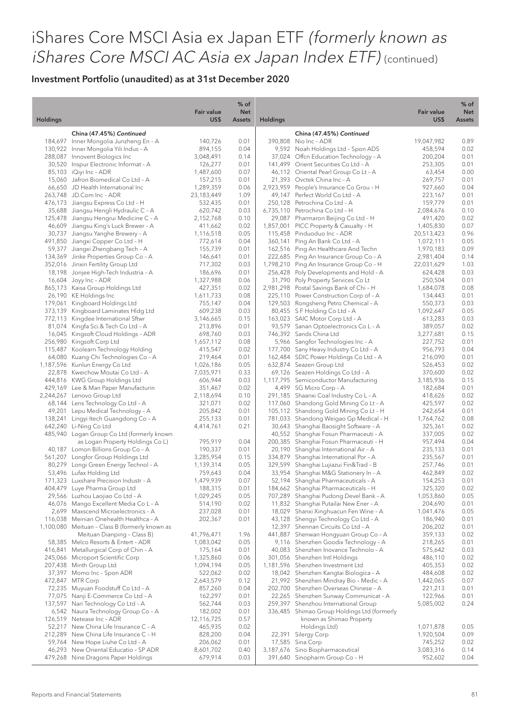| <b>Holdings</b><br>US\$<br><b>Holdings</b><br><b>Assets</b><br>China (47.45%) Continued<br>China (47.45%) Continued<br>184,697 Inner Mongolia Junzheng En - A<br>140,726<br>390,808 Nio Inc - ADR<br>0.01<br>130,922 Inner Mongolia Yili Indus - A<br>894,155<br>0.04<br>9,592 Noah Holdings Ltd - Spon ADS<br>288,087 Innovent Biologics Inc<br>3,048,491<br>0.14<br>37,024 Offen Education Technology - A<br>30,520 Inspur Electronic Informat - A<br>126,277<br>0.01<br>141,499 Orient Securities Co Ltd - A | US\$<br>19,047,982<br>458,594<br>200,204<br>253,305<br>63,454<br>269,757<br>927,660<br>223,167<br>159,779<br>2,084,676 | <b>Assets</b><br>0.89<br>0.02<br>0.01<br>0.01<br>0.00<br>0.01<br>0.04 |
|-----------------------------------------------------------------------------------------------------------------------------------------------------------------------------------------------------------------------------------------------------------------------------------------------------------------------------------------------------------------------------------------------------------------------------------------------------------------------------------------------------------------|------------------------------------------------------------------------------------------------------------------------|-----------------------------------------------------------------------|
|                                                                                                                                                                                                                                                                                                                                                                                                                                                                                                                 |                                                                                                                        |                                                                       |
|                                                                                                                                                                                                                                                                                                                                                                                                                                                                                                                 |                                                                                                                        |                                                                       |
|                                                                                                                                                                                                                                                                                                                                                                                                                                                                                                                 |                                                                                                                        |                                                                       |
|                                                                                                                                                                                                                                                                                                                                                                                                                                                                                                                 |                                                                                                                        |                                                                       |
|                                                                                                                                                                                                                                                                                                                                                                                                                                                                                                                 |                                                                                                                        |                                                                       |
| 85,103 iQiyi Inc - ADR<br>1,487,600<br>0.07<br>46,112 Oriental Pearl Group Co Lt - A                                                                                                                                                                                                                                                                                                                                                                                                                            |                                                                                                                        |                                                                       |
| 15,060 Jafron Biomedical Co Ltd - A<br>157,215<br>0.01<br>21,393 Ovctek China Inc - A                                                                                                                                                                                                                                                                                                                                                                                                                           |                                                                                                                        |                                                                       |
| 66,650 JD Health International Inc<br>1,289,359<br>0.06<br>2,923,959 People's Insurance Co Grou - H                                                                                                                                                                                                                                                                                                                                                                                                             |                                                                                                                        |                                                                       |
| 263,748 JD.Com Inc - ADR<br>23,183,449<br>1.09<br>49,147 Perfect World Co Ltd - A                                                                                                                                                                                                                                                                                                                                                                                                                               |                                                                                                                        | 0.01                                                                  |
| 476,173 Jiangsu Express Co Ltd - H<br>532,435<br>0.01<br>250,128 Petrochina Co Ltd - A<br>6,735,110 Petrochina Co Ltd - H                                                                                                                                                                                                                                                                                                                                                                                       |                                                                                                                        | 0.01                                                                  |
| 35,688 Jiangsu Hengli Hydraulic C - A<br>620,742<br>0.03<br>125,478 Jiangsu Hengrui Medicine C - A<br>2,152,768<br>0.10<br>29,087 Pharmaron Beijing Co Ltd - H                                                                                                                                                                                                                                                                                                                                                  | 491,420                                                                                                                | 0.10<br>0.02                                                          |
| 46,609 Jiangsu King's Luck Brewer - A<br>411,662<br>0.02<br>1,857,001 PICC Property & Casualty - H                                                                                                                                                                                                                                                                                                                                                                                                              | 1,405,830                                                                                                              | 0.07                                                                  |
| 30,737 Jiangsu Yanghe Brewery - A<br>1,116,518<br>0.05<br>115,458 Pinduoduo Inc - ADR                                                                                                                                                                                                                                                                                                                                                                                                                           | 20,513,423                                                                                                             | 0.96                                                                  |
| 491,850 Jiangxi Copper Co Ltd - H<br>772,614<br>0.04<br>360,141 Ping An Bank Co Ltd - A                                                                                                                                                                                                                                                                                                                                                                                                                         | 1,072,111                                                                                                              | 0.05                                                                  |
| 59,377 Jiangxi Zhengbang Tech - A<br>155,739<br>0.01<br>162,516 Ping An Healthcare And Techn                                                                                                                                                                                                                                                                                                                                                                                                                    | 1,970,183                                                                                                              | 0.09                                                                  |
| 134,369 Jinke Properties Group Co - A<br>0.01<br>222,685 Ping An Insurance Group Co - A<br>146,641                                                                                                                                                                                                                                                                                                                                                                                                              | 2,981,404                                                                                                              | 0.14                                                                  |
| 352,016 Jinxin Fertility Group Ltd<br>717,302<br>0.03<br>1,798,210 Ping An Insurance Group Co - H<br>18,198 Jonjee High-Tech Industria - A                                                                                                                                                                                                                                                                                                                                                                      | 22,031,629                                                                                                             | 1.03                                                                  |
| 186,696<br>0.01<br>256,428 Poly Developments and Hold - A<br>16,604 Joyy Inc - ADR<br>1,327,988<br>0.06<br>31,790 Poly Property Services Co Lt                                                                                                                                                                                                                                                                                                                                                                  | 624,428<br>250,504                                                                                                     | 0.03<br>0.01                                                          |
| 865,173 Kaisa Group Holdings Ltd<br>427,351<br>0.02<br>2,981,298 Postal Savings Bank of Chi - H                                                                                                                                                                                                                                                                                                                                                                                                                 | 1,684,078                                                                                                              | 0.08                                                                  |
| 26,190 KE Holdings Inc<br>1,611,733<br>0.08<br>225,110 Power Construction Corp of - A                                                                                                                                                                                                                                                                                                                                                                                                                           | 134,443                                                                                                                | 0.01                                                                  |
| 179,061 Kingboard Holdings Ltd<br>755,147<br>0.04<br>129,503 Rongsheng Petro Chemical - A                                                                                                                                                                                                                                                                                                                                                                                                                       | 550,373                                                                                                                | 0.03                                                                  |
| 373,139 Kingboard Laminates Hldg Ltd<br>609,238<br>0.03<br>80,455 S F Holding Co Ltd - A                                                                                                                                                                                                                                                                                                                                                                                                                        | 1,092,647                                                                                                              | 0.05                                                                  |
| 772,113 Kingdee International Sftwr<br>163,023 SAIC Motor Corp Ltd - A<br>3,146,665<br>0.15                                                                                                                                                                                                                                                                                                                                                                                                                     | 613,283                                                                                                                | 0.03                                                                  |
| 81,074 Kingfa Sci.& Tech Co Ltd - A<br>213,896<br>0.01<br>93,579 Sanan Optoelectronics Co L - A                                                                                                                                                                                                                                                                                                                                                                                                                 | 389,057                                                                                                                | 0.02                                                                  |
| 746,392 Sands China Ltd<br>16,045 Kingsoft Cloud Holdings - ADR<br>698,760<br>0.03<br>5,966 Sangfor Technologies Inc - A                                                                                                                                                                                                                                                                                                                                                                                        | 3,277,681                                                                                                              | 0.15                                                                  |
| 256,980 Kingsoft Corp Ltd<br>0.08<br>1,657,112<br>115,487 Koolearn Technology Holding<br>415,547<br>0.02<br>177,700 Sany Heavy Industry Co Ltd - A                                                                                                                                                                                                                                                                                                                                                              | 227,752<br>956,793                                                                                                     | 0.01<br>0.04                                                          |
| 64,080 Kuang-Chi Technologies Co - A<br>219,464<br>0.01<br>162,484 SDIC Power Holdings Co Ltd - A                                                                                                                                                                                                                                                                                                                                                                                                               | 216,090                                                                                                                | 0.01                                                                  |
| 1,187,596 Kunlun Energy Co Ltd<br>1,026,186<br>0.05<br>632,874 Seazen Group Ltd                                                                                                                                                                                                                                                                                                                                                                                                                                 | 526,453                                                                                                                | 0.02                                                                  |
| 22,878 Kweichow Moutai Co Ltd - A<br>7,035,971<br>0.33<br>69,126 Seazen Holdings Co Ltd - A                                                                                                                                                                                                                                                                                                                                                                                                                     | 370,600                                                                                                                | 0.02                                                                  |
| 444,816 KWG Group Holdings Ltd<br>606,944<br>0.03<br>1,117,795 Semiconductor Manufacturing                                                                                                                                                                                                                                                                                                                                                                                                                      | 3,185,936                                                                                                              | 0.15                                                                  |
| 429,169 Lee & Man Paper Manufacturin<br>0.02<br>4,499 SG Micro Corp - A<br>351,467                                                                                                                                                                                                                                                                                                                                                                                                                              | 182,684                                                                                                                | 0.01                                                                  |
| 2,244,267 Lenovo Group Ltd<br>0.10<br>291,185 Shaanxi Coal Industry Co L - A<br>2,118,694<br>68,144 Lens Technology Co Ltd - A                                                                                                                                                                                                                                                                                                                                                                                  | 418,626                                                                                                                | 0.02                                                                  |
| 0.02<br>117,060 Shandong Gold Mining Co Lt - A<br>321,071<br>49,201 Lepu Medical Technology - A<br>205,842<br>0.01<br>105,112 Shandong Gold Mining Co Lt - H                                                                                                                                                                                                                                                                                                                                                    | 425,597<br>242,654                                                                                                     | 0.02<br>0.01                                                          |
| 138,241 Lingyi Itech Guangdong Co - A<br>255,133<br>0.01<br>781,033 Shandong Weigao Gp Medical - H                                                                                                                                                                                                                                                                                                                                                                                                              | 1,764,762                                                                                                              | 0.08                                                                  |
| 642,240 Li-Ning Co Ltd<br>4,414,761<br>0.21<br>30,643 Shanghai Baosight Software - A                                                                                                                                                                                                                                                                                                                                                                                                                            | 325,361                                                                                                                | 0.02                                                                  |
| 485,940 Logan Group Co Ltd (formerly known<br>40,552 Shanghai Fosun Pharmaceuti - A                                                                                                                                                                                                                                                                                                                                                                                                                             | 337,005                                                                                                                | 0.02                                                                  |
| as Logan Property Holdings Co L)<br>795,919<br>0.04<br>200,385 Shanghai Fosun Pharmaceuti - H                                                                                                                                                                                                                                                                                                                                                                                                                   | 957,494                                                                                                                | 0.04                                                                  |
| 40,187 Lomon Billions Group Co - A<br>190,337<br>0.01<br>20,190 Shanghai International Air - A                                                                                                                                                                                                                                                                                                                                                                                                                  | 235,133                                                                                                                | 0.01                                                                  |
| 561,207 Longfor Group Holdings Ltd<br>3,285,954<br>334,879 Shanghai International Por - A<br>0.15                                                                                                                                                                                                                                                                                                                                                                                                               | 235,567                                                                                                                | 0.01                                                                  |
| 80,279 Longi Green Energy Technol - A<br>1,139,314<br>0.05<br>329,599 Shanghai Lujiazui Fin&Trad - B<br>53,496 Lufax Holding Ltd<br>759,643<br>0.04<br>33,954 Shanghai M&G Stationery In - A                                                                                                                                                                                                                                                                                                                    | 257,746<br>462,849                                                                                                     | 0.01<br>0.02                                                          |
| 0.07<br>171,323 Luxshare Precision Industr - A<br>1,479,939<br>52,194 Shanghai Pharmaceuticals - A                                                                                                                                                                                                                                                                                                                                                                                                              | 154,253                                                                                                                | 0.01                                                                  |
| 404,479 Luye Pharma Group Ltd<br>188,315<br>184,662 Shanghai Pharmaceuticals - H<br>0.01                                                                                                                                                                                                                                                                                                                                                                                                                        | 325,320                                                                                                                | 0.02                                                                  |
| 29,566 Luzhou Laojiao Co Ltd - A<br>1,029,245<br>0.05<br>707,289 Shanghai Pudong Devel Bank - A                                                                                                                                                                                                                                                                                                                                                                                                                 | 1,053,860                                                                                                              | 0.05                                                                  |
| 46,076 Mango Excellent Media Co L - A<br>514,190<br>0.02<br>11,832 Shanghai Putailai New Ener - A                                                                                                                                                                                                                                                                                                                                                                                                               | 204,690                                                                                                                | 0.01                                                                  |
| 2,699 Maxscend Microelectronics - A<br>0.01<br>18,029 Shanxi Xinghuacun Fen Wine - A<br>237,028                                                                                                                                                                                                                                                                                                                                                                                                                 | 1,041,476                                                                                                              | 0.05                                                                  |
| 116,038 Meinian Onehealth Healthca - A<br>202,367<br>0.01<br>43,128 Shengyi Technology Co Ltd - A<br>12,397 Shennan Circuits Co Ltd - A                                                                                                                                                                                                                                                                                                                                                                         | 186,940                                                                                                                | 0.01                                                                  |
| 1,100,080 Meituan - Class B (formerly known as<br>41,796,471<br>1.96<br>441,887 Shenwan Hongyuan Group Co - A<br>Meituan Dianping - Class B)                                                                                                                                                                                                                                                                                                                                                                    | 206,202<br>359,133                                                                                                     | 0.01<br>0.02                                                          |
| 58,385 Melco Resorts & Entert - ADR<br>1,083,042<br>0.05<br>9,116 Shenzhen Goodix Technology - A                                                                                                                                                                                                                                                                                                                                                                                                                | 218,265                                                                                                                | 0.01                                                                  |
| 416,841 Metallurgical Corp of Chin - A<br>0.01<br>40,083 Shenzhen Inovance Technolo - A<br>175,164                                                                                                                                                                                                                                                                                                                                                                                                              | 575,642                                                                                                                | 0.03                                                                  |
| 245,066 Microport Scientific Corp<br>1,325,860<br>0.06<br>301,056 Shenzhen Intl Holdings                                                                                                                                                                                                                                                                                                                                                                                                                        | 486,110                                                                                                                | 0.02                                                                  |
| 207,438 Minth Group Ltd<br>1,094,194<br>0.05<br>1,181,596 Shenzhen Investment Ltd                                                                                                                                                                                                                                                                                                                                                                                                                               | 405,353                                                                                                                | 0.02                                                                  |
| 0.02<br>18,042 Shenzhen Kangtai Biologica - A<br>37,397 Momo Inc - Spon ADR<br>522,062                                                                                                                                                                                                                                                                                                                                                                                                                          | 484,608                                                                                                                | 0.02                                                                  |
| 472,847 MTR Corp<br>2,643,579<br>21,992 Shenzhen Mindray Bio - Medic - A<br>0.12<br>72,235 Muyuan Foodstuff Co Ltd - A<br>0.04<br>202,700 Shenzhen Overseas Chinese - A<br>857,260                                                                                                                                                                                                                                                                                                                              | 1,442,065<br>221,213                                                                                                   | 0.07<br>0.01                                                          |
| 77,075 Nanji E-Commerce Co Ltd - A<br>162,297<br>0.01<br>22,265 Shenzhen Sunway Communicat - A                                                                                                                                                                                                                                                                                                                                                                                                                  | 122,966                                                                                                                | 0.01                                                                  |
| 137,597 Nari Technology Co Ltd - A<br>562,744<br>0.03<br>259,397 Shenzhou International Group                                                                                                                                                                                                                                                                                                                                                                                                                   | 5,085,002                                                                                                              | 0.24                                                                  |
| 182,002<br>0.01<br>336,485 Shimao Group Holdings Ltd (formerly<br>6,542 Naura Technology Group Co - A                                                                                                                                                                                                                                                                                                                                                                                                           |                                                                                                                        |                                                                       |
| 126,519 Netease Inc - ADR<br>0.57<br>known as Shimao Property<br>12,116,725                                                                                                                                                                                                                                                                                                                                                                                                                                     |                                                                                                                        |                                                                       |
| 52,217 New China Life Insurance C - A<br>465,935<br>0.02<br>Holdings Ltd)                                                                                                                                                                                                                                                                                                                                                                                                                                       | 1,071,878                                                                                                              | 0.05                                                                  |
| 212,289 New China Life Insurance C - H<br>0.04<br>22,391 Silergy Corp<br>828,200                                                                                                                                                                                                                                                                                                                                                                                                                                | 1,920,504                                                                                                              | 0.09                                                                  |
| 59,764 New Hope Liuhe Co Ltd - A<br>0.01<br>17,585 Sina Corp<br>206,062<br>46,293 New Oriental Educatio - SP ADR<br>8,601,702<br>0.40<br>3,187,676 Sino Biopharmaceutical                                                                                                                                                                                                                                                                                                                                       | 745,252<br>3,083,316                                                                                                   | 0.02<br>0.14                                                          |
| 679,914<br>479,268 Nine Dragons Paper Holdings<br>0.03<br>391,640 Sinopharm Group Co - H                                                                                                                                                                                                                                                                                                                                                                                                                        | 952,602                                                                                                                | 0.04                                                                  |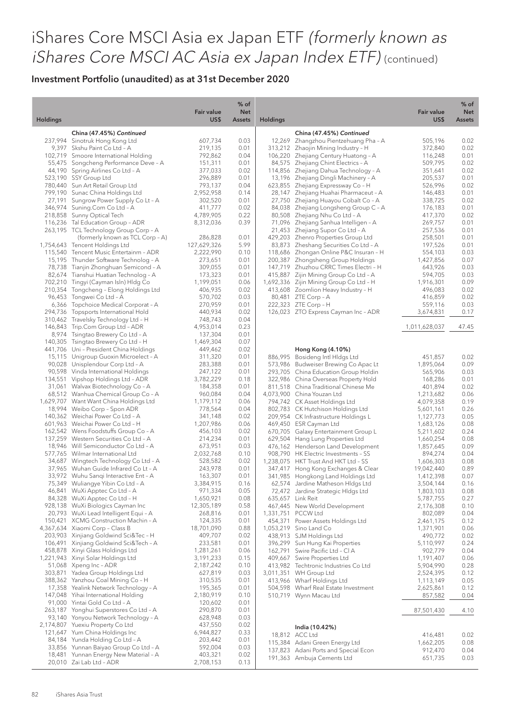|                 |                                                                                 | <b>Fair value</b>    | % of<br><b>Net</b> |                 |                                                                              | <b>Fair value</b>    | % of<br><b>Net</b> |
|-----------------|---------------------------------------------------------------------------------|----------------------|--------------------|-----------------|------------------------------------------------------------------------------|----------------------|--------------------|
| <b>Holdings</b> |                                                                                 | US\$                 | <b>Assets</b>      | <b>Holdings</b> |                                                                              | US\$                 | <b>Assets</b>      |
|                 | China (47.45%) Continued                                                        |                      |                    |                 | China (47.45%) Continued                                                     |                      |                    |
|                 | 237,994 Sinotruk Hong Kong Ltd                                                  | 607,734              | 0.03               |                 | 12,269 Zhangzhou Pientzehuang Pha - A                                        | 505,196              | 0.02               |
|                 | 9,397 Skshu Paint Co Ltd - A                                                    | 219,135              | 0.01               |                 | 313,212 Zhaojin Mining Industry - H                                          | 372,840              | 0.02               |
|                 | 102,719 Smoore International Holding                                            | 792,862              | 0.04               |                 | 106,220 Zhejiang Century Huatong - A                                         | 116,248              | 0.01               |
|                 | 55,475 Songcheng Performance Deve - A<br>44,190 Spring Airlines Co Ltd - A      | 151,311<br>377,033   | 0.01<br>0.02       |                 | 84,575 Zhejiang Chint Electrics - A<br>114,856 Zhejiang Dahua Technology - A | 509,795<br>351,641   | 0.02<br>0.02       |
|                 | 523,190 SSY Group Ltd                                                           | 296,889              | 0.01               |                 | 13,196 Zhejiang Dingli Machinery - A                                         | 205,537              | 0.01               |
|                 | 780,440 Sun Art Retail Group Ltd                                                | 793,137              | 0.04               |                 | 623,855 Zhejiang Expressway Co - H                                           | 526,996              | 0.02               |
|                 | 799,190 Sunac China Holdings Ltd                                                | 2,952,958            | 0.14               |                 | 28,147 Zhejiang Huahai Pharmaceut - A                                        | 146,483              | 0.01               |
|                 | 27,191 Sungrow Power Supply Co Lt - A                                           | 302,520              | 0.01               |                 | 27,750 Zhejiang Huayou Cobalt Co - A                                         | 338,725              | 0.02               |
|                 | 346,974 Suning.Com Co Ltd - A                                                   | 411,777              | 0.02               |                 | 84,038 Zhejiang Longsheng Group C - A                                        | 176,183              | 0.01               |
|                 | 218,858 Sunny Optical Tech                                                      | 4,789,905            | 0.22               |                 | 80,508 Zhejiang Nhu Co Ltd - A                                               | 417,370              | 0.02               |
|                 | 116,236 Tal Education Group - ADR                                               | 8,312,036            | 0.39               |                 | 71,096 Zhejiang Sanhua Intelligen - A                                        | 269,757              | 0.01               |
|                 | 263,195 TCL Technology Group Corp - A                                           |                      |                    |                 | 21,453 Zhejiang Supor Co Ltd - A                                             | 257,536              | 0.01               |
|                 | (formerly known as TCL Corp - A)                                                | 286,828              | 0.01               |                 | 429,203 Zhenro Properties Group Ltd                                          | 258,501              | 0.01               |
|                 | 1,754,643 Tencent Holdings Ltd                                                  | 127,629,326          | 5.99               |                 | 83,873 Zheshang Securities Co Ltd - A                                        | 197,526              | 0.01               |
|                 | 115,540 Tencent Music Entertainm - ADR                                          | 2,222,990            | 0.10               |                 | 118,686 Zhongan Online P&C Insuran - H                                       | 554,103              | 0.03               |
|                 | 15,195 Thunder Software Technolog - A<br>78,738 Tianjin Zhonghuan Semicond - A  | 273,651<br>309,055   | 0.01<br>0.01       |                 | 200,387 Zhongsheng Group Holdings<br>147,719 Zhuzhou CRRC Times Electri - H  | 1,427,856<br>643,926 | 0.07<br>0.03       |
|                 | 82,674 Tianshui Huatian Technolog - A                                           | 173,323              | 0.01               |                 | 415,887 Zijin Mining Group Co Ltd - A                                        | 594,705              | 0.03               |
|                 | 702,210 Tingyi (Cayman Isln) Hldg Co                                            | 1,199,051            | 0.06               |                 | 1,692,336 Zijin Mining Group Co Ltd - H                                      | 1,916,301            | 0.09               |
|                 | 210,354 Tongcheng - Elong Holdings Ltd                                          | 406,935              | 0.02               |                 | 413,608 Zoomlion Heavy Industry - H                                          | 496,083              | 0.02               |
|                 | 96,453 Tongwei Co Ltd - A                                                       | 570,702              | 0.03               |                 | 80,481 ZTE Corp - A                                                          | 416,859              | 0.02               |
|                 | 6,366 Topchoice Medical Corporat - A                                            | 270,959              | 0.01               |                 | 222,323 ZTE Corp - H                                                         | 559,116              | 0.03               |
|                 | 294,736 Topsports International Hold                                            | 440,934              | 0.02               |                 | 126,023 ZTO Express Cayman Inc - ADR                                         | 3,674,831            | 0.17               |
|                 | 310,462 Travelsky Technology Ltd - H                                            | 748,743              | 0.04               |                 |                                                                              |                      |                    |
|                 | 146,843 Trip.Com Group Ltd - ADR                                                | 4,953,014            | 0.23               |                 |                                                                              | 1,011,628,037        | 47.45              |
|                 | 8,974 Tsingtao Brewery Co Ltd - A                                               | 137,304              | 0.01               |                 |                                                                              |                      |                    |
|                 | 140,305 Tsingtao Brewery Co Ltd - H                                             | 1,469,304            | 0.07               |                 |                                                                              |                      |                    |
|                 | 441,706 Uni - President China Holdings                                          | 449,462              | 0.02               |                 | Hong Kong (4.10%)                                                            |                      |                    |
|                 | 15,115 Unigroup Guoxin Microelect - A<br>90,028 Unisplendour Corp Ltd - A       | 311,320<br>283,388   | 0.01<br>0.01       |                 | 886,995 Bosideng Intl Hldgs Ltd<br>573,986 Budweiser Brewing Co Apac Lt      | 451,857<br>1,895,064 | 0.02<br>0.09       |
|                 | 90,598 Vinda International Holdings                                             | 247,122              | 0.01               |                 | 293,705 China Education Group Holdin                                         | 565,906              | 0.03               |
|                 | 134,551 Vipshop Holdings Ltd - ADR                                              | 3,782,229            | 0.18               |                 | 322,986 China Overseas Property Hold                                         | 168,286              | 0.01               |
|                 | 31,061 Walvax Biotechnology Co - A                                              | 184,358              | 0.01               |                 | 811,518 China Traditional Chinese Me                                         | 401,894              | 0.02               |
|                 | 68,512 Wanhua Chemical Group Co - A                                             | 960,084              | 0.04               |                 | 4,073,900 China Youzan Ltd                                                   | 1,213,682            | 0.06               |
|                 | 1,629,707 Want Want China Holdings Ltd                                          | 1,179,112            | 0.06               |                 | 794,742 CK Asset Holdings Ltd                                                | 4,079,358            | 0.19               |
|                 | 18,994 Weibo Corp - Spon ADR                                                    | 778,564              | 0.04               |                 | 802,783 CK Hutchison Holdings Ltd                                            | 5,601,161            | 0.26               |
|                 | 140,362 Weichai Power Co Ltd - A                                                | 341,148              | 0.02               |                 | 209,954 CK Infrastructure Holdings L                                         | 1,127,773            | 0.05               |
|                 | 601,963 Weichai Power Co Ltd - H                                                | 1,207,986            | 0.06               |                 | 469,450 ESR Cayman Ltd                                                       | 1,683,126            | 0.08               |
|                 | 162,542 Wens Foodstuffs Group Co - A                                            | 456,103              | 0.02               |                 | 670,705 Galaxy Entertainment Group L                                         | 5,211,602            | 0.24               |
|                 | 137,259 Western Securities Co Ltd - A                                           | 214,234              | 0.01               |                 | 629,504 Hang Lung Properties Ltd                                             | 1,660,254            | 0.08               |
|                 | 18,946 Will Semiconductor Co Ltd - A<br>577,765 Wilmar International Ltd        | 673,951<br>2,032,768 | 0.03<br>0.10       |                 | 476,162 Henderson Land Development<br>908,790 HK Electric Investments - SS   | 1,857,645            | 0.09<br>0.04       |
|                 | 34,687 Wingtech Technology Co Ltd - A                                           | 528,582              | 0.02               |                 | 1,238,075 HKT Trust And HKT Ltd - SS                                         | 894,274<br>1,606,303 | 0.08               |
|                 | 37,965 Wuhan Guide Infrared Co Lt - A                                           | 243,978              | 0.01               |                 | 347,417 Hong Kong Exchanges & Clear                                          | 19,042,440           | 0.89               |
|                 | 33,972 Wuhu Sangi Interactive Ent - A                                           | 163,307              | 0.01               |                 | 341,985 Hongkong Land Holdings Ltd                                           | 1,412,398            | 0.07               |
|                 | 75,349 Wuliangye Yibin Co Ltd - A                                               | 3,384,915            | 0.16               |                 | 62,574 Jardine Matheson HIdgs Ltd                                            | 3,504,144            | 0.16               |
|                 | 46,841 WuXi Apptec Co Ltd - A                                                   | 971,334              | 0.05               |                 | 72,472 Jardine Strategic Hldgs Ltd                                           | 1,803,103            | 0.08               |
|                 | 84,328 WuXi Apptec Co Ltd - H                                                   | 1,650,921            | 0.08               |                 | 635,657 Link Reit                                                            | 5,787,755            | 0.27               |
|                 | 928,138 WuXi Biologics Cayman Inc                                               | 12,305,189           | 0.58               |                 | 467,445 New World Development                                                | 2,176,308            | 0.10               |
|                 | 20,793 WuXi Lead Intelligent Equi - A                                           | 268,816              | 0.01               |                 | 1,331,751 PCCW Ltd                                                           | 802,089              | 0.04               |
|                 | 150,421 XCMG Construction Machin - A                                            | 124,335              | 0.01               |                 | 454,371 Power Assets Holdings Ltd                                            | 2,461,175            | 0.12               |
|                 | 4,367,634 Xiaomi Corp - Class B                                                 | 18,701,090           | 0.88               |                 | 1,053,219 Sino Land Co                                                       | 1,371,901            | 0.06               |
|                 | 203,903 Xinjiang Goldwind Sci&Tec - H<br>106,491 Xinjiang Goldwind Sci&Tech - A | 409,707              | 0.02<br>0.01       |                 | 438,913 SJM Holdings Ltd                                                     | 490,772              | 0.02<br>0.24       |
|                 | 458,878 Xinyi Glass Holdings Ltd                                                | 233,581<br>1,281,261 | 0.06               |                 | 396,299 Sun Hung Kai Properties<br>162,791 Swire Pacific Ltd - Cl A          | 5,110,997<br>902,779 | 0.04               |
|                 | 1,221,943 Xinyi Solar Holdings Ltd                                              | 3,191,233            | 0.15               |                 | 409,667 Swire Properties Ltd                                                 | 1,191,407            | 0.06               |
|                 | 51,068 Xpeng Inc - ADR                                                          | 2,187,242            | 0.10               |                 | 413,982 Techtronic Industries Co Ltd                                         | 5,904,990            | 0.28               |
|                 | 303,871 Yadea Group Holdings Ltd                                                | 627,819              | 0.03               |                 | 3,011,351 WH Group Ltd                                                       | 2,524,395            | 0.12               |
|                 | 388,362 Yanzhou Coal Mining Co - H                                              | 310,535              | 0.01               |                 | 413,966 Wharf Holdings Ltd                                                   | 1,113,149            | 0.05               |
|                 | 17,358 Yealink Network Technology - A                                           | 195,365              | 0.01               |                 | 504,598 Wharf Real Estate Investment                                         | 2,625,861            | 0.12               |
|                 | 147,048 Yihai International Holding                                             | 2,180,919            | 0.10               |                 | 510,719 Wynn Macau Ltd                                                       | 857,582              | 0.04               |
|                 | 91,000 Yintai Gold Co Ltd - A                                                   | 120,602              | 0.01               |                 |                                                                              |                      |                    |
|                 | 263,187 Yonghui Superstores Co Ltd - A                                          | 290,870              | 0.01               |                 |                                                                              | 87,501,430           | 4.10               |
|                 | 93,140 Yonyou Network Technology - A                                            | 628,948              | 0.03               |                 |                                                                              |                      |                    |
|                 | 2,174,807 Yuexiu Property Co Ltd                                                | 437,550              | 0.02               |                 | India (10.42%)                                                               |                      |                    |
|                 | 121,647 Yum China Holdings Inc<br>84,184 Yunda Holding Co Ltd - A               | 6,944,827            | 0.33<br>0.01       |                 | 18,812 ACC Ltd                                                               | 416,481              | 0.02               |
|                 | 33,856 Yunnan Baiyao Group Co Ltd - A                                           | 203,442<br>592,004   | 0.03               |                 | 115,384 Adani Green Energy Ltd                                               | 1,662,205            | 0.08               |
|                 | 18,481 Yunnan Energy New Material - A                                           | 403,321              | 0.02               |                 | 137,823 Adani Ports and Special Econ                                         | 912,470              | 0.04               |
|                 | 20,010 Zai Lab Ltd - ADR                                                        | 2,708,153            | 0.13               |                 | 191,363 Ambuja Cements Ltd                                                   | 651,735              | 0.03               |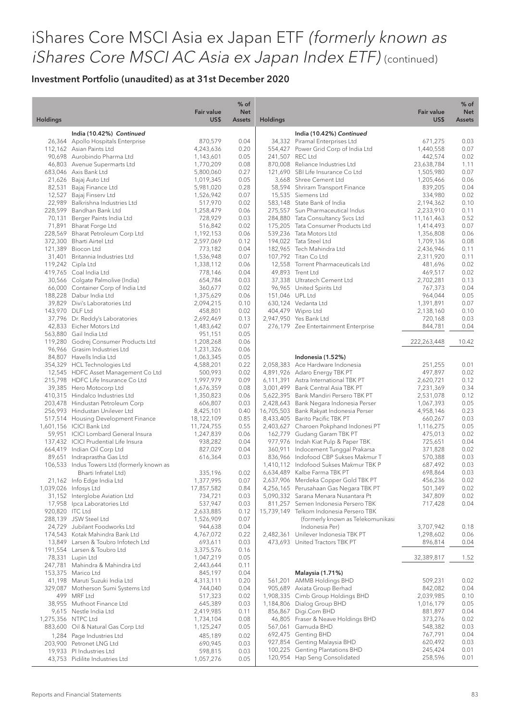| <b>Holdings</b> |                                                                     | <b>Fair value</b><br>US\$ | $%$ of<br><b>Net</b><br><b>Assets</b> | <b>Holdings</b> |                                                                                | <b>Fair value</b><br>US\$ | % of<br><b>Net</b><br>Assets |
|-----------------|---------------------------------------------------------------------|---------------------------|---------------------------------------|-----------------|--------------------------------------------------------------------------------|---------------------------|------------------------------|
|                 | India (10.42%) Continued                                            |                           |                                       |                 | India (10.42%) Continued                                                       |                           |                              |
|                 | 26,364 Apollo Hospitals Enterprise                                  | 870,579                   | 0.04                                  |                 | 34,332 Piramal Enterprises Ltd                                                 | 671,275                   | 0.03                         |
|                 | 112,162 Asian Paints Ltd                                            | 4,243,636                 | 0.20                                  |                 | 554,427 Power Grid Corp of India Ltd                                           | 1,440,558                 | 0.07                         |
|                 | 90,698 Aurobindo Pharma Ltd                                         | 1,143,601                 | 0.05                                  |                 | 241,507 REC Ltd                                                                | 442,574                   | 0.02                         |
|                 | 46,803 Avenue Supermarts Ltd                                        | 1,770,209                 | 0.08                                  |                 | 870,008 Reliance Industries Ltd                                                | 23,638,784                | 1.11                         |
|                 | 683,046 Axis Bank Ltd                                               | 5,800,060                 | 0.27                                  |                 | 121,690 SBI Life Insurance Co Ltd                                              | 1,505,980                 | 0.07                         |
|                 | 21,626 Bajaj Auto Ltd                                               | 1,019,345                 | 0.05                                  |                 | 3,668 Shree Cement Ltd                                                         | 1,205,466                 | 0.06                         |
| 82,531          | Bajaj Finance Ltd                                                   | 5,981,020                 | 0.28                                  |                 | 58,594 Shriram Transport Finance                                               | 839,205                   | 0.04                         |
|                 | 12,527 Bajaj Finserv Ltd                                            | 1,526,942                 | 0.07                                  |                 | 15,535 Siemens Ltd                                                             | 334,980                   | 0.02                         |
|                 | 22,989 Balkrishna Industries Ltd                                    | 517,970                   | 0.02                                  |                 | 583,148 State Bank of India                                                    | 2,194,362                 | 0.10                         |
|                 | 228,599 Bandhan Bank Ltd                                            | 1,258,479                 | 0.06                                  |                 | 275,557 Sun Pharmaceutical Indus                                               | 2,233,910                 | 0.11                         |
| 70,131          | Berger Paints India Ltd                                             | 728,929                   | 0.03<br>0.02                          |                 | 284,880 Tata Consultancy Svcs Ltd<br>175,205 Tata Consumer Products Ltd        | 11,161,463                | 0.52<br>0.07                 |
|                 | 71,891 Bharat Forge Ltd<br>228,569 Bharat Petroleum Corp Ltd        | 516,842<br>1,192,153      | 0.06                                  |                 | 539,236 Tata Motors Ltd                                                        | 1,414,493<br>1,356,808    | 0.06                         |
|                 | 372,300 Bharti Airtel Ltd                                           | 2,597,069                 | 0.12                                  |                 | 194,022 Tata Steel Ltd                                                         | 1,709,136                 | 0.08                         |
|                 | 121,389 Biocon Ltd                                                  | 773,182                   | 0.04                                  |                 | 182,965 Tech Mahindra Ltd                                                      | 2,436,946                 | 0.11                         |
|                 | 31,401 Britannia Industries Ltd                                     | 1,536,948                 | 0.07                                  |                 | 107,792 Titan Co Ltd                                                           | 2,311,920                 | 0.11                         |
|                 | 119,242 Cipla Ltd                                                   | 1,338,112                 | 0.06                                  |                 | 12,558 Torrent Pharmaceuticals Ltd                                             | 481,696                   | 0.02                         |
|                 | 419,765 Coal India Ltd                                              | 778,146                   | 0.04                                  |                 | 49,893 Trent Ltd                                                               | 469,517                   | 0.02                         |
|                 | 30,566 Colgate Palmolive (India)                                    | 654,784                   | 0.03                                  |                 | 37.338 Ultratech Cement Ltd                                                    | 2,702,281                 | 0.13                         |
|                 | 66,000 Container Corp of India Ltd                                  | 360,677                   | 0.02                                  |                 | 96,965 United Spirits Ltd                                                      | 767,373                   | 0.04                         |
|                 | 188,228 Dabur India Ltd                                             | 1,375,629                 | 0.06                                  | 151,046 UPL Ltd |                                                                                | 964,044                   | 0.05                         |
|                 | 39,829 Divi's Laboratories Ltd                                      | 2,094,215                 | 0.10                                  |                 | 630,124 Vedanta Ltd                                                            | 1,391,891                 | 0.07                         |
| 143,970 DLF Ltd |                                                                     | 458,801                   | 0.02                                  |                 | 404,479 Wipro Ltd                                                              | 2,138,160                 | 0.10                         |
|                 | 37,796 Dr. Reddy's Laboratories                                     | 2,692,469                 | 0.13                                  |                 | 2,947,950 Yes Bank Ltd                                                         | 720,168                   | 0.03                         |
|                 | 42,833 Eicher Motors Ltd                                            | 1,483,642                 | 0.07                                  |                 | 276,179 Zee Entertainment Enterprise                                           | 844,781                   | 0.04                         |
|                 | 563,880 Gail India Ltd                                              | 951,151                   | 0.05                                  |                 |                                                                                |                           |                              |
|                 | 119,280 Godrej Consumer Products Ltd                                | 1,208,268                 | 0.06                                  |                 |                                                                                | 222,263,448               | 10.42                        |
|                 | 96,966 Grasim Industries Ltd                                        | 1,231,326                 | 0.06                                  |                 |                                                                                |                           |                              |
|                 | 84,807 Havells India Ltd                                            | 1,063,345                 | 0.05<br>0.22                          |                 | Indonesia (1.52%)<br>2,058,383 Ace Hardware Indonesia                          |                           | 0.01                         |
|                 | 354,329 HCL Technologies Ltd<br>12,545 HDFC Asset Management Co Ltd | 4,588,201<br>500,993      | 0.02                                  |                 | 4,891,926 Adaro Energy TBK PT                                                  | 251,255<br>497,897        | 0.02                         |
|                 | 215,798 HDFC Life Insurance Co Ltd                                  | 1,997,979                 | 0.09                                  |                 | 6,111,391 Astra International TBK PT                                           | 2,620,721                 | 0.12                         |
|                 | 39,385 Hero Motocorp Ltd                                            | 1,676,359                 | 0.08                                  |                 | 3,001,499 Bank Central Asia TBK PT                                             | 7,231,369                 | 0.34                         |
|                 | 410,315 Hindalco Industries Ltd                                     | 1,350,823                 | 0.06                                  |                 | 5,622,395 Bank Mandiri Persero TBK PT                                          | 2,531,078                 | 0.12                         |
|                 | 203,478 Hindustan Petroleum Corp                                    | 606,807                   | 0.03                                  |                 | 2,428,643 Bank Negara Indonesia Perser                                         | 1,067,393                 | 0.05                         |
|                 | 256,993 Hindustan Unilever Ltd                                      | 8,425,101                 | 0.40                                  |                 | 16,705,503 Bank Rakyat Indonesia Perser                                        | 4,958,146                 | 0.23                         |
|                 | 517,514 Housing Development Finance                                 | 18,122,109                | 0.85                                  |                 | 8,433,405 Barito Pacific TBK PT                                                | 660,267                   | 0.03                         |
|                 | 1,601,156 ICICI Bank Ltd                                            | 11,724,755                | 0.55                                  |                 | 2,403,627 Charoen Pokphand Indonesi PT                                         | 1,116,275                 | 0.05                         |
|                 | 59,951 ICICI Lombard General Insura                                 | 1,247,839                 | 0.06                                  |                 | 162,779 Gudang Garam TBK PT                                                    | 475,013                   | 0.02                         |
|                 | 137,432 ICICI Prudential Life Insura                                | 938,282                   | 0.04                                  |                 | 977,976 Indah Kiat Pulp & Paper TBK                                            | 725,651                   | 0.04                         |
|                 | 664,419 Indian Oil Corp Ltd                                         | 827,029                   | 0.04                                  |                 | 360,911 Indocement Tunggal Prakarsa                                            | 371,828                   | 0.02                         |
|                 | 89,651 Indraprastha Gas Ltd                                         | 616,364                   | 0.03                                  |                 | 836,966 Indofood CBP Sukses Makmur T                                           | 570,388                   | 0.03                         |
|                 | 106,533 Indus Towers Ltd (formerly known as                         |                           |                                       |                 | 1,410,112 Indofood Sukses Makmur TBK P                                         | 687,492                   | 0.03                         |
|                 | Bharti Infratel Ltd)                                                | 335,196                   | 0.02                                  |                 | 6,634,489 Kalbe Farma TBK PT                                                   | 698,864                   | 0.03                         |
|                 | 21,162 Info Edge India Ltd<br>1,039,026 Infosys Ltd                 | 1,377,995<br>17,857,582   | 0.07<br>0.84                          |                 | 2,637,906 Merdeka Copper Gold TBK PT<br>4,256,165 Perusahaan Gas Negara TBK PT | 456,236<br>501,349        | 0.02<br>0.02                 |
|                 | 31,152 Interglobe Aviation Ltd                                      | 734,721                   | 0.03                                  |                 | 5,090,332 Sarana Menara Nusantara Pt                                           | 347,809                   | 0.02                         |
|                 | 17,958 Ipca Laboratories Ltd                                        | 537,947                   | 0.03                                  |                 | 811,257 Semen Indonesia Persero TBK                                            | 717,428                   | 0.04                         |
| 920,820 ITC Ltd |                                                                     | 2,633,885                 | 0.12                                  |                 | 15,739,149 Telkom Indonesia Persero TBK                                        |                           |                              |
|                 | 288,139 JSW Steel Ltd                                               | 1,526,909                 | 0.07                                  |                 | (formerly known as Telekomunikasi                                              |                           |                              |
|                 | 24,729 Jubilant Foodworks Ltd                                       | 944,638                   | 0.04                                  |                 | Indonesia Per)                                                                 | 3,707,942                 | 0.18                         |
|                 | 174,543 Kotak Mahindra Bank Ltd                                     | 4,767,072                 | 0.22                                  |                 | 2,482,361 Unilever Indonesia TBK PT                                            | 1,298,602                 | 0.06                         |
|                 | 13,849 Larsen & Toubro Infotech Ltd                                 | 693,611                   | 0.03                                  |                 | 473,693 United Tractors TBK PT                                                 | 896,814                   | 0.04                         |
|                 | 191,554 Larsen & Toubro Ltd                                         | 3,375,576                 | 0.16                                  |                 |                                                                                |                           |                              |
|                 | 78,331 Lupin Ltd                                                    | 1,047,219                 | 0.05                                  |                 |                                                                                | 32,389,817                | 1.52                         |
|                 | 247,781 Mahindra & Mahindra Ltd                                     | 2,443,644                 | 0.11                                  |                 |                                                                                |                           |                              |
|                 | 153,375 Marico Ltd                                                  | 845,197                   | 0.04                                  |                 | Malaysia (1.71%)                                                               |                           |                              |
|                 | 41,198 Maruti Suzuki India Ltd                                      | 4,313,111                 | 0.20                                  |                 | 561,201 AMMB Holdings BHD                                                      | 509,231                   | 0.02                         |
|                 | 329,087 Motherson Sumi Systems Ltd                                  | 744,040                   | 0.04                                  |                 | 905,689 Axiata Group Berhad                                                    | 842,082                   | 0.04                         |
|                 | 499 MRF Ltd                                                         | 517,323                   | 0.02                                  |                 | 1,908,335 Cimb Group Holdings BHD                                              | 2,039,985                 | 0.10                         |
|                 | 38,955 Muthoot Finance Ltd                                          | 645,389                   | 0.03                                  |                 | 1,184,806 Dialog Group BHD                                                     | 1,016,179                 | 0.05                         |
|                 | 9,615 Nestle India Ltd<br>1,275,356 NTPC Ltd                        | 2,419,985                 | 0.11<br>0.08                          |                 | 856,867 Digi.Com BHD<br>46,805 Fraser & Neave Holdings BHD                     | 881,897<br>373,276        | 0.04<br>0.02                 |
|                 | 883,600 Oil & Natural Gas Corp Ltd                                  | 1,734,104<br>1,125,247    | 0.05                                  |                 | 567,061 Gamuda BHD                                                             | 548,382                   | 0.03                         |
|                 |                                                                     |                           |                                       |                 | 692,475 Genting BHD                                                            | 767,791                   | 0.04                         |
|                 | 1,284 Page Industries Ltd<br>203,900 Petronet LNG Ltd               | 485,189<br>690,945        | 0.02<br>0.03                          |                 | 927,854 Genting Malaysia BHD                                                   | 620,492                   | 0.03                         |
|                 | 19,933 PI Industries Ltd                                            | 598,815                   | 0.03                                  |                 | 100,225 Genting Plantations BHD                                                | 245,424                   | 0.01                         |
|                 | 43,753 Pidilite Industries Ltd                                      | 1,057,276                 | 0.05                                  |                 | 120,954 Hap Seng Consolidated                                                  | 258,596                   | 0.01                         |
|                 |                                                                     |                           |                                       |                 |                                                                                |                           |                              |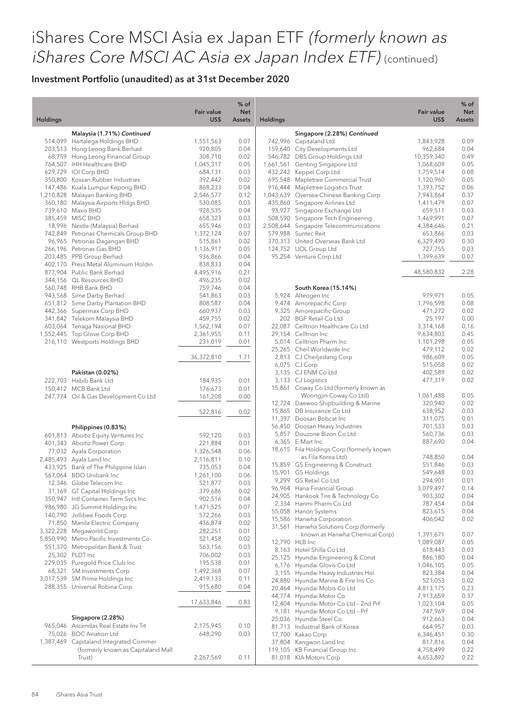|                 |                                                                    | <b>Fair value</b>    | $%$ of<br><b>Net</b> |                 |                                                                     | <b>Fair value</b>       | $%$ of<br><b>Net</b> |
|-----------------|--------------------------------------------------------------------|----------------------|----------------------|-----------------|---------------------------------------------------------------------|-------------------------|----------------------|
| <b>Holdings</b> |                                                                    | US\$                 | <b>Assets</b>        | <b>Holdings</b> |                                                                     | US\$                    | <b>Assets</b>        |
|                 | Malaysia (1.71%) Continued                                         |                      |                      |                 | Singapore (2.28%) Continued                                         |                         |                      |
|                 | 514,099 Hartalega Holdings BHD                                     | 1,551,563            | 0.07                 |                 | 742,996 Capitaland Ltd                                              | 1,843,928               | 0.09                 |
|                 | 203,513 Hong Leong Bank Berhad                                     | 920,805              | 0.04                 |                 | 159,640 City Developments Ltd                                       | 962,684                 | 0.04                 |
|                 | 68,759 Hong Leong Financial Group<br>764,507 IHH Healthcare BHD    | 308,710              | 0.02<br>0.05         |                 | 546,782 DBS Group Holdings Ltd<br>1,661,561 Genting Singapore Ltd   | 10,359,340<br>1,068,609 | 0.49<br>0.05         |
|                 | 629,729 IOI Corp BHD                                               | 1,045,317<br>684,131 | 0.03                 |                 | 432,242 Keppel Corp Ltd                                             | 1,759,514               | 0.08                 |
|                 | 350,800 Kossan Rubber Industries                                   | 392,442              | 0.02                 |                 | 695,548 Mapletree Commercial Trust                                  | 1,120,960               | 0.05                 |
|                 | 147,486 Kuala Lumpur Kepong BHD                                    | 868,233              | 0.04                 |                 | 916,444 Mapletree Logistics Trust                                   | 1,393,752               | 0.06                 |
|                 | 1,210,828 Malayan Banking BHD                                      | 2,546,577            | 0.12                 |                 | 1,043,639 Oversea-Chinese Banking Corp                              | 7,943,864               | 0.37                 |
|                 | 360,180 Malaysia Airports Hldgs BHD                                | 530,085              | 0.03                 |                 | 435,860 Singapore Airlines Ltd                                      | 1,411,479               | 0.07                 |
|                 | 739,610 Maxis BHD                                                  | 928,535              | 0.04                 |                 | 93,927 Singapore Exchange Ltd                                       | 659,511                 | 0.03                 |
|                 | 385,459 MISC BHD                                                   | 658,323              | 0.03                 |                 | 508,590 Singapore Tech Engineering                                  | 1,469,991               | 0.07                 |
|                 | 18,996 Nestle (Malaysia) Berhad                                    | 655,946              | 0.03                 |                 | 2,508,644 Singapore Telecommunications                              | 4,384,646               | 0.21                 |
|                 | 742,849 Petronas Chemicals Group BHD                               | 1,372,124            | 0.07                 |                 | 579,988 Suntec Reit                                                 | 653,866                 | 0.03                 |
|                 | 96,965 Petronas Dagangan BHD                                       | 515,861              | 0.02                 |                 | 370,313 United Overseas Bank Ltd                                    | 6,329,490               | 0.30                 |
|                 | 266,196 Petronas Gas BHD                                           | 1,136,917            | 0.05                 |                 | 124,752 UOL Group Ltd                                               | 727,755                 | 0.03                 |
|                 | 203,485 PPB Group Berhad                                           | 936,866              | 0.04                 |                 | 95,254 Venture Corp Ltd                                             | 1,399,639               | 0.07                 |
|                 | 402,170 Press Metal Aluminium Holdin<br>877,904 Public Bank Berhad | 838,833<br>4,495,916 | 0.04<br>0.21         |                 |                                                                     | 48,580,832              | 2.28                 |
|                 | 344,156 QL Resources BHD                                           | 496,235              | 0.02                 |                 |                                                                     |                         |                      |
|                 | 560,748 RHB Bank BHD                                               | 759,746              | 0.04                 |                 | South Korea (15.14%)                                                |                         |                      |
|                 | 943,568 Sime Darby Berhad                                          | 541,863              | 0.03                 |                 | 5,924 Alteogen Inc                                                  | 979,971                 | 0.05                 |
|                 | 651,812 Sime Darby Plantation BHD                                  | 808,587              | 0.04                 |                 | 9,474 Amorepacific Corp                                             | 1,796,598               | 0.08                 |
|                 | 442,366 Supermax Corp BHD                                          | 660,937              | 0.03                 |                 | 9,325 Amorepacific Group                                            | 471,272                 | 0.02                 |
|                 | 341,842 Telekom Malaysia BHD                                       | 459,755              | 0.02                 |                 | 202 BGF Retail Co Ltd                                               | 25,197                  | 0.00                 |
|                 | 603,064 Tenaga Nasional BHD                                        | 1,562,194            | 0.07                 |                 | 22,087 Celltrion Healthcare Co Ltd                                  | 3,314,168               | 0.16                 |
|                 | 1,552,445 Top Glove Corp BHD                                       | 2,361,955            | 0.11                 |                 | 29,154 Celltrion Inc                                                | 9,634,803               | 0.45                 |
|                 | 216,110 Westports Holdings BHD                                     | 231,019              | 0.01                 |                 | 5,014 Celltrion Pharm Inc                                           | 1,101,298               | 0.05                 |
|                 |                                                                    |                      |                      |                 | 25,265 Cheil Worldwide Inc                                          | 479,112                 | 0.02                 |
|                 |                                                                    | 36,372,810           | 1.71                 |                 | 2,813 CJ Cheiljedang Corp                                           | 986,609                 | 0.05                 |
|                 |                                                                    |                      |                      |                 | 6,075 CJ Corp                                                       | 515,058                 | 0.02                 |
|                 | Pakistan (0.02%)                                                   |                      |                      |                 | 3,135 CJ ENM Co Ltd                                                 | 402,589                 | 0.02                 |
|                 | 222,703 Habib Bank Ltd                                             | 184,935              | 0.01                 |                 | 3,133 CJ Logistics                                                  | 477,319                 | 0.02                 |
|                 | 150,412 MCB Bank Ltd                                               | 176,673              | 0.01                 |                 | 15,861 Coway Co Ltd (formerly known as                              |                         |                      |
|                 | 247,774 Oil & Gas Development Co Ltd                               | 161,208              | 0.00                 |                 | Woongjin Coway Co Ltd)<br>12,724 Daewoo Shipbuilding & Marine       | 1,061,488<br>320,940    | 0.05<br>0.02         |
|                 |                                                                    |                      |                      |                 | 15,865 DB Insurance Co Ltd                                          | 638,952                 | 0.03                 |
|                 |                                                                    | 522,816              | 0.02                 |                 | 11,397 Doosan Bobcat Inc                                            | 311,075                 | 0.01                 |
|                 | Philippines (0.83%)                                                |                      |                      |                 | 56,450 Doosan Heavy Industries                                      | 701,533                 | 0.03                 |
|                 | 601,813 Aboitiz Equity Ventures Inc                                | 592,120              | 0.03                 |                 | 5,857 Douzone Bizon Co Ltd                                          | 560,736                 | 0.03                 |
|                 | 401,343 Aboitiz Power Corp                                         | 221,884              | 0.01                 |                 | 6,365 E-Mart Inc                                                    | 887,690                 | 0.04                 |
|                 | 77,032 Ayala Corporation                                           | 1,326,548            | 0.06                 |                 | 18,615 Fila Holdings Corp (formerly known                           |                         |                      |
|                 | 2,485,493 Ayala Land Inc                                           | 2,116,811            | 0.10                 |                 | as Fila Korea Ltd)                                                  | 748,850                 | 0.04                 |
|                 | 433,925 Bank of The Philippine Islan                               | 735,053              | 0.04                 |                 | 15,859 GS Engineering & Construct                                   | 551,846                 | 0.03                 |
|                 | 567,064 BDO Unibank Inc                                            | 1,261,100            | 0.06                 |                 | 15,901 GS Holdings                                                  | 549,648                 | 0.03                 |
|                 | 12,346 Globe Telecom Inc                                           | 521,877              | 0.03                 |                 | 9,299 GS Retail Co Ltd                                              | 294,901                 | 0.01                 |
|                 | 31,169 GT Capital Holdings Inc                                     | 379,686              | 0.02                 |                 | 96,964 Hana Financial Group                                         | 3,079,497               | 0.14                 |
|                 | 350,947 Intl Container Term Svcs Inc                               | 902,516              | 0.04                 |                 | 24,905 Hankook Tire & Technology Co                                 | 903,302                 | 0.04                 |
|                 | 986,980 JG Summit Holdings Inc                                     | 1,471,525            | 0.07                 |                 | 2,334 Hanmi Pharm Co Ltd                                            | 787,454                 | 0.04                 |
|                 | 140,790 Jollibee Foods Corp                                        | 572,266              | 0.03                 |                 | 55,058 Hanon Systems                                                | 823,615                 | 0.04                 |
|                 | 71,850 Manila Electric Company                                     | 436,874              | 0.02                 |                 | 15,586 Hanwha Corporation<br>31,561 Hanwha Solutions Corp (formerly | 406,042                 | 0.02                 |
|                 | 3,322,228 Megaworld Corp                                           | 282,251              | 0.01                 |                 | known as Hanwha Chemical Corp)                                      | 1,391,671               | 0.07                 |
|                 | 5,850,990 Metro Pacific Investments Co                             | 521,458              | 0.02                 |                 | 12,790 HLB Inc                                                      | 1,089,087               | 0.05                 |
|                 | 551,370 Metropolitan Bank & Trust                                  | 563,156              | 0.03                 |                 | 8,163 Hotel Shilla Co Ltd                                           | 618,443                 | 0.03                 |
|                 | 25,302 PLDT Inc                                                    | 706,002              | 0.03                 |                 | 25,125 Hyundai Engineering & Const                                  | 866,180                 | 0.04                 |
|                 | 229,035 Puregold Price Club Inc                                    | 195,538              | 0.01                 |                 | 6,176 Hyundai Glovis Co Ltd                                         | 1,046,105               | 0.05                 |
|                 | 68,321 SM Investments Corp                                         | 1,492,368            | 0.07                 |                 | 3,155 Hyundai Heavy Industries Hol                                  | 823,384                 | 0.04                 |
|                 | 3,017,539 SM Prime Holdings Inc                                    | 2,419,133            | 0.11                 |                 | 24,880 Hyundai Marine & Fire Ins Co                                 | 521,053                 | 0.02                 |
|                 | 288,355 Universal Robina Corp                                      | 915,680              | 0.04                 |                 | 20,464 Hyundai Mobis Co Ltd                                         | 4,813,175               | 0.23                 |
|                 |                                                                    |                      |                      |                 | 44,774 Hyundai Motor Co                                             | 7,913,659               | 0.37                 |
|                 |                                                                    | 17,633,846           | 0.83                 |                 | 12,404 Hyundai Motor Co Ltd - 2nd Prf                               | 1,023,104               | 0.05                 |
|                 |                                                                    |                      |                      | 9,181           | Hyundai Motor Co Ltd - Prf                                          | 747,969                 | 0.04                 |
|                 | Singapore (2.28%)                                                  |                      |                      |                 | 25,036 Hyundai Steel Co                                             | 912,663                 | 0.04                 |
|                 | 965,046 Ascendas Real Estate Inv Trt                               | 2,175,945            | 0.10                 |                 | 81,713 Industrial Bank of Korea                                     | 664,957                 | 0.03                 |
|                 | 75,026 BOC Aviation Ltd                                            | 648,290              | 0.03                 |                 | 17,700 Kakao Corp                                                   | 6,346,451               | 0.30                 |
|                 | 1,387,469 Capitaland Integrated Commer                             |                      |                      |                 | 37,804 Kangwon Land Inc                                             | 817,816                 | 0.04                 |
|                 | (formerly known as Capitaland Mall<br>Trust)                       | 2,267,569            | 0.11                 |                 | 119,105 KB Financial Group Inc<br>81,018 KIA Motors Corp            | 4,758,499<br>4,653,892  | 0.22<br>0.22         |
|                 |                                                                    |                      |                      |                 |                                                                     |                         |                      |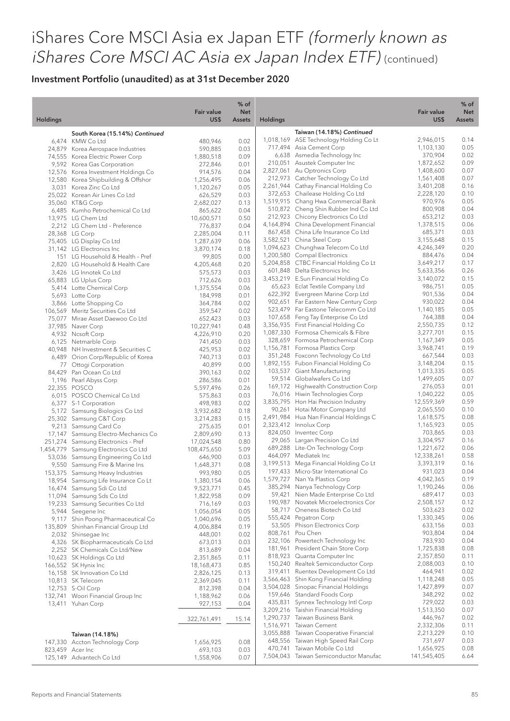| <b>Holdings</b> |                                                                            | <b>Fair value</b><br>US\$ | $%$ of<br><b>Net</b><br><b>Assets</b> | <b>Holdings</b> |                                                                          | <b>Fair value</b><br>US\$ | % of<br><b>Net</b><br>Assets |
|-----------------|----------------------------------------------------------------------------|---------------------------|---------------------------------------|-----------------|--------------------------------------------------------------------------|---------------------------|------------------------------|
|                 |                                                                            |                           |                                       |                 |                                                                          |                           |                              |
|                 | South Korea (15.14%) Continued                                             |                           |                                       |                 | Taiwan (14.18%) Continued                                                |                           |                              |
|                 | 6,474 KMW Co Ltd                                                           | 480,946                   | 0.02                                  |                 | 1,018,169 ASE Technology Holding Co Lt                                   | 2,946,015                 | 0.14                         |
|                 | 24,879 Korea Aerospace Industries                                          | 590,885                   | 0.03                                  |                 | 717,494 Asia Cement Corp                                                 | 1,103,130                 | 0.05                         |
|                 | 74,555 Korea Electric Power Corp                                           | 1,880,518                 | 0.09                                  |                 | 6,638 Asmedia Technology Inc<br>210,051 Asustek Computer Inc             | 370,904<br>1,872,652      | 0.02<br>0.09                 |
|                 | 9,592 Korea Gas Corporation                                                | 272,846                   | 0.01                                  |                 | 2,827,061 Au Optronics Corp                                              | 1,408,600                 | 0.07                         |
|                 | 12,576 Korea Investment Holdings Co<br>12,580 Korea Shipbuilding & Offshor | 914,576<br>1,256,495      | 0.04<br>0.06                          |                 | 212,973 Catcher Technology Co Ltd                                        | 1,561,408                 | 0.07                         |
|                 | 3,031 Korea Zinc Co Ltd                                                    | 1,120,267                 | 0.05                                  |                 | 2,261,944 Cathay Financial Holding Co                                    | 3,401,208                 | 0.16                         |
|                 | 25,022 Korean Air Lines Co Ltd                                             | 626,529                   | 0.03                                  |                 | 372,653 Chailease Holding Co Ltd                                         | 2,228,120                 | 0.10                         |
|                 | 35,060 KT&G Corp                                                           | 2,682,027                 | 0.13                                  |                 | 1,519,915 Chang Hwa Commercial Bank                                      | 970,976                   | 0.05                         |
|                 | 6,485 Kumho Petrochemical Co Ltd                                           | 865,622                   | 0.04                                  |                 | 510,872 Cheng Shin Rubber Ind Co Ltd                                     | 800,908                   | 0.04                         |
|                 | 13,975 LG Chem Ltd                                                         | 10,600,571                | 0.50                                  |                 | 212,923 Chicony Electronics Co Ltd                                       | 653,212                   | 0.03                         |
|                 | 2,212 LG Chem Ltd - Preference                                             | 776,837                   | 0.04                                  |                 | 4,164,894 China Development Financial                                    | 1,378,515                 | 0.06                         |
|                 | 28,368 LG Corp                                                             | 2,285,004                 | 0.11                                  |                 | 867,458 China Life Insurance Co Ltd                                      | 685,371                   | 0.03                         |
|                 | 75,405 LG Display Co Ltd                                                   | 1,287,639                 | 0.06                                  |                 | 3,582,521 China Steel Corp                                               | 3,155,648                 | 0.15                         |
|                 | 31,142 LG Electronics Inc                                                  | 3,870,174                 | 0.18                                  |                 | 1,094,623 Chunghwa Telecom Co Ltd                                        | 4,246,349                 | 0.20                         |
|                 | 151 LG Household & Health - Pref                                           | 99,805                    | 0.00                                  |                 | 1,200,580 Compal Electronics<br>5,204,858 CTBC Financial Holding Co Lt   | 884,476                   | 0.04<br>0.17                 |
|                 | 2,820 LG Household & Health Care                                           | 4,205,468                 | 0.20                                  |                 | 601,848 Delta Electronics Inc                                            | 3,649,217<br>5,633,356    | 0.26                         |
|                 | 3,426 LG Innotek Co Ltd                                                    | 575,573                   | 0.03                                  |                 | 3,453,219 E.Sun Financial Holding Co                                     | 3,140,072                 | 0.15                         |
|                 | 65,883 LG Uplus Corp                                                       | 712,626                   | 0.03                                  |                 | 65,623 Eclat Textile Company Ltd                                         | 986,751                   | 0.05                         |
|                 | 5,414 Lotte Chemical Corp<br>5,693 Lotte Corp                              | 1,375,554                 | 0.06                                  |                 | 622,392 Evergreen Marine Corp Ltd                                        | 901,536                   | 0.04                         |
|                 |                                                                            | 184,998<br>364,784        | 0.01<br>0.02                          |                 | 902,651 Far Eastern New Century Corp                                     | 930,022                   | 0.04                         |
|                 | 3,866 Lotte Shopping Co<br>106,569 Meritz Securities Co Ltd                | 359,547                   | 0.02                                  |                 | 523,479 Far Eastone Telecomm Co Ltd                                      | 1,140,185                 | 0.05                         |
|                 | 75,077 Mirae Asset Daewoo Co Ltd                                           | 652,423                   | 0.03                                  |                 | 107,658 Feng Tay Enterprise Co Ltd                                       | 764,388                   | 0.04                         |
|                 | 37,985 Naver Corp                                                          | 10,227,941                | 0.48                                  |                 | 3,356,935 First Financial Holding Co                                     | 2,550,735                 | 0.12                         |
|                 | 4,932 Ncsoft Corp                                                          | 4,226,910                 | 0.20                                  |                 | 1,087,330 Formosa Chemicals & Fibre                                      | 3,277,701                 | 0.15                         |
|                 | 6,125 Netmarble Corp                                                       | 741,450                   | 0.03                                  |                 | 328,659 Formosa Petrochemical Corp                                       | 1,167,349                 | 0.05                         |
|                 | 40,948 NH Investment & Securities C                                        | 425,953                   | 0.02                                  |                 | 1,156,781 Formosa Plastics Corp                                          | 3,968,741                 | 0.19                         |
|                 | 6,489 Orion Corp/Republic of Korea                                         | 740,713                   | 0.03                                  |                 | 351,248 Foxconn Technology Co Ltd                                        | 667,544                   | 0.03                         |
|                 | 77 Ottogi Corporation                                                      | 40,899                    | 0.00                                  |                 | 1,892,155 Fubon Financial Holding Co                                     | 3,148,204                 | 0.15                         |
|                 | 84,429 Pan Ocean Co Ltd                                                    | 390,163                   | 0.02                                  |                 | 103,537 Giant Manufacturing                                              | 1,013,335                 | 0.05                         |
|                 | 1,196 Pearl Abyss Corp                                                     | 286,586                   | 0.01                                  |                 | 59,514 Globalwafers Co Ltd                                               | 1,499,605                 | 0.07                         |
|                 | 22,355 POSCO                                                               | 5,597,496                 | 0.26                                  |                 | 169,172 Highwealth Construction Corp                                     | 276,053                   | 0.01                         |
|                 | 6,015 POSCO Chemical Co Ltd                                                | 575,863                   | 0.03                                  |                 | 76,016 Hiwin Technologies Corp                                           | 1,040,222                 | 0.05                         |
|                 | 6,377 S-1 Corporation                                                      | 498,983                   | 0.02                                  |                 | 3,835,795 Hon Hai Precision Industry                                     | 12,559,369                | 0.59                         |
|                 | 5,172 Samsung Biologics Co Ltd                                             | 3,932,682                 | 0.18                                  |                 | 90,261 Hotai Motor Company Ltd                                           | 2,065,550                 | 0.10                         |
|                 | 25,302 Samsung C&T Corp                                                    | 3,214,283                 | 0.15                                  |                 | 2,491,984 Hua Nan Financial Holdings C                                   | 1,618,575                 | 0.08<br>0.05                 |
|                 | 9,213 Samsung Card Co                                                      | 275,635                   | 0.01                                  |                 | 2,323,412 Innolux Corp<br>824,050 Inventec Corp                          | 1,165,923<br>703,865      | 0.03                         |
|                 | 17,147 Samsung Electro-Mechanics Co                                        | 2,809,690                 | 0.13                                  |                 | 29,065 Largan Precision Co Ltd                                           | 3,304,957                 | 0.16                         |
|                 | 251,274 Samsung Electronics - Pref<br>1,454,779 Samsung Electronics Co Ltd | 17,024,548                | 0.80<br>5.09                          |                 | 689,288 Lite-On Technology Corp                                          | 1,221,672                 | 0.06                         |
|                 | 53,036 Samsung Engineering Co Ltd                                          | 108,475,650<br>646,900    | 0.03                                  |                 | 464,097 Mediatek Inc                                                     | 12,338,261                | 0.58                         |
|                 | 9,550 Samsung Fire & Marine Ins                                            | 1,648,371                 | 0.08                                  |                 | 3,199,513 Mega Financial Holding Co Lt                                   | 3,393,319                 | 0.16                         |
|                 | 153,375 Samsung Heavy Industries                                           | 993,980                   | 0.05                                  |                 | 197,433 Micro-Star International Co                                      | 931,023                   | 0.04                         |
|                 | 18,954 Samsung Life Insurance Co Lt                                        | 1,380,154                 | 0.06                                  |                 | 1,579,727 Nan Ya Plastics Corp                                           | 4,042,365                 | 0.19                         |
|                 | 16,474 Samsung Sdi Co Ltd                                                  | 9,523,771                 | 0.45                                  |                 | 385,294 Nanya Technology Corp                                            | 1,190,246                 | 0.06                         |
|                 | 11,094 Samsung Sds Co Ltd                                                  | 1,822,958                 | 0.09                                  |                 | 59,421 Nien Made Enterprise Co Ltd                                       | 689,417                   | 0.03                         |
|                 | 19,233 Samsung Securities Co Ltd                                           | 716,169                   | 0.03                                  |                 | 190,987 Novatek Microelectronics Cor                                     | 2,508,157                 | 0.12                         |
|                 | 5,944 Seegene Inc                                                          | 1,056,054                 | 0.05                                  |                 | 58,717 Oneness Biotech Co Ltd                                            | 503,623                   | 0.02                         |
|                 | 9,117 Shin Poong Pharmaceutical Co                                         | 1,040,696                 | 0.05                                  |                 | 555,424 Pegatron Corp                                                    | 1,330,345                 | 0.06                         |
|                 | 135,809 Shinhan Financial Group Ltd                                        | 4,006,884                 | 0.19                                  |                 | 53,505 Phison Electronics Corp                                           | 633,156                   | 0.03                         |
|                 | 2,032 Shinsegae Inc                                                        | 448,001                   | 0.02                                  |                 | 808,761 Pou Chen                                                         | 903,804                   | 0.04                         |
|                 | 4,326 SK Biopharmaceuticals Co Ltd                                         | 673,013                   | 0.03                                  |                 | 232,106 Powertech Technology Inc                                         | 783,930                   | 0.04                         |
|                 | 2,252 SK Chemicals Co Ltd/New                                              | 813,689                   | 0.04                                  |                 | 181,961 President Chain Store Corp                                       | 1,725,838                 | 0.08                         |
|                 | 10,623 SK Holdings Co Ltd                                                  | 2,351,865                 | 0.11                                  |                 | 818,923 Quanta Computer Inc                                              | 2,357,850                 | 0.11                         |
|                 | 166,552 SK Hynix Inc                                                       | 18,168,473                | 0.85                                  |                 | 150,240 Realtek Semiconductor Corp<br>319,411 Ruentex Development Co Ltd | 2,088,003<br>464,941      | 0.10<br>0.02                 |
|                 | 16,158 SK Innovation Co Ltd                                                | 2,826,125                 | 0.13                                  |                 | 3,566,463 Shin Kong Financial Holding                                    | 1,118,248                 | 0.05                         |
|                 | 10,813 SK Telecom                                                          | 2,369,045                 | 0.11                                  |                 | 3,504,028 Sinopac Financial Holdings                                     | 1,427,899                 | 0.07                         |
|                 | 12,753 S-Oil Corp<br>132,741 Woori Financial Group Inc                     | 812,398<br>1,188,962      | 0.04<br>0.06                          |                 | 159,646 Standard Foods Corp                                              | 348,292                   | 0.02                         |
|                 | 13,411 Yuhan Corp                                                          | 927,153                   | 0.04                                  |                 | 435,831 Synnex Technology Intl Corp                                      | 729,022                   | 0.03                         |
|                 |                                                                            |                           |                                       |                 | 3,209,216 Taishin Financial Holding                                      | 1,513,350                 | 0.07                         |
|                 |                                                                            | 322,761,491               | 15.14                                 |                 | 1,290,737 Taiwan Business Bank                                           | 446,967                   | 0.02                         |
|                 |                                                                            |                           |                                       |                 | 1,516,971 Taiwan Cement                                                  | 2,332,306                 | 0.11                         |
|                 | Taiwan (14.18%)                                                            |                           |                                       |                 | 3,055,888 Taiwan Cooperative Financial                                   | 2,213,229                 | 0.10                         |
|                 | 147,330 Accton Technology Corp                                             | 1,656,925                 | 0.08                                  |                 | 648,556 Taiwan High Speed Rail Corp                                      | 731,697                   | 0.03                         |
|                 | 823,459 Acer Inc                                                           | 693,103                   | 0.03                                  |                 | 470,741 Taiwan Mobile Co Ltd                                             | 1,656,925                 | 0.08                         |
|                 | 125,149 Advantech Co Ltd                                                   | 1,558,906                 | 0.07                                  |                 | 7,504,043 Taiwan Semiconductor Manufac                                   | 141,545,405               | 6.64                         |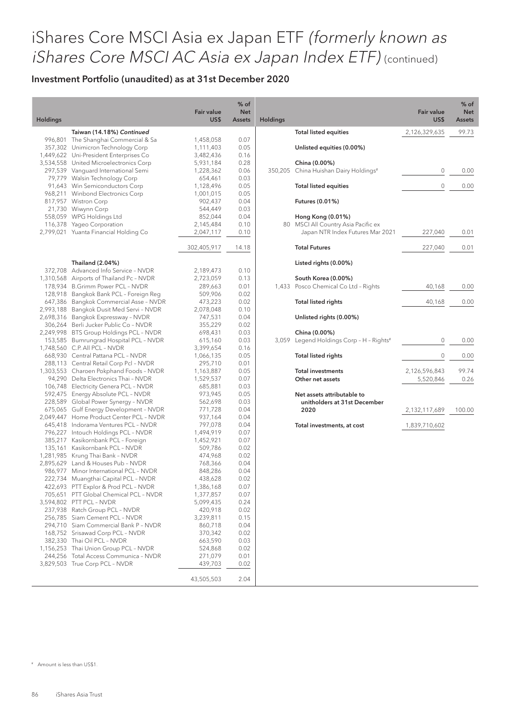### Investment Portfolio (unaudited) as at 31st December 2020

| Holdings |                                                                                                                         | <b>Fair value</b><br>US\$           | $%$ of<br><b>Net</b><br><b>Assets</b> | <b>Holdings</b> |                                                                                              | <b>Fair value</b><br>US\$  | % of<br><b>Net</b><br><b>Assets</b> |
|----------|-------------------------------------------------------------------------------------------------------------------------|-------------------------------------|---------------------------------------|-----------------|----------------------------------------------------------------------------------------------|----------------------------|-------------------------------------|
|          | Taiwan (14.18%) Continued                                                                                               |                                     |                                       |                 | <b>Total listed equities</b>                                                                 | 2,126,329,635              | 99.73                               |
|          | 996,801 The Shanghai Commercial & Sa<br>357,302 Unimicron Technology Corp                                               | 1,458,058<br>1,111,403<br>3,482,436 | 0.07<br>0.05                          |                 | Unlisted equities (0.00%)                                                                    |                            |                                     |
|          | 1,449,622 Uni-President Enterprises Co<br>3,534,558 United Microelectronics Corp<br>297,539 Vanguard International Semi | 5,931,184<br>1,228,362              | 0.16<br>0.28<br>0.06                  |                 | China (0.00%)<br>350,205 China Huishan Dairy Holdings#                                       | 0                          | 0.00                                |
|          | 79,779 Walsin Technology Corp<br>91,643 Win Semiconductors Corp<br>968,211 Winbond Electronics Corp                     | 654,461<br>1,128,496<br>1,001,015   | 0.03<br>0.05<br>0.05                  |                 | <b>Total listed equities</b>                                                                 | $\mathbf{0}$               | 0.00                                |
|          | 817,957 Wistron Corp<br>21,730 Wiwynn Corp                                                                              | 902,437<br>544,449                  | 0.04<br>0.03                          |                 | Futures (0.01%)                                                                              |                            |                                     |
|          | 558,059 WPG Holdings Ltd<br>116,378 Yageo Corporation<br>2,799,021 Yuanta Financial Holding Co                          | 852,044<br>2,145,484<br>2,047,117   | 0.04<br>0.10<br>0.10                  |                 | Hong Kong (0.01%)<br>80 MSCI All Country Asia Pacific ex<br>Japan NTR Index Futures Mar 2021 | 227,040                    | 0.01                                |
|          |                                                                                                                         | 302,405,917                         | 14.18                                 |                 | <b>Total Futures</b>                                                                         | 227,040                    | 0.01                                |
|          | Thailand (2.04%)                                                                                                        |                                     |                                       |                 | Listed rights (0.00%)                                                                        |                            |                                     |
|          | 372,708 Advanced Info Service - NVDR                                                                                    | 2,189,473                           | 0.10                                  |                 |                                                                                              |                            |                                     |
|          | 1,310,568 Airports of Thailand Pc - NVDR<br>178,934 B.Grimm Power PCL - NVDR                                            | 2,723,059<br>289,663                | 0.13<br>0.01                          |                 | South Korea (0.00%)<br>1,433 Posco Chemical Co Ltd - Rights                                  | 40,168                     | 0.00                                |
|          | 128,918 Bangkok Bank PCL - Foreign Reg                                                                                  | 509,906                             | 0.02                                  |                 |                                                                                              |                            |                                     |
|          | 647,386 Bangkok Commercial Asse - NVDR<br>2,993,188 Bangkok Dusit Med Servi - NVDR                                      | 473,223<br>2,078,048                | 0.02<br>0.10                          |                 | <b>Total listed rights</b>                                                                   | 40,168                     | 0.00                                |
|          | 2,698,316 Bangkok Expressway - NVDR                                                                                     | 747,531                             | 0.04                                  |                 | Unlisted rights (0.00%)                                                                      |                            |                                     |
|          | 306,264 Berli Jucker Public Co - NVDR                                                                                   | 355,229                             | 0.02                                  |                 |                                                                                              |                            |                                     |
|          | 2,249,998 BTS Group Holdings PCL - NVDR<br>153,585 Bumrungrad Hospital PCL - NVDR                                       | 698,431<br>615,160                  | 0.03<br>0.03                          |                 | China (0.00%)<br>3,059 Legend Holdings Corp - H - Rights#                                    | $\mathbf 0$                | 0.00                                |
|          | 1,748,560 C.P. All PCL - NVDR                                                                                           | 3,399,654                           | 0.16                                  |                 |                                                                                              |                            |                                     |
|          | 668,930 Central Pattana PCL - NVDR                                                                                      | 1,066,135                           | 0.05                                  |                 | <b>Total listed rights</b>                                                                   | $\mathbf 0$                | 0.00                                |
|          | 288,113 Central Retail Corp Pcl - NVDR                                                                                  | 295,710                             | 0.01                                  |                 |                                                                                              |                            |                                     |
|          | 1,303,553 Charoen Pokphand Foods - NVDR<br>94,290 Delta Electronics Thai - NVDR                                         | 1,163,887<br>1,529,537              | 0.05<br>0.07                          |                 | <b>Total investments</b><br>Other net assets                                                 | 2,126,596,843<br>5,520,846 | 99.74<br>0.26                       |
|          | 106,748 Electricity Genera PCL - NVDR                                                                                   | 685,881                             | 0.03                                  |                 |                                                                                              |                            |                                     |
|          | 592,475 Energy Absolute PCL - NVDR                                                                                      | 973,945                             | 0.05                                  |                 | Net assets attributable to                                                                   |                            |                                     |
|          | 228,589 Global Power Synergy - NVDR                                                                                     | 562,698                             | 0.03                                  |                 | unitholders at 31st December                                                                 |                            |                                     |
|          | 675,065 Gulf Energy Development - NVDR<br>2,049,447 Home Product Center PCL - NVDR                                      | 771,728<br>937,164                  | 0.04<br>0.04                          |                 | 2020                                                                                         | 2,132,117,689              | 100.00                              |
|          | 645,418 Indorama Ventures PCL - NVDR                                                                                    | 797,078                             | 0.04                                  |                 | Total investments, at cost                                                                   | 1,839,710,602              |                                     |
|          | 796,227 Intouch Holdings PCL - NVDR                                                                                     | 1,494,919                           | 0.07                                  |                 |                                                                                              |                            |                                     |
|          | 385,217 Kasikornbank PCL - Foreign                                                                                      | 1,452,921                           | 0.07                                  |                 |                                                                                              |                            |                                     |
|          | 135,161 Kasikornbank PCL - NVDR<br>1,281,985 Krung Thai Bank - NVDR                                                     | 509,786<br>474,968                  | 0.02<br>0.02                          |                 |                                                                                              |                            |                                     |
|          | 2,895,629 Land & Houses Pub - NVDR                                                                                      | 768,366                             | 0.04                                  |                 |                                                                                              |                            |                                     |
|          | 986,977 Minor International PCL - NVDR                                                                                  | 848,286                             | 0.04                                  |                 |                                                                                              |                            |                                     |
|          | 222,734 Muangthai Capital PCL - NVDR                                                                                    | 438,628                             | 0.02                                  |                 |                                                                                              |                            |                                     |
|          | 422,693 PTT Explor & Prod PCL - NVDR                                                                                    | 1,386,168                           | 0.07                                  |                 |                                                                                              |                            |                                     |
|          | 705,651 PTT Global Chemical PCL - NVDR<br>3,594,802 PTT PCL - NVDR                                                      | 1,377,857<br>5,099,435              | 0.07<br>0.24                          |                 |                                                                                              |                            |                                     |
|          | 237,938 Ratch Group PCL - NVDR                                                                                          | 420,918                             | 0.02                                  |                 |                                                                                              |                            |                                     |
|          | 256,785 Siam Cement PCL - NVDR                                                                                          | 3,239,811                           | 0.15                                  |                 |                                                                                              |                            |                                     |
|          | 294,710 Siam Commercial Bank P - NVDR                                                                                   | 860,718                             | 0.04                                  |                 |                                                                                              |                            |                                     |
|          | 168,752 Srisawad Corp PCL - NVDR<br>382,330 Thai Oil PCL - NVDR                                                         | 370,342<br>663,590                  | 0.02<br>0.03                          |                 |                                                                                              |                            |                                     |
|          | 1,156,253 Thai Union Group PCL - NVDR                                                                                   | 524,868                             | 0.02                                  |                 |                                                                                              |                            |                                     |
|          | 244,256 Total Access Communica - NVDR                                                                                   | 271,079                             | 0.01                                  |                 |                                                                                              |                            |                                     |
|          | 3,829,503 True Corp PCL - NVDR                                                                                          | 439,703                             | 0.02                                  |                 |                                                                                              |                            |                                     |
|          |                                                                                                                         | 43,505,503                          | 2.04                                  |                 |                                                                                              |                            |                                     |

# Amount is less than US\$1.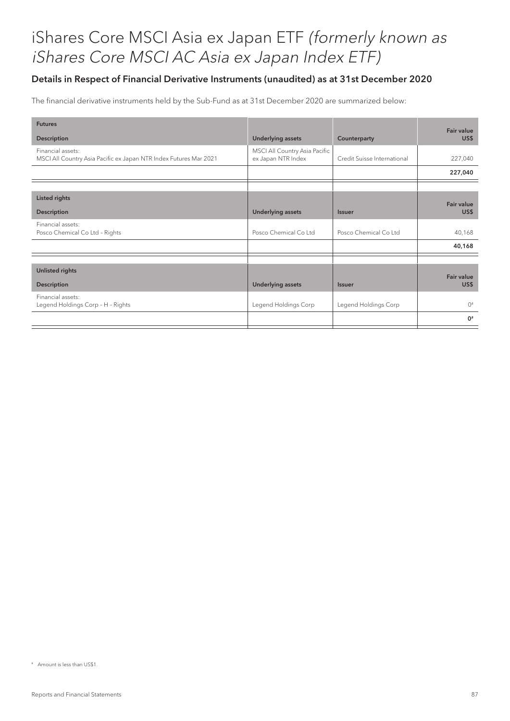### Details in Respect of Financial Derivative Instruments (unaudited) as at 31st December 2020

The financial derivative instruments held by the Sub-Fund as at 31st December 2020 are summarized below:

| <b>Futures</b>                                                                         |                                                     |                             | Fair value        |
|----------------------------------------------------------------------------------------|-----------------------------------------------------|-----------------------------|-------------------|
| Description                                                                            | <b>Underlying assets</b>                            | Counterparty                | US\$              |
| Financial assets:<br>MSCI All Country Asia Pacific ex Japan NTR Index Futures Mar 2021 | MSCI All Country Asia Pacific<br>ex Japan NTR Index | Credit Suisse International | 227,040           |
|                                                                                        |                                                     |                             | 227,040           |
|                                                                                        |                                                     |                             |                   |
| <b>Listed rights</b>                                                                   |                                                     |                             | <b>Fair value</b> |
| Description                                                                            | <b>Underlying assets</b>                            | <b>Issuer</b>               | US\$              |
| Financial assets:<br>Posco Chemical Co Ltd - Rights                                    | Posco Chemical Co Ltd                               | Posco Chemical Co Ltd       | 40,168            |
|                                                                                        |                                                     |                             | 40,168            |
|                                                                                        |                                                     |                             |                   |
| Unlisted rights                                                                        |                                                     |                             | Fair value        |
| Description                                                                            | <b>Underlying assets</b>                            | <b>Issuer</b>               | US\$              |
| Financial assets:<br>Legend Holdings Corp - H - Rights                                 | Legend Holdings Corp                                | Legend Holdings Corp        | $()$ <sup>#</sup> |
|                                                                                        |                                                     |                             | $0^*$             |

<sup>#</sup> Amount is less than US\$1.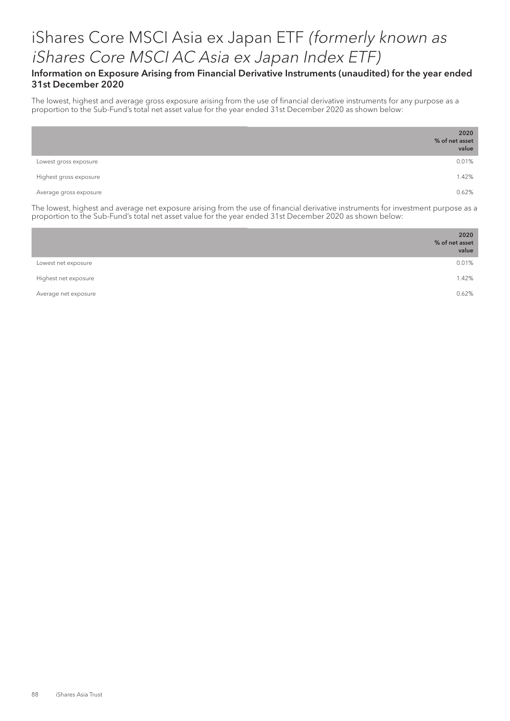#### Information on Exposure Arising from Financial Derivative Instruments (unaudited) for the year ended 31st December 2020

The lowest, highest and average gross exposure arising from the use of financial derivative instruments for any purpose as a proportion to the Sub-Fund's total net asset value for the year ended 31st December 2020 as shown below:

|                        | 2020<br>% of net asset<br>value |
|------------------------|---------------------------------|
| Lowest gross exposure  | 0.01%                           |
| Highest gross exposure | 1.42%                           |
| Average gross exposure | 0.62%                           |

The lowest, highest and average net exposure arising from the use of financial derivative instruments for investment purpose as a proportion to the Sub-Fund's total net asset value for the year ended 31st December 2020 as shown below:

|                      | 2020<br>% of net asset<br>value |
|----------------------|---------------------------------|
| Lowest net exposure  | 0.01%                           |
| Highest net exposure | 1.42%                           |
| Average net exposure | 0.62%                           |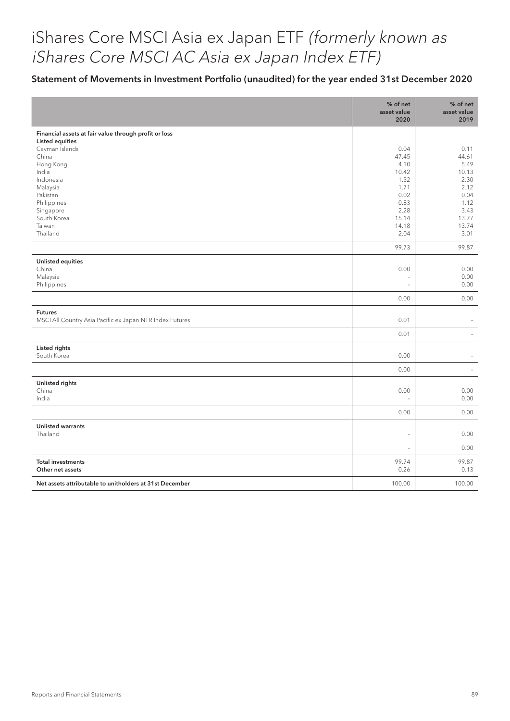### Statement of Movements in Investment Portfolio (unaudited) for the year ended 31st December 2020

|                                                          | % of net<br>asset value<br>2020 | % of net<br>asset value<br>2019 |
|----------------------------------------------------------|---------------------------------|---------------------------------|
| Financial assets at fair value through profit or loss    |                                 |                                 |
| <b>Listed equities</b>                                   |                                 |                                 |
| Cayman Islands<br>China                                  | 0.04<br>47.45                   | 0.11<br>44.61                   |
| Hong Kong                                                | 4.10                            | 5.49                            |
| India                                                    | 10.42                           | 10.13                           |
| Indonesia                                                | 1.52                            | 2.30                            |
| Malaysia                                                 | 1.71                            | 2.12                            |
| Pakistan<br>Philippines                                  | 0.02<br>0.83                    | 0.04<br>1.12                    |
| Singapore                                                | 2.28                            | 3.43                            |
| South Korea                                              | 15.14                           | 13.77                           |
| Taiwan                                                   | 14.18                           | 13.74                           |
| Thailand                                                 | 2.04                            | 3.01                            |
|                                                          | 99.73                           | 99.87                           |
| Unlisted equities                                        |                                 |                                 |
| China                                                    | 0.00                            | 0.00                            |
| Malaysia                                                 | $\overline{\phantom{a}}$        | 0.00                            |
| Philippines                                              | $\overline{a}$                  | 0.00                            |
|                                                          | 0.00                            | 0.00                            |
| <b>Futures</b>                                           |                                 |                                 |
| MSCI All Country Asia Pacific ex Japan NTR Index Futures | 0.01                            |                                 |
|                                                          | 0.01                            |                                 |
| Listed rights                                            |                                 |                                 |
| South Korea                                              | 0.00                            |                                 |
|                                                          | 0.00                            | $\overline{\phantom{a}}$        |
| Unlisted rights                                          |                                 |                                 |
| China                                                    | 0.00                            | 0.00                            |
| India                                                    | $\overline{a}$                  | 0.00                            |
|                                                          | 0.00                            | 0.00                            |
| <b>Unlisted warrants</b>                                 |                                 |                                 |
| Thailand                                                 | $\overline{\phantom{a}}$        | 0.00                            |
|                                                          | L.                              | 0.00                            |
| <b>Total investments</b>                                 | 99.74                           | 99.87                           |
| Other net assets                                         | 0.26                            | 0.13                            |
| Net assets attributable to unitholders at 31st December  | 100.00                          | 100.00                          |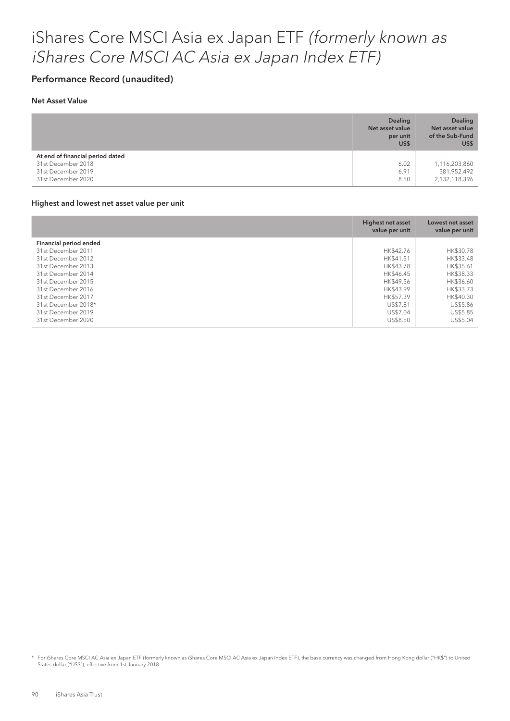#### Performance Record (unaudited)

#### Net Asset Value

|                                                                                                    | <b>Dealing</b><br>Net asset value<br>per unit<br>US\$ | <b>Dealing</b><br>Net asset value<br>of the Sub-Fund<br>US\$ |
|----------------------------------------------------------------------------------------------------|-------------------------------------------------------|--------------------------------------------------------------|
| At end of financial period dated<br>31st December 2018<br>31st December 2019<br>31st December 2020 | 6.02<br>6.91<br>8.50                                  | 1,116,203,860<br>381,952,492<br>2,132,118,396                |

#### Highest and lowest net asset value per unit

|                        | Highest net asset<br>value per unit | Lowest net asset<br>value per unit |
|------------------------|-------------------------------------|------------------------------------|
| Financial period ended |                                     |                                    |
| 31st December 2011     | HK\$42.76                           | HK\$30.78                          |
| 31st December 2012     | HK\$41.51                           | HK\$33.48                          |
| 31st December 2013     | HK\$43.78                           | HK\$35.61                          |
| 31st December 2014     | HK\$46.45                           | HK\$38.33                          |
| 31st December 2015     | HK\$49.56                           | HK\$36.60                          |
| 31st December 2016     | HK\$43.99                           | HK\$33.73                          |
| 31st December 2017     | HK\$57.39                           | HK\$40.30                          |
| 31st December 2018*    | US\$7.81                            | US\$5.86                           |
| 31st December 2019     | US\$7.04                            | US\$5.85                           |
| 31st December 2020     | US\$8.50                            | US\$5.04                           |

\* For iShares Core MSCI AC Asia ex Japan ETF (formerly known as iShares Core MSCI AC Asia ex Japan Index ETF), the base currency was changed from Hong Kong dollar ("HK\$") to United States dollar ("US\$"), effective from 1st January 2018.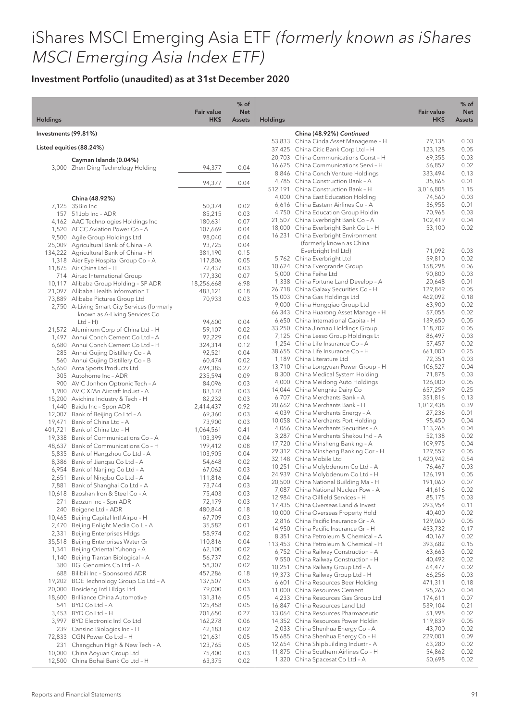|                      |                                                                              | <b>Fair value</b>  | $%$ of<br><b>Net</b> |                 |                                                                               | <b>Fair value</b>   | $%$ of<br><b>Net</b> |
|----------------------|------------------------------------------------------------------------------|--------------------|----------------------|-----------------|-------------------------------------------------------------------------------|---------------------|----------------------|
| <b>Holdings</b>      |                                                                              | HK\$               | <b>Assets</b>        | <b>Holdings</b> |                                                                               | HK\$                | Assets               |
| Investments (99.81%) |                                                                              |                    |                      |                 | China (48.92%) Continued                                                      |                     |                      |
|                      | Listed equities (88.24%)                                                     |                    |                      |                 | 53,833 China Cinda Asset Manageme - H<br>37,425 China Citic Bank Corp Ltd - H | 79,135<br>123,128   | 0.03<br>0.05         |
|                      |                                                                              |                    |                      |                 | 20,703 China Communications Const - H                                         | 69,355              | 0.03                 |
|                      | Cayman Islands (0.04%)<br>3,000 Zhen Ding Technology Holding                 | 94,377             | 0.04                 |                 | 16,625 China Communications Servi - H                                         | 56,857              | 0.02                 |
|                      |                                                                              |                    |                      |                 | 8,846 China Conch Venture Holdings                                            | 333,494             | 0.13                 |
|                      |                                                                              | 94,377             | 0.04                 |                 | 4,785 China Construction Bank - A<br>512,191 China Construction Bank - H      | 35,865<br>3,016,805 | 0.01                 |
|                      |                                                                              |                    |                      |                 | 4,000 China East Education Holding                                            | 74,560              | 1.15<br>0.03         |
|                      | China (48.92%)<br>7,125 3SBio Inc                                            | 50,374             | 0.02                 |                 | 6,616 China Eastern Airlines Co - A                                           | 36,955              | 0.01                 |
|                      | 157 51Job Inc - ADR                                                          | 85,215             | 0.03                 |                 | 4,750 China Education Group Holdin                                            | 70,965              | 0.03                 |
|                      | 4,162 AAC Technologies Holdings Inc                                          | 180,631            | 0.07                 |                 | 21,507 China Everbright Bank Co - A                                           | 102,419             | 0.04                 |
|                      | 1,520 AECC Aviation Power Co - A                                             | 107,669            | 0.04                 |                 | 18,000 China Everbright Bank Co L - H<br>16,231 China Everbright Environment  | 53,100              | 0.02                 |
|                      | 9,500 Agile Group Holdings Ltd<br>25,009 Agricultural Bank of China - A      | 98,040<br>93,725   | 0.04<br>0.04         |                 | (formerly known as China                                                      |                     |                      |
|                      | 134,222 Agricultural Bank of China - H                                       | 381,190            | 0.15                 |                 | Everbright Intl Ltd)                                                          | 71,092              | 0.03                 |
|                      | 1,318 Aier Eye Hospital Group Co - A                                         | 117,806            | 0.05                 |                 | 5,762 China Everbright Ltd                                                    | 59,810              | 0.02                 |
|                      | 11,875 Air China Ltd - H                                                     | 72,437             | 0.03                 |                 | 10,624 China Evergrande Group                                                 | 158,298             | 0.06                 |
|                      | 714 Airtac International Group                                               | 177,330            | 0.07                 |                 | 5,000 China Feihe Ltd                                                         | 90,800              | 0.03<br>0.01         |
|                      | 10,117 Alibaba Group Holding - SP ADR                                        | 18,256,668         | 6.98                 |                 | 1,338 China Fortune Land Develop - A<br>26,718 China Galaxy Securities Co - H | 20,648<br>129,849   | 0.05                 |
|                      | 21,097 Alibaba Health Information T<br>73,889 Alibaba Pictures Group Ltd     | 483,121<br>70,933  | 0.18<br>0.03         |                 | 15,003 China Gas Holdings Ltd                                                 | 462,092             | 0.18                 |
|                      | 2,750 A-Living Smart City Services (formerly                                 |                    |                      |                 | 9,000 China Hongqiao Group Ltd                                                | 63,900              | 0.02                 |
|                      | known as A-Living Services Co                                                |                    |                      |                 | 66,343 China Huarong Asset Manage - H                                         | 57,055              | 0.02                 |
|                      | $Ltd - H)$                                                                   | 94,600             | 0.04                 |                 | 6,650 China International Capita - H                                          | 139,650             | 0.05                 |
|                      | 21,572 Aluminum Corp of China Ltd - H                                        | 59,107             | 0.02                 |                 | 33,250 China Jinmao Holdings Group<br>7,125 China Lesso Group Holdings Lt     | 118,702<br>86,497   | 0.05<br>0.03         |
|                      | 1,497 Anhui Conch Cement Co Ltd - A<br>6,680 Anhui Conch Cement Co Ltd - H   | 92,229<br>324,314  | 0.04<br>0.12         |                 | 1,254 China Life Insurance Co - A                                             | 57,457              | 0.02                 |
|                      | 285 Anhui Gujing Distillery Co - A                                           | 92,521             | 0.04                 |                 | 38,655 China Life Insurance Co - H                                            | 661,000             | 0.25                 |
|                      | 560 Anhui Gujing Distillery Co - B                                           | 60,474             | 0.02                 |                 | 1,189 China Literature Ltd                                                    | 72,351              | 0.03                 |
|                      | 5,650 Anta Sports Products Ltd                                               | 694,385            | 0.27                 |                 | 13,710 China Longyuan Power Group - H                                         | 106,527             | 0.04                 |
|                      | 305 Autohome Inc - ADR                                                       | 235,594            | 0.09                 |                 | 8,300 China Medical System Holding                                            | 71,878              | 0.03<br>0.05         |
|                      | 900 AVIC Jonhon Optronic Tech - A<br>1,900 AVIC Xi'An Aircraft Indust - A    | 84,096<br>83,178   | 0.03<br>0.03         |                 | 4,000 China Meidong Auto Holdings<br>14,044 China Mengniu Dairy Co            | 126,000<br>657,259  | 0.25                 |
|                      | 15,200 Avichina Industry & Tech - H                                          | 82,232             | 0.03                 |                 | 6,707 China Merchants Bank - A                                                | 351,816             | 0.13                 |
|                      | 1,440 Baidu Inc - Spon ADR                                                   | 2,414,437          | 0.92                 |                 | 20,662 China Merchants Bank - H                                               | 1,012,438           | 0.39                 |
|                      | 12,007 Bank of Beijing Co Ltd - A                                            | 69,360             | 0.03                 |                 | 4,039 China Merchants Energy - A                                              | 27,236              | 0.01                 |
| 19,471               | Bank of China Ltd - A                                                        | 73,900             | 0.03                 |                 | 10,058 China Merchants Port Holding<br>4,066 China Merchants Securities - A   | 95,450              | 0.04<br>0.04         |
|                      | 401,721 Bank of China Ltd - H                                                | 1,064,561          | 0.41                 |                 | 3,287 China Merchants Shekou Ind - A                                          | 113,265<br>52,138   | 0.02                 |
|                      | 19,338 Bank of Communications Co - A<br>48,637 Bank of Communications Co - H | 103,399<br>199,412 | 0.04<br>0.08         |                 | 17,720 China Minsheng Banking - A                                             | 109,975             | 0.04                 |
|                      | 5,835 Bank of Hangzhou Co Ltd - A                                            | 103,905            | 0.04                 |                 | 29,312 China Minsheng Banking Cor - H                                         | 129,559             | 0.05                 |
|                      | 8,386 Bank of Jiangsu Co Ltd - A                                             | 54,648             | 0.02                 |                 | 32,148 China Mobile Ltd                                                       | 1,420,942           | 0.54                 |
|                      | 6,954 Bank of Nanjing Co Ltd - A                                             | 67,062             | 0.03                 |                 | 10,251 China Molybdenum Co Ltd - A                                            | 76,467              | 0.03<br>0.05         |
|                      | 2,651 Bank of Ningbo Co Ltd - A                                              | 111,816            | 0.04                 |                 | 24,939 China Molybdenum Co Ltd - H<br>20,500 China National Building Ma - H   | 126,191<br>191,060  | 0.07                 |
|                      | 7,881 Bank of Shanghai Co Ltd - A                                            | 73,744             | 0.03                 |                 | 7,087 China National Nuclear Pow - A                                          | 41,616              | 0.02                 |
| 271                  | 10,618 Baoshan Iron & Steel Co - A<br>Baozun Inc - Spn ADR                   | 75,403<br>72,179   | 0.03<br>0.03         |                 | 12,984 China Oilfield Services - H                                            | 85,175              | 0.03                 |
| 240                  | Beigene Ltd - ADR                                                            | 480,844            | 0.18                 |                 | 17,435 China Overseas Land & Invest                                           | 293,954             | 0.11                 |
| 10,465               | Beijing Capital Intl Airpo - H                                               | 67,709             | 0.03                 |                 | 10,000 China Overseas Property Hold<br>2,816 China Pacific Insurance Gr - A   | 40,400              | 0.02<br>0.05         |
| 2,470                | Beijing Enlight Media Co L-A                                                 | 35,582             | 0.01                 |                 | 14,950 China Pacific Insurance Gr - H                                         | 129,060<br>453,732  | 0.17                 |
| 2,331                | <b>Beijing Enterprises HIdgs</b>                                             | 58,974             | 0.02                 |                 | 8,351 China Petroleum & Chemical - A                                          | 40,167              | 0.02                 |
| 35,518               | Beijing Enterprises Water Gr                                                 | 110,816            | 0.04                 |                 | 113,453 China Petroleum & Chemical - H                                        | 393,682             | 0.15                 |
| 1,341                | Beijing Oriental Yuhong - A<br>1,140 Beijing Tiantan Biological - A          | 62,100<br>56,737   | 0.02<br>0.02         |                 | 6,752 China Railway Construction - A                                          | 63,663              | 0.02                 |
|                      | 380 BGI Genomics Co Ltd - A                                                  | 58,307             | 0.02                 |                 | 9,550 China Railway Construction - H<br>10,251 China Railway Group Ltd - A    | 40,492              | 0.02                 |
|                      | 688 Bilibili Inc - Sponsored ADR                                             | 457,286            | 0.18                 |                 | 19,373 China Railway Group Ltd - H                                            | 64,477<br>66,256    | 0.02<br>0.03         |
|                      | 19,202 BOE Technology Group Co Ltd - A                                       | 137,507            | 0.05                 |                 | 6,601 China Resources Beer Holding                                            | 471,311             | 0.18                 |
|                      | 20,000 Bosideng Intl HIdgs Ltd                                               | 79,000             | 0.03                 |                 | 11,000 China Resources Cement                                                 | 95,260              | 0.04                 |
| 18,600               | Brilliance China Automotive                                                  | 131,316            | 0.05                 |                 | 4,233 China Resources Gas Group Ltd                                           | 174,611             | 0.07                 |
|                      | 541 BYD Co Ltd - A                                                           | 125,458            | 0.05                 |                 | 16,847 China Resources Land Ltd                                               | 539,104             | 0.21                 |
|                      | 3,453 BYD Co Ltd - H<br>3,997 BYD Electronic Intl Co Ltd                     | 701,650<br>162,278 | 0.27<br>0.06         |                 | 13,064 China Resources Pharmaceutic<br>14,352 China Resources Power Holdin    | 51,995<br>119,839   | 0.02<br>0.05         |
|                      | 239 Cansino Biologics Inc - H                                                | 42,183             | 0.02                 |                 | 2,033 China Shenhua Energy Co - A                                             | 43,700              | 0.02                 |
|                      | 72,833 CGN Power Co Ltd - H                                                  | 121,631            | 0.05                 |                 | 15,685 China Shenhua Energy Co - H                                            | 229,001             | 0.09                 |
|                      | 231 Changchun High & New Tech - A                                            | 123,765            | 0.05                 |                 | 12,654 China Shipbuilding Industr - A                                         | 63,280              | 0.02                 |
|                      | 10,000 China Aoyuan Group Ltd                                                | 75,400             | 0.03                 |                 | 11,875 China Southern Airlines Co - H                                         | 54,862              | 0.02                 |
|                      | 12,500 China Bohai Bank Co Ltd - H                                           | 63,375             | 0.02                 |                 | 1,320 China Spacesat Co Ltd - A                                               | 50,698              | 0.02                 |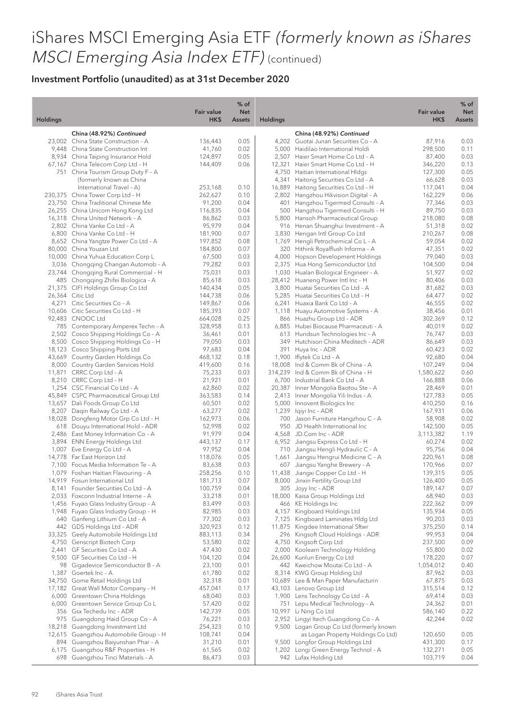|                 |                                                                              | <b>Fair value</b>  | % of<br><b>Net</b> |                 |                                                                          | <b>Fair value</b>    | $%$ of<br><b>Net</b> |
|-----------------|------------------------------------------------------------------------------|--------------------|--------------------|-----------------|--------------------------------------------------------------------------|----------------------|----------------------|
| <b>Holdings</b> |                                                                              | HK\$               | <b>Assets</b>      | <b>Holdings</b> |                                                                          | HK\$                 | Assets               |
|                 | China (48.92%) Continued                                                     |                    |                    |                 | China (48.92%) Continued                                                 |                      |                      |
|                 | 23,002 China State Construction - A                                          | 136,443            | 0.05               |                 | 4,202 Guotai Junan Securities Co - A                                     | 87,916               | 0.03                 |
|                 | 9,448 China State Construction Int                                           | 41,760             | 0.02               |                 | 5,000 Haidilao International Holdi                                       | 298,500              | 0.11                 |
|                 | 8,934 China Taiping Insurance Hold                                           | 124,897            | 0.05               |                 | 2,507 Haier Smart Home Co Ltd - A                                        | 87,400               | 0.03                 |
|                 | 67,167 China Telecom Corp Ltd - H<br>751 China Tourism Group Duty F - A      | 144,409            | 0.06               |                 | 12,321 Haier Smart Home Co Ltd - H<br>4,750 Haitian International HIdgs  | 346,220<br>127,300   | 0.13<br>0.05         |
|                 | (formerly known as China                                                     |                    |                    |                 | 4,341 Haitong Securities Co Ltd - A                                      | 66,628               | 0.03                 |
|                 | International Travel - A)                                                    | 253,168            | 0.10               |                 | 16,889 Haitong Securities Co Ltd - H                                     | 117,041              | 0.04                 |
|                 | 230,375 China Tower Corp Ltd - H                                             | 262,627            | 0.10               |                 | 2,802 Hangzhou Hikvision Digital - A                                     | 162,229              | 0.06                 |
|                 | 23,750 China Traditional Chinese Me                                          | 91,200             | 0.04               | 401             | Hangzhou Tigermed Consulti - A                                           | 77,346               | 0.03                 |
|                 | 26,255 China Unicom Hong Kong Ltd                                            | 116,835            | 0.04               |                 | 500 Hangzhou Tigermed Consulti - H                                       | 89,750               | 0.03                 |
|                 | 16,318 China United Network - A                                              | 86,862             | 0.03               |                 | 5,800 Hansoh Pharmaceutical Group                                        | 218,080              | 0.08                 |
|                 | 2,802 China Vanke Co Ltd - A                                                 | 95,979             | 0.04               |                 | 916 Henan Shuanghui Investment - A                                       | 51,318               | 0.02                 |
|                 | 6,800 China Vanke Co Ltd - H                                                 | 181,900            | 0.07               |                 | 3,830 Hengan Intl Group Co Ltd                                           | 210,267              | 0.08                 |
|                 | 8,652 China Yangtze Power Co Ltd - A                                         | 197,852            | 0.08               |                 | 1,769 Hengli Petrochemical Co L-A                                        | 59,054               | 0.02                 |
|                 | 80,000 China Youzan Ltd                                                      | 184,800            | 0.07               |                 | 320 Hithink Royalflush Informa - A                                       | 47,351               | 0.02                 |
|                 | 10,000 China Yuhua Education Corp L                                          | 67,500             | 0.03               |                 | 4,000 Hopson Development Holdings                                        | 79,040               | 0.03                 |
|                 | 3,036 Chongqing Changan Automob - A<br>23,744 Chongging Rural Commercial - H | 79,282<br>75,031   | 0.03<br>0.03       |                 | 2,375 Hua Hong Semiconductor Ltd<br>1,030 Hualan Biological Engineer - A | 104,500<br>51,927    | 0.04<br>0.02         |
|                 | 485 Chongqing Zhifei Biologica - A                                           | 85,618             | 0.03               |                 | 28,412 Huaneng Power Intl Inc - H                                        | 80,406               | 0.03                 |
|                 | 21,375 CIFI Holdings Group Co Ltd                                            | 140,434            | 0.05               |                 | 3,800 Huatai Securities Co Ltd - A                                       | 81,682               | 0.03                 |
|                 | 26,364 Citic Ltd                                                             | 144,738            | 0.06               |                 | 5,285 Huatai Securities Co Ltd - H                                       | 64,477               | 0.02                 |
|                 | 4,271 Citic Securities Co - A                                                | 149,867            | 0.06               |                 | 6,241 Huaxia Bank Co Ltd - A                                             | 46,555               | 0.02                 |
|                 | 10,606 Citic Securities Co Ltd - H                                           | 185,393            | 0.07               |                 | 1,118 Huayu Automotive Systems - A                                       | 38,456               | 0.01                 |
|                 | 92,483 CNOOC Ltd                                                             | 664,028            | 0.25               |                 | 866 Huazhu Group Ltd - ADR                                               | 302,369              | 0.12                 |
|                 | 785 Contemporary Amperex Techn - A                                           | 328,958            | 0.13               |                 | 6,885 Hubei Biocause Pharmaceuti - A                                     | 40,019               | 0.02                 |
|                 | 2,502 Cosco Shipping Holdings Co - A                                         | 36,461             | 0.01               |                 | 613 Hundsun Technologies Inc - A                                         | 76,747               | 0.03                 |
|                 | 8,500 Cosco Shipping Holdings Co - H                                         | 79,050             | 0.03               |                 | 349 Hutchison China Meditech - ADR                                       | 86,649               | 0.03                 |
|                 | 18,123 Cosco Shipping Ports Ltd                                              | 97,683             | 0.04               |                 | 391 Huya Inc - ADR                                                       | 60,423               | 0.02                 |
|                 | 43,669 Country Garden Holdings Co                                            | 468,132            | 0.18               |                 | 1,900 Iflytek Co Ltd - A                                                 | 92,680               | 0.04                 |
|                 | 8,000 Country Garden Services Hold                                           | 419,600            | 0.16<br>0.03       |                 | 18,008 Ind & Comm Bk of China - A<br>314,239 Ind & Comm Bk of China - H  | 107,249<br>1,580,622 | 0.04<br>0.60         |
|                 | 11,871 CRRC Corp Ltd - A<br>8,210 CRRC Corp Ltd - H                          | 75,233<br>21,921   | 0.01               |                 | 6,700 Industrial Bank Co Ltd - A                                         | 166,888              | 0.06                 |
|                 | 1,254 CSC Financial Co Ltd - A                                               | 62,860             | 0.02               |                 | 20,387 Inner Mongolia Baotou Ste - A                                     | 28,469               | 0.01                 |
|                 | 45,849 CSPC Pharmaceutical Group Ltd                                         | 363,583            | 0.14               |                 | 2,413 Inner Mongolia Yili Indus - A                                      | 127,783              | 0.05                 |
|                 | 13,657 Dali Foods Group Co Ltd                                               | 60,501             | 0.02               |                 | 5,000 Innovent Biologics Inc                                             | 410,250              | 0.16                 |
|                 | 8,207 Daqin Railway Co Ltd - A                                               | 63,277             | 0.02               |                 | 1,239 Iqiyi Inc - ADR                                                    | 167,931              | 0.06                 |
|                 | 18,028 Dongfeng Motor Grp Co Ltd - H                                         | 162,973            | 0.06               |                 | 700 Jason Furniture Hangzhou C - A                                       | 58,908               | 0.02                 |
|                 | 618 Douyu International Hold - ADR                                           | 52,998             | 0.02               |                 | 950 JD Health International Inc                                          | 142,500              | 0.05                 |
|                 | 2,486 East Money Information Co - A                                          | 91,979             | 0.04               |                 | 4,568 JD.Com Inc - ADR                                                   | 3,113,382            | 1.19                 |
|                 | 3,894 ENN Energy Holdings Ltd                                                | 443,137            | 0.17               |                 | 6,952 Jiangsu Express Co Ltd - H                                         | 60,274               | 0.02                 |
|                 | 1,007 Eve Energy Co Ltd - A                                                  | 97,952             | 0.04               |                 | 710 Jiangsu Hengli Hydraulic C - A                                       | 95,756               | 0.04                 |
|                 | 14,778 Far East Horizon Ltd                                                  | 118,076            | 0.05               | 1,661           | Jiangsu Hengrui Medicine C - A                                           | 220,961              | 0.08                 |
|                 | 7,100 Focus Media Information Te - A                                         | 83,638             | 0.03<br>0.10       |                 | 607 Jiangsu Yanghe Brewery - A                                           | 170,966<br>139,315   | 0.07<br>0.05         |
|                 | 1,079 Foshan Haitian Flavouring - A<br>14,919 Fosun International Ltd        | 258,256            | 0.07               |                 | 11,438 Jiangxi Copper Co Ltd - H<br>8,000 Jinxin Fertility Group Ltd     |                      | 0.05                 |
|                 | 8,141 Founder Securities Co Ltd - A                                          | 181,713<br>100,759 | 0.04               |                 | 305 Joyy Inc - ADR                                                       | 126,400<br>189,147   | 0.07                 |
|                 | 2,033 Foxconn Industrial Interne - A                                         | 33,218             | 0.01               |                 | 18,000 Kaisa Group Holdings Ltd                                          | 68,940               | 0.03                 |
|                 | 1,456 Fuyao Glass Industry Group - A                                         | 83,499             | 0.03               |                 | 466 KE Holdings Inc                                                      | 222,362              | 0.09                 |
|                 | 1,948 Fuyao Glass Industry Group - H                                         | 82,985             | 0.03               |                 | 4,157 Kingboard Holdings Ltd                                             | 135,934              | 0.05                 |
|                 | 640 Ganfeng Lithium Co Ltd - A                                               | 77,302             | 0.03               | 7,125           | Kingboard Laminates Hldg Ltd                                             | 90,203               | 0.03                 |
|                 | 442 GDS Holdings Ltd - ADR                                                   | 320,923            | 0.12               |                 | 11,875 Kingdee International Sftwr                                       | 375,250              | 0.14                 |
|                 | 33,325 Geely Automobile Holdings Ltd                                         | 883,113            | 0.34               | 296             | Kingsoft Cloud Holdings - ADR                                            | 99,953               | 0.04                 |
|                 | 4,750 Genscript Biotech Corp                                                 | 53,580             | 0.02               |                 | 4,750 Kingsoft Corp Ltd                                                  | 237,500              | 0.09                 |
|                 | 2,441 GF Securities Co Ltd - A                                               | 47,430             | 0.02               | 2,000           | Koolearn Technology Holding                                              | 55,800               | 0.02                 |
|                 | 9,500 GF Securities Co Ltd - H                                               | 104,120            | 0.04               |                 | 26,600 Kunlun Energy Co Ltd                                              | 178,220              | 0.07                 |
|                 | 98 Gigadevice Semiconductor B - A                                            | 23,100             | 0.01               |                 | 442 Kweichow Moutai Co Ltd - A                                           | 1,054,012            | 0.40                 |
|                 | 1,387 Goertek Inc - A                                                        | 61,780             | 0.02               |                 | 8,314 KWG Group Holding Ltd                                              | 87,962               | 0.03                 |
|                 | 34,750 Gome Retail Holdings Ltd<br>17,182 Great Wall Motor Company - H       | 32,318<br>457,041  | 0.01<br>0.17       |                 | 10,689 Lee & Man Paper Manufacturin<br>43,103 Lenovo Group Ltd           | 67,875<br>315,514    | 0.03<br>0.12         |
|                 | 6,000 Greentown China Holdings                                               | 68,040             | 0.03               |                 | 1,900 Lens Technology Co Ltd - A                                         | 69,414               | 0.03                 |
|                 | 6,000 Greentown Service Group Co L                                           | 57,420             | 0.02               |                 | 751 Lepu Medical Technology - A                                          | 24,362               | 0.01                 |
|                 | 356 Gsx Techedu Inc - ADR                                                    | 142,739            | 0.05               |                 | 10,997 Li Ning Co Ltd                                                    | 586,140              | 0.22                 |
|                 | 975 Guangdong Haid Group Co - A                                              | 76,221             | 0.03               |                 | 2,952 Lingyi Itech Guangdong Co - A                                      | 42,244               | 0.02                 |
|                 | 18,218 Guangdong Investment Ltd                                              | 254,323            | 0.10               |                 | 9,500 Logan Group Co Ltd (formerly known                                 |                      |                      |
|                 | 12,615 Guangzhou Automobile Group - H                                        | 108,741            | 0.04               |                 | as Logan Property Holdings Co Ltd)                                       | 120,650              | 0.05                 |
|                 | 894 Guangzhou Baiyunshan Phar - A                                            | 31,210             | 0.01               |                 | 9,500 Longfor Group Holdings Ltd                                         | 431,300              | 0.17                 |
|                 | 6,175 Guangzhou R&F Properties - H                                           | 61,565             | 0.02               |                 | 1,202 Longi Green Energy Technol - A                                     | 132,271              | 0.05                 |
|                 | 698 Guangzhou Tinci Materials - A                                            | 86,473             | 0.03               |                 | 942 Lufax Holding Ltd                                                    | 103,719              | 0.04                 |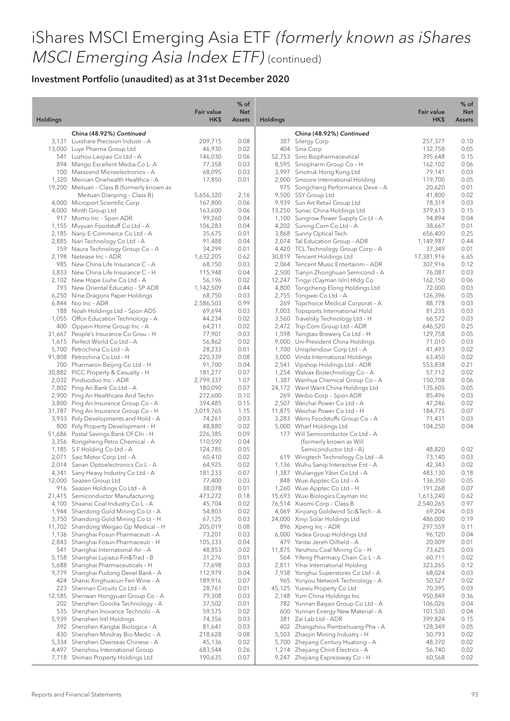|                 |                                                                               | Fair value          | $%$ of<br><b>Net</b> |                 |                                                                       | Fair value           | $%$ of<br><b>Net</b> |
|-----------------|-------------------------------------------------------------------------------|---------------------|----------------------|-----------------|-----------------------------------------------------------------------|----------------------|----------------------|
| <b>Holdings</b> |                                                                               | HK\$                | <b>Assets</b>        | <b>Holdings</b> |                                                                       | HK\$                 | <b>Assets</b>        |
|                 | China (48.92%) Continued                                                      |                     |                      |                 | China (48.92%) Continued                                              |                      |                      |
|                 | 3,131 Luxshare Precision Industr - A                                          | 209,715             | 0.08                 |                 | 387 Silergy Corp                                                      | 257,377              | 0.10                 |
|                 | 13,000 Luye Pharma Group Ltd                                                  | 46,930              | 0.02                 |                 | 404 Sina Corp                                                         | 132,758              | 0.05                 |
|                 | 541 Luzhou Laojiao Co Ltd - A<br>894 Mango Excellent Media Co L-A             | 146,030<br>77,358   | 0.06<br>0.03         |                 | 52,753 Sino Biopharmaceutical<br>8,595 Sinopharm Group Co - H         | 395,648<br>162,102   | 0.15<br>0.06         |
|                 | 100 Maxscend Microelectronics - A                                             | 68,095              | 0.03                 |                 | 3,997 Sinotruk Hong Kong Ltd                                          | 79,141               | 0.03                 |
|                 | 1,320 Meinian Onehealth Healthca - A                                          | 17,850              | 0.01                 |                 | 2,000 Smoore International Holding                                    | 119,700              | 0.05                 |
|                 | 19,200 Meituan - Class B (formerly known as                                   |                     |                      |                 | 975 Songcheng Performance Deve - A                                    | 20,620               | 0.01                 |
|                 | Meituan Dianping - Class B)                                                   | 5,656,320           | 2.16                 |                 | 9,500 SSY Group Ltd                                                   | 41,800               | 0.02                 |
|                 | 4,000 Microport Scientific Corp                                               | 167,800             | 0.06                 |                 | 9,939 Sun Art Retail Group Ltd                                        | 78,319               | 0.03                 |
|                 | 4,000 Minth Group Ltd                                                         | 163,600             | 0.06                 |                 | 13,250 Sunac China Holdings Ltd                                       | 379,613              | 0.15                 |
|                 | 917 Momo Inc - Spon ADR                                                       | 99,260              | 0.04                 |                 | 1,100 Sungrow Power Supply Co Lt - A                                  | 94,894               | 0.04                 |
|                 | 1,155 Muyuan Foodstuff Co Ltd - A                                             | 106,283             | 0.04                 |                 | 4,202 Suning.Com Co Ltd - A                                           | 38,667               | 0.01                 |
|                 | 2,185 Nanji E-Commerce Co Ltd - A<br>2,885 Nari Technology Co Ltd - A         | 35,675<br>91,488    | 0.01<br>0.04         |                 | 3,868 Sunny Optical Tech<br>2,074 Tal Education Group - ADR           | 656,400<br>1,149,987 | 0.25<br>0.44         |
|                 | 159 Naura Technology Group Co - A                                             | 34,299              | 0.01                 |                 | 4,420 TCL Technology Group Corp - A                                   | 37,349               | 0.01                 |
|                 | 2,198 Netease Inc - ADR                                                       | 1,632,205           | 0.62                 |                 | 30,819 Tencent Holdings Ltd                                           | 17,381,916           | 6.65                 |
|                 | 985 New China Life Insurance C - A                                            | 68,150              | 0.03                 |                 | 2,064 Tencent Music Entertainm - ADR                                  | 307,916              | 0.12                 |
|                 | 3,833 New China Life Insurance C - H                                          | 115,948             | 0.04                 |                 | 2,500 Tianjin Zhonghuan Semicond - A                                  | 76,087               | 0.03                 |
|                 | 2,102 New Hope Liuhe Co Ltd - A                                               | 56,196              | 0.02                 |                 | 12,247 Tingyi (Cayman Isln) Hldg Co                                   | 162,150              | 0.06                 |
|                 | 793 New Oriental Educatio - SP ADR                                            | 1,142,509           | 0.44                 |                 | 4,800 Tongcheng-Elong Holdings Ltd                                    | 72,000               | 0.03                 |
|                 | 6,250 Nine Dragons Paper Holdings                                             | 68,750              | 0.03                 |                 | 2,755 Tongwei Co Ltd - A                                              | 126,396              | 0.05                 |
|                 | 6,844 Nio Inc - ADR                                                           | 2,586,503           | 0.99                 | 269             | Topchoice Medical Corporat - A                                        | 88,778               | 0.03                 |
|                 | 188 Noah Holdings Ltd - Spon ADS                                              | 69,694              | 0.03                 |                 | 7,003 Topsports International Hold                                    | 81,235               | 0.03                 |
|                 | 1,055 Offen Education Technology - A                                          | 44,234              | 0.02                 |                 | 3,560 Travelsky Technology Ltd - H<br>2,472 Trip.Com Group Ltd - ADR  | 66,572               | 0.03                 |
|                 | 400 Oppein Home Group Inc - A<br>31,667 People's Insurance Co Grou - H        | 64,211<br>77,901    | 0.02<br>0.03         |                 | 1,598 Tsingtao Brewery Co Ltd - H                                     | 646,520<br>129,758   | 0.25<br>0.05         |
|                 | 1,615 Perfect World Co Ltd - A                                                | 56,862              | 0.02                 |                 | 9,000 Uni-President China Holdings                                    | 71,010               | 0.03                 |
|                 | 5,700 Petrochina Co Ltd - A                                                   | 28,233              | 0.01                 |                 | 1,700 Unisplendour Corp Ltd - A                                       | 41,493               | 0.02                 |
|                 | 91,808 Petrochina Co Ltd - H                                                  | 220,339             | 0.08                 |                 | 3,000 Vinda International Holdings                                    | 63,450               | 0.02                 |
|                 | 700 Pharmaron Beijing Co Ltd - H                                              | 91,700              | 0.04                 |                 | 2,541 Vipshop Holdings Ltd - ADR                                      | 553,838              | 0.21                 |
|                 | 30,882 PICC Property & Casualty - H                                           | 181,277             | 0.07                 |                 | 1,254 Walvax Biotechnology Co - A                                     | 57,712               | 0.02                 |
|                 | 2,032 Pinduoduo Inc - ADR                                                     | 2,799,337           | 1.07                 |                 | 1,387 Wanhua Chemical Group Co - A                                    | 150,708              | 0.06                 |
|                 | 7,802 Ping An Bank Co Ltd - A                                                 | 180,090             | 0.07                 |                 | 24,172 Want Want China Holdings Ltd                                   | 135,605              | 0.05                 |
|                 | 2,900 Ping An Healthcare And Techn                                            | 272,600             | 0.10                 |                 | 269 Weibo Corp - Spon ADR                                             | 85,496               | 0.03                 |
|                 | 3,800 Ping An Insurance Group Co - A                                          | 394,485             | 0.15                 |                 | 2,507 Weichai Power Co Ltd - A                                        | 47,246               | 0.02                 |
|                 | 31,787 Ping An Insurance Group Co - H<br>3,933 Poly Developments and Hold - A | 3,019,765<br>74,261 | 1.15<br>0.03         |                 | 11,875 Weichai Power Co Ltd - H<br>3,283 Wens Foodstuffs Group Co - A | 184,775<br>71,431    | 0.07<br>0.03         |
|                 | 800 Poly Property Development - H                                             | 48,880              | 0.02                 |                 | 5,000 Wharf Holdings Ltd                                              | 104,250              | 0.04                 |
|                 | 51,686 Postal Savings Bank Of Chi - H                                         | 226,385             | 0.09                 |                 | 177 Will Semiconductor Co Ltd - A                                     |                      |                      |
|                 | 3,356 Rongsheng Petro Chemical - A                                            | 110,590             | 0.04                 |                 | (formerly known as Will                                               |                      |                      |
|                 | 1,185 SF Holding Co Ltd - A                                                   | 124,785             | 0.05                 |                 | Semiconductor Ltd - A)                                                | 48,820               | 0.02                 |
|                 | 2,071 Saic Motor Corp Ltd - A                                                 | 60,410              | 0.02                 |                 | 619 Wingtech Technology Co Ltd - A                                    | 73,140               | 0.03                 |
|                 | 2,014 Sanan Optoelectronics Co L - A                                          | 64,925              | 0.02                 |                 | 1,136 Wuhu Sangi Interactive Ent - A                                  | 42,343               | 0.02                 |
|                 | 4,341 Sany Heavy Industry Co Ltd - A                                          | 181,233             | 0.07                 |                 | 1,387 Wuliangye Yibin Co Ltd - A                                      | 483,130              | 0.18                 |
|                 | 12,000 Seazen Group Ltd                                                       | 77,400              | 0.03                 |                 | 848 Wuxi Apptec Co Ltd - A                                            | 136,350              | 0.05                 |
|                 | 916 Seazen Holdings Co Ltd - A<br>21,415 Semiconductor Manufacturing          | 38,078<br>473,272   | 0.01                 |                 | 1,260 Wuxi Apptec Co Ltd - H<br>15,693 Wuxi Biologics Cayman Inc      | 191,268<br>1,613,240 | 0.07<br>0.62         |
|                 | 4,100 Shaanxi Coal Industry Co L - A                                          | 45,704              | 0.18<br>0.02         |                 | 76,514 Xiaomi Corp - Class B                                          | 2,540,265            | 0.97                 |
|                 | 1,944 Shandong Gold Mining Co Lt - A                                          | 54,803              | 0.02                 |                 | 4,069 Xinjiang Goldwind Sci&Tech - A                                  | 69,204               | 0.03                 |
|                 | 3,750 Shandong Gold Mining Co Lt - H                                          | 67,125              | 0.03                 |                 | 24,000 Xinyi Solar Holdings Ltd                                       | 486,000              | 0.19                 |
|                 | 11,702 Shandong Weigao Gp Medical - H                                         | 205,019             | 0.08                 | 896             | Xpeng Inc - ADR                                                       | 297,559              | 0.11                 |
|                 | 1,136 Shanghai Fosun Pharmaceuti - A                                          | 73,201              | 0.03                 | 6,000           | Yadea Group Holdings Ltd                                              | 96,120               | 0.04                 |
|                 | 2,843 Shanghai Fosun Pharmaceuti - H                                          | 105,333             | 0.04                 |                 | 479 Yantai Jereh Oilfield - A                                         | 20,009               | 0.01                 |
|                 | 541 Shanghai International Air - A                                            | 48,853              | 0.02                 |                 | 11,875 Yanzhou Coal Mining Co - H                                     | 73,625               | 0.03                 |
|                 | 5,158 Shanghai Lujiazui Fin&Trad - B                                          | 31,276              | 0.01                 |                 | 564 Yifeng Pharmacy Chain Co L - A                                    | 60,711               | 0.02                 |
|                 | 5,688 Shanghai Pharmaceuticals - H                                            | 77,698              | 0.03                 |                 | 2,811 Yihai International Holding                                     | 323,265              | 0.12                 |
|                 | 9,779 Shanghai Pudong Devel Bank - A                                          | 112,979             | 0.04                 |                 | 7,938 Yonghui Superstores Co Ltd - A                                  | 68,024               | 0.03                 |
|                 | 424 Shanxi Xinghuacun Fen Wine - A<br>223 Shennan Circuits Co Ltd - A         | 189,916<br>28,761   | 0.07<br>0.01         |                 | 965 Yonyou Network Technology - A<br>45,125 Yuexiu Property Co Ltd    | 50,527<br>70,395     | 0.02<br>0.03         |
|                 | 12,585 Shenwan Hongyuan Group Co - A                                          | 79,308              | 0.03                 |                 | 2,148 Yum China Holdings Inc                                          | 950,849              | 0.36                 |
|                 | 202 Shenzhen Goodix Technology - A                                            | 37,502              | 0.01                 |                 | 782 Yunnan Baiyao Group Co Ltd - A                                    | 106,026              | 0.04                 |
|                 | 535 Shenzhen Inovance Technolo - A                                            | 59,575              | 0.02                 |                 | 600 Yunnan Energy New Material - A                                    | 101,530              | 0.04                 |
|                 | 5,939 Shenzhen Intl Holdings                                                  | 74,356              | 0.03                 | 381             | Zai Lab Ltd - ADR                                                     | 399,824              | 0.15                 |
|                 | 392 Shenzhen Kangtai Biologica - A                                            | 81,641              | 0.03                 |                 | 402 Zhangzhou Pientzehuang Pha - A                                    | 128,349              | 0.05                 |
|                 | 430 Shenzhen Mindray Bio-Medic - A                                            | 218,628             | 0.08                 |                 | 5,503 Zhaojin Mining Industry - H                                     | 50,793               | 0.02                 |
|                 | 5,334 Shenzhen Overseas Chinese - A                                           | 45,136              | 0.02                 |                 | 5,700 Zhejiang Century Huatong - A                                    | 48,370               | 0.02                 |
|                 | 4,497 Shenzhou International Group                                            | 683,544             | 0.26                 |                 | 1,214 Zhejiang Chint Electrics - A                                    | 56,740               | 0.02                 |
|                 | 7,718 Shimao Property Holdings Ltd                                            | 190,635             | 0.07                 |                 | 9,247 Zhejiang Expressway Co - H                                      | 60,568               | 0.02                 |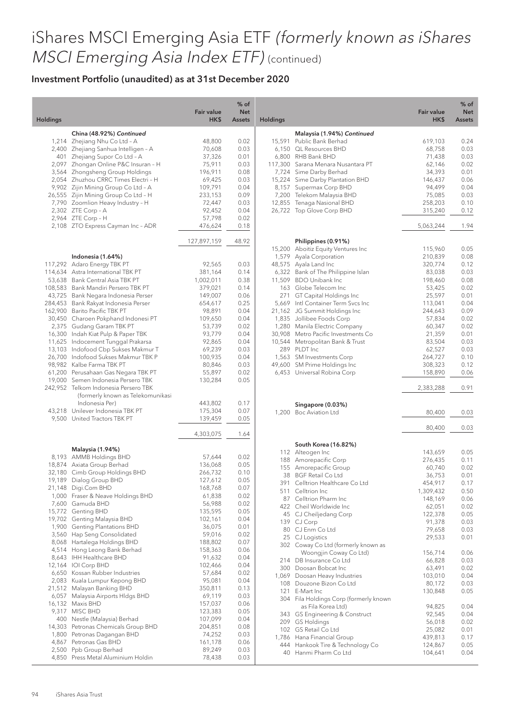|          |                                                                                                                 | <b>Fair value</b>    | $%$ of<br><b>Net</b> |                 |                                                              | <b>Fair value</b> | % of<br><b>Net</b> |
|----------|-----------------------------------------------------------------------------------------------------------------|----------------------|----------------------|-----------------|--------------------------------------------------------------|-------------------|--------------------|
| Holdings |                                                                                                                 | HK\$                 | <b>Assets</b>        | <b>Holdings</b> |                                                              | HK\$              | <b>Assets</b>      |
|          | China (48.92%) Continued                                                                                        |                      |                      |                 | Malaysia (1.94%) Continued                                   |                   |                    |
|          | 1,214 Zhejiang Nhu Co Ltd - A                                                                                   | 48,800               | 0.02                 |                 | 15,591 Public Bank Berhad                                    | 619,103           | 0.24               |
|          | 2,400 Zhejiang Sanhua Intelligen - A                                                                            | 70,608               | 0.03                 |                 | 6.150 QL Resources BHD                                       | 68,758            | 0.03               |
|          | 401 Zhejiang Supor Co Ltd - A                                                                                   | 37,326               | 0.01                 |                 | 6,800 RHB Bank BHD                                           | 71,438            | 0.03               |
|          | 2,097 Zhongan Online P&C Insuran - H                                                                            | 75,911               | 0.03                 |                 | 117,300 Sarana Menara Nusantara PT                           | 62,146            | 0.02               |
|          | 3,564 Zhongsheng Group Holdings                                                                                 | 196,911              | 0.08                 |                 | 7,724 Sime Darby Berhad                                      | 34,393            | 0.01               |
|          | 2,054 Zhuzhou CRRC Times Electri - H                                                                            | 69,425               | 0.03                 |                 | 15,224 Sime Darby Plantation BHD                             | 146,437           | 0.06               |
|          | 9,902 Zijin Mining Group Co Ltd - A                                                                             | 109,791              | 0.04                 |                 | 8,157 Supermax Corp BHD                                      | 94,499            | 0.04               |
|          | 26,555 Zijin Mining Group Co Ltd - H                                                                            | 233,153              | 0.09                 |                 | 7,200 Telekom Malaysia BHD                                   | 75,085            | 0.03               |
|          | 7,790 Zoomlion Heavy Industry - H                                                                               | 72,447               | 0.03                 |                 | 12,855 Tenaga Nasional BHD                                   | 258,203           | 0.10               |
|          | 2,302 ZTE Corp - A                                                                                              | 92,452               | 0.04                 |                 | 26,722 Top Glove Corp BHD                                    | 315,240           | 0.12               |
|          | 2,964 ZTE Corp - H                                                                                              | 57,798<br>476,624    | 0.02<br>0.18         |                 |                                                              |                   |                    |
|          | 2,108 ZTO Express Cayman Inc - ADR                                                                              |                      |                      |                 |                                                              | 5,063,244         | 1.94               |
|          |                                                                                                                 | 127,897,159          | 48.92                |                 | Philippines (0.91%)                                          |                   |                    |
|          |                                                                                                                 |                      |                      |                 | 15,200 Aboitiz Equity Ventures Inc                           | 115,960           | 0.05               |
|          | Indonesia (1.64%)                                                                                               |                      |                      |                 | 1,579 Ayala Corporation                                      | 210,839           | 0.08               |
|          | 117,292 Adaro Energy TBK PT                                                                                     | 92,565               | 0.03                 |                 | 48,575 Ayala Land Inc                                        | 320,774           | 0.12               |
|          | 114,634 Astra International TBK PT                                                                              | 381,164              | 0.14                 |                 | 6,322 Bank of The Philippine Islan<br>11,509 BDO Unibank Inc | 83,038            | 0.03               |
|          | 53,638 Bank Central Asia TBK PT<br>108,583 Bank Mandiri Persero TBK PT                                          | 1,002,011<br>379,021 | 0.38<br>0.14         |                 | 163 Globe Telecom Inc                                        | 198,460<br>53,425 | 0.08<br>0.02       |
|          | 43,725 Bank Negara Indonesia Perser                                                                             | 149,007              | 0.06                 |                 | 271 GT Capital Holdings Inc                                  | 25,597            | 0.01               |
|          | 284,453 Bank Rakyat Indonesia Perser                                                                            | 654,617              | 0.25                 |                 | 5,669 Intl Container Term Svcs Inc                           | 113,041           | 0.04               |
|          | 162,900 Barito Pacific TBK PT                                                                                   | 98,891               | 0.04                 |                 | 21,162 JG Summit Holdings Inc                                | 244,643           | 0.09               |
|          | 30,450 Charoen Pokphand Indonesi PT                                                                             | 109,650              | 0.04                 |                 | 1,835 Jollibee Foods Corp                                    | 57,834            | 0.02               |
|          | 2,375 Gudang Garam TBK PT                                                                                       | 53,739               | 0.02                 |                 | 1,280 Manila Electric Company                                | 60,347            | 0.02               |
|          | 16,300 Indah Kiat Pulp & Paper TBK                                                                              | 93,779               | 0.04                 |                 | 30,908 Metro Pacific Investments Co                          | 21,359            | 0.01               |
|          | 11,625 Indocement Tunggal Prakarsa                                                                              | 92,865               | 0.04                 |                 | 10,544 Metropolitan Bank & Trust                             | 83,504            | 0.03               |
|          | 13,103 Indofood Cbp Sukses Makmur T                                                                             | 69,239               | 0.03                 |                 | 289 PLDT Inc                                                 | 62,527            | 0.03               |
|          | 26,700 Indofood Sukses Makmur TBK P                                                                             | 100,935              | 0.04                 |                 | 1,563 SM Investments Corp                                    | 264,727           | 0.10               |
|          | 98,982 Kalbe Farma TBK PT                                                                                       | 80,846               | 0.03                 |                 | 49,600 SM Prime Holdings Inc                                 | 308,323           | 0.12               |
|          | 61,200 Perusahaan Gas Negara TBK PT                                                                             | 55,897               | 0.02                 |                 | 6,453 Universal Robina Corp                                  | 158,890           | 0.06               |
|          | 19,000 Semen Indonesia Persero TBK<br>242,952 Telkom Indonesia Persero TBK<br>(formerly known as Telekomunikasi | 130,284              | 0.05                 |                 |                                                              | 2,383,288         | 0.91               |
|          | Indonesia Per)                                                                                                  | 443,802              | 0.17                 |                 |                                                              |                   |                    |
|          | 43,218 Unilever Indonesia TBK PT                                                                                | 175,304              | 0.07                 |                 | Singapore (0.03%)<br>1,200 Boc Aviation Ltd                  | 80,400            | 0.03               |
|          | 9,500 United Tractors TBK PT                                                                                    | 139,459              | 0.05                 |                 |                                                              |                   |                    |
|          |                                                                                                                 |                      |                      |                 |                                                              | 80,400            | 0.03               |
|          |                                                                                                                 | 4,303,075            | 1.64                 |                 |                                                              |                   |                    |
|          | Malaysia (1.94%)                                                                                                |                      |                      |                 | South Korea (16.82%)<br>112 Alteogen Inc                     | 143,659           | 0.05               |
|          | 8,193 AMMB Holdings BHD                                                                                         | 57,644               | 0.02                 |                 | 188 Amorepacific Corp                                        | 276,435           | 0.11               |
|          | 18,874 Axiata Group Berhad                                                                                      | 136,068              | 0.05                 |                 | 155 Amorepacific Group                                       | 60,740            | 0.02               |
|          | 32,180 Cimb Group Holdings BHD                                                                                  | 266,732              | 0.10                 |                 | 38 BGF Retail Co Ltd                                         | 36,753            | 0.01               |
|          | 19,189 Dialog Group BHD                                                                                         | 127,612              | 0.05                 |                 | 391 Celltrion Healthcare Co Ltd                              | 454,917           | 0.17               |
|          | 21,148 Digi.Com BHD                                                                                             | 168,768              | 0.07                 |                 | 511 Celltrion Inc                                            | 1,309,432         | 0.50               |
|          | 1,000 Fraser & Neave Holdings BHD                                                                               | 61,838               | 0.02                 |                 | 87 Celltrion Pharm Inc                                       | 148,169           | 0.06               |
|          | 7,600 Gamuda BHD                                                                                                | 56,988               | 0.02                 |                 | 422 Cheil Worldwide Inc                                      | 62,051            | 0.02               |
|          | 15,772 Genting BHD<br>19,702 Genting Malaysia BHD                                                               | 135,595              | 0.05<br>0.04         |                 | 45 CJ Cheiljedang Corp                                       | 122,378           | 0.05               |
|          | 1,900 Genting Plantations BHD                                                                                   | 102,161<br>36,075    | 0.01                 |                 | 139 CJ Corp                                                  | 91,378            | 0.03               |
|          | 3,560 Hap Seng Consolidated                                                                                     | 59,016               | 0.02                 |                 | 80 CJ Enm Co Ltd                                             | 79,658            | 0.03               |
|          | 8,068 Hartalega Holdings BHD                                                                                    | 188,802              | 0.07                 |                 | 25 CJ Logistics                                              | 29,533            | 0.01               |
|          | 4,514 Hong Leong Bank Berhad                                                                                    | 158,363              | 0.06                 |                 | 302 Coway Co Ltd (formerly known as                          |                   |                    |
|          | 8,643 IHH Healthcare BHD                                                                                        | 91,632               | 0.04                 |                 | Woongjin Coway Co Ltd)                                       | 156,714           | 0.06               |
|          | 12,164 IOI Corp BHD                                                                                             | 102,466              | 0.04                 |                 | 214 DB Insurance Co Ltd                                      | 66,828            | 0.03               |
|          | 6,650 Kossan Rubber Industries                                                                                  | 57,684               | 0.02                 |                 | 300 Doosan Bobcat Inc<br>1,069 Doosan Heavy Industries       | 63,491<br>103,010 | 0.02<br>0.04       |
|          | 2,083 Kuala Lumpur Kepong BHD                                                                                   | 95,081               | 0.04                 |                 | 108 Douzone Bizon Co Ltd                                     | 80,172            | 0.03               |
|          | 21,512 Malayan Banking BHD                                                                                      | 350,811              | 0.13                 |                 | 121 E-Mart Inc                                               | 130,848           | 0.05               |
|          | 6,057 Malaysia Airports Hldgs BHD                                                                               | 69,119               | 0.03                 |                 | 304 Fila Holdings Corp (formerly known                       |                   |                    |
|          | 16,132 Maxis BHD                                                                                                | 157,037              | 0.06                 |                 | as Fila Korea Ltd)                                           | 94,825            | 0.04               |
|          | 9,317 MISC BHD                                                                                                  | 123,383              | 0.05                 |                 | 343 GS Engineering & Construct                               | 92,545            | 0.04               |
|          | 400 Nestle (Malaysia) Berhad                                                                                    | 107,099              | 0.04                 |                 | 209 GS Holdings                                              | 56,018            | 0.02               |
|          | 14,303 Petronas Chemicals Group BHD                                                                             | 204,851              | 0.08                 |                 | 102 GS Retail Co Ltd                                         | 25,082            | 0.01               |
|          | 1,800 Petronas Dagangan BHD                                                                                     | 74,252               | 0.03                 |                 | 1,786 Hana Financial Group                                   | 439,813           | 0.17               |
|          | 4,867 Petronas Gas BHD                                                                                          | 161,178              | 0.06                 |                 | 444 Hankook Tire & Technology Co                             | 124,867           | 0.05               |
|          | 2,500 Ppb Group Berhad<br>4,850 Press Metal Aluminium Holdin                                                    | 89,249<br>78,438     | 0.03<br>0.03         |                 | 40 Hanmi Pharm Co Ltd                                        | 104,641           | 0.04               |
|          |                                                                                                                 |                      |                      |                 |                                                              |                   |                    |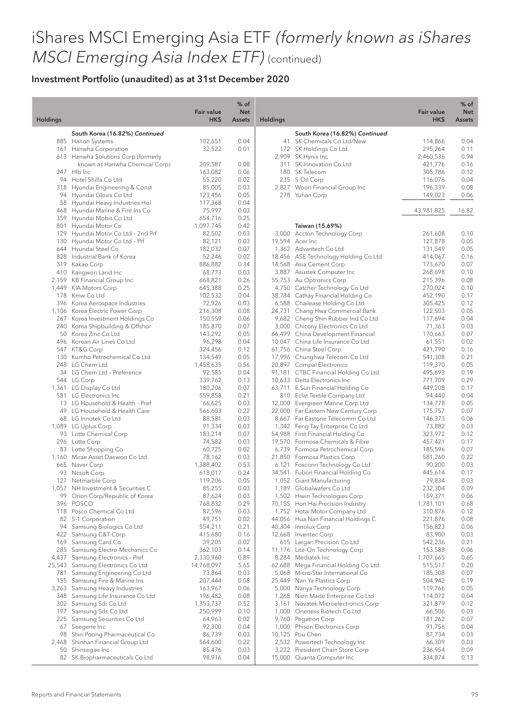|                 |                                                                       | <b>Fair value</b>    | $%$ of<br><b>Net</b> |                 |                                                                        | <b>Fair value</b>    | $%$ of<br><b>Net</b> |
|-----------------|-----------------------------------------------------------------------|----------------------|----------------------|-----------------|------------------------------------------------------------------------|----------------------|----------------------|
| <b>Holdings</b> |                                                                       | HK\$                 | <b>Assets</b>        | <b>Holdings</b> |                                                                        | HK\$                 | Assets               |
|                 | South Korea (16.82%) Continued                                        |                      |                      |                 | South Korea (16.82%) Continued                                         |                      |                      |
|                 | 885 Hanon Systems                                                     | 102,651              | 0.04                 |                 | 41 SK Chemicals Co Ltd/New                                             | 114,866              | 0.04                 |
|                 | 161 Hanwha Corporation                                                | 32,522               | 0.01                 |                 | 172 SK Holdings Co Ltd                                                 | 295,264              | 0.11                 |
|                 | 613 Hanwha Solutions Corp (formerly<br>known as Hanwha Chemical Corp) | 209,587              | 0.08                 |                 | 2,909 SK Hynix Inc<br>311 SK Innovation Co Ltd                         | 2,460,536<br>421,776 | 0.94<br>0.16         |
|                 | 247 Hlb Inc                                                           | 163,082              | 0.06                 |                 | 180 SK Telecom                                                         | 305,786              | 0.12                 |
|                 | 94 Hotel Shilla Co Ltd                                                | 55,220               | 0.02                 |                 | 235 S-Oil Corp                                                         | 116,076              | 0.04                 |
|                 | 318 Hyundai Engineering & Const                                       | 85,005               | 0.03                 |                 | 2,827 Woori Financial Group Inc                                        | 196,339              | 0.08                 |
|                 | 94 Hyundai Glovis Co Ltd                                              | 123,456              | 0.05                 |                 | 278 Yuhan Corp                                                         | 149,023              | 0.06                 |
|                 | 58 Hyundai Heavy Industries Hol                                       | 117,368              | 0.04                 |                 |                                                                        |                      |                      |
|                 | 468 Hyundai Marine & Fire Ins Co                                      | 75,997               | 0.03                 |                 |                                                                        | 43,981,825           | 16.82                |
|                 | 359 Hyundai Mobis Co Ltd                                              | 654,716              | 0.25                 |                 |                                                                        |                      |                      |
| 801             | Hyundai Motor Co<br>129 Hyundai Motor Co Ltd - 2nd Prf                | 1,097,745            | 0.42<br>0.03         |                 | Taiwan (15.69%)                                                        |                      |                      |
|                 | 130 Hyundai Motor Co Ltd - Prf                                        | 82,502<br>82,121     | 0.03                 |                 | 3,000 Accton Technology Corp<br>19,594 Acer Inc                        | 261,608<br>127,878   | 0.10<br>0.05         |
|                 | 644 Hyundai Steel Co                                                  | 182,032              | 0.07                 |                 | 1,362 Advantech Co Ltd                                                 | 131,549              | 0.05                 |
|                 | 828 Industrial Bank of Korea                                          | 52,246               | 0.02                 |                 | 18,456 ASE Technology Holding Co Ltd                                   | 414,067              | 0.16                 |
|                 | 319 Kakao Corp                                                        | 886,882              | 0.34                 |                 | 14,568 Asia Cement Corp                                                | 173,670              | 0.07                 |
|                 | 410 Kangwon Land Inc                                                  | 68,773               | 0.03                 |                 | 3,887 Asustek Computer Inc                                             | 268,698              | 0.10                 |
|                 | 2,159 KB Financial Group Inc                                          | 668,821              | 0.26                 |                 | 55,753 Au Optronics Corp                                               | 215,396              | 0.08                 |
|                 | 1,449 KIA Motors Corp                                                 | 645,388              | 0.25                 |                 | 4,750 Catcher Technology Co Ltd                                        | 270,024              | 0.10                 |
|                 | 178 Kmw Co Ltd                                                        | 102,532              | 0.04                 |                 | 38,784 Cathay Financial Holding Co                                     | 452,190              | 0.17                 |
|                 | 396 Korea Aerospace Industries                                        | 72,926               | 0.03                 |                 | 6,588 Chailease Holding Co Ltd                                         | 305,425              | 0.12                 |
|                 | 1,106 Korea Electric Power Corp<br>267 Korea Investment Holdings Co   | 216,308<br>150,559   | 0.08<br>0.06         |                 | 24,731 Chang Hwa Commercial Bank<br>9,682 Cheng Shin Rubber Ind Co Ltd | 122,503<br>117,694   | 0.05<br>0.04         |
|                 | 240 Korea Shipbuilding & Offshor                                      | 185,870              | 0.07                 |                 | 3,000 Chicony Electronics Co Ltd                                       | 71,363               | 0.03                 |
|                 | 50 Korea Zinc Co Ltd                                                  | 143,292              | 0.05                 |                 | 66,499 China Development Financial                                     | 170,663              | 0.07                 |
|                 | 496 Korean Air Lines Co Ltd                                           | 96,298               | 0.04                 |                 | 10,047 China Life Insurance Co Ltd                                     | 61,551               | 0.02                 |
|                 | 547 KT&G Corp                                                         | 324,456              | 0.12                 |                 | 61,756 China Steel Corp                                                | 421,790              | 0.16                 |
|                 | 130 Kumho Petrochemical Co Ltd                                        | 134,549              | 0.05                 |                 | 17,996 Chunghwa Telecom Co Ltd                                         | 541,308              | 0.21                 |
|                 | 248 LG Chem Ltd                                                       | 1,458,635            | 0.56                 |                 | 20,897 Compal Electronics                                              | 119,370              | 0.05                 |
|                 | 34 LG Chem Ltd - Preference                                           | 92,585               | 0.04                 |                 | 91,181 CTBC Financial Holding Co Ltd                                   | 495,693              | 0.19                 |
|                 | 544 LG Corp                                                           | 339,762              | 0.13                 |                 | 10,633 Delta Electronics Inc                                           | 771,709              | 0.29                 |
|                 | 1,361 LG Display Co Ltd<br>581 LG Electronics Inc                     | 180,206<br>559,858   | 0.07<br>0.21         |                 | 63,711 E.Sun Financial Holding Co                                      | 449,208<br>94,440    | 0.17<br>0.04         |
|                 | 13 LG Household & Health - Pref                                       | 66,625               | 0.03                 |                 | 810 Eclat Textile Company Ltd<br>12,000 Evergreen Marine Corp Ltd      | 134,778              | 0.05                 |
|                 | 49 LG Household & Health Care                                         | 566,603              | 0.22                 |                 | 22,000 Far Eastern New Century Corp                                    | 175,757              | 0.07                 |
|                 | 68 LG Innotek Co Ltd                                                  | 88,581               | 0.03                 |                 | 8,667 Far Eastone Telecomm Co Ltd                                      | 146,373              | 0.06                 |
|                 | 1,089 LG Uplus Corp                                                   | 91,334               | 0.03                 |                 | 1,342 Feng Tay Enterprise Co Ltd                                       | 73,882               | 0.03                 |
|                 | 93 Lotte Chemical Corp                                                | 183,214              | 0.07                 |                 | 54,988 First Financial Holding Co                                      | 323,972              | 0.12                 |
|                 | 296 Lotte Corp                                                        | 74,582               | 0.03                 |                 | 19,570 Formosa Chemicals & Fibre                                       | 457,421              | 0.17                 |
|                 | 83 Lotte Shopping Co                                                  | 60,725               | 0.02                 |                 | 6,739 Formosa Petrochemical Corp                                       | 185,596              | 0.07                 |
|                 | 1,160 Mirae Asset Daewoo Co Ltd                                       | 78,162               | 0.03                 |                 | 21,850 Formosa Plastics Corp                                           | 581,260              | 0.22                 |
|                 | 665 Naver Corp<br>93 Ncsoft Corp                                      | 1,388,402<br>618,017 | 0.53<br>0.24         |                 | 6,121 Foxconn Technology Co Ltd<br>34,541 Fubon Financial Holding Co   | 90,200<br>445,614    | 0.03<br>0.17         |
|                 | 127 Netmarble Corp                                                    | 119,206              | 0.05                 |                 | 1,052 Giant Manufacturing                                              | 79,834               | 0.03                 |
|                 | 1,057 NH Investment & Securities C                                    | 85,255               | 0.03                 |                 | 1,189 Globalwafers Co Ltd                                              | 232,304              | 0.09                 |
|                 | 99 Orion Corp/Republic of Korea                                       | 87,624               | 0.03                 |                 | 1,502 Hiwin Technologies Corp                                          | 159,371              | 0.06                 |
|                 | 396 POSCO                                                             | 768,832              | 0.29                 |                 | 70,155 Hon Hai Precision Industry                                      | 1,781,101            | 0.68                 |
|                 | 118 Posco Chemical Co Ltd                                             | 87,596               | 0.03                 |                 | 1,752 Hotai Motor Company Ltd                                          | 310,876              | 0.12                 |
|                 | 82 S-1 Corporation                                                    | 49,751               | 0.02                 |                 | 44,056 Hua Nan Financial Holdings C                                    | 221,876              | 0.08                 |
|                 | 94 Samsung Biologics Co Ltd                                           | 554,211              | 0.21                 |                 | 40,304 Innolux Corp                                                    | 156,823              | 0.06                 |
|                 | 422 Samsung C&T Corp                                                  | 415,680              | 0.16                 |                 | 12,668 Inventec Corp<br>615 Largan Precision Co Ltd                    | 83,900               | 0.03                 |
|                 | 169 Samsung Card Co<br>285 Samsung Electro-Mechanics Co               | 39,205<br>362,103    | 0.02<br>0.14         |                 | 11,176 Lite-On Technology Corp                                         | 542,236<br>153,588   | 0.21<br>0.06         |
|                 | 4,437 Samsung Electronics - Pref                                      | 2,330,960            | 0.89                 |                 | 8,284 Mediatek Inc                                                     | 1,707,665            | 0.65                 |
|                 | 25,543 Samsung Electronics Co Ltd                                     | 14,768,097           | 5.65                 |                 | 62,688 Mega Financial Holding Co Ltd                                   | 515,517              | 0.20                 |
|                 | 781 Samsung Engineering Co Ltd                                        | 73,864               | 0.03                 |                 | 5,068 Micro-Star International Co                                      | 185,308              | 0.07                 |
|                 | 155 Samsung Fire & Marine Ins                                         | 207,444              | 0.08                 |                 | 25,449 Nan Ya Plastics Corp                                            | 504,942              | 0.19                 |
|                 | 3,263 Samsung Heavy Industries                                        | 163,967              | 0.06                 |                 | 5,000 Nanya Technology Corp                                            | 119,766              | 0.05                 |
|                 | 348 Samsung Life Insurance Co Ltd                                     | 196,482              | 0.08                 |                 | 1,268 Nien Made Enterprise Co Ltd                                      | 114,072              | 0.04                 |
|                 | 302 Samsung Sdi Co Ltd                                                | 1,353,737            | 0.52                 |                 | 3,161 Novatek Microelectronics Corp                                    | 321,879              | 0.12                 |
|                 | 197 Samsung Sds Co Ltd                                                | 250,999              | 0.10                 |                 | 1,000 Oneness Biotech Co Ltd                                           | 66,506               | 0.03                 |
| 67              | 225 Samsung Securities Co Ltd<br>Seegene Inc                          | 64,963<br>92,300     | 0.02<br>0.04         |                 | 9,760 Pegatron Corp<br>1,000 Phison Electronics Corp                   | 181,262<br>91,756    | 0.07<br>0.04         |
|                 | 98 Shin Poong Pharmaceutical Co                                       | 86,739               | 0.03                 |                 | 10,125 Pou Chen                                                        | 87,734               | 0.03                 |
| 2,468           | Shinhan Financial Group Ltd                                           | 564,600              | 0.22                 |                 | 2,532 Powertech Technology Inc                                         | 66,309               | 0.03                 |
|                 | 50 Shinsegae Inc                                                      | 85,476               | 0.03                 |                 | 3,222 President Chain Store Corp                                       | 236,954              | 0.09                 |
|                 | 82 SK Biopharmaceuticals Co Ltd                                       | 98,916               | 0.04                 |                 | 15,000 Quanta Computer Inc                                             | 334,874              | 0.13                 |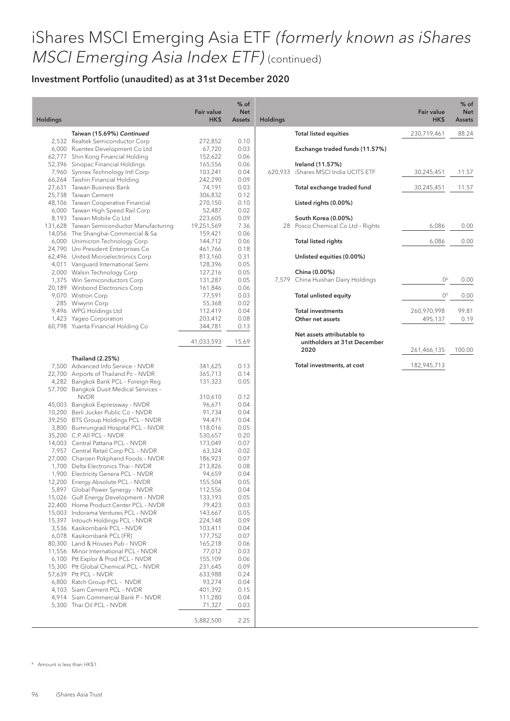Holdi

#### Investment Portfolio (unaudited) as at 31st December 2020

| Holdings         |                                                                | <b>Fair value</b><br>HK\$ | $%$ of<br><b>Net</b><br><b>Assets</b> |
|------------------|----------------------------------------------------------------|---------------------------|---------------------------------------|
|                  | Taiwan (15.69%) Continued                                      |                           |                                       |
| 2,532            | Realtek Semiconductor Corp                                     | 272,852                   | 0.10                                  |
| 6,000            | Ruentex Development Co Ltd                                     | 67,720                    | 0.03                                  |
| 62,777           | Shin Kong Financial Holding                                    | 152,622                   | 0.06                                  |
| 52,396           | Sinopac Financial Holdings                                     | 165,556                   | 0.06                                  |
| 7,960            | Synnex Technology Intl Corp                                    | 103,241                   | 0.04                                  |
| 66,264           | Taishin Financial Holding                                      | 242,290                   | 0.09                                  |
| 27,631           | Taiwan Business Bank                                           | 74,191                    | 0.03                                  |
| 25,738           | Taiwan Cement                                                  | 306,832                   | 0.12                                  |
| 48,106           | Taiwan Cooperative Financial                                   | 270,150                   | 0.10                                  |
| 6,000            | Taiwan High Speed Rail Corp                                    | 52,487                    | 0.02                                  |
| 8,193            | Taiwan Mobile Co Ltd                                           | 223,605                   | 0.09                                  |
| 131,628          | Taiwan Semiconductor Manufacturing                             | 19,251,569                | 7.36                                  |
| 14,056           | The Shanghai Commercial & Sa                                   | 159,421                   | 0.06                                  |
| 6,000<br>24,790  | Unimicron Technology Corp                                      | 144,712                   | 0.06<br>0.18                          |
| 62,496           | Uni-President Enterprises Co<br>United Microelectronics Corp   | 461,766<br>813,160        | 0.31                                  |
| 4,011            | Vanquard International Semi                                    | 128,396                   | 0.05                                  |
| 2,000            | Walsin Technology Corp                                         | 127,216                   | 0.05                                  |
| 1,375            | Win Semiconductors Corp                                        | 131,287                   | 0.05                                  |
| 20,189           | Winbond Electronics Corp                                       | 161,846                   | 0.06                                  |
| 9,070            | Wistron Corp                                                   | 77,591                    | 0.03                                  |
| 285              | Wiwynn Corp                                                    | 55,368                    | 0.02                                  |
| 9,496            | WPG Holdings Ltd                                               | 112,419                   | 0.04                                  |
| 1,423            | Yageo Corporation                                              | 203,412                   | 0.08                                  |
| 60,798           | Yuanta Financial Holding Co                                    | 344,781                   | 0.13                                  |
|                  |                                                                | 41,033,593                | 15.69                                 |
|                  | Thailand (2.25%)                                               |                           |                                       |
| 7,500            | Advanced Info Service - NVDR                                   | 341,625                   | 0.13                                  |
| 22,700           | Airports of Thailand Pc - NVDR                                 | 365,713                   | 0.14                                  |
| 4,282            | Bangkok Bank PCL - Foreign Reg                                 | 131,323                   | 0.05                                  |
| 57,700           | Bangkok Dusit Medical Services -                               |                           |                                       |
|                  | <b>NVDR</b>                                                    | 310,610                   | 0.12                                  |
| 45,003           | Bangkok Expressway - NVDR                                      | 96,671                    | 0.04                                  |
| 10,200           | Berli Jucker Public Co - NVDR                                  | 91,734                    | 0.04                                  |
| 39,250           | BTS Group Holdings PCL - NVDR                                  | 94,471                    | 0.04                                  |
| 3,800            | Bumrungrad Hospital PCL - NVDR                                 | 118,016                   | 0.05                                  |
| 35,200           | C.P. All PCL - NVDR                                            | 530,657                   | 0.20                                  |
| 14,003           | Central Pattana PCL - NVDR                                     | 173,049                   | 0.07                                  |
| 7,957            | Central Retail Corp PCL - NVDR                                 | 63,324                    | 0.02                                  |
| 27,000           | Charoen Pokphand Foods - NVDR                                  | 186,923                   | 0.07                                  |
| 1,700            | Delta Electronics Thai - NVDR                                  | 213,826                   | 0.08                                  |
| 1,900            | <b>Electricity Genera PCL - NVDR</b>                           | 94,659                    | 0.04                                  |
| 12,200           | Energy Absolute PCL - NVDR                                     | 155,504                   | 0.05                                  |
| 5,897            | Global Power Synergy - NVDR                                    | 112,556                   | 0.04                                  |
| 15,026           | Gulf Energy Development - NVDR                                 | 133,193                   | 0.05                                  |
| 22,400           | Home Product Center PCL - NVDR<br>Indorama Ventures PCL - NVDR | 79,423<br>143,667         | 0.03<br>0.05                          |
| 15,003<br>15,397 | Intouch Holdings PCL - NVDR                                    | 224,148                   | 0.09                                  |
| 3,536            | Kasikornbank PCL - NVDR                                        | 103,411                   | 0.04                                  |
| 6,078            | Kasikornbank PCL (FR)                                          | 177,752                   | 0.07                                  |
| 80,300           | Land & Houses Pub - NVDR                                       | 165,218                   | 0.06                                  |
| 11,556           | Minor International PCL - NVDR                                 | 77,012                    | 0.03                                  |
| 6,100            | Ptt Explor & Prod PCL - NVDR                                   | 155,109                   | 0.06                                  |
| 15,300           | Ptt Global Chemical PCL - NVDR                                 | 231,645                   | 0.09                                  |
| 57,639           | Ptt PCL - NVDR                                                 | 633,988                   | 0.24                                  |
| 6,800            | Ratch Group PCL - NVDR                                         | 93,274                    | 0.04                                  |
| 4,103            | Siam Cement PCL - NVDR                                         | 401,392                   | 0.15                                  |
| 4,914            | Siam Commercial Bank P - NVDR                                  | 111,280                   | 0.04                                  |
| 5,300            | Thai Oil PCL - NVDR                                            | 71,327                    | 0.03                                  |
|                  |                                                                | 5,882,500                 | 2.25                                  |

| Idings  |                                                                    | <b>Fair value</b><br>HK\$ | $%$ of<br><b>Net</b><br><b>Assets</b> |
|---------|--------------------------------------------------------------------|---------------------------|---------------------------------------|
|         | <b>Total listed equities</b>                                       | 230,719,461               | 88.24                                 |
|         | Exchange traded funds (11.57%)                                     |                           |                                       |
| 620,933 | Ireland (11.57%)<br>iShares MSCI India UCITS ETF                   | 30,245,451                | 11.57                                 |
|         | Total exchange traded fund                                         | 30,245,451                | 11.57                                 |
|         | Listed rights (0.00%)                                              |                           |                                       |
| 28      | South Korea (0.00%)<br>Posco Chemical Co Ltd - Rights              | 6,086                     | 0.00                                  |
|         | <b>Total listed rights</b>                                         | 6,086                     | 0.00                                  |
|         | Unlisted equities (0.00%)                                          |                           |                                       |
| 7,579   | China (0.00%)<br>China Huishan Dairy Holdings                      | 04                        | 0.00                                  |
|         | <b>Total unlisted equity</b>                                       | 04                        | 0.00                                  |
|         | <b>Total investments</b><br>Other net assets                       | 260,970,998<br>495,137    | 99.81<br>0.19                         |
|         | Net assets attributable to<br>unitholders at 31st December<br>2020 | 261,466,135               | 100.00                                |
|         | Total investments, at cost                                         | 182,945,713               |                                       |

 $^{\circ}$  Amount is less than HK\$1.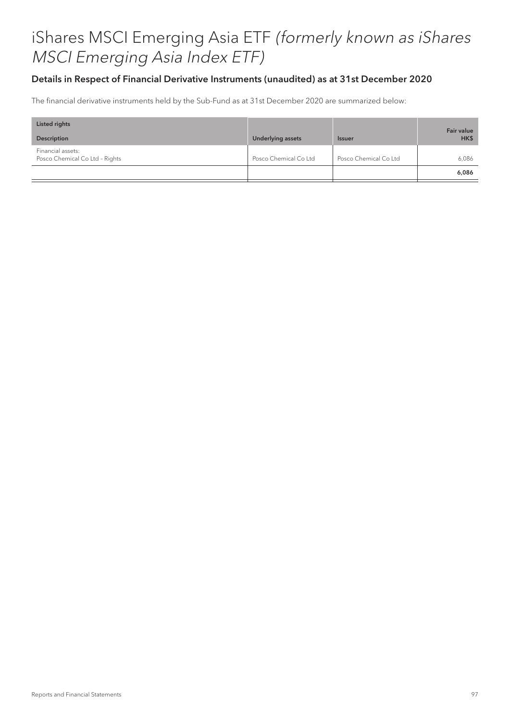#### Details in Respect of Financial Derivative Instruments (unaudited) as at 31st December 2020

The financial derivative instruments held by the Sub-Fund as at 31st December 2020 are summarized below:

| Listed rights                                       |                          |                       | <b>Fair value</b> |
|-----------------------------------------------------|--------------------------|-----------------------|-------------------|
| Description                                         | <b>Underlying assets</b> | <b>Issuer</b>         | HK\$              |
| Financial assets:<br>Posco Chemical Co Ltd - Rights | Posco Chemical Co Ltd    | Posco Chemical Co Ltd | 6.086             |
|                                                     |                          |                       | 6,086             |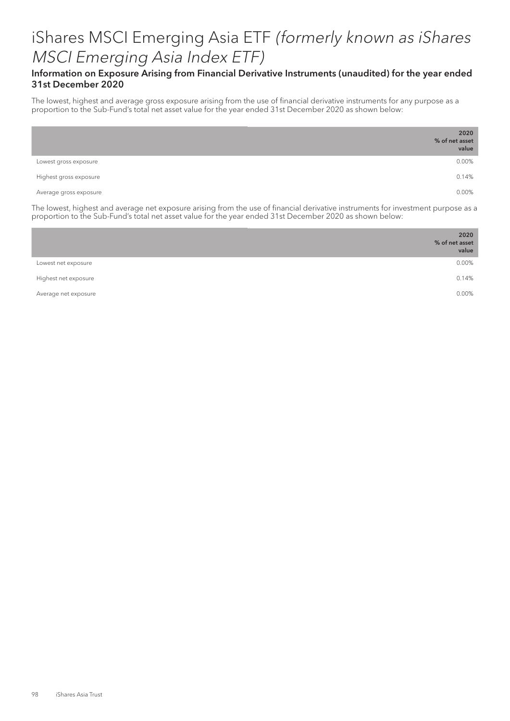#### Information on Exposure Arising from Financial Derivative Instruments (unaudited) for the year ended 31st December 2020

The lowest, highest and average gross exposure arising from the use of financial derivative instruments for any purpose as a proportion to the Sub-Fund's total net asset value for the year ended 31st December 2020 as shown below:

|                        | 2020<br>% of net asset<br>value |
|------------------------|---------------------------------|
| Lowest gross exposure  | 0.00%                           |
| Highest gross exposure | 0.14%                           |
| Average gross exposure | 0.00%                           |

The lowest, highest and average net exposure arising from the use of financial derivative instruments for investment purpose as a proportion to the Sub-Fund's total net asset value for the year ended 31st December 2020 as shown below:

|                      | 2020<br>% of net asset<br>value |
|----------------------|---------------------------------|
| Lowest net exposure  | 0.00%                           |
| Highest net exposure | 0.14%                           |
| Average net exposure | 0.00%                           |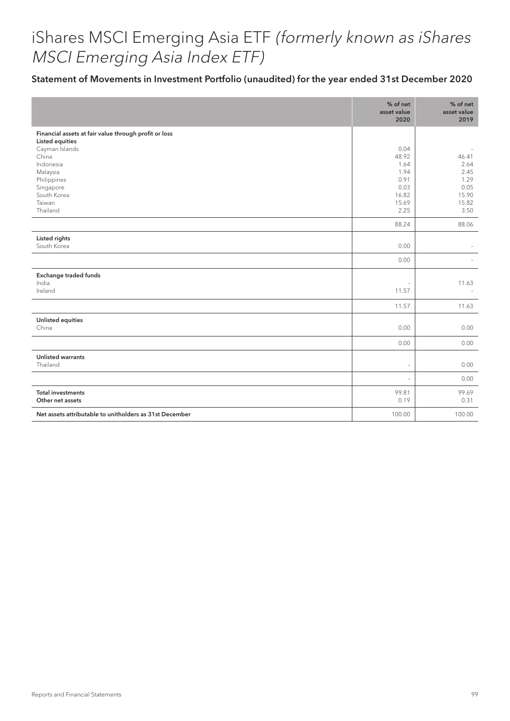### Statement of Movements in Investment Portfolio (unaudited) for the year ended 31st December 2020

|                                                                                                            | % of net<br>asset value<br>2020 | % of net<br>asset value<br>2019 |
|------------------------------------------------------------------------------------------------------------|---------------------------------|---------------------------------|
| Financial assets at fair value through profit or loss<br><b>Listed equities</b><br>Cayman Islands<br>China | 0.04<br>48.92                   | 46.41                           |
| Indonesia<br>Malaysia<br>Philippines                                                                       | 1.64<br>1.94<br>0.91            | 2.64<br>2.45<br>1.29            |
| Singapore<br>South Korea<br>Taiwan                                                                         | 0.03<br>16.82<br>15.69          | 0.05<br>15.90<br>15.82          |
| Thailand                                                                                                   | 2.25<br>88.24                   | 3.50<br>88.06                   |
| Listed rights<br>South Korea                                                                               | 0.00                            |                                 |
|                                                                                                            | 0.00                            |                                 |
| Exchange traded funds<br>India                                                                             | i.                              | 11.63                           |
| Ireland                                                                                                    | 11.57                           |                                 |
|                                                                                                            | 11.57                           | 11.63                           |
| <b>Unlisted equities</b><br>China                                                                          | 0.00                            | 0.00                            |
|                                                                                                            | 0.00                            | 0.00                            |
| <b>Unlisted warrants</b><br>Thailand                                                                       | $\overline{\phantom{a}}$        | 0.00                            |
|                                                                                                            | $\overline{\phantom{a}}$        | 0.00                            |
| <b>Total investments</b><br>Other net assets                                                               | 99.81<br>0.19                   | 99.69<br>0.31                   |
| Net assets attributable to unitholders as 31st December                                                    | 100.00                          | 100.00                          |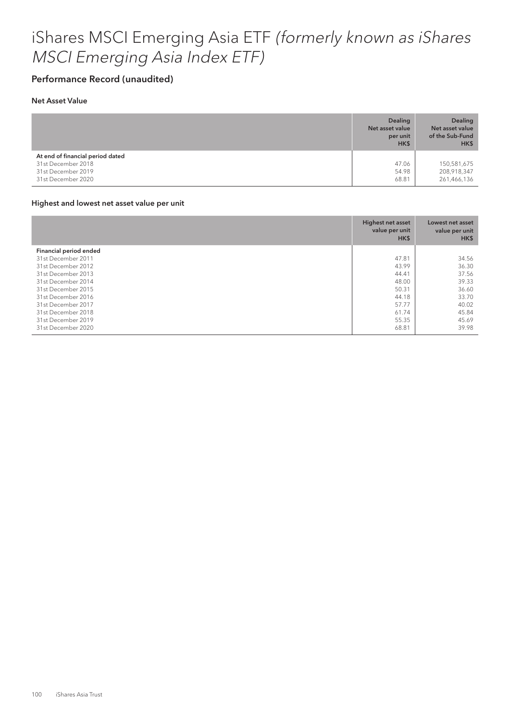### Performance Record (unaudited)

#### Net Asset Value

|                                                                              | <b>Dealing</b><br>Net asset value<br>per unit<br>HK\$ | <b>Dealing</b><br>Net asset value<br>of the Sub-Fund<br>HK\$ |
|------------------------------------------------------------------------------|-------------------------------------------------------|--------------------------------------------------------------|
| At end of financial period dated<br>31st December 2018<br>31st December 2019 | 47.06<br>54.98                                        | 150,581,675<br>208,918,347                                   |
| 31st December 2020                                                           | 68.81                                                 | 261,466,136                                                  |

#### Highest and lowest net asset value per unit

|                        | Highest net asset<br>value per unit<br>HK\$ | Lowest net asset<br>value per unit<br>HK\$ |
|------------------------|---------------------------------------------|--------------------------------------------|
| Financial period ended |                                             |                                            |
| 31st December 2011     | 47.81                                       | 34.56                                      |
| 31st December 2012     | 43.99                                       | 36.30                                      |
| 31st December 2013     | 44.41                                       | 37.56                                      |
| 31st December 2014     | 48.00                                       | 39.33                                      |
| 31st December 2015     | 50.31                                       | 36.60                                      |
| 31st December 2016     | 44.18                                       | 33.70                                      |
| 31st December 2017     | 57.77                                       | 40.02                                      |
| 31st December 2018     | 61.74                                       | 45.84                                      |
| 31st December 2019     | 55.35                                       | 45.69                                      |
| 31st December 2020     | 68.81                                       | 39.98                                      |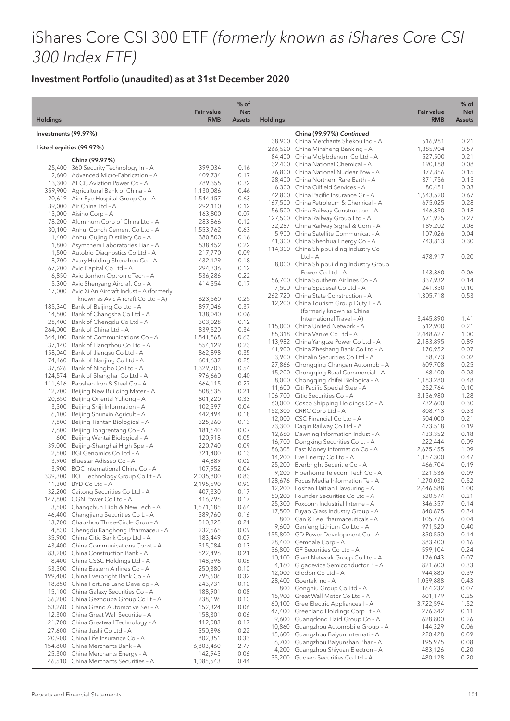# iShares Core CSI 300 ETF (formerly known as iShares Core CSI 300 Index ETF)

|                      |                                                                                        |                                 | % of                        |                 |                                                                                 |                                 | % of                 |
|----------------------|----------------------------------------------------------------------------------------|---------------------------------|-----------------------------|-----------------|---------------------------------------------------------------------------------|---------------------------------|----------------------|
| <b>Holdings</b>      |                                                                                        | <b>Fair value</b><br><b>RMB</b> | <b>Net</b><br><b>Assets</b> | <b>Holdings</b> |                                                                                 | <b>Fair value</b><br><b>RMB</b> | <b>Net</b><br>Assets |
| Investments (99.97%) |                                                                                        |                                 |                             |                 | China (99.97%) Continued                                                        |                                 |                      |
|                      |                                                                                        |                                 |                             |                 | 38,900 China Merchants Shekou Ind - A                                           | 516,981                         | 0.21                 |
|                      | Listed equities (99.97%)                                                               |                                 |                             |                 | 266,520 China Minsheng Banking - A                                              | 1,385,904                       | 0.57                 |
|                      | China (99.97%)                                                                         |                                 |                             |                 | 84,400 China Molybdenum Co Ltd - A<br>32,400 China National Chemical - A        | 527,500<br>190,188              | 0.21<br>0.08         |
|                      | 25,400 360 Security Technology In - A                                                  | 399,034                         | 0.16                        |                 | 76,800 China National Nuclear Pow - A                                           | 377,856                         | 0.15                 |
|                      | 2,600 Advanced Micro-Fabrication - A                                                   | 409,734                         | 0.17                        |                 | 28,400 China Northern Rare Earth - A                                            | 371,756                         | 0.15                 |
|                      | 13,300 AECC Aviation Power Co - A<br>359,900 Agricultural Bank of China - A            | 789,355<br>1,130,086            | 0.32<br>0.46                |                 | 6,300 China Oilfield Services - A                                               | 80,451                          | 0.03                 |
|                      | 20,619 Aier Eye Hospital Group Co - A                                                  | 1,544,157                       | 0.63                        |                 | 42,800 China Pacific Insurance Gr - A                                           | 1,643,520                       | 0.67                 |
|                      | 39,000 Air China Ltd - A                                                               | 292,110                         | 0.12                        |                 | 167,500 China Petroleum & Chemical - A<br>56,500 China Railway Construction - A | 675,025<br>446,350              | 0.28<br>0.18         |
|                      | 13,000 Aisino Corp - A                                                                 | 163,800                         | 0.07                        |                 | 127,500 China Railway Group Ltd - A                                             | 671,925                         | 0.27                 |
|                      | 78,200 Aluminum Corp of China Ltd - A                                                  | 283,866                         | 0.12                        |                 | 32,287 China Railway Signal & Com - A                                           | 189,202                         | 0.08                 |
|                      | 30,100 Anhui Conch Cement Co Ltd - A<br>1,400 Anhui Gujing Distillery Co - A           | 1,553,762<br>380,800            | 0.63<br>0.16                |                 | 5,900 China Satellite Communicat - A                                            | 107,026                         | 0.04                 |
|                      | 1,800 Asymchem Laboratories Tian - A                                                   | 538,452                         | 0.22                        |                 | 41,300 China Shenhua Energy Co - A                                              | 743,813                         | 0.30                 |
|                      | 1,500 Autobio Diagnostics Co Ltd - A                                                   | 217,770                         | 0.09                        |                 | 114,300 China Shipbuilding Industry Co                                          |                                 |                      |
|                      | 8,700 Avary Holding Shenzhen Co - A                                                    | 432,129                         | 0.18                        |                 | $Ltd - A$<br>8,000 China Shipbuilding Industry Group                            | 478,917                         | 0.20                 |
|                      | 67,200 Avic Capital Co Ltd - A                                                         | 294,336                         | 0.12                        |                 | Power Co Ltd - A                                                                | 143,360                         | 0.06                 |
|                      | 6,850 Avic Jonhon Optronic Tech - A                                                    | 536,286                         | 0.22                        |                 | 56,700 China Southern Airlines Co - A                                           | 337,932                         | 0.14                 |
|                      | 5,300 Avic Shenyang Aircraft Co - A<br>17,000 Avic Xi'An Aircraft Indust - A (formerly | 414,354                         | 0.17                        |                 | 7,500 China Spacesat Co Ltd - A                                                 | 241,350                         | 0.10                 |
|                      | known as Avic Aircraft Co Ltd - A)                                                     | 623,560                         | 0.25                        |                 | 262,720 China State Construction - A                                            | 1,305,718                       | 0.53                 |
|                      | 185,340 Bank of Beijing Co Ltd - A                                                     | 897,046                         | 0.37                        |                 | 12,200 China Tourism Group Duty F - A                                           |                                 |                      |
|                      | 14,500 Bank of Changsha Co Ltd - A                                                     | 138,040                         | 0.06                        |                 | (formerly known as China<br>International Travel - A)                           | 3,445,890                       | 1.41                 |
|                      | 28,400 Bank of Chengdu Co Ltd - A                                                      | 303,028                         | 0.12                        |                 | 115,000 China United Network - A                                                | 512,900                         | 0.21                 |
|                      | 264,000 Bank of China Ltd - A                                                          | 839,520                         | 0.34                        |                 | 85,318 China Vanke Co Ltd - A                                                   | 2,448,627                       | 1.00                 |
|                      | 344,100 Bank of Communications Co - A<br>37,140 Bank of Hangzhou Co Ltd - A            | 1,541,568<br>554,129            | 0.63<br>0.23                |                 | 113,982 China Yangtze Power Co Ltd - A                                          | 2,183,895                       | 0.89                 |
|                      | 158,040 Bank of Jiangsu Co Ltd - A                                                     | 862,898                         | 0.35                        |                 | 41,900 China Zheshang Bank Co Ltd - A                                           | 170,952                         | 0.07                 |
|                      | 74,460 Bank of Nanjing Co Ltd - A                                                      | 601,637                         | 0.25                        |                 | 3,900 Chinalin Securities Co Ltd - A                                            | 58,773                          | 0.02                 |
|                      | 37,626 Bank of Ningbo Co Ltd - A                                                       | 1,329,703                       | 0.54                        |                 | 27,866 Chongqing Changan Automob - A<br>15,200 Chongqing Rural Commercial - A   | 609,708<br>68,400               | 0.25<br>0.03         |
|                      | 124,574 Bank of Shanghai Co Ltd - A                                                    | 976,660                         | 0.40                        |                 | 8,000 Chongqing Zhifei Biologica - A                                            | 1,183,280                       | 0.48                 |
|                      | 111,616 Baoshan Iron & Steel Co - A                                                    | 664,115                         | 0.27<br>0.21                |                 | 11,600 Citi Pacific Special Stee - A                                            | 252,764                         | 0.10                 |
|                      | 12,700 Beijing New Building Mater - A<br>20,650 Beijing Oriental Yuhong - A            | 508,635<br>801,220              | 0.33                        |                 | 106,700 Citic Securities Co - A                                                 | 3,136,980                       | 1.28                 |
| 3,300                | Beijing Shiji Information - A                                                          | 102,597                         | 0.04                        |                 | 60,000 Cosco Shipping Holdings Co - A                                           | 732,600                         | 0.30                 |
|                      | 6,100 Beijing Shunxin Agricult - A                                                     | 442,494                         | 0.18                        |                 | 152,300 CRRC Corp Ltd - A<br>12,000 CSC Financial Co Ltd - A                    | 808,713<br>504,000              | 0.33<br>0.21         |
| 7,800                | Beijing Tiantan Biological - A                                                         | 325,260                         | 0.13                        |                 | 73,300 Daqin Railway Co Ltd - A                                                 | 473,518                         | 0.19                 |
|                      | 7,600 Beijing Tongrentang Co - A                                                       | 181,640                         | 0.07                        |                 | 12,660 Dawning Information Indust - A                                           | 433,352                         | 0.18                 |
|                      | 600 Beijing Wantai Biological - A<br>39,000 Beijing-Shanghai High Spe - A              | 120,918<br>220,740              | 0.05<br>0.09                |                 | 16,700 Dongxing Securities Co Lt - A                                            | 222,444                         | 0.09                 |
|                      | 2,500 BGI Genomics Co Ltd - A                                                          | 321,400                         | 0.13                        |                 | 86,305 East Money Information Co - A                                            | 2,675,455                       | 1.09                 |
|                      | 3,900 Bluestar Adisseo Co - A                                                          | 44,889                          | 0.02                        |                 | 14,200 Eve Energy Co Ltd - A                                                    | 1,157,300                       | 0.47                 |
|                      | 3,900 BOC International China Co - A                                                   | 107,952                         | 0.04                        |                 | 25,200 Everbright Securitie Co - A<br>9,200 Fiberhome Telecom Tech Co - A       | 466,704<br>221,536              | 0.19<br>0.09         |
|                      | 339,300 BOE Technology Group Co Lt - A                                                 | 2,035,800                       | 0.83                        |                 | 128,676 Focus Media Information Te - A                                          | 1,270,032                       | 0.52                 |
|                      | 11,300 BYD Co Ltd - A<br>32,200 Caitong Securities Co Ltd - A                          | 2,195,590                       | 0.90                        |                 | 12,200 Foshan Haitian Flavouring - A                                            | 2,446,588                       | 1.00                 |
|                      | 147,800 CGN Power Co Ltd - A                                                           | 407,330<br>416,796              | 0.17<br>0.17                |                 | 50,200 Founder Securities Co Ltd - A                                            | 520,574                         | 0.21                 |
|                      | 3,500 Changchun High & New Tech - A                                                    | 1,571,185                       | 0.64                        |                 | 25,300 Foxconn Industrial Interne - A                                           | 346,357                         | 0.14                 |
|                      | 46,400 Changjiang Securities Co L - A                                                  | 389,760                         | 0.16                        |                 | 17,500 Fuyao Glass Industry Group - A<br>800 Gan & Lee Pharmaceuticals - A      | 840,875                         | 0.34                 |
|                      | 13,700 Chaozhou Three-Circle Grou - A                                                  | 510,325                         | 0.21                        |                 | 9,600 Ganfeng Lithium Co Ltd - A                                                | 105,776<br>971,520              | 0.04<br>0.40         |
|                      | 4,830 Chengdu Kanghong Pharmaceu - A                                                   | 232,565                         | 0.09                        |                 | 155,800 GD Power Development Co - A                                             | 350,550                         | 0.14                 |
|                      | 35,900 China Citic Bank Corp Ltd - A<br>43,400 China Communications Const - A          | 183,449<br>315,084              | 0.07<br>0.13                |                 | 28,400 Gemdale Corp - A                                                         | 383,400                         | 0.16                 |
|                      | 83,200 China Construction Bank - A                                                     | 522,496                         | 0.21                        |                 | 36,800 GF Securities Co Ltd - A                                                 | 599,104                         | 0.24                 |
|                      | 8,400 China CSSC Holdings Ltd - A                                                      | 148,596                         | 0.06                        |                 | 10,100 Giant Network Group Co Ltd - A                                           | 176,043                         | 0.07                 |
|                      | 53,500 China Eastern Airlines Co - A                                                   | 250,380                         | 0.10                        |                 | 4,160 Gigadevice Semiconductor B - A                                            | 821,600                         | 0.33                 |
|                      | 199,400 China Everbright Bank Co - A                                                   | 795,606                         | 0.32                        |                 | 12,000 Glodon Co Ltd - A<br>28,400 Goertek Inc - A                              | 944,880<br>1,059,888            | 0.39<br>0.43         |
|                      | 18,850 China Fortune Land Develop - A                                                  | 243,731                         | 0.10                        |                 | 800 Gongniu Group Co Ltd - A                                                    | 164,232                         | 0.07                 |
|                      | 15,100 China Galaxy Securities Co - A<br>36,200 China Gezhouba Group Co Lt - A         | 188,901<br>238,196              | 0.08<br>0.10                |                 | 15,900 Great Wall Motor Co Ltd - A                                              | 601,179                         | 0.25                 |
|                      | 53,260 China Grand Automotive Ser - A                                                  | 152,324                         | 0.06                        |                 | 60,100 Gree Electric Appliances I - A                                           | 3,722,594                       | 1.52                 |
|                      | 12,300 China Great Wall Securitie - A                                                  | 158,301                         | 0.06                        |                 | 47,400 Greenland Holdings Corp Lt - A                                           | 276,342                         | 0.11                 |
|                      | 21,700 China Greatwall Technology - A                                                  | 412,083                         | 0.17                        |                 | 9,600 Guangdong Haid Group Co - A                                               | 628,800                         | 0.26<br>0.06         |
|                      | 27,600 China Jushi Co Ltd - A                                                          | 550,896                         | 0.22                        |                 | 10,860 Guangzhou Automobile Group - A<br>15,600 Guangzhou Baiyun Internati - A  | 144,329<br>220,428              | 0.09                 |
|                      | 20,900 China Life Insurance Co - A                                                     | 802,351                         | 0.33                        |                 | 6,700 Guangzhou Baiyunshan Phar - A                                             | 195,975                         | 0.08                 |
|                      | 154,800 China Merchants Bank - A<br>25,300 China Merchants Energy - A                  | 6,803,460<br>142,945            | 2.77<br>0.06                |                 | 4,200 Guangzhou Shiyuan Electron - A                                            | 483,126                         | 0.20                 |
|                      | 46,510 China Merchants Securities - A                                                  | 1,085,543                       | 0.44                        |                 | 35,200 Guosen Securities Co Ltd - A                                             | 480,128                         | 0.20                 |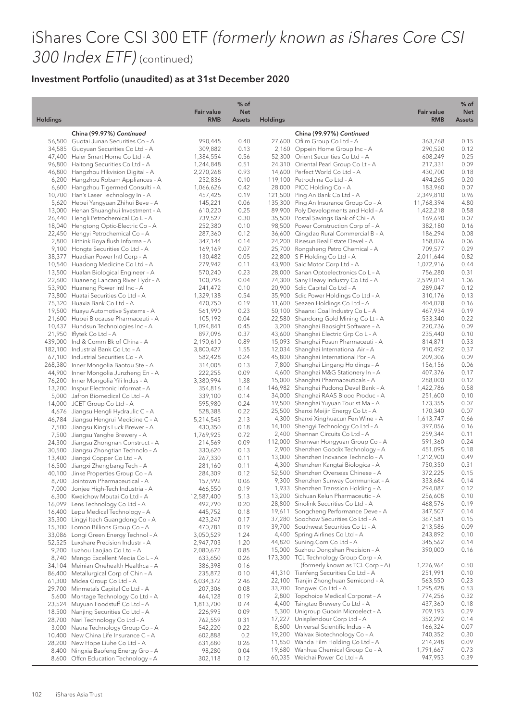# iShares Core CSI 300 ETF (formerly known as iShares Core CSI 300 Index ETF) (continued)

|                 |                                       | <b>Fair value</b> | $%$ of<br><b>Net</b> |                 |                                        | <b>Fair value</b> | % of<br><b>Net</b> |
|-----------------|---------------------------------------|-------------------|----------------------|-----------------|----------------------------------------|-------------------|--------------------|
| <b>Holdings</b> |                                       | <b>RMB</b>        | <b>Assets</b>        | <b>Holdings</b> |                                        | <b>RMB</b>        | <b>Assets</b>      |
|                 | China (99.97%) Continued              |                   |                      |                 | China (99.97%) Continued               |                   |                    |
|                 | 56,500 Guotai Junan Securities Co - A | 990,445           | 0.40                 |                 | 27,600 Ofilm Group Co Ltd - A          | 363,768           | 0.15               |
|                 | 34,585 Guoyuan Securities Co Ltd - A  | 309,882           | 0.13                 |                 | 2,160 Oppein Home Group Inc - A        | 290,520           | 0.12               |
|                 | 47,400 Haier Smart Home Co Ltd - A    | 1,384,554         | 0.56                 |                 | 52,300 Orient Securities Co Ltd - A    | 608,249           | 0.25               |
| 96,800          | Haitong Securities Co Ltd - A         | 1,244,848         | 0.51                 |                 | 24,310 Oriental Pearl Group Co Lt - A  | 217,331           | 0.09               |
|                 | 46,800 Hangzhou Hikvision Digital - A | 2,270,268         | 0.93                 |                 | 14,600 Perfect World Co Ltd - A        | 430,700           | 0.18               |
|                 | 6,200 Hangzhou Robam Appliances - A   | 252,836           | 0.10                 |                 | 119,100 Petrochina Co Ltd - A          | 494,265           | 0.20               |
|                 | 6,600 Hangzhou Tigermed Consulti - A  | 1,066,626         | 0.42                 |                 | 28,000 PICC Holding Co - A             | 183,960           | 0.07               |
| 10,700          | Han's Laser Technology In - A         | 457,425           | 0.19                 |                 | 121,500 Ping An Bank Co Ltd - A        | 2,349,810         | 0.96               |
|                 | 5,620 Hebei Yangyuan Zhihui Beve - A  | 145,221           | 0.06                 |                 | 135,300 Ping An Insurance Group Co - A | 11,768,394        | 4.80               |
|                 | 13,000 Henan Shuanghui Investment - A | 610,220           | 0.25                 |                 | 89,900 Poly Developments and Hold - A  | 1,422,218         | 0.58               |
|                 | 26,440 Hengli Petrochemical Co L - A  | 739,527           | 0.30                 |                 | 35,500 Postal Savings Bank of Chi - A  | 169,690           | 0.07               |
|                 | 18,040 Hengtong Optic-Electric Co - A | 252,380           | 0.10                 |                 | 98,500 Power Construction Corp of - A  | 382,180           | 0.16               |
|                 | 22,450 Hengyi Petrochemical Co - A    | 287,360           | 0.12                 |                 | 36,600 Qingdao Rural Commercial B - A  | 186,294           | 0.08               |
|                 | 2,800 Hithink Royalflush Informa - A  | 347,144           | 0.14                 |                 | 24,200 Risesun Real Estate Devel - A   | 158,026           | 0.06               |
|                 | 9,100 Hongta Securities Co Ltd - A    | 169,169           | 0.07                 |                 | 25,700 Rongsheng Petro Chemical - A    | 709,577           | 0.29               |
|                 | 38,377 Huadian Power Intl Corp - A    | 130,482           | 0.05                 |                 | 22,800 S F Holding Co Ltd - A          | 2,011,644         | 0.82               |
|                 | 10,540 Huadong Medicine Co Ltd - A    |                   |                      |                 |                                        |                   |                    |
|                 |                                       | 279,942           | 0.11                 |                 | 43,900 Saic Motor Corp Ltd - A         | 1,072,916         | 0.44               |
|                 | 13,500 Hualan Biological Engineer - A | 570,240           | 0.23                 |                 | 28,000 Sanan Optoelectronics Co L - A  | 756,280           | 0.31               |
|                 | 22,600 Huaneng Lancang River Hydr - A | 100,796           | 0.04                 |                 | 74,300 Sany Heavy Industry Co Ltd - A  | 2,599,014         | 1.06               |
|                 | 53,900 Huaneng Power Intl Inc - A     | 241,472           | 0.10                 |                 | 20,900 Sdic Capital Co Ltd - A         | 289,047           | 0.12               |
|                 | 73,800 Huatai Securities Co Ltd - A   | 1,329,138         | 0.54                 |                 | 35,900 Sdic Power Holdings Co Ltd - A  | 310,176           | 0.13               |
|                 | 75,320 Huaxia Bank Co Ltd - A         | 470,750           | 0.19                 |                 | 11,600 Seazen Holdings Co Ltd - A      | 404,028           | 0.16               |
|                 | 19,500 Huayu Automotive Systems - A   | 561,990           | 0.23                 |                 | 50,100 Shaanxi Coal Industry Co L - A  | 467,934           | 0.19               |
|                 | 21,600 Hubei Biocause Pharmaceuti - A | 105,192           | 0.04                 |                 | 22,580 Shandong Gold Mining Co Lt - A  | 533,340           | 0.22               |
|                 | 10,437 Hundsun Technologies Inc - A   | 1,094,841         | 0.45                 |                 | 3,200 Shanghai Baosight Software - A   | 220,736           | 0.09               |
|                 | 21,950 Iflytek Co Ltd - A             | 897,096           | 0.37                 |                 | 43,600 Shanghai Electric Grp Co L - A  | 235,440           | 0.10               |
|                 | 439,000 Ind & Comm Bk of China - A    | 2,190,610         | 0.89                 |                 | 15,093 Shanghai Fosun Pharmaceuti - A  | 814,871           | 0.33               |
|                 | 182,100 Industrial Bank Co Ltd - A    | 3,800,427         | 1.55                 |                 | 12,034 Shanghai International Air - A  | 910,492           | 0.37               |
|                 | 67,100 Industrial Securities Co - A   | 582,428           | 0.24                 |                 | 45,800 Shanghai International Por - A  | 209,306           | 0.09               |
|                 | 268,380 Inner Mongolia Baotou Ste - A | 314,005           | 0.13                 |                 | 7,800 Shanghai Lingang Holdings - A    | 156,156           | 0.06               |
|                 | 44,900 Inner Mongolia Junzheng En - A | 222,255           | 0.09                 |                 | 4,600 Shanghai M&G Stationery In - A   | 407,376           | 0.17               |
|                 | 76,200 Inner Mongolia Yili Indus - A  | 3,380,994         | 1.38                 |                 | 15,000 Shanghai Pharmaceuticals - A    | 288,000           | 0.12               |
|                 | 13,200 Inspur Electronic Informat - A | 354,816           | 0.14                 |                 | 146,982 Shanghai Pudong Devel Bank - A | 1,422,786         | 0.58               |
|                 | 5,000 Jafron Biomedical Co Ltd - A    | 339,100           | 0.14                 |                 | 34,000 Shanghai RAAS Blood Produc - A  | 251,600           | 0.10               |
|                 |                                       |                   |                      |                 |                                        |                   | 0.07               |
|                 | 14,000 JCET Group Co Ltd - A          | 595,980           | 0.24                 |                 | 19,500 Shanghai Yuyuan Tourist Ma - A  | 173,355           |                    |
|                 | 4,676 Jiangsu Hengli Hydraulic C - A  | 528,388           | 0.22                 |                 | 25,500 Shanxi Meijin Energy Co Lt - A  | 170,340           | 0.07               |
| 46,784          | Jiangsu Hengrui Medicine C - A        | 5,214,545         | 2.13                 |                 | 4,300 Shanxi Xinghuacun Fen Wine - A   | 1,613,747         | 0.66               |
| 7,500           | Jiangsu King's Luck Brewer - A        | 430,350           | 0.18                 |                 | 14,100 Shengyi Technology Co Ltd - A   | 397,056           | 0.16               |
|                 | 7,500 Jiangsu Yanghe Brewery - A      | 1,769,925         | 0.72                 |                 | 2,400 Shennan Circuits Co Ltd - A      | 259,344           | 0.11               |
| 24,300          | Jiangsu Zhongnan Construct - A        | 214,569           | 0.09                 |                 | 112,000 Shenwan Hongyuan Group Co - A  | 591,360           | 0.24               |
|                 | 30,500 Jiangsu Zhongtian Technolo - A | 330,620           | 0.13                 |                 | 2,900 Shenzhen Goodix Technology - A   | 451,095           | 0.18               |
| 13,400          | Jiangxi Copper Co Ltd - A             | 267,330           | 0.11                 |                 | 13,000 Shenzhen Inovance Technolo - A  | 1,212,900         | 0.49               |
|                 | 16,500 Jiangxi Zhengbang Tech - A     | 281,160           | 0.11                 |                 | 4,300 Shenzhen Kangtai Biologica - A   | 750,350           | 0.31               |
|                 | 40,100 Jinke Properties Group Co - A  | 284,309           | 0.12                 |                 | 52,500 Shenzhen Overseas Chinese - A   | 372,225           | 0.15               |
| 8,700           | Jointown Pharmaceutical - A           | 157,992           | 0.06                 |                 | 9,300 Shenzhen Sunway Communicat - A   | 333,684           | 0.14               |
| 7,000           | Jonjee High-Tech Industria - A        | 466,550           | 0.19                 |                 | 1,933 Shenzhen Transsion Holding - A   | 294,087           | 0.12               |
|                 | 6,300 Kweichow Moutai Co Ltd - A      | 12,587,400        | 5.13                 |                 | 13,200 Sichuan Kelun Pharmaceutic - A  | 256,608           | 0.10               |
| 16,099          | Lens Technology Co Ltd - A            | 492,790           | 0.20                 |                 | 28,800 Sinolink Securities Co Ltd - A  | 468,576           | 0.19               |
|                 | 16,400 Lepu Medical Technology - A    | 445,752           | 0.18                 | 19,611          | Songcheng Performance Deve - A         | 347,507           | 0.14               |
| 35,300          | Lingyi Itech Guangdong Co - A         | 423,247           | 0.17                 |                 | 37,280 Soochow Securities Co Ltd - A   | 367,581           | 0.15               |
|                 | 15,300 Lomon Billions Group Co - A    | 470,781           | 0.19                 | 39,700          | Southwest Securities Co Lt - A         | 213,586           | 0.09               |
|                 | 33,086 Longi Green Energy Technol - A | 3,050,529         | 1.24                 | 4,400           | Spring Airlines Co Ltd - A             | 243,892           | 0.10               |
|                 | 52,525 Luxshare Precision Industr - A |                   |                      | 44,820          | Suning.Com Co Ltd - A                  | 345,562           | 0.14               |
|                 |                                       | 2,947,703         | 1.20                 |                 | 15,000 Suzhou Dongshan Precision - A   |                   |                    |
|                 | 9,200 Luzhou Laojiao Co Ltd - A       | 2,080,672         | 0.85                 |                 |                                        | 390,000           | 0.16               |
|                 | 8,740 Mango Excellent Media Co L - A  | 633,650           | 0.26                 |                 | 173,300 TCL Technology Group Corp - A  |                   |                    |
|                 | 34,104 Meinian Onehealth Healthca - A | 386,398           | 0.16                 |                 | (formerly known as TCL Corp - A)       | 1,226,964         | 0.50               |
|                 | 86,400 Metallurgical Corp of Chin - A | 235,872           | 0.10                 |                 | 41,310 Tianfeng Securities Co Ltd - A  | 251,991           | 0.10               |
| 61,300          | Midea Group Co Ltd - A                | 6,034,372         | 2.46                 | 22,100          | Tianjin Zhonghuan Semicond - A         | 563,550           | 0.23               |
|                 | 29,700 Minmetals Capital Co Ltd - A   | 207,306           | 0.08                 |                 | 33,700 Tongwei Co Ltd - A              | 1,295,428         | 0.53               |
|                 | 5,600 Montage Technology Co Ltd - A   | 464,128           | 0.19                 | 2,800           | Topchoice Medical Corporat - A         | 774,256           | 0.32               |
|                 | 23,524 Muyuan Foodstuff Co Ltd - A    | 1,813,700         | 0.74                 | 4,400           | Tsingtao Brewery Co Ltd - A            | 437,360           | 0.18               |
| 18,500          | Nanjing Securities Co Ltd - A         | 226,995           | 0.09                 | 5,300           | Unigroup Guoxin Microelect - A         | 709,193           | 0.29               |
|                 | 28,700 Nari Technology Co Ltd - A     | 762,559           | 0.31                 |                 | 17,227 Unisplendour Corp Ltd - A       | 352,292           | 0.14               |
|                 | 3,000 Naura Technology Group Co - A   | 542,220           | 0.22                 | 8,600           | Universal Scientific Indus - A         | 166,324           | 0.07               |
|                 | 10,400 New China Life Insurance C - A | 602,888           | 0.2                  |                 | 19,200 Walvax Biotechnology Co - A     | 740,352           | 0.30               |
|                 | 28,200 New Hope Liuhe Co Ltd - A      | 631,680           | 0.26                 |                 | 11,850 Wanda Film Holding Co Ltd - A   | 214,248           | 0.09               |
|                 | 8,400 Ningxia Baofeng Energy Gro - A  | 98,280            | 0.04                 |                 | 19,680 Wanhua Chemical Group Co - A    | 1,791,667         | 0.73               |
|                 | 8,600 Offen Education Technology - A  | 302,118           | 0.12                 |                 | 60,035 Weichai Power Co Ltd - A        | 947,953           | 0.39               |
|                 |                                       |                   |                      |                 |                                        |                   |                    |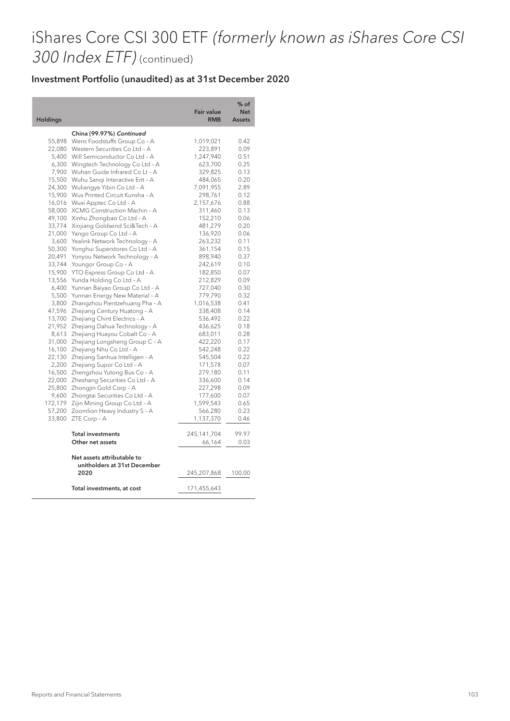# iShares Core CSI 300 ETF (formerly known as iShares Core CSI 300 Index ETF) (continued)

#### Investment Portfolio (unaudited) as at 31st December 2020

I ı

| <b>Holdings</b> |                                                            | <b>Fair value</b><br><b>RMB</b> | $%$ of<br><b>Net</b><br><b>Assets</b> |
|-----------------|------------------------------------------------------------|---------------------------------|---------------------------------------|
|                 | China (99.97%) Continued                                   |                                 |                                       |
| 55,898          | Wens Foodstuffs Group Co - A                               | 1,019,021                       | 0.42                                  |
| 22,080          | Western Securities Co Ltd - A                              | 223,891                         | 0.09                                  |
| 5,400           | Will Semiconductor Co Ltd - A                              | 1,247,940                       | 0.51                                  |
| 6,300           | Wingtech Technology Co Ltd - A                             | 623,700                         | 0.25                                  |
| 7,900           | Wuhan Guide Infrared Co Lt - A                             | 329,825                         | 0.13                                  |
| 15,500          | Wuhu Sangi Interactive Ent - A                             | 484,065                         | 0.20                                  |
| 24,300          | Wuliangye Yibin Co Ltd - A                                 | 7,091,955                       | 2.89                                  |
| 15,900          | Wus Printed Circuit Kunsha - A                             | 298,761                         | 0.12                                  |
| 16,016          | Wuxi Apptec Co Ltd - A                                     | 2,157,676                       | 0.88                                  |
| 58,000          | XCMG Construction Machin - A                               | 311,460                         | 0.13                                  |
| 49,100          | Xinhu Zhongbao Co Ltd - A                                  | 152,210                         | 0.06                                  |
| 33,774          | Xinjiang Goldwind Sci&Tech - A                             | 481,279                         | 0.20                                  |
| 21,000          | Yango Group Co Ltd - A                                     | 136,920                         | 0.06                                  |
| 3,600           | Yealink Network Technology - A                             | 263,232                         | 0.11                                  |
| 50,300          | Yonghui Superstores Co Ltd - A                             | 361,154                         | 0.15                                  |
| 20,491          | Yonyou Network Technology - A                              | 898,940                         | 0.37                                  |
| 33,744          | Youngor Group Co - A                                       | 242,619                         | 0.10                                  |
| 15,900          | YTO Express Group Co Ltd - A                               | 182,850                         | 0.07                                  |
| 13,556          | Yunda Holding Co Ltd - A                                   | 212,829                         | 0.09                                  |
| 6,400           | Yunnan Baiyao Group Co Ltd - A                             | 727,040                         | 0.30                                  |
| 5,500           | Yunnan Energy New Material - A                             | 779,790                         | 0.32                                  |
| 3,800           | Zhangzhou Pientzehuang Pha - A                             | 1,016,538                       | 0.41                                  |
| 47,596          | Zhejiang Century Huatong - A                               | 338,408                         | 0.14                                  |
| 13,700          | Zhejiang Chint Electrics - A                               | 536,492                         | 0.22                                  |
| 21,952          | Zhejiang Dahua Technology - A                              | 436,625                         | 0.18                                  |
| 8,613           | Zhejiang Huayou Cobalt Co - A                              | 683,011                         | 0.28                                  |
| 31,000          | Zhejiang Longsheng Group C - A                             | 422,220                         | 0.17                                  |
| 16,100          | Zhejiang Nhu Co Ltd - A                                    | 542,248                         | 0.22                                  |
| 22,130          | Zhejiang Sanhua Intelligen - A                             | 545,504                         | 0.22                                  |
| 2,200           | Zhejiang Supor Co Ltd - A                                  | 171,578                         | 0.07                                  |
| 16,500          | Zhengzhou Yutong Bus Co - A                                | 279,180                         | 0.11                                  |
| 22,000          | Zheshang Securities Co Ltd - A                             | 336,600                         | 0.14                                  |
| 25,800          | Zhongjin Gold Corp - A                                     | 227,298                         | 0.09                                  |
| 9,600           | Zhongtai Securities Co Ltd - A                             | 177,600                         | 0.07                                  |
| 172,179         | Zijin Mining Group Co Ltd - A                              | 1,599,543                       | 0.65                                  |
| 57,200          | Zoomlion Heavy Industry S - A                              | 566,280                         | 0.23                                  |
| 33,800          | ZTE Corp - A                                               | 1,137,370                       | 0.46                                  |
|                 | <b>Total investments</b>                                   | 245,141,704                     | 99.97                                 |
|                 | Other net assets                                           | 66,164                          | 0.03                                  |
|                 | Net assets attributable to<br>unitholders at 31st December |                                 |                                       |
|                 | 2020                                                       | 245,207,868                     | 100.00                                |
|                 | Total investments, at cost                                 | 171,455,643                     |                                       |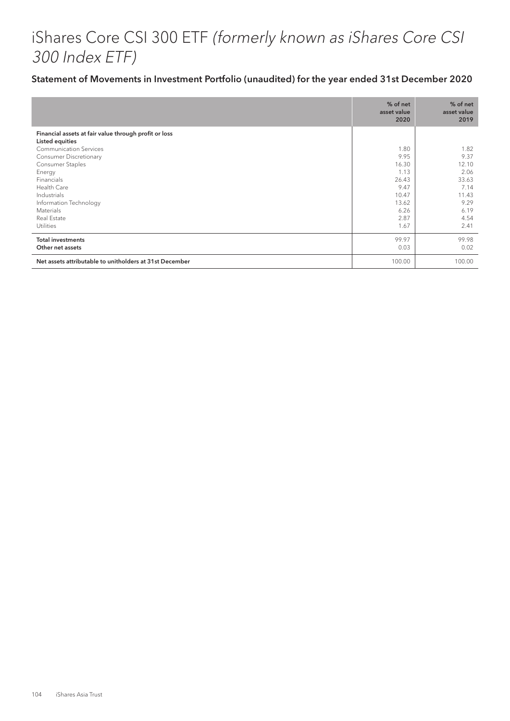# iShares Core CSI 300 ETF (formerly known as iShares Core CSI 300 Index ETF)

#### Statement of Movements in Investment Portfolio (unaudited) for the year ended 31st December 2020

|                                                                                                                                                         | % of net<br>asset value<br>2020                                          | % of net<br>asset value<br>2019                                         |
|---------------------------------------------------------------------------------------------------------------------------------------------------------|--------------------------------------------------------------------------|-------------------------------------------------------------------------|
| Financial assets at fair value through profit or loss<br>Listed equities<br><b>Communication Services</b><br><b>Consumer Discretionary</b>              | 1.80<br>9.95                                                             | 1.82<br>9.37                                                            |
| Consumer Staples<br>Energy<br>Financials<br>Health Care<br>Industrials<br>Information Technology<br><b>Materials</b><br>Real Estate<br><b>Utilities</b> | 16.30<br>1.13<br>26.43<br>9.47<br>10.47<br>13.62<br>6.26<br>2.87<br>1.67 | 12.10<br>2.06<br>33.63<br>7.14<br>11.43<br>9.29<br>6.19<br>4.54<br>2.41 |
| <b>Total investments</b><br>Other net assets                                                                                                            | 99.97<br>0.03                                                            | 99.98<br>0.02                                                           |
| Net assets attributable to unitholders at 31st December                                                                                                 | 100.00                                                                   | 100.00                                                                  |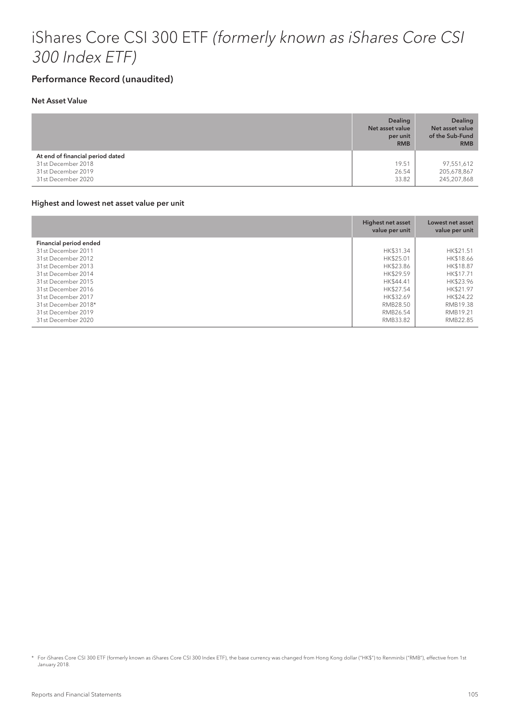## iShares Core CSI 300 ETF (formerly known as iShares Core CSI 300 Index ETF)

#### Performance Record (unaudited)

#### Net Asset Value

|                                                                              | <b>Dealing</b><br>Net asset value<br>per unit<br><b>RMB</b> | <b>Dealing</b><br>Net asset value<br>of the Sub-Fund<br><b>RMB</b> |
|------------------------------------------------------------------------------|-------------------------------------------------------------|--------------------------------------------------------------------|
| At end of financial period dated<br>31st December 2018<br>31st December 2019 | 19.51<br>26.54                                              | 97,551,612<br>205,678,867                                          |
| 31st December 2020                                                           | 33.82                                                       | 245,207,868                                                        |

#### Highest and lowest net asset value per unit

|                        | Highest net asset<br>value per unit | Lowest net asset<br>value per unit |
|------------------------|-------------------------------------|------------------------------------|
| Financial period ended |                                     |                                    |
| 31st December 2011     | HK\$31.34                           | HK\$21.51                          |
| 31st December 2012     | HK\$25.01                           | HK\$18.66                          |
| 31st December 2013     | HK\$23.86                           | HK\$18.87                          |
| 31st December 2014     | HK\$29.59                           | HK\$17.71                          |
| 31st December 2015     | HK\$44.41                           | HK\$23.96                          |
| 31st December 2016     | HK\$27.54                           | HK\$21.97                          |
| 31st December 2017     | HK\$32.69                           | HK\$24.22                          |
| 31st December 2018*    | RMB28.50                            | RMB19.38                           |
| 31st December 2019     | RMB26.54                            | RMB19.21                           |
| 31st December 2020     | RMB33.82                            | RMB22.85                           |

<sup>\*</sup> For iShares Core CSI 300 ETF (formerly known as iShares Core CSI 300 Index ETF), the base currency was changed from Hong Kong dollar ("HK\$") to Renminbi ("RMB"), effective from 1st January 2018.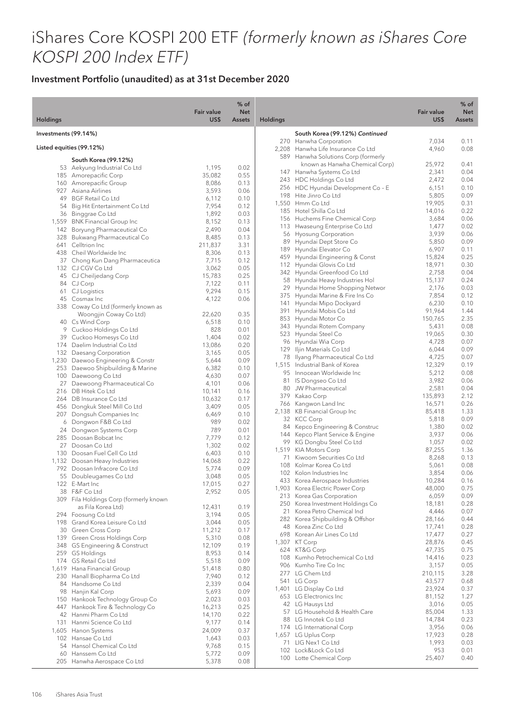# iShares Core KOSPI 200 ETF (formerly known as iShares Core KOSPI 200 Index ETF)

|                      |                                                                     | <b>Fair value</b> | $%$ of<br><b>Net</b> |                 |                                                                       | <b>Fair value</b> | $%$ of<br><b>Net</b> |
|----------------------|---------------------------------------------------------------------|-------------------|----------------------|-----------------|-----------------------------------------------------------------------|-------------------|----------------------|
| <b>Holdings</b>      |                                                                     | US\$              | <b>Assets</b>        | <b>Holdings</b> |                                                                       | US\$              | <b>Assets</b>        |
| Investments (99.14%) |                                                                     |                   |                      |                 | South Korea (99.12%) Continued<br>270 Hanwha Corporation              | 7,034             | 0.11                 |
|                      | Listed equities (99.12%)                                            |                   |                      |                 | 2,208 Hanwha Life Insurance Co Ltd                                    | 4,960             | 0.08                 |
|                      | South Korea (99.12%)                                                |                   |                      |                 | 589 Hanwha Solutions Corp (formerly<br>known as Hanwha Chemical Corp) | 25,972            | 0.41                 |
|                      | 53 Aekyung Industrial Co Ltd                                        | 1,195             | 0.02                 |                 | 147 Hanwha Systems Co Ltd                                             | 2,341             | 0.04                 |
|                      | 185 Amorepacific Corp                                               | 35,082<br>8,086   | 0.55<br>0.13         |                 | 243 HDC Holdings Co Ltd                                               | 2,472             | 0.04                 |
|                      | 160 Amorepacific Group<br>927 Asiana Airlines                       | 3,593             | 0.06                 |                 | 256 HDC Hyundai Development Co - E                                    | 6,151             | 0.10                 |
|                      | 49 BGF Retail Co Ltd                                                | 6,112             | 0.10                 |                 | 198 Hite Jinro Co Ltd                                                 | 5,805             | 0.09                 |
|                      | 54 Big Hit Entertainment Co Ltd                                     | 7,954             | 0.12                 |                 | 1,550 Hmm Co Ltd                                                      | 19,905            | 0.31                 |
|                      | 36 Binggrae Co Ltd                                                  | 1,892             | 0.03                 |                 | 185 Hotel Shilla Co Ltd                                               | 14,016            | 0.22<br>0.06         |
|                      | 1,559 BNK Financial Group Inc                                       | 8,152             | 0.13                 |                 | 156 Huchems Fine Chemical Corp<br>113 Hwaseung Enterprise Co Ltd      | 3,684<br>1,477    | 0.02                 |
|                      | 142 Boryung Pharmaceutical Co                                       | 2,490             | 0.04                 |                 | 56 Hyosung Corporation                                                | 3,939             | 0.06                 |
|                      | 328 Bukwang Pharmaceutical Co                                       | 8,485             | 0.13                 |                 | 89 Hyundai Dept Store Co                                              | 5,850             | 0.09                 |
|                      | 641 Celltrion Inc<br>438 Cheil Worldwide Inc                        | 211,837<br>8,306  | 3.31<br>0.13         |                 | 189 Hyundai Elevator Co                                               | 6,907             | 0.11                 |
|                      | 37 Chong Kun Dang Pharmaceutica                                     | 7,715             | 0.12                 | 459             | Hyundai Engineering & Const                                           | 15,824            | 0.25                 |
|                      | 132 CJ CGV Co Ltd                                                   | 3,062             | 0.05                 |                 | 112 Hyundai Glovis Co Ltd                                             | 18,971            | 0.30                 |
|                      | 45 CJ Cheiljedang Corp                                              | 15,783            | 0.25                 |                 | 342 Hyundai Greenfood Co Ltd                                          | 2,758             | 0.04                 |
|                      | 84 CJ Corp                                                          | 7,122             | 0.11                 | 58              | Hyundai Heavy Industries Hol<br>Hyundai Home Shopping Networ          | 15,137            | 0.24<br>0.03         |
|                      | 61 CJ Logistics                                                     | 9,294             | 0.15                 | 29              | 375 Hyundai Marine & Fire Ins Co                                      | 2,176<br>7,854    | 0.12                 |
|                      | 45 Cosmax Inc                                                       | 4,122             | 0.06                 | 141             | Hyundai Mipo Dockyard                                                 | 6,230             | 0.10                 |
|                      | 338 Coway Co Ltd (formerly known as                                 |                   |                      | 391             | Hyundai Mobis Co Ltd                                                  | 91,964            | 1.44                 |
|                      | Woongjin Coway Co Ltd)<br>40 Cs Wind Corp                           | 22,620<br>6,518   | 0.35<br>0.10         | 853             | Hyundai Motor Co                                                      | 150,765           | 2.35                 |
|                      | 9 Cuckoo Holdings Co Ltd                                            | 828               | 0.01                 | 343             | Hyundai Rotem Company                                                 | 5,431             | 0.08                 |
|                      | 39 Cuckoo Homesys Co Ltd                                            | 1,404             | 0.02                 |                 | 523 Hyundai Steel Co                                                  | 19,065            | 0.30                 |
|                      | 174 Daelim Industrial Co Ltd                                        | 13,086            | 0.20                 |                 | 96 Hyundai Wia Corp                                                   | 4,728             | 0.07                 |
|                      | 132 Daesang Corporation                                             | 3,165             | 0.05                 | 129             | Iljin Materials Co Ltd                                                | 6,044             | 0.09                 |
|                      | 1,230 Daewoo Engineering & Constr                                   | 5,644             | 0.09                 | 78              | Ilyang Pharmaceutical Co Ltd<br>1,515 Industrial Bank of Korea        | 4,725<br>12,329   | 0.07<br>0.19         |
|                      | 253 Daewoo Shipbuilding & Marine                                    | 6,382             | 0.10                 | 95              | Innocean Worldwide Inc                                                | 5,212             | 0.08                 |
|                      | 100 Daewoong Co Ltd                                                 | 4,630             | 0.07                 | 81              | IS Dongseo Co Ltd                                                     | 3,982             | 0.06                 |
|                      | 27 Daewoong Pharmaceutical Co                                       | 4,101             | 0.06                 |                 | 80 JW Pharmaceutical                                                  | 2,581             | 0.04                 |
|                      | 216 DB Hitek Co Ltd<br>264 DB Insurance Co Ltd                      | 10,141<br>10,632  | 0.16<br>0.17         |                 | 379 Kakao Corp                                                        | 135,893           | 2.12                 |
|                      | 456 Dongkuk Steel Mill Co Ltd                                       | 3,409             | 0.05                 |                 | 766 Kangwon Land Inc                                                  | 16,571            | 0.26                 |
|                      | 207 Dongsuh Companies Inc                                           | 6,469             | 0.10                 |                 | 2,138 KB Financial Group Inc                                          | 85,418            | 1.33                 |
|                      | 6 Dongwon F&B Co Ltd                                                | 989               | 0.02                 |                 | 32 KCC Corp                                                           | 5,818             | 0.09                 |
|                      | 24 Dongwon Systems Corp                                             | 789               | 0.01                 | 84              | Kepco Engineering & Construc<br>144 Kepco Plant Service & Engine      | 1,380             | 0.02                 |
|                      | 285 Doosan Bobcat Inc                                               | 7,779             | 0.12                 |                 | 99 KG Dongbu Steel Co Ltd                                             | 3,937<br>1,057    | 0.06<br>0.02         |
|                      | 27 Doosan Co Ltd                                                    | 1,302             | 0.02                 |                 | 1,519 KIA Motors Corp                                                 | 87,255            | 1.36                 |
| 130                  | Doosan Fuel Cell Co Ltd                                             | 6,403             | 0.10                 | 71              | Kiwoom Securities Co Ltd                                              | 8,268             | 0.13                 |
|                      | 1,132 Doosan Heavy Industries<br>792 Doosan Infracore Co Ltd        | 14,068<br>5,774   | 0.22<br>0.09         | 108             | Kolmar Korea Co Ltd                                                   | 5,061             | 0.08                 |
|                      | 55 Doubleugames Co Ltd                                              | 3,048             | 0.05                 |                 | 102 Kolon Industries Inc                                              | 3,854             | 0.06                 |
|                      | 122 E-Mart Inc                                                      | 17,015            | 0.27                 |                 | 433 Korea Aerospace Industries                                        | 10,284            | 0.16                 |
|                      | 38 F&F Co Ltd                                                       | 2,952             | 0.05                 |                 | 1,903 Korea Electric Power Corp                                       | 48,000            | 0.75                 |
|                      | 309 Fila Holdings Corp (formerly known                              |                   |                      |                 | 213 Korea Gas Corporation<br>250 Korea Investment Holdings Co         | 6,059<br>18,181   | 0.09<br>0.28         |
|                      | as Fila Korea Ltd)                                                  | 12,431            | 0.19                 |                 | 21 Korea Petro Chemical Ind                                           | 4,446             | 0.07                 |
|                      | 294 Foosung Co Ltd                                                  | 3,194             | 0.05                 |                 | 282 Korea Shipbuilding & Offshor                                      | 28,166            | 0.44                 |
|                      | 198 Grand Korea Leisure Co Ltd                                      | 3,044             | 0.05<br>0.17         |                 | 48 Korea Zinc Co Ltd                                                  | 17,741            | 0.28                 |
|                      | 30 Green Cross Corp<br>139 Green Cross Holdings Corp                | 11,212<br>5,310   | 0.08                 |                 | 698 Korean Air Lines Co Ltd                                           | 17,477            | 0.27                 |
|                      | 348 GS Engineering & Construct                                      | 12,109            | 0.19                 |                 | 1,307 KT Corp                                                         | 28,876            | 0.45                 |
|                      | 259 GS Holdings                                                     | 8,953             | 0.14                 |                 | 624 KT&G Corp                                                         | 47,735            | 0.75                 |
|                      | 174 GS Retail Co Ltd                                                | 5,518             | 0.09                 |                 | 108 Kumho Petrochemical Co Ltd                                        | 14,416            | 0.23                 |
|                      | 1,619 Hana Financial Group                                          | 51,418            | 0.80                 |                 | 906 Kumho Tire Co Inc<br>277 LG Chem Ltd                              | 3,157<br>210,115  | 0.05<br>3.28         |
|                      | 230 Hanall Biopharma Co Ltd                                         | 7,940             | 0.12                 |                 | 541 LG Corp                                                           | 43,577            | 0.68                 |
|                      | 84 Handsome Co Ltd                                                  | 2,339             | 0.04                 |                 | 1,401 LG Display Co Ltd                                               | 23,924            | 0.37                 |
|                      | 98 Hanjin Kal Corp                                                  | 5,693             | 0.09                 |                 | 653 LG Electronics Inc                                                | 81,152            | 1.27                 |
|                      | 150 Hankook Technology Group Co<br>447 Hankook Tire & Technology Co | 2,023<br>16,213   | 0.03<br>0.25         |                 | 42 LG Hausys Ltd                                                      | 3,016             | 0.05                 |
|                      | 42 Hanmi Pharm Co Ltd                                               | 14,170            | 0.22                 |                 | 57 LG Household & Health Care                                         | 85,004            | 1.33                 |
|                      | 131 Hanmi Science Co Ltd                                            | 9,177             | 0.14                 |                 | 88 LG Innotek Co Ltd                                                  | 14,784            | 0.23                 |
|                      | 1,605 Hanon Systems                                                 | 24,009            | 0.37                 |                 | 174 LG International Corp                                             | 3,956             | 0.06                 |
|                      | 102 Hansae Co Ltd                                                   | 1,643             | 0.03                 |                 | 1,657 LG Uplus Corp<br>71 LIG Nex1 Co Ltd                             | 17,923<br>1,993   | 0.28<br>0.03         |
|                      | 54 Hansol Chemical Co Ltd                                           | 9,768             | 0.15                 |                 | 102 Lock&Lock Co Ltd                                                  | 953               | 0.01                 |
|                      | 60 Hanssem Co Ltd                                                   | 5,772             | 0.09                 |                 | 100 Lotte Chemical Corp                                               | 25,407            | 0.40                 |
|                      | 205 Hanwha Aerospace Co Ltd                                         | 5,378             | 0.08                 |                 |                                                                       |                   |                      |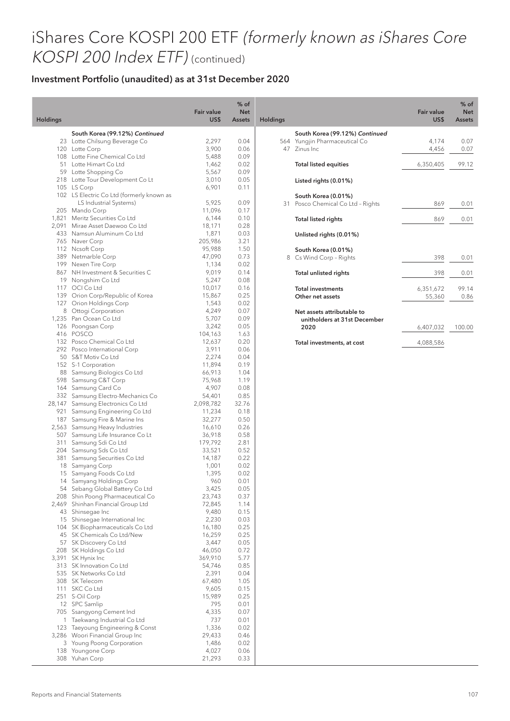## iShares Core KOSPI 200 ETF (formerly known as iShares Core KOSPI 200 Index ETF) (continued)

| <b>Holdings</b> |                                                                    | Fair value<br>US\$ | $%$ of<br><b>Net</b><br><b>Assets</b> | Holding |
|-----------------|--------------------------------------------------------------------|--------------------|---------------------------------------|---------|
|                 | South Korea (99.12%) Continued                                     |                    |                                       |         |
|                 | 23 Lotte Chilsung Beverage Co                                      | 2,297              | 0.04                                  |         |
|                 | 120 Lotte Corp                                                     | 3,900              | 0.06                                  |         |
|                 | 108 Lotte Fine Chemical Co Ltd                                     | 5,488              | 0.09                                  |         |
|                 | 51 Lotte Himart Co Ltd                                             | 1,462              | 0.02                                  |         |
|                 | 59 Lotte Shopping Co                                               | 5,567              | 0.09                                  |         |
|                 | 218 Lotte Tour Development Co Lt                                   | 3,010              | 0.05                                  |         |
|                 | 105 LS Corp<br>102 LS Electric Co Ltd (formerly known as           | 6,901              | 0.11                                  |         |
|                 | LS Industrial Systems)                                             | 5,925              | 0.09                                  |         |
|                 | 205 Mando Corp                                                     | 11,096             | 0.17                                  |         |
|                 | 1,821 Meritz Securities Co Ltd                                     | 6,144              | 0.10                                  |         |
|                 | 2,091 Mirae Asset Daewoo Co Ltd                                    | 18,171             | 0.28                                  |         |
|                 | 433 Namsun Aluminum Co Ltd                                         | 1,871              | 0.03                                  |         |
|                 | 765 Naver Corp                                                     | 205,986            | 3.21                                  |         |
|                 | 112 Nesoft Corp                                                    | 95,988             | 1.50                                  |         |
|                 | 389 Netmarble Corp                                                 | 47,090             | 0.73                                  |         |
|                 | 199 Nexen Tire Corp                                                | 1,134              | 0.02<br>0.14                          |         |
|                 | 867 NH Investment & Securities C<br>19 Nongshim Co Ltd             | 9,019<br>5,247     | 0.08                                  |         |
|                 | 117 OCI Co Ltd                                                     | 10,017             | 0.16                                  |         |
|                 | 139 Orion Corp/Republic of Korea                                   | 15,867             | 0.25                                  |         |
|                 | 127 Orion Holdings Corp                                            | 1,543              | 0.02                                  |         |
|                 | 8 Ottogi Corporation                                               | 4,249              | 0.07                                  |         |
|                 | 1,235 Pan Ocean Co Ltd                                             | 5,707              | 0.09                                  |         |
|                 | 126 Poongsan Corp                                                  | 3,242              | 0.05                                  |         |
|                 | 416 POSCO                                                          | 104,163            | 1.63                                  |         |
|                 | 132 Posco Chemical Co Ltd                                          | 12,637             | 0.20                                  |         |
|                 | 292 Posco International Corp                                       | 3,911              | 0.06                                  |         |
|                 | 50 S&T Motiv Co Ltd                                                | 2,274              | 0.04<br>0.19                          |         |
|                 | 152 S-1 Corporation<br>88 Samsung Biologics Co Ltd                 | 11,894<br>66,913   | 1.04                                  |         |
|                 | 598 Samsung C&T Corp                                               | 75,968             | 1.19                                  |         |
|                 | 164 Samsung Card Co                                                | 4,907              | 0.08                                  |         |
|                 | 332 Samsung Electro-Mechanics Co                                   | 54,401             | 0.85                                  |         |
|                 | 28,147 Samsung Electronics Co Ltd                                  | 2,098,782          | 32.76                                 |         |
|                 | 921 Samsung Engineering Co Ltd                                     | 11,234             | 0.18                                  |         |
|                 | 187 Samsung Fire & Marine Ins                                      | 32,277             | 0.50                                  |         |
|                 | 2,563 Samsung Heavy Industries                                     | 16,610             | 0.26                                  |         |
|                 | 507 Samsung Life Insurance Co Lt                                   | 36,918             | 0.58                                  |         |
|                 | 311 Samsung Sdi Co Ltd<br>204 Samsung Sds Co Ltd                   | 179,792<br>33,521  | 2.81<br>0.52                          |         |
|                 | 381 Samsung Securities Co Ltd                                      | 14,187             | 0.22                                  |         |
|                 | 18 Samyang Corp                                                    | 1,001              | 0.02                                  |         |
|                 | 15 Samyang Foods Co Ltd                                            | 1,395              | 0.02                                  |         |
| 14              | Samyang Holdings Corp                                              | 960                | 0.01                                  |         |
| 54              | Sebang Global Battery Co Ltd                                       | 3,425              | 0.05                                  |         |
|                 | 208 Shin Poong Pharmaceutical Co                                   | 23,743             | 0.37                                  |         |
|                 | 2,469 Shinhan Financial Group Ltd                                  | 72,845             | 1.14                                  |         |
|                 | 43 Shinsegae Inc                                                   | 9,480              | 0.15                                  |         |
|                 | 15 Shinsegae International Inc<br>104 SK Biopharmaceuticals Co Ltd | 2,230<br>16,180    | 0.03<br>0.25                          |         |
| 45              | SK Chemicals Co Ltd/New                                            | 16,259             | 0.25                                  |         |
| 57              | SK Discovery Co Ltd                                                | 3,447              | 0.05                                  |         |
|                 | 208 SK Holdings Co Ltd                                             | 46,050             | 0.72                                  |         |
| 3,391           | SK Hynix Inc                                                       | 369,910            | 5.77                                  |         |
| 313             | SK Innovation Co Ltd                                               | 54,746             | 0.85                                  |         |
| 535             | SK Networks Co Ltd                                                 | 2,391              | 0.04                                  |         |
| 308             | SK Telecom                                                         | 67,480             | 1.05                                  |         |
| 111             | SKC Co Ltd                                                         | 9,605              | 0.15                                  |         |
| 251             | S-Oil Corp                                                         | 15,989             | 0.25                                  |         |
| 12<br>705       | SPC Samlip<br>Ssangyong Cement Ind                                 | 795<br>4,335       | 0.01<br>0.07                          |         |
| 1               | Taekwang Industrial Co Ltd                                         | 737                | 0.01                                  |         |
|                 | 123 Taeyoung Engineering & Const                                   | 1,336              | 0.02                                  |         |
|                 | 3,286 Woori Financial Group Inc                                    | 29,433             | 0.46                                  |         |
|                 | 3 Young Poong Corporation                                          | 1,486              | 0.02                                  |         |
| 138             | Youngone Corp                                                      | 4,027              | 0.06                                  |         |
| 308             | Yuhan Corp                                                         | 21,293             | 0.33                                  |         |

| gs  |                                                            | <b>Fair value</b><br>US\$ | $%$ of<br><b>Net</b><br><b>Assets</b> |
|-----|------------------------------------------------------------|---------------------------|---------------------------------------|
|     | South Korea (99.12%) Continued                             |                           |                                       |
| 564 | Yungjin Pharmaceutical Co                                  | 4,174                     | 0.07                                  |
| 47  | Zinus Inc.                                                 | 4,456                     | 0.07                                  |
|     | <b>Total listed equities</b>                               | 6,350,405                 | 99.12                                 |
|     | Listed rights (0.01%)                                      |                           |                                       |
|     | South Korea (0.01%)                                        |                           |                                       |
| 31  | Posco Chemical Co Ltd - Rights                             | 869                       | 0.01                                  |
|     | <b>Total listed rights</b>                                 | 869                       | 0.01                                  |
|     | Unlisted rights (0.01%)                                    |                           |                                       |
|     |                                                            |                           |                                       |
|     | South Korea (0.01%)                                        |                           |                                       |
| 8   | Cs Wind Corp - Rights                                      | 398                       | 0.01                                  |
|     | <b>Total unlisted rights</b>                               | 398                       | 0.01                                  |
|     | <b>Total investments</b>                                   | 6,351,672                 | 99.14                                 |
|     | Other net assets                                           | 55,360                    | 0.86                                  |
|     | Net assets attributable to<br>unitholders at 31st December |                           |                                       |
|     | 2020                                                       | 6,407,032                 | 100.00                                |
|     |                                                            |                           |                                       |
|     | Total investments, at cost                                 | 4,088,586                 |                                       |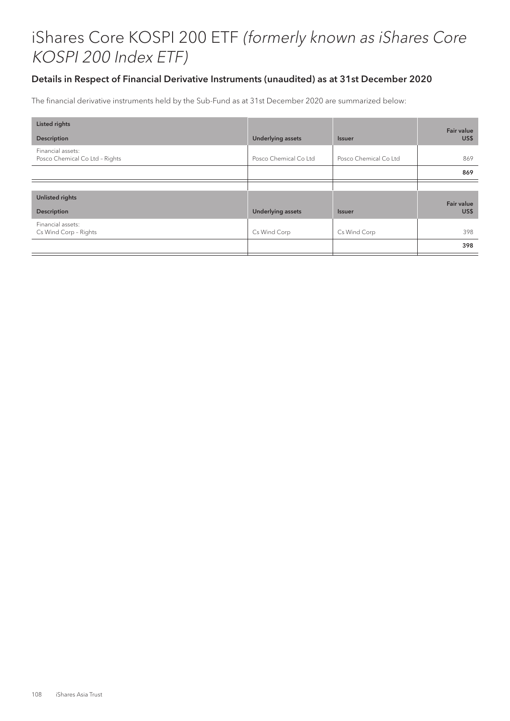## Details in Respect of Financial Derivative Instruments (unaudited) as at 31st December 2020

The financial derivative instruments held by the Sub-Fund as at 31st December 2020 are summarized below:

| <b>Listed rights</b>                                |                          |                       | Fair value        |
|-----------------------------------------------------|--------------------------|-----------------------|-------------------|
| <b>Description</b>                                  | <b>Underlying assets</b> | <b>Issuer</b>         | US\$              |
| Financial assets:<br>Posco Chemical Co Ltd - Rights | Posco Chemical Co Ltd    | Posco Chemical Co Ltd | 869               |
|                                                     |                          |                       | 869               |
|                                                     |                          |                       |                   |
| <b>Unlisted rights</b>                              |                          |                       | <b>Fair value</b> |
| <b>Description</b>                                  | <b>Underlying assets</b> | <b>Issuer</b>         | US\$              |
| Financial assets:<br>Cs Wind Corp - Rights          | Cs Wind Corp             | Cs Wind Corp          | 398               |
|                                                     |                          |                       | 398               |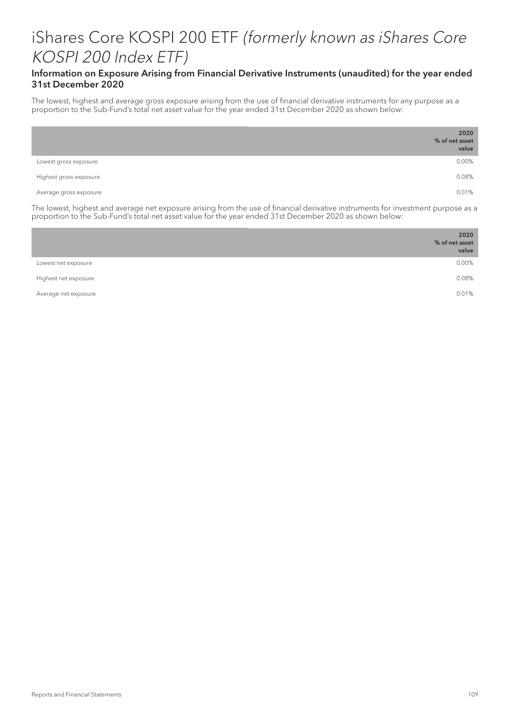## Information on Exposure Arising from Financial Derivative Instruments (unaudited) for the year ended 31st December 2020

The lowest, highest and average gross exposure arising from the use of financial derivative instruments for any purpose as a proportion to the Sub-Fund's total net asset value for the year ended 31st December 2020 as shown below:

|                        | 2020<br>% of net asset<br>value |
|------------------------|---------------------------------|
| Lowest gross exposure  | 0.00%                           |
| Highest gross exposure | 0.08%                           |
| Average gross exposure | 0.01%                           |

The lowest, highest and average net exposure arising from the use of financial derivative instruments for investment purpose as a proportion to the Sub-Fund's total net asset value for the year ended 31st December 2020 as shown below:

|                      | 2020<br>% of net asset<br>value |
|----------------------|---------------------------------|
| Lowest net exposure  | 0.00%                           |
| Highest net exposure | 0.08%                           |
| Average net exposure | 0.01%                           |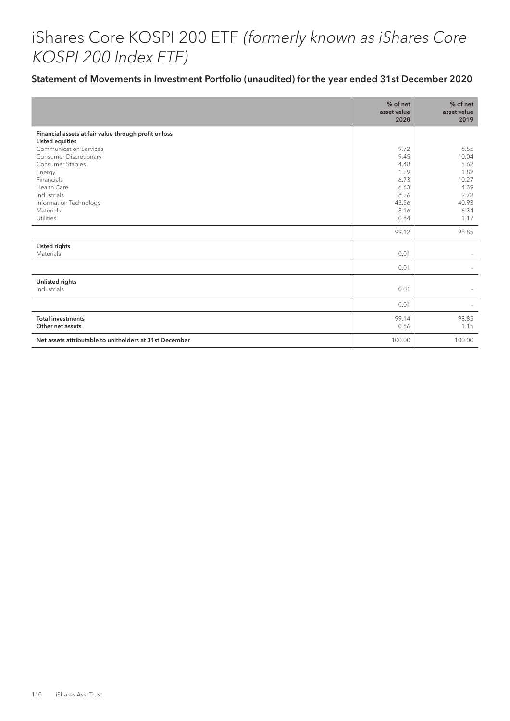|                                                                          | % of net<br>asset value<br>2020 | % of net<br>asset value<br>2019 |
|--------------------------------------------------------------------------|---------------------------------|---------------------------------|
| Financial assets at fair value through profit or loss<br>Listed equities |                                 |                                 |
| <b>Communication Services</b>                                            | 9.72                            | 8.55                            |
| <b>Consumer Discretionary</b>                                            | 9.45                            | 10.04                           |
| Consumer Staples                                                         | 4.48                            | 5.62                            |
| Energy                                                                   | 1.29                            | 1.82                            |
| Financials                                                               | 6.73                            | 10.27                           |
| Health Care                                                              | 6.63                            | 4.39                            |
| Industrials                                                              | 8.26                            | 9.72                            |
| Information Technology                                                   | 43.56                           | 40.93                           |
| Materials                                                                | 8.16                            | 6.34                            |
| Utilities                                                                | 0.84                            | 1.17                            |
|                                                                          | 99.12                           | 98.85                           |
| Listed rights                                                            |                                 |                                 |
| Materials                                                                | 0.01                            |                                 |
|                                                                          | 0.01                            |                                 |
| Unlisted rights                                                          |                                 |                                 |
| Industrials                                                              | 0.01                            |                                 |
|                                                                          | 0.01                            |                                 |
| <b>Total investments</b>                                                 | 99.14                           | 98.85                           |
| Other net assets                                                         | 0.86                            | 1.15                            |
| Net assets attributable to unitholders at 31st December                  | 100.00                          | 100.00                          |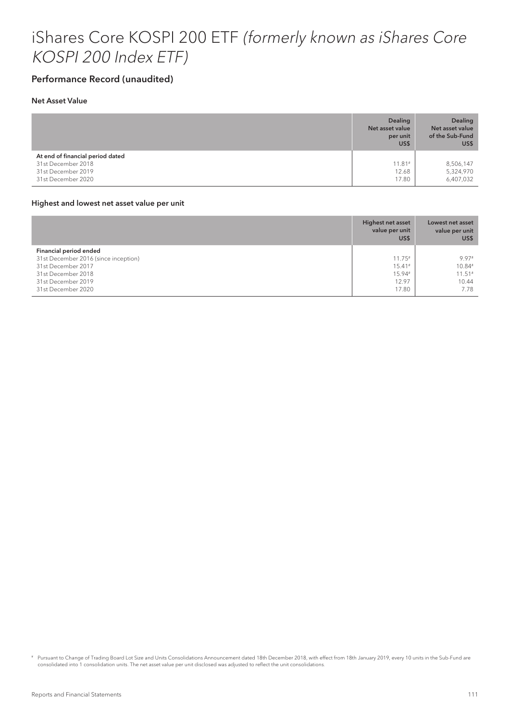## Performance Record (unaudited)

#### Net Asset Value

|                                  | <b>Dealing</b><br>Net asset value<br>per unit<br>US\$ | <b>Dealing</b><br>Net asset value<br>of the Sub-Fund<br>US\$ |
|----------------------------------|-------------------------------------------------------|--------------------------------------------------------------|
| At end of financial period dated |                                                       |                                                              |
| 31st December 2018               | $11.81*$                                              | 8,506,147                                                    |
| 31st December 2019               | 12.68                                                 | 5,324,970                                                    |
| 31st December 2020               | 17.80                                                 | 6,407,032                                                    |

#### Highest and lowest net asset value per unit

|                                      | <b>Highest net asset</b><br>value per unit<br>US\$ | Lowest net asset<br>value per unit<br>US\$ |
|--------------------------------------|----------------------------------------------------|--------------------------------------------|
| Financial period ended               |                                                    |                                            |
| 31st December 2016 (since inception) | $11.75*$                                           | 9.97#                                      |
| 31st December 2017                   | $15.41*$                                           | 10.84#                                     |
| 31st December 2018                   | 15.94#                                             | $11.51*$                                   |
| 31st December 2019                   | 12.97                                              | 10.44                                      |
| 31st December 2020                   | 17.80                                              | 7.78                                       |

# Pursuant to Change of Trading Board Lot Size and Units Consolidations Announcement dated 18th December 2018, with effect from 18th January 2019, every 10 units in the Sub-Fund are consolidated into 1 consolidation units. The net asset value per unit disclosed was adjusted to reflect the unit consolidations.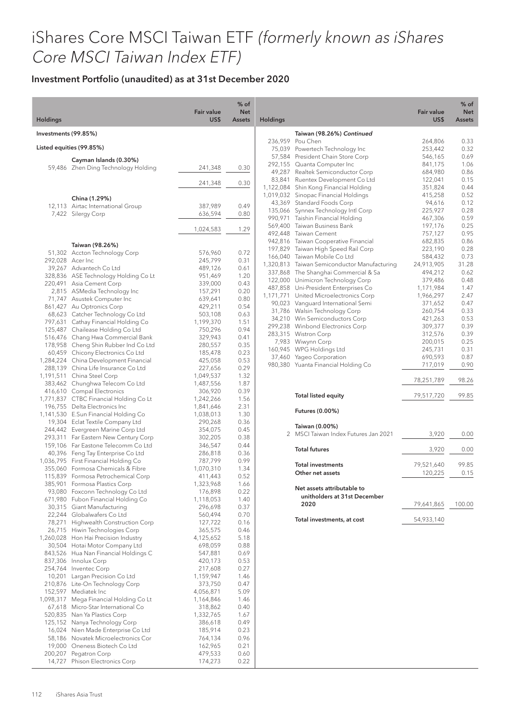## Investment Portfolio (unaudited) as at 31st December 2020

| <b>Holdings</b>      |                                                                            | <b>Fair value</b><br>US\$ | $%$ of<br><b>Net</b><br>Assets | <b>Holdings</b> |                                                                               | <b>Fair value</b><br>US\$ | % of<br><b>Net</b><br><b>Assets</b> |
|----------------------|----------------------------------------------------------------------------|---------------------------|--------------------------------|-----------------|-------------------------------------------------------------------------------|---------------------------|-------------------------------------|
| Investments (99.85%) |                                                                            |                           |                                |                 | Taiwan (98.26%) Continued                                                     |                           |                                     |
|                      |                                                                            |                           |                                |                 | 236,959 Pou Chen                                                              | 264,806                   | 0.33                                |
|                      | Listed equities (99.85%)                                                   |                           |                                |                 | 75,039 Powertech Technology Inc<br>57,584 President Chain Store Corp          | 253,442<br>546,165        | 0.32<br>0.69                        |
|                      | Cayman Islands (0.30%)                                                     |                           |                                |                 | 292,155 Quanta Computer Inc                                                   | 841,175                   | 1.06                                |
|                      | 59,486 Zhen Ding Technology Holding                                        | 241,348                   | 0.30                           |                 | 49,287 Realtek Semiconductor Corp                                             | 684,980                   | 0.86                                |
|                      |                                                                            | 241,348                   | 0.30                           |                 | 83,841 Ruentex Development Co Ltd                                             | 122,041                   | 0.15                                |
|                      |                                                                            |                           |                                |                 | 1,122,084 Shin Kong Financial Holding<br>1,019,032 Sinopac Financial Holdings | 351,824<br>415,258        | 0.44<br>0.52                        |
|                      | China (1.29%)                                                              |                           |                                |                 | 43,369 Standard Foods Corp                                                    | 94,616                    | 0.12                                |
|                      | 12,113 Airtac International Group<br>7,422 Silergy Corp                    | 387,989<br>636,594        | 0.49<br>0.80                   |                 | 135,066 Synnex Technology Intl Corp                                           | 225,927                   | 0.28                                |
|                      |                                                                            |                           |                                |                 | 990,971 Taishin Financial Holding                                             | 467,306                   | 0.59                                |
|                      |                                                                            | 1,024,583                 | 1.29                           |                 | 569,400 Taiwan Business Bank<br>492,448 Taiwan Cement                         | 197,176<br>757,127        | 0.25<br>0.95                        |
|                      |                                                                            |                           |                                |                 | 942,816 Taiwan Cooperative Financial                                          | 682,835                   | 0.86                                |
|                      | Taiwan (98.26%)<br>51,302 Accton Technology Corp                           | 576,960                   | 0.72                           |                 | 197,829 Taiwan High Speed Rail Corp                                           | 223,190                   | 0.28                                |
| 292,028 Acer Inc     |                                                                            | 245,799                   | 0.31                           |                 | 166,040 Taiwan Mobile Co Ltd                                                  | 584,432                   | 0.73                                |
|                      | 39,267 Advantech Co Ltd                                                    | 489,126                   | 0.61                           |                 | 1,320,813 Taiwan Semiconductor Manufacturing                                  | 24,913,905                | 31.28                               |
|                      | 328,836 ASE Technology Holding Co Lt                                       | 951,469                   | 1.20                           |                 | 337,868 The Shanghai Commercial & Sa<br>122,000 Unimicron Technology Corp     | 494,212<br>379,486        | 0.62<br>0.48                        |
|                      | 220,491 Asia Cement Corp                                                   | 339,000                   | 0.43                           |                 | 487,858 Uni-President Enterprises Co                                          | 1,171,984                 | 1.47                                |
|                      | 2,815 ASMedia Technology Inc<br>71,747 Asustek Computer Inc                | 157,291                   | 0.20<br>0.80                   |                 | 1,171,771 United Microelectronics Corp                                        | 1,966,297                 | 2.47                                |
|                      | 861,427 Au Optronics Corp                                                  | 639,641<br>429,211        | 0.54                           |                 | 90,023 Vanquard International Semi                                            | 371,652                   | 0.47                                |
|                      | 68,623 Catcher Technology Co Ltd                                           | 503,108                   | 0.63                           |                 | 31,786 Walsin Technology Corp                                                 | 260,754                   | 0.33                                |
|                      | 797,631 Cathay Financial Holding Co                                        | 1,199,370                 | 1.51                           |                 | 34,210 Win Semiconductors Corp                                                | 421,263                   | 0.53                                |
|                      | 125,487 Chailease Holding Co Ltd                                           | 750,296                   | 0.94                           |                 | 299,238 Winbond Electronics Corp<br>283,315 Wistron Corp                      | 309,377<br>312,576        | 0.39<br>0.39                        |
|                      | 516,476 Chang Hwa Commercial Bank                                          | 329,943                   | 0.41                           |                 | 7,983 Wiwynn Corp                                                             | 200,015                   | 0.25                                |
|                      | 178,958 Cheng Shin Rubber Ind Co Ltd                                       | 280,557                   | 0.35<br>0.23                   |                 | 160,945 WPG Holdings Ltd                                                      | 245,731                   | 0.31                                |
|                      | 60,459 Chicony Electronics Co Ltd<br>1,284,224 China Development Financial | 185,478<br>425,058        | 0.53                           |                 | 37,460 Yageo Corporation                                                      | 690,593                   | 0.87                                |
|                      | 288,139 China Life Insurance Co Ltd                                        | 227,656                   | 0.29                           |                 | 980,380 Yuanta Financial Holding Co                                           | 717,019                   | 0.90                                |
|                      | 1,191,511 China Steel Corp                                                 | 1,049,537                 | 1.32                           |                 |                                                                               |                           |                                     |
|                      | 383,462 Chunghwa Telecom Co Ltd                                            | 1,487,556                 | 1.87                           |                 |                                                                               | 78,251,789                | 98.26                               |
|                      | 416,610 Compal Electronics                                                 | 306,920                   | 0.39                           |                 | <b>Total listed equity</b>                                                    | 79,517,720                | 99.85                               |
|                      | 1,771,837 CTBC Financial Holding Co Lt<br>196,755 Delta Electronics Inc    | 1,242,266<br>1,841,646    | 1.56<br>2.31                   |                 |                                                                               |                           |                                     |
|                      | 1,141,530 E.Sun Financial Holding Co                                       | 1,038,013                 | 1.30                           |                 | Futures (0.00%)                                                               |                           |                                     |
|                      | 19,304 Eclat Textile Company Ltd                                           | 290,268                   | 0.36                           |                 | Taiwan (0.00%)                                                                |                           |                                     |
|                      | 244,442 Evergreen Marine Corp Ltd                                          | 354,075                   | 0.45                           |                 | 2 MSCI Taiwan Index Futures Jan 2021                                          | 3,920                     | 0.00                                |
|                      | 293,311 Far Eastern New Century Corp                                       | 302,205                   | 0.38                           |                 |                                                                               |                           |                                     |
|                      | 159,106 Far Eastone Telecomm Co Ltd<br>40,396 Feng Tay Enterprise Co Ltd   | 346,547<br>286,818        | 0.44<br>0.36                   |                 | <b>Total futures</b>                                                          | 3,920                     | 0.00                                |
|                      | 1,036,795 First Financial Holding Co                                       | 787,799                   | 0.99                           |                 |                                                                               |                           |                                     |
|                      | 355,060 Formosa Chemicals & Fibre                                          | 1,070,310                 | 1.34                           |                 | <b>Total investments</b>                                                      | 79,521,640                | 99.85                               |
|                      | 115,839 Formosa Petrochemical Corp                                         | 411,443                   | 0.52                           |                 | Other net assets                                                              | 120,225                   | 0.15                                |
|                      | 385,901 Formosa Plastics Corp                                              | 1,323,968                 | 1.66                           |                 | Net assets attributable to                                                    |                           |                                     |
|                      | 93,080 Foxconn Technology Co Ltd<br>671,980 Fubon Financial Holding Co     | 176,898<br>1,118,053      | 0.22<br>1.40                   |                 | unitholders at 31st December                                                  |                           |                                     |
|                      | 30,315 Giant Manufacturing                                                 | 296,698                   | 0.37                           |                 | 2020                                                                          | 79,641,865                | 100.00                              |
|                      | 22,244 Globalwafers Co Ltd                                                 | 560,494                   | 0.70                           |                 |                                                                               |                           |                                     |
|                      | 78,271 Highwealth Construction Corp                                        | 127,722                   | 0.16                           |                 | Total investments, at cost                                                    | 54,933,140                |                                     |
|                      | 26,715 Hiwin Technologies Corp                                             | 365,575                   | 0.46                           |                 |                                                                               |                           |                                     |
|                      | 1,260,028 Hon Hai Precision Industry<br>30,504 Hotai Motor Company Ltd     | 4,125,652<br>698,059      | 5.18<br>0.88                   |                 |                                                                               |                           |                                     |
|                      | 843,526 Hua Nan Financial Holdings C                                       | 547,881                   | 0.69                           |                 |                                                                               |                           |                                     |
|                      | 837,306 Innolux Corp                                                       | 420,173                   | 0.53                           |                 |                                                                               |                           |                                     |
|                      | 254,764 Inventec Corp                                                      | 217,608                   | 0.27                           |                 |                                                                               |                           |                                     |
|                      | 10,201 Largan Precision Co Ltd                                             | 1,159,947                 | 1.46                           |                 |                                                                               |                           |                                     |
|                      | 210,876 Lite-On Technology Corp                                            | 373,750                   | 0.47                           |                 |                                                                               |                           |                                     |
|                      | 152,597 Mediatek Inc<br>1,098,317 Mega Financial Holding Co Lt             | 4,056,871<br>1,164,846    | 5.09<br>1.46                   |                 |                                                                               |                           |                                     |
|                      | 67,618 Micro-Star International Co                                         | 318,862                   | 0.40                           |                 |                                                                               |                           |                                     |
|                      | 520,835 Nan Ya Plastics Corp                                               | 1,332,765                 | 1.67                           |                 |                                                                               |                           |                                     |
|                      | 125,152 Nanya Technology Corp                                              | 386,618                   | 0.49                           |                 |                                                                               |                           |                                     |
|                      | 16,024 Nien Made Enterprise Co Ltd                                         | 185,914                   | 0.23                           |                 |                                                                               |                           |                                     |
|                      | 58,186 Novatek Microelectronics Cor<br>19,000 Oneness Biotech Co Ltd       | 764,134<br>162,965        | 0.96<br>0.21                   |                 |                                                                               |                           |                                     |
|                      | 200,207 Pegatron Corp                                                      | 479,533                   | 0.60                           |                 |                                                                               |                           |                                     |
|                      | 14,727 Phison Electronics Corp                                             | 174,273                   | 0.22                           |                 |                                                                               |                           |                                     |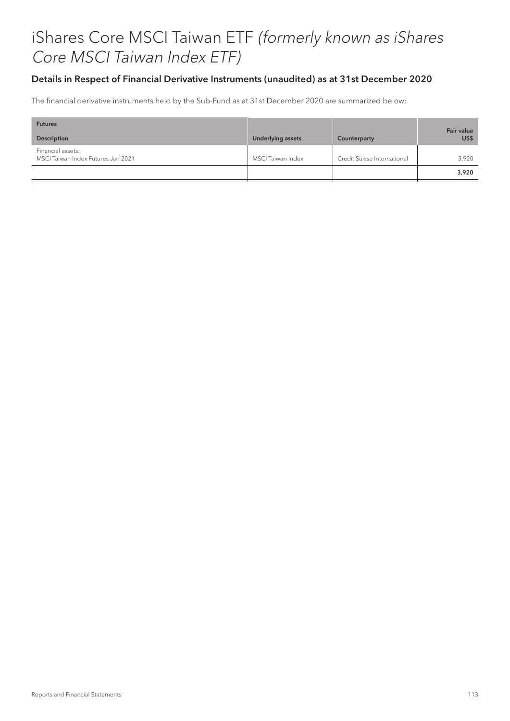## Details in Respect of Financial Derivative Instruments (unaudited) as at 31st December 2020

The financial derivative instruments held by the Sub-Fund as at 31st December 2020 are summarized below:

| <b>Futures</b><br>Description                           | <b>Underlying assets</b> | Counterparty                | <b>Fair value</b><br>US\$ |
|---------------------------------------------------------|--------------------------|-----------------------------|---------------------------|
| Financial assets:<br>MSCI Taiwan Index Futures Jan 2021 | MSCI Taiwan Index        | Credit Suisse International | 3.920                     |
|                                                         |                          |                             | 3,920                     |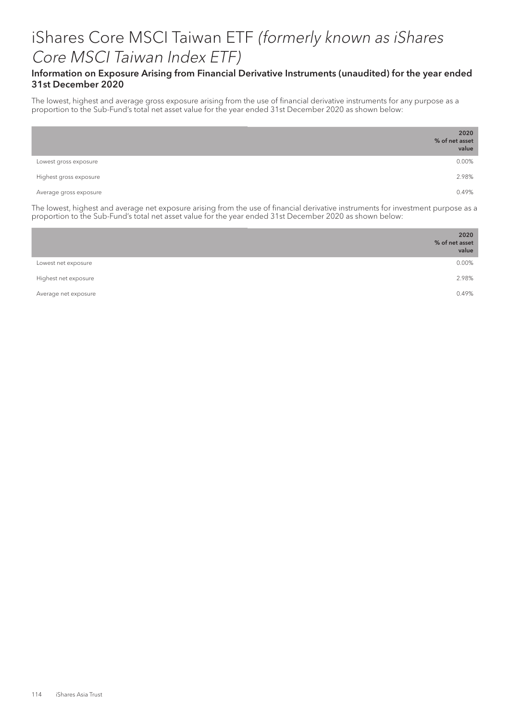## Information on Exposure Arising from Financial Derivative Instruments (unaudited) for the year ended 31st December 2020

The lowest, highest and average gross exposure arising from the use of financial derivative instruments for any purpose as a proportion to the Sub-Fund's total net asset value for the year ended 31st December 2020 as shown below:

|                        | 2020<br>% of net asset<br>value |
|------------------------|---------------------------------|
| Lowest gross exposure  | 0.00%                           |
| Highest gross exposure | 2.98%                           |
| Average gross exposure | 0.49%                           |

The lowest, highest and average net exposure arising from the use of financial derivative instruments for investment purpose as a proportion to the Sub-Fund's total net asset value for the year ended 31st December 2020 as shown below:

|                      | 2020<br>% of net asset<br>value |
|----------------------|---------------------------------|
| Lowest net exposure  | 0.00%                           |
| Highest net exposure | 2.98%                           |
| Average net exposure | 0.49%                           |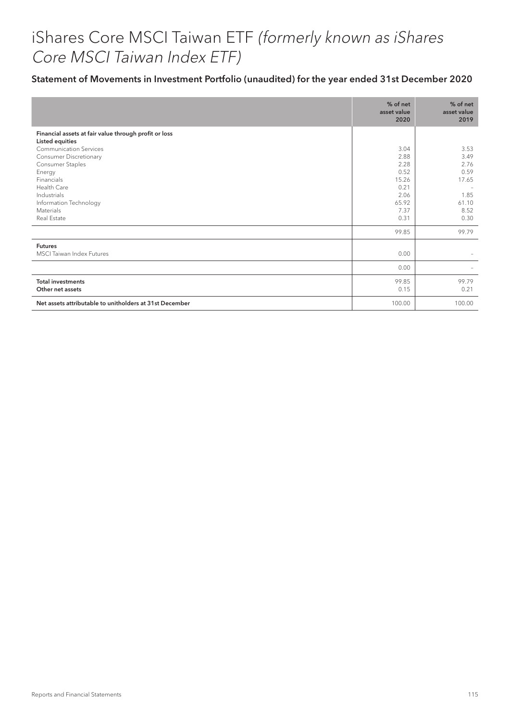|                                                                                 | % of net<br>asset value<br>2020 | % of net<br>asset value<br>2019 |
|---------------------------------------------------------------------------------|---------------------------------|---------------------------------|
| Financial assets at fair value through profit or loss<br><b>Listed equities</b> |                                 |                                 |
| <b>Communication Services</b>                                                   | 3.04                            | 3.53                            |
| <b>Consumer Discretionary</b>                                                   | 2.88                            | 3.49                            |
| Consumer Staples<br>Energy                                                      | 2.28<br>0.52                    | 2.76<br>0.59                    |
| Financials                                                                      | 15.26                           | 17.65                           |
| Health Care                                                                     | 0.21                            | $\overline{\phantom{a}}$        |
| Industrials                                                                     | 2.06                            | 1.85                            |
| Information Technology                                                          | 65.92                           | 61.10                           |
| Materials                                                                       | 7.37                            | 8.52                            |
| Real Estate                                                                     | 0.31                            | 0.30                            |
|                                                                                 | 99.85                           | 99.79                           |
| <b>Futures</b>                                                                  |                                 |                                 |
| <b>MSCI</b> Taiwan Index Futures                                                | 0.00                            |                                 |
|                                                                                 | 0.00                            |                                 |
| <b>Total investments</b><br>Other net assets                                    | 99.85<br>0.15                   | 99.79<br>0.21                   |
| Net assets attributable to unitholders at 31st December                         | 100.00                          | 100.00                          |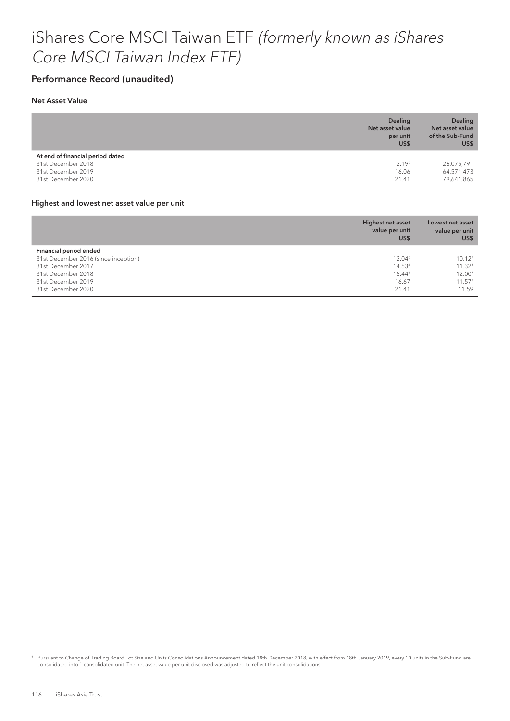## Performance Record (unaudited)

### Net Asset Value

|                                                                                                    | <b>Dealing</b><br>Net asset value<br>per unit<br>US\$ | <b>Dealing</b><br>Net asset value<br>of the Sub-Fund<br>US\$ |
|----------------------------------------------------------------------------------------------------|-------------------------------------------------------|--------------------------------------------------------------|
| At end of financial period dated<br>31st December 2018<br>31st December 2019<br>31st December 2020 | $12.19*$<br>16.06<br>21.41                            | 26,075,791<br>64,571,473<br>79,641,865                       |

#### Highest and lowest net asset value per unit

|                                      | <b>Highest net asset</b><br>value per unit<br>US\$ | Lowest net asset<br>value per unit<br>US\$ |
|--------------------------------------|----------------------------------------------------|--------------------------------------------|
| Financial period ended               |                                                    |                                            |
| 31st December 2016 (since inception) | $12.04*$                                           | $10.12*$                                   |
| 31st December 2017                   | $14.53*$                                           | $11.32*$                                   |
| 31st December 2018                   | 15.44#                                             | $12.00*$                                   |
| 31st December 2019                   | 16.67                                              | $11.57*$                                   |
| 31st December 2020                   | 21.41                                              | 11.59                                      |

# Pursuant to Change of Trading Board Lot Size and Units Consolidations Announcement dated 18th December 2018, with effect from 18th January 2019, every 10 units in the Sub-Fund are consolidated into 1 consolidated unit. The net asset value per unit disclosed was adjusted to reflect the unit consolidations.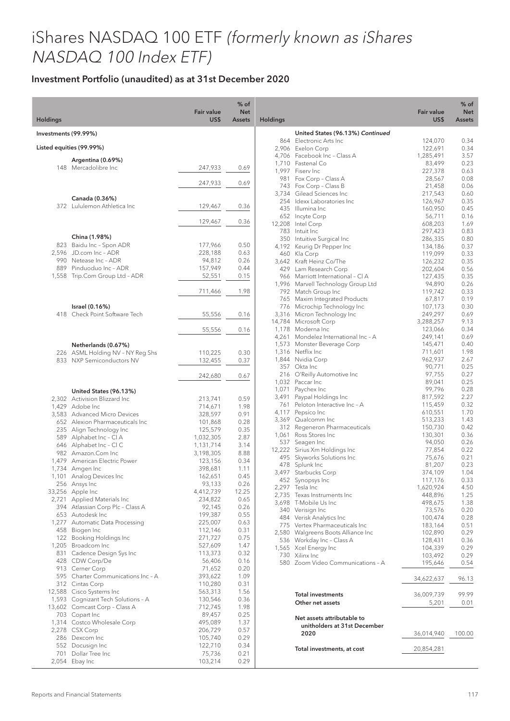# iShares NASDAQ 100 ETF (formerly known as iShares NASDAQ 100 Index ETF)

## Investment Portfolio (unaudited) as at 31st December 2020

| <b>Holdings</b>      |                                                               | <b>Fair value</b><br>US\$ | $%$ of<br><b>Net</b><br><b>Assets</b> | <b>Holdings</b> |                                                                 | <b>Fair value</b><br>US\$ | $%$ of<br><b>Net</b><br><b>Assets</b> |
|----------------------|---------------------------------------------------------------|---------------------------|---------------------------------------|-----------------|-----------------------------------------------------------------|---------------------------|---------------------------------------|
|                      |                                                               |                           |                                       |                 |                                                                 |                           |                                       |
| Investments (99.99%) |                                                               |                           |                                       |                 | United States (96.13%) Continued<br>864 Electronic Arts Inc     | 124,070                   | 0.34                                  |
|                      | Listed equities (99.99%)                                      |                           |                                       |                 | 2,906 Exelon Corp                                               | 122,691                   | 0.34                                  |
|                      | Argentina (0.69%)                                             |                           |                                       |                 | 4.706 Facebook Inc - Class A                                    | 1,285,491                 | 3.57                                  |
|                      | 148 Mercadolibre Inc                                          | 247,933                   | 0.69                                  |                 | 1,710 Fastenal Co                                               | 83,499                    | 0.23                                  |
|                      |                                                               |                           |                                       | 981             | 1,997 Fiserv Inc<br>Fox Corp - Class A                          | 227,378<br>28,567         | 0.63<br>0.08                          |
|                      |                                                               | 247,933                   | 0.69                                  |                 | 743 Fox Corp - Class B                                          | 21,458                    | 0.06                                  |
|                      |                                                               |                           |                                       |                 | 3.734 Gilead Sciences Inc.                                      | 217,543                   | 0.60                                  |
|                      | Canada (0.36%)<br>372 Lululemon Athletica Inc                 | 129,467                   | 0.36                                  |                 | 254 Idexx Laboratories Inc                                      | 126,967                   | 0.35                                  |
|                      |                                                               |                           |                                       |                 | 435 Illumina Inc<br>652 Incyte Corp                             | 160,950<br>56,711         | 0.45<br>0.16                          |
|                      |                                                               | 129,467                   | 0.36                                  |                 | 12,208 Intel Corp                                               | 608,203                   | 1.69                                  |
|                      |                                                               |                           |                                       |                 | 783 Intuit Inc                                                  | 297,423                   | 0.83                                  |
|                      | China (1.98%)                                                 |                           |                                       |                 | 350 Intuitive Surgical Inc                                      | 286,335                   | 0.80                                  |
|                      | 823 Baidu Inc - Spon ADR<br>2,596 JD.com Inc - ADR            | 177,966<br>228,188        | 0.50<br>0.63                          |                 | 4,192 Keurig Dr Pepper Inc                                      | 134,186                   | 0.37                                  |
|                      | 990 Netease Inc - ADR                                         | 94,812                    | 0.26                                  |                 | 460 Kla Corp<br>3,642 Kraft Heinz Co/The                        | 119,099<br>126,232        | 0.33<br>0.35                          |
|                      | 889 Pinduoduo Inc - ADR                                       | 157,949                   | 0.44                                  |                 | 429 Lam Research Corp                                           | 202,604                   | 0.56                                  |
|                      | 1,558 Trip.Com Group Ltd - ADR                                | 52,551                    | 0.15                                  |                 | 966 Marriott International - CI A                               | 127,435                   | 0.35                                  |
|                      |                                                               |                           |                                       |                 | 1,996 Marvell Technology Group Ltd                              | 94,890                    | 0.26                                  |
|                      |                                                               | 711,466                   | 1.98                                  |                 | 792 Match Group Inc                                             | 119,742                   | 0.33                                  |
|                      | Israel (0.16%)                                                |                           |                                       |                 | 765 Maxim Integrated Products<br>776 Microchip Technology Inc   | 67,817<br>107,173         | 0.19<br>0.30                          |
|                      | 418 Check Point Software Tech                                 | 55,556                    | 0.16                                  |                 | 3,316 Micron Technology Inc                                     | 249,297                   | 0.69                                  |
|                      |                                                               |                           |                                       |                 | 14,784 Microsoft Corp                                           | 3,288,257                 | 9.13                                  |
|                      |                                                               | 55,556                    | 0.16                                  |                 | 1,178 Moderna Inc                                               | 123,066                   | 0.34                                  |
|                      |                                                               |                           |                                       |                 | 4,261 Mondelez International Inc - A                            | 249,141                   | 0.69                                  |
|                      | Netherlands (0.67%)                                           |                           |                                       |                 | 1,573 Monster Beverage Corp<br>1,316 Netflix Inc                | 145,471                   | 0.40<br>1.98                          |
|                      | 226 ASML Holding NV - NY Reg Shs<br>833 NXP Semiconductors NV | 110,225<br>132,455        | 0.30<br>0.37                          |                 | 1,844 Nvidia Corp                                               | 711,601<br>962,937        | 2.67                                  |
|                      |                                                               |                           |                                       |                 | 357 Okta Inc                                                    | 90,771                    | 0.25                                  |
|                      |                                                               | 242,680                   | 0.67                                  |                 | 216 O'Reilly Automotive Inc                                     | 97,755                    | 0.27                                  |
|                      |                                                               |                           |                                       |                 | 1,032 Paccar Inc                                                | 89,041                    | 0.25                                  |
|                      | United States (96.13%)                                        |                           |                                       | 1,071<br>3,491  | Paychex Inc<br>Paypal Holdings Inc                              | 99,796<br>817,592         | 0.28<br>2.27                          |
|                      | 2,302 Activision Blizzard Inc                                 | 213,741                   | 0.59                                  | 761             | Peloton Interactive Inc - A                                     | 115,459                   | 0.32                                  |
|                      | 1,429 Adobe Inc<br>3,583 Advanced Micro Devices               | 714,671<br>328,597        | 1.98<br>0.91                          |                 | 4,117 Pepsico Inc                                               | 610,551                   | 1.70                                  |
|                      | 652 Alexion Pharmaceuticals Inc                               | 101,868                   | 0.28                                  |                 | 3,369 Qualcomm Inc                                              | 513,233                   | 1.43                                  |
|                      | 235 Align Technology Inc                                      | 125,579                   | 0.35                                  |                 | 312 Regeneron Pharmaceuticals                                   | 150,730                   | 0.42                                  |
|                      | 589 Alphabet Inc - Cl A                                       | 1,032,305                 | 2.87                                  |                 | 1,061 Ross Stores Inc<br>537 Seagen Inc                         | 130,301                   | 0.36                                  |
|                      | 646 Alphabet Inc - CIC                                        | 1,131,714                 | 3.14                                  |                 | 12,222 Sirius Xm Holdings Inc                                   | 94,050<br>77,854          | 0.26<br>0.22                          |
|                      | 982 Amazon.Com Inc                                            | 3,198,305                 | 8.88                                  |                 | 495 Skyworks Solutions Inc                                      | 75,676                    | 0.21                                  |
|                      | 1,479 American Electric Power<br>1,734 Amgen Inc              | 123,156<br>398,681        | 0.34<br>1.11                          |                 | 478 Splunk Inc                                                  | 81,207                    | 0.23                                  |
|                      | 1,101 Analog Devices Inc                                      | 162,651                   | 0.45                                  |                 | 3,497 Starbucks Corp                                            | 374,109                   | 1.04                                  |
|                      | 256 Ansys Inc                                                 | 93,133                    | 0.26                                  |                 | 452 Synopsys Inc                                                | 117,176<br>1,620,924      | 0.33                                  |
|                      | 33,256 Apple Inc                                              | 4,412,739                 | 12.25                                 |                 | 2,297 Tesla Inc<br>2,735 Texas Instruments Inc                  | 448,896                   | 4.50<br>1.25                          |
|                      | 2,721 Applied Materials Inc                                   | 234,822                   | 0.65                                  |                 | 3,698 T-Mobile Us Inc                                           | 498,675                   | 1.38                                  |
|                      | 394 Atlassian Corp Plc - Class A<br>653 Autodesk Inc          | 92,145                    | 0.26                                  |                 | 340 Verisign Inc                                                | 73,576                    | 0.20                                  |
|                      | 1,277 Automatic Data Processing                               | 199,387<br>225,007        | 0.55<br>0.63                          |                 | 484 Verisk Analytics Inc                                        | 100,474                   | 0.28                                  |
|                      | 458 Biogen Inc                                                | 112,146                   | 0.31                                  |                 | 775 Vertex Pharmaceuticals Inc                                  | 183,164                   | 0.51                                  |
|                      | 122 Booking Holdings Inc                                      | 271,727                   | 0.75                                  |                 | 2,580 Walgreens Boots Alliance Inc<br>536 Workday Inc - Class A | 102,890<br>128,431        | 0.29<br>0.36                          |
|                      | 1,205 Broadcom Inc                                            | 527,609                   | 1.47                                  |                 | 1,565 Xcel Energy Inc                                           | 104,339                   | 0.29                                  |
|                      | 831 Cadence Design Sys Inc                                    | 113,373                   | 0.32                                  |                 | 730 Xilinx Inc                                                  | 103,492                   | 0.29                                  |
|                      | 428 CDW Corp/De                                               | 56,406                    | 0.16                                  |                 | 580 Zoom Video Communications - A                               | 195,646                   | 0.54                                  |
|                      | 913 Cerner Corp<br>595 Charter Communications Inc - A         | 71,652<br>393,622         | 0.20<br>1.09                          |                 |                                                                 |                           |                                       |
|                      | 312 Cintas Corp                                               | 110,280                   | 0.31                                  |                 |                                                                 | 34,622,637                | 96.13                                 |
|                      | 12,588 Cisco Systems Inc                                      | 563,313                   | 1.56                                  |                 | <b>Total investments</b>                                        | 36,009,739                | 99.99                                 |
|                      | 1,593 Cognizant Tech Solutions - A                            | 130,546                   | 0.36                                  |                 | Other net assets                                                | 5,201                     | 0.01                                  |
|                      | 13,602 Comcast Corp - Class A                                 | 712,745                   | 1.98                                  |                 |                                                                 |                           |                                       |
|                      | 703 Copart Inc<br>1,314 Costco Wholesale Corp                 | 89,457                    | 0.25                                  |                 | Net assets attributable to                                      |                           |                                       |
|                      | 2,278 CSX Corp                                                | 495,089<br>206,729        | 1.37<br>0.57                          |                 | unitholders at 31st December                                    |                           |                                       |
|                      | 286 Dexcom Inc                                                | 105,740                   | 0.29                                  |                 | 2020                                                            | 36,014,940                | 100.00                                |
|                      | 552 Docusign Inc                                              | 122,710                   | 0.34                                  |                 | Total investments, at cost                                      | 20,854,281                |                                       |
|                      | 701 Dollar Tree Inc                                           | 75,736                    | 0.21                                  |                 |                                                                 |                           |                                       |
|                      | 2,054 Ebay Inc                                                | 103,214                   | 0.29                                  |                 |                                                                 |                           |                                       |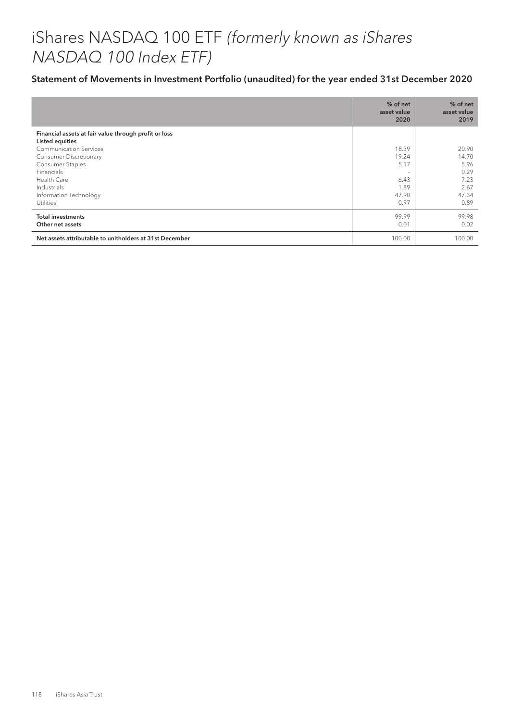# iShares NASDAQ 100 ETF (formerly known as iShares NASDAQ 100 Index ETF)

|                                                                          | % of net<br>asset value<br>2020 | % of net<br>asset value<br>2019 |
|--------------------------------------------------------------------------|---------------------------------|---------------------------------|
| Financial assets at fair value through profit or loss<br>Listed equities |                                 |                                 |
| <b>Communication Services</b>                                            | 18.39                           | 20.90                           |
| <b>Consumer Discretionary</b>                                            | 19.24                           | 14.70                           |
| Consumer Staples                                                         | 5.17                            | 5.96                            |
| Financials                                                               | $\overline{\phantom{m}}$        | 0.29                            |
| Health Care                                                              | 6.43                            | 7.23                            |
| Industrials                                                              | 1.89                            | 2.67                            |
| Information Technology                                                   | 47.90                           | 47.34                           |
| <b>Utilities</b>                                                         | 0.97                            | 0.89                            |
| <b>Total investments</b><br>Other net assets                             | 99.99<br>0.01                   | 99.98<br>0.02                   |
| Net assets attributable to unitholders at 31st December                  | 100.00                          | 100.00                          |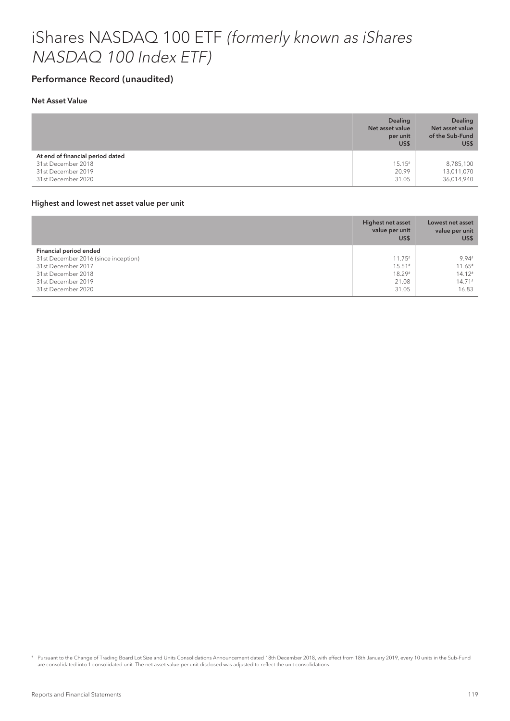# iShares NASDAQ 100 ETF (formerly known as iShares NASDAQ 100 Index ETF)

## Performance Record (unaudited)

### Net Asset Value

|                                                                                                    | <b>Dealing</b><br>Net asset value<br>per unit<br>US\$ | <b>Dealing</b><br>Net asset value<br>of the Sub-Fund<br>US\$ |
|----------------------------------------------------------------------------------------------------|-------------------------------------------------------|--------------------------------------------------------------|
| At end of financial period dated<br>31st December 2018<br>31st December 2019<br>31st December 2020 | $15.15*$<br>20.99<br>31.05                            | 8,785,100<br>13,011,070<br>36,014,940                        |

#### Highest and lowest net asset value per unit

|                                      | <b>Highest net asset</b><br>value per unit<br>US\$ | Lowest net asset<br>value per unit<br>US\$ |
|--------------------------------------|----------------------------------------------------|--------------------------------------------|
| Financial period ended               |                                                    |                                            |
| 31st December 2016 (since inception) | $11.75*$                                           | 9.94#                                      |
| 31st December 2017                   | $15.51*$                                           | $11.65*$                                   |
| 31st December 2018                   | 18.29#                                             | $14.12*$                                   |
| 31st December 2019                   | 21.08                                              | $14.71*$                                   |
| 31st December 2020                   | 31.05                                              | 16.83                                      |

# Pursuant to the Change of Trading Board Lot Size and Units Consolidations Announcement dated 18th December 2018, with effect from 18th January 2019, every 10 units in the Sub-Fund are consolidated into 1 consolidated unit. The net asset value per unit disclosed was adjusted to reflect the unit consolidations.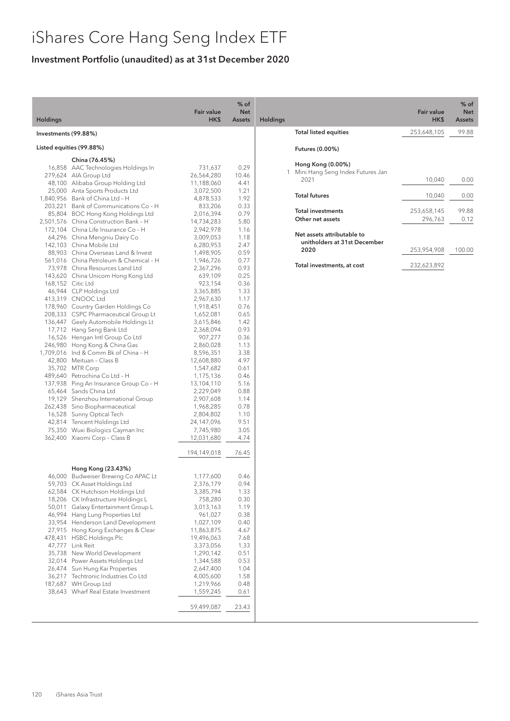## Investment Portfolio (unaudited) as at 31st December 2020

|                                                                                                                                                                                                                                                                                                                                                                                                                | <b>Fair value</b><br>HK\$                                                                                                                                                                                                                                                                                                                                                                                                                                                                                                                                                                                                                                                                                                                                                                                                                                                                                                                                                                                                                                                                                                                                                                                                                                                                                                                                                                              | $%$ of<br><b>Net</b><br><b>Assets</b>                                                                                                                                                                                                                                                         | Holdings |
|----------------------------------------------------------------------------------------------------------------------------------------------------------------------------------------------------------------------------------------------------------------------------------------------------------------------------------------------------------------------------------------------------------------|--------------------------------------------------------------------------------------------------------------------------------------------------------------------------------------------------------------------------------------------------------------------------------------------------------------------------------------------------------------------------------------------------------------------------------------------------------------------------------------------------------------------------------------------------------------------------------------------------------------------------------------------------------------------------------------------------------------------------------------------------------------------------------------------------------------------------------------------------------------------------------------------------------------------------------------------------------------------------------------------------------------------------------------------------------------------------------------------------------------------------------------------------------------------------------------------------------------------------------------------------------------------------------------------------------------------------------------------------------------------------------------------------------|-----------------------------------------------------------------------------------------------------------------------------------------------------------------------------------------------------------------------------------------------------------------------------------------------|----------|
|                                                                                                                                                                                                                                                                                                                                                                                                                |                                                                                                                                                                                                                                                                                                                                                                                                                                                                                                                                                                                                                                                                                                                                                                                                                                                                                                                                                                                                                                                                                                                                                                                                                                                                                                                                                                                                        |                                                                                                                                                                                                                                                                                               |          |
|                                                                                                                                                                                                                                                                                                                                                                                                                |                                                                                                                                                                                                                                                                                                                                                                                                                                                                                                                                                                                                                                                                                                                                                                                                                                                                                                                                                                                                                                                                                                                                                                                                                                                                                                                                                                                                        |                                                                                                                                                                                                                                                                                               |          |
|                                                                                                                                                                                                                                                                                                                                                                                                                |                                                                                                                                                                                                                                                                                                                                                                                                                                                                                                                                                                                                                                                                                                                                                                                                                                                                                                                                                                                                                                                                                                                                                                                                                                                                                                                                                                                                        |                                                                                                                                                                                                                                                                                               |          |
| China (76.45%)                                                                                                                                                                                                                                                                                                                                                                                                 | 731,637<br>26,564,280<br>11,188,060<br>3,072,500<br>4,878,533<br>833,206<br>2,016,394<br>14,734,283<br>2,942,978<br>3,009,053<br>6,280,953<br>1,498,905<br>1,946,726<br>2,367,296<br>639,109<br>923,154<br>3,365,885<br>2,967,630<br>1,918,451<br>1,652,081<br>3,615,846<br>2,368,094<br>907,277<br>2,860,028<br>8,596,351<br>12,608,880<br>1,547,682<br>1,175,136<br>13,104,110<br>2,229,049<br>2,907,608<br>1,968,285<br>2,804,802<br>24,147,096<br>7,745,980<br>12,031,680                                                                                                                                                                                                                                                                                                                                                                                                                                                                                                                                                                                                                                                                                                                                                                                                                                                                                                                          | 0.29<br>10.46<br>4.41<br>1.21<br>1.92<br>0.33<br>0.79<br>5.80<br>1.16<br>1.18<br>2.47<br>0.59<br>0.77<br>0.93<br>0.25<br>0.36<br>1.33<br>1.17<br>0.76<br>0.65<br>1.42<br>0.93<br>0.36<br>1.13<br>3.38<br>4.97<br>0.61<br>0.46<br>5.16<br>0.88<br>1.14<br>0.78<br>1.10<br>9.51<br>3.05<br>4.74 |          |
|                                                                                                                                                                                                                                                                                                                                                                                                                | 194,149,018                                                                                                                                                                                                                                                                                                                                                                                                                                                                                                                                                                                                                                                                                                                                                                                                                                                                                                                                                                                                                                                                                                                                                                                                                                                                                                                                                                                            | 76.45                                                                                                                                                                                                                                                                                         |          |
| Hong Kong (23.43%)<br>CK Asset Holdings Ltd<br>CK Hutchison Holdings Ltd<br>CK Infrastructure Holdings L<br>Galaxy Entertainment Group L<br>Hang Lung Properties Ltd<br>Henderson Land Development<br>Hong Kong Exchanges & Clear<br><b>HSBC Holdings Plc</b><br>Link Reit<br>New World Development<br>Sun Hung Kai Properties<br>Techtronic Industries Co Ltd<br>WH Group Ltd<br>Wharf Real Estate Investment | 1,177,600<br>2,376,179<br>3,385,794<br>758,280<br>3,013,163<br>961,027<br>1,027,109<br>11,863,875<br>19,496,063<br>3,373,056<br>1,290,142<br>1,344,588<br>2,647,400<br>4,005,600<br>1,219,966<br>1,559,245<br>59,499,087                                                                                                                                                                                                                                                                                                                                                                                                                                                                                                                                                                                                                                                                                                                                                                                                                                                                                                                                                                                                                                                                                                                                                                               | 0.46<br>0.94<br>1.33<br>0.30<br>1.19<br>0.38<br>0.40<br>4.67<br>7.68<br>1.33<br>0.51<br>0.53<br>1.04<br>1.58<br>0.48<br>0.61<br>23.43                                                                                                                                                         |          |
|                                                                                                                                                                                                                                                                                                                                                                                                                | Investments (99.88%)<br>Listed equities (99.88%)<br>16,858 AAC Technologies Holdings In<br>279,624 AIA Group Ltd<br>48,100 Alibaba Group Holding Ltd<br>25,000 Anta Sports Products Ltd<br>1,840,956 Bank of China Ltd - H<br>203,221 Bank of Communications Co - H<br>85,804 BOC Hong Kong Holdings Ltd<br>2,501,576 China Construction Bank - H<br>172,104 China Life Insurance Co - H<br>64,296 China Mengniu Dairy Co<br>142,103 China Mobile Ltd<br>88,903 China Overseas Land & Invest<br>561,016 China Petroleum & Chemical - H<br>73,978 China Resources Land Ltd<br>143,620 China Unicom Hong Kong Ltd<br>168,152 Citic Ltd<br>46,944 CLP Holdings Ltd<br>413,319 CNOOC Ltd<br>178,960 Country Garden Holdings Co<br>208,333 CSPC Pharmaceutical Group Lt<br>136,447 Geely Automobile Holdings Lt<br>17,712 Hang Seng Bank Ltd<br>16,526 Hengan Intl Group Co Ltd<br>246,980 Hong Kong & China Gas<br>1,709,016 Ind & Comm Bk of China - H<br>42,800 Meituan - Class B<br>35,702 MTR Corp<br>489,640 Petrochina Co Ltd - H<br>137,938 Ping An Insurance Group Co - H<br>65,464 Sands China Ltd<br>19,129 Shenzhou International Group<br>262,438 Sino Biopharmaceutical<br>16,528 Sunny Optical Tech<br>42,814 Tencent Holdings Ltd<br>75,350 Wuxi Biologics Cayman Inc<br>362,400 Xiaomi Corp - Class B<br>46,000 Budweiser Brewing Co APAC Lt<br>47,777<br>32,014 Power Assets Holdings Ltd |                                                                                                                                                                                                                                                                                               |          |

|                                                            | Fair value<br>HK\$ | $%$ of<br><b>Net</b><br><b>Assets</b> |
|------------------------------------------------------------|--------------------|---------------------------------------|
| <b>Total listed equities</b>                               | 253,648,105        | 99.88                                 |
| <b>Futures (0.00%)</b>                                     |                    |                                       |
| Hong Kong (0.00%)<br>Mini Hang Seng Index Futures Jan<br>1 |                    |                                       |
| 2021                                                       | 10,040             | 0.00                                  |
| <b>Total futures</b>                                       | 10,040             | 0.00                                  |
| <b>Total investments</b>                                   | 253,658,145        | 99.88                                 |
| Other net assets                                           | 296,763            | 0.12                                  |
| Net assets attributable to<br>unitholders at 31st December |                    |                                       |
| 2020                                                       | 253,954,908        | 100.00                                |
| Total investments, at cost                                 | 232,623,892        |                                       |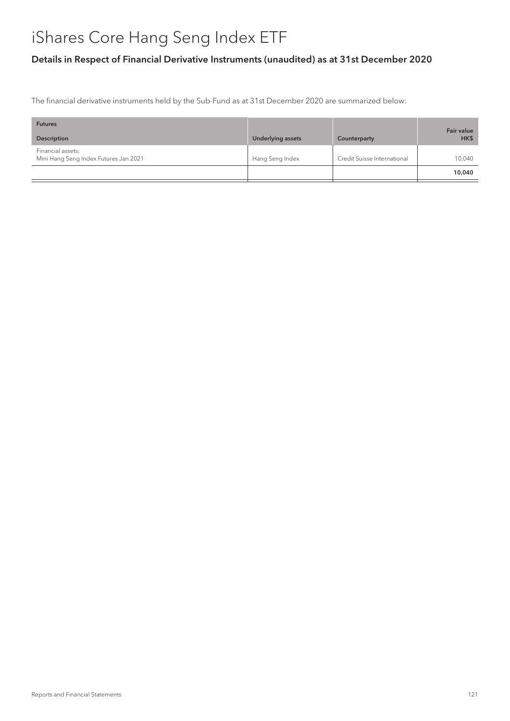## Details in Respect of Financial Derivative Instruments (unaudited) as at 31st December 2020

The financial derivative instruments held by the Sub-Fund as at 31st December 2020 are summarized below:

| <b>Futures</b>                                             |                   |                             | <b>Fair value</b> |
|------------------------------------------------------------|-------------------|-----------------------------|-------------------|
| <b>Description</b>                                         | Underlying assets | Counterparty                | HK\$              |
| Financial assets:<br>Mini Hang Seng Index Futures Jan 2021 | Hang Seng Index   | Credit Suisse International | 10,040            |
|                                                            |                   |                             | 10,040            |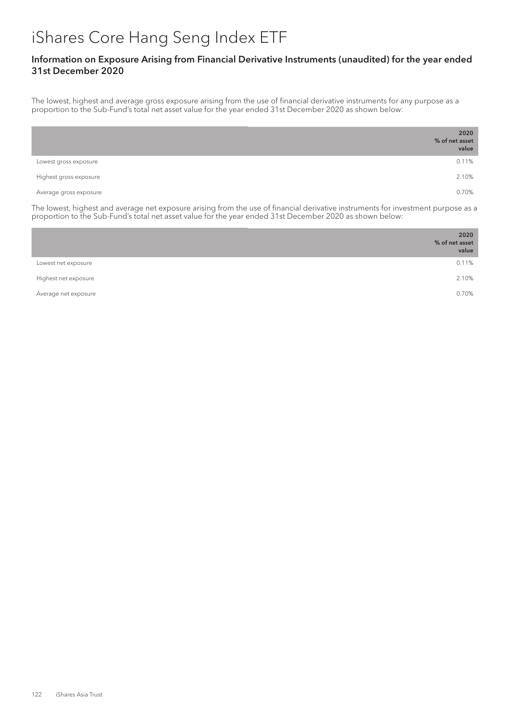### Information on Exposure Arising from Financial Derivative Instruments (unaudited) for the year ended 31st December 2020

The lowest, highest and average gross exposure arising from the use of financial derivative instruments for any purpose as a proportion to the Sub-Fund's total net asset value for the year ended 31st December 2020 as shown below:

|                        | 2020<br>% of net asset<br>value |
|------------------------|---------------------------------|
| Lowest gross exposure  | 0.11%                           |
| Highest gross exposure | 2.10%                           |
| Average gross exposure | 0.70%                           |

The lowest, highest and average net exposure arising from the use of financial derivative instruments for investment purpose as a proportion to the Sub-Fund's total net asset value for the year ended 31st December 2020 as shown below:

|                      | 2020<br>% of net asset<br>value |
|----------------------|---------------------------------|
| Lowest net exposure  | 0.11%                           |
| Highest net exposure | 2.10%                           |
| Average net exposure | 0.70%                           |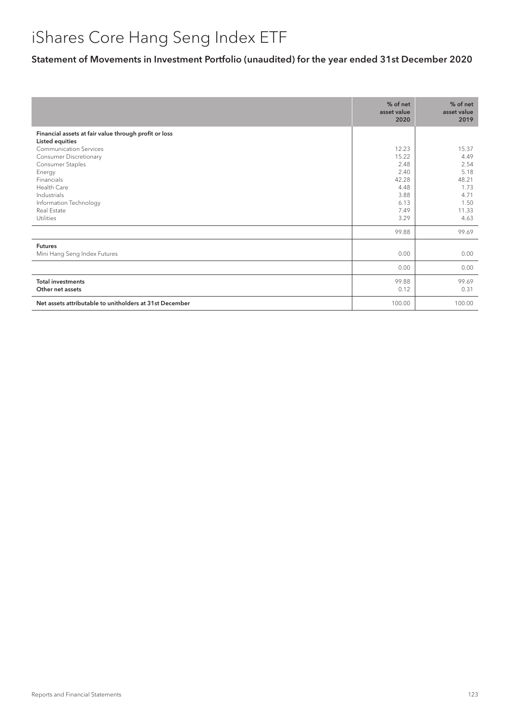|                                                         | % of net<br>asset value<br>2020 | % of net<br>asset value<br>2019 |
|---------------------------------------------------------|---------------------------------|---------------------------------|
| Financial assets at fair value through profit or loss   |                                 |                                 |
| <b>Listed equities</b>                                  |                                 |                                 |
| <b>Communication Services</b>                           | 12.23                           | 15.37                           |
| Consumer Discretionary                                  | 15.22                           | 4.49                            |
| Consumer Staples                                        | 2.48                            | 2.54                            |
| Energy                                                  | 2.40                            | 5.18                            |
| Financials                                              | 42.28                           | 48.21                           |
| Health Care                                             | 4.48                            | 1.73                            |
| Industrials                                             | 3.88                            | 4.71                            |
| Information Technology                                  | 6.13                            | 1.50                            |
| Real Estate                                             | 7.49                            | 11.33                           |
| <b>Utilities</b>                                        | 3.29                            | 4.63                            |
|                                                         | 99.88                           | 99.69                           |
| <b>Futures</b>                                          |                                 |                                 |
| Mini Hang Seng Index Futures                            | 0.00                            | 0.00                            |
|                                                         | 0.00                            | 0.00                            |
| <b>Total investments</b>                                | 99.88                           | 99.69                           |
| Other net assets                                        | 0.12                            | 0.31                            |
| Net assets attributable to unitholders at 31st December | 100.00                          | 100.00                          |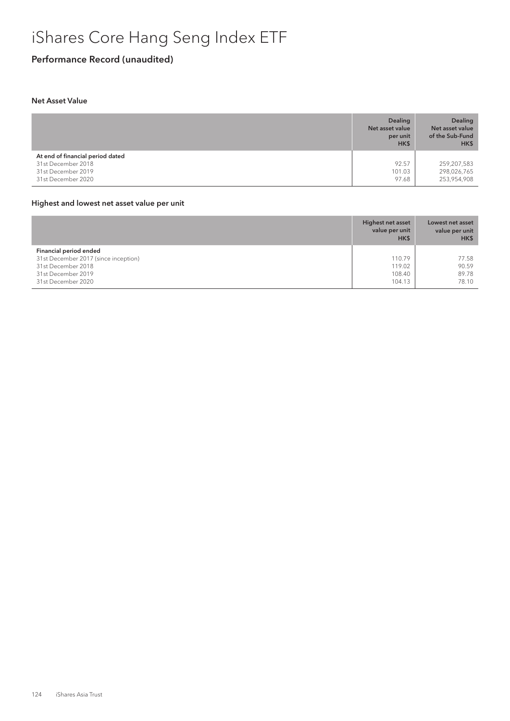## Performance Record (unaudited)

### Net Asset Value

|                                                                                                    | per unit<br>HK\$         | of the Sub-Fund<br>HK\$                   |
|----------------------------------------------------------------------------------------------------|--------------------------|-------------------------------------------|
| At end of financial period dated<br>31st December 2018<br>31st December 2019<br>31st December 2020 | 92.57<br>101.03<br>97.68 | 259,207,583<br>298,026,765<br>253,954,908 |

### Highest and lowest net asset value per unit

|                                      | Highest net asset<br>value per unit<br>HK\$ | Lowest net asset<br>value per unit<br>HK\$ |
|--------------------------------------|---------------------------------------------|--------------------------------------------|
| Financial period ended               |                                             |                                            |
| 31st December 2017 (since inception) | 110.79                                      | 77.58                                      |
| 31st December 2018                   | 119.02                                      | 90.59                                      |
| 31st December 2019                   | 108.40                                      | 89.78                                      |
| 31st December 2020                   | 104.13                                      | 78.10                                      |